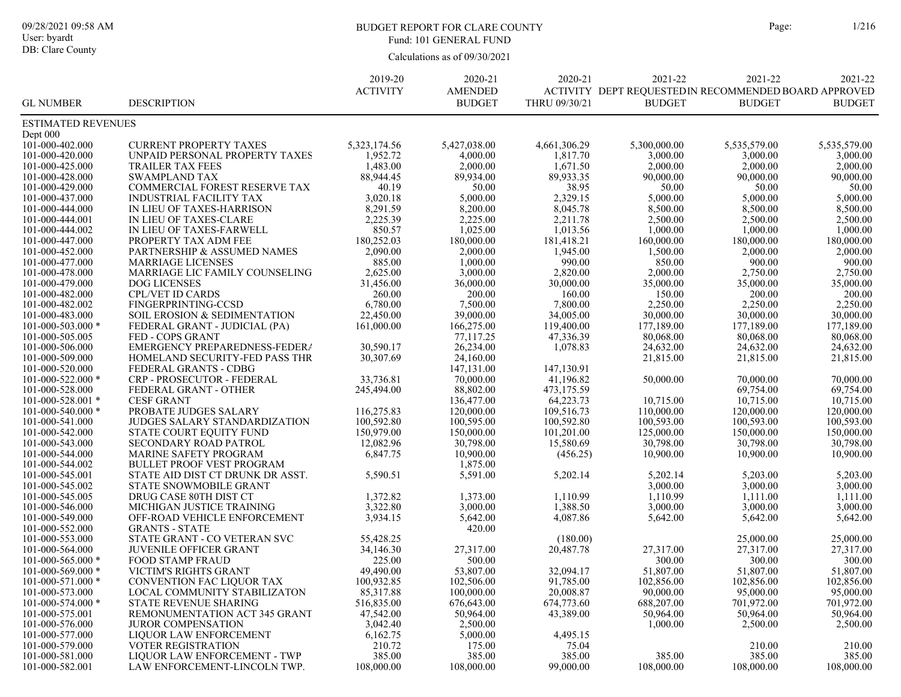# BUDGET REPORT FOR CLARE COUNTY Page: 1/216 Fund: 101 GENERAL FUND

|                           |                                  | 2019-20         | 2020-21        | 2020-21       | 2021-22       | 2021-22                                              | 2021-22       |
|---------------------------|----------------------------------|-----------------|----------------|---------------|---------------|------------------------------------------------------|---------------|
|                           |                                  | <b>ACTIVITY</b> | <b>AMENDED</b> |               |               | ACTIVITY DEPT REQUESTEDIN RECOMMENDED BOARD APPROVED |               |
| <b>GL NUMBER</b>          | <b>DESCRIPTION</b>               |                 | <b>BUDGET</b>  | THRU 09/30/21 | <b>BUDGET</b> | <b>BUDGET</b>                                        | <b>BUDGET</b> |
| <b>ESTIMATED REVENUES</b> |                                  |                 |                |               |               |                                                      |               |
| Dept $000$                |                                  |                 |                |               |               |                                                      |               |
| 101-000-402.000           | <b>CURRENT PROPERTY TAXES</b>    | 5,323,174.56    | 5,427,038.00   | 4,661,306.29  | 5,300,000.00  | 5.535.579.00                                         | 5,535,579.00  |
| 101-000-420.000           | UNPAID PERSONAL PROPERTY TAXES   | 1,952.72        | 4,000.00       | 1,817.70      | 3,000.00      | 3,000.00                                             | 3,000.00      |
| 101-000-425.000           | <b>TRAILER TAX FEES</b>          | 1,483.00        | 2,000.00       | 1,671.50      | 2,000.00      | 2,000.00                                             | 2,000.00      |
| 101-000-428.000           | <b>SWAMPLAND TAX</b>             | 88,944.45       | 89,934.00      | 89,933.35     | 90,000.00     | 90,000.00                                            | 90,000.00     |
| 101-000-429.000           | COMMERCIAL FOREST RESERVE TAX    | 40.19           | 50.00          | 38.95         | 50.00         | 50.00                                                | 50.00         |
| 101-000-437.000           | <b>INDUSTRIAL FACILITY TAX</b>   | 3,020.18        | 5,000.00       | 2,329.15      | 5,000.00      | 5,000.00                                             | 5,000.00      |
| 101-000-444.000           | IN LIEU OF TAXES-HARRISON        | 8,291.59        | 8,200.00       | 8,045.78      | 8,500.00      | 8,500.00                                             | 8,500.00      |
| 101-000-444.001           | IN LIEU OF TAXES-CLARE           | 2,225.39        | 2,225.00       | 2,211.78      | 2.500.00      | 2.500.00                                             | 2.500.00      |
| 101-000-444.002           | IN LIEU OF TAXES-FARWELL         | 850.57          | 1,025.00       | 1,013.56      | 1,000.00      | 1,000.00                                             | 1,000.00      |
| 101-000-447.000           | PROPERTY TAX ADM FEE             | 180,252.03      | 180,000.00     | 181,418.21    | 160,000.00    | 180,000.00                                           | 180,000.00    |
| 101-000-452.000           | PARTNERSHIP & ASSUMED NAMES      | 2,090.00        | 2,000.00       | 1,945.00      | 1,500.00      | 2,000.00                                             | 2,000.00      |
| 101-000-477.000           | <b>MARRIAGE LICENSES</b>         | 885.00          | 1,000.00       | 990.00        | 850.00        | 900.00                                               | 900.00        |
| 101-000-478.000           | MARRIAGE LIC FAMILY COUNSELING   | 2,625.00        | 3,000.00       | 2,820.00      | 2,000.00      | 2,750.00                                             | 2,750.00      |
| 101-000-479.000           | <b>DOG LICENSES</b>              | 31,456.00       | 36,000.00      | 30,000.00     | 35,000.00     | 35,000.00                                            | 35,000.00     |
| 101-000-482.000           | <b>CPL/VET ID CARDS</b>          | 260.00          | 200.00         | 160.00        | 150.00        | 200.00                                               | 200.00        |
| 101-000-482.002           | FINGERPRINTING-CCSD              | 6,780.00        | 7,500.00       | 7,800.00      | 2,250.00      | 2,250.00                                             | 2,250.00      |
| 101-000-483.000           | SOIL EROSION & SEDIMENTATION     | 22,450.00       | 39,000.00      | 34,005.00     | 30,000.00     | 30,000.00                                            | 30,000.00     |
| $101 - 000 - 503.000$ *   | FEDERAL GRANT - JUDICIAL (PA)    | 161,000.00      | 166,275.00     | 119,400.00    | 177,189.00    | 177,189.00                                           | 177,189.00    |
| 101-000-505.005           | FED - COPS GRANT                 |                 | 77,117.25      | 47,336.39     | 80,068.00     | 80,068.00                                            | 80,068.00     |
| 101-000-506.000           | EMERGENCY PREPAREDNESS-FEDER/    | 30,590.17       | 26,234.00      | 1,078.83      | 24,632.00     | 24,632.00                                            | 24,632.00     |
| 101-000-509.000           | HOMELAND SECURITY-FED PASS THR   | 30,307.69       | 24,160.00      |               | 21,815.00     | 21,815.00                                            | 21,815.00     |
| 101-000-520.000           | FEDERAL GRANTS - CDBG            |                 | 147,131.00     | 147,130.91    |               |                                                      |               |
| $101 - 000 - 522.000$ *   | CRP - PROSECUTOR - FEDERAL       | 33,736.81       | 70,000.00      | 41,196.82     | 50,000.00     | 70,000.00                                            | 70,000.00     |
| 101-000-528.000           | FEDERAL GRANT - OTHER            | 245,494.00      | 88,802.00      | 473,175.59    |               | 69,754.00                                            | 69,754.00     |
| $101 - 000 - 528.001$ *   | <b>CESF GRANT</b>                |                 | 136,477.00     | 64,223.73     | 10,715.00     | 10,715.00                                            | 10,715.00     |
| 101-000-540.000 *         | PROBATE JUDGES SALARY            | 116,275.83      | 120,000.00     | 109,516.73    | 110,000.00    | 120,000.00                                           | 120,000.00    |
| 101-000-541.000           | JUDGES SALARY STANDARDIZATION    | 100,592.80      | 100,595.00     | 100,592.80    | 100,593.00    | 100,593.00                                           | 100,593.00    |
| 101-000-542.000           | STATE COURT EQUITY FUND          | 150,979.00      | 150,000.00     | 101,201.00    | 125,000.00    | 150,000.00                                           | 150,000.00    |
| 101-000-543.000           | SECONDARY ROAD PATROL            | 12,082.96       | 30,798.00      | 15,580.69     | 30,798.00     | 30,798.00                                            | 30,798.00     |
| 101-000-544.000           | <b>MARINE SAFETY PROGRAM</b>     | 6,847.75        | 10,900.00      | (456.25)      | 10,900.00     | 10,900.00                                            | 10,900.00     |
| 101-000-544.002           | <b>BULLET PROOF VEST PROGRAM</b> |                 | 1,875.00       |               |               |                                                      |               |
| 101-000-545.001           | STATE AID DIST CT DRUNK DR ASST. | 5,590.51        | 5,591.00       | 5,202.14      | 5,202.14      | 5,203.00                                             | 5,203.00      |
| 101-000-545.002           | STATE SNOWMOBILE GRANT           |                 |                |               | 3,000.00      | 3,000.00                                             | 3,000.00      |
| 101-000-545.005           | DRUG CASE 80TH DIST CT           | 1,372.82        | 1,373.00       | 1,110.99      | 1,110.99      | 1,111.00                                             | 1,111.00      |
| 101-000-546.000           | MICHIGAN JUSTICE TRAINING        | 3,322.80        | 3,000.00       | 1,388.50      | 3,000.00      | 3,000.00                                             | 3,000.00      |
| 101-000-549.000           | OFF-ROAD VEHICLE ENFORCEMENT     | 3,934.15        | 5,642.00       | 4,087.86      | 5,642.00      | 5,642.00                                             | 5,642.00      |
| 101-000-552.000           | <b>GRANTS - STATE</b>            |                 | 420.00         |               |               |                                                      |               |
| 101-000-553.000           | STATE GRANT - CO VETERAN SVC     | 55,428.25       |                | (180.00)      |               | 25,000.00                                            | 25,000.00     |
| 101-000-564.000           | <b>JUVENILE OFFICER GRANT</b>    | 34,146.30       | 27,317.00      | 20,487.78     | 27,317.00     | 27,317.00                                            | 27,317.00     |
| $101 - 000 - 565.000$ *   | <b>FOOD STAMP FRAUD</b>          | 225.00          | 500.00         |               | 300.00        | 300.00                                               | 300.00        |
| $101 - 000 - 569.000$ *   | <b>VICTIM'S RIGHTS GRANT</b>     | 49,490.00       | 53,807.00      | 32,094.17     | 51,807.00     | 51,807.00                                            | 51,807.00     |
| 101-000-571.000 *         | CONVENTION FAC LIQUOR TAX        | 100,932.85      | 102,506.00     | 91,785.00     | 102,856.00    | 102,856.00                                           | 102,856.00    |
| 101-000-573.000           | LOCAL COMMUNITY STABILIZATON     | 85,317.88       | 100,000.00     | 20,008.87     | 90,000.00     | 95,000.00                                            | 95,000.00     |
| $101 - 000 - 574.000$ *   | <b>STATE REVENUE SHARING</b>     | 516,835.00      | 676,643.00     | 674,773.60    | 688,207.00    | 701,972.00                                           | 701,972.00    |
| 101-000-575.001           | REMONUMENTATION ACT 345 GRANT    | 47,542.00       | 50,964.00      | 43,389.00     | 50,964.00     | 50,964.00                                            | 50,964.00     |
| 101-000-576.000           | <b>JUROR COMPENSATION</b>        | 3,042.40        | 2,500.00       |               | 1,000.00      | 2,500.00                                             | 2,500.00      |
| 101-000-577.000           | LIQUOR LAW ENFORCEMENT           | 6,162.75        | 5,000.00       | 4,495.15      |               |                                                      |               |
| 101-000-579.000           | <b>VOTER REGISTRATION</b>        | 210.72          | 175.00         | 75.04         |               | 210.00                                               | 210.00        |
| 101-000-581.000           | LIOUOR LAW ENFORCEMENT - TWP     | 385.00          | 385.00         | 385.00        | 385.00        | 385.00                                               | 385.00        |
| 101-000-582.001           | LAW ENFORCEMENT-LINCOLN TWP.     | 108,000.00      | 108,000.00     | 99,000.00     | 108,000.00    | 108,000.00                                           | 108,000.00    |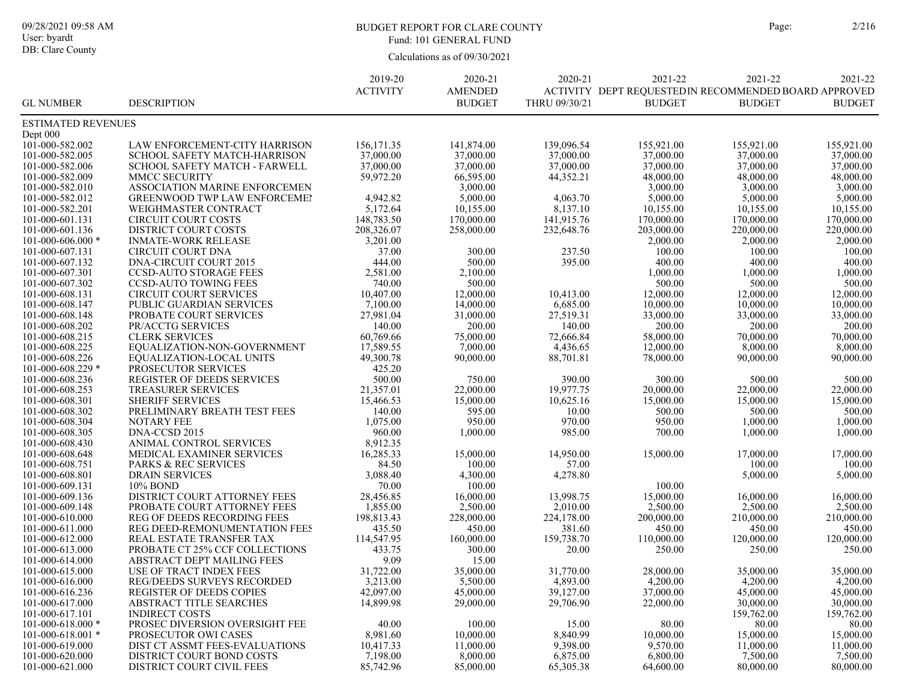# BUDGET REPORT FOR CLARE COUNTY Page: 2/216 Fund: 101 GENERAL FUND

|                           |                                     | 2019-20               | 2020-21        | 2020-21              | 2021-22                                              | 2021-22       | 2021-22       |
|---------------------------|-------------------------------------|-----------------------|----------------|----------------------|------------------------------------------------------|---------------|---------------|
|                           |                                     | <b>ACTIVITY</b>       | <b>AMENDED</b> |                      | ACTIVITY DEPT REQUESTEDIN RECOMMENDED BOARD APPROVED |               |               |
| <b>GL NUMBER</b>          | <b>DESCRIPTION</b>                  |                       | <b>BUDGET</b>  | THRU 09/30/21        | <b>BUDGET</b>                                        | <b>BUDGET</b> | <b>BUDGET</b> |
| <b>ESTIMATED REVENUES</b> |                                     |                       |                |                      |                                                      |               |               |
| Dept 000                  |                                     |                       |                |                      |                                                      |               |               |
| 101-000-582.002           | LAW ENFORCEMENT-CITY HARRISON       | 156, 171.35           | 141,874.00     | 139,096.54           | 155,921.00                                           | 155,921.00    | 155,921.00    |
| 101-000-582.005           | SCHOOL SAFETY MATCH-HARRISON        | 37,000.00             | 37,000.00      | 37,000.00            | 37,000.00                                            | 37,000.00     | 37,000.00     |
| 101-000-582.006           | SCHOOL SAFETY MATCH - FARWELL       | 37,000.00             | 37,000.00      | 37,000.00            | 37,000.00                                            | 37,000.00     | 37,000.00     |
| 101-000-582.009           | <b>MMCC SECURITY</b>                | 59,972.20             | 66,595.00      | 44,352.21            | 48,000.00                                            | 48,000.00     | 48,000.00     |
| 101-000-582.010           | ASSOCIATION MARINE ENFORCEMEN       |                       | 3,000.00       |                      | 3,000.00                                             | 3,000.00      | 3,000.00      |
| 101-000-582.012           | <b>GREENWOOD TWP LAW ENFORCEME!</b> | 4,942.82              | 5,000.00       | 4,063.70             | 5,000.00                                             | 5,000.00      | 5,000.00      |
| 101-000-582.201           | <b>WEIGHMASTER CONTRACT</b>         | 5,172.64              | 10,155.00      | 8,137.10             | 10,155.00                                            | 10,155.00     | 10,155.00     |
| 101-000-601.131           | <b>CIRCUIT COURT COSTS</b>          | 148,783.50            | 170,000.00     | 141,915.76           | 170,000.00                                           | 170,000.00    | 170,000.00    |
| 101-000-601.136           | <b>DISTRICT COURT COSTS</b>         | 208,326.07            | 258,000.00     | 232,648.76           | 203,000.00                                           | 220,000.00    | 220,000.00    |
| $101 - 000 - 606.000$ *   | <b>INMATE-WORK RELEASE</b>          | 3,201.00              |                |                      | 2,000.00                                             | 2,000.00      | 2,000.00      |
| 101-000-607.131           | <b>CIRCUIT COURT DNA</b>            | 37.00                 | 300.00         | 237.50               | 100.00                                               | 100.00        | 100.00        |
| 101-000-607.132           | <b>DNA-CIRCUIT COURT 2015</b>       | 444.00                | 500.00         | 395.00               | 400.00                                               | 400.00        | 400.00        |
| 101-000-607.301           | <b>CCSD-AUTO STORAGE FEES</b>       | 2,581.00              | 2,100.00       |                      | 1,000.00                                             | 1,000.00      | 1,000.00      |
| 101-000-607.302           | <b>CCSD-AUTO TOWING FEES</b>        | 740.00                | 500.00         |                      | 500.00                                               | 500.00        | 500.00        |
| 101-000-608.131           | <b>CIRCUIT COURT SERVICES</b>       | 10,407.00             | 12,000.00      | 10,413.00            | 12,000.00                                            | 12,000.00     | 12,000.00     |
| 101-000-608.147           | PUBLIC GUARDIAN SERVICES            | 7,100.00              | 14,000.00      | 6,685.00             | 10,000.00                                            | 10,000.00     | 10,000.00     |
| 101-000-608.148           | PROBATE COURT SERVICES              | 27,981.04             | 31,000.00      | 27,519.31            | 33,000.00                                            | 33,000.00     | 33,000.00     |
| 101-000-608.202           | PR/ACCTG SERVICES                   | 140.00                | 200.00         | 140.00               | 200.00                                               | 200.00        | 200.00        |
| 101-000-608.215           | <b>CLERK SERVICES</b>               | 60,769.66             | 75,000.00      | 72,666.84            | 58,000.00                                            | 70,000.00     | 70,000.00     |
| 101-000-608.225           | EQUALIZATION-NON-GOVERNMENT         | 17,589.55             | 7,000.00       | 4,436.65             | 12,000.00                                            | 8,000.00      | 8,000.00      |
| 101-000-608.226           | EQUALIZATION-LOCAL UNITS            | 49,300.78             | 90,000.00      | 88,701.81            | 78,000.00                                            | 90,000.00     | 90,000.00     |
| $101 - 000 - 608.229$ *   | PROSECUTOR SERVICES                 | 425.20                |                |                      |                                                      |               |               |
| 101-000-608.236           | <b>REGISTER OF DEEDS SERVICES</b>   | 500.00                | 750.00         | 390.00               | 300.00                                               | 500.00        | 500.00        |
| 101-000-608.253           | <b>TREASURER SERVICES</b>           | 21,357.01             | 22,000.00      | 19,977.75            | 20,000.00                                            | 22,000.00     | 22,000.00     |
| 101-000-608.301           | <b>SHERIFF SERVICES</b>             | 15,466.53             | 15,000.00      | 10,625.16            | 15,000.00                                            | 15,000.00     | 15,000.00     |
| 101-000-608.302           | PRELIMINARY BREATH TEST FEES        | 140.00                | 595.00         | 10.00                | 500.00                                               | 500.00        | 500.00        |
| 101-000-608.304           | NOTARY FEE                          | 1,075.00              | 950.00         | 970.00               | 950.00                                               | 1,000.00      | 1,000.00      |
| 101-000-608.305           | DNA-CCSD 2015                       | 960.00                | 1,000.00       | 985.00               | 700.00                                               | 1,000.00      | 1,000.00      |
| 101-000-608.430           | ANIMAL CONTROL SERVICES             | 8,912.35              |                |                      |                                                      |               |               |
| 101-000-608.648           | MEDICAL EXAMINER SERVICES           | 16,285.33             | 15,000.00      | 14,950.00            | 15,000.00                                            | 17,000.00     | 17,000.00     |
| 101-000-608.751           | PARKS & REC SERVICES                | 84.50                 | 100.00         | 57.00                |                                                      | 100.00        | 100.00        |
| 101-000-608.801           | <b>DRAIN SERVICES</b>               | 3,088.40              | 4,300.00       | 4,278.80             |                                                      | 5,000.00      | 5,000.00      |
| 101-000-609.131           | 10% BOND                            | 70.00                 | 100.00         |                      | 100.00                                               |               |               |
| 101-000-609.136           | DISTRICT COURT ATTORNEY FEES        | 28,456.85             | 16,000.00      | 13,998.75            | 15,000.00                                            | 16,000.00     | 16,000.00     |
| 101-000-609.148           | PROBATE COURT ATTORNEY FEES         | 1,855.00              | 2,500.00       | 2,010.00             | 2,500.00                                             | 2,500.00      | 2,500.00      |
| 101-000-610.000           | REG OF DEEDS RECORDING FEES         | 198,813.43            | 228,000.00     | 224,178.00           | 200,000.00                                           | 210,000.00    | 210,000.00    |
| 101-000-611.000           | REG DEED-REMONUMENTATION FEES       | 435.50                | 450.00         | 381.60               | 450.00                                               | 450.00        | 450.00        |
| 101-000-612.000           | REAL ESTATE TRANSFER TAX            | 114,547.95            | 160,000.00     | 159,738.70           | 110,000.00                                           | 120,000.00    | 120,000.00    |
| 101-000-613.000           | PROBATE CT 25% CCF COLLECTIONS      | 433.75                | 300.00         | 20.00                | 250.00                                               | 250.00        | 250.00        |
| 101-000-614.000           | ABSTRACT DEPT MAILING FEES          | 9.09                  | 15.00          |                      |                                                      |               |               |
| 101-000-615.000           | <b>USE OF TRACT INDEX FEES</b>      | 31,722.00             | 35,000.00      | 31,770.00            | 28,000.00                                            | 35,000.00     | 35,000.00     |
| 101-000-616.000           | <b>REG/DEEDS SURVEYS RECORDED</b>   | 3,213.00              | 5,500.00       | 4,893.00             | 4,200.00                                             | 4,200.00      | 4,200.00      |
| 101-000-616.236           | <b>REGISTER OF DEEDS COPIES</b>     | 42,097.00             | 45,000.00      | 39,127.00            | 37,000.00                                            | 45,000.00     | 45,000.00     |
| 101-000-617.000           | <b>ABSTRACT TITLE SEARCHES</b>      | 14,899.98             | 29,000.00      | 29,706.90            | 22,000.00                                            | 30,000.00     | 30,000.00     |
| 101-000-617.101           | <b>INDIRECT COSTS</b>               |                       |                |                      |                                                      | 159,762.00    | 159,762.00    |
| $101 - 000 - 618.000$ *   | PROSEC DIVERSION OVERSIGHT FEE      | 40.00                 | 100.00         | 15.00                | 80.00                                                | 80.00         | 80.00         |
| $101-000-618.001$ *       | PROSECUTOR OWI CASES                | 8,981.60              | 10,000.00      | 8,840.99             | 10,000.00                                            | 15,000.00     | 15,000.00     |
| 101-000-619.000           | DIST CT ASSMT FEES-EVALUATIONS      |                       |                |                      |                                                      |               |               |
| 101-000-620.000           | DISTRICT COURT BOND COSTS           | 10,417.33             | 11,000.00      | 9,398.00<br>6,875.00 | 9,570.00                                             | 11,000.00     | 11,000.00     |
|                           |                                     | 7,198.00<br>85,742.96 | 8,000.00       |                      | 6,800.00                                             | 7,500.00      | 7,500.00      |
| 101-000-621.000           | DISTRICT COURT CIVIL FEES           |                       | 85,000.00      | 65,305.38            | 64,600.00                                            | 80,000.00     | 80,000.00     |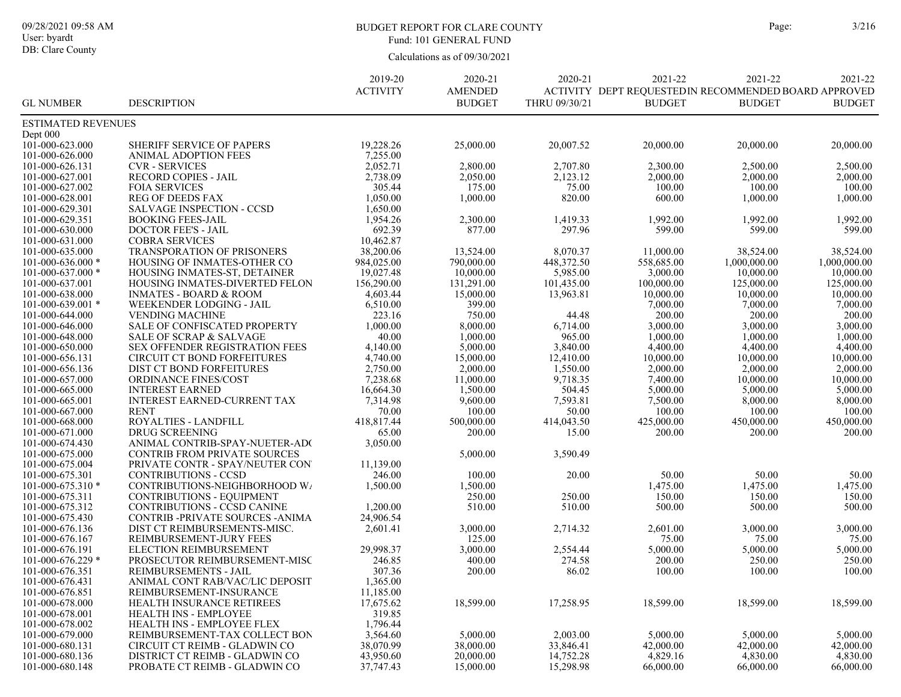# BUDGET REPORT FOR CLARE COUNTY Page: 3/216 Fund: 101 GENERAL FUND

|                           |                                     | 2019-20         | 2020-21        | 2020-21       | 2021-22                                               | 2021-22       | 2021-22       |
|---------------------------|-------------------------------------|-----------------|----------------|---------------|-------------------------------------------------------|---------------|---------------|
|                           |                                     | <b>ACTIVITY</b> | <b>AMENDED</b> |               | ACTIVITY DEPT REQUESTED IN RECOMMENDED BOARD APPROVED |               |               |
| <b>GL NUMBER</b>          | <b>DESCRIPTION</b>                  |                 | <b>BUDGET</b>  | THRU 09/30/21 | <b>BUDGET</b>                                         | <b>BUDGET</b> | <b>BUDGET</b> |
| <b>ESTIMATED REVENUES</b> |                                     |                 |                |               |                                                       |               |               |
| Dept 000                  |                                     |                 |                |               |                                                       |               |               |
| 101-000-623.000           | SHERIFF SERVICE OF PAPERS           | 19,228.26       | 25,000.00      | 20,007.52     | 20,000.00                                             | 20,000.00     | 20,000.00     |
| 101-000-626.000           | ANIMAL ADOPTION FEES                | 7,255.00        |                |               |                                                       |               |               |
| 101-000-626.131           | <b>CVR - SERVICES</b>               | 2,052.71        | 2,800.00       | 2,707.80      | 2,300.00                                              | 2,500.00      | 2,500.00      |
| 101-000-627.001           | <b>RECORD COPIES - JAIL</b>         | 2,738.09        | 2,050.00       | 2,123.12      | 2,000.00                                              | 2,000.00      | 2,000.00      |
| 101-000-627.002           | <b>FOIA SERVICES</b>                | 305.44          | 175.00         | 75.00         | 100.00                                                | 100.00        | 100.00        |
|                           |                                     |                 |                |               |                                                       |               |               |
| 101-000-628.001           | <b>REG OF DEEDS FAX</b>             | 1,050.00        | 1,000.00       | 820.00        | 600.00                                                | 1,000.00      | 1,000.00      |
| 101-000-629.301           | <b>SALVAGE INSPECTION - CCSD</b>    | 1,650.00        |                |               |                                                       |               |               |
| 101-000-629.351           | <b>BOOKING FEES-JAIL</b>            | 1,954.26        | 2,300.00       | 1,419.33      | 1,992.00                                              | 1,992.00      | 1,992.00      |
| 101-000-630.000           | <b>DOCTOR FEE'S - JAIL</b>          | 692.39          | 877.00         | 297.96        | 599.00                                                | 599.00        | 599.00        |
| 101-000-631.000           | <b>COBRA SERVICES</b>               | 10,462.87       |                |               |                                                       |               |               |
| 101-000-635.000           | TRANSPORATION OF PRISONERS          | 38,200.06       | 13,524.00      | 8,070.37      | 11,000.00                                             | 38,524.00     | 38,524.00     |
| $101-000-636.000*$        | HOUSING OF INMATES-OTHER CO         | 984,025.00      | 790,000.00     | 448,372.50    | 558,685.00                                            | 1,000,000.00  | 1,000,000.00  |
| 101-000-637.000 *         | HOUSING INMATES-ST, DETAINER        | 19,027.48       | 10,000.00      | 5,985.00      | 3,000.00                                              | 10,000.00     | 10,000.00     |
| 101-000-637.001           | HOUSING INMATES-DIVERTED FELON      | 156,290.00      | 131,291.00     | 101,435.00    | 100,000.00                                            | 125,000.00    | 125,000.00    |
| 101-000-638.000           | <b>INMATES - BOARD &amp; ROOM</b>   | 4,603.44        | 15,000.00      | 13,963.81     | 10,000.00                                             | 10,000.00     | 10,000.00     |
| $101 - 000 - 639.001$ *   | WEEKENDER LODGING - JAIL            | 6,510.00        | 399.00         |               | 7,000.00                                              | 7,000.00      | 7,000.00      |
| 101-000-644.000           | <b>VENDING MACHINE</b>              | 223.16          | 750.00         | 44.48         | 200.00                                                | 200.00        | 200.00        |
| 101-000-646.000           | SALE OF CONFISCATED PROPERTY        | 1,000.00        | 8,000.00       | 6,714.00      | 3,000.00                                              | 3,000.00      | 3,000.00      |
| 101-000-648.000           | <b>SALE OF SCRAP &amp; SALVAGE</b>  | 40.00           | 1,000.00       | 965.00        | 1,000.00                                              | 1,000.00      | 1,000.00      |
| 101-000-650.000           | SEX OFFENDER REGISTRATION FEES      | 4,140.00        | 5,000.00       | 3,840.00      | 4,400.00                                              | 4,400.00      | 4,400.00      |
| 101-000-656.131           | <b>CIRCUIT CT BOND FORFEITURES</b>  | 4,740.00        | 15,000.00      | 12,410.00     | 10,000.00                                             | 10,000.00     | 10,000.00     |
| 101-000-656.136           | DIST CT BOND FORFEITURES            | 2,750.00        | 2,000.00       | 1,550.00      | 2,000.00                                              | 2,000.00      | 2,000.00      |
| 101-000-657.000           | <b>ORDINANCE FINES/COST</b>         | 7,238.68        | 11,000.00      | 9,718.35      | 7,400.00                                              | 10,000.00     | 10,000.00     |
| 101-000-665.000           | <b>INTEREST EARNED</b>              | 16,664.30       | 1,500.00       | 504.45        | 5,000.00                                              | 5,000.00      | 5,000.00      |
| 101-000-665.001           | <b>INTEREST EARNED-CURRENT TAX</b>  | 7,314.98        | 9,600.00       | 7,593.81      | 7,500.00                                              | 8,000.00      | 8,000.00      |
| 101-000-667.000           | <b>RENT</b>                         | 70.00           |                | 50.00         | 100.00                                                | 100.00        | 100.00        |
|                           |                                     |                 | 100.00         |               |                                                       |               |               |
| 101-000-668.000           | ROYALTIES - LANDFILL                | 418,817.44      | 500,000.00     | 414,043.50    | 425,000.00                                            | 450,000.00    | 450,000.00    |
| 101-000-671.000           | <b>DRUG SCREENING</b>               | 65.00           | 200.00         | 15.00         | 200.00                                                | 200.00        | 200.00        |
| 101-000-674.430           | ANIMAL CONTRIB-SPAY-NUETER-AD(      | 3,050.00        |                |               |                                                       |               |               |
| 101-000-675.000           | <b>CONTRIB FROM PRIVATE SOURCES</b> |                 | 5,000.00       | 3,590.49      |                                                       |               |               |
| 101-000-675.004           | PRIVATE CONTR - SPAY/NEUTER CON     | 11,139.00       |                |               |                                                       |               |               |
| 101-000-675.301           | <b>CONTRIBUTIONS - CCSD</b>         | 246.00          | 100.00         | 20.00         | 50.00                                                 | 50.00         | 50.00         |
| $101 - 000 - 675.310*$    | CONTRIBUTIONS-NEIGHBORHOOD W        | 1,500.00        | 1,500.00       |               | 1,475.00                                              | 1,475.00      | 1,475.00      |
| 101-000-675.311           | <b>CONTRIBUTIONS - EQUIPMENT</b>    |                 | 250.00         | 250.00        | 150.00                                                | 150.00        | 150.00        |
| 101-000-675.312           | <b>CONTRIBUTIONS - CCSD CANINE</b>  | 1,200.00        | 510.00         | 510.00        | 500.00                                                | 500.00        | 500.00        |
| 101-000-675.430           | CONTRIB -PRIVATE SOURCES -ANIMA     | 24,906.54       |                |               |                                                       |               |               |
| 101-000-676.136           | DIST CT REIMBURSEMENTS-MISC.        | 2,601.41        | 3,000.00       | 2,714.32      | 2,601.00                                              | 3,000.00      | 3,000.00      |
| 101-000-676.167           | REIMBURSEMENT-JURY FEES             |                 | 125.00         |               | 75.00                                                 | 75.00         | 75.00         |
| 101-000-676.191           | ELECTION REIMBURSEMENT              | 29,998.37       | 3,000.00       | 2,554.44      | 5,000.00                                              | 5,000.00      | 5,000.00      |
| $101 - 000 - 676.229$ *   | PROSECUTOR REIMBURSEMENT-MISC       | 246.85          | 400.00         | 274.58        | 200.00                                                | 250.00        | 250.00        |
| 101-000-676.351           | REIMBURSEMENTS - JAIL               | 307.36          | 200.00         | 86.02         | 100.00                                                | 100.00        | 100.00        |
| 101-000-676.431           | ANIMAL CONT RAB/VAC/LIC DEPOSIT     | 1,365.00        |                |               |                                                       |               |               |
| 101-000-676.851           | REIMBURSEMENT-INSURANCE             | 11,185.00       |                |               |                                                       |               |               |
| 101-000-678.000           | HEALTH INSURANCE RETIREES           | 17,675.62       | 18,599.00      | 17,258.95     | 18,599.00                                             | 18,599.00     | 18,599.00     |
| 101-000-678.001           | <b>HEALTH INS - EMPLOYEE</b>        | 319.85          |                |               |                                                       |               |               |
| 101-000-678.002           | HEALTH INS - EMPLOYEE FLEX          | 1,796.44        |                |               |                                                       |               |               |
| 101-000-679.000           | REIMBURSEMENT-TAX COLLECT BON       | 3,564.60        | 5,000.00       | 2,003.00      | 5,000.00                                              | 5,000.00      | 5,000.00      |
| 101-000-680.131           | CIRCUIT CT REIMB - GLADWIN CO       | 38,070.99       | 38,000.00      | 33,846.41     | 42,000.00                                             | 42,000.00     | 42,000.00     |
| 101-000-680.136           | DISTRICT CT REIMB - GLADWIN CO      | 43,950.60       | 20,000.00      | 14,752.28     | 4,829.16                                              | 4,830.00      | 4,830.00      |
|                           | PROBATE CT REIMB - GLADWIN CO       |                 |                |               |                                                       | 66,000.00     |               |
| 101-000-680.148           |                                     | 37,747.43       | 15,000.00      | 15,298.98     | 66,000.00                                             |               | 66,000.00     |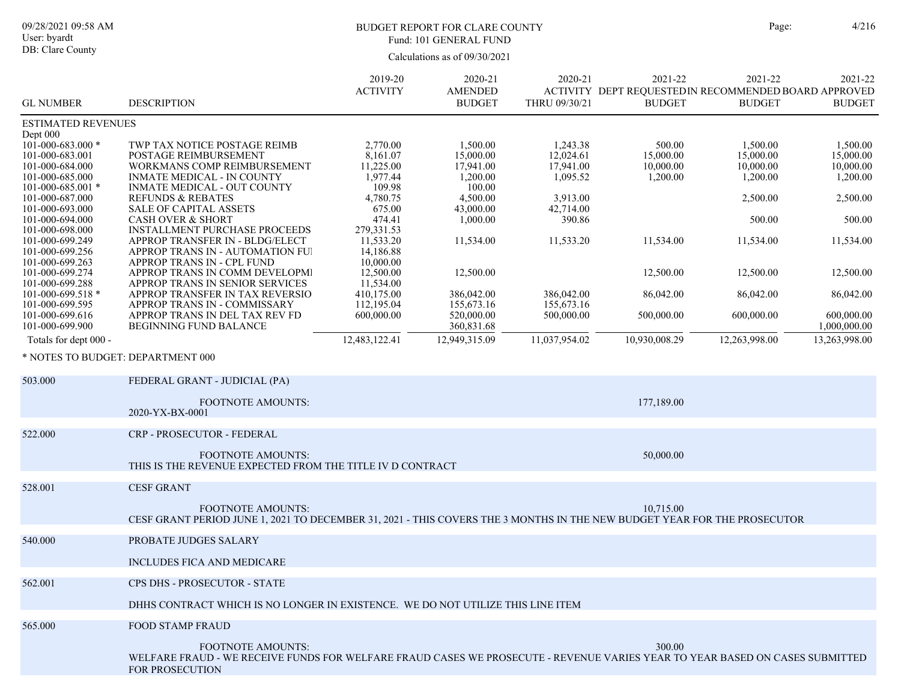# BUDGET REPORT FOR CLARE COUNTY Page: 4/216 Fund: 101 GENERAL FUND

| <b>GL NUMBER</b>                                                                       | <b>DESCRIPTION</b>                                                                                                                                                                 | 2019-20<br><b>ACTIVITY</b>                    | 2020-21<br><b>AMENDED</b><br><b>BUDGET</b>     | 2020-21<br>THRU 09/30/21                       | 2021-22<br>ACTIVITY DEPT REQUESTED IN RECOMMENDED BOARD APPROVED<br><b>BUDGET</b> | 2021-22<br><b>BUDGET</b>                       | 2021-22<br><b>BUDGET</b>                       |
|----------------------------------------------------------------------------------------|------------------------------------------------------------------------------------------------------------------------------------------------------------------------------------|-----------------------------------------------|------------------------------------------------|------------------------------------------------|-----------------------------------------------------------------------------------|------------------------------------------------|------------------------------------------------|
| <b>ESTIMATED REVENUES</b>                                                              |                                                                                                                                                                                    |                                               |                                                |                                                |                                                                                   |                                                |                                                |
| Dept 000<br>101-000-683.000 *<br>101-000-683.001<br>101-000-684.000<br>101-000-685.000 | TWP TAX NOTICE POSTAGE REIMB<br>POSTAGE REIMBURSEMENT<br>WORKMANS COMP REIMBURSEMENT<br><b>INMATE MEDICAL - IN COUNTY</b>                                                          | 2,770.00<br>8,161.07<br>11,225.00<br>1,977.44 | 1,500.00<br>15,000.00<br>17,941.00<br>1,200.00 | 1,243.38<br>12,024.61<br>17,941.00<br>1,095.52 | 500.00<br>15,000.00<br>10,000.00<br>1,200.00                                      | 1,500.00<br>15,000.00<br>10,000.00<br>1,200.00 | 1,500.00<br>15,000.00<br>10,000.00<br>1,200.00 |
| $101 - 000 - 685.001$ *<br>101-000-687.000<br>101-000-693.000                          | <b>INMATE MEDICAL - OUT COUNTY</b><br><b>REFUNDS &amp; REBATES</b><br>SALE OF CAPITAL ASSETS                                                                                       | 109.98<br>4,780.75<br>675.00                  | 100.00<br>4,500.00<br>43,000.00                | 3,913.00<br>42,714.00                          |                                                                                   | 2,500.00                                       | 2,500.00                                       |
| 101-000-694.000<br>101-000-698.000                                                     | <b>CASH OVER &amp; SHORT</b><br><b>INSTALLMENT PURCHASE PROCEEDS</b>                                                                                                               | 474.41<br>279,331.53                          | 1,000.00                                       | 390.86                                         |                                                                                   | 500.00                                         | 500.00                                         |
| 101-000-699.249<br>101-000-699.256<br>101-000-699.263                                  | APPROP TRANSFER IN - BLDG/ELECT<br>APPROP TRANS IN - AUTOMATION FUI<br>APPROP TRANS IN - CPL FUND                                                                                  | 11,533.20<br>14,186.88<br>10,000.00           | 11,534.00                                      | 11,533.20                                      | 11,534.00                                                                         | 11,534.00                                      | 11,534.00                                      |
| 101-000-699.274<br>101-000-699.288                                                     | APPROP TRANS IN COMM DEVELOPMI<br>APPROP TRANS IN SENIOR SERVICES                                                                                                                  | 12,500.00<br>11,534.00                        | 12,500.00                                      |                                                | 12,500.00                                                                         | 12,500.00                                      | 12,500.00                                      |
| $101 - 000 - 699.518$ *<br>101-000-699.595                                             | APPROP TRANSFER IN TAX REVERSIO<br>APPROP TRANS IN - COMMISSARY                                                                                                                    | 410,175.00<br>112,195.04                      | 386,042.00<br>155,673.16                       | 386,042.00<br>155,673.16                       | 86,042.00                                                                         | 86,042.00                                      | 86,042.00                                      |
| 101-000-699.616<br>101-000-699.900                                                     | APPROP TRANS IN DEL TAX REV FD<br><b>BEGINNING FUND BALANCE</b>                                                                                                                    | 600,000.00                                    | 520,000.00<br>360,831.68                       | 500,000.00                                     | 500,000.00                                                                        | 600,000.00                                     | 600,000.00<br>1,000,000.00                     |
| Totals for dept 000 -                                                                  |                                                                                                                                                                                    | 12,483,122.41                                 | 12,949,315.09                                  | 11,037,954.02                                  | 10,930,008.29                                                                     | 12,263,998.00                                  | 13,263,998.00                                  |
| * NOTES TO BUDGET: DEPARTMENT 000                                                      |                                                                                                                                                                                    |                                               |                                                |                                                |                                                                                   |                                                |                                                |
| 503.000                                                                                | FEDERAL GRANT - JUDICIAL (PA)                                                                                                                                                      |                                               |                                                |                                                |                                                                                   |                                                |                                                |
|                                                                                        | <b>FOOTNOTE AMOUNTS:</b><br>2020-YX-BX-0001                                                                                                                                        |                                               |                                                |                                                | 177,189.00                                                                        |                                                |                                                |
| 522.000                                                                                | CRP - PROSECUTOR - FEDERAL                                                                                                                                                         |                                               |                                                |                                                |                                                                                   |                                                |                                                |
|                                                                                        | <b>FOOTNOTE AMOUNTS:</b><br>THIS IS THE REVENUE EXPECTED FROM THE TITLE IV D CONTRACT                                                                                              |                                               |                                                |                                                | 50,000.00                                                                         |                                                |                                                |
| 528.001                                                                                | <b>CESF GRANT</b>                                                                                                                                                                  |                                               |                                                |                                                |                                                                                   |                                                |                                                |
|                                                                                        | <b>FOOTNOTE AMOUNTS:</b><br>CESF GRANT PERIOD JUNE 1, 2021 TO DECEMBER 31, 2021 - THIS COVERS THE 3 MONTHS IN THE NEW BUDGET YEAR FOR THE PROSECUTOR                               |                                               |                                                |                                                | 10,715.00                                                                         |                                                |                                                |
| 540.000                                                                                | <b>PROBATE JUDGES SALARY</b>                                                                                                                                                       |                                               |                                                |                                                |                                                                                   |                                                |                                                |
|                                                                                        | <b>INCLUDES FICA AND MEDICARE</b>                                                                                                                                                  |                                               |                                                |                                                |                                                                                   |                                                |                                                |
| 562.001                                                                                | CPS DHS - PROSECUTOR - STATE                                                                                                                                                       |                                               |                                                |                                                |                                                                                   |                                                |                                                |
|                                                                                        | DHHS CONTRACT WHICH IS NO LONGER IN EXISTENCE. WE DO NOT UTILIZE THIS LINE ITEM                                                                                                    |                                               |                                                |                                                |                                                                                   |                                                |                                                |
| 565.000                                                                                | <b>FOOD STAMP FRAUD</b>                                                                                                                                                            |                                               |                                                |                                                |                                                                                   |                                                |                                                |
|                                                                                        | <b>FOOTNOTE AMOUNTS:</b><br>WELFARE FRAUD - WE RECEIVE FUNDS FOR WELFARE FRAUD CASES WE PROSECUTE - REVENUE VARIES YEAR TO YEAR BASED ON CASES SUBMITTED<br><b>FOR PROSECUTION</b> |                                               |                                                |                                                | 300.00                                                                            |                                                |                                                |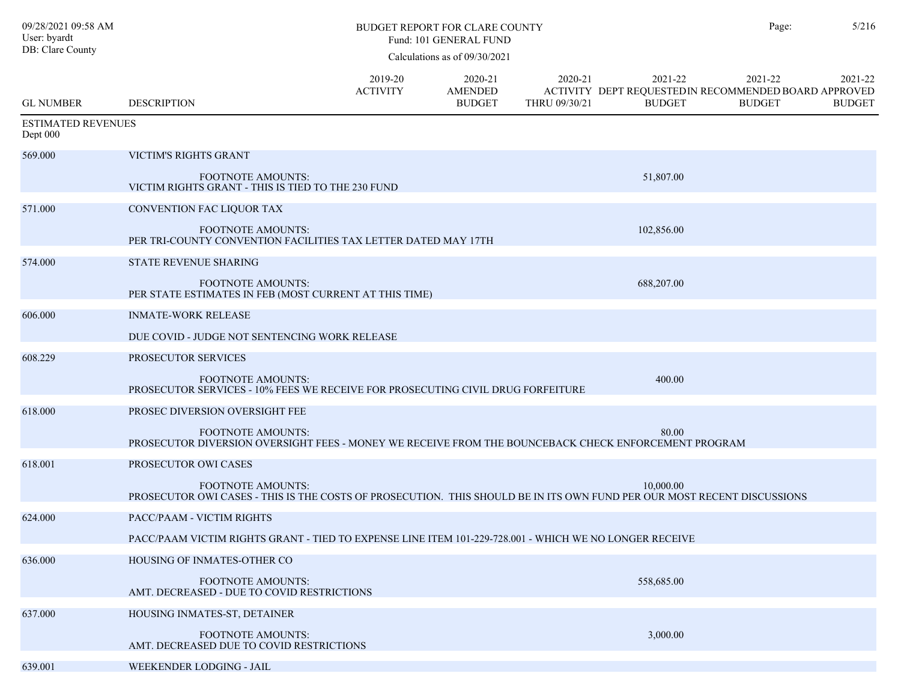| 09/28/2021 09:58 AM<br>User: byardt<br>DB: Clare County | <b>BUDGET REPORT FOR CLARE COUNTY</b><br>Fund: 101 GENERAL FUND                                                                                     |                            |                                            |                          |                                                                                  |                          | 5/216                    |
|---------------------------------------------------------|-----------------------------------------------------------------------------------------------------------------------------------------------------|----------------------------|--------------------------------------------|--------------------------|----------------------------------------------------------------------------------|--------------------------|--------------------------|
|                                                         |                                                                                                                                                     |                            | Calculations as of 09/30/2021              |                          |                                                                                  |                          |                          |
| <b>GL NUMBER</b>                                        | <b>DESCRIPTION</b>                                                                                                                                  | 2019-20<br><b>ACTIVITY</b> | 2020-21<br><b>AMENDED</b><br><b>BUDGET</b> | 2020-21<br>THRU 09/30/21 | 2021-22<br>ACTIVITY DEPT REQUESTEDIN RECOMMENDED BOARD APPROVED<br><b>BUDGET</b> | 2021-22<br><b>BUDGET</b> | 2021-22<br><b>BUDGET</b> |
| <b>ESTIMATED REVENUES</b><br>Dept 000                   |                                                                                                                                                     |                            |                                            |                          |                                                                                  |                          |                          |
| 569.000                                                 | <b>VICTIM'S RIGHTS GRANT</b>                                                                                                                        |                            |                                            |                          |                                                                                  |                          |                          |
|                                                         | <b>FOOTNOTE AMOUNTS:</b><br>VICTIM RIGHTS GRANT - THIS IS TIED TO THE 230 FUND                                                                      |                            |                                            |                          | 51,807.00                                                                        |                          |                          |
| 571.000                                                 | CONVENTION FAC LIQUOR TAX                                                                                                                           |                            |                                            |                          |                                                                                  |                          |                          |
|                                                         | <b>FOOTNOTE AMOUNTS:</b><br>PER TRI-COUNTY CONVENTION FACILITIES TAX LETTER DATED MAY 17TH                                                          |                            |                                            |                          | 102,856.00                                                                       |                          |                          |
| 574.000                                                 | <b>STATE REVENUE SHARING</b>                                                                                                                        |                            |                                            |                          |                                                                                  |                          |                          |
|                                                         | <b>FOOTNOTE AMOUNTS:</b><br>PER STATE ESTIMATES IN FEB (MOST CURRENT AT THIS TIME)                                                                  |                            |                                            |                          | 688,207.00                                                                       |                          |                          |
| 606.000                                                 | <b>INMATE-WORK RELEASE</b>                                                                                                                          |                            |                                            |                          |                                                                                  |                          |                          |
|                                                         | DUE COVID - JUDGE NOT SENTENCING WORK RELEASE                                                                                                       |                            |                                            |                          |                                                                                  |                          |                          |
| 608.229                                                 | PROSECUTOR SERVICES                                                                                                                                 |                            |                                            |                          |                                                                                  |                          |                          |
|                                                         | FOOTNOTE AMOUNTS:<br>PROSECUTOR SERVICES - 10% FEES WE RECEIVE FOR PROSECUTING CIVIL DRUG FORFEITURE                                                |                            |                                            |                          | 400.00                                                                           |                          |                          |
| 618.000                                                 | PROSEC DIVERSION OVERSIGHT FEE                                                                                                                      |                            |                                            |                          |                                                                                  |                          |                          |
|                                                         | <b>FOOTNOTE AMOUNTS:</b><br>PROSECUTOR DIVERSION OVERSIGHT FEES - MONEY WE RECEIVE FROM THE BOUNCEBACK CHECK ENFORCEMENT PROGRAM                    |                            |                                            |                          | 80.00                                                                            |                          |                          |
| 618.001                                                 | PROSECUTOR OWI CASES                                                                                                                                |                            |                                            |                          |                                                                                  |                          |                          |
|                                                         | <b>FOOTNOTE AMOUNTS:</b><br>PROSECUTOR OWI CASES - THIS IS THE COSTS OF PROSECUTION. THIS SHOULD BE IN ITS OWN FUND PER OUR MOST RECENT DISCUSSIONS |                            |                                            |                          | 10,000.00                                                                        |                          |                          |
| 624.000                                                 | PACC/PAAM - VICTIM RIGHTS                                                                                                                           |                            |                                            |                          |                                                                                  |                          |                          |
|                                                         | PACC/PAAM VICTIM RIGHTS GRANT - TIED TO EXPENSE LINE ITEM 101-229-728.001 - WHICH WE NO LONGER RECEIVE                                              |                            |                                            |                          |                                                                                  |                          |                          |
| 636.000                                                 | HOUSING OF INMATES-OTHER CO                                                                                                                         |                            |                                            |                          |                                                                                  |                          |                          |
|                                                         | <b>FOOTNOTE AMOUNTS:</b><br>AMT. DECREASED - DUE TO COVID RESTRICTIONS                                                                              |                            |                                            |                          | 558,685.00                                                                       |                          |                          |
| 637.000                                                 | HOUSING INMATES-ST, DETAINER                                                                                                                        |                            |                                            |                          |                                                                                  |                          |                          |
|                                                         | FOOTNOTE AMOUNTS:<br>AMT. DECREASED DUE TO COVID RESTRICTIONS                                                                                       |                            |                                            |                          | 3,000.00                                                                         |                          |                          |
| 639.001                                                 | WEEKENDER LODGING - JAIL                                                                                                                            |                            |                                            |                          |                                                                                  |                          |                          |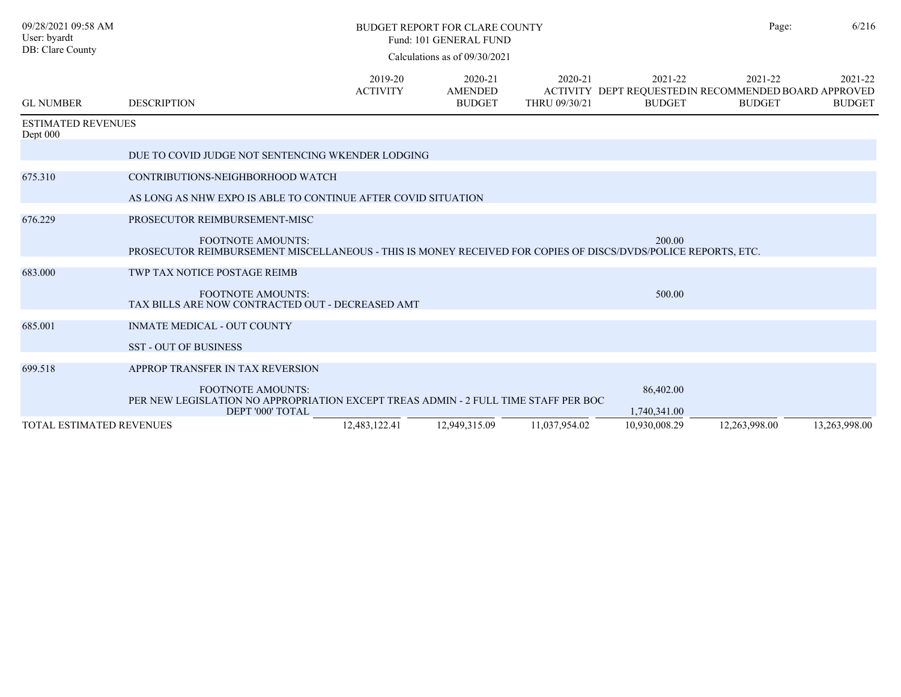| 09/28/2021 09:58 AM<br>User: byardt<br>DB: Clare County |                                                                                                                                           | Page:                      | 6/216                                      |                          |                                                                                   |                          |                          |
|---------------------------------------------------------|-------------------------------------------------------------------------------------------------------------------------------------------|----------------------------|--------------------------------------------|--------------------------|-----------------------------------------------------------------------------------|--------------------------|--------------------------|
|                                                         |                                                                                                                                           |                            |                                            |                          |                                                                                   |                          |                          |
| <b>GL NUMBER</b>                                        | <b>DESCRIPTION</b>                                                                                                                        | 2019-20<br><b>ACTIVITY</b> | 2020-21<br><b>AMENDED</b><br><b>BUDGET</b> | 2020-21<br>THRU 09/30/21 | 2021-22<br>ACTIVITY DEPT REQUESTED IN RECOMMENDED BOARD APPROVED<br><b>BUDGET</b> | 2021-22<br><b>BUDGET</b> | 2021-22<br><b>BUDGET</b> |
| <b>ESTIMATED REVENUES</b><br>Dept 000                   |                                                                                                                                           |                            |                                            |                          |                                                                                   |                          |                          |
|                                                         | DUE TO COVID JUDGE NOT SENTENCING WKENDER LODGING                                                                                         |                            |                                            |                          |                                                                                   |                          |                          |
| 675.310                                                 | CONTRIBUTIONS-NEIGHBORHOOD WATCH                                                                                                          |                            |                                            |                          |                                                                                   |                          |                          |
|                                                         | AS LONG AS NHW EXPO IS ABLE TO CONTINUE AFTER COVID SITUATION                                                                             |                            |                                            |                          |                                                                                   |                          |                          |
| 676.229                                                 | PROSECUTOR REIMBURSEMENT-MISC                                                                                                             |                            |                                            |                          |                                                                                   |                          |                          |
|                                                         | <b>FOOTNOTE AMOUNTS:</b><br>PROSECUTOR REIMBURSEMENT MISCELLANEOUS - THIS IS MONEY RECEIVED FOR COPIES OF DISCS/DVDS/POLICE REPORTS, ETC. |                            |                                            |                          | 200.00                                                                            |                          |                          |
| 683.000                                                 | TWP TAX NOTICE POSTAGE REIMB                                                                                                              |                            |                                            |                          |                                                                                   |                          |                          |
|                                                         | <b>FOOTNOTE AMOUNTS:</b><br>TAX BILLS ARE NOW CONTRACTED OUT - DECREASED AMT                                                              |                            |                                            |                          | 500.00                                                                            |                          |                          |
| 685.001                                                 | <b>INMATE MEDICAL - OUT COUNTY</b>                                                                                                        |                            |                                            |                          |                                                                                   |                          |                          |
|                                                         | <b>SST - OUT OF BUSINESS</b>                                                                                                              |                            |                                            |                          |                                                                                   |                          |                          |
| 699.518                                                 | APPROP TRANSFER IN TAX REVERSION                                                                                                          |                            |                                            |                          |                                                                                   |                          |                          |
|                                                         | <b>FOOTNOTE AMOUNTS:</b><br>PER NEW LEGISLATION NO APPROPRIATION EXCEPT TREAS ADMIN - 2 FULL TIME STAFF PER BOC<br>DEPT '000' TOTAL       |                            |                                            |                          | 86,402.00<br>1,740,341.00                                                         |                          |                          |
| <b>TOTAL ESTIMATED REVENUES</b>                         |                                                                                                                                           | 12,483,122.41              | 12,949,315.09                              | 11,037,954.02            | 10,930,008.29                                                                     | 12,263,998.00            | 13,263,998.00            |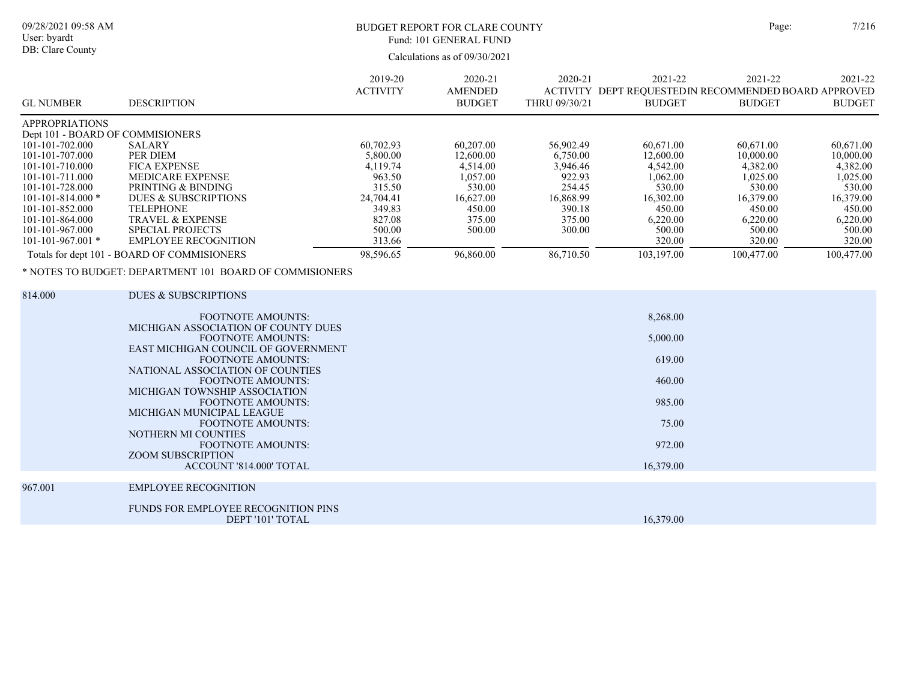| e: | 7/2 |
|----|-----|
|    |     |

09/28/2021 09:58 AM

User: byardt DB: Clare County

# BUDGET REPORT FOR CLARE COUNTY Page:  $7/216$ Fund: 101 GENERAL FUND

| <b>GL NUMBER</b>                                                                                                                                                                                                                                                        | <b>DESCRIPTION</b>                                                                                                                                                                                                                                                                                                                                                                                                                                                                                | 2019-20<br><b>ACTIVITY</b>                                                                                              | 2020-21<br><b>AMENDED</b><br><b>BUDGET</b>                                                                       | 2020-21<br>THRU 09/30/21                                                                                      | 2021-22<br>ACTIVITY DEPT REQUESTED IN RECOMMENDED BOARD APPROVED<br><b>BUDGET</b>                                             | 2021-22<br><b>BUDGET</b>                                                                                                      | 2021-22<br><b>BUDGET</b>                                                                                                      |
|-------------------------------------------------------------------------------------------------------------------------------------------------------------------------------------------------------------------------------------------------------------------------|---------------------------------------------------------------------------------------------------------------------------------------------------------------------------------------------------------------------------------------------------------------------------------------------------------------------------------------------------------------------------------------------------------------------------------------------------------------------------------------------------|-------------------------------------------------------------------------------------------------------------------------|------------------------------------------------------------------------------------------------------------------|---------------------------------------------------------------------------------------------------------------|-------------------------------------------------------------------------------------------------------------------------------|-------------------------------------------------------------------------------------------------------------------------------|-------------------------------------------------------------------------------------------------------------------------------|
| <b>APPROPRIATIONS</b><br>Dept 101 - BOARD OF COMMISIONERS<br>101-101-702.000<br>101-101-707.000<br>101-101-710.000<br>101-101-711.000<br>101-101-728.000<br>$101 - 101 - 814.000$ *<br>101-101-852.000<br>101-101-864.000<br>101-101-967.000<br>$101 - 101 - 967.001$ * | SALARY<br>PER DIEM<br><b>FICA EXPENSE</b><br>MEDICARE EXPENSE<br>PRINTING & BINDING<br><b>DUES &amp; SUBSCRIPTIONS</b><br><b>TELEPHONE</b><br>TRAVEL & EXPENSE<br><b>SPECIAL PROJECTS</b><br><b>EMPLOYEE RECOGNITION</b><br>Totals for dept 101 - BOARD OF COMMISIONERS<br>* NOTES TO BUDGET: DEPARTMENT 101 BOARD OF COMMISIONERS                                                                                                                                                                | 60,702.93<br>5,800.00<br>4,119.74<br>963.50<br>315.50<br>24,704.41<br>349.83<br>827.08<br>500.00<br>313.66<br>98,596.65 | 60,207.00<br>12,600.00<br>4,514.00<br>1,057.00<br>530.00<br>16,627.00<br>450.00<br>375.00<br>500.00<br>96,860.00 | 56,902.49<br>6,750.00<br>3,946.46<br>922.93<br>254.45<br>16,868.99<br>390.18<br>375.00<br>300.00<br>86,710.50 | 60,671.00<br>12,600.00<br>4,542.00<br>1,062.00<br>530.00<br>16,302.00<br>450.00<br>6,220.00<br>500.00<br>320.00<br>103,197.00 | 60,671.00<br>10,000.00<br>4,382.00<br>1,025.00<br>530.00<br>16,379.00<br>450.00<br>6,220.00<br>500.00<br>320.00<br>100,477.00 | 60,671.00<br>10,000.00<br>4,382.00<br>1,025.00<br>530.00<br>16,379.00<br>450.00<br>6,220.00<br>500.00<br>320.00<br>100,477.00 |
| 814.000                                                                                                                                                                                                                                                                 | <b>DUES &amp; SUBSCRIPTIONS</b><br><b>FOOTNOTE AMOUNTS:</b><br>MICHIGAN ASSOCIATION OF COUNTY DUES<br><b>FOOTNOTE AMOUNTS:</b><br>EAST MICHIGAN COUNCIL OF GOVERNMENT<br><b>FOOTNOTE AMOUNTS:</b><br>NATIONAL ASSOCIATION OF COUNTIES<br><b>FOOTNOTE AMOUNTS:</b><br>MICHIGAN TOWNSHIP ASSOCIATION<br><b>FOOTNOTE AMOUNTS:</b><br>MICHIGAN MUNICIPAL LEAGUE<br><b>FOOTNOTE AMOUNTS:</b><br>NOTHERN MI COUNTIES<br><b>FOOTNOTE AMOUNTS:</b><br><b>ZOOM SUBSCRIPTION</b><br>ACCOUNT '814.000' TOTAL |                                                                                                                         |                                                                                                                  |                                                                                                               | 8,268.00<br>5,000.00<br>619.00<br>460.00<br>985.00<br>75.00<br>972.00<br>16,379.00                                            |                                                                                                                               |                                                                                                                               |
| 967.001                                                                                                                                                                                                                                                                 | <b>EMPLOYEE RECOGNITION</b><br>FUNDS FOR EMPLOYEE RECOGNITION PINS<br>DEPT '101' TOTAL                                                                                                                                                                                                                                                                                                                                                                                                            |                                                                                                                         |                                                                                                                  |                                                                                                               | 16,379.00                                                                                                                     |                                                                                                                               |                                                                                                                               |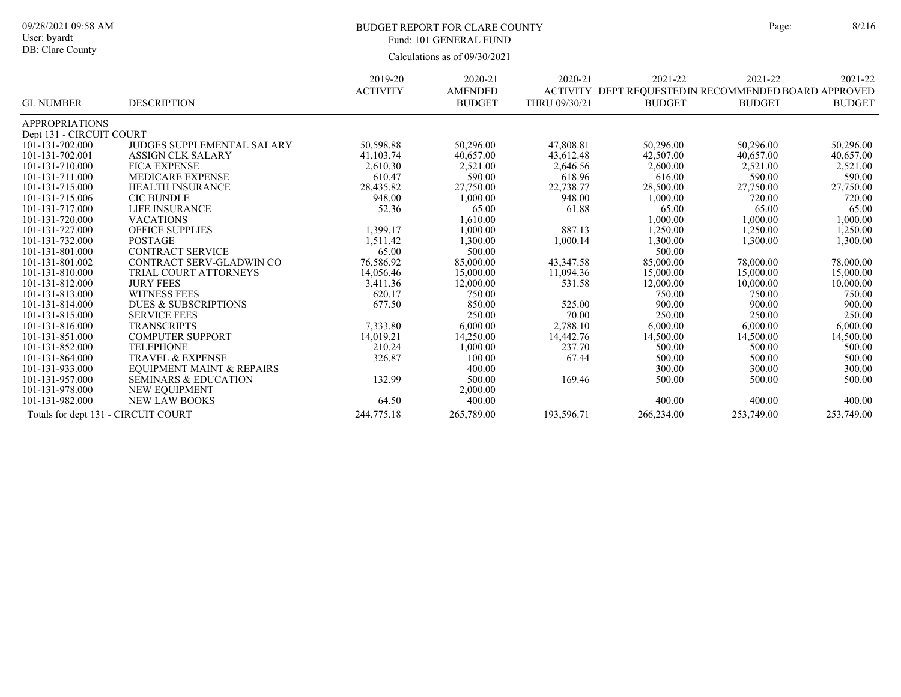# BUDGET REPORT FOR CLARE COUNTY Page: 8/216 Fund: 101 GENERAL FUND

|                                     |                                      | 2019-20         | 2020-21        | 2020-21       | 2021-22       | 2021-22                                              | 2021-22       |
|-------------------------------------|--------------------------------------|-----------------|----------------|---------------|---------------|------------------------------------------------------|---------------|
|                                     |                                      | <b>ACTIVITY</b> | <b>AMENDED</b> |               |               | ACTIVITY DEPT REOUESTEDIN RECOMMENDED BOARD APPROVED |               |
| <b>GL NUMBER</b>                    | <b>DESCRIPTION</b>                   |                 | <b>BUDGET</b>  | THRU 09/30/21 | <b>BUDGET</b> | <b>BUDGET</b>                                        | <b>BUDGET</b> |
| <b>APPROPRIATIONS</b>               |                                      |                 |                |               |               |                                                      |               |
| Dept 131 - CIRCUIT COURT            |                                      |                 |                |               |               |                                                      |               |
| 101-131-702.000                     | <b>JUDGES SUPPLEMENTAL SALARY</b>    | 50,598.88       | 50,296.00      | 47,808.81     | 50,296.00     | 50,296.00                                            | 50,296.00     |
| 101-131-702.001                     | <b>ASSIGN CLK SALARY</b>             | 41,103.74       | 40,657.00      | 43,612.48     | 42,507.00     | 40,657.00                                            | 40,657.00     |
| 101-131-710.000                     | <b>FICA EXPENSE</b>                  | 2,610.30        | 2,521.00       | 2,646.56      | 2,600.00      | 2,521.00                                             | 2,521.00      |
| 101-131-711.000                     | <b>MEDICARE EXPENSE</b>              | 610.47          | 590.00         | 618.96        | 616.00        | 590.00                                               | 590.00        |
| 101-131-715.000                     | <b>HEALTH INSURANCE</b>              | 28,435.82       | 27,750.00      | 22,738.77     | 28,500.00     | 27,750.00                                            | 27,750.00     |
| 101-131-715.006                     | <b>CIC BUNDLE</b>                    | 948.00          | 1,000.00       | 948.00        | 1,000.00      | 720.00                                               | 720.00        |
| 101-131-717.000                     | LIFE INSURANCE                       | 52.36           | 65.00          | 61.88         | 65.00         | 65.00                                                | 65.00         |
| 101-131-720.000                     | <b>VACATIONS</b>                     |                 | 1,610.00       |               | 1,000.00      | 1,000.00                                             | 1,000.00      |
| 101-131-727.000                     | <b>OFFICE SUPPLIES</b>               | 1,399.17        | 1,000.00       | 887.13        | 1,250.00      | 1,250.00                                             | 1,250.00      |
| 101-131-732.000                     | <b>POSTAGE</b>                       | 1,511.42        | 1,300.00       | 1,000.14      | 1,300.00      | 1,300.00                                             | 1,300.00      |
| 101-131-801.000                     | <b>CONTRACT SERVICE</b>              | 65.00           | 500.00         |               | 500.00        |                                                      |               |
| 101-131-801.002                     | CONTRACT SERV-GLADWIN CO             | 76,586.92       | 85,000.00      | 43,347.58     | 85,000.00     | 78,000.00                                            | 78,000.00     |
| 101-131-810.000                     | TRIAL COURT ATTORNEYS                | 14,056.46       | 15,000.00      | 11,094.36     | 15,000.00     | 15,000.00                                            | 15,000.00     |
| 101-131-812.000                     | <b>JURY FEES</b>                     | 3,411.36        | 12,000.00      | 531.58        | 12,000.00     | 10,000.00                                            | 10,000.00     |
| 101-131-813.000                     | <b>WITNESS FEES</b>                  | 620.17          | 750.00         |               | 750.00        | 750.00                                               | 750.00        |
| 101-131-814.000                     | <b>DUES &amp; SUBSCRIPTIONS</b>      | 677.50          | 850.00         | 525.00        | 900.00        | 900.00                                               | 900.00        |
| 101-131-815.000                     | <b>SERVICE FEES</b>                  |                 | 250.00         | 70.00         | 250.00        | 250.00                                               | 250.00        |
| 101-131-816.000                     | <b>TRANSCRIPTS</b>                   | 7,333.80        | 6,000.00       | 2,788.10      | 6,000.00      | 6,000.00                                             | 6,000.00      |
| 101-131-851.000                     | <b>COMPUTER SUPPORT</b>              | 14,019.21       | 14,250.00      | 14,442.76     | 14,500.00     | 14,500.00                                            | 14,500.00     |
| 101-131-852.000                     | <b>TELEPHONE</b>                     | 210.24          | 1,000.00       | 237.70        | 500.00        | 500.00                                               | 500.00        |
| 101-131-864.000                     | <b>TRAVEL &amp; EXPENSE</b>          | 326.87          | 100.00         | 67.44         | 500.00        | 500.00                                               | 500.00        |
| 101-131-933.000                     | <b>EOUIPMENT MAINT &amp; REPAIRS</b> |                 | 400.00         |               | 300.00        | 300.00                                               | 300.00        |
| 101-131-957.000                     | <b>SEMINARS &amp; EDUCATION</b>      | 132.99          | 500.00         | 169.46        | 500.00        | 500.00                                               | 500.00        |
| 101-131-978.000                     | NEW EQUIPMENT                        |                 | 2,000.00       |               |               |                                                      |               |
| 101-131-982.000                     | <b>NEW LAW BOOKS</b>                 | 64.50           | 400.00         |               | 400.00        | 400.00                                               | 400.00        |
| Totals for dept 131 - CIRCUIT COURT |                                      | 244,775.18      | 265,789.00     | 193,596.71    | 266,234.00    | 253,749.00                                           | 253,749.00    |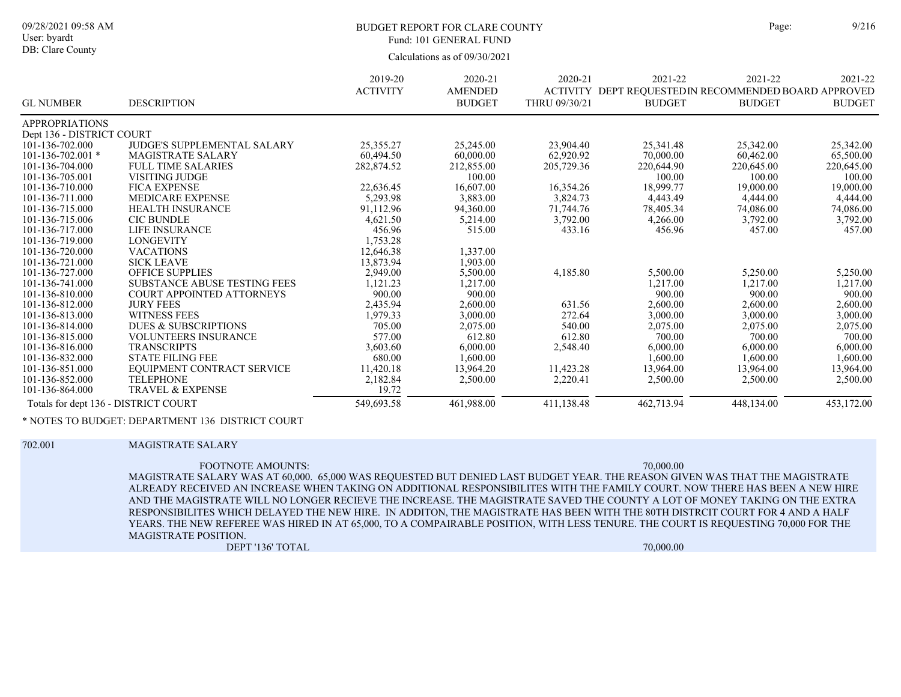### BUDGET REPORT FOR CLARE COUNTY Page: 9/216 Fund: 101 GENERAL FUND

Calculations as of 09/30/2021

|                                      |                                     | 2019-20         | 2020-21        | 2020-21       | 2021-22                                               | 2021-22       | 2021-22       |
|--------------------------------------|-------------------------------------|-----------------|----------------|---------------|-------------------------------------------------------|---------------|---------------|
|                                      |                                     | <b>ACTIVITY</b> | <b>AMENDED</b> |               | ACTIVITY DEPT REQUESTED IN RECOMMENDED BOARD APPROVED |               |               |
| <b>GL NUMBER</b>                     | <b>DESCRIPTION</b>                  |                 | <b>BUDGET</b>  | THRU 09/30/21 | <b>BUDGET</b>                                         | <b>BUDGET</b> | <b>BUDGET</b> |
| <b>APPROPRIATIONS</b>                |                                     |                 |                |               |                                                       |               |               |
| Dept 136 - DISTRICT COURT            |                                     |                 |                |               |                                                       |               |               |
| 101-136-702.000                      | JUDGE'S SUPPLEMENTAL SALARY         | 25,355.27       | 25,245.00      | 23,904.40     | 25,341.48                                             | 25,342.00     | 25,342.00     |
| $101 - 136 - 702.001$ *              | <b>MAGISTRATE SALARY</b>            | 60.494.50       | 60,000.00      | 62,920.92     | 70,000.00                                             | 60,462.00     | 65,500.00     |
| 101-136-704.000                      | <b>FULL TIME SALARIES</b>           | 282,874.52      | 212,855.00     | 205,729.36    | 220,644.90                                            | 220,645.00    | 220,645.00    |
| 101-136-705.001                      | VISITING JUDGE                      |                 | 100.00         |               | 100.00                                                | 100.00        | 100.00        |
| 101-136-710.000                      | <b>FICA EXPENSE</b>                 | 22,636.45       | 16,607.00      | 16,354.26     | 18,999.77                                             | 19,000.00     | 19,000.00     |
| 101-136-711.000                      | <b>MEDICARE EXPENSE</b>             | 5,293.98        | 3,883.00       | 3,824.73      | 4,443.49                                              | 4,444.00      | 4,444.00      |
| 101-136-715.000                      | <b>HEALTH INSURANCE</b>             | 91,112.96       | 94,360.00      | 71,744.76     | 78,405.34                                             | 74,086.00     | 74,086.00     |
| 101-136-715.006                      | <b>CIC BUNDLE</b>                   | 4,621.50        | 5,214.00       | 3,792.00      | 4,266.00                                              | 3,792.00      | 3,792.00      |
| 101-136-717.000                      | <b>LIFE INSURANCE</b>               | 456.96          | 515.00         | 433.16        | 456.96                                                | 457.00        | 457.00        |
| 101-136-719.000                      | <b>LONGEVITY</b>                    | 1,753.28        |                |               |                                                       |               |               |
| 101-136-720.000                      | <b>VACATIONS</b>                    | 12,646.38       | 1,337.00       |               |                                                       |               |               |
| 101-136-721.000                      | <b>SICK LEAVE</b>                   | 13,873.94       | 1,903.00       |               |                                                       |               |               |
| 101-136-727.000                      | <b>OFFICE SUPPLIES</b>              | 2,949.00        | 5,500.00       | 4,185.80      | 5,500.00                                              | 5,250.00      | 5,250.00      |
| 101-136-741.000                      | <b>SUBSTANCE ABUSE TESTING FEES</b> | 1,121.23        | 1,217.00       |               | 1,217.00                                              | 1,217.00      | 1,217.00      |
| 101-136-810.000                      | <b>COURT APPOINTED ATTORNEYS</b>    | 900.00          | 900.00         |               | 900.00                                                | 900.00        | 900.00        |
| 101-136-812.000                      | <b>JURY FEES</b>                    | 2,435.94        | 2,600.00       | 631.56        | 2,600.00                                              | 2,600.00      | 2,600.00      |
| 101-136-813.000                      | <b>WITNESS FEES</b>                 | 1,979.33        | 3,000.00       | 272.64        | 3,000.00                                              | 3,000.00      | 3,000.00      |
| 101-136-814.000                      | <b>DUES &amp; SUBSCRIPTIONS</b>     | 705.00          | 2,075.00       | 540.00        | 2,075.00                                              | 2,075.00      | 2,075.00      |
| 101-136-815.000                      | <b>VOLUNTEERS INSURANCE</b>         | 577.00          | 612.80         | 612.80        | 700.00                                                | 700.00        | 700.00        |
| 101-136-816.000                      | <b>TRANSCRIPTS</b>                  | 3,603.60        | 6,000.00       | 2,548.40      | 6.000.00                                              | 6,000.00      | 6,000.00      |
| 101-136-832.000                      | <b>STATE FILING FEE</b>             | 680.00          | 1,600.00       |               | 1,600.00                                              | 1,600.00      | 1,600.00      |
| 101-136-851.000                      | EQUIPMENT CONTRACT SERVICE          | 11,420.18       | 13,964.20      | 11,423.28     | 13,964.00                                             | 13,964.00     | 13,964.00     |
| 101-136-852.000                      | <b>TELEPHONE</b>                    | 2,182.84        | 2,500.00       | 2,220.41      | 2,500.00                                              | 2,500.00      | 2,500.00      |
| 101-136-864.000                      | <b>TRAVEL &amp; EXPENSE</b>         | 19.72           |                |               |                                                       |               |               |
| Totals for dept 136 - DISTRICT COURT |                                     | 549,693.58      | 461,988.00     | 411,138.48    | 462,713.94                                            | 448,134.00    | 453,172.00    |

\* NOTES TO BUDGET: DEPARTMENT 136 DISTRICT COURT

#### 702.001 MAGISTRATE SALARY

MAGISTRATE SALARY WAS AT 60,000. 65,000 WAS REQUESTED BUT DENIED LAST BUDGET YEAR. THE REASON GIVEN WAS THAT THE MAGISTRATE ALREADY RECEIVED AN INCREASE WHEN TAKING ON ADDITIONAL RESPONSIBILITES WITH THE FAMILY COURT. NOW THERE HAS BEEN A NEW HIRE AND THE MAGISTRATE WILL NO LONGER RECIEVE THE INCREASE. THE MAGISTRATE SAVED THE COUNTY A LOT OF MONEY TAKING ON THE EXTRA RESPONSIBILITES WHICH DELAYED THE NEW HIRE. IN ADDITON, THE MAGISTRATE HAS BEEN WITH THE 80TH DISTRCIT COURT FOR 4 AND A HALF YEARS. THE NEW REFEREE WAS HIRED IN AT 65,000, TO A COMPAIRABLE POSITION, WITH LESS TENURE. THE COURT IS REQUESTING 70,000 FOR THE MAGISTRATE POSITION. FOOTNOTE AMOUNTS: 70,000.00

DEPT '136' TOTAL 70,000.00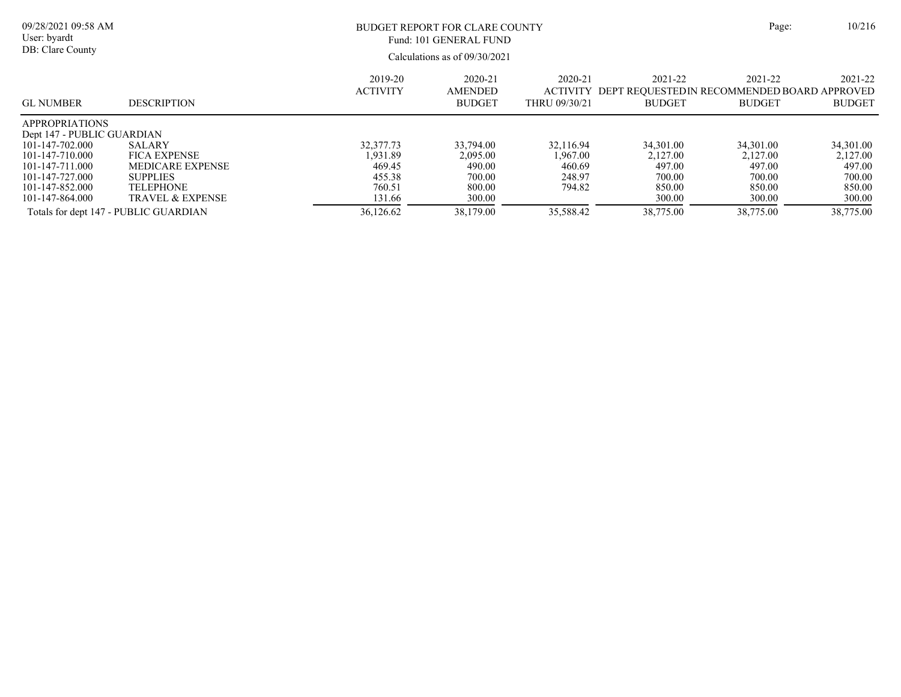| 09/28/2021 09:58 AM<br>BUDGET REPORT FOR CLARE COUNTY<br>User: byardt<br>Fund: 101 GENERAL FUND<br>DB: Clare County<br>Calculations as of 09/30/2021                                                           |                                                                                                                                |                                                                            |                                                                            | Page:                                                            | 10/216                                                                     |                                                                            |                                                                            |
|----------------------------------------------------------------------------------------------------------------------------------------------------------------------------------------------------------------|--------------------------------------------------------------------------------------------------------------------------------|----------------------------------------------------------------------------|----------------------------------------------------------------------------|------------------------------------------------------------------|----------------------------------------------------------------------------|----------------------------------------------------------------------------|----------------------------------------------------------------------------|
| <b>GL NUMBER</b>                                                                                                                                                                                               | <b>DESCRIPTION</b>                                                                                                             | 2019-20<br><b>ACTIVITY</b>                                                 | 2020-21<br><b>AMENDED</b><br><b>BUDGET</b>                                 | 2020-21<br><b>ACTIVITY</b><br>THRU 09/30/21                      | 2021-22<br><b>BUDGET</b>                                                   | 2021-22<br>DEPT REOUESTEDIN RECOMMENDED BOARD APPROVED<br><b>BUDGET</b>    | 2021-22<br><b>BUDGET</b>                                                   |
| <b>APPROPRIATIONS</b><br>Dept 147 - PUBLIC GUARDIAN<br>101-147-702.000<br>101-147-710.000<br>101-147-711.000<br>101-147-727.000<br>101-147-852.000<br>101-147-864.000<br>Totals for dept 147 - PUBLIC GUARDIAN | SALARY<br><b>FICA EXPENSE</b><br><b>MEDICARE EXPENSE</b><br><b>SUPPLIES</b><br><b>TELEPHONE</b><br><b>TRAVEL &amp; EXPENSE</b> | 32,377.73<br>1,931.89<br>469.45<br>455.38<br>760.51<br>131.66<br>36,126.62 | 33,794.00<br>2,095.00<br>490.00<br>700.00<br>800.00<br>300.00<br>38,179.00 | 32,116.94<br>1.967.00<br>460.69<br>248.97<br>794.82<br>35,588.42 | 34,301.00<br>2,127.00<br>497.00<br>700.00<br>850.00<br>300.00<br>38,775.00 | 34,301.00<br>2.127.00<br>497.00<br>700.00<br>850.00<br>300.00<br>38,775.00 | 34,301.00<br>2,127.00<br>497.00<br>700.00<br>850.00<br>300.00<br>38,775.00 |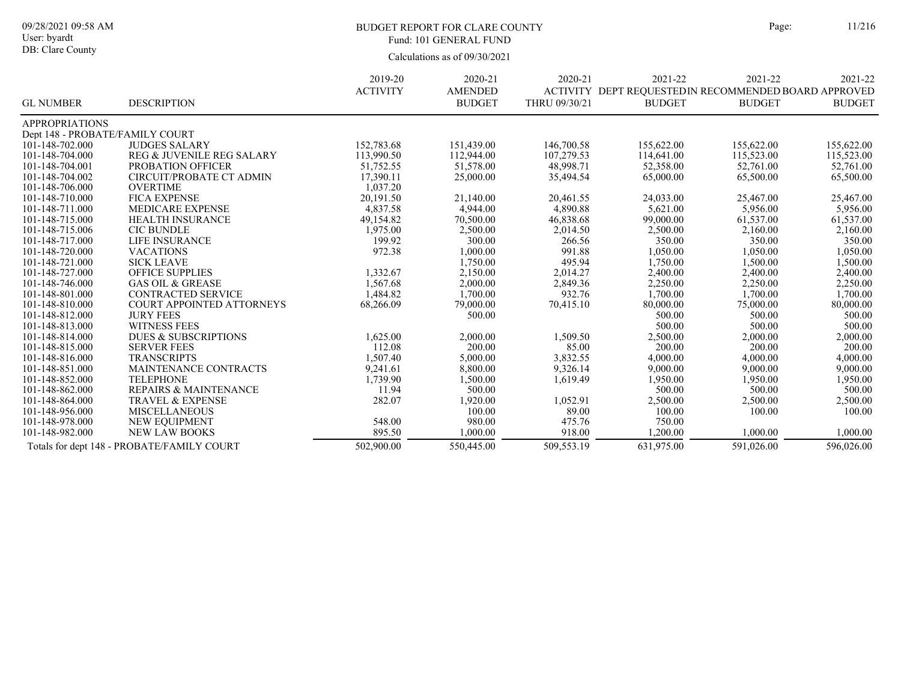# BUDGET REPORT FOR CLARE COUNTY Page: 11/216 Fund: 101 GENERAL FUND

|                                 |                                            | 2019-20         | 2020-21        | 2020-21       | 2021-22                                              | 2021-22       | 2021-22       |
|---------------------------------|--------------------------------------------|-----------------|----------------|---------------|------------------------------------------------------|---------------|---------------|
|                                 |                                            | <b>ACTIVITY</b> | <b>AMENDED</b> |               | ACTIVITY DEPT REOUESTEDIN RECOMMENDED BOARD APPROVED |               |               |
| <b>GL NUMBER</b>                | <b>DESCRIPTION</b>                         |                 | <b>BUDGET</b>  | THRU 09/30/21 | <b>BUDGET</b>                                        | <b>BUDGET</b> | <b>BUDGET</b> |
| <b>APPROPRIATIONS</b>           |                                            |                 |                |               |                                                      |               |               |
| Dept 148 - PROBATE/FAMILY COURT |                                            |                 |                |               |                                                      |               |               |
| 101-148-702.000                 | <b>JUDGES SALARY</b>                       | 152,783.68      | 151,439.00     | 146,700.58    | 155,622.00                                           | 155,622.00    | 155,622.00    |
| 101-148-704.000                 | REG & JUVENILE REG SALARY                  | 113,990.50      | 112,944.00     | 107,279.53    | 114,641.00                                           | 115,523.00    | 115,523.00    |
| 101-148-704.001                 | PROBATION OFFICER                          | 51,752.55       | 51,578.00      | 48,998.71     | 52,358.00                                            | 52,761.00     | 52,761.00     |
| 101-148-704.002                 | <b>CIRCUIT/PROBATE CT ADMIN</b>            | 17,390.11       | 25,000.00      | 35,494.54     | 65,000.00                                            | 65,500.00     | 65,500.00     |
| 101-148-706.000                 | <b>OVERTIME</b>                            | 1,037.20        |                |               |                                                      |               |               |
| 101-148-710.000                 | <b>FICA EXPENSE</b>                        | 20,191.50       | 21,140.00      | 20,461.55     | 24,033.00                                            | 25,467.00     | 25,467.00     |
| 101-148-711.000                 | <b>MEDICARE EXPENSE</b>                    | 4,837.58        | 4,944.00       | 4,890.88      | 5,621.00                                             | 5,956.00      | 5,956.00      |
| 101-148-715.000                 | <b>HEALTH INSURANCE</b>                    | 49,154.82       | 70,500.00      | 46,838.68     | 99,000.00                                            | 61,537.00     | 61,537.00     |
| 101-148-715.006                 | <b>CIC BUNDLE</b>                          | 1,975.00        | 2,500.00       | 2,014.50      | 2,500.00                                             | 2,160.00      | 2,160.00      |
| 101-148-717.000                 | <b>LIFE INSURANCE</b>                      | 199.92          | 300.00         | 266.56        | 350.00                                               | 350.00        | 350.00        |
| 101-148-720.000                 | <b>VACATIONS</b>                           | 972.38          | 1,000.00       | 991.88        | 1,050.00                                             | 1,050.00      | 1,050.00      |
| 101-148-721.000                 | <b>SICK LEAVE</b>                          |                 | 1,750.00       | 495.94        | 1,750.00                                             | 1,500.00      | 1,500.00      |
| 101-148-727.000                 | <b>OFFICE SUPPLIES</b>                     | 1,332.67        | 2,150.00       | 2,014.27      | 2,400.00                                             | 2,400.00      | 2,400.00      |
| 101-148-746.000                 | <b>GAS OIL &amp; GREASE</b>                | 1,567.68        | 2,000.00       | 2,849.36      | 2,250.00                                             | 2,250.00      | 2,250.00      |
| 101-148-801.000                 | <b>CONTRACTED SERVICE</b>                  | 1,484.82        | 1,700.00       | 932.76        | 1,700.00                                             | 1,700.00      | 1,700.00      |
| 101-148-810.000                 | COURT APPOINTED ATTORNEYS                  | 68,266.09       | 79,000.00      | 70,415.10     | 80,000.00                                            | 75,000.00     | 80,000.00     |
| 101-148-812.000                 | <b>JURY FEES</b>                           |                 | 500.00         |               | 500.00                                               | 500.00        | 500.00        |
| 101-148-813.000                 | <b>WITNESS FEES</b>                        |                 |                |               | 500.00                                               | 500.00        | 500.00        |
| 101-148-814.000                 | <b>DUES &amp; SUBSCRIPTIONS</b>            | 1,625.00        | 2,000.00       | 1,509.50      | 2,500.00                                             | 2,000.00      | 2,000.00      |
| 101-148-815.000                 | <b>SERVER FEES</b>                         | 112.08          | 200.00         | 85.00         | 200.00                                               | 200.00        | 200.00        |
| 101-148-816.000                 | <b>TRANSCRIPTS</b>                         | 1,507.40        | 5,000.00       | 3,832.55      | 4,000.00                                             | 4,000.00      | 4,000.00      |
| 101-148-851.000                 | MAINTENANCE CONTRACTS                      | 9,241.61        | 8,800.00       | 9,326.14      | 9,000.00                                             | 9,000.00      | 9,000.00      |
| 101-148-852.000                 | <b>TELEPHONE</b>                           | 1,739.90        | 1,500.00       | 1,619.49      | 1,950.00                                             | 1,950.00      | 1,950.00      |
| 101-148-862.000                 | <b>REPAIRS &amp; MAINTENANCE</b>           | 11.94           | 500.00         |               | 500.00                                               | 500.00        | 500.00        |
| 101-148-864.000                 | <b>TRAVEL &amp; EXPENSE</b>                | 282.07          | 1,920.00       | 1,052.91      | 2,500.00                                             | 2,500.00      | 2,500.00      |
| 101-148-956.000                 | <b>MISCELLANEOUS</b>                       |                 | 100.00         | 89.00         | 100.00                                               | 100.00        | 100.00        |
| 101-148-978.000                 | NEW EQUIPMENT                              | 548.00          | 980.00         | 475.76        | 750.00                                               |               |               |
| 101-148-982.000                 | <b>NEW LAW BOOKS</b>                       | 895.50          | 1,000.00       | 918.00        | 1.200.00                                             | 1,000.00      | 1,000.00      |
|                                 | Totals for dept 148 - PROBATE/FAMILY COURT | 502,900.00      | 550,445.00     | 509,553.19    | 631,975.00                                           | 591,026.00    | 596,026.00    |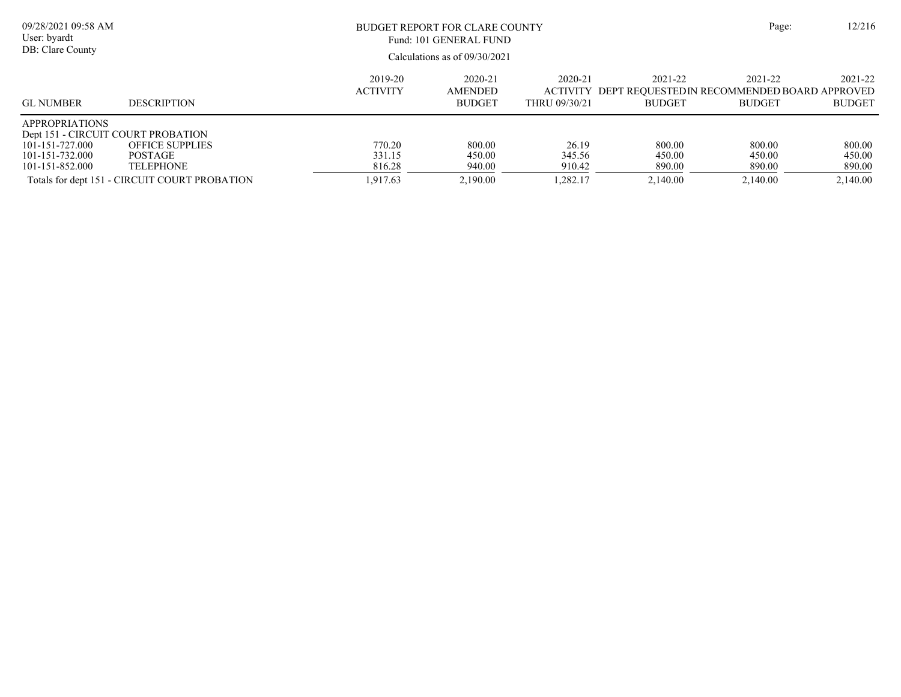| 09/28/2021 09:58 AM<br>User: byardt<br>DB: Clare County                                                              |                                                                                                               |                                        | BUDGET REPORT FOR CLARE COUNTY<br>Fund: 101 GENERAL FUND<br>Calculations as of 09/30/2021 |                                             |                                                                         |                                        | 12/216<br>Page:                        |
|----------------------------------------------------------------------------------------------------------------------|---------------------------------------------------------------------------------------------------------------|----------------------------------------|-------------------------------------------------------------------------------------------|---------------------------------------------|-------------------------------------------------------------------------|----------------------------------------|----------------------------------------|
| <b>GL NUMBER</b>                                                                                                     | <b>DESCRIPTION</b>                                                                                            | 2019-20<br><b>ACTIVITY</b>             | 2020-21<br><b>AMENDED</b><br><b>BUDGET</b>                                                | 2020-21<br><b>ACTIVITY</b><br>THRU 09/30/21 | 2021-22<br>DEPT REOUESTEDIN RECOMMENDED BOARD APPROVED<br><b>BUDGET</b> | 2021-22<br><b>BUDGET</b>               | 2021-22<br><b>BUDGET</b>               |
| <b>APPROPRIATIONS</b><br>Dept 151 - CIRCUIT COURT PROBATION<br>101-151-727.000<br>101-151-732.000<br>101-151-852.000 | <b>OFFICE SUPPLIES</b><br><b>POSTAGE</b><br><b>TELEPHONE</b><br>Totals for dept 151 - CIRCUIT COURT PROBATION | 770.20<br>331.15<br>816.28<br>1,917.63 | 800.00<br>450.00<br>940.00<br>2,190.00                                                    | 26.19<br>345.56<br>910.42<br>.282.17        | 800.00<br>450.00<br>890.00<br>2,140.00                                  | 800.00<br>450.00<br>890.00<br>2,140.00 | 800.00<br>450.00<br>890.00<br>2,140.00 |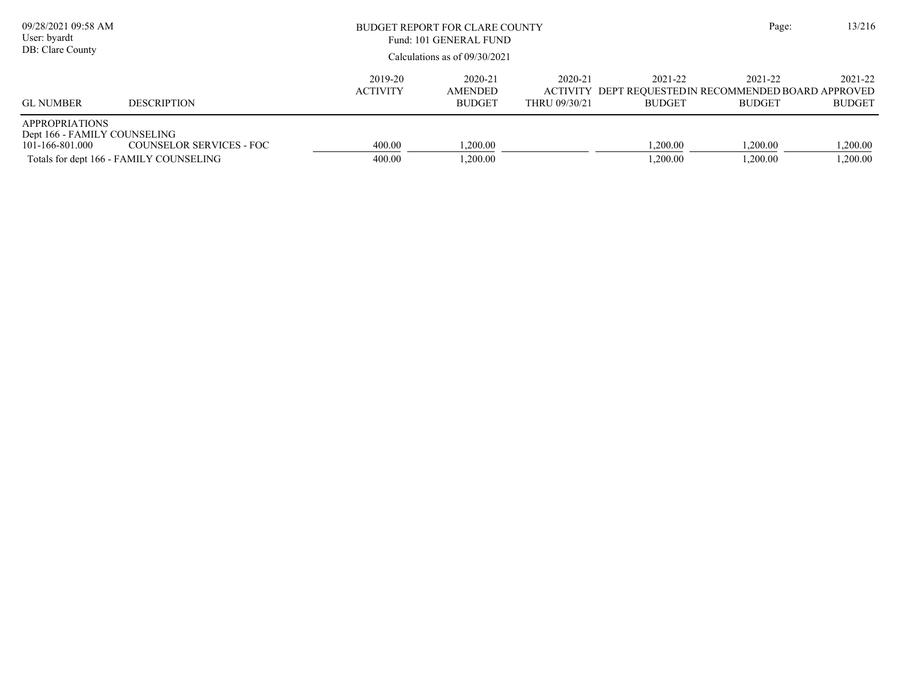| 09/28/2021 09:58 AM<br>User: byardt<br>DB: Clare County                  |                                                                     | BUDGET REPORT FOR CLARE COUNTY<br>Fund: 101 GENERAL FUND<br>Calculations as of $09/30/2021$ |                                            |                          |                          | Page:                                                                             | 13/216                   |
|--------------------------------------------------------------------------|---------------------------------------------------------------------|---------------------------------------------------------------------------------------------|--------------------------------------------|--------------------------|--------------------------|-----------------------------------------------------------------------------------|--------------------------|
| <b>GL NUMBER</b>                                                         | <b>DESCRIPTION</b>                                                  | 2019-20<br><b>ACTIVITY</b>                                                                  | 2020-21<br><b>AMENDED</b><br><b>BUDGET</b> | 2020-21<br>THRU 09/30/21 | 2021-22<br><b>BUDGET</b> | 2021-22<br>ACTIVITY DEPT REOUESTED IN RECOMMENDED BOARD APPROVED<br><b>BUDGET</b> | 2021-22<br><b>BUDGET</b> |
| <b>APPROPRIATIONS</b><br>Dept 166 - FAMILY COUNSELING<br>101-166-801.000 | COUNSELOR SERVICES - FOC<br>Totals for dept 166 - FAMILY COUNSELING | 400.00<br>400.00                                                                            | 1.200.00<br>1.200.00                       |                          | .200.00<br>.200.00       | 1.200.00<br>1.200.00                                                              | 1,200.00<br>1,200.00     |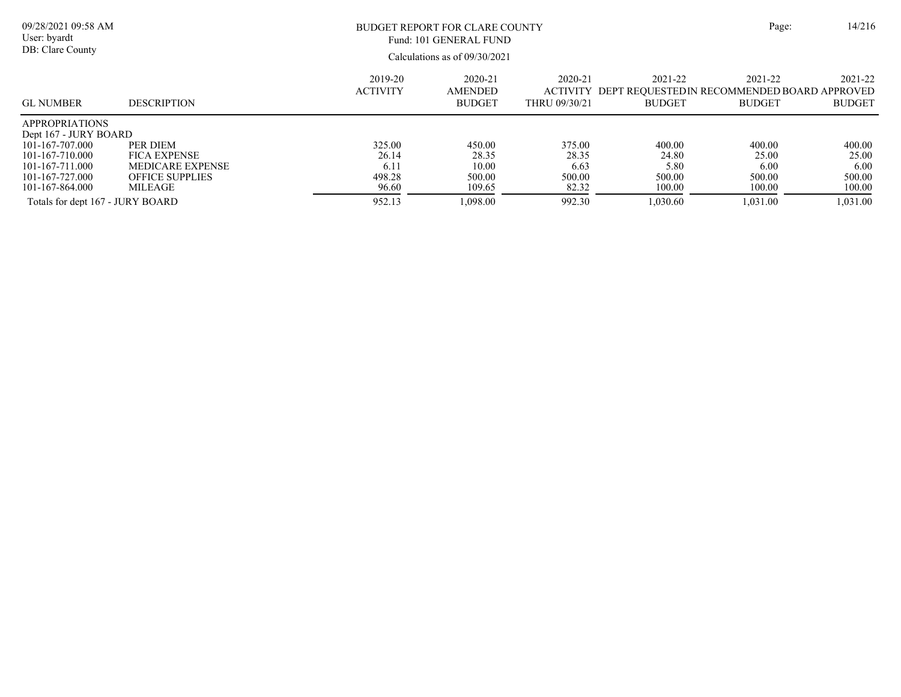| ge: | 14/210 |  |
|-----|--------|--|
|     |        |  |

Calculations as of 09/30/2021 09/28/2021 09:58 AM User: byardt DB: Clare County BUDGET REPORT FOR CLARE COUNTY Page: 14/216 2021-22 ACTIVITY DEPT REQUESTEDIN RECOMMENDED BOARD APPROVED BUDGET 2021-22 BUDGET 2021-22 BUDGET 2020-21 THRU 09/30/21 2020-21 AMENDED BUDGET 2019-20 ACTIVITY GL NUMBER DESCRIPTION Fund: 101 GENERAL FUND APPROPRIATIONS Dept 167 - JURY BOARD<br>101-167-707.000 PER DIEM 101-167-707.000 PER DIEM 325.00 450.00 375.00 400.00 400.00 400.00 101-167-710.000 FICA EXPENSE 26.14 28.35 28.35 24.80 25.00 25.00 101-167-711.000 MEDICARE EXPENSE 6.11 10.00 6.63 5.80 6.00 6.00 6.00<br>101-167-727.000 OFFICE SUPPLIES 498.28 500.00 500.00 500.00 500.00 500.00 500.00 500.00 101-167-727.000 OFFICE SUPPLIES 498.28 500.00 500.00 500.00 500.00 500.00 101-167-864.000 MILEAGE 96.60 109.65 82.32 100.00 100.00 100.00

Totals for dept 167 - JURY BOARD 952.13 952.13 1,098.00 992.30 1,030.60 1,031.00 1,031.00 1,031.00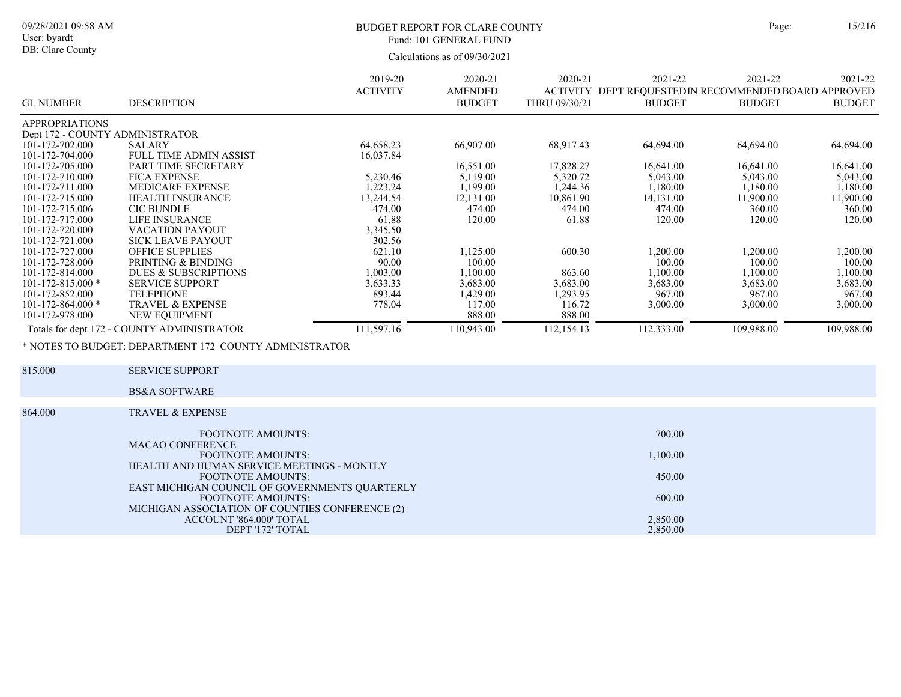# BUDGET REPORT FOR CLARE COUNTY Page: 15/216 Fund: 101 GENERAL FUND

Calculations as of 09/30/2021

| <b>GL NUMBER</b>                | <b>DESCRIPTION</b>                         | 2019-20<br><b>ACTIVITY</b> | 2020-21<br><b>AMENDED</b><br><b>BUDGET</b> | 2020-21<br><b>ACTIVITY</b><br>THRU 09/30/21 | 2021-22<br>DEPT REQUESTED IN RECOMMENDED BOARD APPROVED<br><b>BUDGET</b> | 2021-22<br><b>BUDGET</b> | 2021-22<br><b>BUDGET</b> |
|---------------------------------|--------------------------------------------|----------------------------|--------------------------------------------|---------------------------------------------|--------------------------------------------------------------------------|--------------------------|--------------------------|
| <b>APPROPRIATIONS</b>           |                                            |                            |                                            |                                             |                                                                          |                          |                          |
| Dept 172 - COUNTY ADMINISTRATOR |                                            |                            |                                            |                                             |                                                                          |                          |                          |
| 101-172-702.000                 | SALARY                                     | 64,658.23                  | 66,907.00                                  | 68,917.43                                   | 64,694.00                                                                | 64,694.00                | 64,694.00                |
| 101-172-704.000                 | <b>FULL TIME ADMIN ASSIST</b>              | 16,037.84                  |                                            |                                             |                                                                          |                          |                          |
| 101-172-705.000                 | PART TIME SECRETARY                        |                            | 16,551.00                                  | 17,828.27                                   | 16,641.00                                                                | 16,641.00                | 16,641.00                |
| 101-172-710.000                 | <b>FICA EXPENSE</b>                        | 5,230.46                   | 5,119.00                                   | 5,320.72                                    | 5,043.00                                                                 | 5,043.00                 | 5,043.00                 |
| 101-172-711.000                 | <b>MEDICARE EXPENSE</b>                    | 1,223.24                   | 1,199.00                                   | 1,244.36                                    | 1,180.00                                                                 | 1,180.00                 | 1,180.00                 |
| 101-172-715.000                 | <b>HEALTH INSURANCE</b>                    | 13,244.54                  | 12,131.00                                  | 10,861.90                                   | 14,131.00                                                                | 11,900.00                | 11,900.00                |
| 101-172-715.006                 | <b>CIC BUNDLE</b>                          | 474.00                     | 474.00                                     | 474.00                                      | 474.00                                                                   | 360.00                   | 360.00                   |
| 101-172-717.000                 | LIFE INSURANCE                             | 61.88                      | 120.00                                     | 61.88                                       | 120.00                                                                   | 120.00                   | 120.00                   |
| 101-172-720.000                 | <b>VACATION PAYOUT</b>                     | 3,345.50                   |                                            |                                             |                                                                          |                          |                          |
| 101-172-721.000                 | <b>SICK LEAVE PAYOUT</b>                   | 302.56                     |                                            |                                             |                                                                          |                          |                          |
| 101-172-727.000                 | <b>OFFICE SUPPLIES</b>                     | 621.10                     | 1,125.00                                   | 600.30                                      | 1,200.00                                                                 | 1,200.00                 | 1,200.00                 |
| 101-172-728.000                 | PRINTING & BINDING                         | 90.00                      | 100.00                                     |                                             | 100.00                                                                   | 100.00                   | 100.00                   |
| 101-172-814.000                 | <b>DUES &amp; SUBSCRIPTIONS</b>            | 1,003.00                   | 1,100.00                                   | 863.60                                      | 1,100.00                                                                 | 1,100.00                 | 1,100.00                 |
| $101 - 172 - 815.000$ *         | <b>SERVICE SUPPORT</b>                     | 3,633.33                   | 3,683.00                                   | 3,683.00                                    | 3,683.00                                                                 | 3,683.00                 | 3,683.00                 |
| 101-172-852.000                 | <b>TELEPHONE</b>                           | 893.44                     | 1,429.00                                   | 1,293.95                                    | 967.00                                                                   | 967.00                   | 967.00                   |
| $101 - 172 - 864.000*$          | <b>TRAVEL &amp; EXPENSE</b>                | 778.04                     | 117.00                                     | 116.72                                      | 3,000.00                                                                 | 3,000.00                 | 3,000.00                 |
| 101-172-978.000                 | NEW EQUIPMENT                              |                            | 888.00                                     | 888.00                                      |                                                                          |                          |                          |
|                                 | Totals for dept 172 - COUNTY ADMINISTRATOR | 111,597.16                 | 110.943.00                                 | 112,154.13                                  | 112,333.00                                                               | 109.988.00               | 109,988.00               |

\* NOTES TO BUDGET: DEPARTMENT 172 COUNTY ADMINISTRATOR

| 815.000 | <b>SERVICE SUPPORT</b>                          |          |  |
|---------|-------------------------------------------------|----------|--|
|         | <b>BS&amp;A SOFTWARE</b>                        |          |  |
|         |                                                 |          |  |
| 864.000 | <b>TRAVEL &amp; EXPENSE</b>                     |          |  |
|         | <b>FOOTNOTE AMOUNTS:</b>                        | 700.00   |  |
|         | MACAO CONFERENCE                                |          |  |
|         | <b>FOOTNOTE AMOUNTS:</b>                        | 1,100.00 |  |
|         | HEALTH AND HUMAN SERVICE MEETINGS - MONTLY      |          |  |
|         | FOOTNOTE AMOUNTS:                               | 450.00   |  |
|         | EAST MICHIGAN COUNCIL OF GOVERNMENTS QUARTERLY  |          |  |
|         | <b>FOOTNOTE AMOUNTS:</b>                        | 600.00   |  |
|         | MICHIGAN ASSOCIATION OF COUNTIES CONFERENCE (2) |          |  |
|         | ACCOUNT '864.000' TOTAL                         | 2,850.00 |  |
|         | DEPT '172' TOTAL                                | 2,850.00 |  |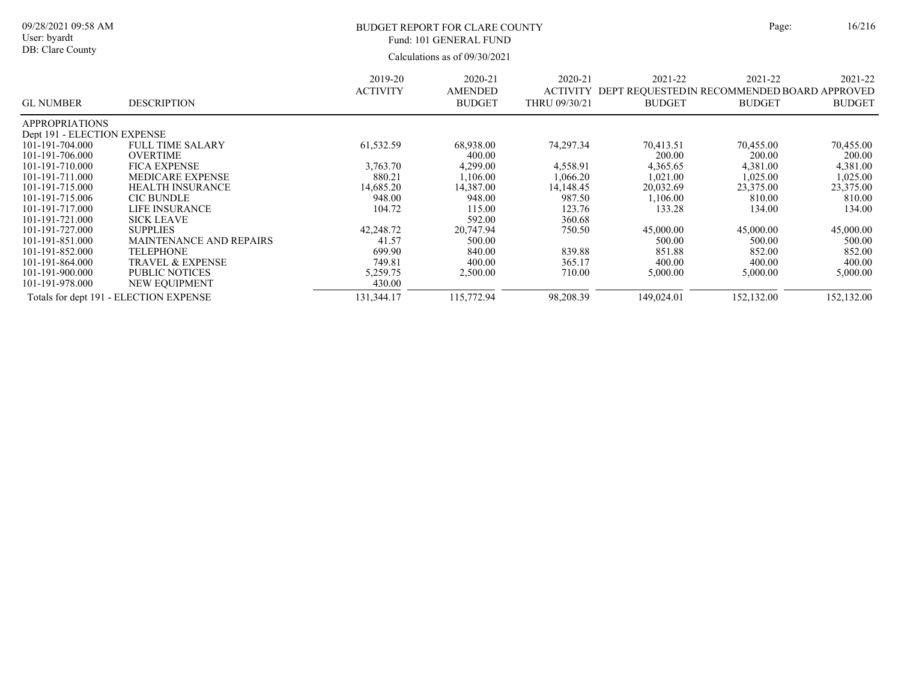| ge: | 16/21 |
|-----|-------|
|     |       |

2021-22

Calculations as of 09/30/2021 09/28/2021 09:58 AM User: byardt DB: Clare County BUDGET REPORT FOR CLARE COUNTY Page: 16/216 ACTIVITY DEPT REQUESTEDIN RECOMMENDED BOARD APPROVED 2021-22 2021-22 2020-21 2020-21 AMENDED 2019-20 ACTIVITY Fund: 101 GENERAL FUND

| <b>GL NUMBER</b>            | <b>DESCRIPTION</b>                     |            | <b>BUDGET</b> | THRU 09/30/21 | <b>BUDGET</b> | <b>BUDGET</b> | <b>BUDGET</b> |
|-----------------------------|----------------------------------------|------------|---------------|---------------|---------------|---------------|---------------|
| <b>APPROPRIATIONS</b>       |                                        |            |               |               |               |               |               |
| Dept 191 - ELECTION EXPENSE |                                        |            |               |               |               |               |               |
| 101-191-704.000             | <b>FULL TIME SALARY</b>                | 61,532.59  | 68,938.00     | 74,297.34     | 70,413.51     | 70.455.00     | 70,455.00     |
| 101-191-706.000             | <b>OVERTIME</b>                        |            | 400.00        |               | 200.00        | 200.00        | 200.00        |
| 101-191-710.000             | <b>FICA EXPENSE</b>                    | 3.763.70   | 4,299.00      | 4,558.91      | 4,365.65      | 4,381.00      | 4,381.00      |
| 101-191-711.000             | <b>MEDICARE EXPENSE</b>                | 880.21     | 1,106.00      | 1,066.20      | 1,021.00      | 1,025.00      | 1,025.00      |
| 101-191-715.000             | <b>HEALTH INSURANCE</b>                | 14,685.20  | 14,387.00     | 14,148.45     | 20,032.69     | 23,375.00     | 23,375.00     |
| 101-191-715.006             | <b>CIC BUNDLE</b>                      | 948.00     | 948.00        | 987.50        | 1,106.00      | 810.00        | 810.00        |
| 101-191-717.000             | LIFE INSURANCE                         | 104.72     | 115.00        | 123.76        | 133.28        | 134.00        | 134.00        |
| 101-191-721.000             | <b>SICK LEAVE</b>                      |            | 592.00        | 360.68        |               |               |               |
| 101-191-727.000             | <b>SUPPLIES</b>                        | 42,248.72  | 20,747.94     | 750.50        | 45,000.00     | 45,000.00     | 45,000.00     |
| 101-191-851.000             | MAINTENANCE AND REPAIRS                | 41.57      | 500.00        |               | 500.00        | 500.00        | 500.00        |
| 101-191-852.000             | <b>TELEPHONE</b>                       | 699.90     | 840.00        | 839.88        | 851.88        | 852.00        | 852.00        |
| 101-191-864.000             | TRAVEL & EXPENSE                       | 749.81     | 400.00        | 365.17        | 400.00        | 400.00        | 400.00        |
| 101-191-900.000             | <b>PUBLIC NOTICES</b>                  | 5,259.75   | 2,500.00      | 710.00        | 5,000.00      | 5,000.00      | 5,000.00      |
| 101-191-978.000             | NEW EQUIPMENT                          | 430.00     |               |               |               |               |               |
|                             | Totals for dept 191 - ELECTION EXPENSE | 131,344.17 | 115,772.94    | 98,208.39     | 149,024.01    | 152,132.00    | 152,132.00    |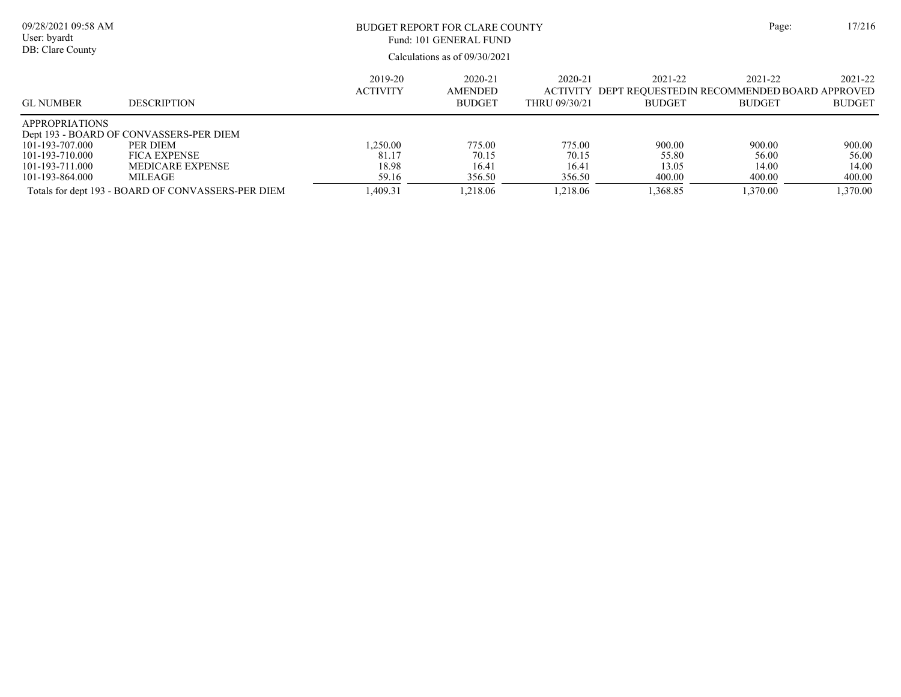| 09/28/2021 09:58 AM<br>User: byardt<br>DB: Clare County                        |                                                                                                       |                            | BUDGET REPORT FOR CLARE COUNTY<br>Fund: 101 GENERAL FUND<br>Calculations as of $09/30/2021$ |                                      |                                                                         |                          | Page:<br>17/216          |
|--------------------------------------------------------------------------------|-------------------------------------------------------------------------------------------------------|----------------------------|---------------------------------------------------------------------------------------------|--------------------------------------|-------------------------------------------------------------------------|--------------------------|--------------------------|
| <b>GL NUMBER</b>                                                               | <b>DESCRIPTION</b>                                                                                    | 2019-20<br><b>ACTIVITY</b> | 2020-21<br><b>AMENDED</b><br><b>BUDGET</b>                                                  | 2020-21<br>ACTIVITY<br>THRU 09/30/21 | 2021-22<br>DEPT REOUESTEDIN RECOMMENDED BOARD APPROVED<br><b>BUDGET</b> | 2021-22<br><b>BUDGET</b> | 2021-22<br><b>BUDGET</b> |
| <b>APPROPRIATIONS</b><br>101-193-707.000<br>101-193-710.000<br>101-193-711.000 | Dept 193 - BOARD OF CONVASSERS-PER DIEM<br>PER DIEM<br><b>FICA EXPENSE</b><br><b>MEDICARE EXPENSE</b> | 1.250.00<br>81.17<br>18.98 | 775.00<br>70.15<br>16.41                                                                    | 775.00<br>70.15<br>16.41             | 900.00<br>55.80<br>13.05                                                | 900.00<br>56.00<br>14.00 | 900.00<br>56.00<br>14.00 |
| 101-193-864.000                                                                | MILEAGE<br>Totals for dept 193 - BOARD OF CONVASSERS-PER DIEM                                         | 59.16<br>1.409.31          | 356.50<br>1.218.06                                                                          | 356.50<br>1.218.06                   | 400.00<br>1,368.85                                                      | 400.00<br>1.370.00       | 400.00<br>1,370.00       |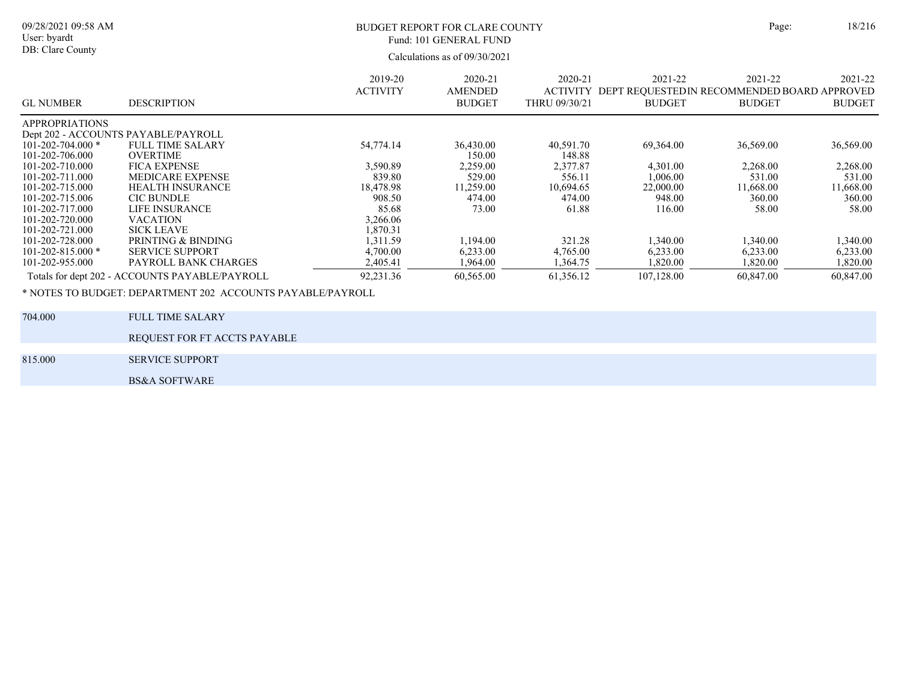| ge: | 18/216 |
|-----|--------|
|     |        |

09/28/2021 09:58 AM User: byardt DB: Clare County

### BUDGET REPORT FOR CLARE COUNTY Page: 18/216 Fund: 101 GENERAL FUND

Calculations as of 09/30/2021

| <b>GL NUMBER</b>        | <b>DESCRIPTION</b>                             | 2019-20<br><b>ACTIVITY</b> | 2020-21<br><b>AMENDED</b><br><b>BUDGET</b> | $2020 - 21$<br><b>ACTIVITY</b><br>THRU 09/30/21 | 2021-22<br>DEPT REQUESTEDIN RECOMMENDED BOARD APPROVED<br><b>BUDGET</b> | 2021-22<br><b>BUDGET</b> | 2021-22<br><b>BUDGET</b> |
|-------------------------|------------------------------------------------|----------------------------|--------------------------------------------|-------------------------------------------------|-------------------------------------------------------------------------|--------------------------|--------------------------|
| <b>APPROPRIATIONS</b>   |                                                |                            |                                            |                                                 |                                                                         |                          |                          |
|                         | Dept 202 - ACCOUNTS PAYABLE/PAYROLL            |                            |                                            |                                                 |                                                                         |                          |                          |
| $101 - 202 - 704.000*$  | <b>FULL TIME SALARY</b>                        | 54,774.14                  | 36,430.00                                  | 40,591.70                                       | 69,364.00                                                               | 36,569.00                | 36,569.00                |
| 101-202-706.000         | <b>OVERTIME</b>                                |                            | 150.00                                     | 148.88                                          |                                                                         |                          |                          |
| 101-202-710.000         | <b>FICA EXPENSE</b>                            | 3,590.89                   | 2,259.00                                   | 2,377.87                                        | 4,301.00                                                                | 2,268.00                 | 2,268.00                 |
| 101-202-711.000         | <b>MEDICARE EXPENSE</b>                        | 839.80                     | 529.00                                     | 556.11                                          | 1,006.00                                                                | 531.00                   | 531.00                   |
| 101-202-715.000         | <b>HEALTH INSURANCE</b>                        | 18,478.98                  | 11.259.00                                  | 10.694.65                                       | 22,000.00                                                               | 11.668.00                | 11.668.00                |
| 101-202-715.006         | <b>CIC BUNDLE</b>                              | 908.50                     | 474.00                                     | 474.00                                          | 948.00                                                                  | 360.00                   | 360.00                   |
| 101-202-717.000         | LIFE INSURANCE                                 | 85.68                      | 73.00                                      | 61.88                                           | 116.00                                                                  | 58.00                    | 58.00                    |
| 101-202-720.000         | <b>VACATION</b>                                | 3,266.06                   |                                            |                                                 |                                                                         |                          |                          |
| 101-202-721.000         | <b>SICK LEAVE</b>                              | 1,870.31                   |                                            |                                                 |                                                                         |                          |                          |
| 101-202-728.000         | PRINTING & BINDING                             | 1,311.59                   | 1,194.00                                   | 321.28                                          | 1,340.00                                                                | 1,340.00                 | 1,340.00                 |
| $101 - 202 - 815.000$ * | <b>SERVICE SUPPORT</b>                         | 4,700.00                   | 6,233.00                                   | 4,765.00                                        | 6,233.00                                                                | 6,233.00                 | 6,233.00                 |
| 101-202-955.000         | PAYROLL BANK CHARGES                           | 2,405.41                   | .964.00                                    | 1,364.75                                        | 1,820.00                                                                | 1,820.00                 | 1,820.00                 |
|                         | Totals for dept 202 - ACCOUNTS PAYABLE/PAYROLL | 92,231.36                  | 60,565.00                                  | 61,356.12                                       | 107,128.00                                                              | 60,847.00                | 60,847.00                |

\* NOTES TO BUDGET: DEPARTMENT 202 ACCOUNTS PAYABLE/PAYROLL

| 704.000 | FULL TIME SALARY             |
|---------|------------------------------|
|         | REQUEST FOR FT ACCTS PAYABLE |
| 815.000 | <b>SERVICE SUPPORT</b>       |
|         | <b>BS&amp;A SOFTWARE</b>     |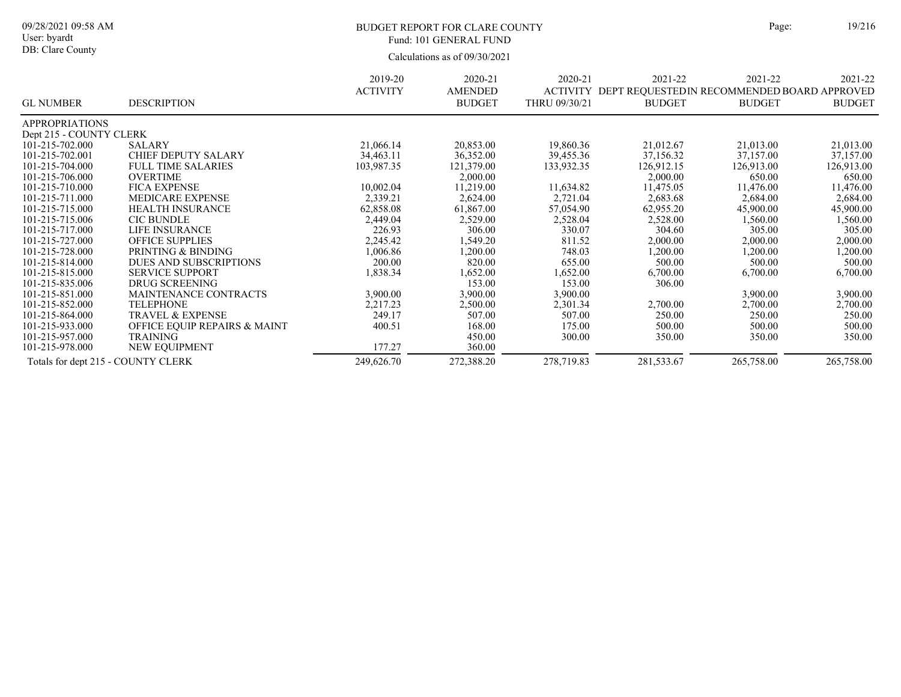09/28/2021 09:58 AM User: byardt DB: Clare County

# BUDGET REPORT FOR CLARE COUNTY Page: 19/216 Fund: 101 GENERAL FUND

|                                    |                              | 2019-20         | 2020-21        | 2020-21       | 2021-22                                               | 2021-22       | 2021-22       |
|------------------------------------|------------------------------|-----------------|----------------|---------------|-------------------------------------------------------|---------------|---------------|
|                                    |                              | <b>ACTIVITY</b> | <b>AMENDED</b> |               | ACTIVITY DEPT REQUESTED IN RECOMMENDED BOARD APPROVED |               |               |
| <b>GL NUMBER</b>                   | <b>DESCRIPTION</b>           |                 | <b>BUDGET</b>  | THRU 09/30/21 | <b>BUDGET</b>                                         | <b>BUDGET</b> | <b>BUDGET</b> |
| <b>APPROPRIATIONS</b>              |                              |                 |                |               |                                                       |               |               |
| Dept 215 - COUNTY CLERK            |                              |                 |                |               |                                                       |               |               |
| 101-215-702.000                    | SALARY                       | 21,066.14       | 20,853.00      | 19,860.36     | 21,012.67                                             | 21,013.00     | 21,013.00     |
| 101-215-702.001                    | CHIEF DEPUTY SALARY          | 34,463.11       | 36,352.00      | 39,455.36     | 37,156.32                                             | 37,157.00     | 37,157.00     |
| 101-215-704.000                    | <b>FULL TIME SALARIES</b>    | 103,987.35      | 121,379.00     | 133,932.35    | 126,912.15                                            | 126,913.00    | 126,913.00    |
| 101-215-706.000                    | <b>OVERTIME</b>              |                 | 2,000.00       |               | 2,000.00                                              | 650.00        | 650.00        |
| 101-215-710.000                    | <b>FICA EXPENSE</b>          | 10,002.04       | 11,219.00      | 11,634.82     | 11,475.05                                             | 11,476.00     | 11,476.00     |
| 101-215-711.000                    | <b>MEDICARE EXPENSE</b>      | 2,339.21        | 2,624.00       | 2,721.04      | 2,683.68                                              | 2,684.00      | 2,684.00      |
| 101-215-715.000                    | <b>HEALTH INSURANCE</b>      | 62,858.08       | 61,867.00      | 57,054.90     | 62,955.20                                             | 45,900.00     | 45,900.00     |
| 101-215-715.006                    | <b>CIC BUNDLE</b>            | 2,449.04        | 2,529.00       | 2,528.04      | 2,528.00                                              | 1,560.00      | 1,560.00      |
| 101-215-717.000                    | <b>LIFE INSURANCE</b>        | 226.93          | 306.00         | 330.07        | 304.60                                                | 305.00        | 305.00        |
| 101-215-727.000                    | <b>OFFICE SUPPLIES</b>       | 2,245.42        | 1,549.20       | 811.52        | 2,000.00                                              | 2,000.00      | 2,000.00      |
| 101-215-728.000                    | PRINTING & BINDING           | 1,006.86        | 1,200.00       | 748.03        | 1,200.00                                              | 1,200.00      | 1,200.00      |
| 101-215-814.000                    | DUES AND SUBSCRIPTIONS       | 200.00          | 820.00         | 655.00        | 500.00                                                | 500.00        | 500.00        |
| 101-215-815.000                    | <b>SERVICE SUPPORT</b>       | 1,838.34        | 1,652.00       | 1,652.00      | 6,700.00                                              | 6,700.00      | 6,700.00      |
| 101-215-835.006                    | DRUG SCREENING               |                 | 153.00         | 153.00        | 306.00                                                |               |               |
| 101-215-851.000                    | <b>MAINTENANCE CONTRACTS</b> | 3,900.00        | 3,900.00       | 3,900.00      |                                                       | 3,900.00      | 3,900.00      |
| 101-215-852.000                    | <b>TELEPHONE</b>             | 2,217.23        | 2,500.00       | 2,301.34      | 2,700.00                                              | 2,700.00      | 2,700.00      |
| 101-215-864.000                    | <b>TRAVEL &amp; EXPENSE</b>  | 249.17          | 507.00         | 507.00        | 250.00                                                | 250.00        | 250.00        |
| 101-215-933.000                    | OFFICE EQUIP REPAIRS & MAINT | 400.51          | 168.00         | 175.00        | 500.00                                                | 500.00        | 500.00        |
| 101-215-957.000                    | <b>TRAINING</b>              |                 | 450.00         | 300.00        | 350.00                                                | 350.00        | 350.00        |
| 101-215-978.000                    | NEW EQUIPMENT                | 177.27          | 360.00         |               |                                                       |               |               |
| Totals for dept 215 - COUNTY CLERK |                              | 249,626.70      | 272,388.20     | 278,719.83    | 281,533.67                                            | 265,758.00    | 265,758.00    |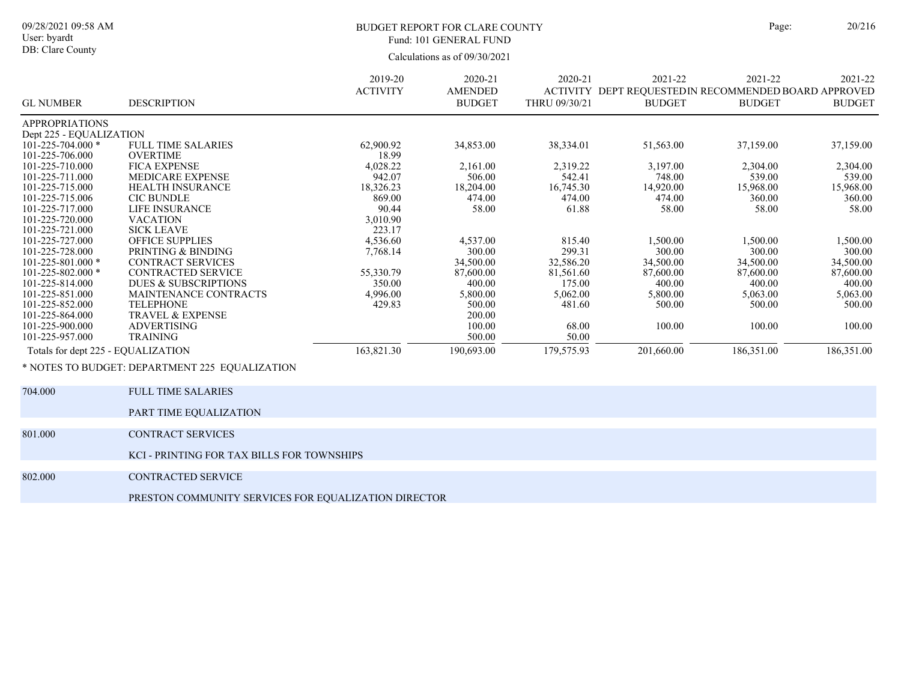### BUDGET REPORT FOR CLARE COUNTY Page: 20/216 Fund: 101 GENERAL FUND

Calculations as of 09/30/2021

|                                    |                                                | 2019-20         | 2020-21        | 2020-21       | 2021-22                                              | 2021-22       | 2021-22       |
|------------------------------------|------------------------------------------------|-----------------|----------------|---------------|------------------------------------------------------|---------------|---------------|
|                                    |                                                | <b>ACTIVITY</b> | <b>AMENDED</b> |               | ACTIVITY DEPT REOUESTEDIN RECOMMENDED BOARD APPROVED |               |               |
| <b>GL NUMBER</b>                   | <b>DESCRIPTION</b>                             |                 | <b>BUDGET</b>  | THRU 09/30/21 | <b>BUDGET</b>                                        | <b>BUDGET</b> | <b>BUDGET</b> |
| <b>APPROPRIATIONS</b>              |                                                |                 |                |               |                                                      |               |               |
| Dept 225 - EQUALIZATION            |                                                |                 |                |               |                                                      |               |               |
| $101 - 225 - 704.000*$             | <b>FULL TIME SALARIES</b>                      | 62,900.92       | 34,853.00      | 38,334.01     | 51,563.00                                            | 37,159.00     | 37,159.00     |
| 101-225-706.000                    | <b>OVERTIME</b>                                | 18.99           |                |               |                                                      |               |               |
| 101-225-710.000                    | <b>FICA EXPENSE</b>                            | 4,028.22        | 2,161.00       | 2,319.22      | 3,197.00                                             | 2,304.00      | 2,304.00      |
| 101-225-711.000                    | <b>MEDICARE EXPENSE</b>                        | 942.07          | 506.00         | 542.41        | 748.00                                               | 539.00        | 539.00        |
| 101-225-715.000                    | <b>HEALTH INSURANCE</b>                        | 18,326.23       | 18,204.00      | 16,745.30     | 14,920.00                                            | 15,968.00     | 15,968.00     |
| 101-225-715.006                    | <b>CIC BUNDLE</b>                              | 869.00          | 474.00         | 474.00        | 474.00                                               | 360.00        | 360.00        |
| 101-225-717.000                    | LIFE INSURANCE                                 | 90.44           | 58.00          | 61.88         | 58.00                                                | 58.00         | 58.00         |
| 101-225-720.000                    | <b>VACATION</b>                                | 3,010.90        |                |               |                                                      |               |               |
| 101-225-721.000                    | <b>SICK LEAVE</b>                              | 223.17          |                |               |                                                      |               |               |
| 101-225-727.000                    | <b>OFFICE SUPPLIES</b>                         | 4,536.60        | 4,537.00       | 815.40        | 1,500.00                                             | 1,500.00      | 1,500.00      |
| 101-225-728.000                    | PRINTING & BINDING                             | 7,768.14        | 300.00         | 299.31        | 300.00                                               | 300.00        | 300.00        |
| $101 - 225 - 801.000$ *            | <b>CONTRACT SERVICES</b>                       |                 | 34,500.00      | 32,586.20     | 34,500.00                                            | 34,500.00     | 34,500.00     |
| $101 - 225 - 802.000*$             | <b>CONTRACTED SERVICE</b>                      | 55,330.79       | 87,600.00      | 81,561.60     | 87,600.00                                            | 87,600.00     | 87,600.00     |
| 101-225-814.000                    | <b>DUES &amp; SUBSCRIPTIONS</b>                | 350.00          | 400.00         | 175.00        | 400.00                                               | 400.00        | 400.00        |
| 101-225-851.000                    | <b>MAINTENANCE CONTRACTS</b>                   | 4,996.00        | 5,800.00       | 5,062.00      | 5,800.00                                             | 5,063.00      | 5,063.00      |
| 101-225-852.000                    | <b>TELEPHONE</b>                               | 429.83          | 500.00         | 481.60        | 500.00                                               | 500.00        | 500.00        |
| 101-225-864.000                    | <b>TRAVEL &amp; EXPENSE</b>                    |                 | 200.00         |               |                                                      |               |               |
| 101-225-900.000                    | <b>ADVERTISING</b>                             |                 | 100.00         | 68.00         | 100.00                                               | 100.00        | 100.00        |
| 101-225-957.000                    | <b>TRAINING</b>                                |                 | 500.00         | 50.00         |                                                      |               |               |
| Totals for dept 225 - EQUALIZATION |                                                | 163,821.30      | 190,693.00     | 179,575.93    | 201,660.00                                           | 186,351.00    | 186,351.00    |
|                                    | * NOTES TO BUDGET: DEPARTMENT 225 EQUALIZATION |                 |                |               |                                                      |               |               |
| 704.000                            | <b>FULL TIME SALARIES</b>                      |                 |                |               |                                                      |               |               |
|                                    | PART TIME EQUALIZATION                         |                 |                |               |                                                      |               |               |

801.000 CONTRACT SERVICES

KCI - PRINTING FOR TAX BILLS FOR TOWNSHIPS

802.000 CONTRACTED SERVICE

PRESTON COMMUNITY SERVICES FOR EQUALIZATION DIRECTOR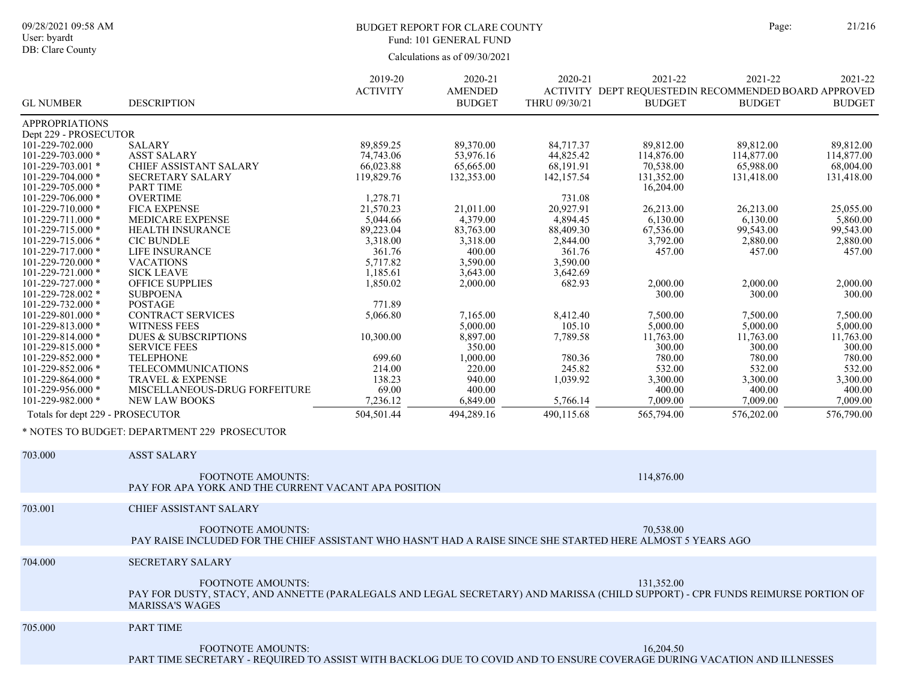# BUDGET REPORT FOR CLARE COUNTY Page: 21/216 Fund: 101 GENERAL FUND

|                                        |                                                                                                                                                     | 2019-20                | 2020-21                         | 2020-21                | 2021-22                 | 2021-22                                                               | 2021-22                 |
|----------------------------------------|-----------------------------------------------------------------------------------------------------------------------------------------------------|------------------------|---------------------------------|------------------------|-------------------------|-----------------------------------------------------------------------|-------------------------|
| <b>GL NUMBER</b>                       | <b>DESCRIPTION</b>                                                                                                                                  | <b>ACTIVITY</b>        | <b>AMENDED</b><br><b>BUDGET</b> | THRU 09/30/21          | <b>BUDGET</b>           | ACTIVITY DEPT REQUESTEDIN RECOMMENDED BOARD APPROVED<br><b>BUDGET</b> | <b>BUDGET</b>           |
|                                        |                                                                                                                                                     |                        |                                 |                        |                         |                                                                       |                         |
| <b>APPROPRIATIONS</b>                  |                                                                                                                                                     |                        |                                 |                        |                         |                                                                       |                         |
| Dept 229 - PROSECUTOR                  |                                                                                                                                                     |                        |                                 |                        |                         |                                                                       |                         |
| 101-229-702.000                        | <b>SALARY</b>                                                                                                                                       | 89,859.25              | 89,370.00                       | 84,717.37              | 89,812.00               | 89,812.00                                                             | 89,812.00               |
| 101-229-703.000 *<br>101-229-703.001 * | <b>ASST SALARY</b><br>CHIEF ASSISTANT SALARY                                                                                                        | 74,743.06<br>66,023.88 | 53,976.16<br>65,665.00          | 44,825.42<br>68,191.91 | 114,876.00<br>70,538.00 | 114,877.00<br>65,988.00                                               | 114,877.00<br>68,004.00 |
| 101-229-704.000 *                      | <b>SECRETARY SALARY</b>                                                                                                                             | 119,829.76             | 132,353.00                      | 142,157.54             | 131,352.00              | 131,418.00                                                            | 131,418.00              |
| 101-229-705.000 *                      | <b>PART TIME</b>                                                                                                                                    |                        |                                 |                        | 16,204.00               |                                                                       |                         |
| 101-229-706.000 *                      | <b>OVERTIME</b>                                                                                                                                     | 1,278.71               |                                 | 731.08                 |                         |                                                                       |                         |
| 101-229-710.000 *                      | <b>FICA EXPENSE</b>                                                                                                                                 | 21,570.23              | 21,011.00                       | 20,927.91              | 26,213.00               | 26,213.00                                                             | 25,055.00               |
| $101 - 229 - 711.000$ *                | <b>MEDICARE EXPENSE</b>                                                                                                                             | 5,044.66               | 4,379.00                        | 4,894.45               | 6,130.00                | 6,130.00                                                              | 5,860.00                |
| 101-229-715.000 *                      | <b>HEALTH INSURANCE</b>                                                                                                                             | 89,223.04              | 83,763.00                       | 88,409.30              | 67,536.00               | 99,543.00                                                             | 99,543.00               |
| 101-229-715.006 *                      | <b>CIC BUNDLE</b>                                                                                                                                   | 3,318.00               | 3,318.00                        | 2,844.00               | 3,792.00                | 2,880.00                                                              | 2,880.00                |
| 101-229-717.000 *                      | LIFE INSURANCE                                                                                                                                      | 361.76                 | 400.00                          | 361.76                 | 457.00                  | 457.00                                                                | 457.00                  |
| 101-229-720.000 *                      | <b>VACATIONS</b>                                                                                                                                    | 5,717.82               | 3,590.00                        | 3,590.00               |                         |                                                                       |                         |
| 101-229-721.000 *                      | <b>SICK LEAVE</b>                                                                                                                                   | 1,185.61               | 3,643.00                        | 3,642.69               |                         |                                                                       |                         |
| 101-229-727.000 *                      | OFFICE SUPPLIES                                                                                                                                     | 1,850.02               | 2,000.00                        | 682.93                 | 2,000.00                | 2,000.00                                                              | 2,000.00                |
| 101-229-728.002 *<br>101-229-732.000 * | <b>SUBPOENA</b><br><b>POSTAGE</b>                                                                                                                   | 771.89                 |                                 |                        | 300.00                  | 300.00                                                                | 300.00                  |
| $101 - 229 - 801.000$ *                | CONTRACT SERVICES                                                                                                                                   | 5,066.80               | 7,165.00                        | 8,412.40               | 7,500.00                | 7,500.00                                                              | 7,500.00                |
| 101-229-813.000 *                      | <b>WITNESS FEES</b>                                                                                                                                 |                        | 5,000.00                        | 105.10                 | 5,000.00                | 5,000.00                                                              | 5,000.00                |
| 101-229-814.000 *                      | <b>DUES &amp; SUBSCRIPTIONS</b>                                                                                                                     | 10,300.00              | 8,897.00                        | 7,789.58               | 11,763.00               | 11,763.00                                                             | 11,763.00               |
| 101-229-815.000 *                      | <b>SERVICE FEES</b>                                                                                                                                 |                        | 350.00                          |                        | 300.00                  | 300.00                                                                | 300.00                  |
| 101-229-852.000 *                      | <b>TELEPHONE</b>                                                                                                                                    | 699.60                 | 1,000.00                        | 780.36                 | 780.00                  | 780.00                                                                | 780.00                  |
| 101-229-852.006 *                      | TELECOMMUNICATIONS                                                                                                                                  | 214.00                 | 220.00                          | 245.82                 | 532.00                  | 532.00                                                                | 532.00                  |
| 101-229-864.000 *                      | TRAVEL & EXPENSE                                                                                                                                    | 138.23                 | 940.00                          | 1,039.92               | 3,300.00                | 3,300.00                                                              | 3,300.00                |
| 101-229-956.000 *                      | MISCELLANEOUS-DRUG FORFEITURE                                                                                                                       | 69.00                  | 400.00                          |                        | 400.00                  | 400.00                                                                | 400.00                  |
| 101-229-982.000 *                      | <b>NEW LAW BOOKS</b>                                                                                                                                | 7,236.12               | 6,849.00                        | 5,766.14               | 7,009.00                | 7,009.00                                                              | 7,009.00                |
| Totals for dept 229 - PROSECUTOR       |                                                                                                                                                     | 504,501.44             | 494,289.16                      | 490,115.68             | 565,794.00              | 576,202.00                                                            | 576,790.00              |
|                                        | * NOTES TO BUDGET: DEPARTMENT 229 PROSECUTOR                                                                                                        |                        |                                 |                        |                         |                                                                       |                         |
|                                        |                                                                                                                                                     |                        |                                 |                        |                         |                                                                       |                         |
| 703.000                                | <b>ASST SALARY</b>                                                                                                                                  |                        |                                 |                        |                         |                                                                       |                         |
|                                        | <b>FOOTNOTE AMOUNTS:</b>                                                                                                                            |                        |                                 |                        | 114,876.00              |                                                                       |                         |
|                                        | PAY FOR APA YORK AND THE CURRENT VACANT APA POSITION                                                                                                |                        |                                 |                        |                         |                                                                       |                         |
|                                        |                                                                                                                                                     |                        |                                 |                        |                         |                                                                       |                         |
| 703.001                                | CHIEF ASSISTANT SALARY                                                                                                                              |                        |                                 |                        |                         |                                                                       |                         |
|                                        | <b>FOOTNOTE AMOUNTS:</b>                                                                                                                            |                        |                                 |                        | 70.538.00               |                                                                       |                         |
|                                        | PAY RAISE INCLUDED FOR THE CHIEF ASSISTANT WHO HASN'T HAD A RAISE SINCE SHE STARTED HERE ALMOST 5 YEARS AGO                                         |                        |                                 |                        |                         |                                                                       |                         |
| 704.000                                | <b>SECRETARY SALARY</b>                                                                                                                             |                        |                                 |                        |                         |                                                                       |                         |
|                                        |                                                                                                                                                     |                        |                                 |                        |                         |                                                                       |                         |
|                                        | FOOTNOTE AMOUNTS:<br>PAY FOR DUSTY, STACY, AND ANNETTE (PARALEGALS AND LEGAL SECRETARY) AND MARISSA (CHILD SUPPORT) - CPR FUNDS REIMURSE PORTION OF |                        |                                 |                        | 131,352.00              |                                                                       |                         |
|                                        | <b>MARISSA'S WAGES</b>                                                                                                                              |                        |                                 |                        |                         |                                                                       |                         |
|                                        |                                                                                                                                                     |                        |                                 |                        |                         |                                                                       |                         |
| 705.000                                | PART TIME                                                                                                                                           |                        |                                 |                        |                         |                                                                       |                         |
|                                        |                                                                                                                                                     |                        |                                 |                        |                         |                                                                       |                         |
|                                        | <b>FOOTNOTE AMOUNTS:</b>                                                                                                                            |                        |                                 |                        | 16,204.50               |                                                                       |                         |
|                                        | PART TIME SECRETARY - REQUIRED TO ASSIST WITH BACKLOG DUE TO COVID AND TO ENSURE COVERAGE DURING VACATION AND ILLNESSES                             |                        |                                 |                        |                         |                                                                       |                         |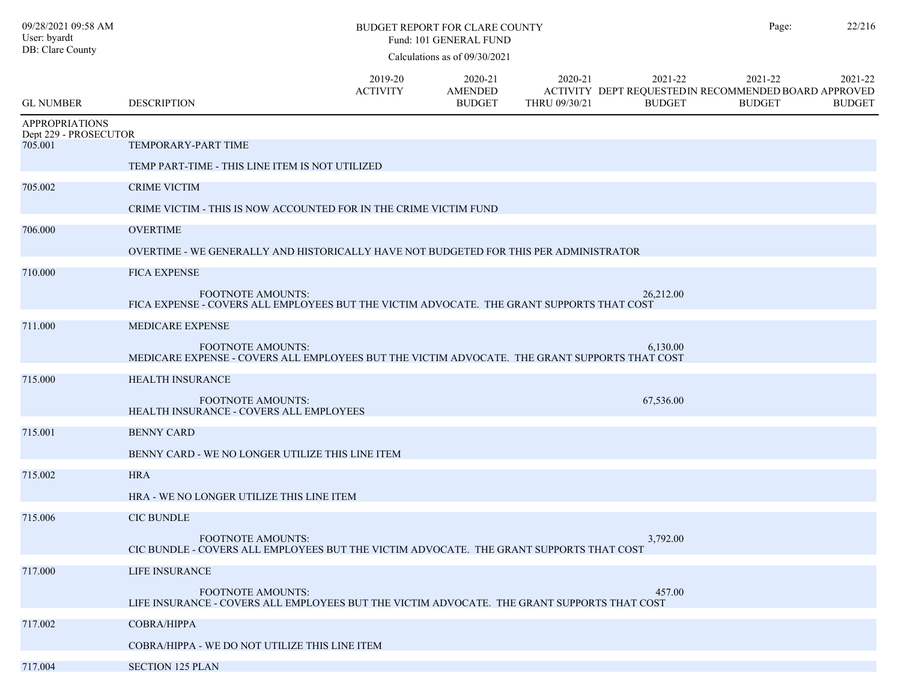| 09/28/2021 09:58 AM<br>User: byardt<br>DB: Clare County |                                                                                                                         | Page:                      | 22/216                                     |                          |                          |                                                                                   |                          |
|---------------------------------------------------------|-------------------------------------------------------------------------------------------------------------------------|----------------------------|--------------------------------------------|--------------------------|--------------------------|-----------------------------------------------------------------------------------|--------------------------|
| <b>GL NUMBER</b>                                        | <b>DESCRIPTION</b>                                                                                                      | 2019-20<br><b>ACTIVITY</b> | 2020-21<br><b>AMENDED</b><br><b>BUDGET</b> | 2020-21<br>THRU 09/30/21 | 2021-22<br><b>BUDGET</b> | 2021-22<br>ACTIVITY DEPT REQUESTED IN RECOMMENDED BOARD APPROVED<br><b>BUDGET</b> | 2021-22<br><b>BUDGET</b> |
| <b>APPROPRIATIONS</b><br>Dept 229 - PROSECUTOR          |                                                                                                                         |                            |                                            |                          |                          |                                                                                   |                          |
| 705.001                                                 | TEMPORARY-PART TIME                                                                                                     |                            |                                            |                          |                          |                                                                                   |                          |
|                                                         | TEMP PART-TIME - THIS LINE ITEM IS NOT UTILIZED                                                                         |                            |                                            |                          |                          |                                                                                   |                          |
| 705.002                                                 | <b>CRIME VICTIM</b>                                                                                                     |                            |                                            |                          |                          |                                                                                   |                          |
|                                                         | CRIME VICTIM - THIS IS NOW ACCOUNTED FOR IN THE CRIME VICTIM FUND                                                       |                            |                                            |                          |                          |                                                                                   |                          |
| 706.000                                                 | <b>OVERTIME</b>                                                                                                         |                            |                                            |                          |                          |                                                                                   |                          |
|                                                         | OVERTIME - WE GENERALLY AND HISTORICALLY HAVE NOT BUDGETED FOR THIS PER ADMINISTRATOR                                   |                            |                                            |                          |                          |                                                                                   |                          |
| 710.000                                                 | <b>FICA EXPENSE</b>                                                                                                     |                            |                                            |                          |                          |                                                                                   |                          |
|                                                         | FOOTNOTE AMOUNTS:<br>FICA EXPENSE - COVERS ALL EMPLOYEES BUT THE VICTIM ADVOCATE. THE GRANT SUPPORTS THAT COST          |                            |                                            |                          | 26,212.00                |                                                                                   |                          |
| 711.000                                                 | MEDICARE EXPENSE                                                                                                        |                            |                                            |                          |                          |                                                                                   |                          |
|                                                         | FOOTNOTE AMOUNTS:<br>MEDICARE EXPENSE - COVERS ALL EMPLOYEES BUT THE VICTIM ADVOCATE. THE GRANT SUPPORTS THAT COST      |                            |                                            |                          | 6,130.00                 |                                                                                   |                          |
| 715.000                                                 | <b>HEALTH INSURANCE</b>                                                                                                 |                            |                                            |                          |                          |                                                                                   |                          |
|                                                         | <b>FOOTNOTE AMOUNTS:</b><br>HEALTH INSURANCE - COVERS ALL EMPLOYEES                                                     |                            |                                            |                          | 67,536.00                |                                                                                   |                          |
| 715.001                                                 | <b>BENNY CARD</b>                                                                                                       |                            |                                            |                          |                          |                                                                                   |                          |
|                                                         | BENNY CARD - WE NO LONGER UTILIZE THIS LINE ITEM                                                                        |                            |                                            |                          |                          |                                                                                   |                          |
| 715.002                                                 | <b>HRA</b>                                                                                                              |                            |                                            |                          |                          |                                                                                   |                          |
|                                                         | HRA - WE NO LONGER UTILIZE THIS LINE ITEM                                                                               |                            |                                            |                          |                          |                                                                                   |                          |
| 715.006                                                 | <b>CIC BUNDLE</b>                                                                                                       |                            |                                            |                          |                          |                                                                                   |                          |
|                                                         | FOOTNOTE AMOUNTS:<br>CIC BUNDLE - COVERS ALL EMPLOYEES BUT THE VICTIM ADVOCATE. THE GRANT SUPPORTS THAT COST            |                            |                                            |                          | 3,792.00                 |                                                                                   |                          |
| 717.000                                                 | LIFE INSURANCE                                                                                                          |                            |                                            |                          |                          |                                                                                   |                          |
|                                                         | <b>FOOTNOTE AMOUNTS:</b><br>LIFE INSURANCE - COVERS ALL EMPLOYEES BUT THE VICTIM ADVOCATE. THE GRANT SUPPORTS THAT COST |                            |                                            |                          | 457.00                   |                                                                                   |                          |
| 717.002                                                 | <b>COBRA/HIPPA</b>                                                                                                      |                            |                                            |                          |                          |                                                                                   |                          |
|                                                         | COBRA/HIPPA - WE DO NOT UTILIZE THIS LINE ITEM                                                                          |                            |                                            |                          |                          |                                                                                   |                          |
| 717.004                                                 | <b>SECTION 125 PLAN</b>                                                                                                 |                            |                                            |                          |                          |                                                                                   |                          |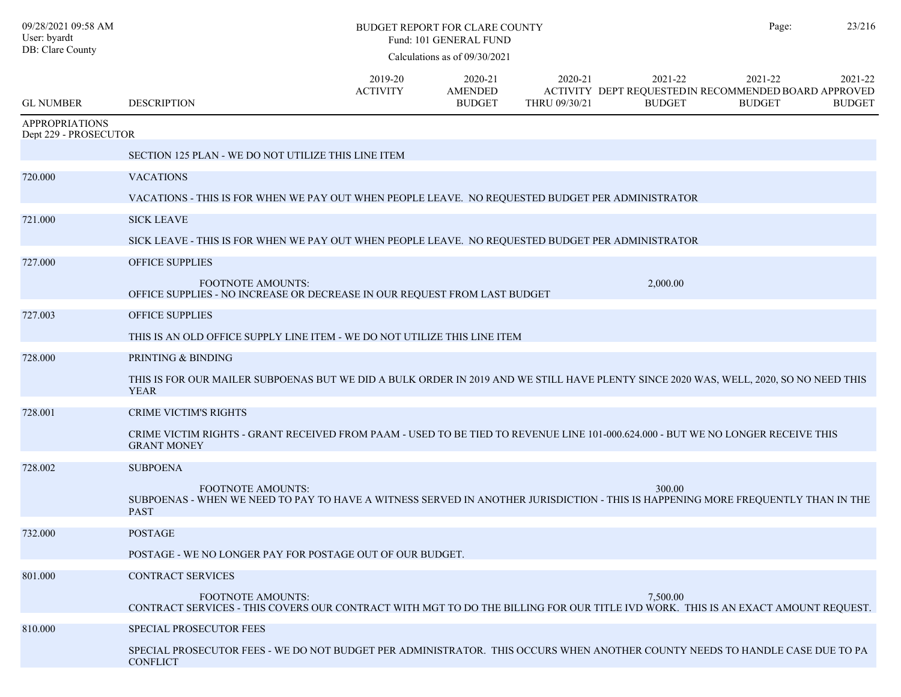| 09/28/2021 09:58 AM<br>User: byardt<br>DB: Clare County |                                                                                                                                                                             |                            | <b>BUDGET REPORT FOR CLARE COUNTY</b><br>Fund: 101 GENERAL FUND<br>Calculations as of 09/30/2021 |                          |                                                                                  | Page:                    | 23/216                   |
|---------------------------------------------------------|-----------------------------------------------------------------------------------------------------------------------------------------------------------------------------|----------------------------|--------------------------------------------------------------------------------------------------|--------------------------|----------------------------------------------------------------------------------|--------------------------|--------------------------|
| <b>GL NUMBER</b>                                        | <b>DESCRIPTION</b>                                                                                                                                                          | 2019-20<br><b>ACTIVITY</b> | 2020-21<br><b>AMENDED</b><br><b>BUDGET</b>                                                       | 2020-21<br>THRU 09/30/21 | 2021-22<br>ACTIVITY DEPT REQUESTEDIN RECOMMENDED BOARD APPROVED<br><b>BUDGET</b> | 2021-22<br><b>BUDGET</b> | 2021-22<br><b>BUDGET</b> |
| <b>APPROPRIATIONS</b><br>Dept 229 - PROSECUTOR          |                                                                                                                                                                             |                            |                                                                                                  |                          |                                                                                  |                          |                          |
|                                                         | SECTION 125 PLAN - WE DO NOT UTILIZE THIS LINE ITEM                                                                                                                         |                            |                                                                                                  |                          |                                                                                  |                          |                          |
| 720.000                                                 | <b>VACATIONS</b>                                                                                                                                                            |                            |                                                                                                  |                          |                                                                                  |                          |                          |
|                                                         | VACATIONS - THIS IS FOR WHEN WE PAY OUT WHEN PEOPLE LEAVE. NO REQUESTED BUDGET PER ADMINISTRATOR                                                                            |                            |                                                                                                  |                          |                                                                                  |                          |                          |
| 721.000                                                 | <b>SICK LEAVE</b>                                                                                                                                                           |                            |                                                                                                  |                          |                                                                                  |                          |                          |
|                                                         | SICK LEAVE - THIS IS FOR WHEN WE PAY OUT WHEN PEOPLE LEAVE. NO REQUESTED BUDGET PER ADMINISTRATOR                                                                           |                            |                                                                                                  |                          |                                                                                  |                          |                          |
| 727.000                                                 | <b>OFFICE SUPPLIES</b>                                                                                                                                                      |                            |                                                                                                  |                          |                                                                                  |                          |                          |
|                                                         | <b>FOOTNOTE AMOUNTS:</b><br>OFFICE SUPPLIES - NO INCREASE OR DECREASE IN OUR REQUEST FROM LAST BUDGET                                                                       |                            |                                                                                                  |                          | 2,000.00                                                                         |                          |                          |
| 727.003                                                 | <b>OFFICE SUPPLIES</b>                                                                                                                                                      |                            |                                                                                                  |                          |                                                                                  |                          |                          |
|                                                         | THIS IS AN OLD OFFICE SUPPLY LINE ITEM - WE DO NOT UTILIZE THIS LINE ITEM                                                                                                   |                            |                                                                                                  |                          |                                                                                  |                          |                          |
| 728.000                                                 | PRINTING & BINDING                                                                                                                                                          |                            |                                                                                                  |                          |                                                                                  |                          |                          |
|                                                         | THIS IS FOR OUR MAILER SUBPOENAS BUT WE DID A BULK ORDER IN 2019 AND WE STILL HAVE PLENTY SINCE 2020 WAS, WELL, 2020, SO NO NEED THIS<br><b>YEAR</b>                        |                            |                                                                                                  |                          |                                                                                  |                          |                          |
| 728.001                                                 | <b>CRIME VICTIM'S RIGHTS</b>                                                                                                                                                |                            |                                                                                                  |                          |                                                                                  |                          |                          |
|                                                         | CRIME VICTIM RIGHTS - GRANT RECEIVED FROM PAAM - USED TO BE TIED TO REVENUE LINE 101-000.624.000 - BUT WE NO LONGER RECEIVE THIS<br><b>GRANT MONEY</b>                      |                            |                                                                                                  |                          |                                                                                  |                          |                          |
| 728.002                                                 | <b>SUBPOENA</b>                                                                                                                                                             |                            |                                                                                                  |                          |                                                                                  |                          |                          |
|                                                         | <b>FOOTNOTE AMOUNTS:</b><br>SUBPOENAS - WHEN WE NEED TO PAY TO HAVE A WITNESS SERVED IN ANOTHER JURISDICTION - THIS IS HAPPENING MORE FREQUENTLY THAN IN THE<br><b>PAST</b> |                            |                                                                                                  |                          | 300.00                                                                           |                          |                          |
| 732.000                                                 | <b>POSTAGE</b>                                                                                                                                                              |                            |                                                                                                  |                          |                                                                                  |                          |                          |
|                                                         | POSTAGE - WE NO LONGER PAY FOR POSTAGE OUT OF OUR BUDGET.                                                                                                                   |                            |                                                                                                  |                          |                                                                                  |                          |                          |
| 801.000                                                 | <b>CONTRACT SERVICES</b>                                                                                                                                                    |                            |                                                                                                  |                          |                                                                                  |                          |                          |
|                                                         | <b>FOOTNOTE AMOUNTS:</b><br>CONTRACT SERVICES - THIS COVERS OUR CONTRACT WITH MGT TO DO THE BILLING FOR OUR TITLE IVD WORK. THIS IS AN EXACT AMOUNT REQUEST.                |                            |                                                                                                  |                          | 7,500.00                                                                         |                          |                          |
| 810.000                                                 | <b>SPECIAL PROSECUTOR FEES</b>                                                                                                                                              |                            |                                                                                                  |                          |                                                                                  |                          |                          |
|                                                         | SPECIAL PROSECUTOR FEES - WE DO NOT BUDGET PER ADMINISTRATOR. THIS OCCURS WHEN ANOTHER COUNTY NEEDS TO HANDLE CASE DUE TO PA<br><b>CONFLICT</b>                             |                            |                                                                                                  |                          |                                                                                  |                          |                          |
|                                                         |                                                                                                                                                                             |                            |                                                                                                  |                          |                                                                                  |                          |                          |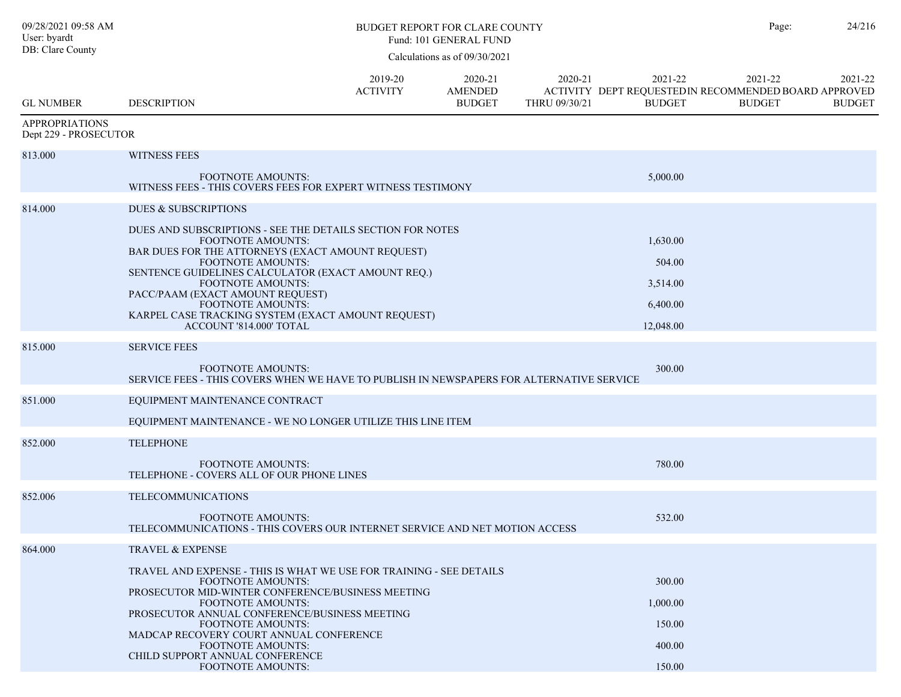| 09/28/2021 09:58 AM<br>User: byardt<br>DB: Clare County | <b>BUDGET REPORT FOR CLARE COUNTY</b><br>Fund: 101 GENERAL FUND<br>Calculations as of 09/30/2021                                                                                                                                                                                                                                                                                                    |                            |                                            |                          |                                                         | Page:                                                                             | 24/216                   |
|---------------------------------------------------------|-----------------------------------------------------------------------------------------------------------------------------------------------------------------------------------------------------------------------------------------------------------------------------------------------------------------------------------------------------------------------------------------------------|----------------------------|--------------------------------------------|--------------------------|---------------------------------------------------------|-----------------------------------------------------------------------------------|--------------------------|
| <b>GL NUMBER</b>                                        | <b>DESCRIPTION</b>                                                                                                                                                                                                                                                                                                                                                                                  | 2019-20<br><b>ACTIVITY</b> | 2020-21<br><b>AMENDED</b><br><b>BUDGET</b> | 2020-21<br>THRU 09/30/21 | 2021-22<br><b>BUDGET</b>                                | 2021-22<br>ACTIVITY DEPT REQUESTED IN RECOMMENDED BOARD APPROVED<br><b>BUDGET</b> | 2021-22<br><b>BUDGET</b> |
| <b>APPROPRIATIONS</b><br>Dept 229 - PROSECUTOR          |                                                                                                                                                                                                                                                                                                                                                                                                     |                            |                                            |                          |                                                         |                                                                                   |                          |
| 813.000                                                 | <b>WITNESS FEES</b>                                                                                                                                                                                                                                                                                                                                                                                 |                            |                                            |                          |                                                         |                                                                                   |                          |
|                                                         | <b>FOOTNOTE AMOUNTS:</b><br>WITNESS FEES - THIS COVERS FEES FOR EXPERT WITNESS TESTIMONY                                                                                                                                                                                                                                                                                                            |                            |                                            |                          | 5,000.00                                                |                                                                                   |                          |
| 814.000                                                 | DUES & SUBSCRIPTIONS                                                                                                                                                                                                                                                                                                                                                                                |                            |                                            |                          |                                                         |                                                                                   |                          |
|                                                         | DUES AND SUBSCRIPTIONS - SEE THE DETAILS SECTION FOR NOTES<br><b>FOOTNOTE AMOUNTS:</b><br>BAR DUES FOR THE ATTORNEYS (EXACT AMOUNT REQUEST)<br><b>FOOTNOTE AMOUNTS:</b><br>SENTENCE GUIDELINES CALCULATOR (EXACT AMOUNT REQ.)<br>FOOTNOTE AMOUNTS:<br>PACC/PAAM (EXACT AMOUNT REQUEST)<br><b>FOOTNOTE AMOUNTS:</b><br>KARPEL CASE TRACKING SYSTEM (EXACT AMOUNT REQUEST)<br>ACCOUNT '814.000' TOTAL |                            |                                            |                          | 1,630.00<br>504.00<br>3,514.00<br>6,400.00<br>12,048.00 |                                                                                   |                          |
| 815.000                                                 | <b>SERVICE FEES</b>                                                                                                                                                                                                                                                                                                                                                                                 |                            |                                            |                          |                                                         |                                                                                   |                          |
|                                                         | <b>FOOTNOTE AMOUNTS:</b><br>SERVICE FEES - THIS COVERS WHEN WE HAVE TO PUBLISH IN NEWSPAPERS FOR ALTERNATIVE SERVICE                                                                                                                                                                                                                                                                                |                            |                                            |                          | 300.00                                                  |                                                                                   |                          |
| 851.000                                                 | EQUIPMENT MAINTENANCE CONTRACT                                                                                                                                                                                                                                                                                                                                                                      |                            |                                            |                          |                                                         |                                                                                   |                          |
|                                                         | EQUIPMENT MAINTENANCE - WE NO LONGER UTILIZE THIS LINE ITEM                                                                                                                                                                                                                                                                                                                                         |                            |                                            |                          |                                                         |                                                                                   |                          |
| 852.000                                                 | <b>TELEPHONE</b>                                                                                                                                                                                                                                                                                                                                                                                    |                            |                                            |                          |                                                         |                                                                                   |                          |
|                                                         | <b>FOOTNOTE AMOUNTS:</b><br>TELEPHONE - COVERS ALL OF OUR PHONE LINES                                                                                                                                                                                                                                                                                                                               |                            |                                            |                          | 780.00                                                  |                                                                                   |                          |
| 852.006                                                 | <b>TELECOMMUNICATIONS</b>                                                                                                                                                                                                                                                                                                                                                                           |                            |                                            |                          |                                                         |                                                                                   |                          |
|                                                         | <b>FOOTNOTE AMOUNTS:</b><br>TELECOMMUNICATIONS - THIS COVERS OUR INTERNET SERVICE AND NET MOTION ACCESS                                                                                                                                                                                                                                                                                             |                            |                                            |                          | 532.00                                                  |                                                                                   |                          |
| 864.000                                                 | <b>TRAVEL &amp; EXPENSE</b>                                                                                                                                                                                                                                                                                                                                                                         |                            |                                            |                          |                                                         |                                                                                   |                          |
|                                                         | TRAVEL AND EXPENSE - THIS IS WHAT WE USE FOR TRAINING - SEE DETAILS<br><b>FOOTNOTE AMOUNTS:</b><br>PROSECUTOR MID-WINTER CONFERENCE/BUSINESS MEETING<br><b>FOOTNOTE AMOUNTS:</b><br>PROSECUTOR ANNUAL CONFERENCE/BUSINESS MEETING<br><b>FOOTNOTE AMOUNTS:</b><br>MADCAP RECOVERY COURT ANNUAL CONFERENCE<br><b>FOOTNOTE AMOUNTS:</b><br>CHILD SUPPORT ANNUAL CONFERENCE<br>FOOTNOTE AMOUNTS:        |                            |                                            |                          | 300.00<br>1,000.00<br>150.00<br>400.00<br>150.00        |                                                                                   |                          |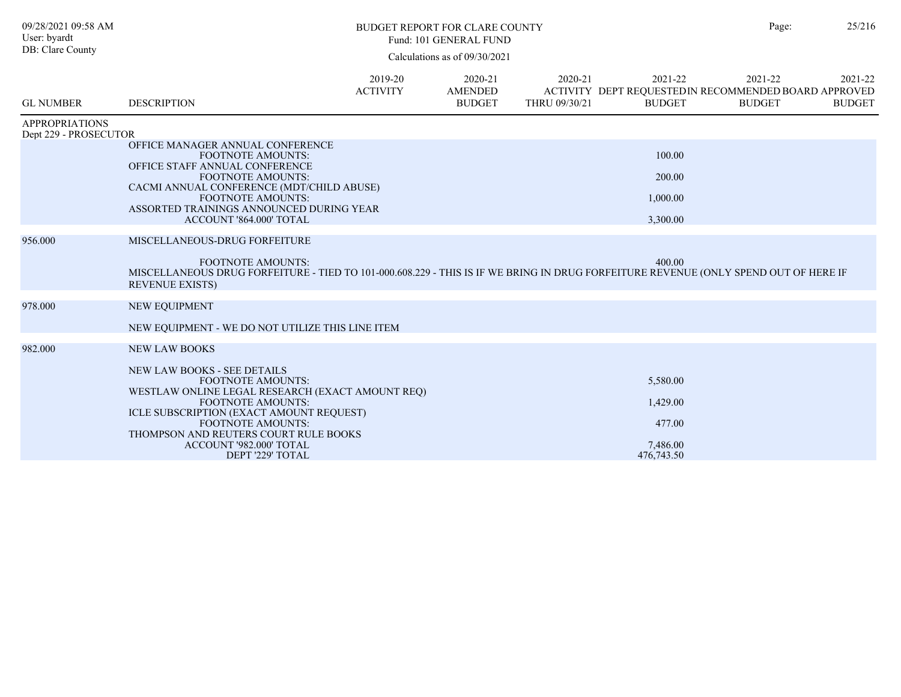| 09/28/2021 09:58 AM<br>User: byardt<br>DB: Clare County |                                                                                                                                                                                                                                                                                                                                        |                            | <b>BUDGET REPORT FOR CLARE COUNTY</b><br>Fund: 101 GENERAL FUND |                          |                                                                                   | Page:                    | 25/216                   |
|---------------------------------------------------------|----------------------------------------------------------------------------------------------------------------------------------------------------------------------------------------------------------------------------------------------------------------------------------------------------------------------------------------|----------------------------|-----------------------------------------------------------------|--------------------------|-----------------------------------------------------------------------------------|--------------------------|--------------------------|
|                                                         |                                                                                                                                                                                                                                                                                                                                        |                            | Calculations as of 09/30/2021                                   |                          |                                                                                   |                          |                          |
| <b>GL NUMBER</b>                                        | <b>DESCRIPTION</b>                                                                                                                                                                                                                                                                                                                     | 2019-20<br><b>ACTIVITY</b> | 2020-21<br><b>AMENDED</b><br><b>BUDGET</b>                      | 2020-21<br>THRU 09/30/21 | 2021-22<br>ACTIVITY DEPT REQUESTED IN RECOMMENDED BOARD APPROVED<br><b>BUDGET</b> | 2021-22<br><b>BUDGET</b> | 2021-22<br><b>BUDGET</b> |
| <b>APPROPRIATIONS</b>                                   |                                                                                                                                                                                                                                                                                                                                        |                            |                                                                 |                          |                                                                                   |                          |                          |
| Dept 229 - PROSECUTOR                                   | OFFICE MANAGER ANNUAL CONFERENCE<br><b>FOOTNOTE AMOUNTS:</b><br>OFFICE STAFF ANNUAL CONFERENCE<br><b>FOOTNOTE AMOUNTS:</b><br>CACMI ANNUAL CONFERENCE (MDT/CHILD ABUSE)<br><b>FOOTNOTE AMOUNTS:</b><br>ASSORTED TRAININGS ANNOUNCED DURING YEAR<br>ACCOUNT '864.000' TOTAL                                                             |                            |                                                                 |                          | 100.00<br>200.00<br>1,000.00<br>3,300.00                                          |                          |                          |
| 956.000                                                 | MISCELLANEOUS-DRUG FORFEITURE<br><b>FOOTNOTE AMOUNTS:</b><br>MISCELLANEOUS DRUG FORFEITURE - TIED TO 101-000.608.229 - THIS IS IF WE BRING IN DRUG FORFEITURE REVENUE (ONLY SPEND OUT OF HERE IF<br><b>REVENUE EXISTS)</b>                                                                                                             |                            |                                                                 |                          | 400.00                                                                            |                          |                          |
| 978.000                                                 | NEW EQUIPMENT<br>NEW EQUIPMENT - WE DO NOT UTILIZE THIS LINE ITEM                                                                                                                                                                                                                                                                      |                            |                                                                 |                          |                                                                                   |                          |                          |
| 982.000                                                 | <b>NEW LAW BOOKS</b><br><b>NEW LAW BOOKS - SEE DETAILS</b><br><b>FOOTNOTE AMOUNTS:</b><br>WESTLAW ONLINE LEGAL RESEARCH (EXACT AMOUNT REQ)<br><b>FOOTNOTE AMOUNTS:</b><br>ICLE SUBSCRIPTION (EXACT AMOUNT REQUEST)<br><b>FOOTNOTE AMOUNTS:</b><br>THOMPSON AND REUTERS COURT RULE BOOKS<br>ACCOUNT '982.000' TOTAL<br>DEPT '229' TOTAL |                            |                                                                 |                          | 5,580.00<br>1,429.00<br>477.00<br>7,486.00<br>476,743.50                          |                          |                          |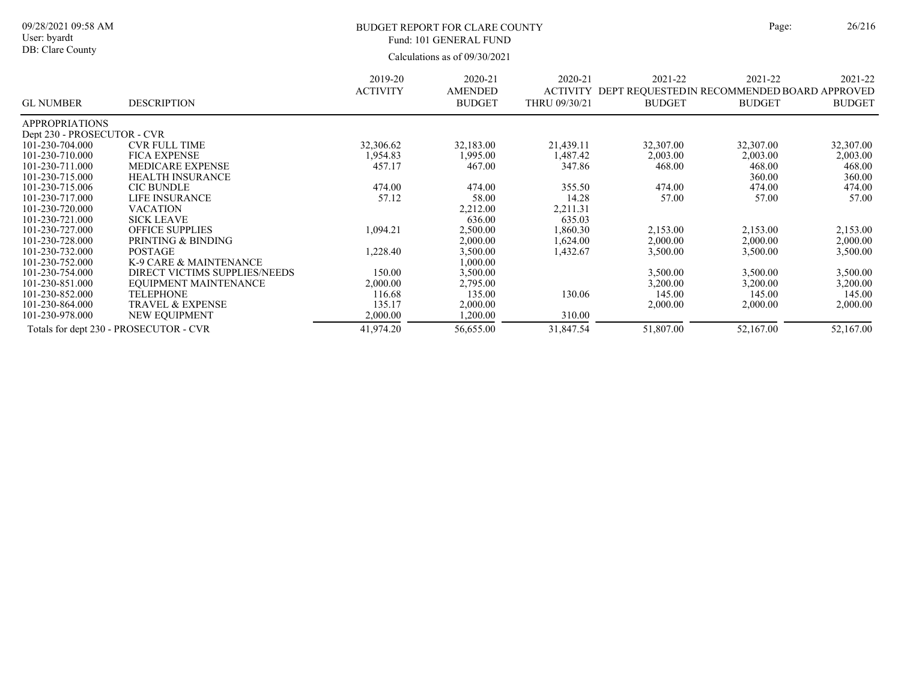### BUDGET REPORT FOR CLARE COUNTY Page: 26/216 Fund: 101 GENERAL FUND

|                             |                                        | 2019-20         | 2020-21        | 2020-21         | 2021-22       | 2021-22                                      | 2021-22       |
|-----------------------------|----------------------------------------|-----------------|----------------|-----------------|---------------|----------------------------------------------|---------------|
|                             |                                        | <b>ACTIVITY</b> | <b>AMENDED</b> | <b>ACTIVITY</b> |               | DEPT REQUESTED IN RECOMMENDED BOARD APPROVED |               |
| <b>GL NUMBER</b>            | <b>DESCRIPTION</b>                     |                 | <b>BUDGET</b>  | THRU 09/30/21   | <b>BUDGET</b> | <b>BUDGET</b>                                | <b>BUDGET</b> |
| <b>APPROPRIATIONS</b>       |                                        |                 |                |                 |               |                                              |               |
| Dept 230 - PROSECUTOR - CVR |                                        |                 |                |                 |               |                                              |               |
| 101-230-704.000             | <b>CVR FULL TIME</b>                   | 32,306.62       | 32,183.00      | 21,439.11       | 32,307.00     | 32,307.00                                    | 32,307.00     |
| 101-230-710.000             | <b>FICA EXPENSE</b>                    | 1,954.83        | .995.00        | 1,487.42        | 2,003.00      | 2,003.00                                     | 2,003.00      |
| 101-230-711.000             | <b>MEDICARE EXPENSE</b>                | 457.17          | 467.00         | 347.86          | 468.00        | 468.00                                       | 468.00        |
| 101-230-715.000             | <b>HEALTH INSURANCE</b>                |                 |                |                 |               | 360.00                                       | 360.00        |
| 101-230-715.006             | <b>CIC BUNDLE</b>                      | 474.00          | 474.00         | 355.50          | 474.00        | 474.00                                       | 474.00        |
| 101-230-717.000             | LIFE INSURANCE                         | 57.12           | 58.00          | 14.28           | 57.00         | 57.00                                        | 57.00         |
| 101-230-720.000             | <b>VACATION</b>                        |                 | 2,212.00       | 2,211.31        |               |                                              |               |
| 101-230-721.000             | <b>SICK LEAVE</b>                      |                 | 636.00         | 635.03          |               |                                              |               |
| 101-230-727.000             | <b>OFFICE SUPPLIES</b>                 | 1,094.21        | 2,500.00       | 1,860.30        | 2,153.00      | 2,153.00                                     | 2,153.00      |
| 101-230-728.000             | PRINTING & BINDING                     |                 | 2,000.00       | 1,624.00        | 2,000.00      | 2,000.00                                     | 2,000.00      |
| 101-230-732.000             | <b>POSTAGE</b>                         | 1,228.40        | 3,500.00       | 1,432.67        | 3,500.00      | 3,500.00                                     | 3,500.00      |
| 101-230-752.000             | K-9 CARE & MAINTENANCE                 |                 | 0.000.00       |                 |               |                                              |               |
| 101-230-754.000             | DIRECT VICTIMS SUPPLIES/NEEDS          | 150.00          | 3,500.00       |                 | 3,500.00      | 3,500.00                                     | 3,500.00      |
| 101-230-851.000             | EOUIPMENT MAINTENANCE                  | 2,000.00        | 2,795.00       |                 | 3,200.00      | 3,200.00                                     | 3,200.00      |
| 101-230-852.000             | <b>TELEPHONE</b>                       | 116.68          | 135.00         | 130.06          | 145.00        | 145.00                                       | 145.00        |
| 101-230-864.000             | <b>TRAVEL &amp; EXPENSE</b>            | 135.17          | 2,000.00       |                 | 2,000.00      | 2,000.00                                     | 2,000.00      |
| 101-230-978.000             | NEW EQUIPMENT                          | 2,000.00        | 1,200.00       | 310.00          |               |                                              |               |
|                             | Totals for dept 230 - PROSECUTOR - CVR | 41,974.20       | 56,655.00      | 31,847.54       | 51,807.00     | 52,167.00                                    | 52,167.00     |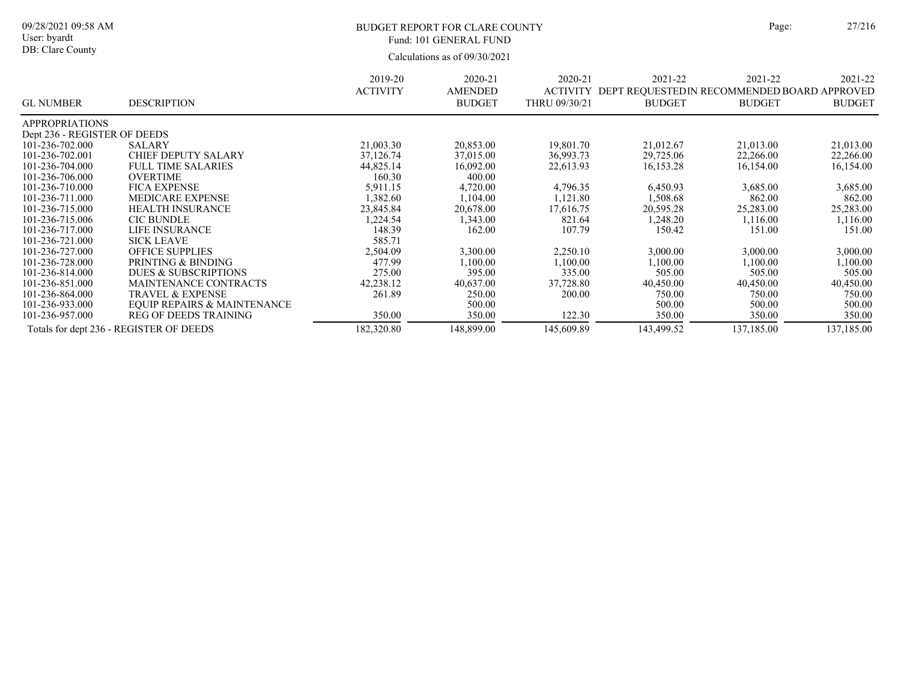#### 09/28/2021 09:58 AM User: byardt DB: Clare County

# BUDGET REPORT FOR CLARE COUNTY Page: 27/216 Fund: 101 GENERAL FUND

|                              |                                         | 2019-20         | 2020-21       | 2020-21         | 2021-22                                      | 2021-22       | 2021-22       |
|------------------------------|-----------------------------------------|-----------------|---------------|-----------------|----------------------------------------------|---------------|---------------|
|                              |                                         | <b>ACTIVITY</b> | AMENDED       | <b>ACTIVITY</b> | DEPT REQUESTED IN RECOMMENDED BOARD APPROVED |               |               |
| <b>GL NUMBER</b>             | <b>DESCRIPTION</b>                      |                 | <b>BUDGET</b> | THRU 09/30/21   | <b>BUDGET</b>                                | <b>BUDGET</b> | <b>BUDGET</b> |
| <b>APPROPRIATIONS</b>        |                                         |                 |               |                 |                                              |               |               |
| Dept 236 - REGISTER OF DEEDS |                                         |                 |               |                 |                                              |               |               |
| 101-236-702.000              | SALARY                                  | 21,003.30       | 20,853.00     | 19,801.70       | 21,012.67                                    | 21,013.00     | 21,013.00     |
| 101-236-702.001              | CHIEF DEPUTY SALARY                     | 37,126.74       | 37,015.00     | 36,993.73       | 29,725.06                                    | 22,266.00     | 22,266.00     |
| 101-236-704.000              | <b>FULL TIME SALARIES</b>               | 44,825.14       | 16,092.00     | 22,613.93       | 16,153.28                                    | 16,154.00     | 16,154.00     |
| 101-236-706.000              | <b>OVERTIME</b>                         | 160.30          | 400.00        |                 |                                              |               |               |
| 101-236-710.000              | <b>FICA EXPENSE</b>                     | 5,911.15        | 4,720.00      | 4,796.35        | 6,450.93                                     | 3,685.00      | 3,685.00      |
| 101-236-711.000              | <b>MEDICARE EXPENSE</b>                 | 1,382.60        | .104.00       | 1,121.80        | 1,508.68                                     | 862.00        | 862.00        |
| 101-236-715.000              | <b>HEALTH INSURANCE</b>                 | 23,845.84       | 20,678.00     | 17,616.75       | 20,595.28                                    | 25,283.00     | 25,283.00     |
| 101-236-715.006              | <b>CIC BUNDLE</b>                       | 1,224.54        | 343.00        | 821.64          | 1.248.20                                     | 1,116.00      | 1,116.00      |
| 101-236-717.000              | LIFE INSURANCE                          | 148.39          | 162.00        | 107.79          | 150.42                                       | 151.00        | 151.00        |
| 101-236-721.000              | <b>SICK LEAVE</b>                       | 585.71          |               |                 |                                              |               |               |
| 101-236-727.000              | <b>OFFICE SUPPLIES</b>                  | 2,504.09        | 3,300.00      | 2,250.10        | 3,000.00                                     | 3,000.00      | 3,000.00      |
| 101-236-728.000              | PRINTING & BINDING                      | 477.99          | 1,100.00      | 1,100.00        | 1,100.00                                     | 1,100.00      | 1,100.00      |
| 101-236-814.000              | <b>DUES &amp; SUBSCRIPTIONS</b>         | 275.00          | 395.00        | 335.00          | 505.00                                       | 505.00        | 505.00        |
| 101-236-851.000              | MAINTENANCE CONTRACTS                   | 42,238.12       | 40,637.00     | 37,728.80       | 40,450.00                                    | 40,450.00     | 40,450.00     |
| 101-236-864.000              | <b>TRAVEL &amp; EXPENSE</b>             | 261.89          | 250.00        | 200.00          | 750.00                                       | 750.00        | 750.00        |
| 101-236-933.000              | <b>EQUIP REPAIRS &amp; MAINTENANCE</b>  |                 | 500.00        |                 | 500.00                                       | 500.00        | 500.00        |
| 101-236-957.000              | <b>REG OF DEEDS TRAINING</b>            | 350.00          | 350.00        | 122.30          | 350.00                                       | 350.00        | 350.00        |
|                              | Totals for dept 236 - REGISTER OF DEEDS | 182,320.80      | 148,899.00    | 145,609.89      | 143,499.52                                   | 137,185.00    | 137,185.00    |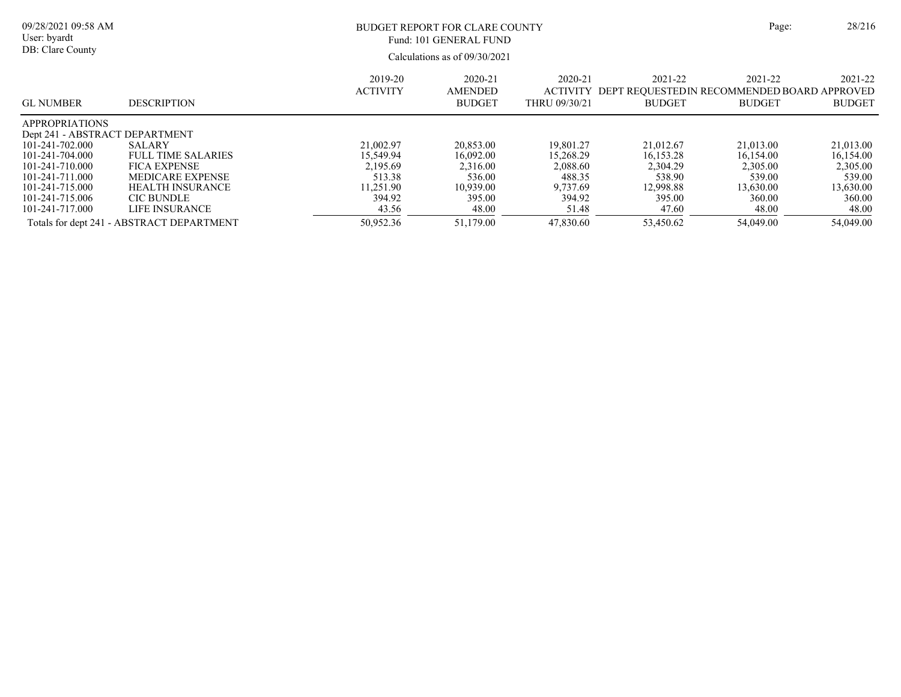| 09/28/2021 09:58 AM<br>User: byardt<br>DB: Clare County |                                           | Page:                      | 28/216                                     |                                                 |                                                                          |                          |                          |
|---------------------------------------------------------|-------------------------------------------|----------------------------|--------------------------------------------|-------------------------------------------------|--------------------------------------------------------------------------|--------------------------|--------------------------|
| <b>GL NUMBER</b>                                        | <b>DESCRIPTION</b>                        | 2019-20<br><b>ACTIVITY</b> | 2020-21<br><b>AMENDED</b><br><b>BUDGET</b> | $2020 - 21$<br><b>ACTIVITY</b><br>THRU 09/30/21 | 2021-22<br>DEPT REOUESTED IN RECOMMENDED BOARD APPROVED<br><b>BUDGET</b> | 2021-22<br><b>BUDGET</b> | 2021-22<br><b>BUDGET</b> |
| <b>APPROPRIATIONS</b><br>Dept 241 - ABSTRACT DEPARTMENT |                                           |                            |                                            |                                                 |                                                                          |                          |                          |
| 101-241-702.000                                         | SALARY                                    | 21,002.97                  | 20,853.00                                  | 19,801.27                                       | 21,012.67                                                                | 21,013.00                | 21,013.00                |
| 101-241-704.000                                         | <b>FULL TIME SALARIES</b>                 | 15.549.94                  | 16,092.00                                  | 15,268.29                                       | 16.153.28                                                                | 16,154.00                | 16,154.00                |
| 101-241-710.000                                         | <b>FICA EXPENSE</b>                       | 2,195.69                   | 2,316.00                                   | 2,088.60                                        | 2.304.29                                                                 | 2,305.00                 | 2,305.00                 |
| 101-241-711.000                                         | MEDICARE EXPENSE                          | 513.38                     | 536.00                                     | 488.35                                          | 538.90                                                                   | 539.00                   | 539.00                   |
| 101-241-715.000                                         | <b>HEALTH INSURANCE</b>                   | 11.251.90                  | 10,939.00                                  | 9,737.69                                        | 12.998.88                                                                | 13.630.00                | 13,630.00                |
| 101-241-715.006                                         | <b>CIC BUNDLE</b>                         | 394.92                     | 395.00                                     | 394.92                                          | 395.00                                                                   | 360.00                   | 360.00                   |
| 101-241-717.000                                         | LIFE INSURANCE                            | 43.56                      | 48.00                                      | 51.48                                           | 47.60                                                                    | 48.00                    | 48.00                    |
|                                                         | Totals for dept 241 - ABSTRACT DEPARTMENT | 50,952.36                  | 51,179.00                                  | 47,830.60                                       | 53,450.62                                                                | 54,049.00                | 54,049.00                |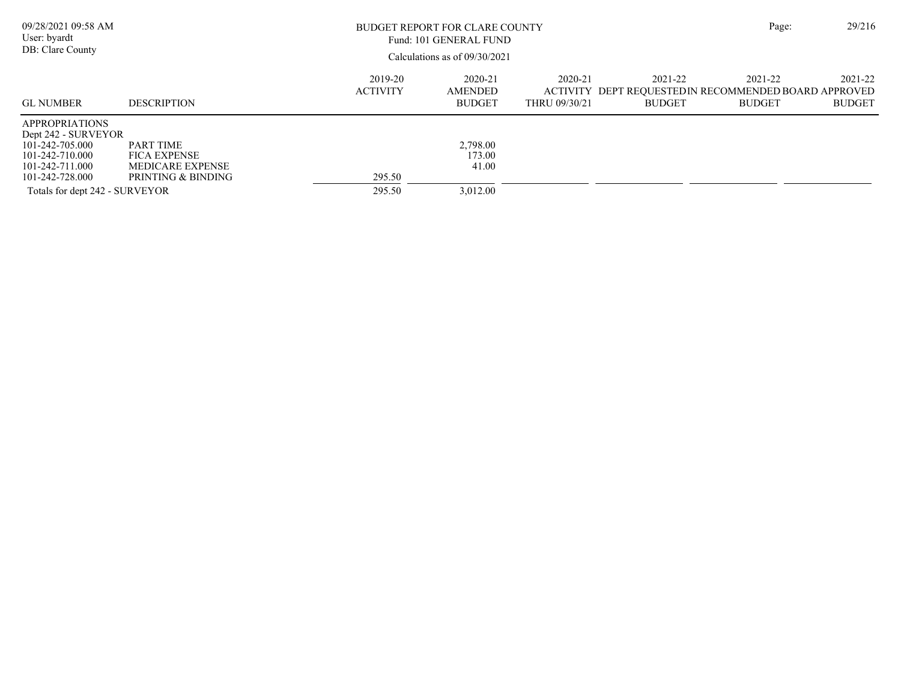| 09/28/2021 09:58 AM<br>User: byardt<br>DB: Clare County                                                                                                    |                                                                                          |                            | BUDGET REPORT FOR CLARE COUNTY<br>Fund: 101 GENERAL FUND<br>Calculations as of $09/30/2021$ |                          |                                                                                   | Page:                    | 29/216                   |
|------------------------------------------------------------------------------------------------------------------------------------------------------------|------------------------------------------------------------------------------------------|----------------------------|---------------------------------------------------------------------------------------------|--------------------------|-----------------------------------------------------------------------------------|--------------------------|--------------------------|
| <b>GL NUMBER</b>                                                                                                                                           | <b>DESCRIPTION</b>                                                                       | 2019-20<br><b>ACTIVITY</b> | 2020-21<br>AMENDED<br><b>BUDGET</b>                                                         | 2020-21<br>THRU 09/30/21 | 2021-22<br>ACTIVITY DEPT REQUESTED IN RECOMMENDED BOARD APPROVED<br><b>BUDGET</b> | 2021-22<br><b>BUDGET</b> | 2021-22<br><b>BUDGET</b> |
| <b>APPROPRIATIONS</b><br>Dept 242 - SURVEYOR<br>101-242-705.000<br>101-242-710.000<br>101-242-711.000<br>101-242-728.000<br>Totals for dept 242 - SURVEYOR | <b>PART TIME</b><br><b>FICA EXPENSE</b><br><b>MEDICARE EXPENSE</b><br>PRINTING & BINDING | 295.50<br>295.50           | 2,798.00<br>173.00<br>41.00<br>3.012.00                                                     |                          |                                                                                   |                          |                          |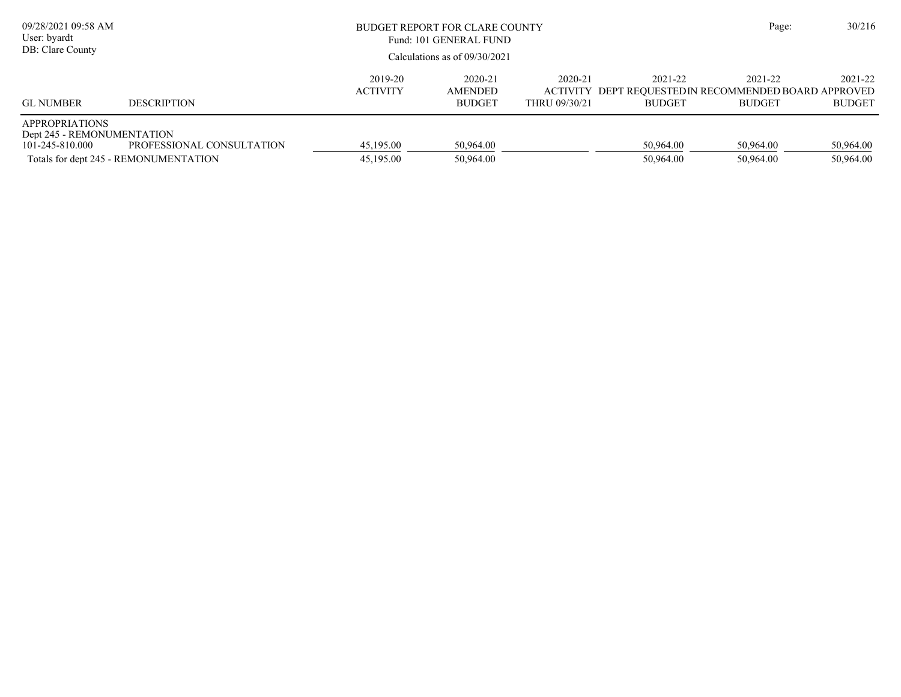| 09/28/2021 09:58 AM<br>User: byardt<br>DB: Clare County                |                                                                    | BUDGET REPORT FOR CLARE COUNTY<br>Fund: 101 GENERAL FUND<br>Calculations as of $09/30/2021$ |                                            |                          |                          | Page:                                                                             | 30/216                   |
|------------------------------------------------------------------------|--------------------------------------------------------------------|---------------------------------------------------------------------------------------------|--------------------------------------------|--------------------------|--------------------------|-----------------------------------------------------------------------------------|--------------------------|
| <b>GL NUMBER</b>                                                       | <b>DESCRIPTION</b>                                                 | 2019-20<br><b>ACTIVITY</b>                                                                  | 2020-21<br><b>AMENDED</b><br><b>BUDGET</b> | 2020-21<br>THRU 09/30/21 | 2021-22<br><b>BUDGET</b> | 2021-22<br>ACTIVITY DEPT REQUESTED IN RECOMMENDED BOARD APPROVED<br><b>BUDGET</b> | 2021-22<br><b>BUDGET</b> |
| <b>APPROPRIATIONS</b><br>Dept 245 - REMONUMENTATION<br>101-245-810.000 | PROFESSIONAL CONSULTATION<br>Totals for dept 245 - REMONUMENTATION | 45,195.00<br>45,195.00                                                                      | 50,964.00<br>50,964.00                     |                          | 50.964.00<br>50,964.00   | 50.964.00<br>50,964.00                                                            | 50,964.00<br>50,964.00   |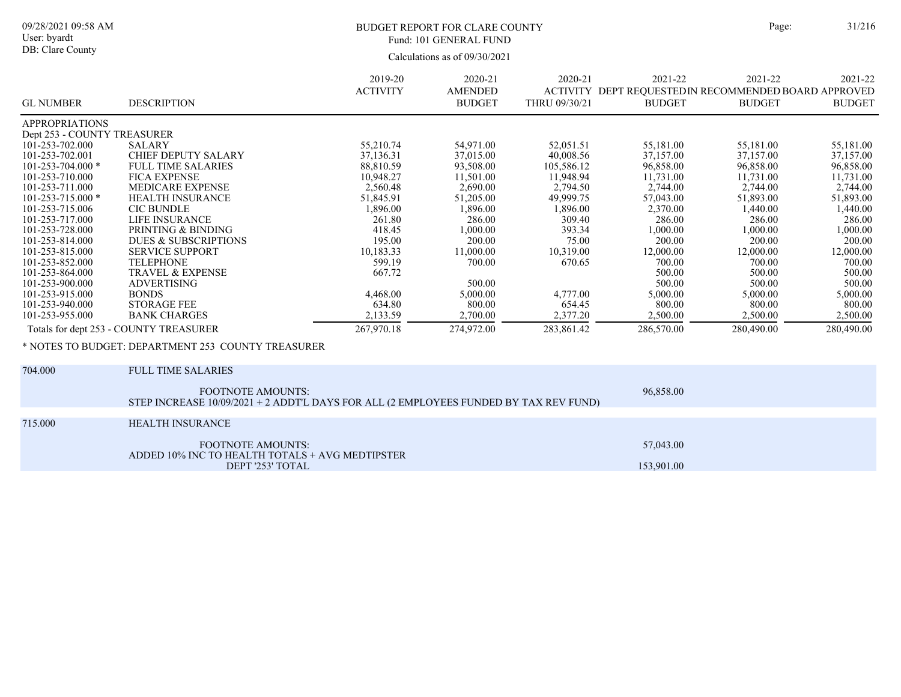# BUDGET REPORT FOR CLARE COUNTY Page: 31/216 Fund: 101 GENERAL FUND

Calculations as of 09/30/2021

|                             |                                                                                                                   | 2019-20         | 2020-21        | 2020-21       | 2021-22                                              | 2021-22       | 2021-22       |
|-----------------------------|-------------------------------------------------------------------------------------------------------------------|-----------------|----------------|---------------|------------------------------------------------------|---------------|---------------|
|                             |                                                                                                                   | <b>ACTIVITY</b> | <b>AMENDED</b> |               | ACTIVITY DEPT REQUESTEDIN RECOMMENDED BOARD APPROVED |               |               |
| <b>GL NUMBER</b>            | <b>DESCRIPTION</b>                                                                                                |                 | <b>BUDGET</b>  | THRU 09/30/21 | <b>BUDGET</b>                                        | <b>BUDGET</b> | <b>BUDGET</b> |
| <b>APPROPRIATIONS</b>       |                                                                                                                   |                 |                |               |                                                      |               |               |
| Dept 253 - COUNTY TREASURER |                                                                                                                   |                 |                |               |                                                      |               |               |
| 101-253-702.000             | <b>SALARY</b>                                                                                                     | 55,210.74       | 54,971.00      | 52,051.51     | 55,181.00                                            | 55,181.00     | 55,181.00     |
| 101-253-702.001             | <b>CHIEF DEPUTY SALARY</b>                                                                                        | 37,136.31       | 37,015.00      | 40,008.56     | 37,157.00                                            | 37,157.00     | 37,157.00     |
| $101 - 253 - 704.000*$      | <b>FULL TIME SALARIES</b>                                                                                         | 88,810.59       | 93,508.00      | 105,586.12    | 96,858.00                                            | 96,858.00     | 96,858.00     |
| 101-253-710.000             | <b>FICA EXPENSE</b>                                                                                               | 10,948.27       | 11,501.00      | 11,948.94     | 11,731.00                                            | 11,731.00     | 11,731.00     |
| 101-253-711.000             | <b>MEDICARE EXPENSE</b>                                                                                           | 2,560.48        | 2,690.00       | 2,794.50      | 2,744.00                                             | 2,744.00      | 2,744.00      |
| $101 - 253 - 715.000*$      | <b>HEALTH INSURANCE</b>                                                                                           | 51,845.91       | 51,205.00      | 49,999.75     | 57,043.00                                            | 51,893.00     | 51,893.00     |
| 101-253-715.006             | <b>CIC BUNDLE</b>                                                                                                 | 1,896.00        | 1,896.00       | 1,896.00      | 2,370.00                                             | 1,440.00      | 1,440.00      |
| 101-253-717.000             | <b>LIFE INSURANCE</b>                                                                                             | 261.80          | 286.00         | 309.40        | 286.00                                               | 286.00        | 286.00        |
| 101-253-728.000             | PRINTING & BINDING                                                                                                | 418.45          | 1,000.00       | 393.34        | 1,000.00                                             | 1,000.00      | 1,000.00      |
| 101-253-814.000             | <b>DUES &amp; SUBSCRIPTIONS</b>                                                                                   | 195.00          | 200.00         | 75.00         | 200.00                                               | 200.00        | 200.00        |
| 101-253-815.000             | <b>SERVICE SUPPORT</b>                                                                                            | 10,183.33       | 11,000.00      | 10,319.00     | 12,000.00                                            | 12,000.00     | 12,000.00     |
| 101-253-852.000             | <b>TELEPHONE</b>                                                                                                  | 599.19          | 700.00         | 670.65        | 700.00                                               | 700.00        | 700.00        |
| 101-253-864.000             | <b>TRAVEL &amp; EXPENSE</b>                                                                                       | 667.72          |                |               | 500.00                                               | 500.00        | 500.00        |
| 101-253-900.000             | <b>ADVERTISING</b>                                                                                                |                 | 500.00         |               | 500.00                                               | 500.00        | 500.00        |
| 101-253-915.000             | <b>BONDS</b>                                                                                                      | 4,468.00        | 5,000.00       | 4,777.00      | 5,000.00                                             | 5,000.00      | 5,000.00      |
| 101-253-940.000             | <b>STORAGE FEE</b>                                                                                                | 634.80          | 800.00         | 654.45        | 800.00                                               | 800.00        | 800.00        |
| 101-253-955.000             | <b>BANK CHARGES</b>                                                                                               | 2,133.59        | 2,700.00       | 2,377.20      | 2,500.00                                             | 2,500.00      | 2,500.00      |
|                             | Totals for dept 253 - COUNTY TREASURER                                                                            | 267,970.18      | 274,972.00     | 283,861.42    | 286,570.00                                           | 280,490.00    | 280,490.00    |
|                             | * NOTES TO BUDGET: DEPARTMENT 253 COUNTY TREASURER                                                                |                 |                |               |                                                      |               |               |
| 704.000                     | <b>FULL TIME SALARIES</b>                                                                                         |                 |                |               |                                                      |               |               |
|                             | <b>FOOTNOTE AMOUNTS:</b><br>STEP INCREASE 10/09/2021 + 2 ADDT'L DAYS FOR ALL (2 EMPLOYEES FUNDED BY TAX REV FUND) |                 |                |               | 96,858.00                                            |               |               |

715.000 HEALTH INSURANCE

| FOOTNOTE AMOUNTS:<br>ADDED 10% INC TO HEALTH TOTALS + AVG MEDTIPSTER | 57,043.00  |
|----------------------------------------------------------------------|------------|
| DEPT '253' TOTAL                                                     | 153,901.00 |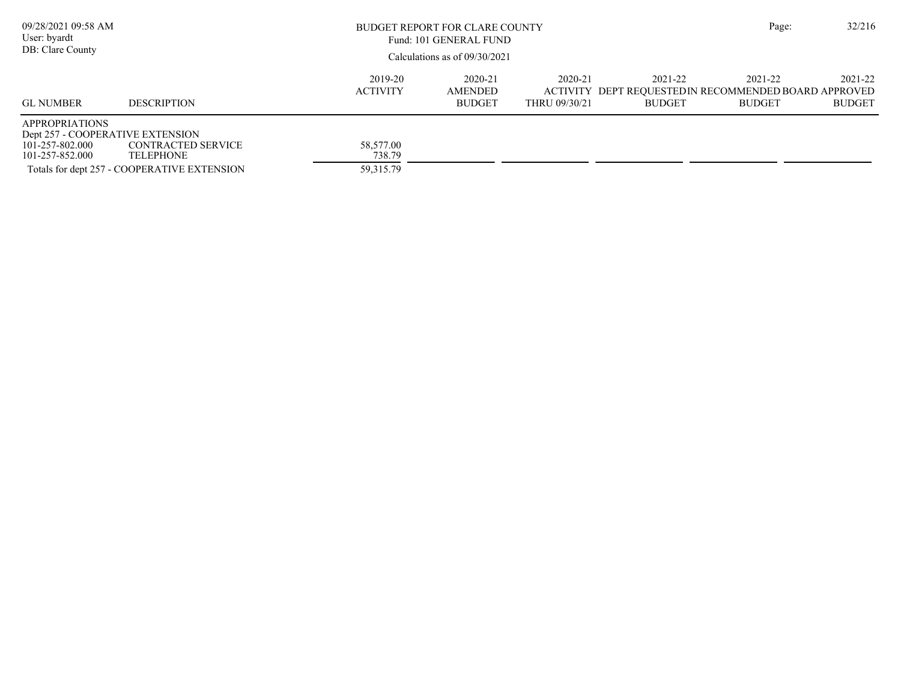| 09/28/2021 09:58 AM<br>User: byardt<br>DB: Clare County                                         |                                                                                                                                                                                                                 | BUDGET REPORT FOR CLARE COUNTY<br>Fund: 101 GENERAL FUND<br>Calculations as of $09/30/2021$ |  |  |  |                          | 32/216                   |
|-------------------------------------------------------------------------------------------------|-----------------------------------------------------------------------------------------------------------------------------------------------------------------------------------------------------------------|---------------------------------------------------------------------------------------------|--|--|--|--------------------------|--------------------------|
| <b>GL NUMBER</b>                                                                                | 2019-20<br>2020-21<br>2021-22<br>2020-21<br><b>ACTIVITY</b><br><b>AMENDED</b><br>ACTIVITY DEPT REQUESTED IN RECOMMENDED BOARD APPROVED<br><b>DESCRIPTION</b><br><b>BUDGET</b><br>THRU 09/30/21<br><b>BUDGET</b> |                                                                                             |  |  |  | 2021-22<br><b>BUDGET</b> | 2021-22<br><b>BUDGET</b> |
| <b>APPROPRIATIONS</b><br>Dept 257 - COOPERATIVE EXTENSION<br>101-257-802.000<br>101-257-852.000 | CONTRACTED SERVICE<br>TELEPHONE<br>Totals for dept 257 - COOPERATIVE EXTENSION                                                                                                                                  | 58,577.00<br>738.79<br>59, 315. 79                                                          |  |  |  |                          |                          |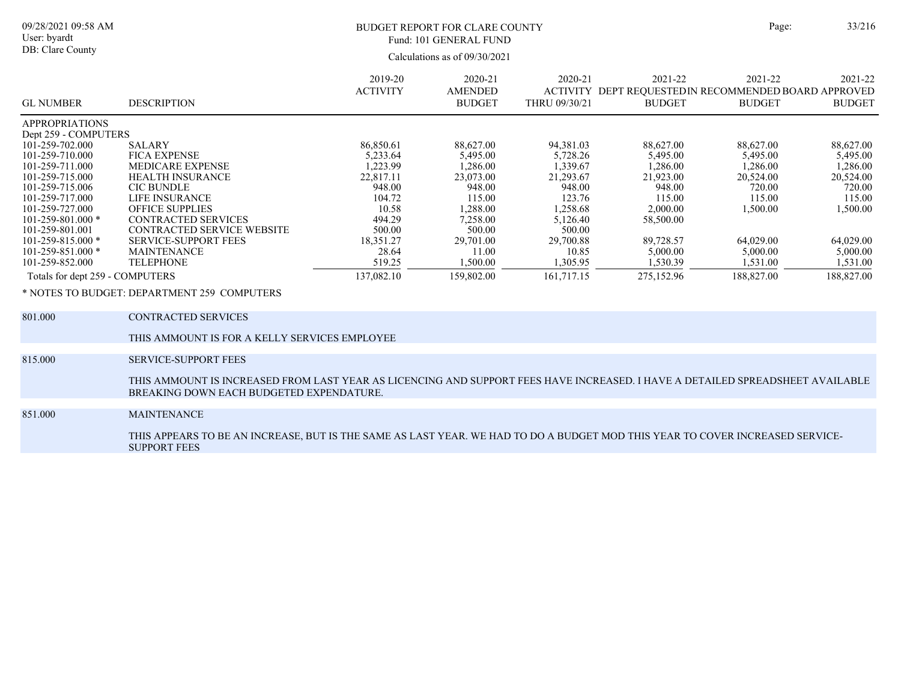# BUDGET REPORT FOR CLARE COUNTY Page: 33/216 Fund: 101 GENERAL FUND

Calculations as of 09/30/2021

| <b>GL NUMBER</b>                | <b>DESCRIPTION</b>                | 2019-20<br><b>ACTIVITY</b> | $2020 - 21$<br>AMENDED<br><b>BUDGET</b> | 2020-21<br><b>ACTIVITY</b><br>THRU 09/30/21 | 2021-22<br><b>BUDGET</b> | 2021-22<br>DEPT REQUESTED IN RECOMMENDED BOARD APPROVED<br><b>BUDGET</b> | 2021-22<br><b>BUDGET</b> |
|---------------------------------|-----------------------------------|----------------------------|-----------------------------------------|---------------------------------------------|--------------------------|--------------------------------------------------------------------------|--------------------------|
| <b>APPROPRIATIONS</b>           |                                   |                            |                                         |                                             |                          |                                                                          |                          |
| Dept 259 - COMPUTERS            |                                   |                            |                                         |                                             |                          |                                                                          |                          |
| 101-259-702.000                 | SALARY                            | 86,850.61                  | 88,627.00                               | 94,381.03                                   | 88,627.00                | 88,627.00                                                                | 88,627.00                |
| 101-259-710.000                 | <b>FICA EXPENSE</b>               | 5.233.64                   | 5.495.00                                | 5,728.26                                    | 5.495.00                 | 5,495.00                                                                 | 5,495.00                 |
| 101-259-711.000                 | <b>MEDICARE EXPENSE</b>           | ,223.99                    | 1,286.00                                | 1,339.67                                    | 1,286.00                 | 1,286.00                                                                 | 1,286.00                 |
| 101-259-715.000                 | <b>HEALTH INSURANCE</b>           | 22,817.11                  | 23,073.00                               | 21,293.67                                   | 21,923.00                | 20,524.00                                                                | 20,524.00                |
| 101-259-715.006                 | <b>CIC BUNDLE</b>                 | 948.00                     | 948.00                                  | 948.00                                      | 948.00                   | 720.00                                                                   | 720.00                   |
| 101-259-717.000                 | LIFE INSURANCE                    | 104.72                     | 115.00                                  | 123.76                                      | 115.00                   | 115.00                                                                   | 115.00                   |
| 101-259-727.000                 | <b>OFFICE SUPPLIES</b>            | 10.58                      | 1,288.00                                | 1,258.68                                    | 2.000.00                 | 1,500.00                                                                 | 1,500.00                 |
| $101 - 259 - 801.000$ *         | <b>CONTRACTED SERVICES</b>        | 494.29                     | 7,258.00                                | 5,126.40                                    | 58,500.00                |                                                                          |                          |
| 101-259-801.001                 | <b>CONTRACTED SERVICE WEBSITE</b> | 500.00                     | 500.00                                  | 500.00                                      |                          |                                                                          |                          |
| $101 - 259 - 815.000$ *         | <b>SERVICE-SUPPORT FEES</b>       | 18,351.27                  | 29,701.00                               | 29,700.88                                   | 89,728.57                | 64,029.00                                                                | 64,029.00                |
| $101 - 259 - 851.000$ *         | <b>MAINTENANCE</b>                | 28.64                      | 11.00                                   | 10.85                                       | 5,000.00                 | 5,000.00                                                                 | 5,000.00                 |
| 101-259-852.000                 | <b>TELEPHONE</b>                  | 519.25                     | 1.500.00                                | 1,305.95                                    | 1,530.39                 | 1,531.00                                                                 | 1,531.00                 |
| Totals for dept 259 - COMPUTERS |                                   | 137,082.10                 | 159,802.00                              | 161,717.15                                  | 275,152.96               | 188,827.00                                                               | 188,827.00               |

\* NOTES TO BUDGET: DEPARTMENT 259 COMPUTERS

| 801.000 | CONTRACTED SERVICES                                                                                                                                                        |
|---------|----------------------------------------------------------------------------------------------------------------------------------------------------------------------------|
|         | THIS AMMOUNT IS FOR A KELLY SERVICES EMPLOYEE                                                                                                                              |
|         |                                                                                                                                                                            |
| 815.000 | <b>SERVICE-SUPPORT FEES</b>                                                                                                                                                |
|         | THIS AMMOUNT IS INCREASED FROM LAST YEAR AS LICENCING AND SUPPORT FEES HAVE INCREASED. I HAVE A DETAILED SPREADSHEET AVAILABLE<br>BREAKING DOWN EACH BUDGETED EXPENDATURE. |
|         |                                                                                                                                                                            |
| 851.000 | <b>MAINTENANCE</b>                                                                                                                                                         |
|         | THIS APPEARS TO BE AN INCREASE, BUT IS THE SAME AS LAST YEAR. WE HAD TO DO A BUDGET MOD THIS YEAR TO COVER INCREASED SERVICE-<br><b>SUPPORT FEES</b>                       |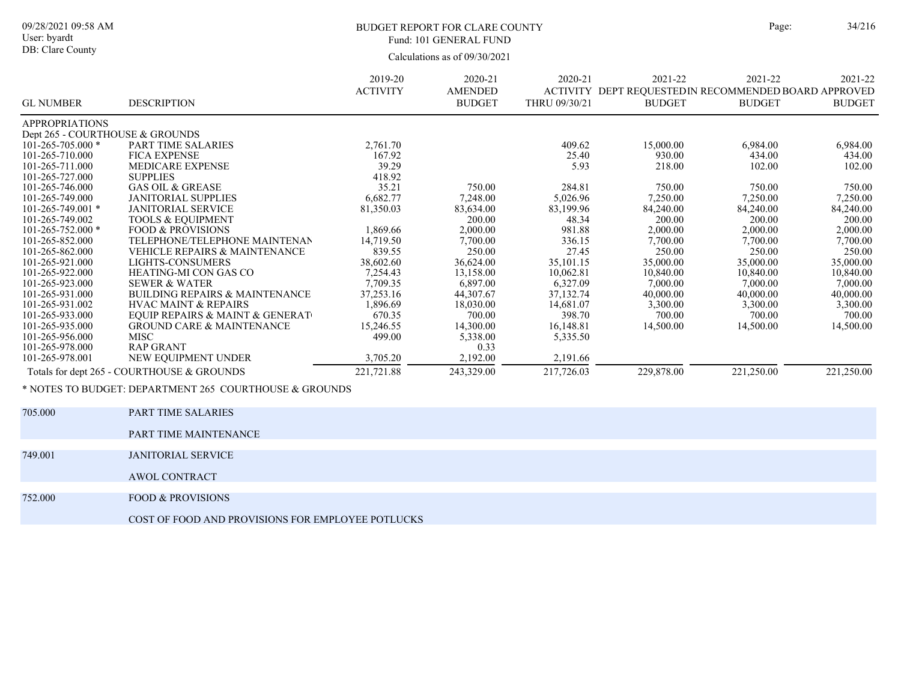# BUDGET REPORT FOR CLARE COUNTY Page: 34/216 Fund: 101 GENERAL FUND

|                                 |                                                        | 2019-20<br><b>ACTIVITY</b> | 2020-21<br><b>AMENDED</b> | 2020-21<br><b>ACTIVITY</b> | 2021-22<br>DEPT REQUESTED IN RECOMMENDED BOARD APPROVED | 2021-22       | 2021-22       |
|---------------------------------|--------------------------------------------------------|----------------------------|---------------------------|----------------------------|---------------------------------------------------------|---------------|---------------|
| <b>GL NUMBER</b>                | <b>DESCRIPTION</b>                                     |                            | <b>BUDGET</b>             | THRU 09/30/21              | <b>BUDGET</b>                                           | <b>BUDGET</b> | <b>BUDGET</b> |
| <b>APPROPRIATIONS</b>           |                                                        |                            |                           |                            |                                                         |               |               |
| Dept 265 - COURTHOUSE & GROUNDS |                                                        |                            |                           |                            |                                                         |               |               |
| $101 - 265 - 705.000$ *         | <b>PART TIME SALARIES</b>                              | 2,761.70                   |                           | 409.62                     | 15,000.00                                               | 6,984.00      | 6,984.00      |
| 101-265-710.000                 | <b>FICA EXPENSE</b>                                    | 167.92                     |                           | 25.40                      | 930.00                                                  | 434.00        | 434.00        |
| 101-265-711.000                 | <b>MEDICARE EXPENSE</b>                                | 39.29                      |                           | 5.93                       | 218.00                                                  | 102.00        | 102.00        |
| 101-265-727.000                 | <b>SUPPLIES</b>                                        | 418.92                     |                           |                            |                                                         |               |               |
| 101-265-746.000                 | <b>GAS OIL &amp; GREASE</b>                            | 35.21                      | 750.00                    | 284.81                     | 750.00                                                  | 750.00        | 750.00        |
| 101-265-749.000                 | <b>JANITORIAL SUPPLIES</b>                             | 6,682.77                   | 7,248.00                  | 5,026.96                   | 7,250.00                                                | 7,250.00      | 7,250.00      |
| $101 - 265 - 749.001$ *         | <b>JANITORIAL SERVICE</b>                              | 81,350.03                  | 83,634.00                 | 83,199.96                  | 84,240.00                                               | 84,240.00     | 84,240.00     |
| 101-265-749.002                 | <b>TOOLS &amp; EQUIPMENT</b>                           |                            | 200.00                    | 48.34                      | 200.00                                                  | 200.00        | 200.00        |
| $101 - 265 - 752.000*$          | <b>FOOD &amp; PROVISIONS</b>                           | 1,869.66                   | 2,000.00                  | 981.88                     | 2,000.00                                                | 2,000.00      | 2,000.00      |
| 101-265-852.000                 | TELEPHONE/TELEPHONE MAINTENAN                          | 14,719.50                  | 7,700.00                  | 336.15                     | 7,700.00                                                | 7,700.00      | 7,700.00      |
| 101-265-862.000                 | VEHICLE REPAIRS & MAINTENANCE                          | 839.55                     | 250.00                    | 27.45                      | 250.00                                                  | 250.00        | 250.00        |
| 101-265-921.000                 | LIGHTS-CONSUMERS                                       | 38,602.60                  | 36,624.00                 | 35,101.15                  | 35,000.00                                               | 35,000.00     | 35,000.00     |
| 101-265-922.000                 | HEATING-MI CON GAS CO                                  | 7,254.43                   | 13,158.00                 | 10.062.81                  | 10,840.00                                               | 10,840.00     | 10,840.00     |
| 101-265-923.000                 | <b>SEWER &amp; WATER</b>                               | 7,709.35                   | 6,897.00                  | 6,327.09                   | 7,000.00                                                | 7,000.00      | 7,000.00      |
| 101-265-931.000                 | <b>BUILDING REPAIRS &amp; MAINTENANCE</b>              | 37,253.16                  | 44,307.67                 | 37,132.74                  | 40,000.00                                               | 40,000.00     | 40,000.00     |
| 101-265-931.002                 | <b>HVAC MAINT &amp; REPAIRS</b>                        | 1,896.69                   | 18,030.00                 | 14,681.07                  | 3,300.00                                                | 3,300.00      | 3,300.00      |
| 101-265-933.000                 | EQUIP REPAIRS & MAINT & GENERAT                        | 670.35                     | 700.00                    | 398.70                     | 700.00                                                  | 700.00        | 700.00        |
| 101-265-935.000                 | <b>GROUND CARE &amp; MAINTENANCE</b>                   | 15,246.55                  | 14,300.00                 | 16,148.81                  | 14,500.00                                               | 14,500.00     | 14,500.00     |
| 101-265-956.000                 | <b>MISC</b>                                            | 499.00                     | 5,338.00                  | 5,335.50                   |                                                         |               |               |
| 101-265-978.000                 | <b>RAP GRANT</b>                                       |                            | 0.33                      |                            |                                                         |               |               |
| 101-265-978.001                 | NEW EQUIPMENT UNDER                                    | 3,705.20                   | 2,192.00                  | 2,191.66                   |                                                         |               |               |
|                                 | Totals for dept 265 - COURTHOUSE & GROUNDS             | 221,721.88                 | 243,329.00                | 217,726.03                 | 229,878.00                                              | 221,250.00    | 221,250.00    |
|                                 | * NOTES TO BUDGET: DEPARTMENT 265 COURTHOUSE & GROUNDS |                            |                           |                            |                                                         |               |               |

| 705.000 | PART TIME SALARIES                                |
|---------|---------------------------------------------------|
|         | PART TIME MAINTENANCE                             |
|         |                                                   |
| 749.001 | <b>JANITORIAL SERVICE</b>                         |
|         | AWOL CONTRACT                                     |
|         |                                                   |
| 752.000 | <b>FOOD &amp; PROVISIONS</b>                      |
|         | COST OF FOOD AND PROVISIONS FOR EMPLOYEE POTLUCKS |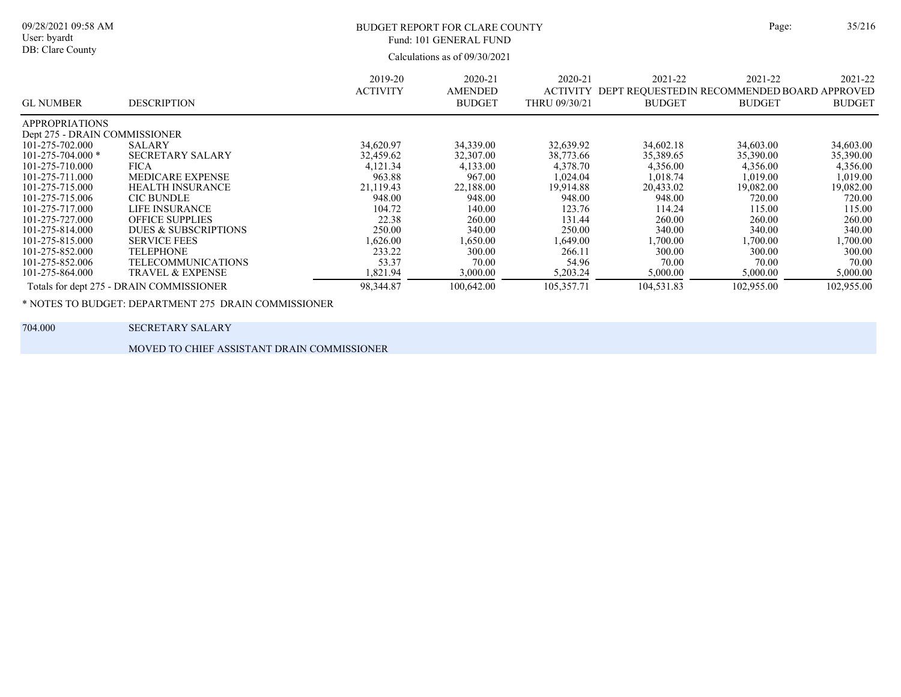| ŗе: | 35/21 |
|-----|-------|
|     |       |

### BUDGET REPORT FOR CLARE COUNTY Page: 35/216 Fund: 101 GENERAL FUND

Calculations as of 09/30/2021

| <b>GL NUMBER</b>              | <b>DESCRIPTION</b>                       | 2019-20<br><b>ACTIVITY</b> | 2020-21<br>AMENDED<br><b>BUDGET</b> | 2020-21<br><b>ACTIVITY</b><br>THRU 09/30/21 | 2021-22<br>DEPT REOUESTEDIN RECOMMENDED BOARD APPROVED<br><b>BUDGET</b> | 2021-22<br><b>BUDGET</b> | 2021-22<br><b>BUDGET</b> |
|-------------------------------|------------------------------------------|----------------------------|-------------------------------------|---------------------------------------------|-------------------------------------------------------------------------|--------------------------|--------------------------|
| <b>APPROPRIATIONS</b>         |                                          |                            |                                     |                                             |                                                                         |                          |                          |
| Dept 275 - DRAIN COMMISSIONER |                                          |                            |                                     |                                             |                                                                         |                          |                          |
| 101-275-702.000               | SALARY                                   | 34,620.97                  | 34,339.00                           | 32,639.92                                   | 34,602.18                                                               | 34,603.00                | 34,603.00                |
| $101 - 275 - 704.000*$        | <b>SECRETARY SALARY</b>                  | 32,459.62                  | 32,307.00                           | 38,773.66                                   | 35,389.65                                                               | 35,390.00                | 35,390.00                |
| 101-275-710.000               | <b>FICA</b>                              | 4,121.34                   | 4,133.00                            | 4,378.70                                    | 4,356.00                                                                | 4,356.00                 | 4,356.00                 |
| 101-275-711.000               | <b>MEDICARE EXPENSE</b>                  | 963.88                     | 967.00                              | 1,024.04                                    | 1.018.74                                                                | 1,019.00                 | 1,019.00                 |
| 101-275-715.000               | <b>HEALTH INSURANCE</b>                  | 21,119.43                  | 22,188.00                           | 19,914.88                                   | 20,433.02                                                               | 19,082.00                | 19,082.00                |
| 101-275-715.006               | <b>CIC BUNDLE</b>                        | 948.00                     | 948.00                              | 948.00                                      | 948.00                                                                  | 720.00                   | 720.00                   |
| 101-275-717.000               | LIFE INSURANCE                           | 104.72                     | 140.00                              | 123.76                                      | 114.24                                                                  | 115.00                   | 115.00                   |
| 101-275-727.000               | <b>OFFICE SUPPLIES</b>                   | 22.38                      | 260.00                              | 131.44                                      | 260.00                                                                  | 260.00                   | 260.00                   |
| 101-275-814.000               | DUES & SUBSCRIPTIONS                     | 250.00                     | 340.00                              | 250.00                                      | 340.00                                                                  | 340.00                   | 340.00                   |
| 101-275-815.000               | <b>SERVICE FEES</b>                      | 1,626.00                   | 1.650.00                            | 1,649.00                                    | .700.00                                                                 | 1,700.00                 | .700.00                  |
| 101-275-852.000               | <b>TELEPHONE</b>                         | 233.22                     | 300.00                              | 266.11                                      | 300.00                                                                  | 300.00                   | 300.00                   |
| 101-275-852.006               | <b>TELECOMMUNICATIONS</b>                | 53.37                      | 70.00                               | 54.96                                       | 70.00                                                                   | 70.00                    | 70.00                    |
| 101-275-864.000               | <b>TRAVEL &amp; EXPENSE</b>              | 1,821.94                   | 3,000.00                            | 5,203.24                                    | 5,000.00                                                                | 5,000.00                 | 5,000.00                 |
|                               | Totals for dept 275 - DRAIN COMMISSIONER | 98,344.87                  | 100,642.00                          | 105,357.71                                  | 104,531.83                                                              | 102,955.00               | 102,955.00               |

\* NOTES TO BUDGET: DEPARTMENT 275 DRAIN COMMISSIONER

09/28/2021 09:58 AM User: byardt DB: Clare County

704.000 SECRETARY SALARY

MOVED TO CHIEF ASSISTANT DRAIN COMMISSIONER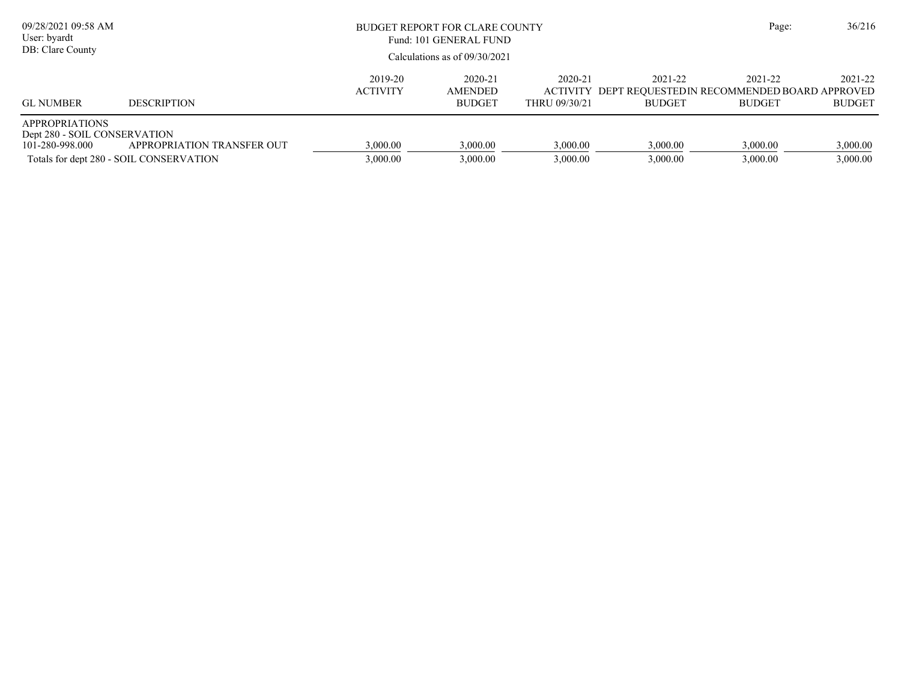| 09/28/2021 09:58 AM<br>User: byardt<br>DB: Clare County                  |                                                                       | BUDGET REPORT FOR CLARE COUNTY<br>Fund: 101 GENERAL FUND<br>Calculations as of $09/30/2021$ |                                     |                                             |                          | Page:                                                                   | 36/216                   |
|--------------------------------------------------------------------------|-----------------------------------------------------------------------|---------------------------------------------------------------------------------------------|-------------------------------------|---------------------------------------------|--------------------------|-------------------------------------------------------------------------|--------------------------|
| <b>GL NUMBER</b>                                                         | <b>DESCRIPTION</b>                                                    | 2019-20<br><b>ACTIVITY</b>                                                                  | 2020-21<br>AMENDED<br><b>BUDGET</b> | 2020-21<br><b>ACTIVITY</b><br>THRU 09/30/21 | 2021-22<br><b>BUDGET</b> | 2021-22<br>DEPT REOUESTEDIN RECOMMENDED BOARD APPROVED<br><b>BUDGET</b> | 2021-22<br><b>BUDGET</b> |
| <b>APPROPRIATIONS</b><br>Dept 280 - SOIL CONSERVATION<br>101-280-998.000 | APPROPRIATION TRANSFER OUT<br>Totals for dept 280 - SOIL CONSERVATION | 3,000.00<br>3,000.00                                                                        | 3,000.00<br>3,000.00                | 3,000.00<br>3,000.00                        | 3,000.00<br>3,000.00     | 3,000.00<br>3,000.00                                                    | 3,000.00<br>3,000.00     |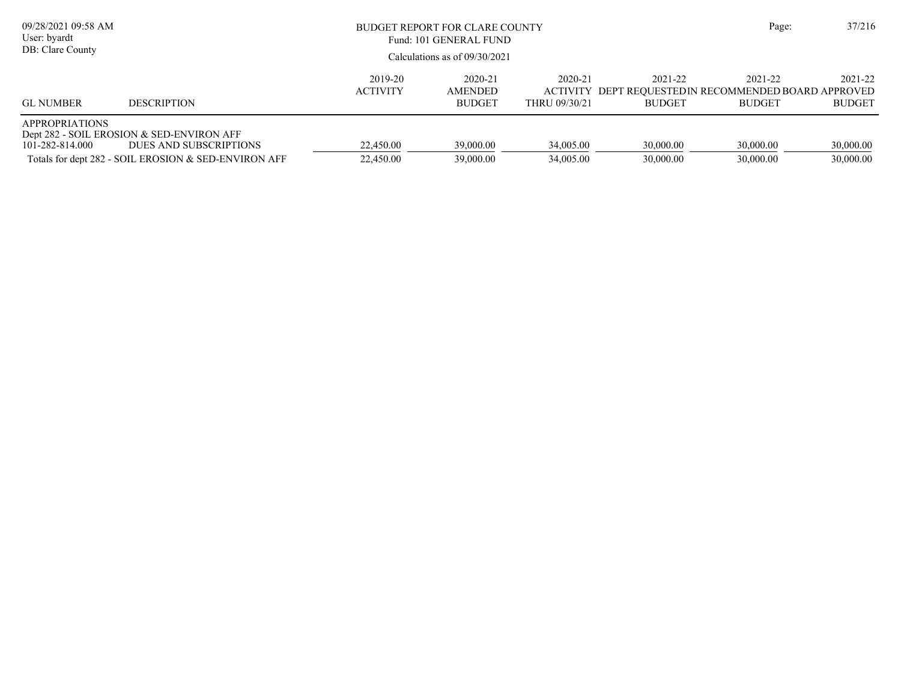| 09/28/2021 09:58 AM<br>User: byardt<br>DB: Clare County |                                                                                                                             |                            | BUDGET REPORT FOR CLARE COUNTY<br>Fund: 101 GENERAL FUND<br>Calculations as of $09/30/2021$ |                          |                          | Page:                                                                             | 37/216                   |
|---------------------------------------------------------|-----------------------------------------------------------------------------------------------------------------------------|----------------------------|---------------------------------------------------------------------------------------------|--------------------------|--------------------------|-----------------------------------------------------------------------------------|--------------------------|
| <b>GL NUMBER</b>                                        | <b>DESCRIPTION</b>                                                                                                          | 2019-20<br><b>ACTIVITY</b> | 2020-21<br>AMENDED<br><b>BUDGET</b>                                                         | 2020-21<br>THRU 09/30/21 | 2021-22<br><b>BUDGET</b> | 2021-22<br>ACTIVITY DEPT REQUESTED IN RECOMMENDED BOARD APPROVED<br><b>BUDGET</b> | 2021-22<br><b>BUDGET</b> |
| <b>APPROPRIATIONS</b><br>101-282-814.000                | Dept 282 - SOIL EROSION & SED-ENVIRON AFF<br>DUES AND SUBSCRIPTIONS<br>Totals for dept 282 - SOIL EROSION & SED-ENVIRON AFF | 22,450.00<br>22,450.00     | 39,000.00<br>39,000.00                                                                      | 34,005.00<br>34,005.00   | 30,000.00<br>30,000.00   | 30,000.00<br>30,000.00                                                            | 30,000.00<br>30,000.00   |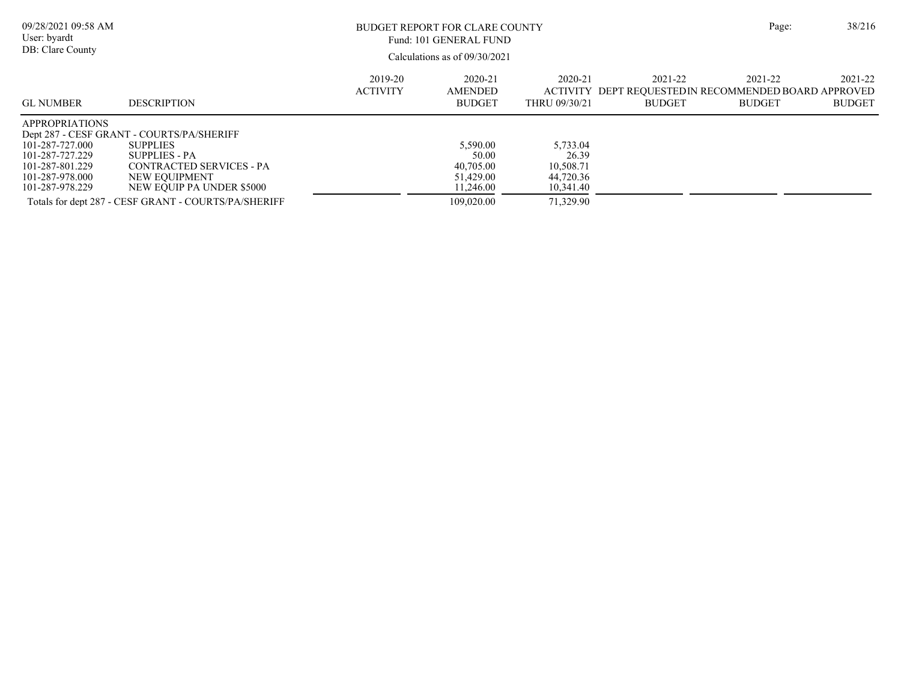| 09/28/2021 09:58 AM<br>User: byardt<br>DB: Clare County                                                              |                                                                                                                                                         | BUDGET REPORT FOR CLARE COUNTY<br>Fund: 101 GENERAL FUND<br>Calculations as of $09/30/2021$ |                                                          |                                                          |                          |                                                                                  |                          |  |
|----------------------------------------------------------------------------------------------------------------------|---------------------------------------------------------------------------------------------------------------------------------------------------------|---------------------------------------------------------------------------------------------|----------------------------------------------------------|----------------------------------------------------------|--------------------------|----------------------------------------------------------------------------------|--------------------------|--|
| <b>GL NUMBER</b>                                                                                                     | <b>DESCRIPTION</b>                                                                                                                                      | 2019-20<br><b>ACTIVITY</b>                                                                  | 2020-21<br><b>AMENDED</b><br><b>BUDGET</b>               | 2020-21<br>THRU 09/30/21                                 | 2021-22<br><b>BUDGET</b> | 2021-22<br>ACTIVITY DEPT REOUESTEDIN RECOMMENDED BOARD APPROVED<br><b>BUDGET</b> | 2021-22<br><b>BUDGET</b> |  |
| <b>APPROPRIATIONS</b><br>101-287-727.000<br>101-287-727.229<br>101-287-801.229<br>101-287-978.000<br>101-287-978.229 | Dept 287 - CESF GRANT - COURTS/PA/SHERIFF<br><b>SUPPLIES</b><br>SUPPLIES - PA<br>CONTRACTED SERVICES - PA<br>NEW EOUIPMENT<br>NEW EQUIP PA UNDER \$5000 |                                                                                             | 5,590.00<br>50.00<br>40,705.00<br>51,429.00<br>11,246.00 | 5.733.04<br>26.39<br>10,508.71<br>44,720.36<br>10,341.40 |                          |                                                                                  |                          |  |
|                                                                                                                      | Totals for dept 287 - CESF GRANT - COURTS/PA/SHERIFF                                                                                                    |                                                                                             | 109,020.00                                               | 71,329.90                                                |                          |                                                                                  |                          |  |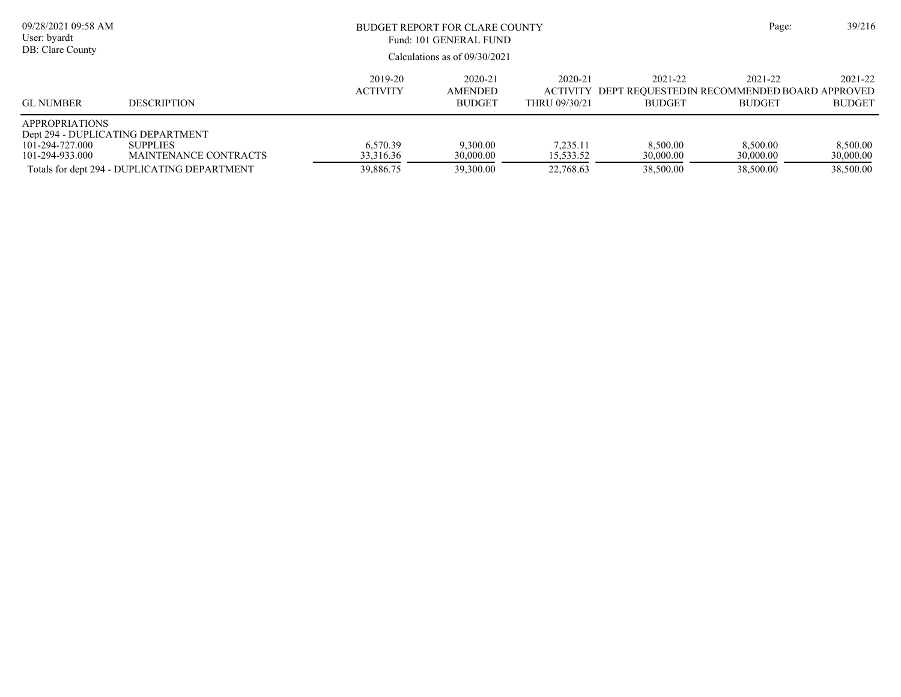| 09/28/2021 09:58 AM<br>User: byardt<br>DB: Clare County                                          |                                                                                          | Page:                              | 39/216                                     |                                             |                                                                          |                                    |                                    |
|--------------------------------------------------------------------------------------------------|------------------------------------------------------------------------------------------|------------------------------------|--------------------------------------------|---------------------------------------------|--------------------------------------------------------------------------|------------------------------------|------------------------------------|
| <b>GL NUMBER</b>                                                                                 | <b>DESCRIPTION</b>                                                                       | 2019-20<br><b>ACTIVITY</b>         | 2020-21<br><b>AMENDED</b><br><b>BUDGET</b> | 2020-21<br><b>ACTIVITY</b><br>THRU 09/30/21 | 2021-22<br>DEPT REQUESTED IN RECOMMENDED BOARD APPROVED<br><b>BUDGET</b> | 2021-22<br><b>BUDGET</b>           | 2021-22<br><b>BUDGET</b>           |
| <b>APPROPRIATIONS</b><br>Dept 294 - DUPLICATING DEPARTMENT<br>101-294-727.000<br>101-294-933.000 | <b>SUPPLIES</b><br>MAINTENANCE CONTRACTS<br>Totals for dept 294 - DUPLICATING DEPARTMENT | 6.570.39<br>33,316.36<br>39,886.75 | 9,300.00<br>30,000.00<br>39,300.00         | 7.235.11<br>15,533.52<br>22,768.63          | 8,500.00<br>30,000.00<br>38,500.00                                       | 8.500.00<br>30,000.00<br>38,500.00 | 8,500.00<br>30,000.00<br>38,500.00 |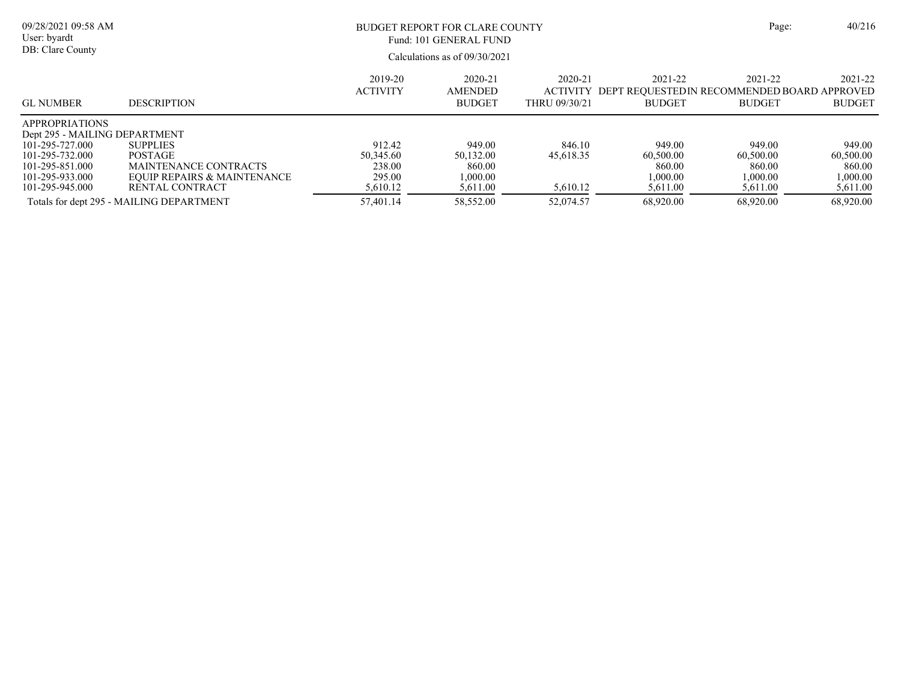| 09/28/2021 09:58 AM<br>User: byardt<br>DB: Clare County                   |                                                                                           | BUDGET REPORT FOR CLARE COUNTY<br>Fund: 101 GENERAL FUND<br>Calculations as of $09/30/2021$ |                                             |                                             |                                             |                                                                          |                                             |  |
|---------------------------------------------------------------------------|-------------------------------------------------------------------------------------------|---------------------------------------------------------------------------------------------|---------------------------------------------|---------------------------------------------|---------------------------------------------|--------------------------------------------------------------------------|---------------------------------------------|--|
| <b>GL NUMBER</b>                                                          | <b>DESCRIPTION</b>                                                                        | 2019-20<br><b>ACTIVITY</b>                                                                  | 2020-21<br>AMENDED<br><b>BUDGET</b>         | 2020-21<br><b>ACTIVITY</b><br>THRU 09/30/21 | 2021-22<br><b>BUDGET</b>                    | 2021-22<br>DEPT REOUESTED IN RECOMMENDED BOARD APPROVED<br><b>BUDGET</b> | 2021-22<br><b>BUDGET</b>                    |  |
| <b>APPROPRIATIONS</b><br>Dept 295 - MAILING DEPARTMENT<br>101-295-727.000 | <b>SUPPLIES</b>                                                                           | 912.42                                                                                      | 949.00                                      | 846.10                                      | 949.00                                      | 949.00                                                                   | 949.00                                      |  |
| 101-295-732.000<br>101-295-851.000<br>101-295-933.000<br>101-295-945.000  | <b>POSTAGE</b><br>MAINTENANCE CONTRACTS<br>EQUIP REPAIRS & MAINTENANCE<br>RENTAL CONTRACT | 50,345.60<br>238.00<br>295.00<br>5,610.12                                                   | 50,132.00<br>860.00<br>1.000.00<br>5,611.00 | 45.618.35<br>5,610.12                       | 60,500.00<br>860.00<br>1,000.00<br>5,611.00 | 60,500.00<br>860.00<br>1,000.00<br>5,611.00                              | 60,500.00<br>860.00<br>1,000.00<br>5,611.00 |  |
|                                                                           | Totals for dept 295 - MAILING DEPARTMENT                                                  | 57.401.14                                                                                   | 58,552.00                                   | 52,074.57                                   | 68,920.00                                   | 68,920.00                                                                | 68,920.00                                   |  |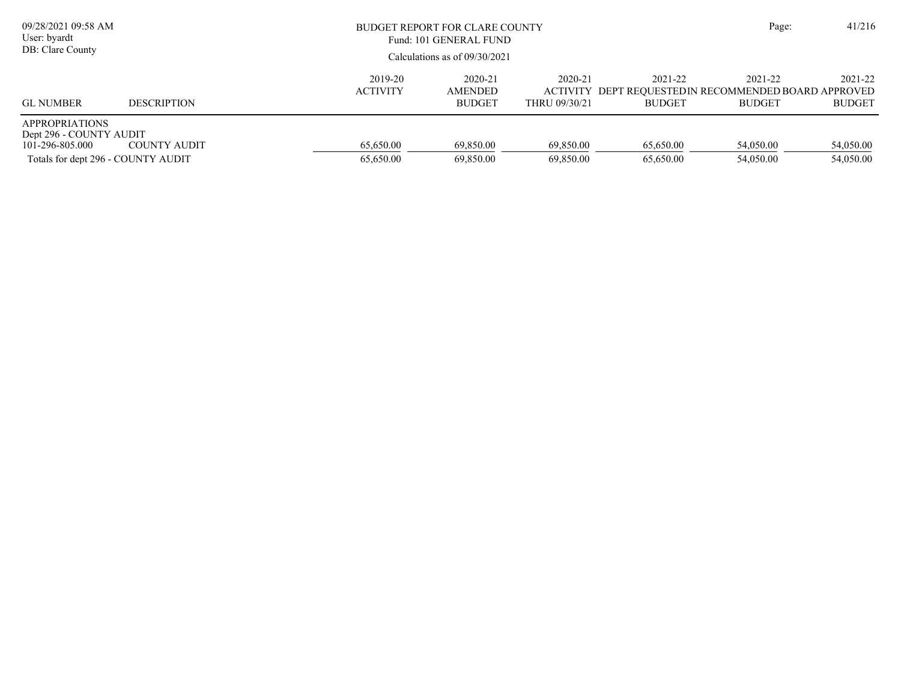| 09/28/2021 09:58 AM<br>User: byardt<br>DB: Clare County                                                   |                    |                            | <b>BUDGET REPORT FOR CLARE COUNTY</b><br>Fund: 101 GENERAL FUND<br>Calculations as of $09/30/2021$ |                          |                          | Page:                                                                            | 41/216                   |
|-----------------------------------------------------------------------------------------------------------|--------------------|----------------------------|----------------------------------------------------------------------------------------------------|--------------------------|--------------------------|----------------------------------------------------------------------------------|--------------------------|
| <b>GL NUMBER</b>                                                                                          | <b>DESCRIPTION</b> | 2019-20<br><b>ACTIVITY</b> | 2020-21<br>AMENDED<br><b>BUDGET</b>                                                                | 2020-21<br>THRU 09/30/21 | 2021-22<br><b>BUDGET</b> | 2021-22<br>ACTIVITY DEPT REQUESTEDIN RECOMMENDED BOARD APPROVED<br><b>BUDGET</b> | 2021-22<br><b>BUDGET</b> |
| <b>APPROPRIATIONS</b><br>Dept 296 - COUNTY AUDIT<br>101-296-805.000<br>Totals for dept 296 - COUNTY AUDIT | COUNTY AUDIT       | 65.650.00<br>65,650.00     | 69,850.00<br>69,850.00                                                                             | 69,850.00<br>69,850.00   | 65,650.00<br>65,650.00   | 54,050.00<br>54,050.00                                                           | 54,050.00<br>54,050.00   |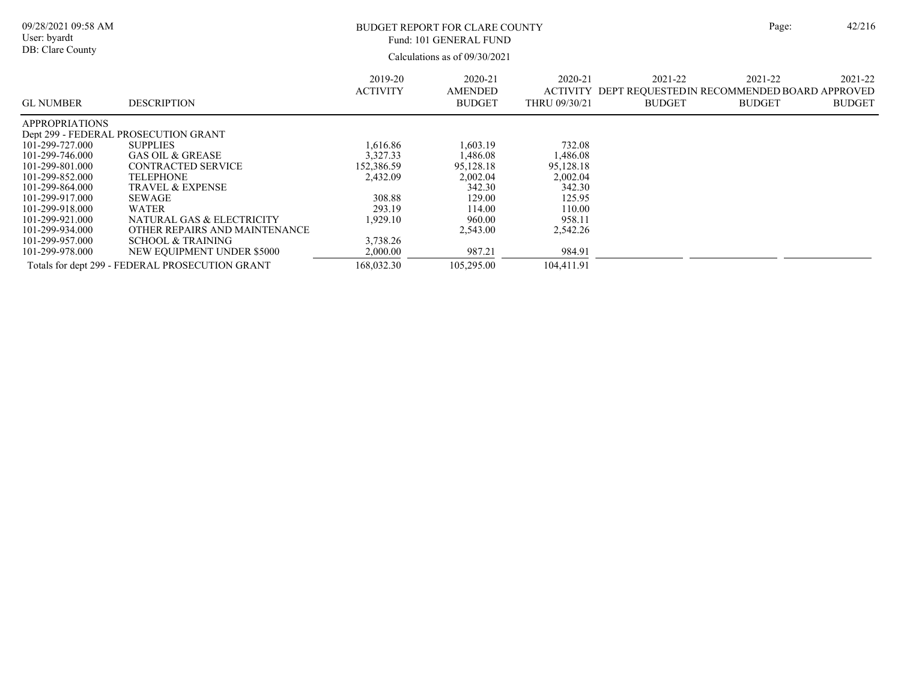| 09/28/2021 09:58 AM<br>User: byardt<br>DB: Clare County                                                                                                                                          |                                                                                                                                                                                                                                                                       |                                                                               | BUDGET REPORT FOR CLARE COUNTY<br>Fund: 101 GENERAL FUND<br>Calculations as of 09/30/2021        |                                                                                                 |                                                                         | Page:                    | 42/216                   |
|--------------------------------------------------------------------------------------------------------------------------------------------------------------------------------------------------|-----------------------------------------------------------------------------------------------------------------------------------------------------------------------------------------------------------------------------------------------------------------------|-------------------------------------------------------------------------------|--------------------------------------------------------------------------------------------------|-------------------------------------------------------------------------------------------------|-------------------------------------------------------------------------|--------------------------|--------------------------|
| <b>GL NUMBER</b>                                                                                                                                                                                 | <b>DESCRIPTION</b>                                                                                                                                                                                                                                                    | 2019-20<br><b>ACTIVITY</b>                                                    | 2020-21<br><b>AMENDED</b><br><b>BUDGET</b>                                                       | 2020-21<br><b>ACTIVITY</b><br>THRU 09/30/21                                                     | 2021-22<br>DEPT REQUESTEDIN RECOMMENDED BOARD APPROVED<br><b>BUDGET</b> | 2021-22<br><b>BUDGET</b> | 2021-22<br><b>BUDGET</b> |
| <b>APPROPRIATIONS</b><br>101-299-727.000<br>101-299-746.000<br>101-299-801.000<br>101-299-852.000<br>101-299-864.000<br>101-299-917.000<br>101-299-918.000<br>101-299-921.000<br>101-299-934.000 | Dept 299 - FEDERAL PROSECUTION GRANT<br><b>SUPPLIES</b><br><b>GAS OIL &amp; GREASE</b><br><b>CONTRACTED SERVICE</b><br><b>TELEPHONE</b><br><b>TRAVEL &amp; EXPENSE</b><br><b>SEWAGE</b><br><b>WATER</b><br>NATURAL GAS & ELECTRICITY<br>OTHER REPAIRS AND MAINTENANCE | 1.616.86<br>3,327.33<br>152,386.59<br>2,432.09<br>308.88<br>293.19<br>929.10. | 1,603.19<br>.486.08<br>95,128.18<br>2,002.04<br>342.30<br>129.00<br>114.00<br>960.00<br>2,543.00 | 732.08<br>1,486.08<br>95,128.18<br>2,002.04<br>342.30<br>125.95<br>110.00<br>958.11<br>2,542.26 |                                                                         |                          |                          |
| 101-299-957.000<br>101-299-978.000                                                                                                                                                               | <b>SCHOOL &amp; TRAINING</b><br>NEW EQUIPMENT UNDER \$5000<br>Totals for dept 299 - FEDERAL PROSECUTION GRANT                                                                                                                                                         | 3,738.26<br>2,000.00<br>168,032.30                                            | 987.21<br>105,295.00                                                                             | 984.91<br>104,411.91                                                                            |                                                                         |                          |                          |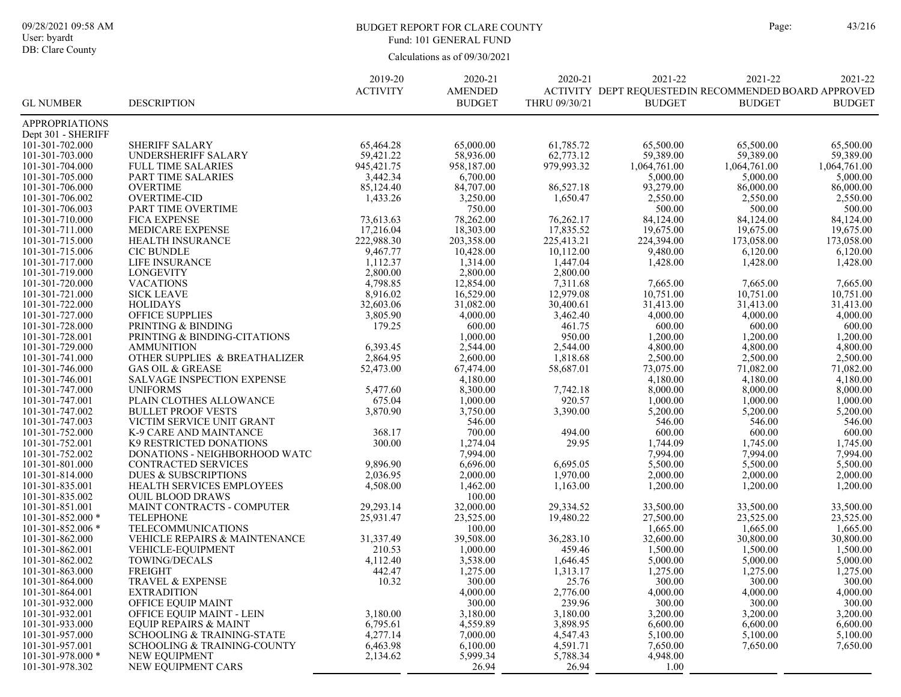DB: Clare County

### BUDGET REPORT FOR CLARE COUNTY Page: 43/216 Fund: 101 GENERAL FUND

| <b>ACTIVITY</b><br>ACTIVITY DEPT REQUESTED IN RECOMMENDED BOARD APPROVED<br><b>AMENDED</b><br><b>GL NUMBER</b><br><b>DESCRIPTION</b><br><b>BUDGET</b><br>THRU 09/30/21<br><b>BUDGET</b><br><b>BUDGET</b><br><b>BUDGET</b><br>APPROPRIATIONS<br>Dept 301 - SHERIFF<br>101-301-702.000<br><b>SHERIFF SALARY</b><br>65,464.28<br>65,000.00<br>61,785.72<br>65,500.00<br>65,500.00<br>65,500.00<br>59,421.22<br>62,773.12<br>59,389.00<br>59,389.00<br>101-301-703.000<br>UNDERSHERIFF SALARY<br>58,936.00<br>59,389.00<br>945, 421.75<br>958,187.00<br>979,993.32<br>1,064,761.00<br>101-301-704.000<br><b>FULL TIME SALARIES</b><br>1,064,761.00<br>1,064,761.00<br>3,442.34<br>6,700.00<br>5,000.00<br>5,000.00<br>5,000.00<br>101-301-705.000<br>PART TIME SALARIES<br>93,279.00<br><b>OVERTIME</b><br>85,124.40<br>84,707.00<br>86,000.00<br>86,000.00<br>101-301-706.000<br>86,527.18<br><b>OVERTIME-CID</b><br>3,250.00<br>2,550.00<br>101-301-706.002<br>1,433.26<br>1,650.47<br>2,550.00<br>2,550.00<br>750.00<br>500.00<br>500.00<br>101-301-706.003<br>PART TIME OVERTIME<br>500.00<br>78,262.00<br>84,124.00<br>84,124.00<br><b>FICA EXPENSE</b><br>73,613.63<br>76,262.17<br>84,124.00<br>101-301-710.000<br>17,216.04<br>18,303.00<br>17,835.52<br>19,675.00<br>19,675.00<br>19,675.00<br>101-301-711.000<br>MEDICARE EXPENSE<br>222,988.30<br>203,358.00<br>225,413.21<br>224,394.00<br>173,058.00<br>HEALTH INSURANCE<br>173,058.00<br>101-301-715.000<br>10,112.00<br>101-301-715.006<br><b>CIC BUNDLE</b><br>9,467.77<br>10,428.00<br>9,480.00<br>6,120.00<br>6,120.00<br>LIFE INSURANCE<br>1,112.37<br>1,314.00<br>1,447.04<br>1,428.00<br>101-301-717.000<br>1,428.00<br>1,428.00<br>2,800.00<br>2,800.00<br>2,800.00<br>101-301-719.000<br><b>LONGEVITY</b><br>12,854.00<br>7,311.68<br><b>VACATIONS</b><br>4,798.85<br>7,665.00<br>101-301-720.000<br>7,665.00<br>7,665.00<br>12,979.08<br>8,916.02<br>16,529.00<br>10,751.00<br>10,751.00<br>10,751.00<br>101-301-721.000<br><b>SICK LEAVE</b><br><b>HOLIDAYS</b><br>32,603.06<br>31,082.00<br>30,400.61<br>31,413.00<br>31,413.00<br>31,413.00<br>101-301-722.000<br>OFFICE SUPPLIES<br>4,000.00<br>3,462.40<br>4,000.00<br>101-301-727.000<br>3,805.90<br>4,000.00<br>4,000.00<br>179.25<br>600.00<br>600.00<br>600.00<br>101-301-728.000<br>PRINTING & BINDING<br>461.75<br>600.00<br>1,000.00<br>950.00<br>1,200.00<br>101-301-728.001<br>PRINTING & BINDING-CITATIONS<br>1,200.00<br>1,200.00<br>2,544.00<br>2,544.00<br>4,800.00<br>101-301-729.000<br><b>AMMUNITION</b><br>6,393.45<br>4,800.00<br>4,800.00<br>OTHER SUPPLIES & BREATHALIZER<br>2,864.95<br>2,600.00<br>1,818.68<br>2,500.00<br>2,500.00<br>2,500.00<br>101-301-741.000<br>67,474.00<br>73,075.00<br>71,082.00<br>101-301-746.000<br><b>GAS OIL &amp; GREASE</b><br>52,473.00<br>58.687.01<br>71,082.00<br>4,180.00<br>SALVAGE INSPECTION EXPENSE<br>4,180.00<br>4,180.00<br>4,180.00<br>101-301-746.001<br>8,300.00<br>8,000.00<br>8,000.00<br>101-301-747.000<br><b>UNIFORMS</b><br>5,477.60<br>7,742.18<br>8,000.00<br>675.04<br>1,000.00<br>920.57<br>1,000.00<br>1,000.00<br>1,000.00<br>101-301-747.001<br>PLAIN CLOTHES ALLOWANCE<br>3,750.00<br>3,390.00<br>101-301-747.002<br><b>BULLET PROOF VESTS</b><br>3,870.90<br>5,200.00<br>5,200.00<br>5,200.00<br>VICTIM SERVICE UNIT GRANT<br>546.00<br>101-301-747.003<br>546.00<br>546.00<br>546.00<br>700.00<br>101-301-752.000<br>K-9 CARE AND MAINTANCE<br>368.17<br>494.00<br>600.00<br>600.00<br>600.00<br>300.00<br>1,274.04<br>29.95<br>1,744.09<br>1,745.00<br>1,745.00<br>101-301-752.001<br>K9 RESTRICTED DONATIONS<br>7,994.00<br>7,994.00<br>7,994.00<br>101-301-752.002<br>DONATIONS - NEIGHBORHOOD WATC<br>7,994.00<br>6,696.00<br>5,500.00<br>5,500.00<br>5,500.00<br>101-301-801.000<br>CONTRACTED SERVICES<br>9,896.90<br>6,695.05<br><b>DUES &amp; SUBSCRIPTIONS</b><br>2,000.00<br>1,970.00<br>2,000.00<br>2,000.00<br>101-301-814.000<br>2,036.95<br>2,000.00<br>1,462.00<br>HEALTH SERVICES EMPLOYEES<br>4,508.00<br>1,163.00<br>1,200.00<br>1,200.00<br>1,200.00<br>101-301-835.001<br>100.00<br>101-301-835.002<br><b>OUIL BLOOD DRAWS</b><br>29,293.14<br>32,000.00<br>33,500.00<br>101-301-851.001<br>MAINT CONTRACTS - COMPUTER<br>29,334.52<br>33,500.00<br>33,500.00<br><b>TELEPHONE</b><br>23,525.00<br>101-301-852.000 *<br>25,931.47<br>19,480.22<br>27,500.00<br>23,525.00<br>23,525.00<br>101-301-852.006 *<br><b>TELECOMMUNICATIONS</b><br>100.00<br>1,665.00<br>1,665.00<br>1,665.00<br>39,508.00<br>32,600.00<br>30,800.00<br>30,800.00<br>101-301-862.000<br>VEHICLE REPAIRS & MAINTENANCE<br>31,337.49<br>36,283.10<br>459.46<br>1,500.00<br>1,500.00<br>101-301-862.001<br>VEHICLE-EOUIPMENT<br>210.53<br>1,000.00<br>1,500.00<br>4,112.40<br>3,538.00<br>1,646.45<br>101-301-862.002<br>TOWING/DECALS<br>5,000.00<br>5,000.00<br>5,000.00<br><b>FREIGHT</b><br>442.47<br>1,275.00<br>101-301-863.000<br>1,275.00<br>1,313.17<br>1,275.00<br>1,275.00<br>10.32<br>TRAVEL & EXPENSE<br>300.00<br>25.76<br>300.00<br>300.00<br>300.00<br>101-301-864.000<br>101-301-864.001<br><b>EXTRADITION</b><br>4,000.00<br>2,776.00<br>4,000.00<br>4,000.00<br>4,000.00<br>101-301-932.000<br>OFFICE EQUIP MAINT<br>300.00<br>239.96<br>300.00<br>300.00<br>300.00<br>3,180.00<br>101-301-932.001<br>OFFICE EQUIP MAINT - LEIN<br>3,180.00<br>3,180.00<br>3,200.00<br>3,200.00<br>3,200.00<br>3,898.95<br>101-301-933.000<br>6,795.61<br>4,559.89<br>6,600.00<br>6.600.00<br>EQUIP REPAIRS & MAINT<br>6,600.00<br>4,277.14<br>4,547.43<br>101-301-957.000<br><b>SCHOOLING &amp; TRAINING-STATE</b><br>7,000.00<br>5,100.00<br>5,100.00<br>5,100.00<br>6,100.00<br>4,591.71<br>101-301-957.001<br><b>SCHOOLING &amp; TRAINING-COUNTY</b><br>6,463.98<br>7,650.00<br>7,650.00<br>7,650.00<br>5,999.34<br>5,788.34<br>101-301-978.000 *<br>NEW EQUIPMENT<br>2,134.62<br>4,948.00<br>26.94<br>26.94<br>101-301-978.302<br>NEW EQUIPMENT CARS<br>1.00 |  | 2019-20 | 2020-21 | 2020-21 | 2021-22 | 2021-22 | 2021-22 |
|----------------------------------------------------------------------------------------------------------------------------------------------------------------------------------------------------------------------------------------------------------------------------------------------------------------------------------------------------------------------------------------------------------------------------------------------------------------------------------------------------------------------------------------------------------------------------------------------------------------------------------------------------------------------------------------------------------------------------------------------------------------------------------------------------------------------------------------------------------------------------------------------------------------------------------------------------------------------------------------------------------------------------------------------------------------------------------------------------------------------------------------------------------------------------------------------------------------------------------------------------------------------------------------------------------------------------------------------------------------------------------------------------------------------------------------------------------------------------------------------------------------------------------------------------------------------------------------------------------------------------------------------------------------------------------------------------------------------------------------------------------------------------------------------------------------------------------------------------------------------------------------------------------------------------------------------------------------------------------------------------------------------------------------------------------------------------------------------------------------------------------------------------------------------------------------------------------------------------------------------------------------------------------------------------------------------------------------------------------------------------------------------------------------------------------------------------------------------------------------------------------------------------------------------------------------------------------------------------------------------------------------------------------------------------------------------------------------------------------------------------------------------------------------------------------------------------------------------------------------------------------------------------------------------------------------------------------------------------------------------------------------------------------------------------------------------------------------------------------------------------------------------------------------------------------------------------------------------------------------------------------------------------------------------------------------------------------------------------------------------------------------------------------------------------------------------------------------------------------------------------------------------------------------------------------------------------------------------------------------------------------------------------------------------------------------------------------------------------------------------------------------------------------------------------------------------------------------------------------------------------------------------------------------------------------------------------------------------------------------------------------------------------------------------------------------------------------------------------------------------------------------------------------------------------------------------------------------------------------------------------------------------------------------------------------------------------------------------------------------------------------------------------------------------------------------------------------------------------------------------------------------------------------------------------------------------------------------------------------------------------------------------------------------------------------------------------------------------------------------------------------------------------------------------------------------------------------------------------------------------------------------------------------------------------------------------------------------------------------------------------------------------------------------------------------------------------------------------------------------------------------------------------------------------------------------------------------------------------------------------------------------------------------------------------------------------------------------------------------------------------------------------------------------------------------------------------------------------------------------------------------------------------------------------------------------------------------------------------------------------------------------------------------------------------------------------------------------------------------------------------------------------------------------------------------------------------------------------------------------------------------------------------------------------------------------------------------------------------|--|---------|---------|---------|---------|---------|---------|
|                                                                                                                                                                                                                                                                                                                                                                                                                                                                                                                                                                                                                                                                                                                                                                                                                                                                                                                                                                                                                                                                                                                                                                                                                                                                                                                                                                                                                                                                                                                                                                                                                                                                                                                                                                                                                                                                                                                                                                                                                                                                                                                                                                                                                                                                                                                                                                                                                                                                                                                                                                                                                                                                                                                                                                                                                                                                                                                                                                                                                                                                                                                                                                                                                                                                                                                                                                                                                                                                                                                                                                                                                                                                                                                                                                                                                                                                                                                                                                                                                                                                                                                                                                                                                                                                                                                                                                                                                                                                                                                                                                                                                                                                                                                                                                                                                                                                                                                                                                                                                                                                                                                                                                                                                                                                                                                                                                                                                                                                                                                                                                                                                                                                                                                                                                                                                                                                                                                                                                            |  |         |         |         |         |         |         |
|                                                                                                                                                                                                                                                                                                                                                                                                                                                                                                                                                                                                                                                                                                                                                                                                                                                                                                                                                                                                                                                                                                                                                                                                                                                                                                                                                                                                                                                                                                                                                                                                                                                                                                                                                                                                                                                                                                                                                                                                                                                                                                                                                                                                                                                                                                                                                                                                                                                                                                                                                                                                                                                                                                                                                                                                                                                                                                                                                                                                                                                                                                                                                                                                                                                                                                                                                                                                                                                                                                                                                                                                                                                                                                                                                                                                                                                                                                                                                                                                                                                                                                                                                                                                                                                                                                                                                                                                                                                                                                                                                                                                                                                                                                                                                                                                                                                                                                                                                                                                                                                                                                                                                                                                                                                                                                                                                                                                                                                                                                                                                                                                                                                                                                                                                                                                                                                                                                                                                                            |  |         |         |         |         |         |         |
|                                                                                                                                                                                                                                                                                                                                                                                                                                                                                                                                                                                                                                                                                                                                                                                                                                                                                                                                                                                                                                                                                                                                                                                                                                                                                                                                                                                                                                                                                                                                                                                                                                                                                                                                                                                                                                                                                                                                                                                                                                                                                                                                                                                                                                                                                                                                                                                                                                                                                                                                                                                                                                                                                                                                                                                                                                                                                                                                                                                                                                                                                                                                                                                                                                                                                                                                                                                                                                                                                                                                                                                                                                                                                                                                                                                                                                                                                                                                                                                                                                                                                                                                                                                                                                                                                                                                                                                                                                                                                                                                                                                                                                                                                                                                                                                                                                                                                                                                                                                                                                                                                                                                                                                                                                                                                                                                                                                                                                                                                                                                                                                                                                                                                                                                                                                                                                                                                                                                                                            |  |         |         |         |         |         |         |
|                                                                                                                                                                                                                                                                                                                                                                                                                                                                                                                                                                                                                                                                                                                                                                                                                                                                                                                                                                                                                                                                                                                                                                                                                                                                                                                                                                                                                                                                                                                                                                                                                                                                                                                                                                                                                                                                                                                                                                                                                                                                                                                                                                                                                                                                                                                                                                                                                                                                                                                                                                                                                                                                                                                                                                                                                                                                                                                                                                                                                                                                                                                                                                                                                                                                                                                                                                                                                                                                                                                                                                                                                                                                                                                                                                                                                                                                                                                                                                                                                                                                                                                                                                                                                                                                                                                                                                                                                                                                                                                                                                                                                                                                                                                                                                                                                                                                                                                                                                                                                                                                                                                                                                                                                                                                                                                                                                                                                                                                                                                                                                                                                                                                                                                                                                                                                                                                                                                                                                            |  |         |         |         |         |         |         |
|                                                                                                                                                                                                                                                                                                                                                                                                                                                                                                                                                                                                                                                                                                                                                                                                                                                                                                                                                                                                                                                                                                                                                                                                                                                                                                                                                                                                                                                                                                                                                                                                                                                                                                                                                                                                                                                                                                                                                                                                                                                                                                                                                                                                                                                                                                                                                                                                                                                                                                                                                                                                                                                                                                                                                                                                                                                                                                                                                                                                                                                                                                                                                                                                                                                                                                                                                                                                                                                                                                                                                                                                                                                                                                                                                                                                                                                                                                                                                                                                                                                                                                                                                                                                                                                                                                                                                                                                                                                                                                                                                                                                                                                                                                                                                                                                                                                                                                                                                                                                                                                                                                                                                                                                                                                                                                                                                                                                                                                                                                                                                                                                                                                                                                                                                                                                                                                                                                                                                                            |  |         |         |         |         |         |         |
|                                                                                                                                                                                                                                                                                                                                                                                                                                                                                                                                                                                                                                                                                                                                                                                                                                                                                                                                                                                                                                                                                                                                                                                                                                                                                                                                                                                                                                                                                                                                                                                                                                                                                                                                                                                                                                                                                                                                                                                                                                                                                                                                                                                                                                                                                                                                                                                                                                                                                                                                                                                                                                                                                                                                                                                                                                                                                                                                                                                                                                                                                                                                                                                                                                                                                                                                                                                                                                                                                                                                                                                                                                                                                                                                                                                                                                                                                                                                                                                                                                                                                                                                                                                                                                                                                                                                                                                                                                                                                                                                                                                                                                                                                                                                                                                                                                                                                                                                                                                                                                                                                                                                                                                                                                                                                                                                                                                                                                                                                                                                                                                                                                                                                                                                                                                                                                                                                                                                                                            |  |         |         |         |         |         |         |
|                                                                                                                                                                                                                                                                                                                                                                                                                                                                                                                                                                                                                                                                                                                                                                                                                                                                                                                                                                                                                                                                                                                                                                                                                                                                                                                                                                                                                                                                                                                                                                                                                                                                                                                                                                                                                                                                                                                                                                                                                                                                                                                                                                                                                                                                                                                                                                                                                                                                                                                                                                                                                                                                                                                                                                                                                                                                                                                                                                                                                                                                                                                                                                                                                                                                                                                                                                                                                                                                                                                                                                                                                                                                                                                                                                                                                                                                                                                                                                                                                                                                                                                                                                                                                                                                                                                                                                                                                                                                                                                                                                                                                                                                                                                                                                                                                                                                                                                                                                                                                                                                                                                                                                                                                                                                                                                                                                                                                                                                                                                                                                                                                                                                                                                                                                                                                                                                                                                                                                            |  |         |         |         |         |         |         |
|                                                                                                                                                                                                                                                                                                                                                                                                                                                                                                                                                                                                                                                                                                                                                                                                                                                                                                                                                                                                                                                                                                                                                                                                                                                                                                                                                                                                                                                                                                                                                                                                                                                                                                                                                                                                                                                                                                                                                                                                                                                                                                                                                                                                                                                                                                                                                                                                                                                                                                                                                                                                                                                                                                                                                                                                                                                                                                                                                                                                                                                                                                                                                                                                                                                                                                                                                                                                                                                                                                                                                                                                                                                                                                                                                                                                                                                                                                                                                                                                                                                                                                                                                                                                                                                                                                                                                                                                                                                                                                                                                                                                                                                                                                                                                                                                                                                                                                                                                                                                                                                                                                                                                                                                                                                                                                                                                                                                                                                                                                                                                                                                                                                                                                                                                                                                                                                                                                                                                                            |  |         |         |         |         |         |         |
|                                                                                                                                                                                                                                                                                                                                                                                                                                                                                                                                                                                                                                                                                                                                                                                                                                                                                                                                                                                                                                                                                                                                                                                                                                                                                                                                                                                                                                                                                                                                                                                                                                                                                                                                                                                                                                                                                                                                                                                                                                                                                                                                                                                                                                                                                                                                                                                                                                                                                                                                                                                                                                                                                                                                                                                                                                                                                                                                                                                                                                                                                                                                                                                                                                                                                                                                                                                                                                                                                                                                                                                                                                                                                                                                                                                                                                                                                                                                                                                                                                                                                                                                                                                                                                                                                                                                                                                                                                                                                                                                                                                                                                                                                                                                                                                                                                                                                                                                                                                                                                                                                                                                                                                                                                                                                                                                                                                                                                                                                                                                                                                                                                                                                                                                                                                                                                                                                                                                                                            |  |         |         |         |         |         |         |
|                                                                                                                                                                                                                                                                                                                                                                                                                                                                                                                                                                                                                                                                                                                                                                                                                                                                                                                                                                                                                                                                                                                                                                                                                                                                                                                                                                                                                                                                                                                                                                                                                                                                                                                                                                                                                                                                                                                                                                                                                                                                                                                                                                                                                                                                                                                                                                                                                                                                                                                                                                                                                                                                                                                                                                                                                                                                                                                                                                                                                                                                                                                                                                                                                                                                                                                                                                                                                                                                                                                                                                                                                                                                                                                                                                                                                                                                                                                                                                                                                                                                                                                                                                                                                                                                                                                                                                                                                                                                                                                                                                                                                                                                                                                                                                                                                                                                                                                                                                                                                                                                                                                                                                                                                                                                                                                                                                                                                                                                                                                                                                                                                                                                                                                                                                                                                                                                                                                                                                            |  |         |         |         |         |         |         |
|                                                                                                                                                                                                                                                                                                                                                                                                                                                                                                                                                                                                                                                                                                                                                                                                                                                                                                                                                                                                                                                                                                                                                                                                                                                                                                                                                                                                                                                                                                                                                                                                                                                                                                                                                                                                                                                                                                                                                                                                                                                                                                                                                                                                                                                                                                                                                                                                                                                                                                                                                                                                                                                                                                                                                                                                                                                                                                                                                                                                                                                                                                                                                                                                                                                                                                                                                                                                                                                                                                                                                                                                                                                                                                                                                                                                                                                                                                                                                                                                                                                                                                                                                                                                                                                                                                                                                                                                                                                                                                                                                                                                                                                                                                                                                                                                                                                                                                                                                                                                                                                                                                                                                                                                                                                                                                                                                                                                                                                                                                                                                                                                                                                                                                                                                                                                                                                                                                                                                                            |  |         |         |         |         |         |         |
|                                                                                                                                                                                                                                                                                                                                                                                                                                                                                                                                                                                                                                                                                                                                                                                                                                                                                                                                                                                                                                                                                                                                                                                                                                                                                                                                                                                                                                                                                                                                                                                                                                                                                                                                                                                                                                                                                                                                                                                                                                                                                                                                                                                                                                                                                                                                                                                                                                                                                                                                                                                                                                                                                                                                                                                                                                                                                                                                                                                                                                                                                                                                                                                                                                                                                                                                                                                                                                                                                                                                                                                                                                                                                                                                                                                                                                                                                                                                                                                                                                                                                                                                                                                                                                                                                                                                                                                                                                                                                                                                                                                                                                                                                                                                                                                                                                                                                                                                                                                                                                                                                                                                                                                                                                                                                                                                                                                                                                                                                                                                                                                                                                                                                                                                                                                                                                                                                                                                                                            |  |         |         |         |         |         |         |
|                                                                                                                                                                                                                                                                                                                                                                                                                                                                                                                                                                                                                                                                                                                                                                                                                                                                                                                                                                                                                                                                                                                                                                                                                                                                                                                                                                                                                                                                                                                                                                                                                                                                                                                                                                                                                                                                                                                                                                                                                                                                                                                                                                                                                                                                                                                                                                                                                                                                                                                                                                                                                                                                                                                                                                                                                                                                                                                                                                                                                                                                                                                                                                                                                                                                                                                                                                                                                                                                                                                                                                                                                                                                                                                                                                                                                                                                                                                                                                                                                                                                                                                                                                                                                                                                                                                                                                                                                                                                                                                                                                                                                                                                                                                                                                                                                                                                                                                                                                                                                                                                                                                                                                                                                                                                                                                                                                                                                                                                                                                                                                                                                                                                                                                                                                                                                                                                                                                                                                            |  |         |         |         |         |         |         |
|                                                                                                                                                                                                                                                                                                                                                                                                                                                                                                                                                                                                                                                                                                                                                                                                                                                                                                                                                                                                                                                                                                                                                                                                                                                                                                                                                                                                                                                                                                                                                                                                                                                                                                                                                                                                                                                                                                                                                                                                                                                                                                                                                                                                                                                                                                                                                                                                                                                                                                                                                                                                                                                                                                                                                                                                                                                                                                                                                                                                                                                                                                                                                                                                                                                                                                                                                                                                                                                                                                                                                                                                                                                                                                                                                                                                                                                                                                                                                                                                                                                                                                                                                                                                                                                                                                                                                                                                                                                                                                                                                                                                                                                                                                                                                                                                                                                                                                                                                                                                                                                                                                                                                                                                                                                                                                                                                                                                                                                                                                                                                                                                                                                                                                                                                                                                                                                                                                                                                                            |  |         |         |         |         |         |         |
|                                                                                                                                                                                                                                                                                                                                                                                                                                                                                                                                                                                                                                                                                                                                                                                                                                                                                                                                                                                                                                                                                                                                                                                                                                                                                                                                                                                                                                                                                                                                                                                                                                                                                                                                                                                                                                                                                                                                                                                                                                                                                                                                                                                                                                                                                                                                                                                                                                                                                                                                                                                                                                                                                                                                                                                                                                                                                                                                                                                                                                                                                                                                                                                                                                                                                                                                                                                                                                                                                                                                                                                                                                                                                                                                                                                                                                                                                                                                                                                                                                                                                                                                                                                                                                                                                                                                                                                                                                                                                                                                                                                                                                                                                                                                                                                                                                                                                                                                                                                                                                                                                                                                                                                                                                                                                                                                                                                                                                                                                                                                                                                                                                                                                                                                                                                                                                                                                                                                                                            |  |         |         |         |         |         |         |
|                                                                                                                                                                                                                                                                                                                                                                                                                                                                                                                                                                                                                                                                                                                                                                                                                                                                                                                                                                                                                                                                                                                                                                                                                                                                                                                                                                                                                                                                                                                                                                                                                                                                                                                                                                                                                                                                                                                                                                                                                                                                                                                                                                                                                                                                                                                                                                                                                                                                                                                                                                                                                                                                                                                                                                                                                                                                                                                                                                                                                                                                                                                                                                                                                                                                                                                                                                                                                                                                                                                                                                                                                                                                                                                                                                                                                                                                                                                                                                                                                                                                                                                                                                                                                                                                                                                                                                                                                                                                                                                                                                                                                                                                                                                                                                                                                                                                                                                                                                                                                                                                                                                                                                                                                                                                                                                                                                                                                                                                                                                                                                                                                                                                                                                                                                                                                                                                                                                                                                            |  |         |         |         |         |         |         |
|                                                                                                                                                                                                                                                                                                                                                                                                                                                                                                                                                                                                                                                                                                                                                                                                                                                                                                                                                                                                                                                                                                                                                                                                                                                                                                                                                                                                                                                                                                                                                                                                                                                                                                                                                                                                                                                                                                                                                                                                                                                                                                                                                                                                                                                                                                                                                                                                                                                                                                                                                                                                                                                                                                                                                                                                                                                                                                                                                                                                                                                                                                                                                                                                                                                                                                                                                                                                                                                                                                                                                                                                                                                                                                                                                                                                                                                                                                                                                                                                                                                                                                                                                                                                                                                                                                                                                                                                                                                                                                                                                                                                                                                                                                                                                                                                                                                                                                                                                                                                                                                                                                                                                                                                                                                                                                                                                                                                                                                                                                                                                                                                                                                                                                                                                                                                                                                                                                                                                                            |  |         |         |         |         |         |         |
|                                                                                                                                                                                                                                                                                                                                                                                                                                                                                                                                                                                                                                                                                                                                                                                                                                                                                                                                                                                                                                                                                                                                                                                                                                                                                                                                                                                                                                                                                                                                                                                                                                                                                                                                                                                                                                                                                                                                                                                                                                                                                                                                                                                                                                                                                                                                                                                                                                                                                                                                                                                                                                                                                                                                                                                                                                                                                                                                                                                                                                                                                                                                                                                                                                                                                                                                                                                                                                                                                                                                                                                                                                                                                                                                                                                                                                                                                                                                                                                                                                                                                                                                                                                                                                                                                                                                                                                                                                                                                                                                                                                                                                                                                                                                                                                                                                                                                                                                                                                                                                                                                                                                                                                                                                                                                                                                                                                                                                                                                                                                                                                                                                                                                                                                                                                                                                                                                                                                                                            |  |         |         |         |         |         |         |
|                                                                                                                                                                                                                                                                                                                                                                                                                                                                                                                                                                                                                                                                                                                                                                                                                                                                                                                                                                                                                                                                                                                                                                                                                                                                                                                                                                                                                                                                                                                                                                                                                                                                                                                                                                                                                                                                                                                                                                                                                                                                                                                                                                                                                                                                                                                                                                                                                                                                                                                                                                                                                                                                                                                                                                                                                                                                                                                                                                                                                                                                                                                                                                                                                                                                                                                                                                                                                                                                                                                                                                                                                                                                                                                                                                                                                                                                                                                                                                                                                                                                                                                                                                                                                                                                                                                                                                                                                                                                                                                                                                                                                                                                                                                                                                                                                                                                                                                                                                                                                                                                                                                                                                                                                                                                                                                                                                                                                                                                                                                                                                                                                                                                                                                                                                                                                                                                                                                                                                            |  |         |         |         |         |         |         |
|                                                                                                                                                                                                                                                                                                                                                                                                                                                                                                                                                                                                                                                                                                                                                                                                                                                                                                                                                                                                                                                                                                                                                                                                                                                                                                                                                                                                                                                                                                                                                                                                                                                                                                                                                                                                                                                                                                                                                                                                                                                                                                                                                                                                                                                                                                                                                                                                                                                                                                                                                                                                                                                                                                                                                                                                                                                                                                                                                                                                                                                                                                                                                                                                                                                                                                                                                                                                                                                                                                                                                                                                                                                                                                                                                                                                                                                                                                                                                                                                                                                                                                                                                                                                                                                                                                                                                                                                                                                                                                                                                                                                                                                                                                                                                                                                                                                                                                                                                                                                                                                                                                                                                                                                                                                                                                                                                                                                                                                                                                                                                                                                                                                                                                                                                                                                                                                                                                                                                                            |  |         |         |         |         |         |         |
|                                                                                                                                                                                                                                                                                                                                                                                                                                                                                                                                                                                                                                                                                                                                                                                                                                                                                                                                                                                                                                                                                                                                                                                                                                                                                                                                                                                                                                                                                                                                                                                                                                                                                                                                                                                                                                                                                                                                                                                                                                                                                                                                                                                                                                                                                                                                                                                                                                                                                                                                                                                                                                                                                                                                                                                                                                                                                                                                                                                                                                                                                                                                                                                                                                                                                                                                                                                                                                                                                                                                                                                                                                                                                                                                                                                                                                                                                                                                                                                                                                                                                                                                                                                                                                                                                                                                                                                                                                                                                                                                                                                                                                                                                                                                                                                                                                                                                                                                                                                                                                                                                                                                                                                                                                                                                                                                                                                                                                                                                                                                                                                                                                                                                                                                                                                                                                                                                                                                                                            |  |         |         |         |         |         |         |
|                                                                                                                                                                                                                                                                                                                                                                                                                                                                                                                                                                                                                                                                                                                                                                                                                                                                                                                                                                                                                                                                                                                                                                                                                                                                                                                                                                                                                                                                                                                                                                                                                                                                                                                                                                                                                                                                                                                                                                                                                                                                                                                                                                                                                                                                                                                                                                                                                                                                                                                                                                                                                                                                                                                                                                                                                                                                                                                                                                                                                                                                                                                                                                                                                                                                                                                                                                                                                                                                                                                                                                                                                                                                                                                                                                                                                                                                                                                                                                                                                                                                                                                                                                                                                                                                                                                                                                                                                                                                                                                                                                                                                                                                                                                                                                                                                                                                                                                                                                                                                                                                                                                                                                                                                                                                                                                                                                                                                                                                                                                                                                                                                                                                                                                                                                                                                                                                                                                                                                            |  |         |         |         |         |         |         |
|                                                                                                                                                                                                                                                                                                                                                                                                                                                                                                                                                                                                                                                                                                                                                                                                                                                                                                                                                                                                                                                                                                                                                                                                                                                                                                                                                                                                                                                                                                                                                                                                                                                                                                                                                                                                                                                                                                                                                                                                                                                                                                                                                                                                                                                                                                                                                                                                                                                                                                                                                                                                                                                                                                                                                                                                                                                                                                                                                                                                                                                                                                                                                                                                                                                                                                                                                                                                                                                                                                                                                                                                                                                                                                                                                                                                                                                                                                                                                                                                                                                                                                                                                                                                                                                                                                                                                                                                                                                                                                                                                                                                                                                                                                                                                                                                                                                                                                                                                                                                                                                                                                                                                                                                                                                                                                                                                                                                                                                                                                                                                                                                                                                                                                                                                                                                                                                                                                                                                                            |  |         |         |         |         |         |         |
|                                                                                                                                                                                                                                                                                                                                                                                                                                                                                                                                                                                                                                                                                                                                                                                                                                                                                                                                                                                                                                                                                                                                                                                                                                                                                                                                                                                                                                                                                                                                                                                                                                                                                                                                                                                                                                                                                                                                                                                                                                                                                                                                                                                                                                                                                                                                                                                                                                                                                                                                                                                                                                                                                                                                                                                                                                                                                                                                                                                                                                                                                                                                                                                                                                                                                                                                                                                                                                                                                                                                                                                                                                                                                                                                                                                                                                                                                                                                                                                                                                                                                                                                                                                                                                                                                                                                                                                                                                                                                                                                                                                                                                                                                                                                                                                                                                                                                                                                                                                                                                                                                                                                                                                                                                                                                                                                                                                                                                                                                                                                                                                                                                                                                                                                                                                                                                                                                                                                                                            |  |         |         |         |         |         |         |
|                                                                                                                                                                                                                                                                                                                                                                                                                                                                                                                                                                                                                                                                                                                                                                                                                                                                                                                                                                                                                                                                                                                                                                                                                                                                                                                                                                                                                                                                                                                                                                                                                                                                                                                                                                                                                                                                                                                                                                                                                                                                                                                                                                                                                                                                                                                                                                                                                                                                                                                                                                                                                                                                                                                                                                                                                                                                                                                                                                                                                                                                                                                                                                                                                                                                                                                                                                                                                                                                                                                                                                                                                                                                                                                                                                                                                                                                                                                                                                                                                                                                                                                                                                                                                                                                                                                                                                                                                                                                                                                                                                                                                                                                                                                                                                                                                                                                                                                                                                                                                                                                                                                                                                                                                                                                                                                                                                                                                                                                                                                                                                                                                                                                                                                                                                                                                                                                                                                                                                            |  |         |         |         |         |         |         |
|                                                                                                                                                                                                                                                                                                                                                                                                                                                                                                                                                                                                                                                                                                                                                                                                                                                                                                                                                                                                                                                                                                                                                                                                                                                                                                                                                                                                                                                                                                                                                                                                                                                                                                                                                                                                                                                                                                                                                                                                                                                                                                                                                                                                                                                                                                                                                                                                                                                                                                                                                                                                                                                                                                                                                                                                                                                                                                                                                                                                                                                                                                                                                                                                                                                                                                                                                                                                                                                                                                                                                                                                                                                                                                                                                                                                                                                                                                                                                                                                                                                                                                                                                                                                                                                                                                                                                                                                                                                                                                                                                                                                                                                                                                                                                                                                                                                                                                                                                                                                                                                                                                                                                                                                                                                                                                                                                                                                                                                                                                                                                                                                                                                                                                                                                                                                                                                                                                                                                                            |  |         |         |         |         |         |         |
|                                                                                                                                                                                                                                                                                                                                                                                                                                                                                                                                                                                                                                                                                                                                                                                                                                                                                                                                                                                                                                                                                                                                                                                                                                                                                                                                                                                                                                                                                                                                                                                                                                                                                                                                                                                                                                                                                                                                                                                                                                                                                                                                                                                                                                                                                                                                                                                                                                                                                                                                                                                                                                                                                                                                                                                                                                                                                                                                                                                                                                                                                                                                                                                                                                                                                                                                                                                                                                                                                                                                                                                                                                                                                                                                                                                                                                                                                                                                                                                                                                                                                                                                                                                                                                                                                                                                                                                                                                                                                                                                                                                                                                                                                                                                                                                                                                                                                                                                                                                                                                                                                                                                                                                                                                                                                                                                                                                                                                                                                                                                                                                                                                                                                                                                                                                                                                                                                                                                                                            |  |         |         |         |         |         |         |
|                                                                                                                                                                                                                                                                                                                                                                                                                                                                                                                                                                                                                                                                                                                                                                                                                                                                                                                                                                                                                                                                                                                                                                                                                                                                                                                                                                                                                                                                                                                                                                                                                                                                                                                                                                                                                                                                                                                                                                                                                                                                                                                                                                                                                                                                                                                                                                                                                                                                                                                                                                                                                                                                                                                                                                                                                                                                                                                                                                                                                                                                                                                                                                                                                                                                                                                                                                                                                                                                                                                                                                                                                                                                                                                                                                                                                                                                                                                                                                                                                                                                                                                                                                                                                                                                                                                                                                                                                                                                                                                                                                                                                                                                                                                                                                                                                                                                                                                                                                                                                                                                                                                                                                                                                                                                                                                                                                                                                                                                                                                                                                                                                                                                                                                                                                                                                                                                                                                                                                            |  |         |         |         |         |         |         |
|                                                                                                                                                                                                                                                                                                                                                                                                                                                                                                                                                                                                                                                                                                                                                                                                                                                                                                                                                                                                                                                                                                                                                                                                                                                                                                                                                                                                                                                                                                                                                                                                                                                                                                                                                                                                                                                                                                                                                                                                                                                                                                                                                                                                                                                                                                                                                                                                                                                                                                                                                                                                                                                                                                                                                                                                                                                                                                                                                                                                                                                                                                                                                                                                                                                                                                                                                                                                                                                                                                                                                                                                                                                                                                                                                                                                                                                                                                                                                                                                                                                                                                                                                                                                                                                                                                                                                                                                                                                                                                                                                                                                                                                                                                                                                                                                                                                                                                                                                                                                                                                                                                                                                                                                                                                                                                                                                                                                                                                                                                                                                                                                                                                                                                                                                                                                                                                                                                                                                                            |  |         |         |         |         |         |         |
|                                                                                                                                                                                                                                                                                                                                                                                                                                                                                                                                                                                                                                                                                                                                                                                                                                                                                                                                                                                                                                                                                                                                                                                                                                                                                                                                                                                                                                                                                                                                                                                                                                                                                                                                                                                                                                                                                                                                                                                                                                                                                                                                                                                                                                                                                                                                                                                                                                                                                                                                                                                                                                                                                                                                                                                                                                                                                                                                                                                                                                                                                                                                                                                                                                                                                                                                                                                                                                                                                                                                                                                                                                                                                                                                                                                                                                                                                                                                                                                                                                                                                                                                                                                                                                                                                                                                                                                                                                                                                                                                                                                                                                                                                                                                                                                                                                                                                                                                                                                                                                                                                                                                                                                                                                                                                                                                                                                                                                                                                                                                                                                                                                                                                                                                                                                                                                                                                                                                                                            |  |         |         |         |         |         |         |
|                                                                                                                                                                                                                                                                                                                                                                                                                                                                                                                                                                                                                                                                                                                                                                                                                                                                                                                                                                                                                                                                                                                                                                                                                                                                                                                                                                                                                                                                                                                                                                                                                                                                                                                                                                                                                                                                                                                                                                                                                                                                                                                                                                                                                                                                                                                                                                                                                                                                                                                                                                                                                                                                                                                                                                                                                                                                                                                                                                                                                                                                                                                                                                                                                                                                                                                                                                                                                                                                                                                                                                                                                                                                                                                                                                                                                                                                                                                                                                                                                                                                                                                                                                                                                                                                                                                                                                                                                                                                                                                                                                                                                                                                                                                                                                                                                                                                                                                                                                                                                                                                                                                                                                                                                                                                                                                                                                                                                                                                                                                                                                                                                                                                                                                                                                                                                                                                                                                                                                            |  |         |         |         |         |         |         |
|                                                                                                                                                                                                                                                                                                                                                                                                                                                                                                                                                                                                                                                                                                                                                                                                                                                                                                                                                                                                                                                                                                                                                                                                                                                                                                                                                                                                                                                                                                                                                                                                                                                                                                                                                                                                                                                                                                                                                                                                                                                                                                                                                                                                                                                                                                                                                                                                                                                                                                                                                                                                                                                                                                                                                                                                                                                                                                                                                                                                                                                                                                                                                                                                                                                                                                                                                                                                                                                                                                                                                                                                                                                                                                                                                                                                                                                                                                                                                                                                                                                                                                                                                                                                                                                                                                                                                                                                                                                                                                                                                                                                                                                                                                                                                                                                                                                                                                                                                                                                                                                                                                                                                                                                                                                                                                                                                                                                                                                                                                                                                                                                                                                                                                                                                                                                                                                                                                                                                                            |  |         |         |         |         |         |         |
|                                                                                                                                                                                                                                                                                                                                                                                                                                                                                                                                                                                                                                                                                                                                                                                                                                                                                                                                                                                                                                                                                                                                                                                                                                                                                                                                                                                                                                                                                                                                                                                                                                                                                                                                                                                                                                                                                                                                                                                                                                                                                                                                                                                                                                                                                                                                                                                                                                                                                                                                                                                                                                                                                                                                                                                                                                                                                                                                                                                                                                                                                                                                                                                                                                                                                                                                                                                                                                                                                                                                                                                                                                                                                                                                                                                                                                                                                                                                                                                                                                                                                                                                                                                                                                                                                                                                                                                                                                                                                                                                                                                                                                                                                                                                                                                                                                                                                                                                                                                                                                                                                                                                                                                                                                                                                                                                                                                                                                                                                                                                                                                                                                                                                                                                                                                                                                                                                                                                                                            |  |         |         |         |         |         |         |
|                                                                                                                                                                                                                                                                                                                                                                                                                                                                                                                                                                                                                                                                                                                                                                                                                                                                                                                                                                                                                                                                                                                                                                                                                                                                                                                                                                                                                                                                                                                                                                                                                                                                                                                                                                                                                                                                                                                                                                                                                                                                                                                                                                                                                                                                                                                                                                                                                                                                                                                                                                                                                                                                                                                                                                                                                                                                                                                                                                                                                                                                                                                                                                                                                                                                                                                                                                                                                                                                                                                                                                                                                                                                                                                                                                                                                                                                                                                                                                                                                                                                                                                                                                                                                                                                                                                                                                                                                                                                                                                                                                                                                                                                                                                                                                                                                                                                                                                                                                                                                                                                                                                                                                                                                                                                                                                                                                                                                                                                                                                                                                                                                                                                                                                                                                                                                                                                                                                                                                            |  |         |         |         |         |         |         |
|                                                                                                                                                                                                                                                                                                                                                                                                                                                                                                                                                                                                                                                                                                                                                                                                                                                                                                                                                                                                                                                                                                                                                                                                                                                                                                                                                                                                                                                                                                                                                                                                                                                                                                                                                                                                                                                                                                                                                                                                                                                                                                                                                                                                                                                                                                                                                                                                                                                                                                                                                                                                                                                                                                                                                                                                                                                                                                                                                                                                                                                                                                                                                                                                                                                                                                                                                                                                                                                                                                                                                                                                                                                                                                                                                                                                                                                                                                                                                                                                                                                                                                                                                                                                                                                                                                                                                                                                                                                                                                                                                                                                                                                                                                                                                                                                                                                                                                                                                                                                                                                                                                                                                                                                                                                                                                                                                                                                                                                                                                                                                                                                                                                                                                                                                                                                                                                                                                                                                                            |  |         |         |         |         |         |         |
|                                                                                                                                                                                                                                                                                                                                                                                                                                                                                                                                                                                                                                                                                                                                                                                                                                                                                                                                                                                                                                                                                                                                                                                                                                                                                                                                                                                                                                                                                                                                                                                                                                                                                                                                                                                                                                                                                                                                                                                                                                                                                                                                                                                                                                                                                                                                                                                                                                                                                                                                                                                                                                                                                                                                                                                                                                                                                                                                                                                                                                                                                                                                                                                                                                                                                                                                                                                                                                                                                                                                                                                                                                                                                                                                                                                                                                                                                                                                                                                                                                                                                                                                                                                                                                                                                                                                                                                                                                                                                                                                                                                                                                                                                                                                                                                                                                                                                                                                                                                                                                                                                                                                                                                                                                                                                                                                                                                                                                                                                                                                                                                                                                                                                                                                                                                                                                                                                                                                                                            |  |         |         |         |         |         |         |
|                                                                                                                                                                                                                                                                                                                                                                                                                                                                                                                                                                                                                                                                                                                                                                                                                                                                                                                                                                                                                                                                                                                                                                                                                                                                                                                                                                                                                                                                                                                                                                                                                                                                                                                                                                                                                                                                                                                                                                                                                                                                                                                                                                                                                                                                                                                                                                                                                                                                                                                                                                                                                                                                                                                                                                                                                                                                                                                                                                                                                                                                                                                                                                                                                                                                                                                                                                                                                                                                                                                                                                                                                                                                                                                                                                                                                                                                                                                                                                                                                                                                                                                                                                                                                                                                                                                                                                                                                                                                                                                                                                                                                                                                                                                                                                                                                                                                                                                                                                                                                                                                                                                                                                                                                                                                                                                                                                                                                                                                                                                                                                                                                                                                                                                                                                                                                                                                                                                                                                            |  |         |         |         |         |         |         |
|                                                                                                                                                                                                                                                                                                                                                                                                                                                                                                                                                                                                                                                                                                                                                                                                                                                                                                                                                                                                                                                                                                                                                                                                                                                                                                                                                                                                                                                                                                                                                                                                                                                                                                                                                                                                                                                                                                                                                                                                                                                                                                                                                                                                                                                                                                                                                                                                                                                                                                                                                                                                                                                                                                                                                                                                                                                                                                                                                                                                                                                                                                                                                                                                                                                                                                                                                                                                                                                                                                                                                                                                                                                                                                                                                                                                                                                                                                                                                                                                                                                                                                                                                                                                                                                                                                                                                                                                                                                                                                                                                                                                                                                                                                                                                                                                                                                                                                                                                                                                                                                                                                                                                                                                                                                                                                                                                                                                                                                                                                                                                                                                                                                                                                                                                                                                                                                                                                                                                                            |  |         |         |         |         |         |         |
|                                                                                                                                                                                                                                                                                                                                                                                                                                                                                                                                                                                                                                                                                                                                                                                                                                                                                                                                                                                                                                                                                                                                                                                                                                                                                                                                                                                                                                                                                                                                                                                                                                                                                                                                                                                                                                                                                                                                                                                                                                                                                                                                                                                                                                                                                                                                                                                                                                                                                                                                                                                                                                                                                                                                                                                                                                                                                                                                                                                                                                                                                                                                                                                                                                                                                                                                                                                                                                                                                                                                                                                                                                                                                                                                                                                                                                                                                                                                                                                                                                                                                                                                                                                                                                                                                                                                                                                                                                                                                                                                                                                                                                                                                                                                                                                                                                                                                                                                                                                                                                                                                                                                                                                                                                                                                                                                                                                                                                                                                                                                                                                                                                                                                                                                                                                                                                                                                                                                                                            |  |         |         |         |         |         |         |
|                                                                                                                                                                                                                                                                                                                                                                                                                                                                                                                                                                                                                                                                                                                                                                                                                                                                                                                                                                                                                                                                                                                                                                                                                                                                                                                                                                                                                                                                                                                                                                                                                                                                                                                                                                                                                                                                                                                                                                                                                                                                                                                                                                                                                                                                                                                                                                                                                                                                                                                                                                                                                                                                                                                                                                                                                                                                                                                                                                                                                                                                                                                                                                                                                                                                                                                                                                                                                                                                                                                                                                                                                                                                                                                                                                                                                                                                                                                                                                                                                                                                                                                                                                                                                                                                                                                                                                                                                                                                                                                                                                                                                                                                                                                                                                                                                                                                                                                                                                                                                                                                                                                                                                                                                                                                                                                                                                                                                                                                                                                                                                                                                                                                                                                                                                                                                                                                                                                                                                            |  |         |         |         |         |         |         |
|                                                                                                                                                                                                                                                                                                                                                                                                                                                                                                                                                                                                                                                                                                                                                                                                                                                                                                                                                                                                                                                                                                                                                                                                                                                                                                                                                                                                                                                                                                                                                                                                                                                                                                                                                                                                                                                                                                                                                                                                                                                                                                                                                                                                                                                                                                                                                                                                                                                                                                                                                                                                                                                                                                                                                                                                                                                                                                                                                                                                                                                                                                                                                                                                                                                                                                                                                                                                                                                                                                                                                                                                                                                                                                                                                                                                                                                                                                                                                                                                                                                                                                                                                                                                                                                                                                                                                                                                                                                                                                                                                                                                                                                                                                                                                                                                                                                                                                                                                                                                                                                                                                                                                                                                                                                                                                                                                                                                                                                                                                                                                                                                                                                                                                                                                                                                                                                                                                                                                                            |  |         |         |         |         |         |         |
|                                                                                                                                                                                                                                                                                                                                                                                                                                                                                                                                                                                                                                                                                                                                                                                                                                                                                                                                                                                                                                                                                                                                                                                                                                                                                                                                                                                                                                                                                                                                                                                                                                                                                                                                                                                                                                                                                                                                                                                                                                                                                                                                                                                                                                                                                                                                                                                                                                                                                                                                                                                                                                                                                                                                                                                                                                                                                                                                                                                                                                                                                                                                                                                                                                                                                                                                                                                                                                                                                                                                                                                                                                                                                                                                                                                                                                                                                                                                                                                                                                                                                                                                                                                                                                                                                                                                                                                                                                                                                                                                                                                                                                                                                                                                                                                                                                                                                                                                                                                                                                                                                                                                                                                                                                                                                                                                                                                                                                                                                                                                                                                                                                                                                                                                                                                                                                                                                                                                                                            |  |         |         |         |         |         |         |
|                                                                                                                                                                                                                                                                                                                                                                                                                                                                                                                                                                                                                                                                                                                                                                                                                                                                                                                                                                                                                                                                                                                                                                                                                                                                                                                                                                                                                                                                                                                                                                                                                                                                                                                                                                                                                                                                                                                                                                                                                                                                                                                                                                                                                                                                                                                                                                                                                                                                                                                                                                                                                                                                                                                                                                                                                                                                                                                                                                                                                                                                                                                                                                                                                                                                                                                                                                                                                                                                                                                                                                                                                                                                                                                                                                                                                                                                                                                                                                                                                                                                                                                                                                                                                                                                                                                                                                                                                                                                                                                                                                                                                                                                                                                                                                                                                                                                                                                                                                                                                                                                                                                                                                                                                                                                                                                                                                                                                                                                                                                                                                                                                                                                                                                                                                                                                                                                                                                                                                            |  |         |         |         |         |         |         |
|                                                                                                                                                                                                                                                                                                                                                                                                                                                                                                                                                                                                                                                                                                                                                                                                                                                                                                                                                                                                                                                                                                                                                                                                                                                                                                                                                                                                                                                                                                                                                                                                                                                                                                                                                                                                                                                                                                                                                                                                                                                                                                                                                                                                                                                                                                                                                                                                                                                                                                                                                                                                                                                                                                                                                                                                                                                                                                                                                                                                                                                                                                                                                                                                                                                                                                                                                                                                                                                                                                                                                                                                                                                                                                                                                                                                                                                                                                                                                                                                                                                                                                                                                                                                                                                                                                                                                                                                                                                                                                                                                                                                                                                                                                                                                                                                                                                                                                                                                                                                                                                                                                                                                                                                                                                                                                                                                                                                                                                                                                                                                                                                                                                                                                                                                                                                                                                                                                                                                                            |  |         |         |         |         |         |         |
|                                                                                                                                                                                                                                                                                                                                                                                                                                                                                                                                                                                                                                                                                                                                                                                                                                                                                                                                                                                                                                                                                                                                                                                                                                                                                                                                                                                                                                                                                                                                                                                                                                                                                                                                                                                                                                                                                                                                                                                                                                                                                                                                                                                                                                                                                                                                                                                                                                                                                                                                                                                                                                                                                                                                                                                                                                                                                                                                                                                                                                                                                                                                                                                                                                                                                                                                                                                                                                                                                                                                                                                                                                                                                                                                                                                                                                                                                                                                                                                                                                                                                                                                                                                                                                                                                                                                                                                                                                                                                                                                                                                                                                                                                                                                                                                                                                                                                                                                                                                                                                                                                                                                                                                                                                                                                                                                                                                                                                                                                                                                                                                                                                                                                                                                                                                                                                                                                                                                                                            |  |         |         |         |         |         |         |
|                                                                                                                                                                                                                                                                                                                                                                                                                                                                                                                                                                                                                                                                                                                                                                                                                                                                                                                                                                                                                                                                                                                                                                                                                                                                                                                                                                                                                                                                                                                                                                                                                                                                                                                                                                                                                                                                                                                                                                                                                                                                                                                                                                                                                                                                                                                                                                                                                                                                                                                                                                                                                                                                                                                                                                                                                                                                                                                                                                                                                                                                                                                                                                                                                                                                                                                                                                                                                                                                                                                                                                                                                                                                                                                                                                                                                                                                                                                                                                                                                                                                                                                                                                                                                                                                                                                                                                                                                                                                                                                                                                                                                                                                                                                                                                                                                                                                                                                                                                                                                                                                                                                                                                                                                                                                                                                                                                                                                                                                                                                                                                                                                                                                                                                                                                                                                                                                                                                                                                            |  |         |         |         |         |         |         |
|                                                                                                                                                                                                                                                                                                                                                                                                                                                                                                                                                                                                                                                                                                                                                                                                                                                                                                                                                                                                                                                                                                                                                                                                                                                                                                                                                                                                                                                                                                                                                                                                                                                                                                                                                                                                                                                                                                                                                                                                                                                                                                                                                                                                                                                                                                                                                                                                                                                                                                                                                                                                                                                                                                                                                                                                                                                                                                                                                                                                                                                                                                                                                                                                                                                                                                                                                                                                                                                                                                                                                                                                                                                                                                                                                                                                                                                                                                                                                                                                                                                                                                                                                                                                                                                                                                                                                                                                                                                                                                                                                                                                                                                                                                                                                                                                                                                                                                                                                                                                                                                                                                                                                                                                                                                                                                                                                                                                                                                                                                                                                                                                                                                                                                                                                                                                                                                                                                                                                                            |  |         |         |         |         |         |         |
|                                                                                                                                                                                                                                                                                                                                                                                                                                                                                                                                                                                                                                                                                                                                                                                                                                                                                                                                                                                                                                                                                                                                                                                                                                                                                                                                                                                                                                                                                                                                                                                                                                                                                                                                                                                                                                                                                                                                                                                                                                                                                                                                                                                                                                                                                                                                                                                                                                                                                                                                                                                                                                                                                                                                                                                                                                                                                                                                                                                                                                                                                                                                                                                                                                                                                                                                                                                                                                                                                                                                                                                                                                                                                                                                                                                                                                                                                                                                                                                                                                                                                                                                                                                                                                                                                                                                                                                                                                                                                                                                                                                                                                                                                                                                                                                                                                                                                                                                                                                                                                                                                                                                                                                                                                                                                                                                                                                                                                                                                                                                                                                                                                                                                                                                                                                                                                                                                                                                                                            |  |         |         |         |         |         |         |
|                                                                                                                                                                                                                                                                                                                                                                                                                                                                                                                                                                                                                                                                                                                                                                                                                                                                                                                                                                                                                                                                                                                                                                                                                                                                                                                                                                                                                                                                                                                                                                                                                                                                                                                                                                                                                                                                                                                                                                                                                                                                                                                                                                                                                                                                                                                                                                                                                                                                                                                                                                                                                                                                                                                                                                                                                                                                                                                                                                                                                                                                                                                                                                                                                                                                                                                                                                                                                                                                                                                                                                                                                                                                                                                                                                                                                                                                                                                                                                                                                                                                                                                                                                                                                                                                                                                                                                                                                                                                                                                                                                                                                                                                                                                                                                                                                                                                                                                                                                                                                                                                                                                                                                                                                                                                                                                                                                                                                                                                                                                                                                                                                                                                                                                                                                                                                                                                                                                                                                            |  |         |         |         |         |         |         |
|                                                                                                                                                                                                                                                                                                                                                                                                                                                                                                                                                                                                                                                                                                                                                                                                                                                                                                                                                                                                                                                                                                                                                                                                                                                                                                                                                                                                                                                                                                                                                                                                                                                                                                                                                                                                                                                                                                                                                                                                                                                                                                                                                                                                                                                                                                                                                                                                                                                                                                                                                                                                                                                                                                                                                                                                                                                                                                                                                                                                                                                                                                                                                                                                                                                                                                                                                                                                                                                                                                                                                                                                                                                                                                                                                                                                                                                                                                                                                                                                                                                                                                                                                                                                                                                                                                                                                                                                                                                                                                                                                                                                                                                                                                                                                                                                                                                                                                                                                                                                                                                                                                                                                                                                                                                                                                                                                                                                                                                                                                                                                                                                                                                                                                                                                                                                                                                                                                                                                                            |  |         |         |         |         |         |         |
|                                                                                                                                                                                                                                                                                                                                                                                                                                                                                                                                                                                                                                                                                                                                                                                                                                                                                                                                                                                                                                                                                                                                                                                                                                                                                                                                                                                                                                                                                                                                                                                                                                                                                                                                                                                                                                                                                                                                                                                                                                                                                                                                                                                                                                                                                                                                                                                                                                                                                                                                                                                                                                                                                                                                                                                                                                                                                                                                                                                                                                                                                                                                                                                                                                                                                                                                                                                                                                                                                                                                                                                                                                                                                                                                                                                                                                                                                                                                                                                                                                                                                                                                                                                                                                                                                                                                                                                                                                                                                                                                                                                                                                                                                                                                                                                                                                                                                                                                                                                                                                                                                                                                                                                                                                                                                                                                                                                                                                                                                                                                                                                                                                                                                                                                                                                                                                                                                                                                                                            |  |         |         |         |         |         |         |
|                                                                                                                                                                                                                                                                                                                                                                                                                                                                                                                                                                                                                                                                                                                                                                                                                                                                                                                                                                                                                                                                                                                                                                                                                                                                                                                                                                                                                                                                                                                                                                                                                                                                                                                                                                                                                                                                                                                                                                                                                                                                                                                                                                                                                                                                                                                                                                                                                                                                                                                                                                                                                                                                                                                                                                                                                                                                                                                                                                                                                                                                                                                                                                                                                                                                                                                                                                                                                                                                                                                                                                                                                                                                                                                                                                                                                                                                                                                                                                                                                                                                                                                                                                                                                                                                                                                                                                                                                                                                                                                                                                                                                                                                                                                                                                                                                                                                                                                                                                                                                                                                                                                                                                                                                                                                                                                                                                                                                                                                                                                                                                                                                                                                                                                                                                                                                                                                                                                                                                            |  |         |         |         |         |         |         |
|                                                                                                                                                                                                                                                                                                                                                                                                                                                                                                                                                                                                                                                                                                                                                                                                                                                                                                                                                                                                                                                                                                                                                                                                                                                                                                                                                                                                                                                                                                                                                                                                                                                                                                                                                                                                                                                                                                                                                                                                                                                                                                                                                                                                                                                                                                                                                                                                                                                                                                                                                                                                                                                                                                                                                                                                                                                                                                                                                                                                                                                                                                                                                                                                                                                                                                                                                                                                                                                                                                                                                                                                                                                                                                                                                                                                                                                                                                                                                                                                                                                                                                                                                                                                                                                                                                                                                                                                                                                                                                                                                                                                                                                                                                                                                                                                                                                                                                                                                                                                                                                                                                                                                                                                                                                                                                                                                                                                                                                                                                                                                                                                                                                                                                                                                                                                                                                                                                                                                                            |  |         |         |         |         |         |         |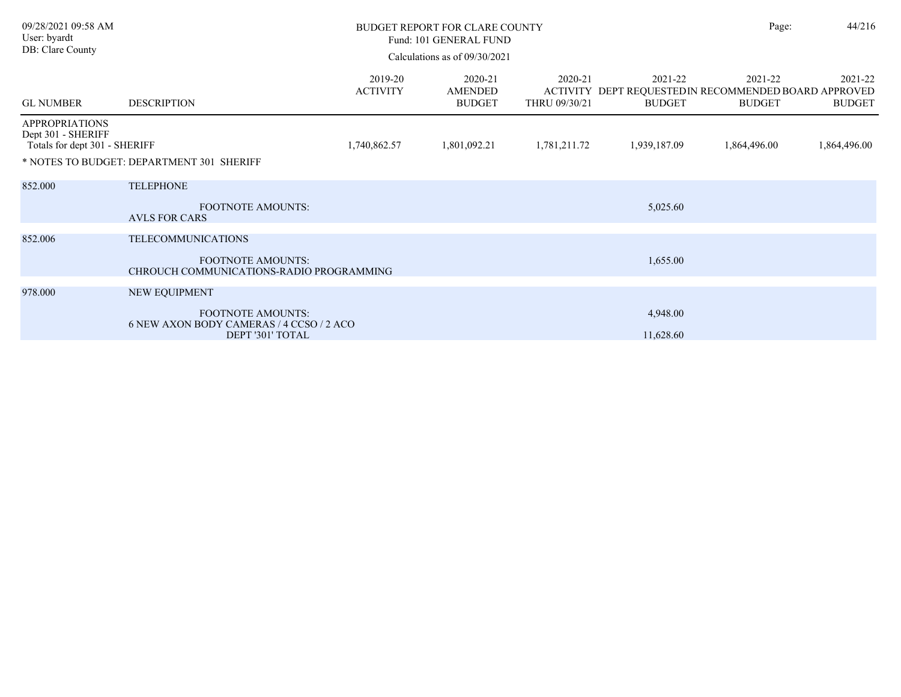| 09/28/2021 09:58 AM<br>User: byardt<br>DB: Clare County                      |                                                                                          | <b>BUDGET REPORT FOR CLARE COUNTY</b><br>Fund: 101 GENERAL FUND<br>Calculations as of 09/30/2021 |                                            |                          | Page:                                                                             | 44/216                   |                          |
|------------------------------------------------------------------------------|------------------------------------------------------------------------------------------|--------------------------------------------------------------------------------------------------|--------------------------------------------|--------------------------|-----------------------------------------------------------------------------------|--------------------------|--------------------------|
| <b>GL NUMBER</b>                                                             | <b>DESCRIPTION</b>                                                                       | 2019-20<br><b>ACTIVITY</b>                                                                       | 2020-21<br><b>AMENDED</b><br><b>BUDGET</b> | 2020-21<br>THRU 09/30/21 | 2021-22<br>ACTIVITY DEPT REQUESTED IN RECOMMENDED BOARD APPROVED<br><b>BUDGET</b> | 2021-22<br><b>BUDGET</b> | 2021-22<br><b>BUDGET</b> |
| <b>APPROPRIATIONS</b><br>Dept 301 - SHERIFF<br>Totals for dept 301 - SHERIFF |                                                                                          | 1,740,862.57                                                                                     | 1,801,092.21                               | 1,781,211.72             | 1,939,187.09                                                                      | 1,864,496.00             | 1,864,496.00             |
|                                                                              | * NOTES TO BUDGET: DEPARTMENT 301 SHERIFF                                                |                                                                                                  |                                            |                          |                                                                                   |                          |                          |
| 852.000                                                                      | <b>TELEPHONE</b>                                                                         |                                                                                                  |                                            |                          |                                                                                   |                          |                          |
|                                                                              | <b>FOOTNOTE AMOUNTS:</b><br><b>AVLS FOR CARS</b>                                         |                                                                                                  |                                            |                          | 5,025.60                                                                          |                          |                          |
| 852.006                                                                      | <b>TELECOMMUNICATIONS</b>                                                                |                                                                                                  |                                            |                          |                                                                                   |                          |                          |
|                                                                              | <b>FOOTNOTE AMOUNTS:</b><br>CHROUCH COMMUNICATIONS-RADIO PROGRAMMING                     |                                                                                                  |                                            |                          | 1,655.00                                                                          |                          |                          |
| 978.000                                                                      | NEW EQUIPMENT                                                                            |                                                                                                  |                                            |                          |                                                                                   |                          |                          |
|                                                                              | <b>FOOTNOTE AMOUNTS:</b><br>6 NEW AXON BODY CAMERAS / 4 CCSO / 2 ACO<br>DEPT '301' TOTAL |                                                                                                  |                                            |                          | 4,948.00<br>11,628.60                                                             |                          |                          |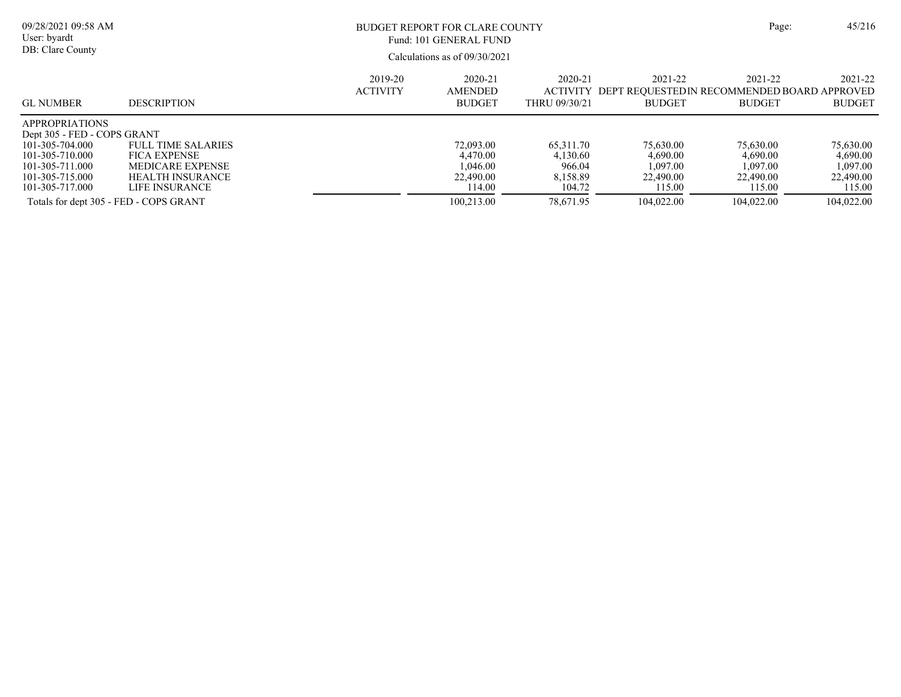| 09/28/2021 09:58 AM<br>User: byardt<br>DB: Clare County                                                                                             |                                                                                                                          | BUDGET REPORT FOR CLARE COUNTY<br>Fund: 101 GENERAL FUND<br>Calculations as of 09/30/2021 | Page:                                                   | 45/216                                                |                                                                                  |                                                          |                                                          |
|-----------------------------------------------------------------------------------------------------------------------------------------------------|--------------------------------------------------------------------------------------------------------------------------|-------------------------------------------------------------------------------------------|---------------------------------------------------------|-------------------------------------------------------|----------------------------------------------------------------------------------|----------------------------------------------------------|----------------------------------------------------------|
| <b>GL NUMBER</b>                                                                                                                                    | <b>DESCRIPTION</b>                                                                                                       | 2019-20<br><b>ACTIVITY</b>                                                                | 2020-21<br><b>AMENDED</b><br><b>BUDGET</b>              | 2020-21<br>THRU 09/30/21                              | 2021-22<br>ACTIVITY DEPT REOUESTEDIN RECOMMENDED BOARD APPROVED<br><b>BUDGET</b> | 2021-22<br><b>BUDGET</b>                                 | 2021-22<br><b>BUDGET</b>                                 |
| <b>APPROPRIATIONS</b><br>Dept 305 - FED - COPS GRANT<br>101-305-704.000<br>101-305-710.000<br>101-305-711.000<br>101-305-715.000<br>101-305-717.000 | <b>FULL TIME SALARIES</b><br><b>FICA EXPENSE</b><br><b>MEDICARE EXPENSE</b><br><b>HEALTH INSURANCE</b><br>LIFE INSURANCE |                                                                                           | 72,093.00<br>4.470.00<br>1.046.00<br>22,490.00<br>14.00 | 65,311.70<br>4.130.60<br>966.04<br>8.158.89<br>104.72 | 75,630.00<br>4,690.00<br>1,097.00<br>22,490.00<br>115.00                         | 75,630.00<br>4,690.00<br>1,097.00<br>22,490.00<br>115.00 | 75,630.00<br>4,690.00<br>1,097.00<br>22,490.00<br>115.00 |
| Totals for dept 305 - FED - COPS GRANT                                                                                                              |                                                                                                                          |                                                                                           | 100,213.00                                              | 78,671.95                                             | 104,022.00                                                                       | 104.022.00                                               | 104,022.00                                               |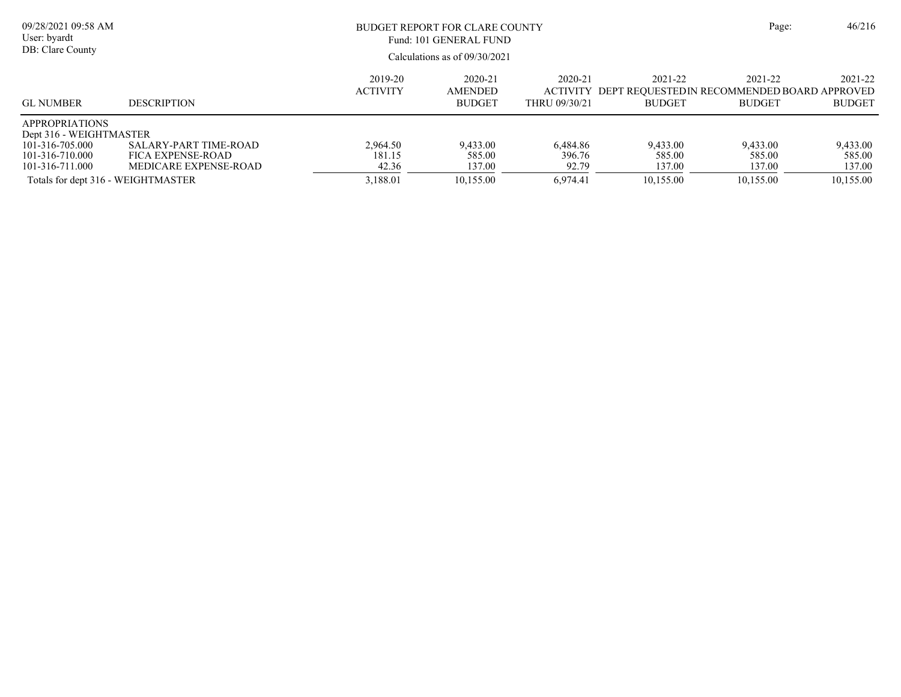| 09/28/2021 09:58 AM<br>User: byardt<br>DB: Clare County                                                                                         |                                                                     | BUDGET REPORT FOR CLARE COUNTY<br>Fund: 101 GENERAL FUND<br>Calculations as of 09/30/2021 | Page:                                      | 46/216                                  |                                           |                                                                         |                                           |
|-------------------------------------------------------------------------------------------------------------------------------------------------|---------------------------------------------------------------------|-------------------------------------------------------------------------------------------|--------------------------------------------|-----------------------------------------|-------------------------------------------|-------------------------------------------------------------------------|-------------------------------------------|
| <b>GL NUMBER</b>                                                                                                                                | <b>DESCRIPTION</b>                                                  | 2019-20<br><b>ACTIVITY</b>                                                                | 2020-21<br><b>AMENDED</b><br><b>BUDGET</b> | 2020-21<br>ACTIVITY<br>THRU 09/30/21    | 2021-22<br><b>BUDGET</b>                  | 2021-22<br>DEPT REOUESTEDIN RECOMMENDED BOARD APPROVED<br><b>BUDGET</b> | 2021-22<br><b>BUDGET</b>                  |
| <b>APPROPRIATIONS</b><br>Dept 316 - WEIGHTMASTER<br>101-316-705.000<br>101-316-710.000<br>101-316-711.000<br>Totals for dept 316 - WEIGHTMASTER | SALARY-PART TIME-ROAD<br>FICA EXPENSE-ROAD<br>MEDICARE EXPENSE-ROAD | 2,964.50<br>181.15<br>42.36<br>3,188.01                                                   | 9,433.00<br>585.00<br>137.00<br>10,155.00  | 6,484.86<br>396.76<br>92.79<br>6.974.41 | 9,433.00<br>585.00<br>137.00<br>10,155.00 | 9,433.00<br>585.00<br>137.00<br>10,155.00                               | 9,433.00<br>585.00<br>137.00<br>10,155.00 |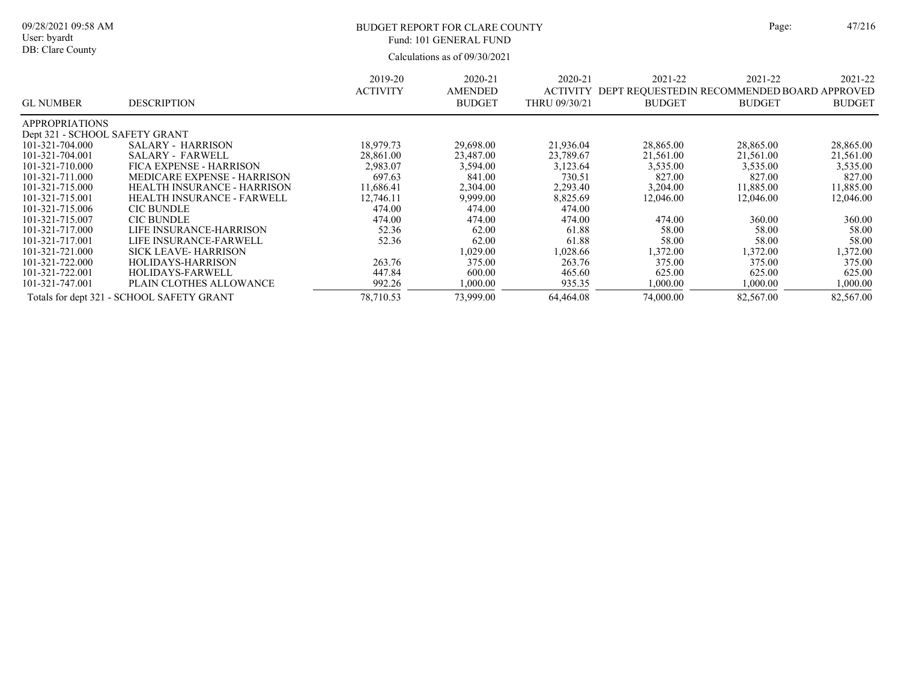DB: Clare County

# BUDGET REPORT FOR CLARE COUNTY Page: 47/216 Fund: 101 GENERAL FUND

| <b>GL NUMBER</b>               | <b>DESCRIPTION</b>                        | 2019-20<br><b>ACTIVITY</b> | 2020-21<br><b>AMENDED</b><br><b>BUDGET</b> | 2020-21<br><b>ACTIVITY</b><br>THRU 09/30/21 | 2021-22<br>DEPT REQUESTEDIN RECOMMENDED BOARD APPROVED<br><b>BUDGET</b> | 2021-22<br><b>BUDGET</b> | 2021-22<br><b>BUDGET</b> |
|--------------------------------|-------------------------------------------|----------------------------|--------------------------------------------|---------------------------------------------|-------------------------------------------------------------------------|--------------------------|--------------------------|
| <b>APPROPRIATIONS</b>          |                                           |                            |                                            |                                             |                                                                         |                          |                          |
| Dept 321 - SCHOOL SAFETY GRANT |                                           |                            |                                            |                                             |                                                                         |                          |                          |
| 101-321-704.000                | <b>SALARY - HARRISON</b>                  | 18.979.73                  | 29,698.00                                  | 21,936.04                                   | 28,865.00                                                               | 28,865.00                | 28,865.00                |
| 101-321-704.001                | <b>SALARY - FARWELL</b>                   | 28,861.00                  | 23,487.00                                  | 23,789.67                                   | 21,561.00                                                               | 21,561.00                | 21,561.00                |
| 101-321-710.000                | FICA EXPENSE - HARRISON                   | 2,983.07                   | 3,594.00                                   | 3,123.64                                    | 3,535.00                                                                | 3,535.00                 | 3,535.00                 |
| 101-321-711.000                | MEDICARE EXPENSE - HARRISON               | 697.63                     | 841.00                                     | 730.51                                      | 827.00                                                                  | 827.00                   | 827.00                   |
| 101-321-715.000                | <b>HEALTH INSURANCE - HARRISON</b>        | 11.686.41                  | 2,304.00                                   | 2,293.40                                    | 3,204.00                                                                | 11,885.00                | 11,885.00                |
| 101-321-715.001                | HEALTH INSURANCE - FARWELL                | 12,746.11                  | 9,999.00                                   | 8,825.69                                    | 12,046.00                                                               | 12,046.00                | 12,046.00                |
| 101-321-715.006                | <b>CIC BUNDLE</b>                         | 474.00                     | 474.00                                     | 474.00                                      |                                                                         |                          |                          |
| 101-321-715.007                | <b>CIC BUNDLE</b>                         | 474.00                     | 474.00                                     | 474.00                                      | 474.00                                                                  | 360.00                   | 360.00                   |
| 101-321-717.000                | LIFE INSURANCE-HARRISON                   | 52.36                      | 62.00                                      | 61.88                                       | 58.00                                                                   | 58.00                    | 58.00                    |
| 101-321-717.001                | LIFE INSURANCE-FARWELL                    | 52.36                      | 62.00                                      | 61.88                                       | 58.00                                                                   | 58.00                    | 58.00                    |
| 101-321-721.000                | <b>SICK LEAVE-HARRISON</b>                |                            | 1,029.00                                   | 1,028.66                                    | 1,372.00                                                                | 1,372.00                 | 1,372.00                 |
| 101-321-722.000                | HOLIDAYS-HARRISON                         | 263.76                     | 375.00                                     | 263.76                                      | 375.00                                                                  | 375.00                   | 375.00                   |
| 101-321-722.001                | <b>HOLIDAYS-FARWELL</b>                   | 447.84                     | 600.00                                     | 465.60                                      | 625.00                                                                  | 625.00                   | 625.00                   |
| 101-321-747.001                | PLAIN CLOTHES ALLOWANCE                   | 992.26                     | 1,000.00                                   | 935.35                                      | 1,000.00                                                                | 1,000.00                 | 1,000.00                 |
|                                | Totals for dept 321 - SCHOOL SAFETY GRANT | 78,710.53                  | 73,999.00                                  | 64,464.08                                   | 74,000.00                                                               | 82,567.00                | 82,567.00                |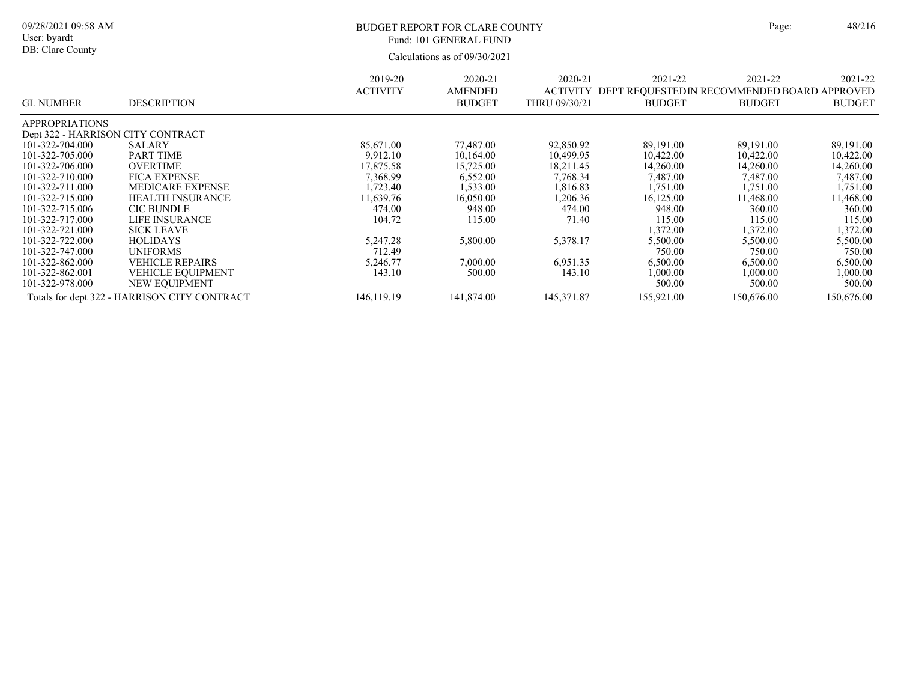| ge: | 48/21 |
|-----|-------|
|     |       |

Calculations as of 09/30/2021 09/28/2021 09:58 AM User: byardt DB: Clare County BUDGET REPORT FOR CLARE COUNTY Page: 48/216 2021-22 ACTIVITY DEPT REQUESTEDIN RECOMMENDED BOARD APPROVED BUDGET 2021-22 BUDGET 2021-22 BUDGET 2020-21 THRU 09/30/21 2020-21 AMENDED BUDGET 2019-20 ACTIVITY GL NUMBER DESCRIPTION Fund: 101 GENERAL FUND

| <b>APPROPRIATIONS</b>             |                                              |            |            |             |            |            |            |
|-----------------------------------|----------------------------------------------|------------|------------|-------------|------------|------------|------------|
| Dept 322 - HARRISON CITY CONTRACT |                                              |            |            |             |            |            |            |
| 101-322-704.000                   | <b>SALARY</b>                                | 85,671.00  | 77,487.00  | 92,850.92   | 89,191.00  | 89,191.00  | 89,191.00  |
| 101-322-705.000                   | <b>PART TIME</b>                             | 9.912.10   | 10.164.00  | 10.499.95   | 10,422.00  | 10.422.00  | 10.422.00  |
| 101-322-706.000                   | <b>OVERTIME</b>                              | 17,875.58  | 15,725.00  | 18.211.45   | 14,260.00  | 14,260.00  | 14,260.00  |
| 101-322-710.000                   | <b>FICA EXPENSE</b>                          | 7.368.99   | 6.552.00   | 7.768.34    | 7.487.00   | 7.487.00   | 7,487.00   |
| 101-322-711.000                   | <b>MEDICARE EXPENSE</b>                      | .723.40    | 1.533.00   | 1.816.83    | 1.751.00   | 1.751.00   | 1.751.00   |
| 101-322-715.000                   | <b>HEALTH INSURANCE</b>                      | 11.639.76  | 16.050.00  | 1,206.36    | 16,125.00  | 11.468.00  | 11.468.00  |
| 101-322-715.006                   | <b>CIC BUNDLE</b>                            | 474.00     | 948.00     | 474.00      | 948.00     | 360.00     | 360.00     |
| 101-322-717.000                   | LIFE INSURANCE                               | 104.72     | 115.00     | 71.40       | 115.00     | 115.00     | 115.00     |
| 101-322-721.000                   | <b>SICK LEAVE</b>                            |            |            |             | 1,372.00   | 1.372.00   | 1,372.00   |
| 101-322-722.000                   | <b>HOLIDAYS</b>                              | 5.247.28   | 5,800.00   | 5,378.17    | 5,500.00   | 5,500.00   | 5,500.00   |
| 101-322-747.000                   | UNIFORMS                                     | 712.49     |            |             | 750.00     | 750.00     | 750.00     |
| 101-322-862.000                   | <b>VEHICLE REPAIRS</b>                       | 5.246.77   | 7,000.00   | 6.951.35    | 6.500.00   | 6.500.00   | 6,500.00   |
| 101-322-862.001                   | <b>VEHICLE EQUIPMENT</b>                     | 143.10     | 500.00     | 143.10      | 1,000.00   | 1,000.00   | 1,000.00   |
| 101-322-978.000                   | NEW EQUIPMENT                                |            |            |             | 500.00     | 500.00     | 500.00     |
|                                   | Totals for dept 322 - HARRISON CITY CONTRACT | 146,119.19 | 141,874.00 | 145, 371.87 | 155,921.00 | 150,676.00 | 150.676.00 |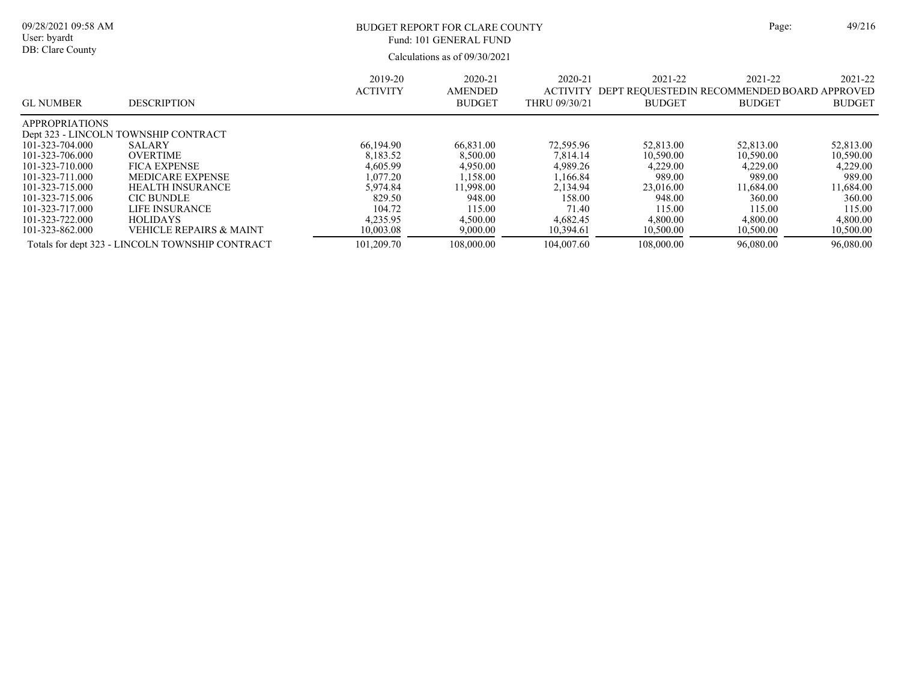Calculations as of 09/30/2021 09/28/2021 09:58 AM User: byardt DB: Clare County BUDGET REPORT FOR CLARE COUNTY Page: 49/216 2021-22 ACTIVITY DEPT REQUESTEDIN RECOMMENDED BOARD APPROVED BUDGET 2021-22 BUDGET 2021-22 BUDGET 2020-21 THRU 09/30/21 2020-21 AMENDED BUDGET 2019-20 ACTIVITY GL NUMBER DESCRIPTION Fund: 101 GENERAL FUND APPROPRIATIONS Dept 323 - LINCOLN TOWNSHIP CONTRACT 101-323-704.000 SALARY 101-323-704.000 SALARY 66,194.90 66,831.00 72,595.96 52,813.00 52,813.00 52,813.00 101-323-706.000 OVERTIME 8,183.52 8,500.00 7,814.14 10,590.00 10,590.00 10,590.00 101-323-710.000 FICA EXPENSE 4,605.99 4,950.00 4,989.26 4,229.00 4,229.00 4,229.00 101-323-711.000 MEDICARE EXPENSE 1,077.20 1,158.00 1,166.84 989.00 989.00 989.00 989.00 989.00 989.00 989.00 989.00<br>101-323-715.000 HEALTH INSURANCE 5,974.84 11,998.00 2,134.94 23,016.00 11,684.00 11,684.00 101-323-715.000 HEALTH INSURANCE 5,974.84 11,998.00 2,134.94 23,016.00 11,684.00 11,684.00 11,684.00 11,684.00<br>101-323-715.006 CIC BUNDLE 829.50 948.00 158.00 158.00 948.00 360.00 360.00 101-323-715.006 CIC BUNDLE 829.50 948.00 158.00 948.00 360.00 360.00 101-323-717.000 LIFE INSURANCE 104.72 115.00 71.40 115.00 115.00 115.00 101-323-722.000 HOLIDAYS 4,235.95 4,500.00 4,682.45 4,800.00 4,800.00 4,800.00 101-323-862.000 VEHICLE REPAIRS & MAINT 10,003.08 9,000.00 10,394.61 10,500.00 10,500.00 10,500.00 Totals for dept 323 - LINCOLN TOWNSHIP CONTRACT 101,209.70 108,000.00 104,007.60 108,000.00 96,080.00 96,080.00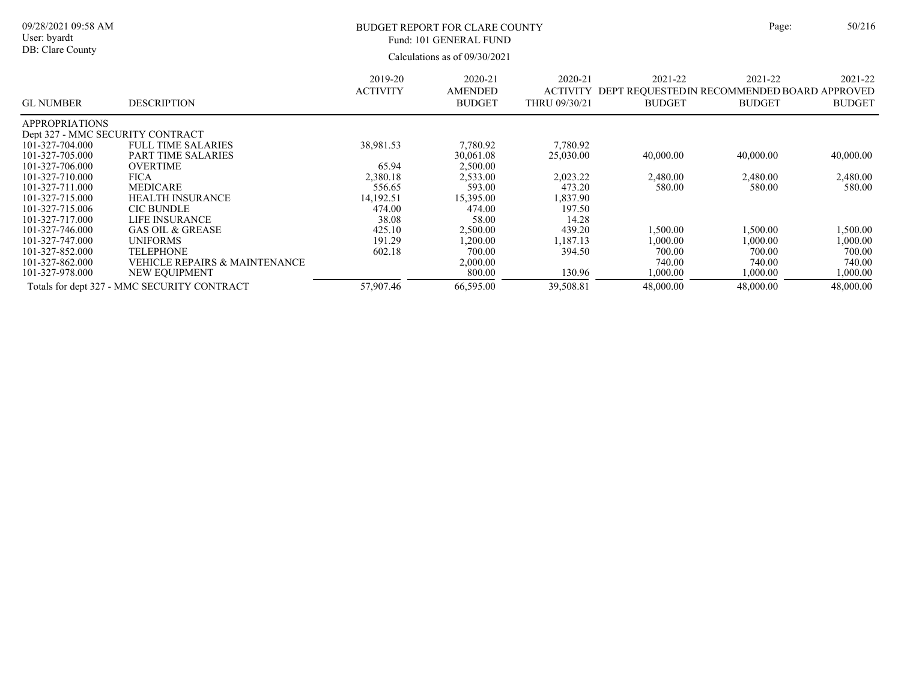Calculations as of 09/30/2021 09/28/2021 09:58 AM User: byardt DB: Clare County BUDGET REPORT FOR CLARE COUNTY Page: 50/216 2021-22 ACTIVITY DEPT REQUESTEDIN RECOMMENDED BOARD APPROVED BUDGET 2021-22 BUDGET 2021-22 BUDGET 2020-21 THRU 09/30/21 2020-21 AMENDED BUDGET 2019-20 ACTIVITY GL NUMBER DESCRIPTION Fund: 101 GENERAL FUND APPROPRIATIONS Dept 327 - MMC SECURITY CONTRACT<br>101-327-704.000 FULL TIME SAL 101-327-704.000 FULL TIME SALARIES 38,981.53 7,780.92 7,780.92 7,780.92<br>101-327-705.000 PART TIME SALARIES 30,061.08 25,030.00 101-327-71 PART TIME SALARIES 25,030 25,030.00 40,000.00 40,000.00 40,000.00 40,000.00 40,000.00 40,000.00 40,000<br>COVERTIME 101-327-706.000 OVERTIME 65.94 2,500.00<br>101-327-710.000 FICA 2.380.18 2,533.00 101-327-710.000 FICA 2,380.18 2,533.00 2,023.22 2,480.00 2,480.00 2,480.00 101-327-711.000 MEDICARE 556.65 593.00 473.20 580.00 580.00 580.00 101-327-715.000 HEALTH INSURANCE 14,192.51 15,395.00 1,837.90 101-327-715.006 CIC BUNDLE 474.00 474.00 474.00 197.50<br>101-327-717.000 LIFE INSURANCE 38.08 58.00 14.28 **LIFE INSURANCE** 101-327-746.000 GAS OIL & GREASE 425.10 2,500.00 439.20 1,500.00 1,500.00 1,500.00 101-327-747.000 UNIFORMS 191.29 1,200.00 1,187.13 1,000.00 1,000.00 1,000.00 101-327-852.000 TELEPHONE 602.18 700.00 394.50 700.00 700.00 700.00 101-327-862.000 VEHICLE REPAIRS & MAINTENANCE 2,000.00 740.00 740.00 740.00 101-327-978.000 NEW EQUIPMENT 800.00 130.96 1,000.00 1,000.00 1,000.00 Totals for dept 327 - MMC SECURITY CONTRACT 57,907.46 66,595.00 39,508.81 48,000.00 48,000.00 48,000.00 48,000.00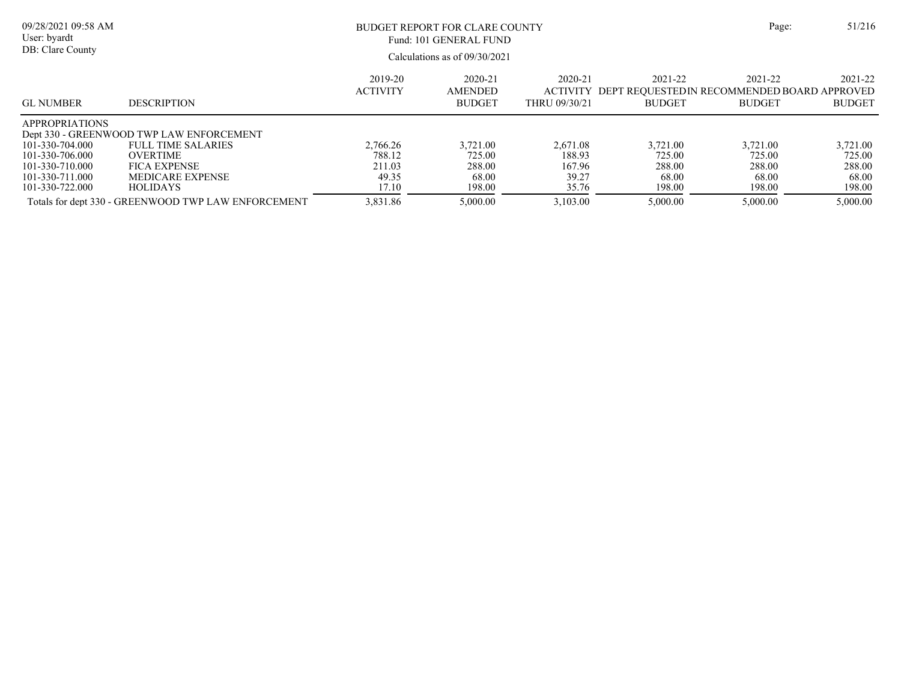| ge: | 51/21 |  |
|-----|-------|--|
|     |       |  |

Calculations as of 09/30/2021 09/28/2021 09:58 AM User: byardt DB: Clare County BUDGET REPORT FOR CLARE COUNTY Page: 51/216 2021-22 ACTIVITY DEPT REQUESTEDIN RECOMMENDED BOARD APPROVED BUDGET 2021-22 BUDGET 2021-22 BUDGET 2020-21 THRU 09/30/21 2020-21 AMENDED BUDGET 2019-20 ACTIVITY GL NUMBER DESCRIPTION Fund: 101 GENERAL FUND APPROPRIATIONS Dept 330 - GREENWOOD TWP LAW ENFORCEMENT 101-330-704.000 FULL TIME SALARIES 101-330-704.000 FULL TIME SALARIES 2,766.26 3,721.00 2,671.08 3,721.00 3,721.00 3,721.00 3,721.00 3,721.00 3,721<br>101-330-706.000 OVERTIME 20VERTIME 788.12 725.00 188.93 725.00 725.00 725.00 725.00 101-330-706.000 OVERTIME 788.12 725.00 188.93 725.00 725.00 725.00 101-330-710.000 FICA EXPENSE 211.03 288.00 167.96 288.00 288.00 288.00 101-330-711.000 MEDICARE EXPENSE 49.35 68.00 39.27 68.00 68.00 68.00 68.00 68.00 68.00 68.00 68.00 68.00 68.00<br>17.10 198.00 35.76 198.00 198.00 198.00 198.00 198.00 198.00 198.00 198.00 198.00

101-330-722.000 HOLIDAYS 17.10 198.00 35.76 198.00 198.00 198.00 Totals for dept 330 - GREENWOOD TWP LAW ENFORCEMENT 3,831.86 5,000.00 3,103.00 5,000.00 5,000.00 5,000.00 5,000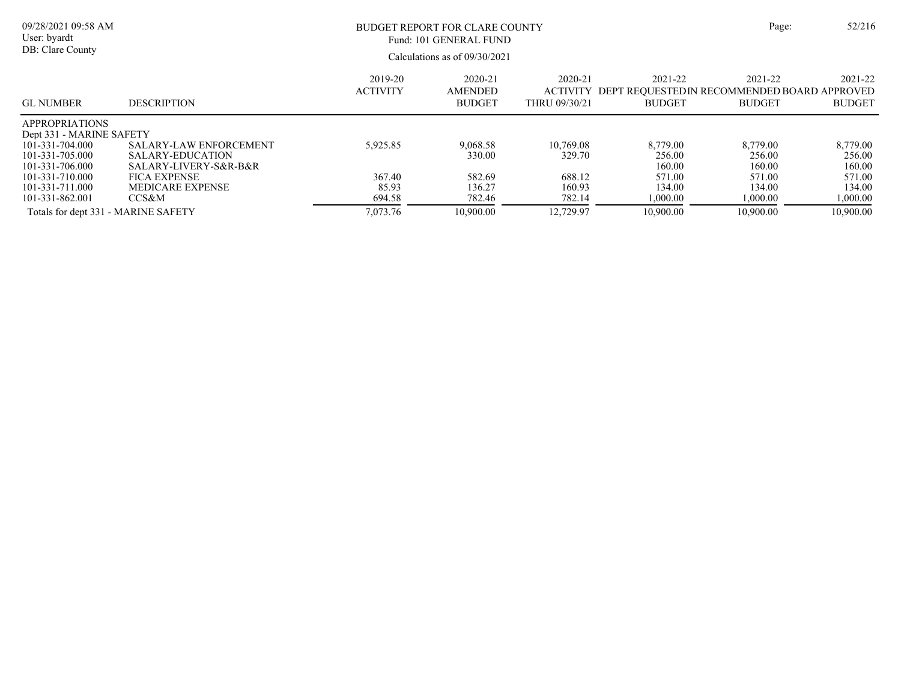| 09/28/2021 09:58 AM<br>User: byardt<br>DB: Clare County                                                                                   |                                                                                                                              |                             | BUDGET REPORT FOR CLARE COUNTY<br>Fund: 101 GENERAL FUND<br>Calculations as of 09/30/2021 |                                             |                                                                          | Page:                                            | 52/216                                           |
|-------------------------------------------------------------------------------------------------------------------------------------------|------------------------------------------------------------------------------------------------------------------------------|-----------------------------|-------------------------------------------------------------------------------------------|---------------------------------------------|--------------------------------------------------------------------------|--------------------------------------------------|--------------------------------------------------|
| GL NUMBER                                                                                                                                 | <b>DESCRIPTION</b>                                                                                                           | 2019-20<br><b>ACTIVITY</b>  | 2020-21<br><b>AMENDED</b><br><b>BUDGET</b>                                                | 2020-21<br><b>ACTIVITY</b><br>THRU 09/30/21 | 2021-22<br>DEPT REQUESTED IN RECOMMENDED BOARD APPROVED<br><b>BUDGET</b> | 2021-22<br><b>BUDGET</b>                         | 2021-22<br><b>BUDGET</b>                         |
| APPROPRIATIONS<br>Dept 331 - MARINE SAFETY<br>101-331-704.000<br>101-331-705.000<br>101-331-706.000<br>101-331-710.000<br>101-331-711.000 | <b>SALARY-LAW ENFORCEMENT</b><br>SALARY-EDUCATION<br>SALARY-LIVERY-S&R-B&R<br><b>FICA EXPENSE</b><br><b>MEDICARE EXPENSE</b> | 5,925.85<br>367.40<br>85.93 | 9,068.58<br>330.00<br>582.69<br>136.27                                                    | 10.769.08<br>329.70<br>688.12<br>160.93     | 8,779.00<br>256.00<br>160.00<br>571.00<br>134.00                         | 8,779.00<br>256.00<br>160.00<br>571.00<br>134.00 | 8,779.00<br>256.00<br>160.00<br>571.00<br>134.00 |
| 101-331-862.001<br>Totals for dept 331 - MARINE SAFETY                                                                                    | CCS&M                                                                                                                        | 694.58<br>7,073.76          | 782.46<br>10,900.00                                                                       | 782.14<br>12,729.97                         | 1,000.00<br>10.900.00                                                    | 1,000.00<br>10.900.00                            | 1,000.00<br>10,900.00                            |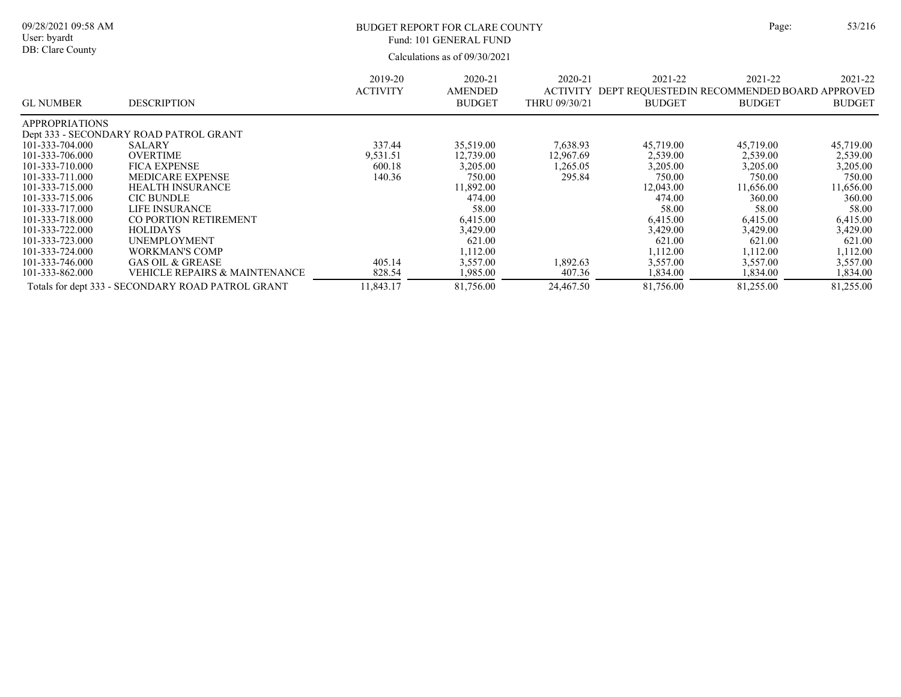| ge: | 53/21 |
|-----|-------|
|     |       |

Calculations as of 09/30/2021 09/28/2021 09:58 AM User: byardt DB: Clare County BUDGET REPORT FOR CLARE COUNTY Page: 53/216 2021-22 ACTIVITY DEPT REQUESTEDIN RECOMMENDED BOARD APPROVED BUDGET 2021-22 BUDGET 2021-22 BUDGET 2020-21 THRU 09/30/21 2020-21 AMENDED BUDGET 2019-20 ACTIVITY GL NUMBER DESCRIPTION Fund: 101 GENERAL FUND

| <b>APPROPRIATIONS</b> |                                                   |          |           |           |           |           |           |
|-----------------------|---------------------------------------------------|----------|-----------|-----------|-----------|-----------|-----------|
|                       | Dept 333 - SECONDARY ROAD PATROL GRANT            |          |           |           |           |           |           |
| 101-333-704.000       | <b>SALARY</b>                                     | 337.44   | 35,519.00 | 7,638.93  | 45,719.00 | 45,719.00 | 45,719.00 |
| 101-333-706.000       | <b>OVERTIME</b>                                   | 9,531.51 | 12,739.00 | 12,967.69 | 2,539.00  | 2,539.00  | 2,539.00  |
| 101-333-710.000       | <b>FICA EXPENSE</b>                               | 600.18   | 3.205.00  | ,265.05   | 3,205.00  | 3,205.00  | 3,205.00  |
| 101-333-711.000       | <b>MEDICARE EXPENSE</b>                           | 140.36   | 750.00    | 295.84    | 750.00    | 750.00    | 750.00    |
| 101-333-715.000       | <b>HEALTH INSURANCE</b>                           |          | 11,892.00 |           | 12,043.00 | 11,656.00 | 11,656.00 |
| 101-333-715.006       | <b>CIC BUNDLE</b>                                 |          | 474.00    |           | 474.00    | 360.00    | 360.00    |
| 101-333-717.000       | LIFE INSURANCE                                    |          | 58.00     |           | 58.00     | 58.00     | 58.00     |
| 101-333-718.000       | CO PORTION RETIREMENT                             |          | 6,415.00  |           | 6,415.00  | 6.415.00  | 6,415.00  |
| 101-333-722.000       | <b>HOLIDAYS</b>                                   |          | 3,429.00  |           | 3,429.00  | 3,429.00  | 3,429.00  |
| 101-333-723.000       | <b>UNEMPLOYMENT</b>                               |          | 621.00    |           | 621.00    | 621.00    | 621.00    |
| 101-333-724.000       | WORKMAN'S COMP                                    |          | 1,112.00  |           | 1.112.00  | 1.112.00  | 1.112.00  |
| 101-333-746.000       | <b>GAS OIL &amp; GREASE</b>                       | 405.14   | 3.557.00  | .892.63   | 3,557.00  | 3,557.00  | 3.557.00  |
| 101-333-862.000       | <b>VEHICLE REPAIRS &amp; MAINTENANCE</b>          | 828.54   | 1,985.00  | 407.36    | 1,834.00  | 1,834.00  | 1,834.00  |
|                       | Totals for dept 333 - SECONDARY ROAD PATROL GRANT | 1.843.17 | 81,756.00 | 24,467.50 | 81,756.00 | 81,255.00 | 81,255.00 |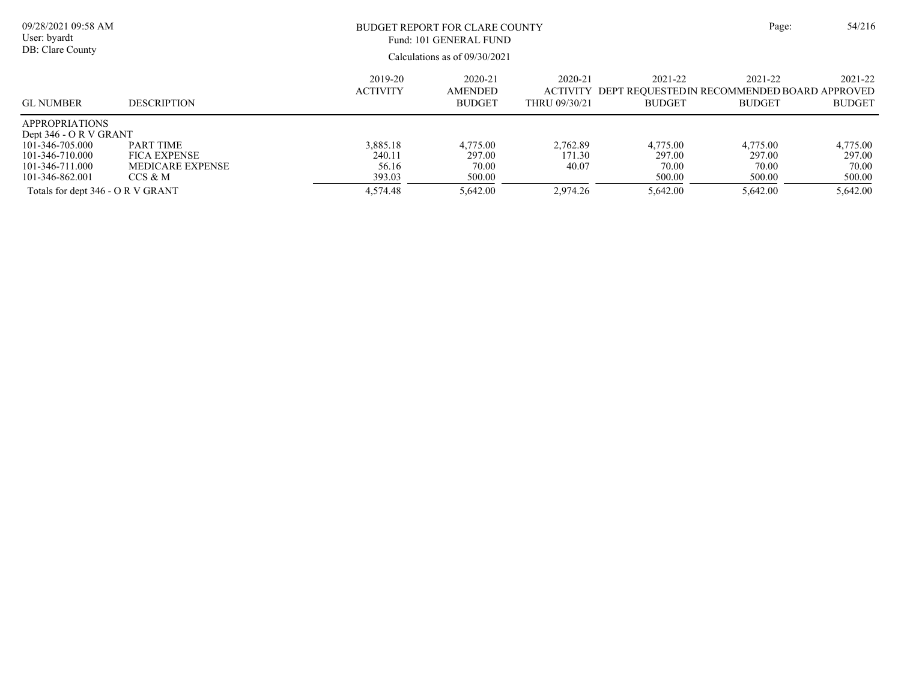| 09/28/2021 09:58 AM<br>User: byardt<br>DB: Clare County                                                                     |                                                                               |                                       | BUDGET REPORT FOR CLARE COUNTY<br>Fund: 101 GENERAL FUND<br>Calculations as of $09/30/2021$ |                                                 |                                                                         |                                       |                                       |
|-----------------------------------------------------------------------------------------------------------------------------|-------------------------------------------------------------------------------|---------------------------------------|---------------------------------------------------------------------------------------------|-------------------------------------------------|-------------------------------------------------------------------------|---------------------------------------|---------------------------------------|
| <b>GL NUMBER</b>                                                                                                            | <b>DESCRIPTION</b>                                                            | 2019-20<br><b>ACTIVITY</b>            | 2020-21<br><b>AMENDED</b><br><b>BUDGET</b>                                                  | $2020 - 21$<br><b>ACTIVITY</b><br>THRU 09/30/21 | 2021-22<br>DEPT REOUESTEDIN RECOMMENDED BOARD APPROVED<br><b>BUDGET</b> | 2021-22<br><b>BUDGET</b>              | 2021-22<br><b>BUDGET</b>              |
| <b>APPROPRIATIONS</b><br>Dept 346 - O R V GRANT<br>101-346-705.000<br>101-346-710.000<br>101-346-711.000<br>101-346-862.001 | <b>PART TIME</b><br><b>FICA EXPENSE</b><br><b>MEDICARE EXPENSE</b><br>CCS & M | 3.885.18<br>240.11<br>56.16<br>393.03 | 4,775.00<br>297.00<br>70.00<br>500.00                                                       | 2.762.89<br>171.30<br>40.07                     | 4,775.00<br>297.00<br>70.00<br>500.00                                   | 4,775.00<br>297.00<br>70.00<br>500.00 | 4,775.00<br>297.00<br>70.00<br>500.00 |
| Totals for dept 346 - O R V GRANT                                                                                           |                                                                               | 4,574.48                              | 5.642.00                                                                                    | 2.974.26                                        | 5.642.00                                                                | 5.642.00                              | 5.642.00                              |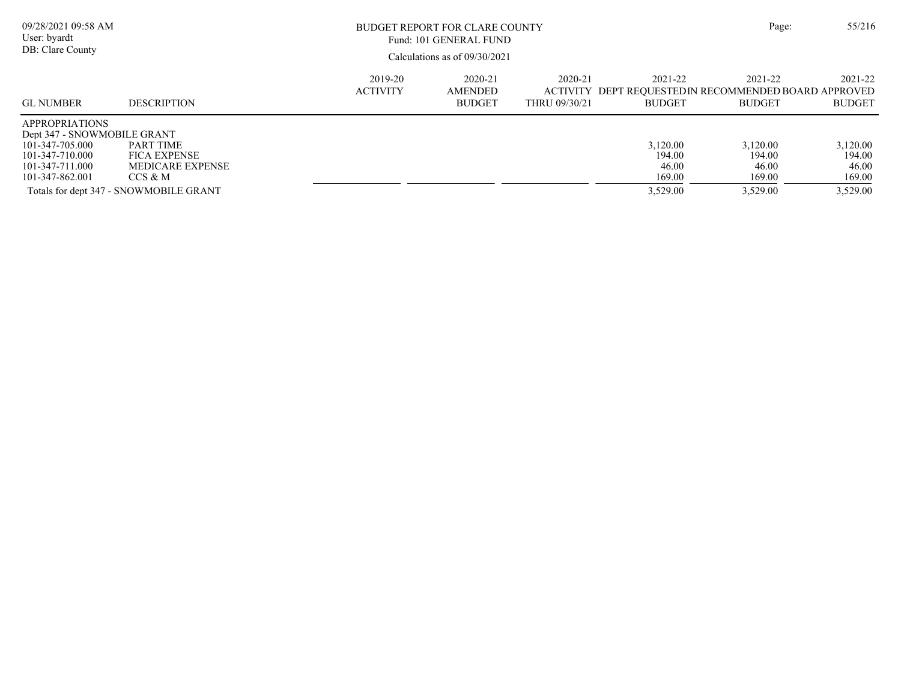| 09/28/2021 09:58 AM<br>User: byardt<br>DB: Clare County                                                                          |                                                                                                                         |                            | BUDGET REPORT FOR CLARE COUNTY<br>Fund: 101 GENERAL FUND<br>Calculations as of $09/30/2021$ |                          |                                                   | Page:                                                                            | 55/216                                            |
|----------------------------------------------------------------------------------------------------------------------------------|-------------------------------------------------------------------------------------------------------------------------|----------------------------|---------------------------------------------------------------------------------------------|--------------------------|---------------------------------------------------|----------------------------------------------------------------------------------|---------------------------------------------------|
| <b>GL NUMBER</b>                                                                                                                 | <b>DESCRIPTION</b>                                                                                                      | 2019-20<br><b>ACTIVITY</b> | 2020-21<br><b>AMENDED</b><br><b>BUDGET</b>                                                  | 2020-21<br>THRU 09/30/21 | 2021-22<br><b>BUDGET</b>                          | 2021-22<br>ACTIVITY DEPT REOUESTEDIN RECOMMENDED BOARD APPROVED<br><b>BUDGET</b> | 2021-22<br><b>BUDGET</b>                          |
| <b>APPROPRIATIONS</b><br>Dept 347 - SNOWMOBILE GRANT<br>101-347-705.000<br>101-347-710.000<br>101-347-711.000<br>101-347-862.001 | <b>PART TIME</b><br><b>FICA EXPENSE</b><br><b>MEDICARE EXPENSE</b><br>CCS & M<br>Totals for dept 347 - SNOWMOBILE GRANT |                            |                                                                                             |                          | 3,120.00<br>194.00<br>46.00<br>169.00<br>3,529.00 | 3.120.00<br>194.00<br>46.00<br>169.00<br>3.529.00                                | 3.120.00<br>194.00<br>46.00<br>169.00<br>3,529.00 |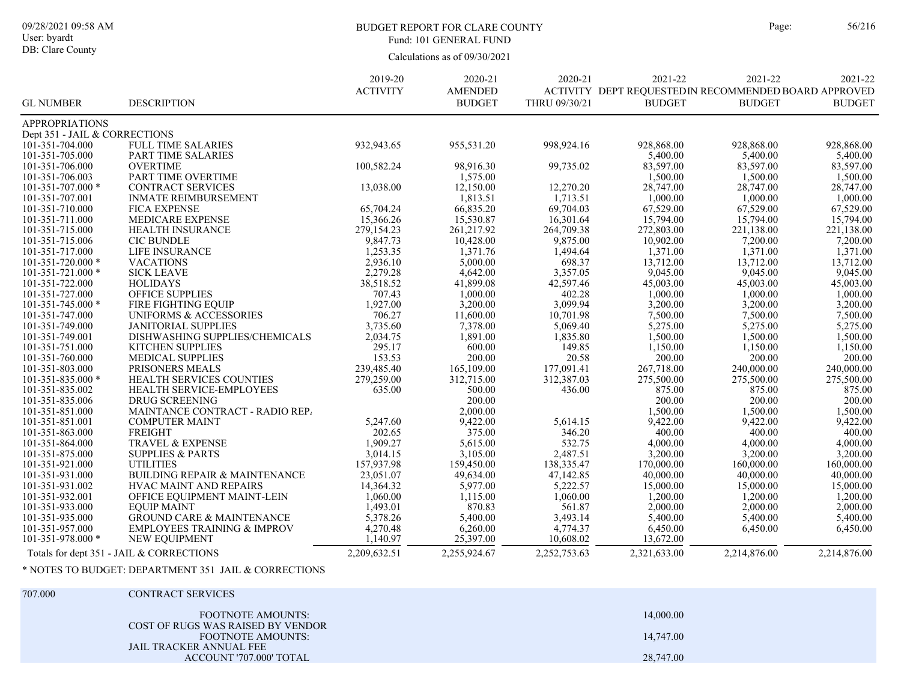#### BUDGET REPORT FOR CLARE COUNTY Page: 56/216 Fund: 101 GENERAL FUND

Calculations as of 09/30/2021

|                               |                                          | 2019-20         | 2020-21        | 2020-21       | 2021-22                                               | 2021-22       | 2021-22       |
|-------------------------------|------------------------------------------|-----------------|----------------|---------------|-------------------------------------------------------|---------------|---------------|
|                               |                                          | <b>ACTIVITY</b> | <b>AMENDED</b> |               | ACTIVITY DEPT REQUESTED IN RECOMMENDED BOARD APPROVED |               |               |
| <b>GL NUMBER</b>              | <b>DESCRIPTION</b>                       |                 | <b>BUDGET</b>  | THRU 09/30/21 | <b>BUDGET</b>                                         | <b>BUDGET</b> | <b>BUDGET</b> |
| <b>APPROPRIATIONS</b>         |                                          |                 |                |               |                                                       |               |               |
| Dept 351 - JAIL & CORRECTIONS |                                          |                 |                |               |                                                       |               |               |
| 101-351-704.000               | <b>FULL TIME SALARIES</b>                | 932,943.65      | 955,531.20     | 998,924.16    | 928,868.00                                            | 928,868.00    | 928,868.00    |
| 101-351-705.000               | PART TIME SALARIES                       |                 |                |               | 5,400.00                                              | 5,400.00      | 5,400.00      |
| 101-351-706.000               | <b>OVERTIME</b>                          | 100,582.24      | 98,916.30      | 99,735.02     | 83,597.00                                             | 83,597.00     | 83,597.00     |
| 101-351-706.003               | PART TIME OVERTIME                       |                 | 1,575.00       |               | 1,500.00                                              | 1,500.00      | 1,500.00      |
| 101-351-707.000 *             | <b>CONTRACT SERVICES</b>                 | 13,038.00       | 12,150.00      | 12,270.20     | 28,747.00                                             | 28,747.00     | 28,747.00     |
| 101-351-707.001               | <b>INMATE REIMBURSEMENT</b>              |                 | 1,813.51       | 1,713.51      | 1,000.00                                              | 1,000.00      | 1,000.00      |
| 101-351-710.000               | <b>FICA EXPENSE</b>                      | 65,704.24       | 66,835.20      | 69,704.03     | 67,529.00                                             | 67,529.00     | 67,529.00     |
| 101-351-711.000               | MEDICARE EXPENSE                         | 15,366.26       | 15,530.87      | 16,301.64     | 15,794.00                                             | 15,794.00     | 15,794.00     |
| 101-351-715.000               | <b>HEALTH INSURANCE</b>                  | 279,154.23      | 261,217.92     | 264,709.38    | 272,803.00                                            | 221,138.00    | 221,138.00    |
| 101-351-715.006               | <b>CIC BUNDLE</b>                        | 9,847.73        | 10,428.00      | 9,875.00      | 10,902.00                                             | 7,200.00      | 7,200.00      |
| 101-351-717.000               | LIFE INSURANCE                           | 1,253.35        | 1,371.76       | 1,494.64      | 1,371.00                                              | 1,371.00      | 1,371.00      |
| 101-351-720.000 *             | <b>VACATIONS</b>                         | 2,936.10        | 5,000.00       | 698.37        | 13,712.00                                             | 13,712.00     | 13,712.00     |
| 101-351-721.000 *             | <b>SICK LEAVE</b>                        | 2,279.28        | 4,642.00       | 3,357.05      | 9,045.00                                              | 9,045.00      | 9,045.00      |
| 101-351-722.000               | <b>HOLIDAYS</b>                          | 38,518.52       | 41,899.08      | 42,597.46     | 45,003.00                                             | 45,003.00     | 45,003.00     |
| 101-351-727.000               | <b>OFFICE SUPPLIES</b>                   | 707.43          | 1,000.00       | 402.28        | 1,000.00                                              | 1,000.00      | 1,000.00      |
| 101-351-745.000 *             | FIRE FIGHTING EQUIP                      | 1,927.00        | 3,200.00       | 3,099.94      | 3,200.00                                              | 3,200.00      | 3,200.00      |
| 101-351-747.000               | UNIFORMS & ACCESSORIES                   | 706.27          | 11,600.00      | 10,701.98     | 7,500.00                                              | 7,500.00      | 7,500.00      |
| 101-351-749.000               | <b>JANITORIAL SUPPLIES</b>               | 3,735.60        | 7,378.00       | 5,069.40      | 5,275.00                                              | 5,275.00      | 5,275.00      |
| 101-351-749.001               | DISHWASHING SUPPLIES/CHEMICALS           | 2,034.75        | 1,891.00       | 1,835.80      | 1,500.00                                              | 1,500.00      | 1,500.00      |
| 101-351-751.000               | KITCHEN SUPPLIES                         | 295.17          | 600.00         | 149.85        | 1,150.00                                              | 1,150.00      | 1,150.00      |
| 101-351-760.000               | <b>MEDICAL SUPPLIES</b>                  | 153.53          | 200.00         | 20.58         | 200.00                                                | 200.00        | 200.00        |
| 101-351-803.000               | PRISONERS MEALS                          | 239,485.40      | 165,109.00     | 177,091.41    | 267,718.00                                            | 240,000.00    | 240,000.00    |
| 101-351-835.000 *             | HEALTH SERVICES COUNTIES                 | 279,259.00      | 312,715.00     | 312,387.03    | 275,500.00                                            | 275,500.00    | 275,500.00    |
| 101-351-835.002               | HEALTH SERVICE-EMPLOYEES                 | 635.00          | 500.00         | 436.00        | 875.00                                                | 875.00        | 875.00        |
| 101-351-835.006               | DRUG SCREENING                           |                 | 200.00         |               | 200.00                                                | 200.00        | 200.00        |
| 101-351-851.000               | MAINTANCE CONTRACT - RADIO REP.          |                 | 2,000.00       |               | 1,500.00                                              | 1,500.00      | 1,500.00      |
| 101-351-851.001               | <b>COMPUTER MAINT</b>                    | 5,247.60        | 9,422.00       | 5,614.15      | 9,422.00                                              | 9,422.00      | 9,422.00      |
| 101-351-863.000               | <b>FREIGHT</b>                           | 202.65          | 375.00         | 346.20        | 400.00                                                | 400.00        | 400.00        |
| 101-351-864.000               | <b>TRAVEL &amp; EXPENSE</b>              | 1,909.27        | 5,615.00       | 532.75        | 4,000.00                                              | 4,000.00      | 4,000.00      |
| 101-351-875.000               | <b>SUPPLIES &amp; PARTS</b>              | 3,014.15        | 3,105.00       | 2,487.51      | 3,200.00                                              | 3,200.00      | 3,200.00      |
| 101-351-921.000               | <b>UTILITIES</b>                         | 157,937.98      | 159,450.00     | 138,335.47    | 170,000.00                                            | 160,000.00    | 160,000.00    |
| 101-351-931.000               | <b>BUILDING REPAIR &amp; MAINTENANCE</b> | 23,051.07       | 49,634.00      | 47,142.85     | 40,000.00                                             | 40,000.00     | 40,000.00     |
| 101-351-931.002               | <b>HVAC MAINT AND REPAIRS</b>            | 14,364.32       | 5,977.00       | 5,222.57      | 15,000.00                                             | 15,000.00     | 15,000.00     |
| 101-351-932.001               | OFFICE EQUIPMENT MAINT-LEIN              | 1,060.00        | 1,115.00       | 1,060.00      | 1,200.00                                              | 1,200.00      | 1,200.00      |
| 101-351-933.000               | <b>EOUIP MAINT</b>                       | 1,493.01        | 870.83         | 561.87        | 2,000.00                                              | 2,000.00      | 2,000.00      |
| 101-351-935.000               | <b>GROUND CARE &amp; MAINTENANCE</b>     | 5,378.26        | 5,400.00       | 3,493.14      | 5,400.00                                              | 5,400.00      | 5,400.00      |
| 101-351-957.000               | <b>EMPLOYEES TRAINING &amp; IMPROV</b>   | 4,270.48        | 6,260.00       | 4,774.37      | 6,450.00                                              | 6,450.00      | 6,450.00      |
| 101-351-978.000 *             | NEW EQUIPMENT                            | 1,140.97        | 25,397.00      | 10,608.02     | 13,672.00                                             |               |               |
|                               | Totals for dept 351 - JAIL & CORRECTIONS | 2.209.632.51    | 2.255.924.67   | 2.252.753.63  | 2,321,633.00                                          | 2,214,876.00  | 2,214,876.00  |

## \* NOTES TO BUDGET: DEPARTMENT 351 JAIL & CORRECTIONS

#### 707.000 CONTRACT SERVICES

| <b>FOOTNOTE AMOUNTS:</b>                                      | 14,000.00 |
|---------------------------------------------------------------|-----------|
| COST OF RUGS WAS RAISED BY VENDOR<br><b>FOOTNOTE AMOUNTS:</b> | 14,747.00 |
| JAIL TRACKER ANNUAL FEE<br>ACCOUNT '707.000' TOTAL            | 28,747.00 |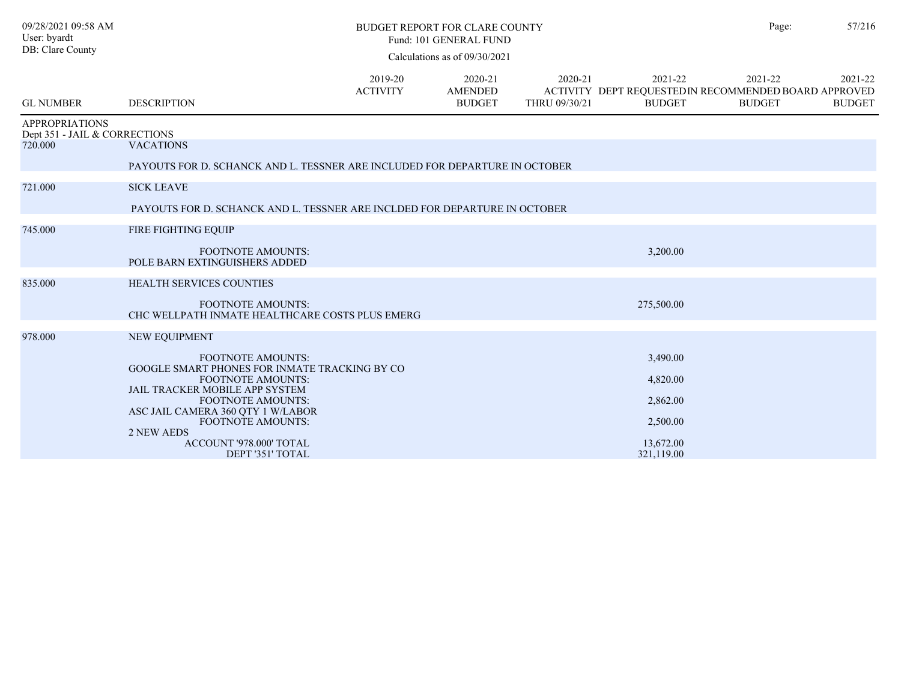| 09/28/2021 09:58 AM<br>User: byardt                    |                                                                             |                            | <b>BUDGET REPORT FOR CLARE COUNTY</b><br>Fund: 101 GENERAL FUND |                          |                          | Page:                                                                             | 57/216                   |
|--------------------------------------------------------|-----------------------------------------------------------------------------|----------------------------|-----------------------------------------------------------------|--------------------------|--------------------------|-----------------------------------------------------------------------------------|--------------------------|
| DB: Clare County                                       |                                                                             |                            | Calculations as of 09/30/2021                                   |                          |                          |                                                                                   |                          |
| <b>GL NUMBER</b>                                       | <b>DESCRIPTION</b>                                                          | 2019-20<br><b>ACTIVITY</b> | 2020-21<br><b>AMENDED</b><br><b>BUDGET</b>                      | 2020-21<br>THRU 09/30/21 | 2021-22<br><b>BUDGET</b> | 2021-22<br>ACTIVITY DEPT REQUESTED IN RECOMMENDED BOARD APPROVED<br><b>BUDGET</b> | 2021-22<br><b>BUDGET</b> |
| <b>APPROPRIATIONS</b><br>Dept 351 - JAIL & CORRECTIONS |                                                                             |                            |                                                                 |                          |                          |                                                                                   |                          |
| 720.000                                                | <b>VACATIONS</b>                                                            |                            |                                                                 |                          |                          |                                                                                   |                          |
|                                                        | PAYOUTS FOR D. SCHANCK AND L. TESSNER ARE INCLUDED FOR DEPARTURE IN OCTOBER |                            |                                                                 |                          |                          |                                                                                   |                          |
| 721.000                                                | <b>SICK LEAVE</b>                                                           |                            |                                                                 |                          |                          |                                                                                   |                          |
|                                                        | PAYOUTS FOR D. SCHANCK AND L. TESSNER ARE INCLDED FOR DEPARTURE IN OCTOBER  |                            |                                                                 |                          |                          |                                                                                   |                          |
| 745.000                                                | FIRE FIGHTING EQUIP                                                         |                            |                                                                 |                          |                          |                                                                                   |                          |
|                                                        | <b>FOOTNOTE AMOUNTS:</b><br>POLE BARN EXTINGUISHERS ADDED                   |                            |                                                                 |                          | 3,200.00                 |                                                                                   |                          |
| 835.000                                                | <b>HEALTH SERVICES COUNTIES</b>                                             |                            |                                                                 |                          |                          |                                                                                   |                          |
|                                                        | <b>FOOTNOTE AMOUNTS:</b><br>CHC WELLPATH INMATE HEALTHCARE COSTS PLUS EMERG |                            |                                                                 |                          | 275,500.00               |                                                                                   |                          |
| 978.000                                                | NEW EQUIPMENT                                                               |                            |                                                                 |                          |                          |                                                                                   |                          |
|                                                        | <b>FOOTNOTE AMOUNTS:</b>                                                    |                            |                                                                 |                          | 3,490.00                 |                                                                                   |                          |
|                                                        | GOOGLE SMART PHONES FOR INMATE TRACKING BY CO<br><b>FOOTNOTE AMOUNTS:</b>   |                            |                                                                 |                          | 4,820.00                 |                                                                                   |                          |
|                                                        | JAIL TRACKER MOBILE APP SYSTEM<br><b>FOOTNOTE AMOUNTS:</b>                  |                            |                                                                 |                          | 2,862.00                 |                                                                                   |                          |
|                                                        | ASC JAIL CAMERA 360 QTY 1 W/LABOR                                           |                            |                                                                 |                          |                          |                                                                                   |                          |
|                                                        | FOOTNOTE AMOUNTS:<br>2 NEW AEDS                                             |                            |                                                                 |                          | 2,500.00                 |                                                                                   |                          |
|                                                        | ACCOUNT '978.000' TOTAL<br>DEPT '351' TOTAL                                 |                            |                                                                 |                          | 13,672.00<br>321,119.00  |                                                                                   |                          |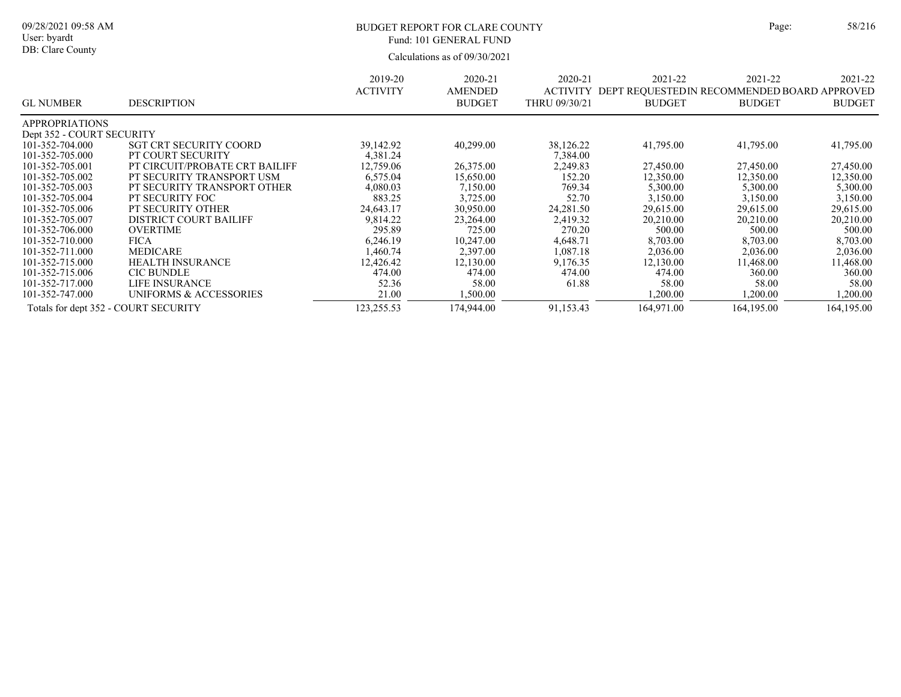#### BUDGET REPORT FOR CLARE COUNTY Page: 58/216 Fund: 101 GENERAL FUND

|                                      |                                | 2019-20         | 2020-21        | 2020-21         | 2021-22                                      | 2021-22       | 2021-22       |
|--------------------------------------|--------------------------------|-----------------|----------------|-----------------|----------------------------------------------|---------------|---------------|
|                                      |                                | <b>ACTIVITY</b> | <b>AMENDED</b> | <b>ACTIVITY</b> | DEPT REQUESTED IN RECOMMENDED BOARD APPROVED |               |               |
| <b>GL NUMBER</b>                     | <b>DESCRIPTION</b>             |                 | <b>BUDGET</b>  | THRU 09/30/21   | <b>BUDGET</b>                                | <b>BUDGET</b> | <b>BUDGET</b> |
| <b>APPROPRIATIONS</b>                |                                |                 |                |                 |                                              |               |               |
| Dept 352 - COURT SECURITY            |                                |                 |                |                 |                                              |               |               |
| 101-352-704.000                      | <b>SGT CRT SECURITY COORD</b>  | 39,142.92       | 40,299.00      | 38,126.22       | 41,795.00                                    | 41,795.00     | 41,795.00     |
| 101-352-705.000                      | PT COURT SECURITY              | 4.381.24        |                | 7,384.00        |                                              |               |               |
| 101-352-705.001                      | PT CIRCUIT/PROBATE CRT BAILIFF | 12,759.06       | 26,375.00      | 2,249.83        | 27,450.00                                    | 27,450.00     | 27,450.00     |
| 101-352-705.002                      | PT SECURITY TRANSPORT USM      | 6,575.04        | 15,650.00      | 152.20          | 12,350.00                                    | 12,350.00     | 12,350.00     |
| 101-352-705.003                      | PT SECURITY TRANSPORT OTHER    | 4,080.03        | 7,150.00       | 769.34          | 5,300.00                                     | 5,300.00      | 5,300.00      |
| 101-352-705.004                      | <b>PT SECURITY FOC</b>         | 883.25          | 3,725.00       | 52.70           | 3,150.00                                     | 3,150.00      | 3,150.00      |
| 101-352-705.006                      | PT SECURITY OTHER              | 24,643.17       | 30,950.00      | 24,281.50       | 29,615.00                                    | 29,615.00     | 29,615.00     |
| 101-352-705.007                      | DISTRICT COURT BAILIFF         | 9,814.22        | 23,264.00      | 2,419.32        | 20,210.00                                    | 20,210.00     | 20,210.00     |
| 101-352-706.000                      | <b>OVERTIME</b>                | 295.89          | 725.00         | 270.20          | 500.00                                       | 500.00        | 500.00        |
| 101-352-710.000                      | <b>FICA</b>                    | 6,246.19        | 10,247.00      | 4,648.71        | 8,703.00                                     | 8,703.00      | 8,703.00      |
| 101-352-711.000                      | <b>MEDICARE</b>                | 460.74,١        | 2,397.00       | 1,087.18        | 2,036.00                                     | 2,036.00      | 2,036.00      |
| 101-352-715.000                      | <b>HEALTH INSURANCE</b>        | 12,426.42       | 12,130.00      | 9,176.35        | 12,130.00                                    | 11,468.00     | 11,468.00     |
| 101-352-715.006                      | <b>CIC BUNDLE</b>              | 474.00          | 474.00         | 474.00          | 474.00                                       | 360.00        | 360.00        |
| 101-352-717.000                      | LIFE INSURANCE                 | 52.36           | 58.00          | 61.88           | 58.00                                        | 58.00         | 58.00         |
| 101-352-747.000                      | UNIFORMS & ACCESSORIES         | 21.00           | 1,500.00       |                 | 1,200.00                                     | 1,200.00      | 1,200.00      |
| Totals for dept 352 - COURT SECURITY |                                | 123,255.53      | 174,944.00     | 91,153.43       | 164,971.00                                   | 164, 195.00   | 164,195.00    |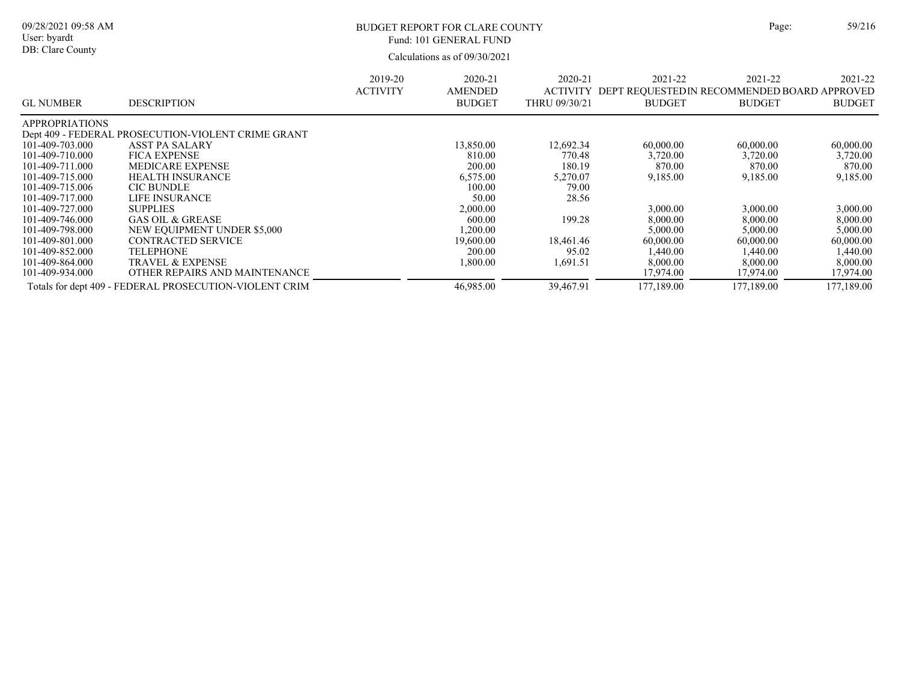| ŗе: | 59/21 |  |
|-----|-------|--|
|     |       |  |

09/28/2021 09:58 AM User: byardt

DB: Clare County

### BUDGET REPORT FOR CLARE COUNTY Page: 59/216 Fund: 101 GENERAL FUND

|                       |                                                        | 2019-20<br><b>ACTIVITY</b> | 2020-21<br><b>AMENDED</b> | 2020-21<br><b>ACTIVITY</b> | 2021-22<br>DEPT REQUESTED IN RECOMMENDED BOARD APPROVED | 2021-22       | 2021-22       |
|-----------------------|--------------------------------------------------------|----------------------------|---------------------------|----------------------------|---------------------------------------------------------|---------------|---------------|
| <b>GL NUMBER</b>      | <b>DESCRIPTION</b>                                     |                            | <b>BUDGET</b>             | THRU 09/30/21              | <b>BUDGET</b>                                           | <b>BUDGET</b> | <b>BUDGET</b> |
| <b>APPROPRIATIONS</b> |                                                        |                            |                           |                            |                                                         |               |               |
|                       | Dept 409 - FEDERAL PROSECUTION-VIOLENT CRIME GRANT     |                            |                           |                            |                                                         |               |               |
| 101-409-703.000       | <b>ASST PA SALARY</b>                                  |                            | 13,850.00                 | 12,692.34                  | 60,000.00                                               | 60,000.00     | 60,000.00     |
| 101-409-710.000       | <b>FICA EXPENSE</b>                                    |                            | 810.00                    | 770.48                     | 3,720.00                                                | 3,720.00      | 3,720.00      |
| 101-409-711.000       | <b>MEDICARE EXPENSE</b>                                |                            | 200.00                    | 180.19                     | 870.00                                                  | 870.00        | 870.00        |
| 101-409-715.000       | HEALTH INSURANCE                                       |                            | 6,575.00                  | 5,270.07                   | 9,185.00                                                | 9,185.00      | 9,185.00      |
| 101-409-715.006       | <b>CIC BUNDLE</b>                                      |                            | 100.00                    | 79.00                      |                                                         |               |               |
| 101-409-717.000       | LIFE INSURANCE                                         |                            | 50.00                     | 28.56                      |                                                         |               |               |
| 101-409-727.000       | <b>SUPPLIES</b>                                        |                            | 2,000.00                  |                            | 3,000.00                                                | 3,000.00      | 3,000.00      |
| 101-409-746.000       | <b>GAS OIL &amp; GREASE</b>                            |                            | 600.00                    | 199.28                     | 8,000.00                                                | 8,000.00      | 8,000.00      |
| 101-409-798.000       | NEW EQUIPMENT UNDER \$5,000                            |                            | ,200.00                   |                            | 5,000.00                                                | 5,000.00      | 5,000.00      |
| 101-409-801.000       | <b>CONTRACTED SERVICE</b>                              |                            | 19,600.00                 | 18,461.46                  | 60,000.00                                               | 60,000.00     | 60,000.00     |
| 101-409-852.000       | TELEPHONE                                              |                            | 200.00                    | 95.02                      | 1,440.00                                                | 1,440.00      | 1,440.00      |
| 101-409-864.000       | <b>TRAVEL &amp; EXPENSE</b>                            |                            | 1,800.00                  | 1,691.51                   | 8,000.00                                                | 8,000.00      | 8,000.00      |
| 101-409-934.000       | OTHER REPAIRS AND MAINTENANCE                          |                            |                           |                            | 17,974.00                                               | 17,974.00     | 17,974.00     |
|                       | Totals for dept 409 - FEDERAL PROSECUTION-VIOLENT CRIM |                            | 46,985.00                 | 39,467.91                  | 177,189.00                                              | 177,189.00    | 177,189.00    |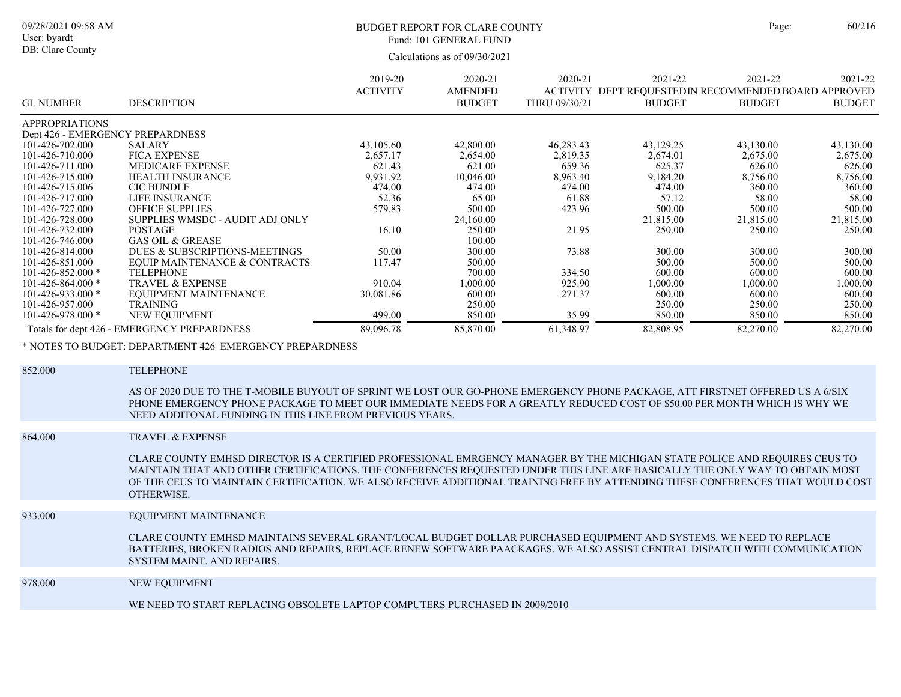DB: Clare County

### BUDGET REPORT FOR CLARE COUNTY Page: 60/216 Fund: 101 GENERAL FUND

Calculations as of 09/30/2021

| <b>GL NUMBER</b>                 | <b>DESCRIPTION</b>                          | 2019-20<br><b>ACTIVITY</b> | 2020-21<br><b>AMENDED</b><br><b>BUDGET</b> | 2020-21<br><b>ACTIVITY</b><br>THRU 09/30/21 | 2021-22<br>DEPT REQUESTED IN RECOMMENDED BOARD APPROVED<br><b>BUDGET</b> | 2021-22<br><b>BUDGET</b> | 2021-22<br><b>BUDGET</b> |
|----------------------------------|---------------------------------------------|----------------------------|--------------------------------------------|---------------------------------------------|--------------------------------------------------------------------------|--------------------------|--------------------------|
| <b>APPROPRIATIONS</b>            |                                             |                            |                                            |                                             |                                                                          |                          |                          |
| Dept 426 - EMERGENCY PREPARDNESS |                                             |                            |                                            |                                             |                                                                          |                          |                          |
| 101-426-702.000                  | <b>SALARY</b>                               | 43,105.60                  | 42,800.00                                  | 46,283.43                                   | 43,129.25                                                                | 43,130.00                | 43,130.00                |
| 101-426-710.000                  | <b>FICA EXPENSE</b>                         | 2,657.17                   | 2,654.00                                   | 2,819.35                                    | 2,674.01                                                                 | 2,675.00                 | 2,675.00                 |
| 101-426-711.000                  | <b>MEDICARE EXPENSE</b>                     | 621.43                     | 621.00                                     | 659.36                                      | 625.37                                                                   | 626.00                   | 626.00                   |
| 101-426-715.000                  | <b>HEALTH INSURANCE</b>                     | 9,931.92                   | 10,046.00                                  | 8,963.40                                    | 9,184.20                                                                 | 8,756.00                 | 8,756.00                 |
| 101-426-715.006                  | <b>CIC BUNDLE</b>                           | 474.00                     | 474.00                                     | 474.00                                      | 474.00                                                                   | 360.00                   | 360.00                   |
| 101-426-717.000                  | LIFE INSURANCE                              | 52.36                      | 65.00                                      | 61.88                                       | 57.12                                                                    | 58.00                    | 58.00                    |
| 101-426-727.000                  | <b>OFFICE SUPPLIES</b>                      | 579.83                     | 500.00                                     | 423.96                                      | 500.00                                                                   | 500.00                   | 500.00                   |
| 101-426-728.000                  | SUPPLIES WMSDC - AUDIT ADJ ONLY             |                            | 24,160.00                                  |                                             | 21,815.00                                                                | 21,815.00                | 21,815.00                |
| 101-426-732.000                  | <b>POSTAGE</b>                              | 16.10                      | 250.00                                     | 21.95                                       | 250.00                                                                   | 250.00                   | 250.00                   |
| 101-426-746.000                  | <b>GAS OIL &amp; GREASE</b>                 |                            | 100.00                                     |                                             |                                                                          |                          |                          |
| 101-426-814.000                  | DUES & SUBSCRIPTIONS-MEETINGS               | 50.00                      | 300.00                                     | 73.88                                       | 300.00                                                                   | 300.00                   | 300.00                   |
| 101-426-851.000                  | EQUIP MAINTENANCE & CONTRACTS               | 117.47                     | 500.00                                     |                                             | 500.00                                                                   | 500.00                   | 500.00                   |
| $101 - 426 - 852.000$ *          | <b>TELEPHONE</b>                            |                            | 700.00                                     | 334.50                                      | 600.00                                                                   | 600.00                   | 600.00                   |
| $101 - 426 - 864.000$ *          | <b>TRAVEL &amp; EXPENSE</b>                 | 910.04                     | 1,000.00                                   | 925.90                                      | 1,000.00                                                                 | 00.000.1                 | 00.000.1                 |
| $101 - 426 - 933.000$ *          | EQUIPMENT MAINTENANCE                       | 30,081.86                  | 600.00                                     | 271.37                                      | 600.00                                                                   | 600.00                   | 600.00                   |
| 101-426-957.000                  | <b>TRAINING</b>                             |                            | 250.00                                     |                                             | 250.00                                                                   | 250.00                   | 250.00                   |
| $101 - 426 - 978.000$ *          | NEW EQUIPMENT                               | 499.00                     | 850.00                                     | 35.99                                       | 850.00                                                                   | 850.00                   | 850.00                   |
|                                  | Totals for dept 426 - EMERGENCY PREPARDNESS | 89,096.78                  | 85,870.00                                  | 61,348.97                                   | 82,808.95                                                                | 82,270.00                | 82,270.00                |

\* NOTES TO BUDGET: DEPARTMENT 426 EMERGENCY PREPARDNESS

| AS OF 2020 DUE TO THE T-MOBILE BUYOUT OF SPRINT WE LOST OUR GO-PHONE EMERGENCY PHONE PACKAGE, ATT FIRSTNET OFFERED US A 6/SIX<br>PHONE EMERGENCY PHONE PACKAGE TO MEET OUR IMMEDIATE NEEDS FOR A GREATLY REDUCED COST OF \$50.00 PER MONTH WHICH IS WHY WE<br>NEED ADDITONAL FUNDING IN THIS LINE FROM PREVIOUS YEARS.<br><b>TRAVEL &amp; EXPENSE</b><br>864.000<br>CLARE COUNTY EMHSD DIRECTOR IS A CERTIFIED PROFESSIONAL EMRGENCY MANAGER BY THE MICHIGAN STATE POLICE AND REQUIRES CEUS TO<br>MAINTAIN THAT AND OTHER CERTIFICATIONS. THE CONFERENCES REQUESTED UNDER THIS LINE ARE BASICALLY THE ONLY WAY TO OBTAIN MOST<br>OF THE CEUS TO MAINTAIN CERTIFICATION. WE ALSO RECEIVE ADDITIONAL TRAINING FREE BY ATTENDING THESE CONFERENCES THAT WOULD COST<br>OTHERWISE.<br>933.000<br>EQUIPMENT MAINTENANCE<br>CLARE COUNTY EMHSD MAINTAINS SEVERAL GRANT/LOCAL BUDGET DOLLAR PURCHASED EQUIPMENT AND SYSTEMS. WE NEED TO REPLACE<br>BATTERIES, BROKEN RADIOS AND REPAIRS, REPLACE RENEW SOFTWARE PAACKAGES. WE ALSO ASSIST CENTRAL DISPATCH WITH COMMUNICATION<br>SYSTEM MAINT. AND REPAIRS.<br>NEW EQUIPMENT<br>978.000<br>WE NEED TO START REPLACING OBSOLETE LAPTOP COMPUTERS PURCHASED IN 2009/2010 | 852.000 | <b>TELEPHONE</b> |
|----------------------------------------------------------------------------------------------------------------------------------------------------------------------------------------------------------------------------------------------------------------------------------------------------------------------------------------------------------------------------------------------------------------------------------------------------------------------------------------------------------------------------------------------------------------------------------------------------------------------------------------------------------------------------------------------------------------------------------------------------------------------------------------------------------------------------------------------------------------------------------------------------------------------------------------------------------------------------------------------------------------------------------------------------------------------------------------------------------------------------------------------------------------------------------------------------------------|---------|------------------|
|                                                                                                                                                                                                                                                                                                                                                                                                                                                                                                                                                                                                                                                                                                                                                                                                                                                                                                                                                                                                                                                                                                                                                                                                                |         |                  |
|                                                                                                                                                                                                                                                                                                                                                                                                                                                                                                                                                                                                                                                                                                                                                                                                                                                                                                                                                                                                                                                                                                                                                                                                                |         |                  |
|                                                                                                                                                                                                                                                                                                                                                                                                                                                                                                                                                                                                                                                                                                                                                                                                                                                                                                                                                                                                                                                                                                                                                                                                                |         |                  |
|                                                                                                                                                                                                                                                                                                                                                                                                                                                                                                                                                                                                                                                                                                                                                                                                                                                                                                                                                                                                                                                                                                                                                                                                                |         |                  |
|                                                                                                                                                                                                                                                                                                                                                                                                                                                                                                                                                                                                                                                                                                                                                                                                                                                                                                                                                                                                                                                                                                                                                                                                                |         |                  |
|                                                                                                                                                                                                                                                                                                                                                                                                                                                                                                                                                                                                                                                                                                                                                                                                                                                                                                                                                                                                                                                                                                                                                                                                                |         |                  |
|                                                                                                                                                                                                                                                                                                                                                                                                                                                                                                                                                                                                                                                                                                                                                                                                                                                                                                                                                                                                                                                                                                                                                                                                                |         |                  |
|                                                                                                                                                                                                                                                                                                                                                                                                                                                                                                                                                                                                                                                                                                                                                                                                                                                                                                                                                                                                                                                                                                                                                                                                                |         |                  |
|                                                                                                                                                                                                                                                                                                                                                                                                                                                                                                                                                                                                                                                                                                                                                                                                                                                                                                                                                                                                                                                                                                                                                                                                                |         |                  |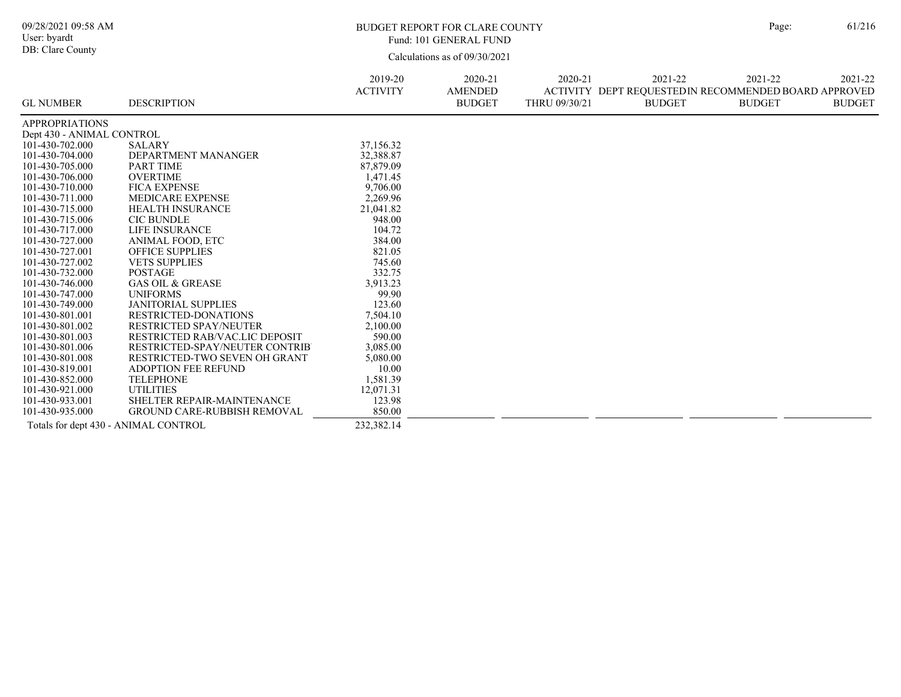| 09/28/2021 09:58 AM<br>User: byardt<br>DB: Clare County |                                                          |                            | <b>BUDGET REPORT FOR CLARE COUNTY</b><br>Fund: 101 GENERAL FUND |                          |                                                                                  | Page:                    | 61/216                   |
|---------------------------------------------------------|----------------------------------------------------------|----------------------------|-----------------------------------------------------------------|--------------------------|----------------------------------------------------------------------------------|--------------------------|--------------------------|
|                                                         |                                                          |                            | Calculations as of 09/30/2021                                   |                          |                                                                                  |                          |                          |
| <b>GL NUMBER</b>                                        | <b>DESCRIPTION</b>                                       | 2019-20<br><b>ACTIVITY</b> | 2020-21<br><b>AMENDED</b><br><b>BUDGET</b>                      | 2020-21<br>THRU 09/30/21 | 2021-22<br>ACTIVITY DEPT REOUESTEDIN RECOMMENDED BOARD APPROVED<br><b>BUDGET</b> | 2021-22<br><b>BUDGET</b> | 2021-22<br><b>BUDGET</b> |
| <b>APPROPRIATIONS</b>                                   |                                                          |                            |                                                                 |                          |                                                                                  |                          |                          |
| Dept 430 - ANIMAL CONTROL                               |                                                          |                            |                                                                 |                          |                                                                                  |                          |                          |
| 101-430-702.000<br>101-430-704.000                      | <b>SALARY</b><br>DEPARTMENT MANANGER                     | 37,156.32<br>32,388.87     |                                                                 |                          |                                                                                  |                          |                          |
| 101-430-705.000                                         | <b>PART TIME</b>                                         | 87,879.09                  |                                                                 |                          |                                                                                  |                          |                          |
| 101-430-706.000                                         | <b>OVERTIME</b>                                          | 1,471.45                   |                                                                 |                          |                                                                                  |                          |                          |
| 101-430-710.000                                         | <b>FICA EXPENSE</b>                                      | 9,706.00                   |                                                                 |                          |                                                                                  |                          |                          |
| 101-430-711.000                                         | MEDICARE EXPENSE                                         | 2,269.96                   |                                                                 |                          |                                                                                  |                          |                          |
| 101-430-715.000                                         | HEALTH INSURANCE                                         | 21,041.82                  |                                                                 |                          |                                                                                  |                          |                          |
| 101-430-715.006                                         | <b>CIC BUNDLE</b>                                        | 948.00                     |                                                                 |                          |                                                                                  |                          |                          |
| 101-430-717.000                                         | <b>LIFE INSURANCE</b>                                    | 104.72                     |                                                                 |                          |                                                                                  |                          |                          |
| 101-430-727.000                                         | ANIMAL FOOD, ETC                                         | 384.00                     |                                                                 |                          |                                                                                  |                          |                          |
| 101-430-727.001                                         | <b>OFFICE SUPPLIES</b>                                   | 821.05                     |                                                                 |                          |                                                                                  |                          |                          |
| 101-430-727.002                                         | <b>VETS SUPPLIES</b>                                     | 745.60                     |                                                                 |                          |                                                                                  |                          |                          |
| 101-430-732.000                                         | <b>POSTAGE</b>                                           | 332.75                     |                                                                 |                          |                                                                                  |                          |                          |
| 101-430-746.000                                         | <b>GAS OIL &amp; GREASE</b>                              | 3,913.23                   |                                                                 |                          |                                                                                  |                          |                          |
| 101-430-747.000                                         | <b>UNIFORMS</b>                                          | 99.90                      |                                                                 |                          |                                                                                  |                          |                          |
| 101-430-749.000                                         | <b>JANITORIAL SUPPLIES</b>                               | 123.60                     |                                                                 |                          |                                                                                  |                          |                          |
| 101-430-801.001                                         | RESTRICTED-DONATIONS                                     | 7,504.10                   |                                                                 |                          |                                                                                  |                          |                          |
| 101-430-801.002<br>101-430-801.003                      | RESTRICTED SPAY/NEUTER<br>RESTRICTED RAB/VAC.LIC DEPOSIT | 2,100.00<br>590.00         |                                                                 |                          |                                                                                  |                          |                          |
| 101-430-801.006                                         | RESTRICTED-SPAY/NEUTER CONTRIB                           | 3,085.00                   |                                                                 |                          |                                                                                  |                          |                          |
| 101-430-801.008                                         | RESTRICTED-TWO SEVEN OH GRANT                            | 5,080.00                   |                                                                 |                          |                                                                                  |                          |                          |
| 101-430-819.001                                         | <b>ADOPTION FEE REFUND</b>                               | 10.00                      |                                                                 |                          |                                                                                  |                          |                          |
| 101-430-852.000                                         | <b>TELEPHONE</b>                                         | 1,581.39                   |                                                                 |                          |                                                                                  |                          |                          |
| 101-430-921.000                                         | <b>UTILITIES</b>                                         | 12,071.31                  |                                                                 |                          |                                                                                  |                          |                          |
| 101-430-933.001                                         | SHELTER REPAIR-MAINTENANCE                               | 123.98                     |                                                                 |                          |                                                                                  |                          |                          |
| 101-430-935.000                                         | <b>GROUND CARE-RUBBISH REMOVAL</b>                       | 850.00                     |                                                                 |                          |                                                                                  |                          |                          |
| Totals for dept 430 - ANIMAL CONTROL                    |                                                          | 232,382.14                 |                                                                 |                          |                                                                                  |                          |                          |

 $\overline{\phantom{0}}$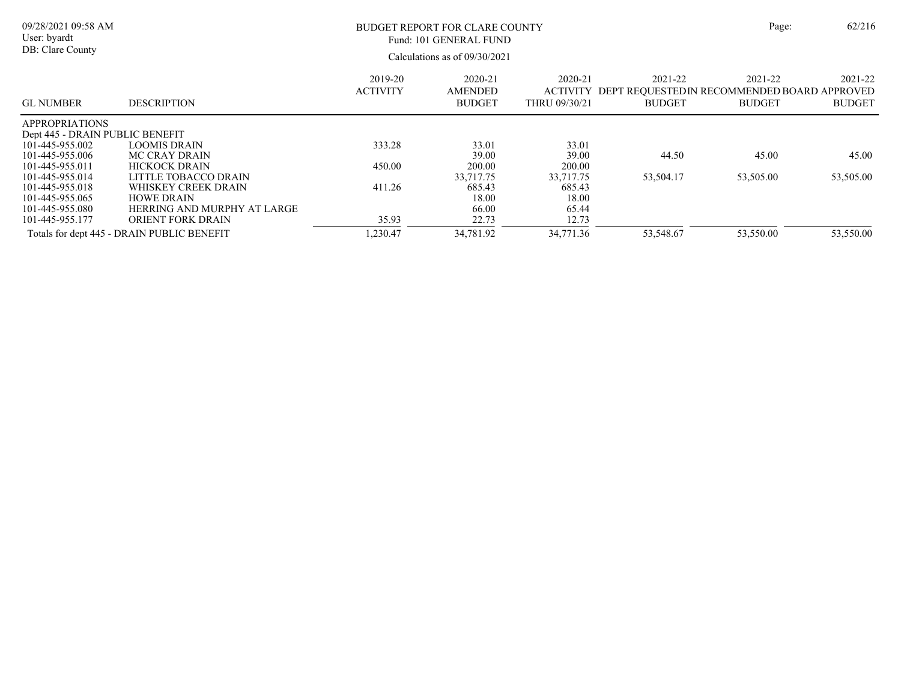| 09/28/2021 09:58 AM<br>User: byardt<br>DB: Clare County |                                            | Page:                      | 62/216                              |                                             |                                                                          |                          |                          |
|---------------------------------------------------------|--------------------------------------------|----------------------------|-------------------------------------|---------------------------------------------|--------------------------------------------------------------------------|--------------------------|--------------------------|
| <b>GL NUMBER</b>                                        | <b>DESCRIPTION</b>                         | 2019-20<br><b>ACTIVITY</b> | 2020-21<br>AMENDED<br><b>BUDGET</b> | 2020-21<br><b>ACTIVITY</b><br>THRU 09/30/21 | 2021-22<br>DEPT REQUESTED IN RECOMMENDED BOARD APPROVED<br><b>BUDGET</b> | 2021-22<br><b>BUDGET</b> | 2021-22<br><b>BUDGET</b> |
| <b>APPROPRIATIONS</b>                                   |                                            |                            |                                     |                                             |                                                                          |                          |                          |
| Dept 445 - DRAIN PUBLIC BENEFIT                         |                                            |                            |                                     |                                             |                                                                          |                          |                          |
| 101-445-955.002<br>101-445-955.006                      | LOOMIS DRAIN                               | 333.28                     | 33.01<br>39.00                      | 33.01<br>39.00                              |                                                                          |                          | 45.00                    |
| 101-445-955.011                                         | MC CRAY DRAIN<br><b>HICKOCK DRAIN</b>      | 450.00                     | 200.00                              | 200.00                                      | 44.50                                                                    | 45.00                    |                          |
| 101-445-955.014                                         | LITTLE TOBACCO DRAIN                       |                            | 33,717.75                           | 33,717.75                                   | 53,504.17                                                                | 53,505.00                | 53,505.00                |
| 101-445-955.018                                         | WHISKEY CREEK DRAIN                        | 411.26                     | 685.43                              | 685.43                                      |                                                                          |                          |                          |
| 101-445-955.065                                         | <b>HOWE DRAIN</b>                          |                            | 18.00                               | 18.00                                       |                                                                          |                          |                          |
| 101-445-955.080                                         | HERRING AND MURPHY AT LARGE                |                            | 66.00                               | 65.44                                       |                                                                          |                          |                          |
| 101-445-955.177                                         | ORIENT FORK DRAIN                          | 35.93                      | 22.73                               | 12.73                                       |                                                                          |                          |                          |
|                                                         | Totals for dept 445 - DRAIN PUBLIC BENEFIT | 1,230.47                   | 34,781.92                           | 34,771.36                                   | 53,548.67                                                                | 53,550.00                | 53,550.00                |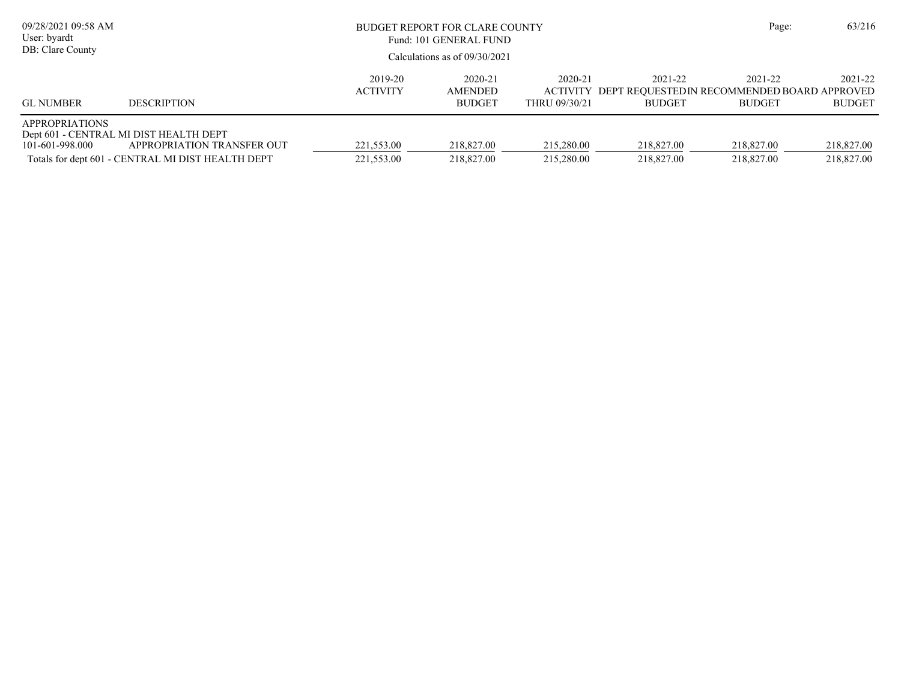| 09/28/2021 09:58 AM<br>User: byardt<br>DB: Clare County |                                                                                                                           | BUDGET REPORT FOR CLARE COUNTY<br>Fund: 101 GENERAL FUND<br>Calculations as of $09/30/2021$ |                                            |                          | Page:                                                                             | 63/216                   |                          |
|---------------------------------------------------------|---------------------------------------------------------------------------------------------------------------------------|---------------------------------------------------------------------------------------------|--------------------------------------------|--------------------------|-----------------------------------------------------------------------------------|--------------------------|--------------------------|
| <b>GL NUMBER</b>                                        | <b>DESCRIPTION</b>                                                                                                        | 2019-20<br><b>ACTIVITY</b>                                                                  | 2020-21<br><b>AMENDED</b><br><b>BUDGET</b> | 2020-21<br>THRU 09/30/21 | 2021-22<br>ACTIVITY DEPT REQUESTED IN RECOMMENDED BOARD APPROVED<br><b>BUDGET</b> | 2021-22<br><b>BUDGET</b> | 2021-22<br><b>BUDGET</b> |
| <b>APPROPRIATIONS</b><br>101-601-998.000                | Dept 601 - CENTRAL MI DIST HEALTH DEPT<br>APPROPRIATION TRANSFER OUT<br>Totals for dept 601 - CENTRAL MI DIST HEALTH DEPT | 221,553.00<br>221,553.00                                                                    | 218,827.00<br>218,827.00                   | 215,280.00<br>215,280.00 | 218,827.00<br>218,827.00                                                          | 218,827.00<br>218,827.00 | 218,827.00<br>218,827.00 |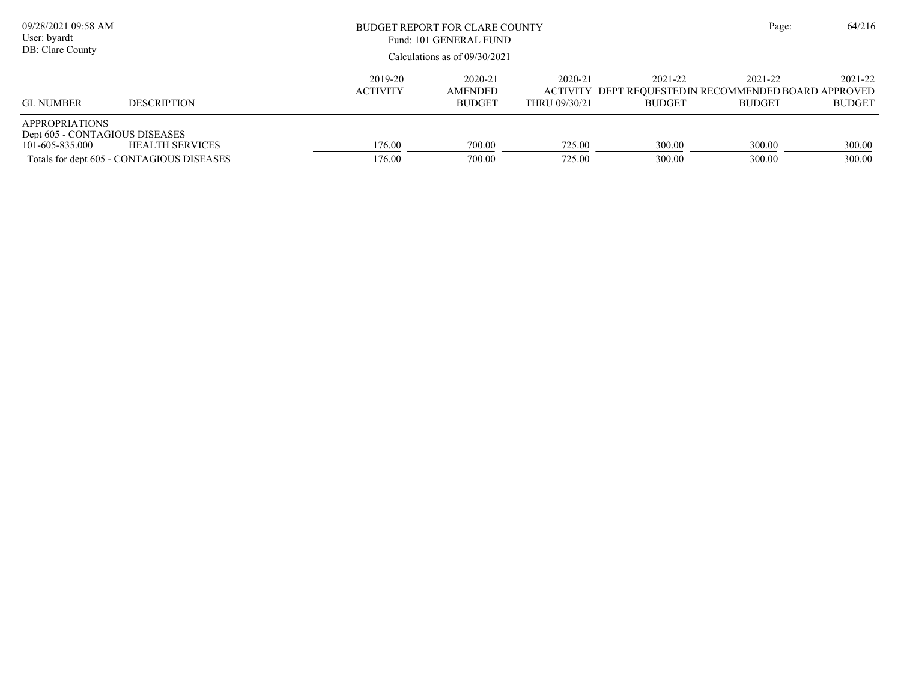| 09/28/2021 09:58 AM<br>User: byardt<br>DB: Clare County                    |                                                              |                            | BUDGET REPORT FOR CLARE COUNTY<br>Fund: 101 GENERAL FUND<br>Calculations as of 09/30/2021 |                          |                          |                                                                                  | 64/216<br>Page:          |
|----------------------------------------------------------------------------|--------------------------------------------------------------|----------------------------|-------------------------------------------------------------------------------------------|--------------------------|--------------------------|----------------------------------------------------------------------------------|--------------------------|
| <b>GL NUMBER</b>                                                           | <b>DESCRIPTION</b>                                           | 2019-20<br><b>ACTIVITY</b> | 2020-21<br>AMENDED<br><b>BUDGET</b>                                                       | 2020-21<br>THRU 09/30/21 | 2021-22<br><b>BUDGET</b> | 2021-22<br>ACTIVITY DEPT REQUESTEDIN RECOMMENDED BOARD APPROVED<br><b>BUDGET</b> | 2021-22<br><b>BUDGET</b> |
| <b>APPROPRIATIONS</b><br>Dept 605 - CONTAGIOUS DISEASES<br>101-605-835.000 | HEALTH SERVICES<br>Totals for dept 605 - CONTAGIOUS DISEASES | 176.00<br>176.00           | 700.00<br>700.00                                                                          | 725.00<br>725.00         | 300.00<br>300.00         | 300.00<br>300.00                                                                 | 300.00<br>300.00         |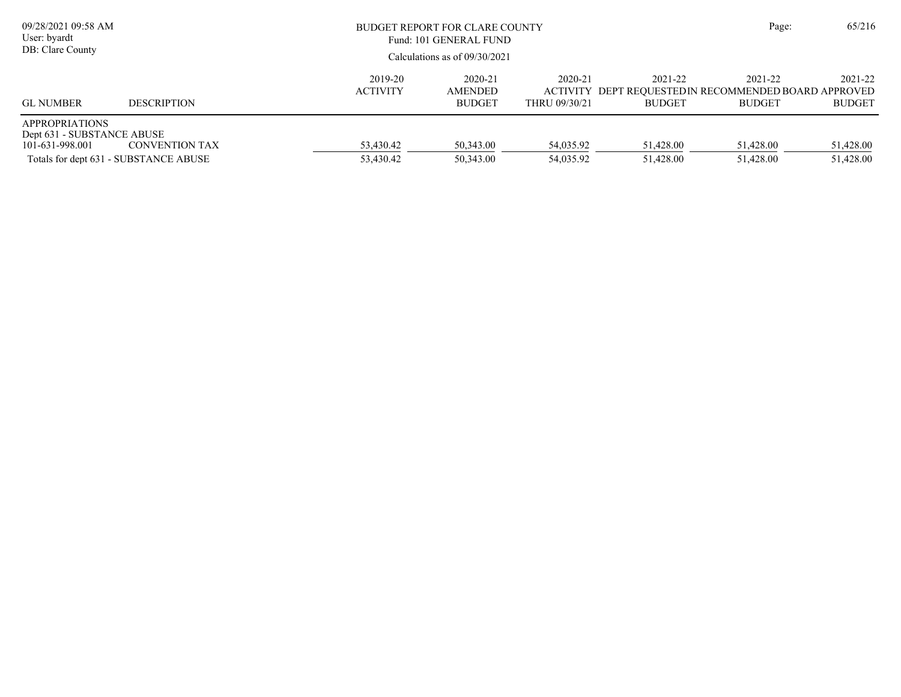| 09/28/2021 09:58 AM<br>User: byardt<br>DB: Clare County                |                                                                |                            | BUDGET REPORT FOR CLARE COUNTY<br>Fund: 101 GENERAL FUND<br>Calculations as of $09/30/2021$ |                          |                          |                                                                                  |                          |  |
|------------------------------------------------------------------------|----------------------------------------------------------------|----------------------------|---------------------------------------------------------------------------------------------|--------------------------|--------------------------|----------------------------------------------------------------------------------|--------------------------|--|
| <b>GL NUMBER</b>                                                       | <b>DESCRIPTION</b>                                             | 2019-20<br><b>ACTIVITY</b> | 2020-21<br><b>AMENDED</b><br><b>BUDGET</b>                                                  | 2020-21<br>THRU 09/30/21 | 2021-22<br><b>BUDGET</b> | 2021-22<br>ACTIVITY DEPT REQUESTEDIN RECOMMENDED BOARD APPROVED<br><b>BUDGET</b> | 2021-22<br><b>BUDGET</b> |  |
| <b>APPROPRIATIONS</b><br>Dept 631 - SUBSTANCE ABUSE<br>101-631-998.001 | <b>CONVENTION TAX</b><br>Totals for dept 631 - SUBSTANCE ABUSE | 53,430.42<br>53,430.42     | 50,343.00<br>50,343.00                                                                      | 54,035.92<br>54,035.92   | 51,428.00<br>51,428.00   | 51,428.00<br>51,428.00                                                           | 51,428.00<br>51,428.00   |  |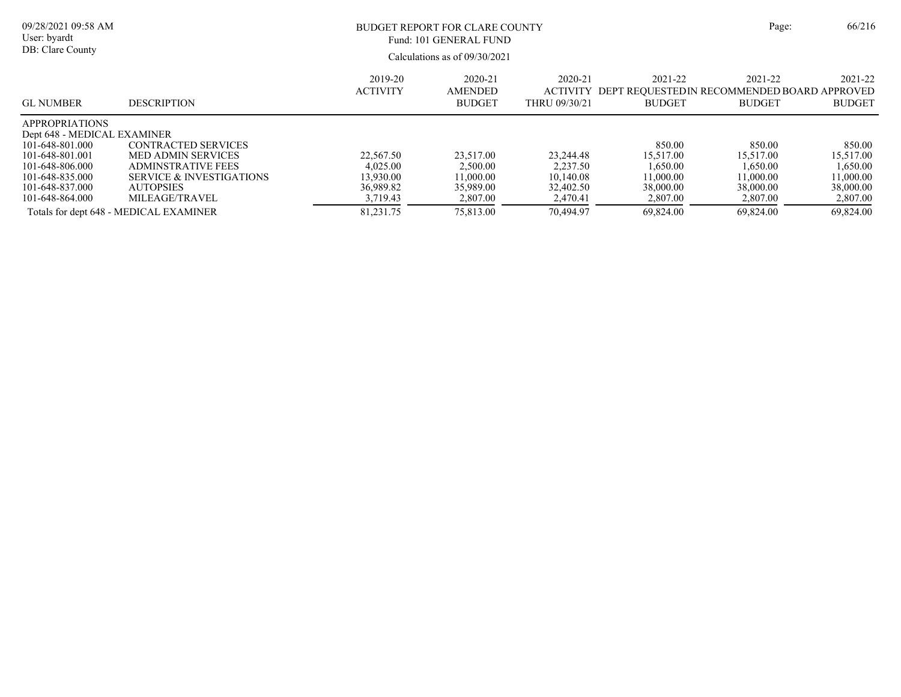| 09/28/2021 09:58 AM<br>User: byardt<br>DB: Clare County                                                       |                                                                                                                     |                                                 | BUDGET REPORT FOR CLARE COUNTY<br>Fund: 101 GENERAL FUND<br>Calculations as of 09/30/2021 |                                                 |                                                                         | Page:                                           | 66/216                                          |
|---------------------------------------------------------------------------------------------------------------|---------------------------------------------------------------------------------------------------------------------|-------------------------------------------------|-------------------------------------------------------------------------------------------|-------------------------------------------------|-------------------------------------------------------------------------|-------------------------------------------------|-------------------------------------------------|
| <b>GL NUMBER</b>                                                                                              | <b>DESCRIPTION</b>                                                                                                  | 2019-20<br><b>ACTIVITY</b>                      | 2020-21<br><b>AMENDED</b><br><b>BUDGET</b>                                                | 2020-21<br><b>ACTIVITY</b><br>THRU 09/30/21     | 2021-22<br>DEPT REOUESTEDIN RECOMMENDED BOARD APPROVED<br><b>BUDGET</b> | 2021-22<br><b>BUDGET</b>                        | 2021-22<br><b>BUDGET</b>                        |
| <b>APPROPRIATIONS</b><br>Dept 648 - MEDICAL EXAMINER<br>101-648-801.000<br>101-648-801.001<br>101-648-806.000 | <b>CONTRACTED SERVICES</b><br><b>MED ADMIN SERVICES</b><br><b>ADMINSTRATIVE FEES</b>                                | 22,567.50<br>4.025.00                           | 23,517.00<br>2,500.00                                                                     | 23.244.48<br>2.237.50                           | 850.00<br>15,517.00<br>1.650.00                                         | 850.00<br>15.517.00<br>1,650.00                 | 850.00<br>15,517.00<br>1,650.00                 |
| 101-648-835.000<br>101-648-837.000<br>101-648-864.000                                                         | <b>SERVICE &amp; INVESTIGATIONS</b><br><b>AUTOPSIES</b><br>MILEAGE/TRAVEL<br>Totals for dept 648 - MEDICAL EXAMINER | 13.930.00<br>36,989.82<br>3,719.43<br>81.231.75 | 11.000.00<br>35,989.00<br>2,807.00<br>75,813.00                                           | 10.140.08<br>32,402.50<br>2,470.41<br>70.494.97 | 11.000.00<br>38,000.00<br>2,807.00<br>69.824.00                         | 11.000.00<br>38,000.00<br>2,807.00<br>69,824.00 | 11,000.00<br>38,000.00<br>2,807.00<br>69.824.00 |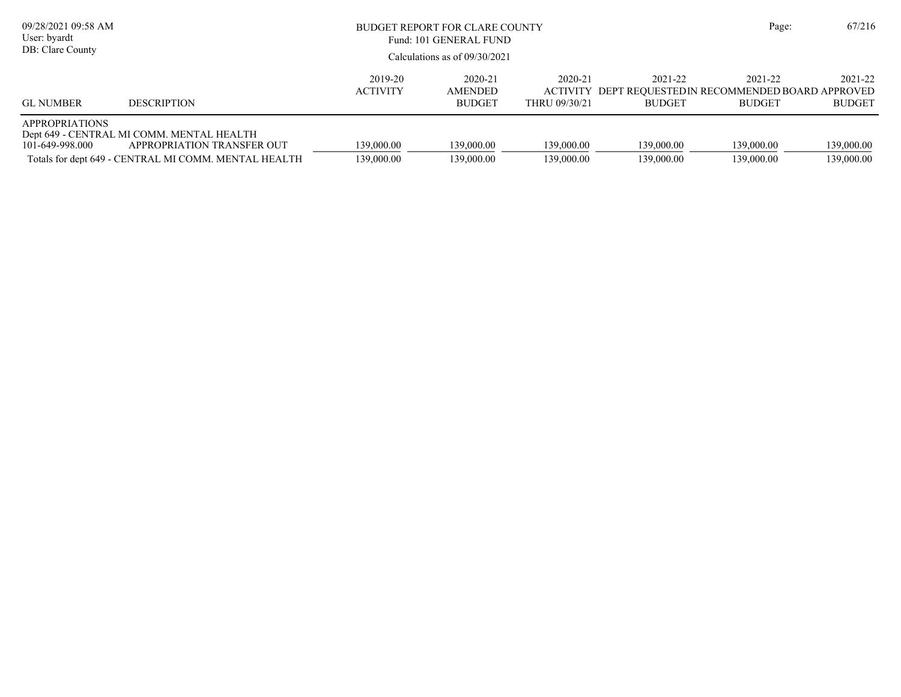| 09/28/2021 09:58 AM<br>User: byardt<br>DB: Clare County |                                                                                                                                 | BUDGET REPORT FOR CLARE COUNTY<br>Fund: 101 GENERAL FUND<br>Calculations as of $09/30/2021$ |                                     |                          |                          |                                                                                   | 67/216                   |
|---------------------------------------------------------|---------------------------------------------------------------------------------------------------------------------------------|---------------------------------------------------------------------------------------------|-------------------------------------|--------------------------|--------------------------|-----------------------------------------------------------------------------------|--------------------------|
| <b>GL NUMBER</b>                                        | <b>DESCRIPTION</b>                                                                                                              | 2019-20<br><b>ACTIVITY</b>                                                                  | 2020-21<br>AMENDED<br><b>BUDGET</b> | 2020-21<br>THRU 09/30/21 | 2021-22<br><b>BUDGET</b> | 2021-22<br>ACTIVITY DEPT REOUESTED IN RECOMMENDED BOARD APPROVED<br><b>BUDGET</b> | 2021-22<br><b>BUDGET</b> |
| <b>APPROPRIATIONS</b><br>101-649-998.000                | Dept 649 - CENTRAL MI COMM. MENTAL HEALTH<br>APPROPRIATION TRANSFER OUT<br>Totals for dept 649 - CENTRAL MI COMM. MENTAL HEALTH | 139,000.00<br>139,000.00                                                                    | 139,000.00<br>139,000.00            | 139,000.00<br>139,000.00 | 139,000.00<br>139,000.00 | 139,000.00<br>139,000.00                                                          | 139,000.00<br>139,000.00 |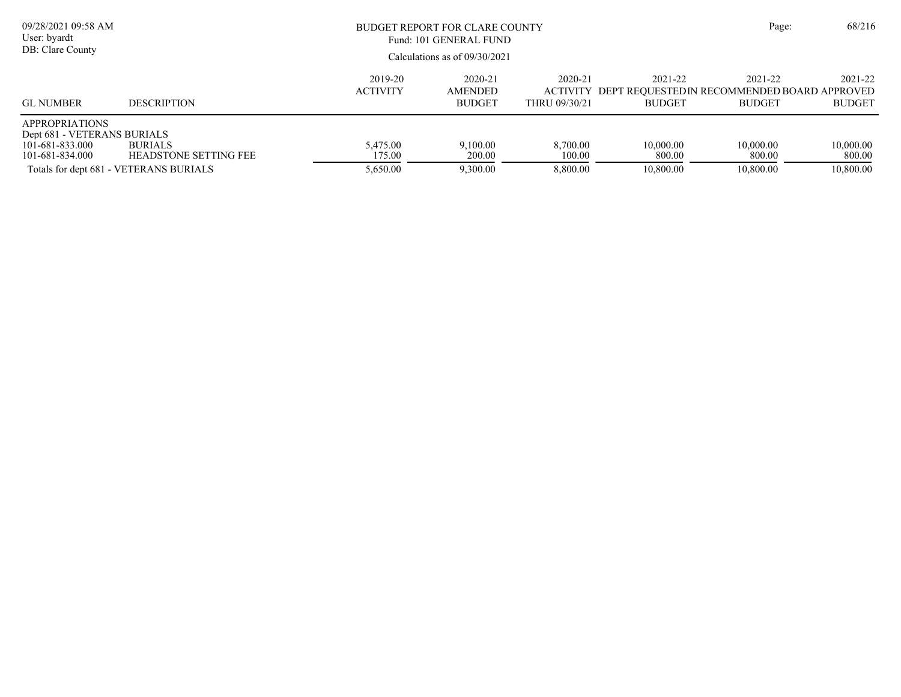| 09/28/2021 09:58 AM<br>User: byardt<br>DB: Clare County                                    |                                                                                          | BUDGET REPORT FOR CLARE COUNTY<br>Fund: 101 GENERAL FUND<br>Calculations as of $09/30/2021$ |                                            |                                             |                                                                         |                                  |                                  |  |  |
|--------------------------------------------------------------------------------------------|------------------------------------------------------------------------------------------|---------------------------------------------------------------------------------------------|--------------------------------------------|---------------------------------------------|-------------------------------------------------------------------------|----------------------------------|----------------------------------|--|--|
| <b>GL NUMBER</b>                                                                           | <b>DESCRIPTION</b>                                                                       | 2019-20<br><b>ACTIVITY</b>                                                                  | 2020-21<br><b>AMENDED</b><br><b>BUDGET</b> | 2020-21<br><b>ACTIVITY</b><br>THRU 09/30/21 | 2021-22<br>DEPT REOUESTEDIN RECOMMENDED BOARD APPROVED<br><b>BUDGET</b> | 2021-22<br><b>BUDGET</b>         | 2021-22<br><b>BUDGET</b>         |  |  |
| <b>APPROPRIATIONS</b><br>Dept 681 - VETERANS BURIALS<br>101-681-833.000<br>101-681-834.000 | <b>BURIALS</b><br><b>HEADSTONE SETTING FEE</b><br>Totals for dept 681 - VETERANS BURIALS | 5.475.00<br>175.00<br>5,650.00                                                              | 9.100.00<br>200.00<br>9,300.00             | 8,700.00<br>100.00<br>8,800.00              | 10,000.00<br>800.00<br>10,800.00                                        | 10,000.00<br>800.00<br>10,800.00 | 10,000.00<br>800.00<br>10,800.00 |  |  |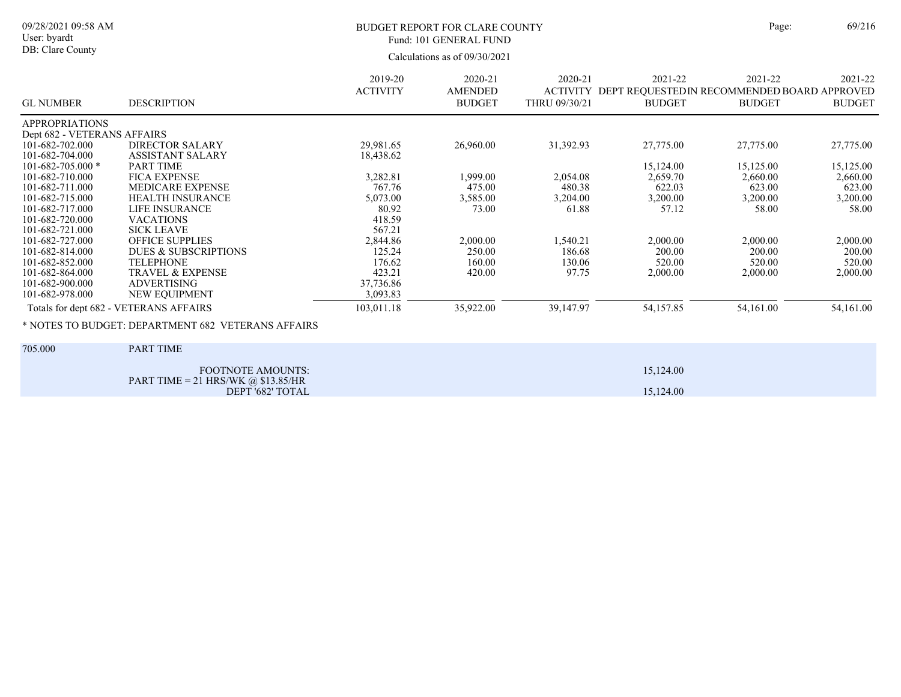#### 09/28/2021 09:58 AM User: byardt DB: Clare County

### BUDGET REPORT FOR CLARE COUNTY Page: 69/216 Fund: 101 GENERAL FUND

|                             |                                                               | 2019-20         | 2020-21                         | 2020-21                          | 2021-22       | 2021-22                                                       | 2021-22       |
|-----------------------------|---------------------------------------------------------------|-----------------|---------------------------------|----------------------------------|---------------|---------------------------------------------------------------|---------------|
| <b>GL NUMBER</b>            | <b>DESCRIPTION</b>                                            | <b>ACTIVITY</b> | <b>AMENDED</b><br><b>BUDGET</b> | <b>ACTIVITY</b><br>THRU 09/30/21 | <b>BUDGET</b> | DEPT REQUESTED IN RECOMMENDED BOARD APPROVED<br><b>BUDGET</b> | <b>BUDGET</b> |
| <b>APPROPRIATIONS</b>       |                                                               |                 |                                 |                                  |               |                                                               |               |
| Dept 682 - VETERANS AFFAIRS |                                                               |                 |                                 |                                  |               |                                                               |               |
| 101-682-702.000             | <b>DIRECTOR SALARY</b>                                        | 29,981.65       | 26,960.00                       | 31,392.93                        | 27,775.00     | 27,775.00                                                     | 27,775.00     |
| 101-682-704.000             | <b>ASSISTANT SALARY</b>                                       | 18,438.62       |                                 |                                  |               |                                                               |               |
| $101 - 682 - 705.000$ *     | <b>PART TIME</b>                                              |                 |                                 |                                  | 15,124.00     | 15,125.00                                                     | 15,125.00     |
| 101-682-710.000             | <b>FICA EXPENSE</b>                                           | 3,282.81        | 1,999.00                        | 2,054.08                         | 2,659.70      | 2,660.00                                                      | 2,660.00      |
| 101-682-711.000             | MEDICARE EXPENSE                                              | 767.76          | 475.00                          | 480.38                           | 622.03        | 623.00                                                        | 623.00        |
| 101-682-715.000             | <b>HEALTH INSURANCE</b>                                       | 5,073.00        | 3,585.00                        | 3,204.00                         | 3,200.00      | 3,200.00                                                      | 3,200.00      |
| 101-682-717.000             | <b>LIFE INSURANCE</b>                                         | 80.92           | 73.00                           | 61.88                            | 57.12         | 58.00                                                         | 58.00         |
| 101-682-720.000             | <b>VACATIONS</b>                                              | 418.59          |                                 |                                  |               |                                                               |               |
| 101-682-721.000             | <b>SICK LEAVE</b>                                             | 567.21          |                                 |                                  |               |                                                               |               |
| 101-682-727.000             | <b>OFFICE SUPPLIES</b>                                        | 2,844.86        | 2,000.00                        | 1,540.21                         | 2,000.00      | 2,000.00                                                      | 2,000.00      |
| 101-682-814.000             | DUES & SUBSCRIPTIONS                                          | 125.24          | 250.00                          | 186.68                           | 200.00        | 200.00                                                        | 200.00        |
| 101-682-852.000             | <b>TELEPHONE</b>                                              | 176.62          | 160.00                          | 130.06                           | 520.00        | 520.00                                                        | 520.00        |
| 101-682-864.000             | <b>TRAVEL &amp; EXPENSE</b>                                   | 423.21          | 420.00                          | 97.75                            | 2,000.00      | 2,000.00                                                      | 2,000.00      |
| 101-682-900.000             | <b>ADVERTISING</b>                                            | 37,736.86       |                                 |                                  |               |                                                               |               |
| 101-682-978.000             | NEW EQUIPMENT                                                 | 3,093.83        |                                 |                                  |               |                                                               |               |
|                             | Totals for dept 682 - VETERANS AFFAIRS                        | 103,011.18      | 35,922.00                       | 39,147.97                        | 54,157.85     | 54,161.00                                                     | 54,161.00     |
|                             | * NOTES TO BUDGET: DEPARTMENT 682 VETERANS AFFAIRS            |                 |                                 |                                  |               |                                                               |               |
| 705.000                     | PART TIME                                                     |                 |                                 |                                  |               |                                                               |               |
|                             | <b>FOOTNOTE AMOUNTS:</b>                                      |                 |                                 |                                  | 15,124.00     |                                                               |               |
|                             | PART TIME = 21 HRS/WK $\omega$ \$13.85/HR<br>DEPT '682' TOTAL |                 |                                 |                                  | 15,124.00     |                                                               |               |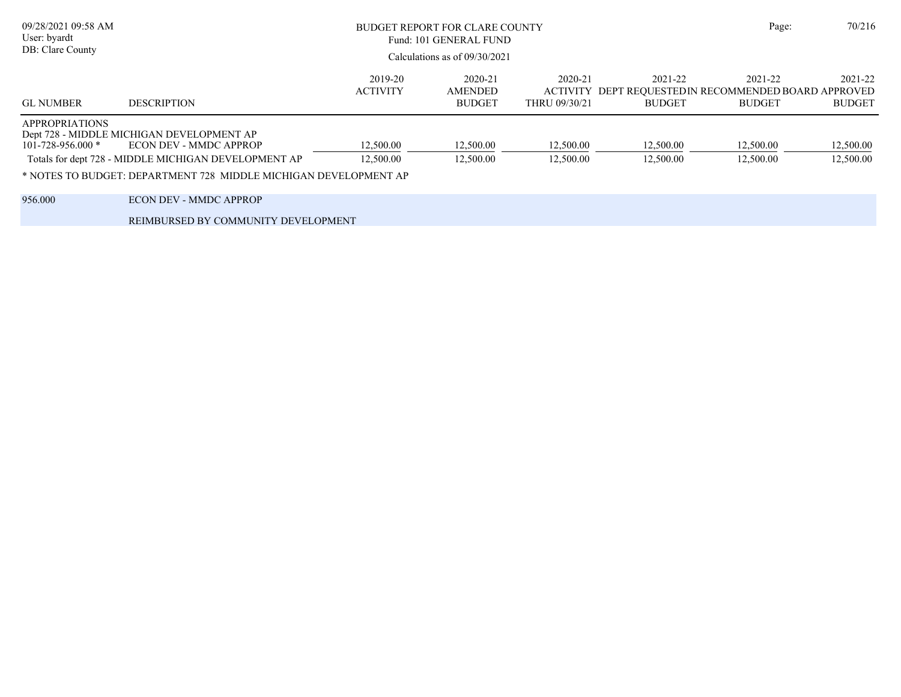| 09/28/2021 09:58 AM<br>User: byardt<br>DB: Clare County | BUDGET REPORT FOR CLARE COUNTY<br>Fund: 101 GENERAL FUND<br>Calculations as of 09/30/2021 |                            |                                            |                                             |                                                                          |                          | 70/216                   |
|---------------------------------------------------------|-------------------------------------------------------------------------------------------|----------------------------|--------------------------------------------|---------------------------------------------|--------------------------------------------------------------------------|--------------------------|--------------------------|
|                                                         |                                                                                           |                            |                                            |                                             |                                                                          |                          |                          |
| <b>GL NUMBER</b>                                        | <b>DESCRIPTION</b>                                                                        | 2019-20<br><b>ACTIVITY</b> | 2020-21<br><b>AMENDED</b><br><b>BUDGET</b> | 2020-21<br><b>ACTIVITY</b><br>THRU 09/30/21 | 2021-22<br>DEPT REQUESTED IN RECOMMENDED BOARD APPROVED<br><b>BUDGET</b> | 2021-22<br><b>BUDGET</b> | 2021-22<br><b>BUDGET</b> |
| <b>APPROPRIATIONS</b>                                   |                                                                                           |                            |                                            |                                             |                                                                          |                          |                          |
| $101 - 728 - 956.000$ *                                 | Dept 728 - MIDDLE MICHIGAN DEVELOPMENT AP<br>ECON DEV - MMDC APPROP                       | 12,500.00                  | 12,500.00                                  | 12,500.00                                   | 12,500.00                                                                | 12,500.00                | 12,500.00                |
|                                                         | Totals for dept 728 - MIDDLE MICHIGAN DEVELOPMENT AP                                      | 12,500.00                  | 12,500.00                                  | 12,500.00                                   | 12,500.00                                                                | 12,500.00                | 12,500.00                |
|                                                         | * NOTES TO BUDGET: DEPARTMENT 728 MIDDLE MICHIGAN DEVELOPMENT AP                          |                            |                                            |                                             |                                                                          |                          |                          |
| 956.000                                                 | <b>ECON DEV - MMDC APPROP</b>                                                             |                            |                                            |                                             |                                                                          |                          |                          |
|                                                         | REIMBURSED BY COMMUNITY DEVELOPMENT                                                       |                            |                                            |                                             |                                                                          |                          |                          |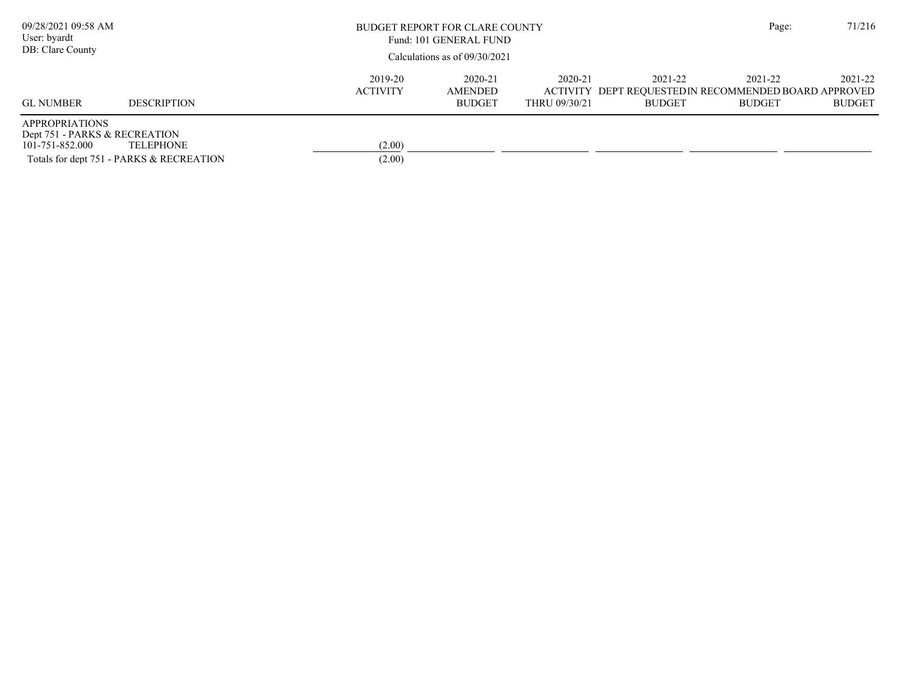| 09/28/2021 09:58 AM<br>User: byardt<br>DB: Clare County                   |                                                              |                            | BUDGET REPORT FOR CLARE COUNTY<br>Fund: 101 GENERAL FUND<br>Calculations as of $09/30/2021$ |                          |                                                                                   |                          |                          |
|---------------------------------------------------------------------------|--------------------------------------------------------------|----------------------------|---------------------------------------------------------------------------------------------|--------------------------|-----------------------------------------------------------------------------------|--------------------------|--------------------------|
| <b>GL NUMBER</b>                                                          | <b>DESCRIPTION</b>                                           | 2019-20<br><b>ACTIVITY</b> | 2020-21<br>AMENDED<br><b>BUDGET</b>                                                         | 2020-21<br>THRU 09/30/21 | 2021-22<br>ACTIVITY DEPT REQUESTED IN RECOMMENDED BOARD APPROVED<br><b>BUDGET</b> | 2021-22<br><b>BUDGET</b> | 2021-22<br><b>BUDGET</b> |
| <b>APPROPRIATIONS</b><br>Dept 751 - PARKS & RECREATION<br>101-751-852.000 | <b>TELEPHONE</b><br>Totals for dept 751 - PARKS & RECREATION | (2.00)<br>(2.00)           |                                                                                             |                          |                                                                                   |                          |                          |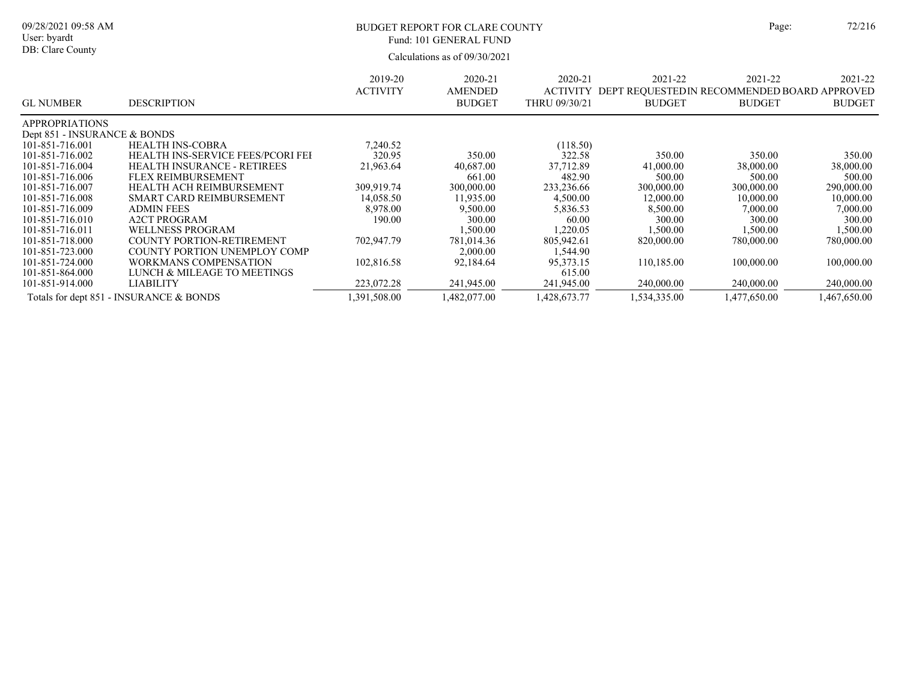#### 09/28/2021 09:58 AM User: byardt

# DB: Clare County

### BUDGET REPORT FOR CLARE COUNTY Page:  $72/216$ Fund: 101 GENERAL FUND

| <b>GL NUMBER</b>                        | <b>DESCRIPTION</b>                 | 2019-20<br><b>ACTIVITY</b> | 2020-21<br><b>AMENDED</b><br><b>BUDGET</b> | 2020-21<br><b>ACTIVITY</b><br>THRU 09/30/21 | 2021-22<br>DEPT REQUESTEDIN RECOMMENDED BOARD APPROVED<br><b>BUDGET</b> | 2021-22<br><b>BUDGET</b> | 2021-22<br><b>BUDGET</b> |
|-----------------------------------------|------------------------------------|----------------------------|--------------------------------------------|---------------------------------------------|-------------------------------------------------------------------------|--------------------------|--------------------------|
| <b>APPROPRIATIONS</b>                   |                                    |                            |                                            |                                             |                                                                         |                          |                          |
| Dept 851 - INSURANCE & BONDS            |                                    |                            |                                            |                                             |                                                                         |                          |                          |
| 101-851-716.001                         | <b>HEALTH INS-COBRA</b>            | 7.240.52                   |                                            | (118.50)                                    |                                                                         |                          |                          |
| 101-851-716.002                         | HEALTH INS-SERVICE FEES/PCORI FEI  | 320.95                     | 350.00                                     | 322.58                                      | 350.00                                                                  | 350.00                   | 350.00                   |
| 101-851-716.004                         | <b>HEALTH INSURANCE - RETIREES</b> | 21,963.64                  | 40,687.00                                  | 37,712.89                                   | 41,000.00                                                               | 38,000.00                | 38,000.00                |
| 101-851-716.006                         | FLEX REIMBURSEMENT                 |                            | 661.00                                     | 482.90                                      | 500.00                                                                  | 500.00                   | 500.00                   |
| 101-851-716.007                         | HEALTH ACH REIMBURSEMENT           | 309,919.74                 | 300,000.00                                 | 233,236.66                                  | 300,000.00                                                              | 300,000.00               | 290,000.00               |
| 101-851-716.008                         | SMART CARD REIMBURSEMENT           | 14,058.50                  | 11,935.00                                  | 4,500.00                                    | 12,000.00                                                               | 10,000.00                | 10,000.00                |
| 101-851-716.009                         | <b>ADMIN FEES</b>                  | 8,978.00                   | 9,500.00                                   | 5,836.53                                    | 8,500.00                                                                | 7,000.00                 | 7,000.00                 |
| 101-851-716.010                         | <b>A2CT PROGRAM</b>                | 190.00                     | 300.00                                     | 60.00                                       | 300.00                                                                  | 300.00                   | 300.00                   |
| 101-851-716.011                         | <b>WELLNESS PROGRAM</b>            |                            | 1,500.00                                   | 1,220.05                                    | 1,500.00                                                                | 1,500.00                 | 1,500.00                 |
| 101-851-718.000                         | COUNTY PORTION-RETIREMENT          | 702,947.79                 | 781,014.36                                 | 805,942.61                                  | 820,000.00                                                              | 780,000.00               | 780,000.00               |
| 101-851-723.000                         | COUNTY PORTION UNEMPLOY COMP       |                            | 2,000.00                                   | 1,544.90                                    |                                                                         |                          |                          |
| 101-851-724.000                         | WORKMANS COMPENSATION              | 102,816.58                 | 92.184.64                                  | 95,373.15                                   | 110.185.00                                                              | 100,000.00               | 100,000.00               |
| 101-851-864.000                         | LUNCH & MILEAGE TO MEETINGS        |                            |                                            | 615.00                                      |                                                                         |                          |                          |
| 101-851-914.000                         | LIABILITY                          | 223,072.28                 | 241,945.00                                 | 241,945.00                                  | 240,000.00                                                              | 240,000.00               | 240,000.00               |
| Totals for dept 851 - INSURANCE & BONDS |                                    | 1,391,508.00               | 1,482,077.00                               | 1,428,673.77                                | 1,534,335.00                                                            | 1,477,650.00             | 1,467,650.00             |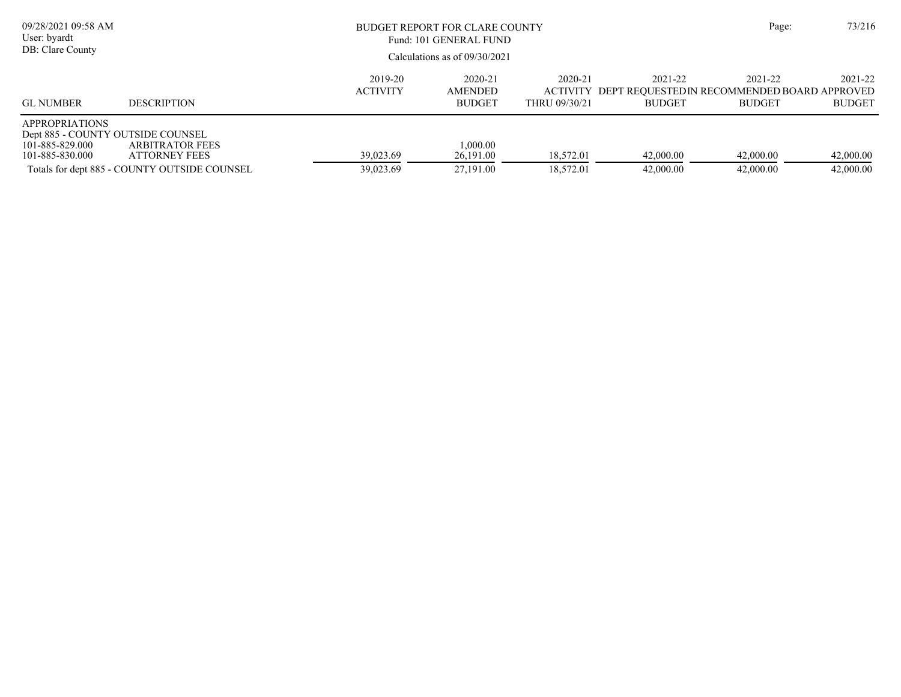| 09/28/2021 09:58 AM<br>User: byardt<br>DB: Clare County                                          |                                                                                                |                            | BUDGET REPORT FOR CLARE COUNTY<br>Fund: 101 GENERAL FUND |                          |                                                                                   |                          |                          |
|--------------------------------------------------------------------------------------------------|------------------------------------------------------------------------------------------------|----------------------------|----------------------------------------------------------|--------------------------|-----------------------------------------------------------------------------------|--------------------------|--------------------------|
|                                                                                                  |                                                                                                |                            | Calculations as of $09/30/2021$                          |                          |                                                                                   |                          |                          |
| <b>GL NUMBER</b>                                                                                 | <b>DESCRIPTION</b>                                                                             | 2019-20<br><b>ACTIVITY</b> | 2020-21<br><b>AMENDED</b><br><b>BUDGET</b>               | 2020-21<br>THRU 09/30/21 | 2021-22<br>ACTIVITY DEPT REOUESTED IN RECOMMENDED BOARD APPROVED<br><b>BUDGET</b> | 2021-22<br><b>BUDGET</b> | 2021-22<br><b>BUDGET</b> |
| <b>APPROPRIATIONS</b><br>Dept 885 - COUNTY OUTSIDE COUNSEL<br>101-885-829.000<br>101-885-830.000 | <b>ARBITRATOR FEES</b><br><b>ATTORNEY FEES</b><br>Totals for dept 885 - COUNTY OUTSIDE COUNSEL | 39,023.69<br>39,023.69     | 1,000.00<br>26,191.00<br>27,191.00                       | 18,572.01<br>18,572.01   | 42,000.00<br>42,000.00                                                            | 42,000.00<br>42,000.00   | 42,000.00<br>42,000.00   |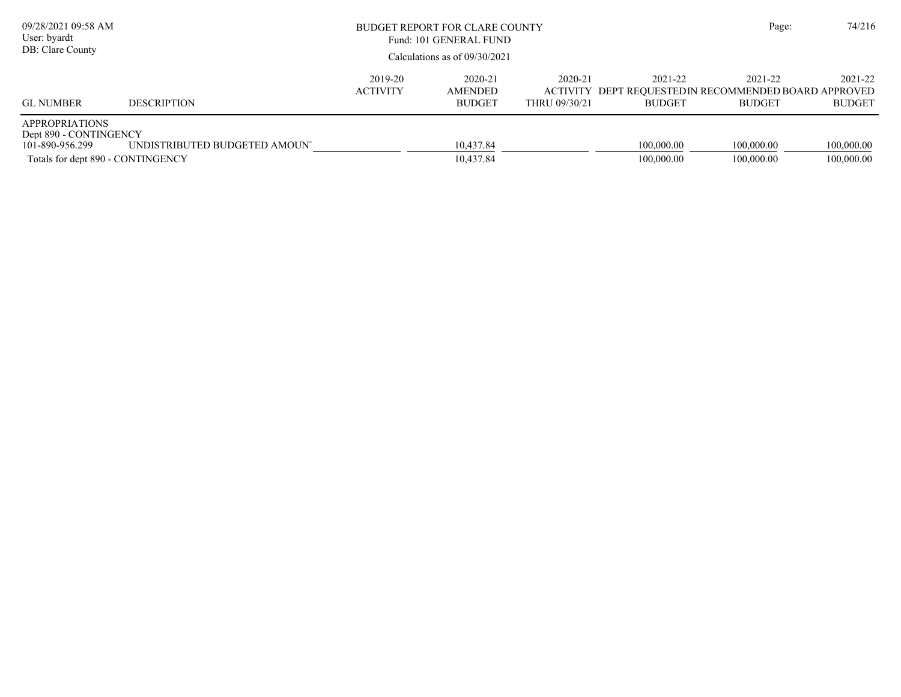| 09/28/2021 09:58 AM<br>User: byardt<br>DB: Clare County                                                 | BUDGET REPORT FOR CLARE COUNTY<br>Fund: 101 GENERAL FUND<br>Calculations as of $09/30/2021$ |                            |                                            |                                             |                                                                          | Page:                    | 74/216                   |
|---------------------------------------------------------------------------------------------------------|---------------------------------------------------------------------------------------------|----------------------------|--------------------------------------------|---------------------------------------------|--------------------------------------------------------------------------|--------------------------|--------------------------|
| <b>GL NUMBER</b>                                                                                        | <b>DESCRIPTION</b>                                                                          | 2019-20<br><b>ACTIVITY</b> | 2020-21<br><b>AMENDED</b><br><b>BUDGET</b> | 2020-21<br><b>ACTIVITY</b><br>THRU 09/30/21 | 2021-22<br>DEPT REQUESTED IN RECOMMENDED BOARD APPROVED<br><b>BUDGET</b> | 2021-22<br><b>BUDGET</b> | 2021-22<br><b>BUDGET</b> |
| <b>APPROPRIATIONS</b><br>Dept 890 - CONTINGENCY<br>101-890-956.299<br>Totals for dept 890 - CONTINGENCY | UNDISTRIBUTED BUDGETED AMOUN'.                                                              |                            | 10,437.84<br>10,437.84                     |                                             | 100,000.00<br>100,000.00                                                 | 100,000.00<br>100,000.00 | 100,000.00<br>100,000.00 |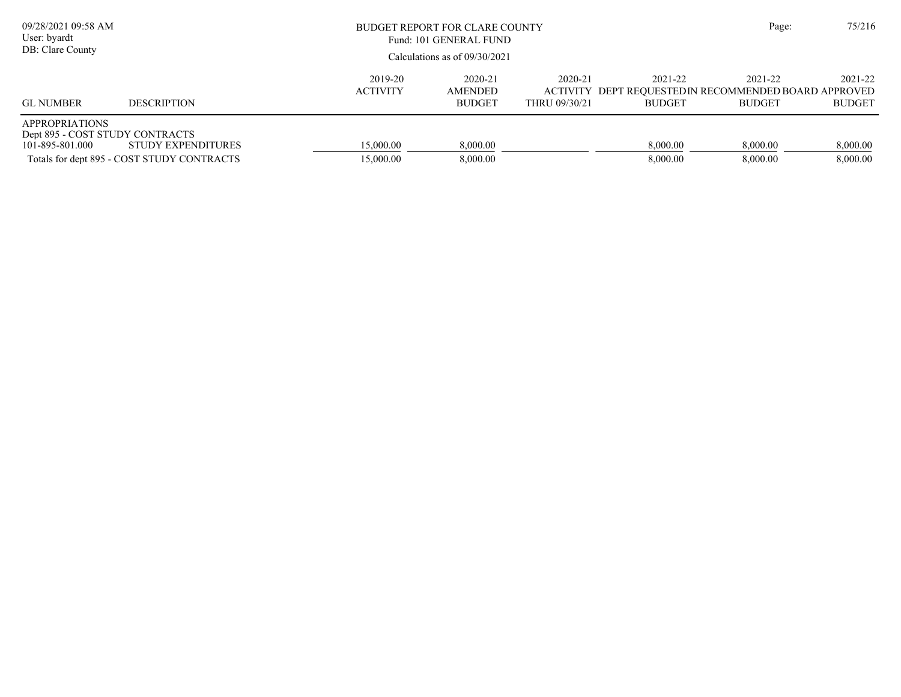| 09/28/2021 09:58 AM<br>User: byardt<br>DB: Clare County                     |                                                                  |                                                                                   | BUDGET REPORT FOR CLARE COUNTY<br>Fund: 101 GENERAL FUND<br>Calculations as of $09/30/2021$ |  |                      |                      |                      |
|-----------------------------------------------------------------------------|------------------------------------------------------------------|-----------------------------------------------------------------------------------|---------------------------------------------------------------------------------------------|--|----------------------|----------------------|----------------------|
| <b>GL NUMBER</b>                                                            | <b>DESCRIPTION</b>                                               | 2021-22<br>ACTIVITY DEPT REQUESTED IN RECOMMENDED BOARD APPROVED<br><b>BUDGET</b> | 2021-22<br><b>BUDGET</b>                                                                    |  |                      |                      |                      |
| <b>APPROPRIATIONS</b><br>Dept 895 - COST STUDY CONTRACTS<br>101-895-801.000 | STUDY EXPENDITURES<br>Totals for dept 895 - COST STUDY CONTRACTS | 15,000.00<br>15,000.00                                                            | 8,000.00<br>8,000.00                                                                        |  | 8,000.00<br>8,000.00 | 8,000.00<br>8,000.00 | 8,000.00<br>8,000.00 |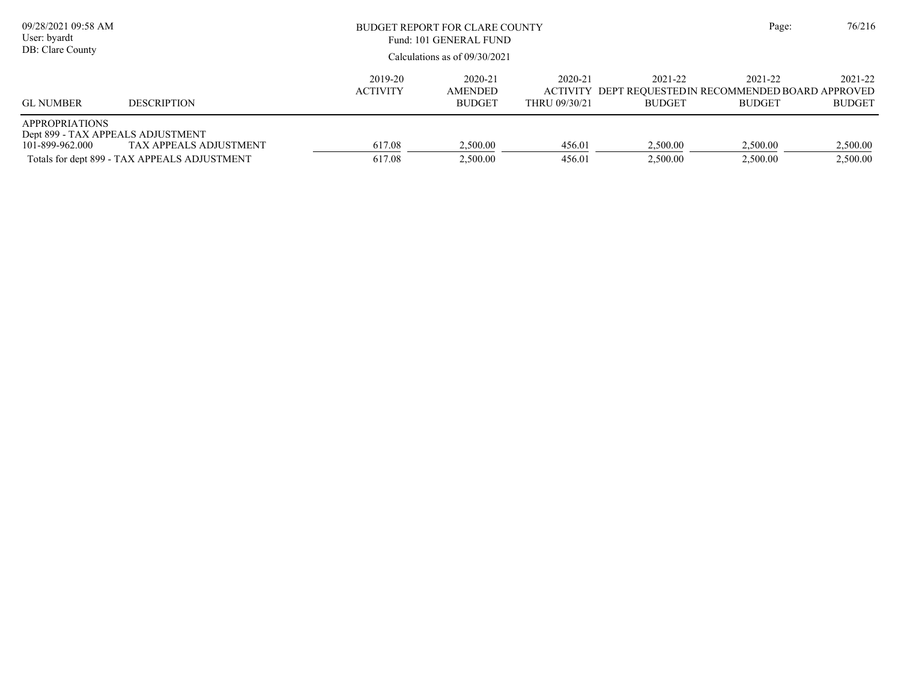| 09/28/2021 09:58 AM<br>User: byardt<br>DB: Clare County                       | BUDGET REPORT FOR CLARE COUNTY<br>Fund: 101 GENERAL FUND<br>Calculations as of $09/30/2021$ |                            |                                            |                          |                          | Page:                                                                            | 76/216                   |
|-------------------------------------------------------------------------------|---------------------------------------------------------------------------------------------|----------------------------|--------------------------------------------|--------------------------|--------------------------|----------------------------------------------------------------------------------|--------------------------|
| <b>GL NUMBER</b>                                                              | <b>DESCRIPTION</b>                                                                          | 2019-20<br><b>ACTIVITY</b> | 2020-21<br><b>AMENDED</b><br><b>BUDGET</b> | 2020-21<br>THRU 09/30/21 | 2021-22<br><b>BUDGET</b> | 2021-22<br>ACTIVITY DEPT REQUESTEDIN RECOMMENDED BOARD APPROVED<br><b>BUDGET</b> | 2021-22<br><b>BUDGET</b> |
| <b>APPROPRIATIONS</b><br>Dept 899 - TAX APPEALS ADJUSTMENT<br>101-899-962.000 | TAX APPEALS ADJUSTMENT<br>Totals for dept 899 - TAX APPEALS ADJUSTMENT                      | 617.08<br>617.08           | 2.500.00<br>2.500.00                       | 456.01<br>456.01         | 2.500.00<br>2,500.00     | 2,500.00<br>2.500.00                                                             | 2,500.00<br>2,500.00     |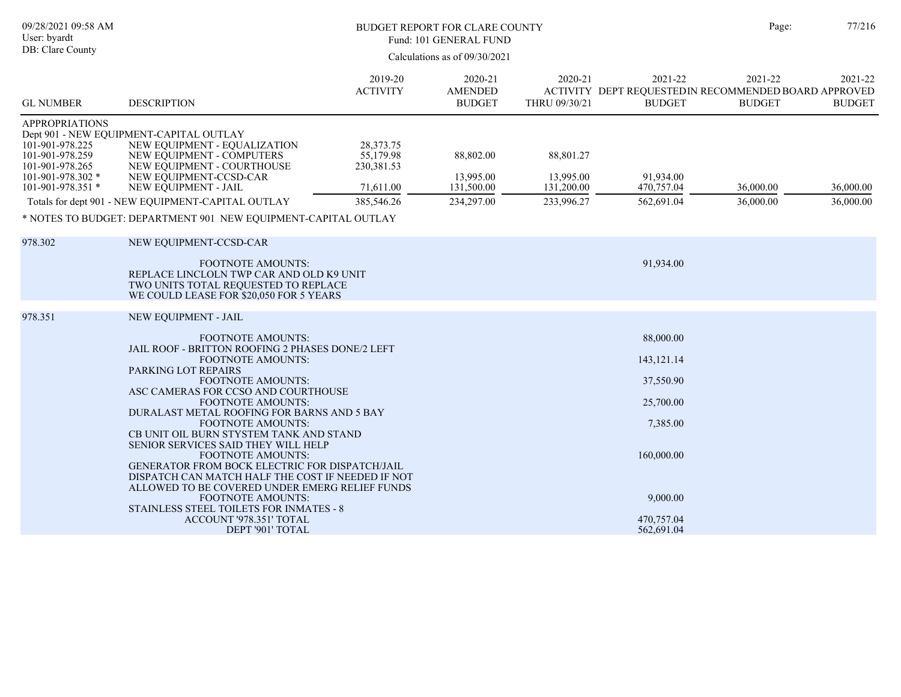| 09/28/2021 09:58 AM<br>User: byardt<br>DB: Clare County                                                                  |                                                                                                                                                                                                                                                                                                                                                                                                                                                                                                                                                                                                                                                                                                                        |                                                                     | <b>BUDGET REPORT FOR CLARE COUNTY</b><br>Fund: 101 GENERAL FUND<br>Calculations as of 09/30/2021 |                                                    |                                                                                                                       | Page:                                                                            | 77/216                   |
|--------------------------------------------------------------------------------------------------------------------------|------------------------------------------------------------------------------------------------------------------------------------------------------------------------------------------------------------------------------------------------------------------------------------------------------------------------------------------------------------------------------------------------------------------------------------------------------------------------------------------------------------------------------------------------------------------------------------------------------------------------------------------------------------------------------------------------------------------------|---------------------------------------------------------------------|--------------------------------------------------------------------------------------------------|----------------------------------------------------|-----------------------------------------------------------------------------------------------------------------------|----------------------------------------------------------------------------------|--------------------------|
| <b>GL NUMBER</b>                                                                                                         | <b>DESCRIPTION</b>                                                                                                                                                                                                                                                                                                                                                                                                                                                                                                                                                                                                                                                                                                     | 2019-20<br><b>ACTIVITY</b>                                          | 2020-21<br><b>AMENDED</b><br><b>BUDGET</b>                                                       | 2020-21<br>THRU 09/30/21                           | 2021-22<br><b>BUDGET</b>                                                                                              | 2021-22<br>ACTIVITY DEPT REQUESTEDIN RECOMMENDED BOARD APPROVED<br><b>BUDGET</b> | 2021-22<br><b>BUDGET</b> |
| <b>APPROPRIATIONS</b><br>101-901-978.225<br>101-901-978.259<br>101-901-978.265<br>101-901-978.302 *<br>101-901-978.351 * | Dept 901 - NEW EQUIPMENT-CAPITAL OUTLAY<br>NEW EQUIPMENT - EQUALIZATION<br>NEW EQUIPMENT - COMPUTERS<br>NEW EQUIPMENT - COURTHOUSE<br>NEW EQUIPMENT-CCSD-CAR<br>NEW EQUIPMENT - JAIL<br>Totals for dept 901 - NEW EQUIPMENT-CAPITAL OUTLAY<br>* NOTES TO BUDGET: DEPARTMENT 901 NEW EQUIPMENT-CAPITAL OUTLAY                                                                                                                                                                                                                                                                                                                                                                                                           | 28, 373. 75<br>55,179.98<br>230, 381. 53<br>71,611.00<br>385,546.26 | 88,802.00<br>13,995.00<br>131,500.00<br>234,297.00                                               | 88,801.27<br>13,995.00<br>131,200.00<br>233,996.27 | 91.934.00<br>470,757.04<br>562,691.04                                                                                 | 36,000.00<br>36,000.00                                                           | 36,000.00<br>36,000.00   |
| 978.302                                                                                                                  | NEW EQUIPMENT-CCSD-CAR<br><b>FOOTNOTE AMOUNTS:</b><br>REPLACE LINCLOLN TWP CAR AND OLD K9 UNIT<br>TWO UNITS TOTAL REQUESTED TO REPLACE<br>WE COULD LEASE FOR \$20,050 FOR 5 YEARS                                                                                                                                                                                                                                                                                                                                                                                                                                                                                                                                      |                                                                     |                                                                                                  |                                                    | 91,934.00                                                                                                             |                                                                                  |                          |
| 978.351                                                                                                                  | NEW EQUIPMENT - JAIL<br><b>FOOTNOTE AMOUNTS:</b><br>JAIL ROOF - BRITTON ROOFING 2 PHASES DONE/2 LEFT<br><b>FOOTNOTE AMOUNTS:</b><br>PARKING LOT REPAIRS<br><b>FOOTNOTE AMOUNTS:</b><br>ASC CAMERAS FOR CCSO AND COURTHOUSE<br><b>FOOTNOTE AMOUNTS:</b><br>DURALAST METAL ROOFING FOR BARNS AND 5 BAY<br><b>FOOTNOTE AMOUNTS:</b><br>CB UNIT OIL BURN STYSTEM TANK AND STAND<br>SENIOR SERVICES SAID THEY WILL HELP<br><b>FOOTNOTE AMOUNTS:</b><br>GENERATOR FROM BOCK ELECTRIC FOR DISPATCH/JAIL<br>DISPATCH CAN MATCH HALF THE COST IF NEEDED IF NOT<br>ALLOWED TO BE COVERED UNDER EMERG RELIEF FUNDS<br>FOOTNOTE AMOUNTS:<br>STAINLESS STEEL TOILETS FOR INMATES - 8<br>ACCOUNT '978.351' TOTAL<br>DEPT '901' TOTAL |                                                                     |                                                                                                  |                                                    | 88,000.00<br>143, 121. 14<br>37,550.90<br>25,700.00<br>7,385.00<br>160,000.00<br>9,000.00<br>470,757.04<br>562,691.04 |                                                                                  |                          |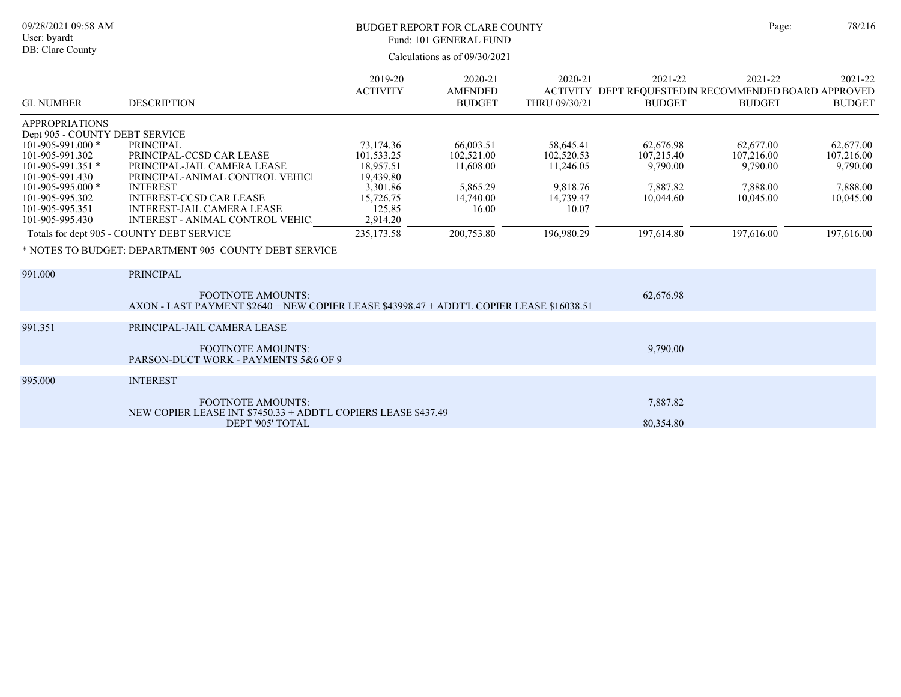| 09/28/2021 09:58 AM<br>User: byardt<br>DB: Clare County                                                                                                                                                                           | <b>BUDGET REPORT FOR CLARE COUNTY</b><br>Fund: 101 GENERAL FUND<br>Calculations as of 09/30/2021                                                                                                                                                                                                                                                        |                                                                                                                |                                                                                      |                                                                                      |                                                                                   | Page:                                                                      | 78/216                                                                     |
|-----------------------------------------------------------------------------------------------------------------------------------------------------------------------------------------------------------------------------------|---------------------------------------------------------------------------------------------------------------------------------------------------------------------------------------------------------------------------------------------------------------------------------------------------------------------------------------------------------|----------------------------------------------------------------------------------------------------------------|--------------------------------------------------------------------------------------|--------------------------------------------------------------------------------------|-----------------------------------------------------------------------------------|----------------------------------------------------------------------------|----------------------------------------------------------------------------|
| <b>GL NUMBER</b>                                                                                                                                                                                                                  | <b>DESCRIPTION</b>                                                                                                                                                                                                                                                                                                                                      | 2019-20<br><b>ACTIVITY</b>                                                                                     | 2020-21<br><b>AMENDED</b><br><b>BUDGET</b>                                           | 2020-21<br>THRU 09/30/21                                                             | 2021-22<br>ACTIVITY DEPT REQUESTED IN RECOMMENDED BOARD APPROVED<br><b>BUDGET</b> | 2021-22<br><b>BUDGET</b>                                                   | 2021-22<br><b>BUDGET</b>                                                   |
| <b>APPROPRIATIONS</b><br>Dept 905 - COUNTY DEBT SERVICE<br>101-905-991.000 *<br>101-905-991.302<br>$101 - 905 - 991.351$ *<br>101-905-991.430<br>$101 - 905 - 995.000$ *<br>101-905-995.302<br>101-905-995.351<br>101-905-995.430 | <b>PRINCIPAL</b><br>PRINCIPAL-CCSD CAR LEASE<br>PRINCIPAL-JAIL CAMERA LEASE<br>PRINCIPAL-ANIMAL CONTROL VEHIC<br><b>INTEREST</b><br><b>INTEREST-CCSD CAR LEASE</b><br><b>INTEREST-JAIL CAMERA LEASE</b><br><b>INTEREST - ANIMAL CONTROL VEHIC</b><br>Totals for dept 905 - COUNTY DEBT SERVICE<br>* NOTES TO BUDGET: DEPARTMENT 905 COUNTY DEBT SERVICE | 73,174.36<br>101,533.25<br>18,957.51<br>19,439.80<br>3,301.86<br>15,726.75<br>125.85<br>2,914.20<br>235,173.58 | 66,003.51<br>102,521.00<br>11,608.00<br>5,865.29<br>14,740.00<br>16.00<br>200,753.80 | 58,645.41<br>102,520.53<br>11,246.05<br>9,818.76<br>14,739.47<br>10.07<br>196,980.29 | 62,676.98<br>107,215.40<br>9,790.00<br>7,887.82<br>10,044.60<br>197,614.80        | 62,677.00<br>107,216.00<br>9,790.00<br>7,888.00<br>10,045.00<br>197,616.00 | 62,677.00<br>107,216.00<br>9,790.00<br>7,888.00<br>10,045.00<br>197,616.00 |
| 991.000                                                                                                                                                                                                                           | <b>PRINCIPAL</b><br><b>FOOTNOTE AMOUNTS:</b><br>AXON - LAST PAYMENT \$2640 + NEW COPIER LEASE \$43998.47 + ADDT'L COPIER LEASE \$16038.51                                                                                                                                                                                                               |                                                                                                                |                                                                                      |                                                                                      | 62,676.98                                                                         |                                                                            |                                                                            |
| 991.351                                                                                                                                                                                                                           | PRINCIPAL-JAIL CAMERA LEASE<br><b>FOOTNOTE AMOUNTS:</b><br>PARSON-DUCT WORK - PAYMENTS 5&6 OF 9                                                                                                                                                                                                                                                         |                                                                                                                |                                                                                      |                                                                                      | 9,790.00                                                                          |                                                                            |                                                                            |
| 995.000                                                                                                                                                                                                                           | <b>INTEREST</b><br><b>FOOTNOTE AMOUNTS:</b>                                                                                                                                                                                                                                                                                                             |                                                                                                                |                                                                                      |                                                                                      | 7.887.82                                                                          |                                                                            |                                                                            |

DEPT '905' TOTAL 80,354.80

NEW COPIER LEASE INT \$7450.33 + ADDT'L COPIERS LEASE \$437.49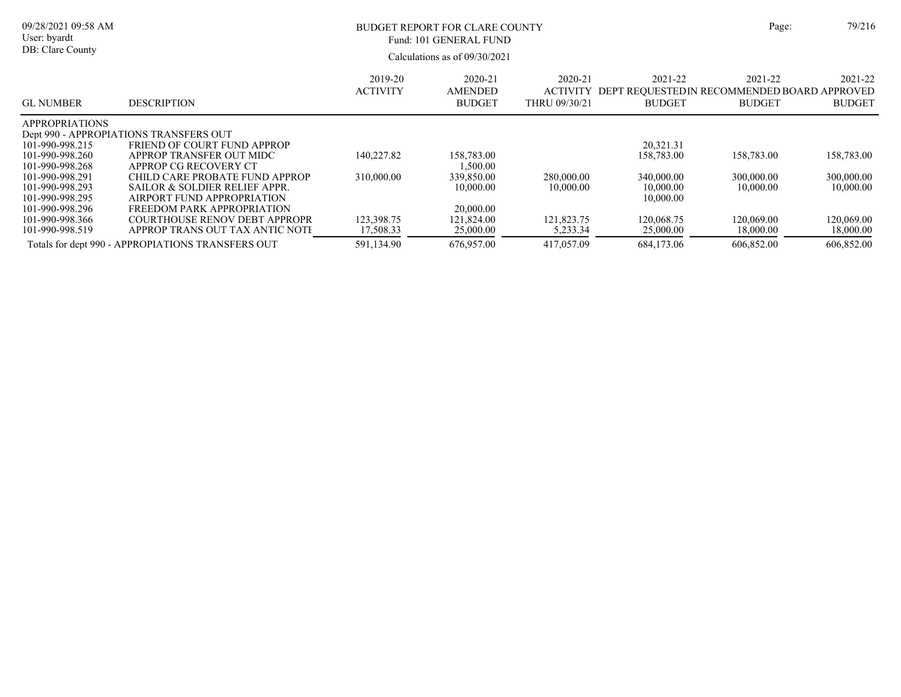| 09/28/2021 09:58 AM<br>User: byardt<br>DB: Clare County |                                                   |                            | BUDGET REPORT FOR CLARE COUNTY<br>Fund: 101 GENERAL FUND<br>Calculations as of $09/30/2021$ | Page:                                       | 79/216                                                                   |                          |                          |
|---------------------------------------------------------|---------------------------------------------------|----------------------------|---------------------------------------------------------------------------------------------|---------------------------------------------|--------------------------------------------------------------------------|--------------------------|--------------------------|
| <b>GL NUMBER</b>                                        | <b>DESCRIPTION</b>                                | 2019-20<br><b>ACTIVITY</b> | 2020-21<br>AMENDED<br><b>BUDGET</b>                                                         | 2020-21<br><b>ACTIVITY</b><br>THRU 09/30/21 | 2021-22<br>DEPT REQUESTED IN RECOMMENDED BOARD APPROVED<br><b>BUDGET</b> | 2021-22<br><b>BUDGET</b> | 2021-22<br><b>BUDGET</b> |
| <b>APPROPRIATIONS</b>                                   | Dept 990 - APPROPIATIONS TRANSFERS OUT            |                            |                                                                                             |                                             |                                                                          |                          |                          |
| 101-990-998.215                                         | FRIEND OF COURT FUND APPROP                       |                            |                                                                                             |                                             | 20,321.31                                                                |                          |                          |
| 101-990-998.260                                         | APPROP TRANSFER OUT MIDC                          | 140,227.82                 | 158,783.00                                                                                  |                                             | 158,783.00                                                               | 158,783.00               | 158,783.00               |
| 101-990-998.268                                         | APPROP CG RECOVERY CT                             |                            | 1,500.00                                                                                    |                                             |                                                                          |                          |                          |
| 101-990-998.291                                         | CHILD CARE PROBATE FUND APPROP                    | 310,000.00                 | 339,850.00                                                                                  | 280,000.00                                  | 340,000.00                                                               | 300,000.00               | 300,000.00               |
| 101-990-998.293                                         | SAILOR & SOLDIER RELIEF APPR.                     |                            | 10,000.00                                                                                   | 10,000.00                                   | 10,000.00                                                                | 10,000.00                | 10,000.00                |
| 101-990-998.295                                         | AIRPORT FUND APPROPRIATION                        |                            |                                                                                             |                                             | 10,000.00                                                                |                          |                          |
| 101-990-998.296                                         | FREEDOM PARK APPROPRIATION                        |                            | 20,000.00                                                                                   |                                             |                                                                          |                          |                          |
| 101-990-998.366                                         | COURTHOUSE RENOV DEBT APPROPR                     | 123,398.75                 | 121,824.00                                                                                  | 121,823.75                                  | 120,068.75                                                               | 120,069.00               | 120,069.00               |
| 101-990-998.519                                         | APPROP TRANS OUT TAX ANTIC NOTE                   | 17,508.33                  | 25,000.00                                                                                   | 5,233.34                                    | 25,000.00                                                                | 18,000.00                | 18,000.00                |
|                                                         | Totals for dept 990 - APPROPIATIONS TRANSFERS OUT | 591,134.90                 | 676,957.00                                                                                  | 417,057.09                                  | 684,173.06                                                               | 606,852.00               | 606,852.00               |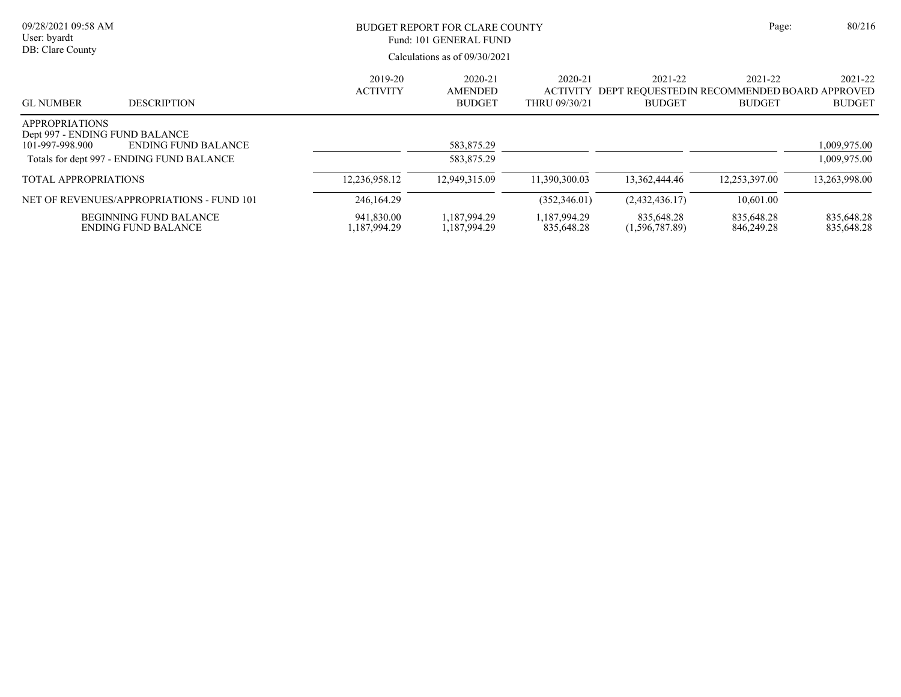| 09/28/2021 09:58 AM<br>User: byardt<br>DB: Clare County                    |                                                             | BUDGET REPORT FOR CLARE COUNTY<br>Fund: 101 GENERAL FUND<br>Calculations as of $09/30/2021$ |                                     |                            |                              | Page:                                                                            | 80/216                   |
|----------------------------------------------------------------------------|-------------------------------------------------------------|---------------------------------------------------------------------------------------------|-------------------------------------|----------------------------|------------------------------|----------------------------------------------------------------------------------|--------------------------|
| <b>GL NUMBER</b>                                                           | <b>DESCRIPTION</b>                                          | 2019-20<br><b>ACTIVITY</b>                                                                  | 2020-21<br>AMENDED<br><b>BUDGET</b> | 2020-21<br>THRU 09/30/21   | 2021-22<br><b>BUDGET</b>     | 2021-22<br>ACTIVITY DEPT REOUESTEDIN RECOMMENDED BOARD APPROVED<br><b>BUDGET</b> | 2021-22<br><b>BUDGET</b> |
| <b>APPROPRIATIONS</b><br>Dept 997 - ENDING FUND BALANCE<br>101-997-998.900 | <b>ENDING FUND BALANCE</b>                                  |                                                                                             | 583,875.29                          |                            |                              |                                                                                  | 1,009,975.00             |
|                                                                            | Totals for dept 997 - ENDING FUND BALANCE                   |                                                                                             | 583,875.29                          |                            |                              |                                                                                  | 1,009,975.00             |
| <b>TOTAL APPROPRIATIONS</b>                                                |                                                             | 12,236,958.12                                                                               | 12.949.315.09                       | 11.390.300.03              | 13,362,444.46                | 12,253,397.00                                                                    | 13,263,998.00            |
|                                                                            | NET OF REVENUES/APPROPRIATIONS - FUND 101                   | 246,164.29                                                                                  |                                     | (352, 346.01)              | (2,432,436.17)               | 10,601.00                                                                        |                          |
|                                                                            | <b>BEGINNING FUND BALANCE</b><br><b>ENDING FUND BALANCE</b> | 941,830.00<br>1,187,994.29                                                                  | 1,187,994.29<br>1,187,994.29        | 1,187,994.29<br>835,648.28 | 835,648.28<br>(1,596,787.89) | 835,648.28<br>846,249.28                                                         | 835,648.28<br>835,648.28 |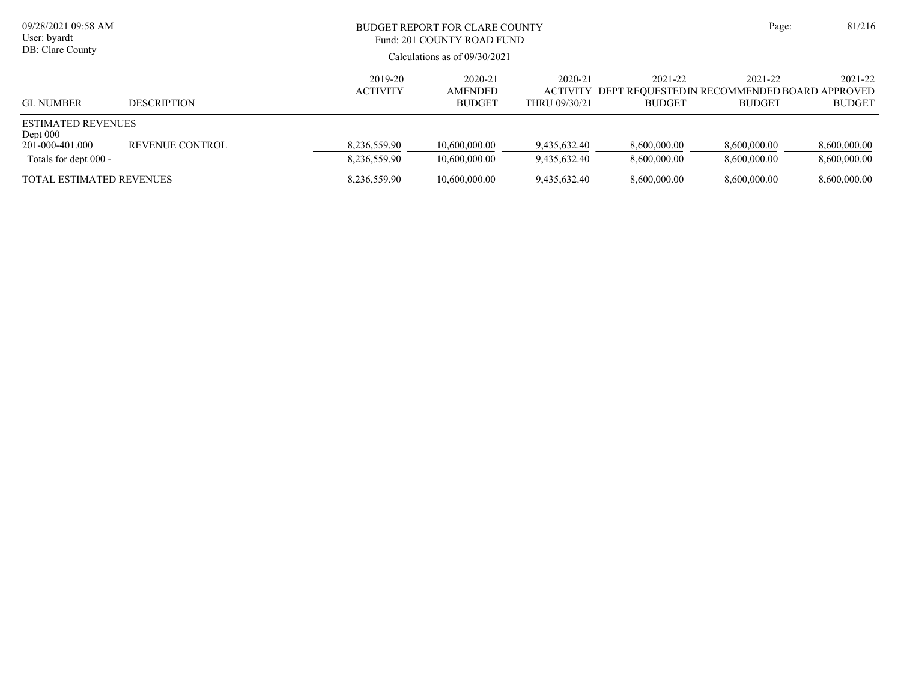| 09/28/2021 09:58 AM<br>User: byardt<br>DB: Clare County                             |                    |                              | BUDGET REPORT FOR CLARE COUNTY<br>Fund: 201 COUNTY ROAD FUND<br>Calculations as of $09/30/2021$ |                              |                              |                                                                                  | 81/216<br>Page:              |
|-------------------------------------------------------------------------------------|--------------------|------------------------------|-------------------------------------------------------------------------------------------------|------------------------------|------------------------------|----------------------------------------------------------------------------------|------------------------------|
| <b>GL NUMBER</b>                                                                    | <b>DESCRIPTION</b> | 2019-20<br><b>ACTIVITY</b>   | 2020-21<br><b>AMENDED</b><br><b>BUDGET</b>                                                      | 2020-21<br>THRU 09/30/21     | 2021-22<br><b>BUDGET</b>     | 2021-22<br>ACTIVITY DEPT REOUESTEDIN RECOMMENDED BOARD APPROVED<br><b>BUDGET</b> | 2021-22<br><b>BUDGET</b>     |
| <b>ESTIMATED REVENUES</b><br>Dept $000$<br>201-000-401.000<br>Totals for dept 000 - | REVENUE CONTROL    | 8,236,559.90<br>8,236,559.90 | 10.600,000.00<br>10.600,000.00                                                                  | 9.435.632.40<br>9.435.632.40 | 8,600,000.00<br>8.600.000.00 | 8,600,000.00<br>8.600.000.00                                                     | 8,600,000.00<br>8,600,000.00 |
| <b>TOTAL ESTIMATED REVENUES</b>                                                     |                    | 8,236,559.90                 | 10,600,000.00                                                                                   | 9,435,632.40                 | 8,600,000.00                 | 8,600,000.00                                                                     | 8,600,000.00                 |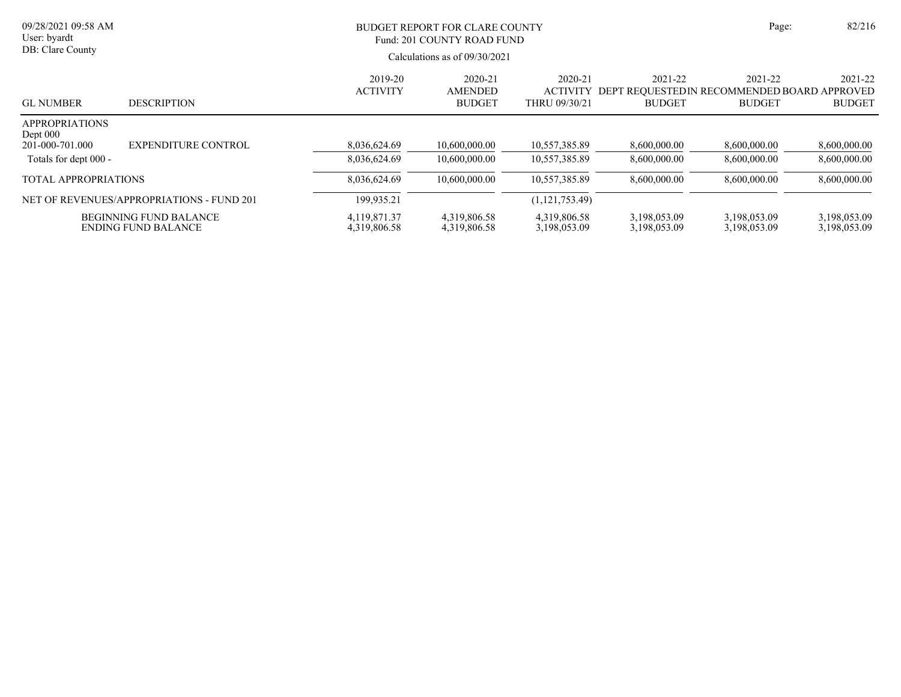| 09/28/2021 09:58 AM<br>User: byardt<br>DB: Clare County |                                                             | <b>BUDGET REPORT FOR CLARE COUNTY</b><br>Fund: 201 COUNTY ROAD FUND<br>Calculations as of $09/30/2021$ | Page:                                      | 82/216                                      |                              |                                                                         |                              |
|---------------------------------------------------------|-------------------------------------------------------------|--------------------------------------------------------------------------------------------------------|--------------------------------------------|---------------------------------------------|------------------------------|-------------------------------------------------------------------------|------------------------------|
| <b>GL NUMBER</b>                                        | <b>DESCRIPTION</b>                                          | 2019-20<br><b>ACTIVITY</b>                                                                             | 2020-21<br><b>AMENDED</b><br><b>BUDGET</b> | 2020-21<br><b>ACTIVITY</b><br>THRU 09/30/21 | 2021-22<br><b>BUDGET</b>     | 2021-22<br>DEPT REOUESTEDIN RECOMMENDED BOARD APPROVED<br><b>BUDGET</b> | 2021-22<br><b>BUDGET</b>     |
| <b>APPROPRIATIONS</b><br>Dept $000$                     |                                                             |                                                                                                        |                                            |                                             |                              |                                                                         |                              |
| 201-000-701.000                                         | <b>EXPENDITURE CONTROL</b>                                  | 8,036,624.69                                                                                           | 10.600.000.00                              | 10.557.385.89                               | 8,600,000.00                 | 8,600,000.00                                                            | 8,600,000.00                 |
| Totals for dept 000 -                                   |                                                             | 8,036,624.69                                                                                           | 10,600,000.00                              | 10,557,385.89                               | 8,600,000.00                 | 8,600,000.00                                                            | 8,600,000.00                 |
| TOTAL APPROPRIATIONS                                    |                                                             | 8,036,624.69                                                                                           | 10.600.000.00                              | 10.557.385.89                               | 8.600.000.00                 | 8,600,000.00                                                            | 8,600,000.00                 |
|                                                         | NET OF REVENUES/APPROPRIATIONS - FUND 201                   | 199.935.21                                                                                             |                                            | (1,121,753.49)                              |                              |                                                                         |                              |
|                                                         | <b>BEGINNING FUND BALANCE</b><br><b>ENDING FUND BALANCE</b> | 4.119.871.37<br>4,319,806.58                                                                           | 4,319,806.58<br>4,319,806.58               | 4,319,806.58<br>3,198,053.09                | 3,198,053.09<br>3,198,053.09 | 3,198,053.09<br>3,198,053.09                                            | 3,198,053.09<br>3,198,053.09 |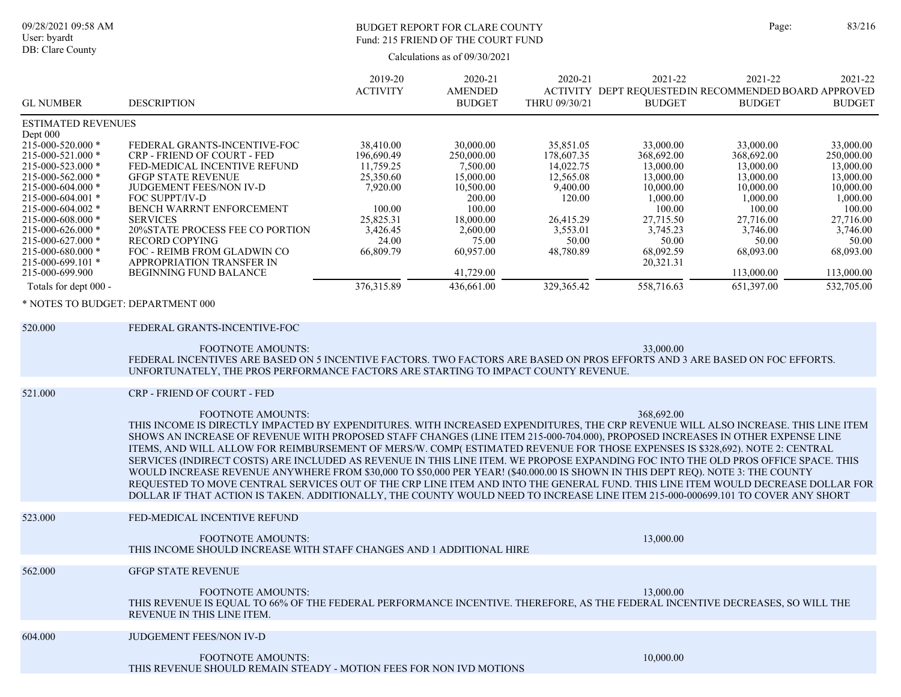#### BUDGET REPORT FOR CLARE COUNTY Page: 83/216 Fund: 215 FRIEND OF THE COURT FUND

|                                                                                                                                                                                                                                                                                                                                                                         |                                                                                                                                                                                                                                                                                                                                                                                                                                                                                                                                                                                                                                                                                                                                                                                                                                                                                                                                                                                                              | 2019-20                                                                                                                              | 2020-21                                                                                                                                                     | 2020-21                                                                                                                              | 2021-22                                                                                                                                                        | 2021-22                                                                                                                                                         | 2021-22                                                                                                                                                         |
|-------------------------------------------------------------------------------------------------------------------------------------------------------------------------------------------------------------------------------------------------------------------------------------------------------------------------------------------------------------------------|--------------------------------------------------------------------------------------------------------------------------------------------------------------------------------------------------------------------------------------------------------------------------------------------------------------------------------------------------------------------------------------------------------------------------------------------------------------------------------------------------------------------------------------------------------------------------------------------------------------------------------------------------------------------------------------------------------------------------------------------------------------------------------------------------------------------------------------------------------------------------------------------------------------------------------------------------------------------------------------------------------------|--------------------------------------------------------------------------------------------------------------------------------------|-------------------------------------------------------------------------------------------------------------------------------------------------------------|--------------------------------------------------------------------------------------------------------------------------------------|----------------------------------------------------------------------------------------------------------------------------------------------------------------|-----------------------------------------------------------------------------------------------------------------------------------------------------------------|-----------------------------------------------------------------------------------------------------------------------------------------------------------------|
| <b>GL NUMBER</b>                                                                                                                                                                                                                                                                                                                                                        | <b>DESCRIPTION</b>                                                                                                                                                                                                                                                                                                                                                                                                                                                                                                                                                                                                                                                                                                                                                                                                                                                                                                                                                                                           | <b>ACTIVITY</b>                                                                                                                      | <b>AMENDED</b><br><b>BUDGET</b>                                                                                                                             | THRU 09/30/21                                                                                                                        | <b>BUDGET</b>                                                                                                                                                  | ACTIVITY DEPT REQUESTEDIN RECOMMENDED BOARD APPROVED<br><b>BUDGET</b>                                                                                           | <b>BUDGET</b>                                                                                                                                                   |
| <b>ESTIMATED REVENUES</b>                                                                                                                                                                                                                                                                                                                                               |                                                                                                                                                                                                                                                                                                                                                                                                                                                                                                                                                                                                                                                                                                                                                                                                                                                                                                                                                                                                              |                                                                                                                                      |                                                                                                                                                             |                                                                                                                                      |                                                                                                                                                                |                                                                                                                                                                 |                                                                                                                                                                 |
| Dept 000<br>215-000-520.000 *<br>215-000-521.000 *<br>215-000-523.000 *<br>215-000-562.000 *<br>215-000-604.000 *<br>215-000-604.001 *<br>215-000-604.002 *<br>$215 - 000 - 608.000$ *<br>215-000-626.000 *<br>215-000-627.000 *<br>$215 - 000 - 680.000$ *<br>$215 - 000 - 699.101$ *<br>215-000-699.900<br>Totals for dept 000 -<br>* NOTES TO BUDGET: DEPARTMENT 000 | FEDERAL GRANTS-INCENTIVE-FOC<br>CRP - FRIEND OF COURT - FED<br>FED-MEDICAL INCENTIVE REFUND<br><b>GFGP STATE REVENUE</b><br>JUDGEMENT FEES/NON IV-D<br>FOC SUPPT/IV-D<br>BENCH WARRNT ENFORCEMENT<br><b>SERVICES</b><br>20%STATE PROCESS FEE CO PORTION<br><b>RECORD COPYING</b><br>FOC - REIMB FROM GLADWIN CO<br>APPROPRIATION TRANSFER IN<br><b>BEGINNING FUND BALANCE</b>                                                                                                                                                                                                                                                                                                                                                                                                                                                                                                                                                                                                                                | 38,410.00<br>196,690.49<br>11,759.25<br>25,350.60<br>7,920.00<br>100.00<br>25,825.31<br>3,426.45<br>24.00<br>66,809.79<br>376,315.89 | 30,000.00<br>250,000.00<br>7,500.00<br>15,000.00<br>10,500.00<br>200.00<br>100.00<br>18,000.00<br>2,600.00<br>75.00<br>60,957.00<br>41,729.00<br>436,661.00 | 35,851.05<br>178,607.35<br>14,022.75<br>12,565.08<br>9,400.00<br>120.00<br>26,415.29<br>3,553.01<br>50.00<br>48,780.89<br>329,365.42 | 33,000.00<br>368,692.00<br>13,000.00<br>13,000.00<br>10,000.00<br>1,000.00<br>100.00<br>27,715.50<br>3,745.23<br>50.00<br>68,092.59<br>20,321.31<br>558,716.63 | 33,000.00<br>368,692.00<br>13,000.00<br>13,000.00<br>10,000.00<br>1,000.00<br>100.00<br>27,716.00<br>3,746.00<br>50.00<br>68,093.00<br>113,000.00<br>651,397.00 | 33,000.00<br>250,000.00<br>13,000.00<br>13,000.00<br>10,000.00<br>1,000.00<br>100.00<br>27,716.00<br>3,746.00<br>50.00<br>68,093.00<br>113,000.00<br>532,705.00 |
| 520.000                                                                                                                                                                                                                                                                                                                                                                 | FEDERAL GRANTS-INCENTIVE-FOC                                                                                                                                                                                                                                                                                                                                                                                                                                                                                                                                                                                                                                                                                                                                                                                                                                                                                                                                                                                 |                                                                                                                                      |                                                                                                                                                             |                                                                                                                                      |                                                                                                                                                                |                                                                                                                                                                 |                                                                                                                                                                 |
|                                                                                                                                                                                                                                                                                                                                                                         | <b>FOOTNOTE AMOUNTS:</b><br>FEDERAL INCENTIVES ARE BASED ON 5 INCENTIVE FACTORS. TWO FACTORS ARE BASED ON PROS EFFORTS AND 3 ARE BASED ON FOC EFFORTS.<br>UNFORTUNATELY, THE PROS PERFORMANCE FACTORS ARE STARTING TO IMPACT COUNTY REVENUE.                                                                                                                                                                                                                                                                                                                                                                                                                                                                                                                                                                                                                                                                                                                                                                 |                                                                                                                                      |                                                                                                                                                             |                                                                                                                                      | 33,000.00                                                                                                                                                      |                                                                                                                                                                 |                                                                                                                                                                 |
| 521.000                                                                                                                                                                                                                                                                                                                                                                 | CRP - FRIEND OF COURT - FED<br><b>FOOTNOTE AMOUNTS:</b><br>THIS INCOME IS DIRECTLY IMPACTED BY EXPENDITURES. WITH INCREASED EXPENDITURES, THE CRP REVENUE WILL ALSO INCREASE. THIS LINE ITEM<br>SHOWS AN INCREASE OF REVENUE WITH PROPOSED STAFF CHANGES (LINE ITEM 215-000-704.000), PROPOSED INCREASES IN OTHER EXPENSE LINE<br>ITEMS, AND WILL ALLOW FOR REIMBURSEMENT OF MERS/W. COMP(ESTIMATED REVENUE FOR THOSE EXPENSES IS \$328,692). NOTE 2: CENTRAL<br>SERVICES (INDIRECT COSTS) ARE INCLUDED AS REVENUE IN THIS LINE ITEM. WE PROPOSE EXPANDING FOC INTO THE OLD PROS OFFICE SPACE. THIS<br>WOULD INCREASE REVENUE ANYWHERE FROM \$30,000 TO \$50,000 PER YEAR! (\$40.000.00 IS SHOWN IN THIS DEPT REQ). NOTE 3: THE COUNTY<br>REQUESTED TO MOVE CENTRAL SERVICES OUT OF THE CRP LINE ITEM AND INTO THE GENERAL FUND. THIS LINE ITEM WOULD DECREASE DOLLAR FOR<br>DOLLAR IF THAT ACTION IS TAKEN. ADDITIONALLY, THE COUNTY WOULD NEED TO INCREASE LINE ITEM 215-000-000699.101 TO COVER ANY SHORT |                                                                                                                                      |                                                                                                                                                             |                                                                                                                                      | 368,692.00                                                                                                                                                     |                                                                                                                                                                 |                                                                                                                                                                 |
| 523.000                                                                                                                                                                                                                                                                                                                                                                 | FED-MEDICAL INCENTIVE REFUND<br><b>FOOTNOTE AMOUNTS:</b><br>THIS INCOME SHOULD INCREASE WITH STAFF CHANGES AND 1 ADDITIONAL HIRE                                                                                                                                                                                                                                                                                                                                                                                                                                                                                                                                                                                                                                                                                                                                                                                                                                                                             |                                                                                                                                      |                                                                                                                                                             |                                                                                                                                      | 13,000.00                                                                                                                                                      |                                                                                                                                                                 |                                                                                                                                                                 |
| 562.000                                                                                                                                                                                                                                                                                                                                                                 | <b>GFGP STATE REVENUE</b><br>FOOTNOTE AMOUNTS:<br>THIS REVENUE IS EQUAL TO 66% OF THE FEDERAL PERFORMANCE INCENTIVE. THEREFORE, AS THE FEDERAL INCENTIVE DECREASES, SO WILL THE<br>REVENUE IN THIS LINE ITEM.                                                                                                                                                                                                                                                                                                                                                                                                                                                                                                                                                                                                                                                                                                                                                                                                |                                                                                                                                      |                                                                                                                                                             |                                                                                                                                      | 13,000.00                                                                                                                                                      |                                                                                                                                                                 |                                                                                                                                                                 |
| 604.000                                                                                                                                                                                                                                                                                                                                                                 | JUDGEMENT FEES/NON IV-D<br><b>FOOTNOTE AMOUNTS:</b><br>THIS REVENUE SHOULD REMAIN STEADY - MOTION FEES FOR NON IVD MOTIONS                                                                                                                                                                                                                                                                                                                                                                                                                                                                                                                                                                                                                                                                                                                                                                                                                                                                                   |                                                                                                                                      |                                                                                                                                                             |                                                                                                                                      | 10,000.00                                                                                                                                                      |                                                                                                                                                                 |                                                                                                                                                                 |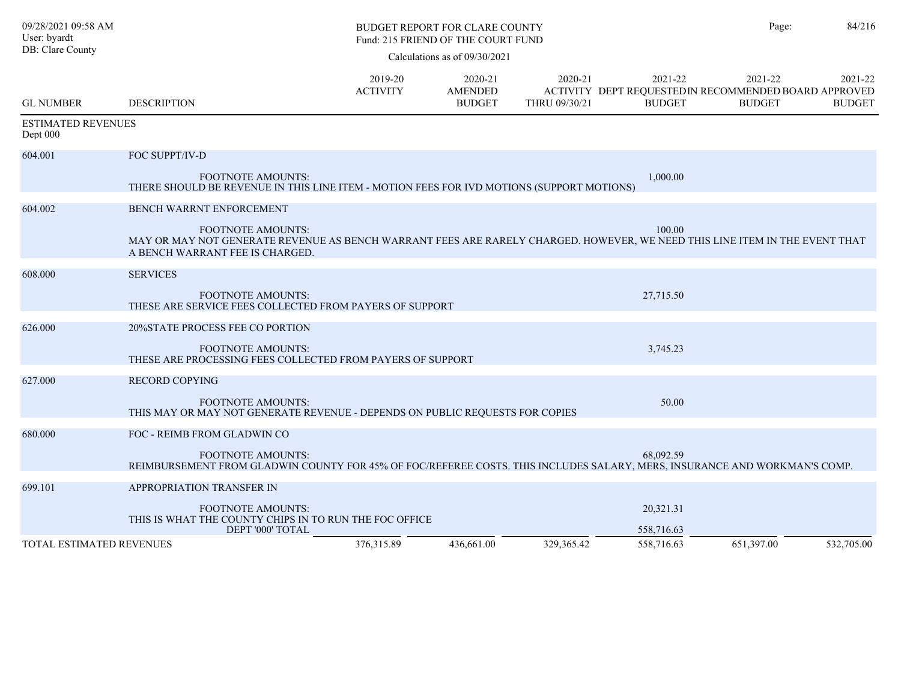| 09/28/2021 09:58 AM<br>User: byardt   |                                                                                                                                                                                                                               |                            | BUDGET REPORT FOR CLARE COUNTY<br>Fund: 215 FRIEND OF THE COURT FUND |                          |                                       | Page:                                                                             | 84/216                   |
|---------------------------------------|-------------------------------------------------------------------------------------------------------------------------------------------------------------------------------------------------------------------------------|----------------------------|----------------------------------------------------------------------|--------------------------|---------------------------------------|-----------------------------------------------------------------------------------|--------------------------|
| DB: Clare County                      |                                                                                                                                                                                                                               |                            | Calculations as of $09/30/2021$                                      |                          |                                       |                                                                                   |                          |
| <b>GL NUMBER</b>                      | <b>DESCRIPTION</b>                                                                                                                                                                                                            | 2019-20<br><b>ACTIVITY</b> | 2020-21<br><b>AMENDED</b><br><b>BUDGET</b>                           | 2020-21<br>THRU 09/30/21 | 2021-22<br><b>BUDGET</b>              | 2021-22<br>ACTIVITY DEPT REQUESTED IN RECOMMENDED BOARD APPROVED<br><b>BUDGET</b> | 2021-22<br><b>BUDGET</b> |
| <b>ESTIMATED REVENUES</b><br>Dept 000 |                                                                                                                                                                                                                               |                            |                                                                      |                          |                                       |                                                                                   |                          |
| 604.001                               | FOC SUPPT/IV-D<br><b>FOOTNOTE AMOUNTS:</b><br>THERE SHOULD BE REVENUE IN THIS LINE ITEM - MOTION FEES FOR IVD MOTIONS (SUPPORT MOTIONS)                                                                                       |                            |                                                                      |                          | 1,000.00                              |                                                                                   |                          |
| 604.002                               | <b>BENCH WARRNT ENFORCEMENT</b><br><b>FOOTNOTE AMOUNTS:</b><br>MAY OR MAY NOT GENERATE REVENUE AS BENCH WARRANT FEES ARE RARELY CHARGED. HOWEVER, WE NEED THIS LINE ITEM IN THE EVENT THAT<br>A BENCH WARRANT FEE IS CHARGED. |                            |                                                                      |                          | 100.00                                |                                                                                   |                          |
| 608.000                               | <b>SERVICES</b><br><b>FOOTNOTE AMOUNTS:</b><br>THESE ARE SERVICE FEES COLLECTED FROM PAYERS OF SUPPORT                                                                                                                        |                            |                                                                      |                          | 27,715.50                             |                                                                                   |                          |
| 626.000                               | 20%STATE PROCESS FEE CO PORTION<br><b>FOOTNOTE AMOUNTS:</b><br>THESE ARE PROCESSING FEES COLLECTED FROM PAYERS OF SUPPORT                                                                                                     |                            |                                                                      |                          | 3,745.23                              |                                                                                   |                          |
| 627.000                               | <b>RECORD COPYING</b><br><b>FOOTNOTE AMOUNTS:</b><br>THIS MAY OR MAY NOT GENERATE REVENUE - DEPENDS ON PUBLIC REQUESTS FOR COPIES                                                                                             |                            |                                                                      |                          | 50.00                                 |                                                                                   |                          |
| 680.000                               | FOC - REIMB FROM GLADWIN CO<br><b>FOOTNOTE AMOUNTS:</b><br>REIMBURSEMENT FROM GLADWIN COUNTY FOR 45% OF FOC/REFEREE COSTS. THIS INCLUDES SALARY, MERS, INSURANCE AND WORKMAN'S COMP.                                          |                            |                                                                      |                          | 68,092.59                             |                                                                                   |                          |
| 699.101<br>TOTAL ESTIMATED REVENUES   | APPROPRIATION TRANSFER IN<br><b>FOOTNOTE AMOUNTS:</b><br>THIS IS WHAT THE COUNTY CHIPS IN TO RUN THE FOC OFFICE<br>DEPT '000' TOTAL                                                                                           | 376, 315.89                | 436,661.00                                                           | 329.365.42               | 20,321.31<br>558,716.63<br>558,716.63 | 651,397.00                                                                        | 532,705.00               |
|                                       |                                                                                                                                                                                                                               |                            |                                                                      |                          |                                       |                                                                                   |                          |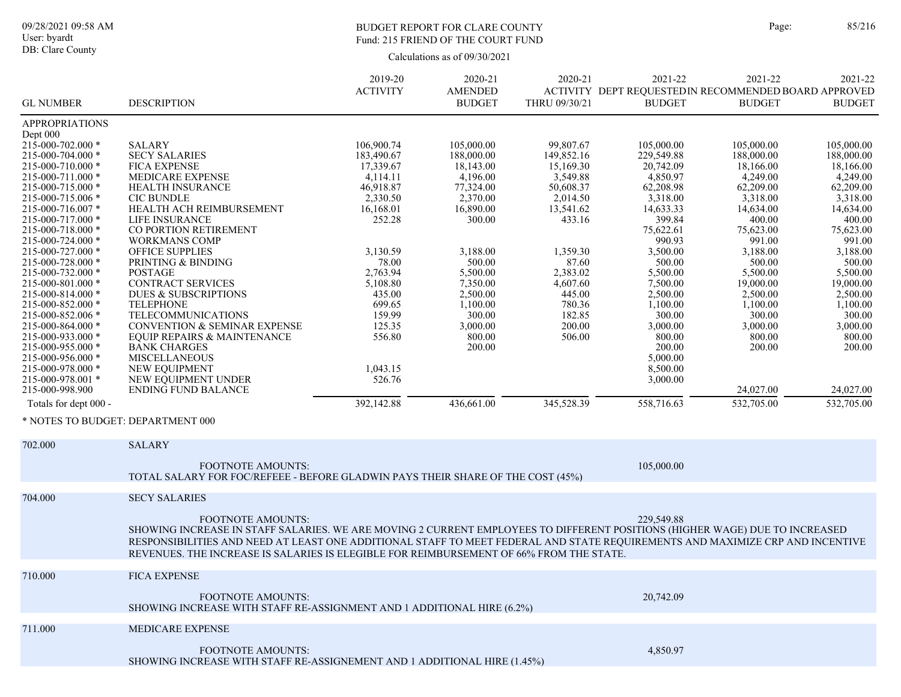## BUDGET REPORT FOR CLARE COUNTY Page: 85/216 Fund: 215 FRIEND OF THE COURT FUND

|                                        |                                                                                                                               | 2019-20           | 2020-21              | 2020-21           | 2021-22                                              | 2021-22               | 2021-22               |
|----------------------------------------|-------------------------------------------------------------------------------------------------------------------------------|-------------------|----------------------|-------------------|------------------------------------------------------|-----------------------|-----------------------|
|                                        |                                                                                                                               | <b>ACTIVITY</b>   | <b>AMENDED</b>       |                   | ACTIVITY DEPT REQUESTEDIN RECOMMENDED BOARD APPROVED |                       |                       |
| <b>GL NUMBER</b>                       | <b>DESCRIPTION</b>                                                                                                            |                   | <b>BUDGET</b>        | THRU 09/30/21     | <b>BUDGET</b>                                        | <b>BUDGET</b>         | <b>BUDGET</b>         |
| <b>APPROPRIATIONS</b>                  |                                                                                                                               |                   |                      |                   |                                                      |                       |                       |
| Dept 000                               |                                                                                                                               |                   |                      |                   |                                                      |                       |                       |
| 215-000-702.000 *                      | <b>SALARY</b>                                                                                                                 | 106,900.74        | 105,000.00           | 99,807.67         | 105,000.00                                           | 105,000.00            | 105,000.00            |
| 215-000-704.000 *                      | <b>SECY SALARIES</b>                                                                                                          | 183,490.67        | 188,000.00           | 149,852.16        | 229,549.88                                           | 188,000.00            | 188,000.00            |
| 215-000-710.000 *                      | <b>FICA EXPENSE</b>                                                                                                           | 17,339.67         | 18,143.00            | 15,169.30         | 20,742.09                                            | 18,166.00             | 18,166.00             |
| 215-000-711.000 *                      | MEDICARE EXPENSE                                                                                                              | 4,114.11          | 4,196.00             | 3,549.88          | 4,850.97                                             | 4,249.00              | 4,249.00              |
| 215-000-715.000 *                      | <b>HEALTH INSURANCE</b>                                                                                                       | 46,918.87         | 77,324.00            | 50,608.37         | 62,208.98                                            | 62,209.00             | 62,209.00             |
| 215-000-715.006 *                      | <b>CIC BUNDLE</b>                                                                                                             | 2,330.50          | 2,370.00             | 2,014.50          | 3,318.00                                             | 3,318.00              | 3,318.00              |
| 215-000-716.007 *                      | HEALTH ACH REIMBURSEMENT                                                                                                      | 16,168.01         | 16,890.00            | 13,541.62         | 14,633.33                                            | 14,634.00             | 14,634.00             |
| 215-000-717.000 *                      | <b>LIFE INSURANCE</b>                                                                                                         | 252.28            | 300.00               | 433.16            | 399.84                                               | 400.00                | 400.00                |
| 215-000-718.000 *                      | CO PORTION RETIREMENT                                                                                                         |                   |                      |                   | 75,622.61                                            | 75,623.00             | 75,623.00             |
| 215-000-724.000 *                      | <b>WORKMANS COMP</b>                                                                                                          |                   |                      |                   | 990.93                                               | 991.00                | 991.00                |
| 215-000-727.000 *                      | <b>OFFICE SUPPLIES</b><br>PRINTING & BINDING                                                                                  | 3,130.59          | 3,188.00             | 1,359.30          | 3,500.00                                             | 3,188.00              | 3,188.00              |
| 215-000-728.000 *<br>215-000-732.000 * |                                                                                                                               | 78.00<br>2,763.94 | 500.00               | 87.60<br>2,383.02 | 500.00                                               | 500.00                | 500.00                |
| 215-000-801.000 *                      | POSTAGE<br><b>CONTRACT SERVICES</b>                                                                                           | 5,108.80          | 5,500.00<br>7,350.00 | 4,607.60          | 5,500.00<br>7,500.00                                 | 5,500.00<br>19,000.00 | 5,500.00<br>19,000.00 |
| 215-000-814.000 *                      | <b>DUES &amp; SUBSCRIPTIONS</b>                                                                                               | 435.00            | 2,500.00             | 445.00            | 2,500.00                                             | 2,500.00              | 2,500.00              |
| 215-000-852.000 *                      | <b>TELEPHONE</b>                                                                                                              | 699.65            | 1,100.00             | 780.36            | 1,100.00                                             | 1,100.00              | 1,100.00              |
| 215-000-852.006 *                      | TELECOMMUNICATIONS                                                                                                            | 159.99            | 300.00               | 182.85            | 300.00                                               | 300.00                | 300.00                |
| 215-000-864.000 *                      | <b>CONVENTION &amp; SEMINAR EXPENSE</b>                                                                                       | 125.35            | 3,000.00             | 200.00            | 3,000.00                                             | 3,000.00              | 3,000.00              |
| 215-000-933.000 *                      | <b>EQUIP REPAIRS &amp; MAINTENANCE</b>                                                                                        | 556.80            | 800.00               | 506.00            | 800.00                                               | 800.00                | 800.00                |
| 215-000-955.000 *                      | <b>BANK CHARGES</b>                                                                                                           |                   | 200.00               |                   | 200.00                                               | 200.00                | 200.00                |
| 215-000-956.000 *                      | <b>MISCELLANEOUS</b>                                                                                                          |                   |                      |                   | 5,000.00                                             |                       |                       |
| $215 - 000 - 978.000$ *                | NEW EQUIPMENT                                                                                                                 | 1,043.15          |                      |                   | 8,500.00                                             |                       |                       |
| 215-000-978.001 *                      | NEW EQUIPMENT UNDER                                                                                                           | 526.76            |                      |                   | 3,000.00                                             |                       |                       |
| 215-000-998.900                        | <b>ENDING FUND BALANCE</b>                                                                                                    |                   |                      |                   |                                                      | 24,027.00             | 24,027.00             |
| Totals for dept 000 -                  |                                                                                                                               | 392,142.88        | 436,661.00           | 345,528.39        | 558,716.63                                           | 532,705.00            | 532,705.00            |
|                                        |                                                                                                                               |                   |                      |                   |                                                      |                       |                       |
| * NOTES TO BUDGET: DEPARTMENT 000      |                                                                                                                               |                   |                      |                   |                                                      |                       |                       |
|                                        |                                                                                                                               |                   |                      |                   |                                                      |                       |                       |
| 702.000                                | <b>SALARY</b>                                                                                                                 |                   |                      |                   |                                                      |                       |                       |
|                                        | <b>FOOTNOTE AMOUNTS:</b>                                                                                                      |                   |                      |                   |                                                      |                       |                       |
|                                        | TOTAL SALARY FOR FOC/REFEEE - BEFORE GLADWIN PAYS THEIR SHARE OF THE COST (45%)                                               |                   |                      |                   | 105,000.00                                           |                       |                       |
|                                        |                                                                                                                               |                   |                      |                   |                                                      |                       |                       |
| 704.000                                | <b>SECY SALARIES</b>                                                                                                          |                   |                      |                   |                                                      |                       |                       |
|                                        |                                                                                                                               |                   |                      |                   |                                                      |                       |                       |
|                                        | <b>FOOTNOTE AMOUNTS:</b>                                                                                                      |                   |                      |                   | 229,549.88                                           |                       |                       |
|                                        | SHOWING INCREASE IN STAFF SALARIES. WE ARE MOVING 2 CURRENT EMPLOYEES TO DIFFERENT POSITIONS (HIGHER WAGE) DUE TO INCREASED   |                   |                      |                   |                                                      |                       |                       |
|                                        | RESPONSIBILITIES AND NEED AT LEAST ONE ADDITIONAL STAFF TO MEET FEDERAL AND STATE REQUIREMENTS AND MAXIMIZE CRP AND INCENTIVE |                   |                      |                   |                                                      |                       |                       |
|                                        | REVENUES. THE INCREASE IS SALARIES IS ELEGIBLE FOR REIMBURSEMENT OF 66% FROM THE STATE.                                       |                   |                      |                   |                                                      |                       |                       |
|                                        |                                                                                                                               |                   |                      |                   |                                                      |                       |                       |
| 710.000                                | <b>FICA EXPENSE</b>                                                                                                           |                   |                      |                   |                                                      |                       |                       |
|                                        |                                                                                                                               |                   |                      |                   |                                                      |                       |                       |
|                                        | <b>FOOTNOTE AMOUNTS:</b>                                                                                                      |                   |                      |                   | 20,742.09                                            |                       |                       |
|                                        | SHOWING INCREASE WITH STAFF RE-ASSIGNMENT AND 1 ADDITIONAL HIRE (6.2%)                                                        |                   |                      |                   |                                                      |                       |                       |
|                                        |                                                                                                                               |                   |                      |                   |                                                      |                       |                       |
| 711.000                                | <b>MEDICARE EXPENSE</b>                                                                                                       |                   |                      |                   |                                                      |                       |                       |
|                                        |                                                                                                                               |                   |                      |                   |                                                      |                       |                       |
|                                        | <b>FOOTNOTE AMOUNTS:</b>                                                                                                      |                   |                      |                   | 4,850.97                                             |                       |                       |
|                                        | SHOWING INCREASE WITH STAFF RE-ASSIGNEMENT AND 1 ADDITIONAL HIRE (1.45%)                                                      |                   |                      |                   |                                                      |                       |                       |
|                                        |                                                                                                                               |                   |                      |                   |                                                      |                       |                       |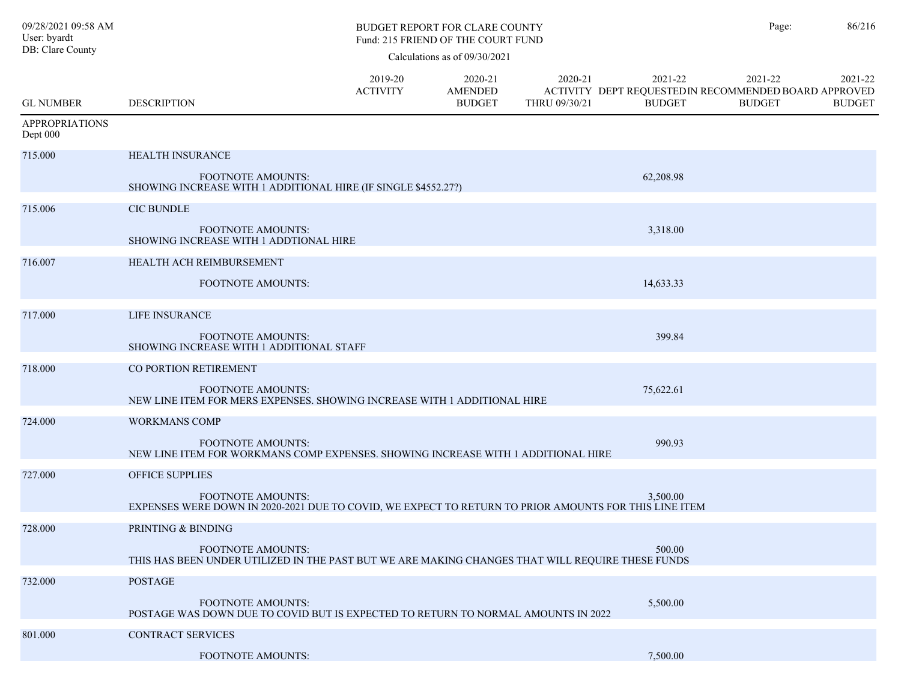| 09/28/2021 09:58 AM<br>User: byardt<br>DB: Clare County |                                                                                                                                   |                            | <b>BUDGET REPORT FOR CLARE COUNTY</b><br>Fund: 215 FRIEND OF THE COURT FUND |                          | Page:                                                                             | 86/216                   |                          |
|---------------------------------------------------------|-----------------------------------------------------------------------------------------------------------------------------------|----------------------------|-----------------------------------------------------------------------------|--------------------------|-----------------------------------------------------------------------------------|--------------------------|--------------------------|
|                                                         |                                                                                                                                   |                            | Calculations as of 09/30/2021                                               |                          |                                                                                   |                          |                          |
| <b>GL NUMBER</b>                                        | <b>DESCRIPTION</b>                                                                                                                | 2019-20<br><b>ACTIVITY</b> | 2020-21<br><b>AMENDED</b><br><b>BUDGET</b>                                  | 2020-21<br>THRU 09/30/21 | 2021-22<br>ACTIVITY DEPT REQUESTED IN RECOMMENDED BOARD APPROVED<br><b>BUDGET</b> | 2021-22<br><b>BUDGET</b> | 2021-22<br><b>BUDGET</b> |
| <b>APPROPRIATIONS</b><br>Dept 000                       |                                                                                                                                   |                            |                                                                             |                          |                                                                                   |                          |                          |
| 715.000                                                 | HEALTH INSURANCE                                                                                                                  |                            |                                                                             |                          |                                                                                   |                          |                          |
|                                                         | <b>FOOTNOTE AMOUNTS:</b><br>SHOWING INCREASE WITH 1 ADDITIONAL HIRE (IF SINGLE \$4552.27?)                                        |                            |                                                                             |                          | 62,208.98                                                                         |                          |                          |
| 715.006                                                 | <b>CIC BUNDLE</b>                                                                                                                 |                            |                                                                             |                          |                                                                                   |                          |                          |
|                                                         | <b>FOOTNOTE AMOUNTS:</b><br>SHOWING INCREASE WITH 1 ADDTIONAL HIRE                                                                |                            |                                                                             |                          | 3,318.00                                                                          |                          |                          |
| 716.007                                                 | HEALTH ACH REIMBURSEMENT                                                                                                          |                            |                                                                             |                          |                                                                                   |                          |                          |
|                                                         | <b>FOOTNOTE AMOUNTS:</b>                                                                                                          |                            |                                                                             |                          | 14,633.33                                                                         |                          |                          |
| 717.000                                                 | LIFE INSURANCE                                                                                                                    |                            |                                                                             |                          |                                                                                   |                          |                          |
|                                                         | <b>FOOTNOTE AMOUNTS:</b><br>SHOWING INCREASE WITH 1 ADDITIONAL STAFF                                                              |                            |                                                                             |                          | 399.84                                                                            |                          |                          |
| 718.000                                                 | CO PORTION RETIREMENT                                                                                                             |                            |                                                                             |                          |                                                                                   |                          |                          |
|                                                         | <b>FOOTNOTE AMOUNTS:</b><br>NEW LINE ITEM FOR MERS EXPENSES. SHOWING INCREASE WITH 1 ADDITIONAL HIRE                              |                            |                                                                             |                          | 75,622.61                                                                         |                          |                          |
| 724.000                                                 | <b>WORKMANS COMP</b>                                                                                                              |                            |                                                                             |                          |                                                                                   |                          |                          |
|                                                         | <b>FOOTNOTE AMOUNTS:</b><br>NEW LINE ITEM FOR WORKMANS COMP EXPENSES. SHOWING INCREASE WITH 1 ADDITIONAL HIRE                     |                            |                                                                             |                          | 990.93                                                                            |                          |                          |
| 727.000                                                 | <b>OFFICE SUPPLIES</b>                                                                                                            |                            |                                                                             |                          |                                                                                   |                          |                          |
|                                                         | <b>FOOTNOTE AMOUNTS:</b><br>EXPENSES WERE DOWN IN 2020-2021 DUE TO COVID, WE EXPECT TO RETURN TO PRIOR AMOUNTS FOR THIS LINE ITEM |                            |                                                                             |                          | 3.500.00                                                                          |                          |                          |
| 728.000                                                 | PRINTING & BINDING                                                                                                                |                            |                                                                             |                          |                                                                                   |                          |                          |
|                                                         | <b>FOOTNOTE AMOUNTS:</b><br>THIS HAS BEEN UNDER UTILIZED IN THE PAST BUT WE ARE MAKING CHANGES THAT WILL REQUIRE THESE FUNDS      |                            |                                                                             |                          | 500.00                                                                            |                          |                          |
| 732.000                                                 | <b>POSTAGE</b>                                                                                                                    |                            |                                                                             |                          |                                                                                   |                          |                          |
|                                                         | <b>FOOTNOTE AMOUNTS:</b><br>POSTAGE WAS DOWN DUE TO COVID BUT IS EXPECTED TO RETURN TO NORMAL AMOUNTS IN 2022                     |                            |                                                                             |                          | 5,500.00                                                                          |                          |                          |
| 801.000                                                 | CONTRACT SERVICES                                                                                                                 |                            |                                                                             |                          |                                                                                   |                          |                          |
|                                                         | <b>FOOTNOTE AMOUNTS:</b>                                                                                                          |                            |                                                                             |                          | 7,500.00                                                                          |                          |                          |
|                                                         |                                                                                                                                   |                            |                                                                             |                          |                                                                                   |                          |                          |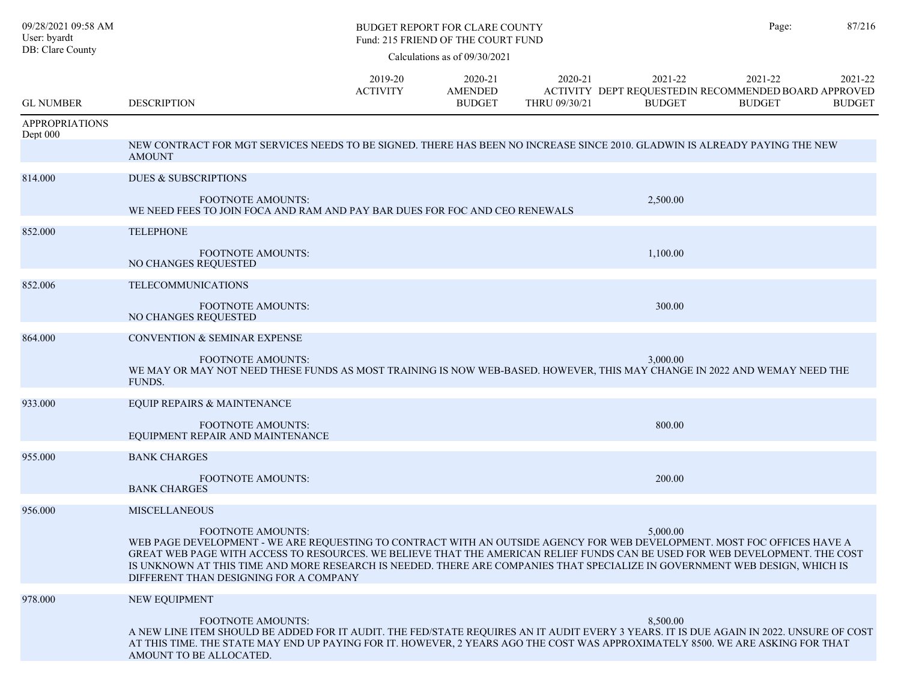| 09/28/2021 09:58 AM<br>User: byardt |                                                                                                                                                                                                                                                                                                                                                                                                                                                        |                            | <b>BUDGET REPORT FOR CLARE COUNTY</b><br>Fund: 215 FRIEND OF THE COURT FUND |                          | Page:                                                                            | 87/216                   |                          |
|-------------------------------------|--------------------------------------------------------------------------------------------------------------------------------------------------------------------------------------------------------------------------------------------------------------------------------------------------------------------------------------------------------------------------------------------------------------------------------------------------------|----------------------------|-----------------------------------------------------------------------------|--------------------------|----------------------------------------------------------------------------------|--------------------------|--------------------------|
| DB: Clare County                    |                                                                                                                                                                                                                                                                                                                                                                                                                                                        |                            | Calculations as of 09/30/2021                                               |                          |                                                                                  |                          |                          |
| <b>GL NUMBER</b>                    | <b>DESCRIPTION</b>                                                                                                                                                                                                                                                                                                                                                                                                                                     | 2019-20<br><b>ACTIVITY</b> | 2020-21<br><b>AMENDED</b><br><b>BUDGET</b>                                  | 2020-21<br>THRU 09/30/21 | 2021-22<br>ACTIVITY DEPT REQUESTEDIN RECOMMENDED BOARD APPROVED<br><b>BUDGET</b> | 2021-22<br><b>BUDGET</b> | 2021-22<br><b>BUDGET</b> |
| <b>APPROPRIATIONS</b>               |                                                                                                                                                                                                                                                                                                                                                                                                                                                        |                            |                                                                             |                          |                                                                                  |                          |                          |
| Dept 000                            | NEW CONTRACT FOR MGT SERVICES NEEDS TO BE SIGNED. THERE HAS BEEN NO INCREASE SINCE 2010. GLADWIN IS ALREADY PAYING THE NEW<br><b>AMOUNT</b>                                                                                                                                                                                                                                                                                                            |                            |                                                                             |                          |                                                                                  |                          |                          |
| 814.000                             | <b>DUES &amp; SUBSCRIPTIONS</b>                                                                                                                                                                                                                                                                                                                                                                                                                        |                            |                                                                             |                          |                                                                                  |                          |                          |
|                                     | <b>FOOTNOTE AMOUNTS:</b><br>WE NEED FEES TO JOIN FOCA AND RAM AND PAY BAR DUES FOR FOC AND CEO RENEWALS                                                                                                                                                                                                                                                                                                                                                |                            |                                                                             |                          | 2,500.00                                                                         |                          |                          |
| 852.000                             | <b>TELEPHONE</b>                                                                                                                                                                                                                                                                                                                                                                                                                                       |                            |                                                                             |                          |                                                                                  |                          |                          |
|                                     | <b>FOOTNOTE AMOUNTS:</b><br>NO CHANGES REQUESTED                                                                                                                                                                                                                                                                                                                                                                                                       |                            |                                                                             |                          | 1.100.00                                                                         |                          |                          |
| 852.006                             | <b>TELECOMMUNICATIONS</b>                                                                                                                                                                                                                                                                                                                                                                                                                              |                            |                                                                             |                          |                                                                                  |                          |                          |
|                                     | <b>FOOTNOTE AMOUNTS:</b><br>NO CHANGES REQUESTED                                                                                                                                                                                                                                                                                                                                                                                                       |                            |                                                                             |                          | 300.00                                                                           |                          |                          |
| 864.000                             | <b>CONVENTION &amp; SEMINAR EXPENSE</b>                                                                                                                                                                                                                                                                                                                                                                                                                |                            |                                                                             |                          |                                                                                  |                          |                          |
|                                     | <b>FOOTNOTE AMOUNTS:</b><br>WE MAY OR MAY NOT NEED THESE FUNDS AS MOST TRAINING IS NOW WEB-BASED. HOWEVER, THIS MAY CHANGE IN 2022 AND WEMAY NEED THE<br><b>FUNDS.</b>                                                                                                                                                                                                                                                                                 |                            |                                                                             |                          | 3,000.00                                                                         |                          |                          |
| 933.000                             | EQUIP REPAIRS & MAINTENANCE                                                                                                                                                                                                                                                                                                                                                                                                                            |                            |                                                                             |                          |                                                                                  |                          |                          |
|                                     | <b>FOOTNOTE AMOUNTS:</b><br>EQUIPMENT REPAIR AND MAINTENANCE                                                                                                                                                                                                                                                                                                                                                                                           |                            |                                                                             |                          | 800.00                                                                           |                          |                          |
| 955.000                             | <b>BANK CHARGES</b>                                                                                                                                                                                                                                                                                                                                                                                                                                    |                            |                                                                             |                          |                                                                                  |                          |                          |
|                                     | <b>FOOTNOTE AMOUNTS:</b><br><b>BANK CHARGES</b>                                                                                                                                                                                                                                                                                                                                                                                                        |                            |                                                                             |                          | 200.00                                                                           |                          |                          |
| 956.000                             | <b>MISCELLANEOUS</b>                                                                                                                                                                                                                                                                                                                                                                                                                                   |                            |                                                                             |                          |                                                                                  |                          |                          |
|                                     | FOOTNOTE AMOUNTS:<br>WEB PAGE DEVELOPMENT - WE ARE REQUESTING TO CONTRACT WITH AN OUTSIDE AGENCY FOR WEB DEVELOPMENT. MOST FOC OFFICES HAVE A<br>GREAT WEB PAGE WITH ACCESS TO RESOURCES. WE BELIEVE THAT THE AMERICAN RELIEF FUNDS CAN BE USED FOR WEB DEVELOPMENT. THE COST<br>IS UNKNOWN AT THIS TIME AND MORE RESEARCH IS NEEDED. THERE ARE COMPANIES THAT SPECIALIZE IN GOVERNMENT WEB DESIGN, WHICH IS<br>DIFFERENT THAN DESIGNING FOR A COMPANY |                            |                                                                             |                          | 5,000.00                                                                         |                          |                          |
| 978.000                             | NEW EQUIPMENT                                                                                                                                                                                                                                                                                                                                                                                                                                          |                            |                                                                             |                          |                                                                                  |                          |                          |
|                                     | <b>FOOTNOTE AMOUNTS:</b><br>A NEW LINE ITEM SHOULD BE ADDED FOR IT AUDIT. THE FED/STATE REQUIRES AN IT AUDIT EVERY 3 YEARS. IT IS DUE AGAIN IN 2022. UNSURE OF COST<br>AT THIS TIME. THE STATE MAY END UP PAYING FOR IT. HOWEVER, 2 YEARS AGO THE COST WAS APPROXIMATELY 8500. WE ARE ASKING FOR THAT<br>AMOUNT TO BE ALLOCATED.                                                                                                                       |                            |                                                                             |                          | 8,500.00                                                                         |                          |                          |
|                                     |                                                                                                                                                                                                                                                                                                                                                                                                                                                        |                            |                                                                             |                          |                                                                                  |                          |                          |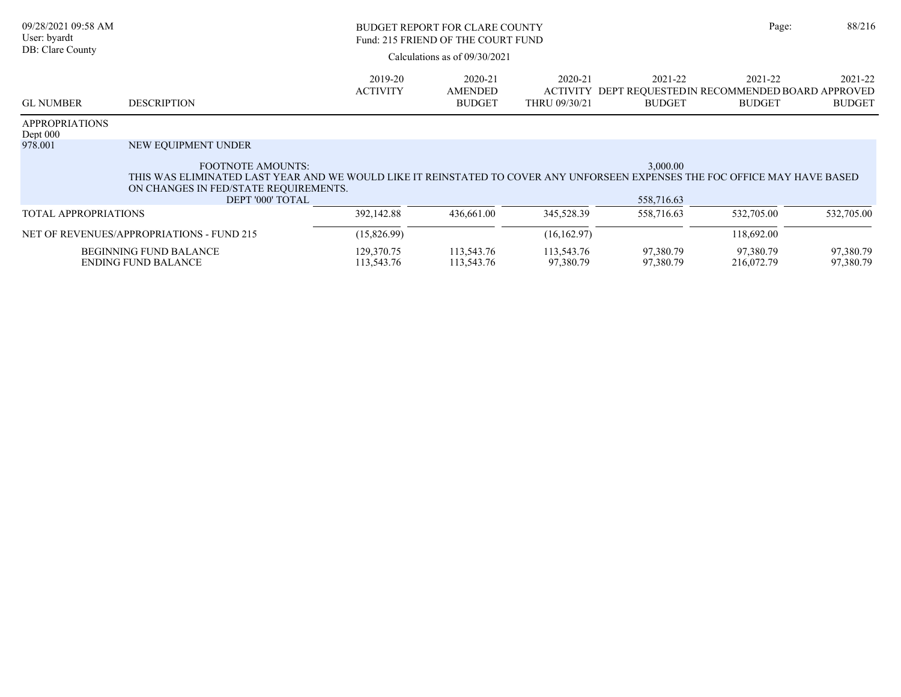| 09/28/2021 09:58 AM<br>User: byardt<br>DB: Clare County | <b>BUDGET REPORT FOR CLARE COUNTY</b><br>Fund: 215 FRIEND OF THE COURT FUND<br>Calculations as of $09/30/2021$                                                                                                                              |                            |                                            |                                             |                          | Page:                                                                   | 88/216                   |
|---------------------------------------------------------|---------------------------------------------------------------------------------------------------------------------------------------------------------------------------------------------------------------------------------------------|----------------------------|--------------------------------------------|---------------------------------------------|--------------------------|-------------------------------------------------------------------------|--------------------------|
| <b>GL NUMBER</b>                                        | <b>DESCRIPTION</b>                                                                                                                                                                                                                          | 2019-20<br><b>ACTIVITY</b> | 2020-21<br><b>AMENDED</b><br><b>BUDGET</b> | 2020-21<br><b>ACTIVITY</b><br>THRU 09/30/21 | 2021-22<br><b>BUDGET</b> | 2021-22<br>DEPT REOUESTEDIN RECOMMENDED BOARD APPROVED<br><b>BUDGET</b> | 2021-22<br><b>BUDGET</b> |
| <b>APPROPRIATIONS</b><br>Dept $000$                     |                                                                                                                                                                                                                                             |                            |                                            |                                             |                          |                                                                         |                          |
| 978.001                                                 | NEW EQUIPMENT UNDER<br><b>FOOTNOTE AMOUNTS:</b><br>THIS WAS ELIMINATED LAST YEAR AND WE WOULD LIKE IT REINSTATED TO COVER ANY UNFORSEEN EXPENSES THE FOC OFFICE MAY HAVE BASED<br>ON CHANGES IN FED/STATE REQUIREMENTS.<br>DEPT '000' TOTAL |                            |                                            |                                             | 3,000.00<br>558,716.63   |                                                                         |                          |
| <b>TOTAL APPROPRIATIONS</b>                             |                                                                                                                                                                                                                                             | 392,142.88                 | 436,661.00                                 | 345,528.39                                  | 558,716.63               | 532,705.00                                                              | 532,705.00               |
|                                                         | NET OF REVENUES/APPROPRIATIONS - FUND 215                                                                                                                                                                                                   | (15,826.99)                |                                            | (16, 162.97)                                |                          | 118,692.00                                                              |                          |
|                                                         | <b>BEGINNING FUND BALANCE</b><br><b>ENDING FUND BALANCE</b>                                                                                                                                                                                 | 129,370.75<br>113,543.76   | 113,543.76<br>113,543.76                   | 113,543.76<br>97,380.79                     | 97,380.79<br>97,380.79   | 97,380.79<br>216,072.79                                                 | 97,380.79<br>97,380.79   |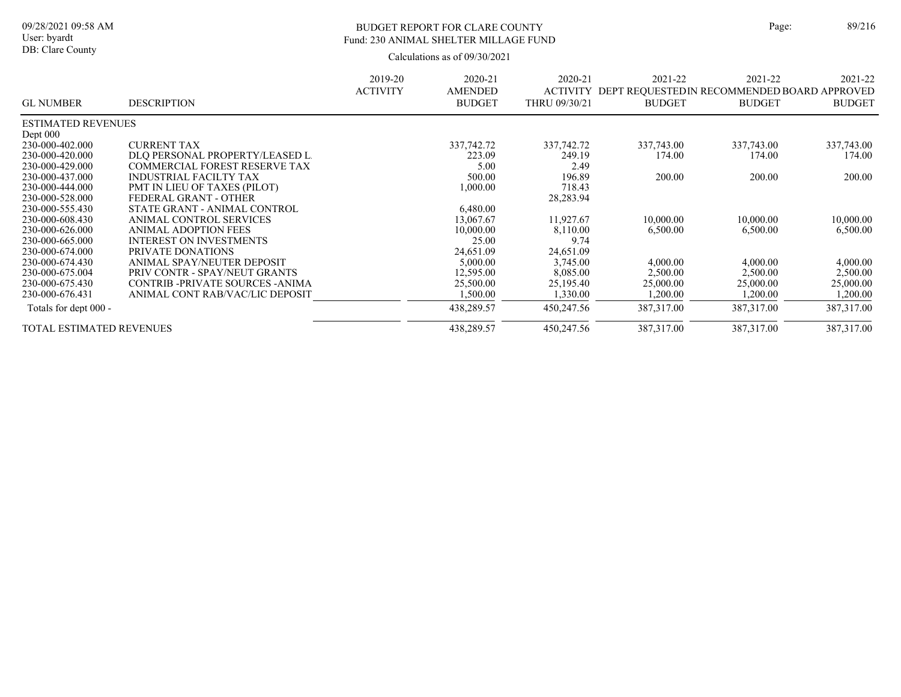## BUDGET REPORT FOR CLARE COUNTY Page: 89/216 Fund: 230 ANIMAL SHELTER MILLAGE FUND

|                                 |                                      | 2019-20         | 2020-21        | 2020-21         | 2021-22                                      | 2021-22       | 2021-22       |
|---------------------------------|--------------------------------------|-----------------|----------------|-----------------|----------------------------------------------|---------------|---------------|
|                                 |                                      | <b>ACTIVITY</b> | <b>AMENDED</b> | <b>ACTIVITY</b> | DEPT REQUESTED IN RECOMMENDED BOARD APPROVED |               |               |
| <b>GL NUMBER</b>                | <b>DESCRIPTION</b>                   |                 | <b>BUDGET</b>  | THRU 09/30/21   | <b>BUDGET</b>                                | <b>BUDGET</b> | <b>BUDGET</b> |
| <b>ESTIMATED REVENUES</b>       |                                      |                 |                |                 |                                              |               |               |
| Dept 000                        |                                      |                 |                |                 |                                              |               |               |
| 230-000-402.000                 | <b>CURRENT TAX</b>                   |                 | 337,742.72     | 337, 742. 72    | 337,743.00                                   | 337,743.00    | 337,743.00    |
| 230-000-420.000                 | DLO PERSONAL PROPERTY/LEASED L.      |                 | 223.09         | 249.19          | 174.00                                       | 174.00        | 174.00        |
| 230-000-429.000                 | <b>COMMERCIAL FOREST RESERVE TAX</b> |                 | 5.00           | 2.49            |                                              |               |               |
| 230-000-437.000                 | <b>INDUSTRIAL FACILTY TAX</b>        |                 | 500.00         | 196.89          | 200.00                                       | 200.00        | 200.00        |
| 230-000-444.000                 | PMT IN LIEU OF TAXES (PILOT)         |                 | 1,000.00       | 718.43          |                                              |               |               |
| 230-000-528.000                 | FEDERAL GRANT - OTHER                |                 |                | 28,283.94       |                                              |               |               |
| 230-000-555.430                 | STATE GRANT - ANIMAL CONTROL         |                 | 6,480.00       |                 |                                              |               |               |
| 230-000-608.430                 | ANIMAL CONTROL SERVICES              |                 | 13,067.67      | 11,927.67       | 10,000.00                                    | 10,000.00     | 10,000.00     |
| 230-000-626.000                 | ANIMAL ADOPTION FEES                 |                 | 10,000.00      | 8,110.00        | 6,500.00                                     | 6,500.00      | 6,500.00      |
| 230-000-665.000                 | <b>INTEREST ON INVESTMENTS</b>       |                 | 25.00          | 9.74            |                                              |               |               |
| 230-000-674.000                 | PRIVATE DONATIONS                    |                 | 24,651.09      | 24,651.09       |                                              |               |               |
| 230-000-674.430                 | ANIMAL SPAY/NEUTER DEPOSIT           |                 | 5,000.00       | 3,745.00        | 4,000.00                                     | 4,000.00      | 4,000.00      |
| 230-000-675.004                 | PRIV CONTR - SPAY/NEUT GRANTS        |                 | 12,595.00      | 8,085.00        | 2,500.00                                     | 2,500.00      | 2,500.00      |
| 230-000-675.430                 | CONTRIB-PRIVATE SOURCES-ANIMA        |                 | 25,500.00      | 25,195.40       | 25,000.00                                    | 25,000.00     | 25,000.00     |
| 230-000-676.431                 | ANIMAL CONT RAB/VAC/LIC DEPOSIT      |                 | 1,500.00       | 1,330.00        | 1,200.00                                     | 1,200.00      | 1,200.00      |
| Totals for dept 000 -           |                                      |                 | 438,289.57     | 450,247.56      | 387,317.00                                   | 387,317.00    | 387, 317.00   |
| <b>TOTAL ESTIMATED REVENUES</b> |                                      |                 | 438,289.57     | 450,247.56      | 387, 317.00                                  | 387,317.00    | 387, 317.00   |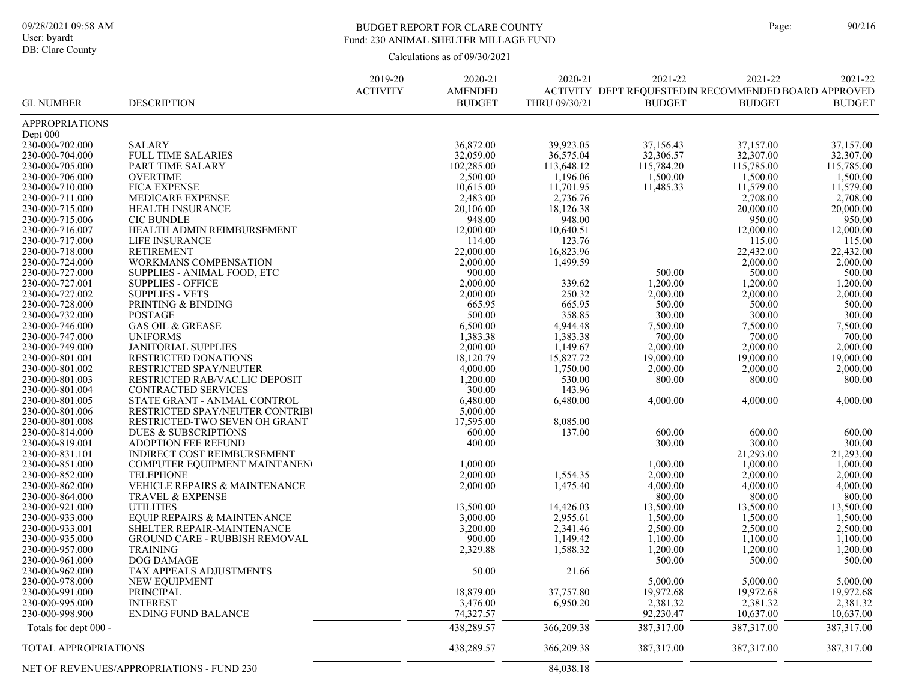### BUDGET REPORT FOR CLARE COUNTY Page: 90/216 Fund: 230 ANIMAL SHELTER MILLAGE FUND

|                                    |                                                           | 2019-20<br><b>ACTIVITY</b> | 2020-21<br><b>AMENDED</b> | 2020-21              | 2021-22<br>ACTIVITY DEPT REQUESTEDIN RECOMMENDED BOARD APPROVED | 2021-22               | 2021-22              |
|------------------------------------|-----------------------------------------------------------|----------------------------|---------------------------|----------------------|-----------------------------------------------------------------|-----------------------|----------------------|
| <b>GL NUMBER</b>                   | <b>DESCRIPTION</b>                                        |                            | <b>BUDGET</b>             | THRU 09/30/21        | <b>BUDGET</b>                                                   | <b>BUDGET</b>         | <b>BUDGET</b>        |
| <b>APPROPRIATIONS</b>              |                                                           |                            |                           |                      |                                                                 |                       |                      |
| Dept 000                           |                                                           |                            |                           |                      |                                                                 |                       |                      |
| 230-000-702.000                    | <b>SALARY</b>                                             |                            | 36,872.00                 | 39,923.05            | 37,156.43                                                       | 37,157.00             | 37,157.00            |
| 230-000-704.000                    | <b>FULL TIME SALARIES</b>                                 |                            | 32,059.00                 | 36,575.04            | 32,306.57                                                       | 32,307.00             | 32,307.00            |
| 230-000-705.000                    | PART TIME SALARY                                          |                            | 102,285.00                | 113,648.12           | 115,784.20                                                      | 115,785.00            | 115,785.00           |
| 230-000-706.000                    | <b>OVERTIME</b>                                           |                            | 2,500.00                  | 1,196.06             | 1,500.00                                                        | 1,500.00              | 1,500.00             |
| 230-000-710.000                    | <b>FICA EXPENSE</b>                                       |                            | 10,615.00                 | 11,701.95            | 11,485.33                                                       | 11,579.00             | 11,579.00            |
| 230-000-711.000                    | <b>MEDICARE EXPENSE</b><br><b>HEALTH INSURANCE</b>        |                            | 2,483.00                  | 2,736.76             |                                                                 | 2,708.00<br>20,000.00 | 2,708.00             |
| 230-000-715.000<br>230-000-715.006 | <b>CIC BUNDLE</b>                                         |                            | 20,106.00<br>948.00       | 18,126.38<br>948.00  |                                                                 | 950.00                | 20,000.00<br>950.00  |
| 230-000-716.007                    | HEALTH ADMIN REIMBURSEMENT                                |                            | 12,000.00                 | 10,640.51            |                                                                 | 12,000.00             | 12,000.00            |
| 230-000-717.000                    | <b>LIFE INSURANCE</b>                                     |                            | 114.00                    | 123.76               |                                                                 | 115.00                | 115.00               |
| 230-000-718.000                    | <b>RETIREMENT</b>                                         |                            | 22,000.00                 | 16,823.96            |                                                                 | 22,432.00             | 22,432.00            |
| 230-000-724.000                    | WORKMANS COMPENSATION                                     |                            | 2,000.00                  | 1,499.59             |                                                                 | 2,000.00              | 2,000.00             |
| 230-000-727.000                    | SUPPLIES - ANIMAL FOOD, ETC                               |                            | 900.00                    |                      | 500.00                                                          | 500.00                | 500.00               |
| 230-000-727.001                    | <b>SUPPLIES - OFFICE</b>                                  |                            | 2,000.00                  | 339.62               | 1,200.00                                                        | 1,200.00              | 1,200.00             |
| 230-000-727.002                    | <b>SUPPLIES - VETS</b>                                    |                            | 2,000.00                  | 250.32               | 2,000.00                                                        | 2,000.00              | 2,000.00             |
| 230-000-728.000                    | PRINTING & BINDING                                        |                            | 665.95                    | 665.95               | 500.00                                                          | 500.00                | 500.00               |
| 230-000-732.000                    | <b>POSTAGE</b>                                            |                            | 500.00                    | 358.85               | 300.00                                                          | 300.00                | 300.00               |
| 230-000-746.000                    | <b>GAS OIL &amp; GREASE</b>                               |                            | 6,500.00                  | 4,944.48             | 7,500.00                                                        | 7,500.00              | 7,500.00             |
| 230-000-747.000                    | <b>UNIFORMS</b>                                           |                            | 1,383.38                  | 1,383.38             | 700.00                                                          | 700.00                | 700.00               |
| 230-000-749.000                    | <b>JANITORIAL SUPPLIES</b>                                |                            | 2,000.00                  | 1,149.67             | 2,000.00                                                        | 2,000.00              | 2,000.00             |
| 230-000-801.001                    | <b>RESTRICTED DONATIONS</b>                               |                            | 18,120.79                 | 15,827.72            | 19,000.00                                                       | 19,000.00             | 19,000.00            |
| 230-000-801.002                    | <b>RESTRICTED SPAY/NEUTER</b>                             |                            | 4,000.00                  | 1,750.00             | 2,000.00                                                        | 2,000.00              | 2,000.00             |
| 230-000-801.003                    | RESTRICTED RAB/VAC.LIC DEPOSIT                            |                            | 1,200.00                  | 530.00               | 800.00                                                          | 800.00                | 800.00               |
| 230-000-801.004                    | CONTRACTED SERVICES                                       |                            | 300.00                    | 143.96               |                                                                 |                       |                      |
| 230-000-801.005                    | STATE GRANT - ANIMAL CONTROL                              |                            | 6,480.00                  | 6,480.00             | 4,000.00                                                        | 4,000.00              | 4,000.00             |
| 230-000-801.006                    | RESTRICTED SPAY/NEUTER CONTRIBI                           |                            | 5,000.00                  |                      |                                                                 |                       |                      |
| 230-000-801.008                    | RESTRICTED-TWO SEVEN OH GRANT                             |                            | 17,595.00                 | 8,085.00             |                                                                 |                       |                      |
| 230-000-814.000                    | <b>DUES &amp; SUBSCRIPTIONS</b>                           |                            | 600.00                    | 137.00               | 600.00                                                          | 600.00                | 600.00               |
| 230-000-819.001                    | <b>ADOPTION FEE REFUND</b>                                |                            | 400.00                    |                      | 300.00                                                          | 300.00                | 300.00               |
| 230-000-831.101                    | INDIRECT COST REIMBURSEMENT                               |                            |                           |                      |                                                                 | 21,293.00             | 21,293.00            |
| 230-000-851.000                    | COMPUTER EQUIPMENT MAINTANEN                              |                            | 1,000.00                  |                      | 1,000.00                                                        | 1,000.00              | 1,000.00             |
| 230-000-852.000                    | <b>TELEPHONE</b>                                          |                            | 2,000.00                  | 1,554.35             | 2,000.00                                                        | 2,000.00              | 2,000.00             |
| 230-000-862.000                    | VEHICLE REPAIRS & MAINTENANCE                             |                            | 2,000.00                  | 1,475.40             | 4,000.00                                                        | 4,000.00              | 4,000.00             |
| 230-000-864.000                    | TRAVEL & EXPENSE                                          |                            |                           |                      | 800.00                                                          | 800.00                | 800.00               |
| 230-000-921.000                    | <b>UTILITIES</b>                                          |                            | 13,500.00                 | 14,426.03            | 13,500.00                                                       | 13,500.00             | 13,500.00            |
| 230-000-933.000                    | EQUIP REPAIRS & MAINTENANCE<br>SHELTER REPAIR-MAINTENANCE |                            | 3,000.00                  | 2,955.61             | 1,500.00                                                        | 1,500.00              | 1,500.00             |
| 230-000-933.001<br>230-000-935.000 | GROUND CARE - RUBBISH REMOVAL                             |                            | 3,200.00<br>900.00        | 2,341.46<br>1,149.42 | 2,500.00<br>1,100.00                                            | 2,500.00<br>1,100.00  | 2,500.00<br>1,100.00 |
| 230-000-957.000                    | <b>TRAINING</b>                                           |                            |                           |                      |                                                                 | 1,200.00              | 1,200.00             |
| 230-000-961.000                    | DOG DAMAGE                                                |                            | 2,329.88                  | 1,588.32             | 1,200.00<br>500.00                                              | 500.00                | 500.00               |
| 230-000-962.000                    | TAX APPEALS ADJUSTMENTS                                   |                            | 50.00                     | 21.66                |                                                                 |                       |                      |
| 230-000-978.000                    | NEW EQUIPMENT                                             |                            |                           |                      | 5,000.00                                                        | 5,000.00              | 5,000.00             |
| 230-000-991.000                    | PRINCIPAL                                                 |                            | 18,879.00                 | 37,757.80            | 19,972.68                                                       | 19,972.68             | 19,972.68            |
| 230-000-995.000                    | <b>INTEREST</b>                                           |                            | 3,476.00                  | 6,950.20             | 2,381.32                                                        | 2,381.32              | 2,381.32             |
| 230-000-998.900                    | <b>ENDING FUND BALANCE</b>                                |                            | 74,327.57                 |                      | 92,230.47                                                       | 10,637.00             | 10,637.00            |
| Totals for dept 000 -              |                                                           |                            | 438,289.57                | 366,209.38           | 387,317.00                                                      | 387,317.00            | 387,317.00           |
|                                    |                                                           |                            |                           |                      |                                                                 |                       |                      |
| TOTAL APPROPRIATIONS               |                                                           |                            | 438,289.57                | 366,209.38           | 387, 317.00                                                     | 387,317.00            | 387,317.00           |
|                                    | NET OF REVENUES/APPROPRIATIONS - FUND 230                 |                            |                           | 84,038.18            |                                                                 |                       |                      |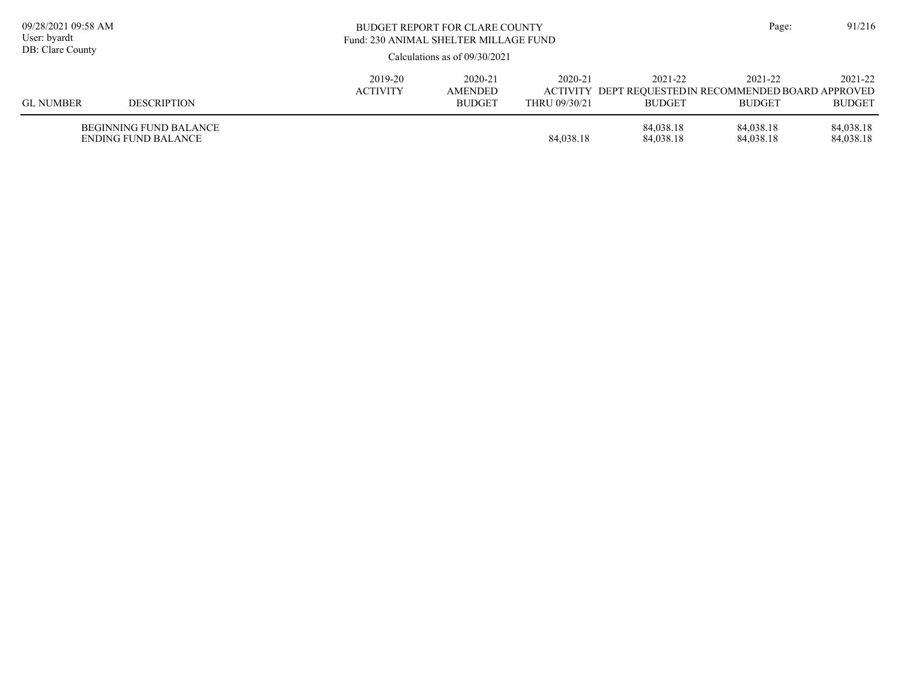| 09/28/2021 09:58 AM<br>User: byardt<br>DB: Clare County |                                                      |                            | <b>BUDGET REPORT FOR CLARE COUNTY</b><br>Fund: 230 ANIMAL SHELTER MILLAGE FUND<br>Calculations as of $09/30/2021$ |                          |                          |                                                                                   |                          |  |
|---------------------------------------------------------|------------------------------------------------------|----------------------------|-------------------------------------------------------------------------------------------------------------------|--------------------------|--------------------------|-----------------------------------------------------------------------------------|--------------------------|--|
| <b>GL NUMBER</b>                                        | <b>DESCRIPTION</b>                                   | 2019-20<br><b>ACTIVITY</b> | 2020-21<br>AMENDED<br><b>BUDGET</b>                                                                               | 2020-21<br>THRU 09/30/21 | 2021-22<br><b>BUDGET</b> | 2021-22<br>ACTIVITY DEPT REQUESTED IN RECOMMENDED BOARD APPROVED<br><b>BUDGET</b> | 2021-22<br><b>BUDGET</b> |  |
|                                                         | <b>BEGINNING FUND BALANCE</b><br>ENDING FUND BALANCE |                            |                                                                                                                   | 84,038.18                | 84,038.18<br>84,038.18   | 84.038.18<br>84,038.18                                                            | 84,038.18<br>84,038.18   |  |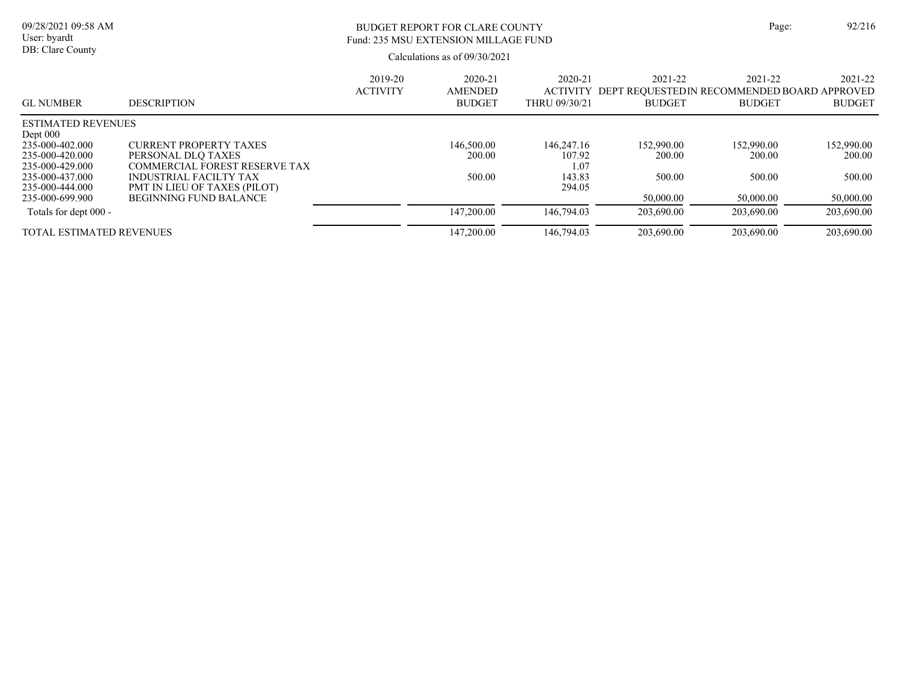| ge: | 92/21 |
|-----|-------|
|     |       |

# BUDGET REPORT FOR CLARE COUNTY Page: 92/216 Fund: 235 MSU EXTENSION MILLAGE FUND

|                                         |                                                        | 2019-20<br><b>ACTIVITY</b> | 2020-21<br><b>AMENDED</b> | 2020-21<br><b>ACTIVITY</b> | 2021-22<br>DEPT REQUESTEDIN RECOMMENDED BOARD APPROVED | 2021-22       | $2021 - 22$   |
|-----------------------------------------|--------------------------------------------------------|----------------------------|---------------------------|----------------------------|--------------------------------------------------------|---------------|---------------|
| <b>GL NUMBER</b>                        | <b>DESCRIPTION</b>                                     |                            | <b>BUDGET</b>             | THRU 09/30/21              | <b>BUDGET</b>                                          | <b>BUDGET</b> | <b>BUDGET</b> |
| <b>ESTIMATED REVENUES</b><br>Dept $000$ |                                                        |                            |                           |                            |                                                        |               |               |
| 235-000-402.000                         | CURRENT PROPERTY TAXES                                 |                            | 146,500.00                | 146,247.16                 | 152,990.00                                             | 152,990.00    | 152,990.00    |
| 235-000-420.000<br>235-000-429.000      | PERSONAL DLO TAXES<br>COMMERCIAL FOREST RESERVE TAX    |                            | 200.00                    | 107.92<br>1.07             | 200.00                                                 | 200.00        | 200.00        |
| 235-000-437.000<br>235-000-444.000      | INDUSTRIAL FACILTY TAX<br>PMT IN LIEU OF TAXES (PILOT) |                            | 500.00                    | 143.83<br>294.05           | 500.00                                                 | 500.00        | 500.00        |
| 235-000-699.900                         | <b>BEGINNING FUND BALANCE</b>                          |                            |                           |                            | 50,000.00                                              | 50,000.00     | 50,000.00     |
| Totals for dept 000 -                   |                                                        |                            | 147,200.00                | 146,794.03                 | 203,690.00                                             | 203,690.00    | 203,690.00    |
| <b>TOTAL ESTIMATED REVENUES</b>         |                                                        |                            | 147,200.00                | 146,794.03                 | 203,690.00                                             | 203,690.00    | 203,690.00    |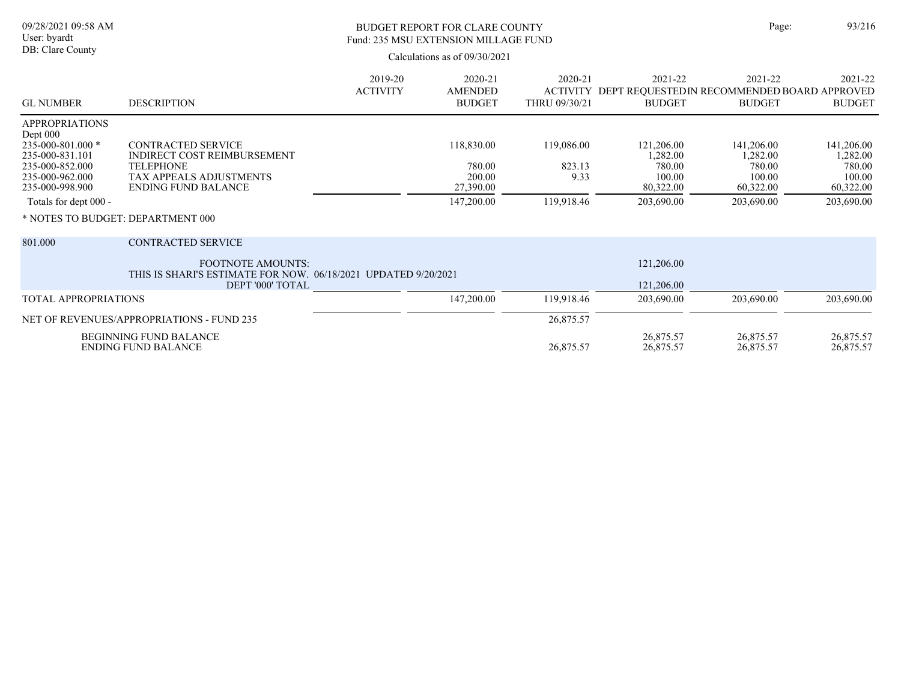## BUDGET REPORT FOR CLARE COUNTY Page: 93/216 Fund: 235 MSU EXTENSION MILLAGE FUND

|                                                                                                                                          |                                                                                                                                              | 2019-20         | 2020-21                                     | 2020-21                      | 2021-22                                                               | 2021-22                                                 | 2021-22                                                 |
|------------------------------------------------------------------------------------------------------------------------------------------|----------------------------------------------------------------------------------------------------------------------------------------------|-----------------|---------------------------------------------|------------------------------|-----------------------------------------------------------------------|---------------------------------------------------------|---------------------------------------------------------|
| <b>GL NUMBER</b>                                                                                                                         | <b>DESCRIPTION</b>                                                                                                                           | <b>ACTIVITY</b> | <b>AMENDED</b><br><b>BUDGET</b>             | THRU 09/30/21                | ACTIVITY DEPT REQUESTEDIN RECOMMENDED BOARD APPROVED<br><b>BUDGET</b> | <b>BUDGET</b>                                           | <b>BUDGET</b>                                           |
| <b>APPROPRIATIONS</b><br>Dept 000<br>$235 - 000 - 801.000$ *<br>235-000-831.101<br>235-000-852.000<br>235-000-962.000<br>235-000-998.900 | <b>CONTRACTED SERVICE</b><br><b>INDIRECT COST REIMBURSEMENT</b><br><b>TELEPHONE</b><br>TAX APPEALS ADJUSTMENTS<br><b>ENDING FUND BALANCE</b> |                 | 118,830.00<br>780.00<br>200.00<br>27,390.00 | 119,086.00<br>823.13<br>9.33 | 121,206.00<br>1,282.00<br>780.00<br>100.00<br>80,322.00               | 141,206.00<br>1,282.00<br>780.00<br>100.00<br>60,322.00 | 141,206.00<br>1,282.00<br>780.00<br>100.00<br>60,322.00 |
| Totals for dept 000 -                                                                                                                    |                                                                                                                                              |                 | 147,200.00                                  | 119,918.46                   | 203,690.00                                                            | 203,690.00                                              | 203,690.00                                              |
| * NOTES TO BUDGET: DEPARTMENT 000                                                                                                        |                                                                                                                                              |                 |                                             |                              |                                                                       |                                                         |                                                         |
| 801.000                                                                                                                                  | <b>CONTRACTED SERVICE</b>                                                                                                                    |                 |                                             |                              |                                                                       |                                                         |                                                         |
| <b>FOOTNOTE AMOUNTS:</b><br>THIS IS SHARI'S ESTIMATE FOR NOW. 06/18/2021 UPDATED 9/20/2021                                               |                                                                                                                                              |                 |                                             |                              | 121,206.00                                                            |                                                         |                                                         |
|                                                                                                                                          | DEPT '000' TOTAL                                                                                                                             |                 |                                             |                              | 121,206.00                                                            |                                                         |                                                         |
| <b>TOTAL APPROPRIATIONS</b>                                                                                                              |                                                                                                                                              |                 | 147,200.00                                  | 119,918.46                   | 203,690.00                                                            | 203,690.00                                              | 203,690.00                                              |
|                                                                                                                                          | NET OF REVENUES/APPROPRIATIONS - FUND 235                                                                                                    |                 |                                             | 26,875.57                    |                                                                       |                                                         |                                                         |
|                                                                                                                                          | <b>BEGINNING FUND BALANCE</b><br><b>ENDING FUND BALANCE</b>                                                                                  |                 |                                             | 26,875.57                    | 26,875.57<br>26,875.57                                                | 26,875.57<br>26,875.57                                  | 26,875.57<br>26,875.57                                  |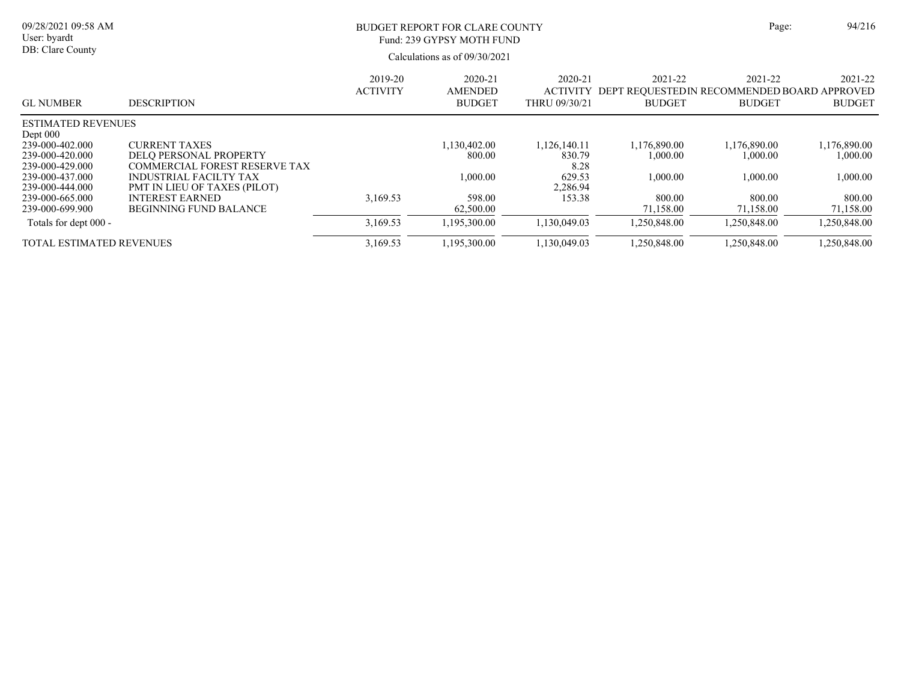#### Calculations as of 09/30/2021 09/28/2021 09:58 AM User: byardt DB: Clare County BUDGET REPORT FOR CLARE COUNTY Page: 94/216 2021-22 2020-21 2020-21 2019-20 Fund: 239 GYPSY MOTH FUND

| <b>GL NUMBER</b>                   | <b>DESCRIPTION</b>                                             | 2019-20<br><b>ACTIVITY</b> | 2020-21<br><b>AMENDED</b><br><b>BUDGET</b> | 2020-21<br><b>ACTIVITY</b><br>THRU 09/30/21 | 2021-22<br>DEPT REOUESTEDIN RECOMMENDED BOARD APPROVED<br><b>BUDGET</b> | 2021-22<br><b>BUDGET</b> | 2021-22<br><b>BUDGET</b> |
|------------------------------------|----------------------------------------------------------------|----------------------------|--------------------------------------------|---------------------------------------------|-------------------------------------------------------------------------|--------------------------|--------------------------|
| <b>ESTIMATED REVENUES</b>          |                                                                |                            |                                            |                                             |                                                                         |                          |                          |
| Dept 000<br>239-000-402.000        | <b>CURRENT TAXES</b>                                           |                            | 1.130.402.00                               | 1,126,140.11                                | 1,176,890.00                                                            | 1,176,890.00             | 1,176,890.00             |
|                                    |                                                                |                            |                                            |                                             |                                                                         |                          |                          |
| 239-000-420.000<br>239-000-429.000 | <b>DELO PERSONAL PROPERTY</b><br>COMMERCIAL FOREST RESERVE TAX |                            | 800.00                                     | 830.79                                      | 1,000.00                                                                | 1,000.00                 | 1,000.00                 |
|                                    |                                                                |                            |                                            | 8.28                                        |                                                                         |                          |                          |
| 239-000-437.000                    | INDUSTRIAL FACILTY TAX                                         |                            | 00.000.1                                   | 629.53                                      | 1.000.00                                                                | 1,000.00                 | 1,000.00                 |
| 239-000-444.000                    | <b>PMT IN LIEU OF TAXES (PILOT)</b>                            |                            |                                            | 2,286.94                                    |                                                                         |                          |                          |
| 239-000-665.000                    | <b>INTEREST EARNED</b>                                         | 3,169.53                   | 598.00                                     | 153.38                                      | 800.00                                                                  | 800.00                   | 800.00                   |
| 239-000-699.900                    | <b>BEGINNING FUND BALANCE</b>                                  |                            | 62,500.00                                  |                                             | 71,158.00                                                               | 71,158.00                | 71,158.00                |
| Totals for dept 000 -              |                                                                | 3.169.53                   | 1.195.300.00                               | 1,130,049.03                                | 1.250.848.00                                                            | 1.250.848.00             | 1,250,848.00             |
| TOTAL ESTIMATED REVENUES           |                                                                | 3,169.53                   | 1,195,300.00                               | 1,130,049.03                                | .250,848.00                                                             | 1,250,848.00             | 1.250.848.00             |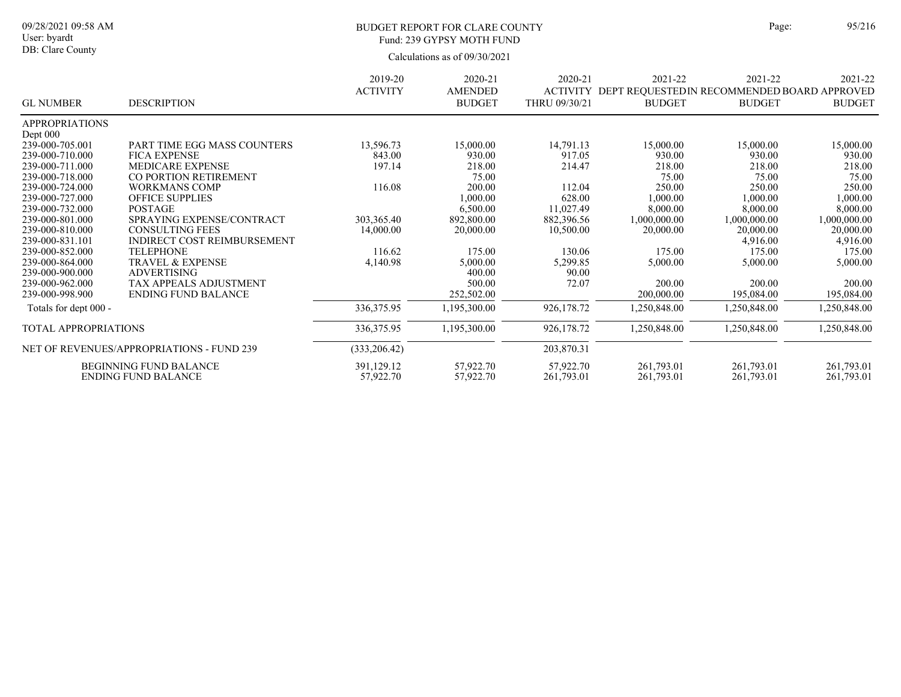DB: Clare County

### BUDGET REPORT FOR CLARE COUNTY Page: 95/216 Fund: 239 GYPSY MOTH FUND

|                             |                                                  | 2019-20         | 2020-21                         | 2020-21                          | 2021-22                                                       | 2021-22       | 2021-22       |
|-----------------------------|--------------------------------------------------|-----------------|---------------------------------|----------------------------------|---------------------------------------------------------------|---------------|---------------|
| <b>GL NUMBER</b>            | <b>DESCRIPTION</b>                               | <b>ACTIVITY</b> | <b>AMENDED</b><br><b>BUDGET</b> | <b>ACTIVITY</b><br>THRU 09/30/21 | DEPT REQUESTED IN RECOMMENDED BOARD APPROVED<br><b>BUDGET</b> | <b>BUDGET</b> | <b>BUDGET</b> |
| <b>APPROPRIATIONS</b>       |                                                  |                 |                                 |                                  |                                                               |               |               |
| Dept 000                    |                                                  |                 |                                 |                                  |                                                               |               |               |
| 239-000-705.001             | PART TIME EGG MASS COUNTERS                      | 13,596.73       | 15,000.00                       | 14,791.13                        | 15,000.00                                                     | 15,000.00     | 15,000.00     |
| 239-000-710.000             | <b>FICA EXPENSE</b>                              | 843.00          | 930.00                          | 917.05                           | 930.00                                                        | 930.00        | 930.00        |
| 239-000-711.000             | <b>MEDICARE EXPENSE</b>                          | 197.14          | 218.00                          | 214.47                           | 218.00                                                        | 218.00        | 218.00        |
| 239-000-718.000             | CO PORTION RETIREMENT                            |                 | 75.00                           |                                  | 75.00                                                         | 75.00         | 75.00         |
| 239-000-724.000             | <b>WORKMANS COMP</b>                             | 116.08          | 200.00                          | 112.04                           | 250.00                                                        | 250.00        | 250.00        |
| 239-000-727.000             | <b>OFFICE SUPPLIES</b>                           |                 | 1,000.00                        | 628.00                           | 1,000.00                                                      | 1,000.00      | 1,000.00      |
| 239-000-732.000             | <b>POSTAGE</b>                                   |                 | 6,500.00                        | 11,027.49                        | 8,000.00                                                      | 8,000.00      | 8,000.00      |
| 239-000-801.000             | SPRAYING EXPENSE/CONTRACT                        | 303,365.40      | 892,800.00                      | 882,396.56                       | 1,000,000.00                                                  | 1,000,000.00  | 1,000,000.00  |
| 239-000-810.000             | <b>CONSULTING FEES</b>                           | 14,000.00       | 20,000.00                       | 10,500.00                        | 20,000.00                                                     | 20,000.00     | 20,000.00     |
| 239-000-831.101             | INDIRECT COST REIMBURSEMENT                      |                 |                                 |                                  |                                                               | 4,916.00      | 4,916.00      |
| 239-000-852.000             | <b>TELEPHONE</b>                                 | 116.62          | 175.00                          | 130.06                           | 175.00                                                        | 175.00        | 175.00        |
| 239-000-864.000             | <b>TRAVEL &amp; EXPENSE</b>                      | 4,140.98        | 5,000.00                        | 5,299.85                         | 5,000.00                                                      | 5,000.00      | 5,000.00      |
| 239-000-900.000             | <b>ADVERTISING</b>                               |                 | 400.00                          | 90.00                            |                                                               |               |               |
| 239-000-962.000             | TAX APPEALS ADJUSTMENT                           |                 | 500.00                          | 72.07                            | 200.00                                                        | 200.00        | 200.00        |
| 239-000-998.900             | <b>ENDING FUND BALANCE</b>                       |                 | 252,502.00                      |                                  | 200,000.00                                                    | 195,084.00    | 195,084.00    |
| Totals for dept 000 -       |                                                  | 336, 375. 95    | 1,195,300.00                    | 926,178.72                       | 1,250,848.00                                                  | 1,250,848.00  | 1,250,848.00  |
| <b>TOTAL APPROPRIATIONS</b> |                                                  | 336, 375. 95    | 1,195,300.00                    | 926,178.72                       | 1,250,848.00                                                  | 1,250,848.00  | 1,250,848.00  |
|                             | <b>NET OF REVENUES/APPROPRIATIONS - FUND 239</b> | (333, 206.42)   |                                 | 203,870.31                       |                                                               |               |               |
|                             | <b>BEGINNING FUND BALANCE</b>                    | 391,129.12      | 57,922.70                       | 57,922.70                        | 261,793.01                                                    | 261,793.01    | 261,793.01    |
|                             | <b>ENDING FUND BALANCE</b>                       | 57,922.70       | 57,922.70                       | 261,793.01                       | 261,793.01                                                    | 261,793.01    | 261,793.01    |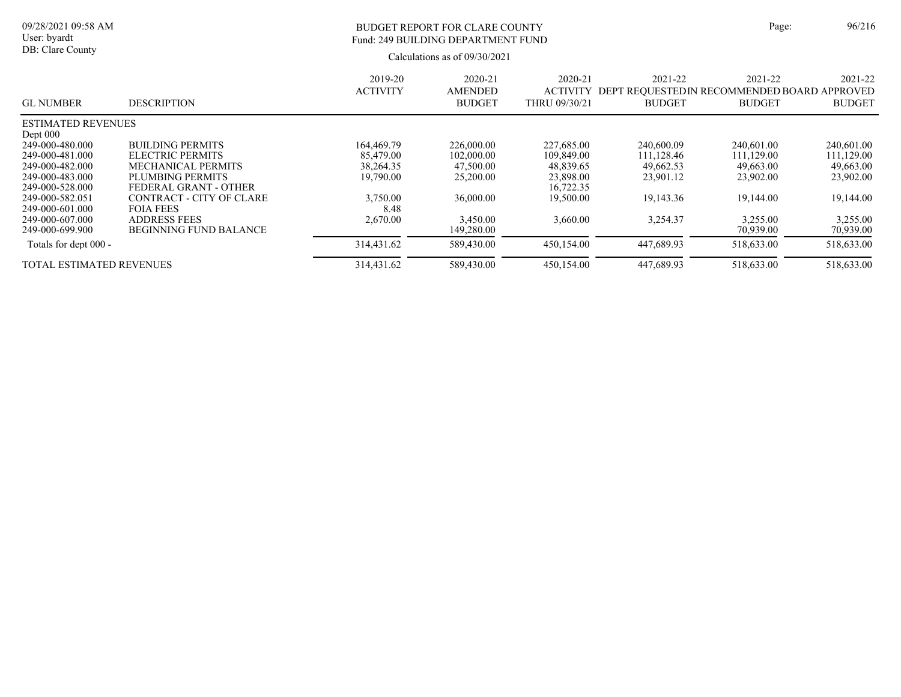| ge: | 96/21 |
|-----|-------|
|     |       |

# BUDGET REPORT FOR CLARE COUNTY Page: 96/216 Fund: 249 BUILDING DEPARTMENT FUND

| <b>GL NUMBER</b>                | <b>DESCRIPTION</b>            | 2019-20<br><b>ACTIVITY</b> | 2020-21<br><b>AMENDED</b><br><b>BUDGET</b> | 2020-21<br><b>ACTIVITY</b><br>THRU 09/30/21 | 2021-22<br>DEPT REOUESTEDIN RECOMMENDED BOARD APPROVED<br><b>BUDGET</b> | 2021-22<br><b>BUDGET</b> | 2021-22<br><b>BUDGET</b> |
|---------------------------------|-------------------------------|----------------------------|--------------------------------------------|---------------------------------------------|-------------------------------------------------------------------------|--------------------------|--------------------------|
| <b>ESTIMATED REVENUES</b>       |                               |                            |                                            |                                             |                                                                         |                          |                          |
| Dept $000$                      |                               |                            |                                            |                                             |                                                                         |                          |                          |
| 249-000-480.000                 | <b>BUILDING PERMITS</b>       | 164,469.79                 | 226,000.00                                 | 227,685.00                                  | 240,600.09                                                              | 240,601.00               | 240,601.00               |
| 249-000-481.000                 | ELECTRIC PERMITS              | 85,479.00                  | 102,000.00                                 | 109,849.00                                  | 111.128.46                                                              | 111.129.00               | 111.129.00               |
| 249-000-482.000                 | <b>MECHANICAL PERMITS</b>     | 38,264.35                  | 47,500.00                                  | 48,839.65                                   | 49,662.53                                                               | 49,663.00                | 49,663.00                |
| 249-000-483.000                 | PLUMBING PERMITS              | 19,790.00                  | 25,200.00                                  | 23,898.00                                   | 23,901.12                                                               | 23,902.00                | 23,902.00                |
| 249-000-528.000                 | FEDERAL GRANT - OTHER         |                            |                                            | 16,722.35                                   |                                                                         |                          |                          |
| 249-000-582.051                 | CONTRACT - CITY OF CLARE      | 3,750.00                   | 36,000.00                                  | 19,500.00                                   | 19,143.36                                                               | 19,144.00                | 19,144.00                |
| 249-000-601.000                 | <b>FOIA FEES</b>              | 8.48                       |                                            |                                             |                                                                         |                          |                          |
| 249-000-607.000                 | <b>ADDRESS FEES</b>           | 2,670.00                   | 3.450.00                                   | 3,660.00                                    | 3,254.37                                                                | 3.255.00                 | 3.255.00                 |
| 249-000-699.900                 | <b>BEGINNING FUND BALANCE</b> |                            | 149,280.00                                 |                                             |                                                                         | 70,939.00                | 70,939.00                |
| Totals for dept 000 -           |                               | 314,431.62                 | 589,430.00                                 | 450,154.00                                  | 447,689.93                                                              | 518,633.00               | 518,633.00               |
| <b>TOTAL ESTIMATED REVENUES</b> |                               | 314,431.62                 | 589,430.00                                 | 450,154.00                                  | 447,689.93                                                              | 518,633.00               | 518,633.00               |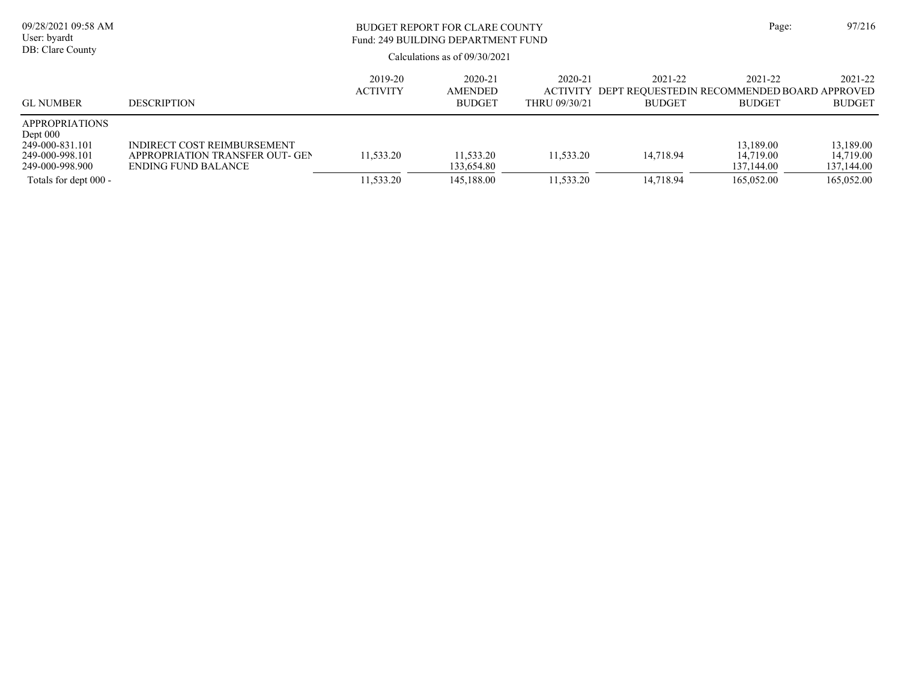| 09/28/2021 09:58 AM<br>User: byardt<br>DB: Clare County                                                               |                                                                                       | BUDGET REPORT FOR CLARE COUNTY<br>Fund: 249 BUILDING DEPARTMENT FUND<br>Calculations as of $09/30/2021$ |                                            |                                      |                          |                                                                         | 97/216                                             |
|-----------------------------------------------------------------------------------------------------------------------|---------------------------------------------------------------------------------------|---------------------------------------------------------------------------------------------------------|--------------------------------------------|--------------------------------------|--------------------------|-------------------------------------------------------------------------|----------------------------------------------------|
| <b>GL NUMBER</b>                                                                                                      | <b>DESCRIPTION</b>                                                                    | 2019-20<br><b>ACTIVITY</b>                                                                              | 2020-21<br><b>AMENDED</b><br><b>BUDGET</b> | 2020-21<br>ACTIVITY<br>THRU 09/30/21 | 2021-22<br><b>BUDGET</b> | 2021-22<br>DEPT REOUESTEDIN RECOMMENDED BOARD APPROVED<br><b>BUDGET</b> | 2021-22<br><b>BUDGET</b>                           |
| <b>APPROPRIATIONS</b><br>Dept $000$<br>249-000-831.101<br>249-000-998.101<br>249-000-998.900<br>Totals for dept 000 - | INDIRECT COST REIMBURSEMENT<br>APPROPRIATION TRANSFER OUT- GEN<br>ENDING FUND BALANCE | 11.533.20<br>11,533.20                                                                                  | 11,533.20<br>133,654.80<br>145,188.00      | 11.533.20<br>11,533.20               | 14.718.94<br>14,718.94   | 13,189.00<br>14,719.00<br>137,144.00<br>165,052.00                      | 13,189.00<br>14.719.00<br>137,144.00<br>165,052.00 |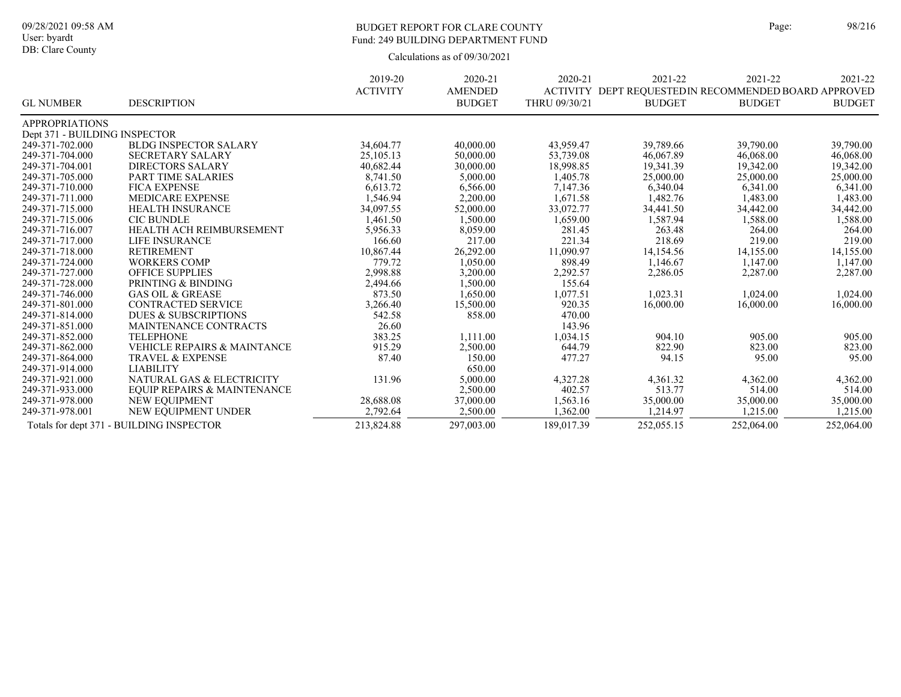## BUDGET REPORT FOR CLARE COUNTY Page: 98/216 Fund: 249 BUILDING DEPARTMENT FUND

|                               |                                          | 2019-20         | 2020-21        | 2020-21       | 2021-22                                               | 2021-22       | 2021-22       |
|-------------------------------|------------------------------------------|-----------------|----------------|---------------|-------------------------------------------------------|---------------|---------------|
|                               |                                          | <b>ACTIVITY</b> | <b>AMENDED</b> |               | ACTIVITY DEPT REQUESTED IN RECOMMENDED BOARD APPROVED |               |               |
| <b>GL NUMBER</b>              | <b>DESCRIPTION</b>                       |                 | <b>BUDGET</b>  | THRU 09/30/21 | <b>BUDGET</b>                                         | <b>BUDGET</b> | <b>BUDGET</b> |
| <b>APPROPRIATIONS</b>         |                                          |                 |                |               |                                                       |               |               |
| Dept 371 - BUILDING INSPECTOR |                                          |                 |                |               |                                                       |               |               |
| 249-371-702.000               | <b>BLDG INSPECTOR SALARY</b>             | 34,604.77       | 40,000.00      | 43,959.47     | 39,789.66                                             | 39,790.00     | 39,790.00     |
| 249-371-704.000               | <b>SECRETARY SALARY</b>                  | 25,105.13       | 50,000.00      | 53,739.08     | 46,067.89                                             | 46,068.00     | 46,068.00     |
| 249-371-704.001               | <b>DIRECTORS SALARY</b>                  | 40,682.44       | 30,000.00      | 18,998.85     | 19,341.39                                             | 19,342.00     | 19,342.00     |
| 249-371-705.000               | <b>PART TIME SALARIES</b>                | 8,741.50        | 5,000.00       | 1.405.78      | 25,000.00                                             | 25,000.00     | 25,000.00     |
| 249-371-710.000               | <b>FICA EXPENSE</b>                      | 6,613.72        | 6,566.00       | 7.147.36      | 6.340.04                                              | 6.341.00      | 6.341.00      |
| 249-371-711.000               | <b>MEDICARE EXPENSE</b>                  | 1,546.94        | 2,200.00       | 1,671.58      | 1,482.76                                              | 1,483.00      | 1,483.00      |
| 249-371-715.000               | <b>HEALTH INSURANCE</b>                  | 34,097.55       | 52,000.00      | 33,072.77     | 34,441.50                                             | 34,442.00     | 34,442.00     |
| 249-371-715.006               | <b>CIC BUNDLE</b>                        | 1.461.50        | 1.500.00       | 1.659.00      | 1.587.94                                              | 1.588.00      | 1,588.00      |
| 249-371-716.007               | HEALTH ACH REIMBURSEMENT                 | 5,956.33        | 8,059.00       | 281.45        | 263.48                                                | 264.00        | 264.00        |
| 249-371-717.000               | LIFE INSURANCE                           | 166.60          | 217.00         | 221.34        | 218.69                                                | 219.00        | 219.00        |
| 249-371-718.000               | <b>RETIREMENT</b>                        | 10,867.44       | 26,292.00      | 11,090.97     | 14,154.56                                             | 14,155.00     | 14,155.00     |
| 249-371-724.000               | <b>WORKERS COMP</b>                      | 779.72          | 1,050.00       | 898.49        | 1,146.67                                              | 1,147.00      | 1,147.00      |
| 249-371-727.000               | <b>OFFICE SUPPLIES</b>                   | 2,998.88        | 3,200.00       | 2,292.57      | 2,286.05                                              | 2,287.00      | 2,287.00      |
| 249-371-728.000               | PRINTING & BINDING                       | 2,494.66        | 1,500.00       | 155.64        |                                                       |               |               |
| 249-371-746.000               | <b>GAS OIL &amp; GREASE</b>              | 873.50          | 1.650.00       | 1.077.51      | 1,023.31                                              | 1.024.00      | 1,024.00      |
| 249-371-801.000               | <b>CONTRACTED SERVICE</b>                | 3,266.40        | 15,500.00      | 920.35        | 16,000.00                                             | 16,000.00     | 16,000.00     |
| 249-371-814.000               | DUES & SUBSCRIPTIONS                     | 542.58          | 858.00         | 470.00        |                                                       |               |               |
| 249-371-851.000               | <b>MAINTENANCE CONTRACTS</b>             | 26.60           |                | 143.96        |                                                       |               |               |
| 249-371-852.000               | <b>TELEPHONE</b>                         | 383.25          | 1.111.00       | 1,034.15      | 904.10                                                | 905.00        | 905.00        |
| 249-371-862.000               | <b>VEHICLE REPAIRS &amp; MAINTANCE</b>   | 915.29          | 2,500.00       | 644.79        | 822.90                                                | 823.00        | 823.00        |
| 249-371-864.000               | <b>TRAVEL &amp; EXPENSE</b>              | 87.40           | 150.00         | 477.27        | 94.15                                                 | 95.00         | 95.00         |
| 249-371-914.000               | <b>LIABILITY</b>                         |                 | 650.00         |               |                                                       |               |               |
| 249-371-921.000               | NATURAL GAS & ELECTRICITY                | 131.96          | 5,000.00       | 4,327.28      | 4,361.32                                              | 4,362.00      | 4,362.00      |
| 249-371-933.000               | <b>EQUIP REPAIRS &amp; MAINTENANCE</b>   |                 | 2,500.00       | 402.57        | 513.77                                                | 514.00        | 514.00        |
| 249-371-978.000               | NEW EQUIPMENT                            | 28,688.08       | 37,000.00      | 1,563.16      | 35,000.00                                             | 35,000.00     | 35,000.00     |
| 249-371-978.001               | NEW EQUIPMENT UNDER                      | 2,792.64        | 2,500.00       | 1,362.00      | 1,214.97                                              | 1,215.00      | 1,215.00      |
|                               | Totals for dept 371 - BUILDING INSPECTOR | 213,824.88      | 297,003.00     | 189,017.39    | 252,055.15                                            | 252,064.00    | 252,064.00    |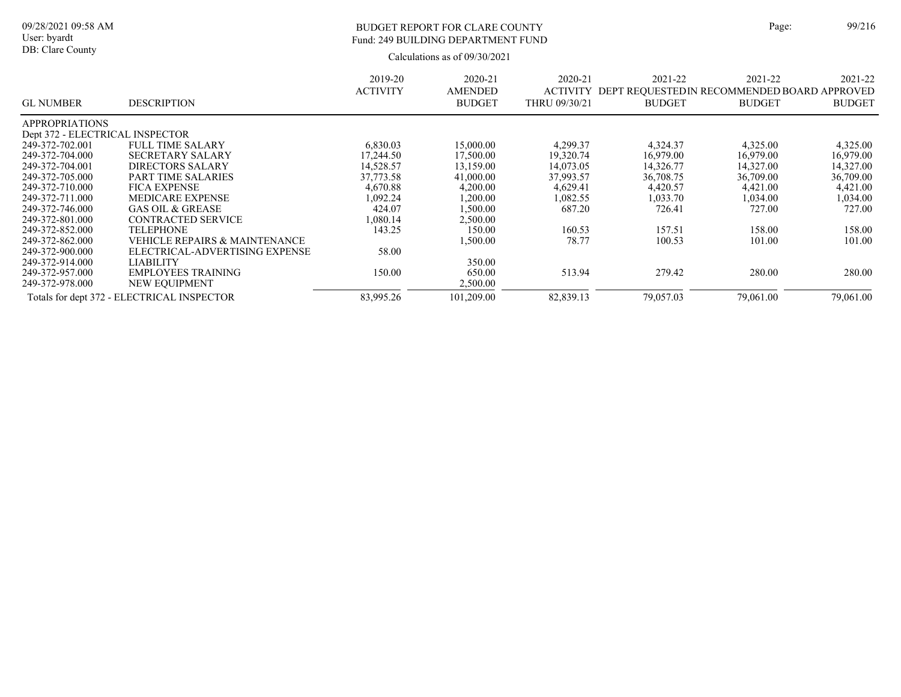# BUDGET REPORT FOR CLARE COUNTY Page: 99/216 Fund: 249 BUILDING DEPARTMENT FUND

| <b>GL NUMBER</b>                | <b>DESCRIPTION</b>                         | 2019-20<br><b>ACTIVITY</b> | 2020-21<br><b>AMENDED</b><br><b>BUDGET</b> | 2020-21<br><b>ACTIVITY</b><br>THRU 09/30/21 | 2021-22<br>DEPT REQUESTED IN RECOMMENDED BOARD APPROVED<br><b>BUDGET</b> | 2021-22<br><b>BUDGET</b> | 2021-22<br><b>BUDGET</b> |
|---------------------------------|--------------------------------------------|----------------------------|--------------------------------------------|---------------------------------------------|--------------------------------------------------------------------------|--------------------------|--------------------------|
| <b>APPROPRIATIONS</b>           |                                            |                            |                                            |                                             |                                                                          |                          |                          |
| Dept 372 - ELECTRICAL INSPECTOR |                                            |                            |                                            |                                             |                                                                          |                          |                          |
| 249-372-702.001                 | <b>FULL TIME SALARY</b>                    | 6,830.03                   | 15,000.00                                  | 4,299.37                                    | 4,324.37                                                                 | 4,325.00                 | 4,325.00                 |
| 249-372-704.000                 | <b>SECRETARY SALARY</b>                    | 17,244.50                  | 17,500.00                                  | 19,320.74                                   | 16,979.00                                                                | 16,979.00                | 16,979.00                |
| 249-372-704.001                 | <b>DIRECTORS SALARY</b>                    | 14,528.57                  | 13,159.00                                  | 14,073.05                                   | 14,326.77                                                                | 14,327.00                | 14,327.00                |
| 249-372-705.000                 | <b>PART TIME SALARIES</b>                  | 37,773.58                  | 41,000.00                                  | 37,993.57                                   | 36,708.75                                                                | 36,709.00                | 36,709.00                |
| 249-372-710.000                 | <b>FICA EXPENSE</b>                        | 4,670.88                   | 4,200.00                                   | 4,629.41                                    | 4,420.57                                                                 | 4,421.00                 | 4,421.00                 |
| 249-372-711.000                 | <b>MEDICARE EXPENSE</b>                    | 1,092.24                   | 1,200.00                                   | 1,082.55                                    | 1,033.70                                                                 | 1,034.00                 | 1,034.00                 |
| 249-372-746.000                 | <b>GAS OIL &amp; GREASE</b>                | 424.07                     | ,500.00                                    | 687.20                                      | 726.41                                                                   | 727.00                   | 727.00                   |
| 249-372-801.000                 | <b>CONTRACTED SERVICE</b>                  | 1.080.14                   | 2,500.00                                   |                                             |                                                                          |                          |                          |
| 249-372-852.000                 | <b>TELEPHONE</b>                           | 143.25                     | 150.00                                     | 160.53                                      | 157.51                                                                   | 158.00                   | 158.00                   |
| 249-372-862.000                 | <b>VEHICLE REPAIRS &amp; MAINTENANCE</b>   |                            | 1,500.00                                   | 78.77                                       | 100.53                                                                   | 101.00                   | 101.00                   |
| 249-372-900.000                 | ELECTRICAL-ADVERTISING EXPENSE             | 58.00                      |                                            |                                             |                                                                          |                          |                          |
| 249-372-914.000                 | LIABILITY                                  |                            | 350.00                                     |                                             |                                                                          |                          |                          |
| 249-372-957.000                 | <b>EMPLOYEES TRAINING</b>                  | 150.00                     | 650.00                                     | 513.94                                      | 279.42                                                                   | 280.00                   | 280.00                   |
| 249-372-978.000                 | <b>NEW EQUIPMENT</b>                       |                            | 2,500.00                                   |                                             |                                                                          |                          |                          |
|                                 | Totals for dept 372 - ELECTRICAL INSPECTOR | 83,995.26                  | 101,209.00                                 | 82,839.13                                   | 79,057.03                                                                | 79,061.00                | 79,061.00                |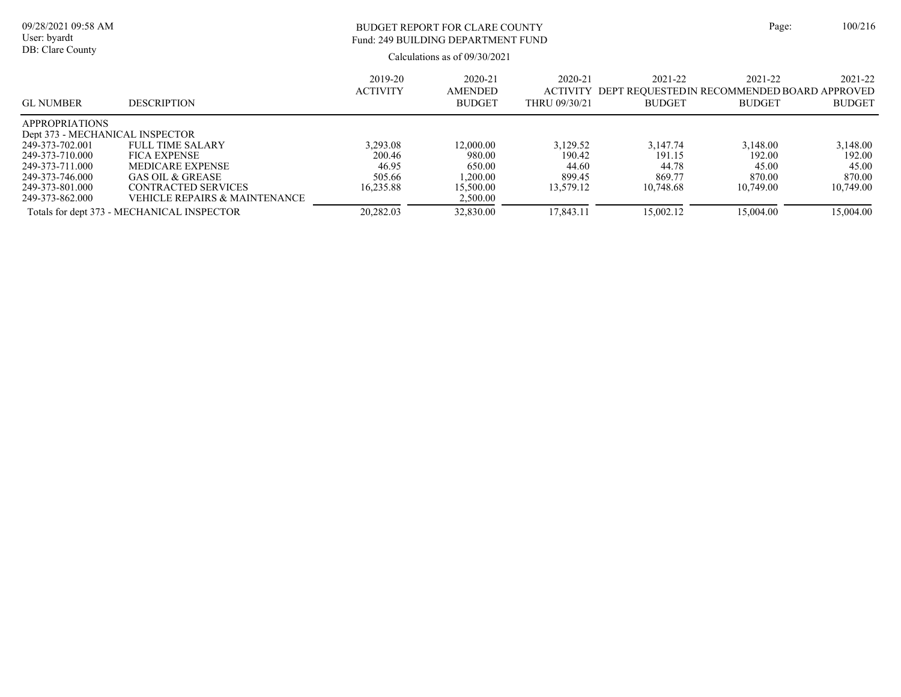#### Calculations as of 09/30/2021 09/28/2021 09:58 AM User: byardt DB: Clare County BUDGET REPORT FOR CLARE COUNTY Page: 100/216 2021-22 ACTIVITY DEPT REQUESTEDIN RECOMMENDED BOARD APPROVED BUDGET 2021-22 BUDGET 2021-22 BUDGET 2020-21 THRU 09/30/21 2020-21 AMENDED BUDGET 2019-20 ACTIVITY GL NUMBER DESCRIPTION Fund: 249 BUILDING DEPARTMENT FUND APPROPRIATIONS Dept 373 - MECHANICAL INSPECTOR<br>249-373-702.001 FULL TIME SA 249-373-702.001 FULL TIME SALARY 3,293.08 12,000.00 3,129.52 3,147.74 3,148.00 3,148.00<br>200.46 980.00 190.42 191.15 192.00 192.00 192.00 249-373-710.000 FICA EXPENSE 200.46 980.00 190.42 191.15 192.00 192.00 249-373-711.000 MEDICARE EXPENSE 46.95 650.00 44.60 44.78 45.00 45.00 45.00 45.00 45.00 46.95 469.77 46.000 6AS OIL & GREASE 46.95 505.66 1.200.00 45.00 45.00 45.00 45.00 45.00 45.00 45.00 45.00 45.00 45.00 45.00 45.00 45. 249-373-746.000 GAS OIL & GREASE 505.66 1,200.00 899.45 869.77 870.00 870.00 249-373-801.000 CONTRACTED SERVICES 16,235.88 15,500.00 13,579.12 10,748.68 10,749.00 10,749.00<br>249-373-862.000 VEHICLE REPAIRS & MAINTENANCE 2,500.00 2,500.00

Totals for dept 373 - MECHANICAL INSPECTOR 20,282.03 32,830.00 17,843.11 15,002.12 15,004.00 15,004.00

VEHICLE REPAIRS & MAINTENANCE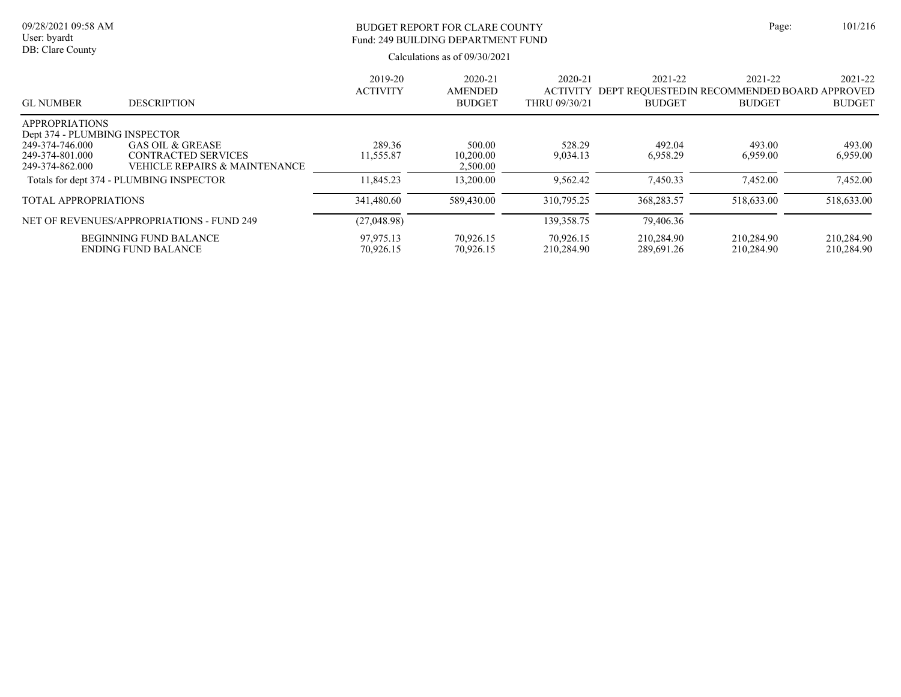# BUDGET REPORT FOR CLARE COUNTY Page: 101/216 Fund: 249 BUILDING DEPARTMENT FUND

| <b>GL NUMBER</b>                                       | <b>DESCRIPTION</b>                        | 2019-20<br><b>ACTIVITY</b> | 2020-21<br>AMENDED<br><b>BUDGET</b> | 2020-21<br><b>ACTIVITY</b><br>THRU 09/30/21 | 2021-22<br>DEPT REQUESTED IN RECOMMENDED BOARD APPROVED<br><b>BUDGET</b> | 2021-22<br><b>BUDGET</b> | 2021-22<br><b>BUDGET</b> |
|--------------------------------------------------------|-------------------------------------------|----------------------------|-------------------------------------|---------------------------------------------|--------------------------------------------------------------------------|--------------------------|--------------------------|
| <b>APPROPRIATIONS</b><br>Dept 374 - PLUMBING INSPECTOR |                                           |                            |                                     |                                             |                                                                          |                          |                          |
| 249-374-746.000                                        | <b>GAS OIL &amp; GREASE</b>               | 289.36                     | 500.00                              | 528.29                                      | 492.04                                                                   | 493.00                   | 493.00                   |
| 249-374-801.000                                        | <b>CONTRACTED SERVICES</b>                | 11.555.87                  | 10,200.00                           | 9.034.13                                    | 6,958.29                                                                 | 6,959.00                 | 6,959.00                 |
| 249-374-862.000                                        | VEHICLE REPAIRS & MAINTENANCE             |                            | 2,500.00                            |                                             |                                                                          |                          |                          |
|                                                        | Totals for dept 374 - PLUMBING INSPECTOR  | 11,845.23                  | 13,200.00                           | 9.562.42                                    | 7.450.33                                                                 | 7,452.00                 | 7.452.00                 |
| <b>TOTAL APPROPRIATIONS</b>                            |                                           | 341,480.60                 | 589,430.00                          | 310,795.25                                  | 368,283.57                                                               | 518,633.00               | 518,633.00               |
|                                                        | NET OF REVENUES/APPROPRIATIONS - FUND 249 | (27,048.98)                |                                     | 139, 358. 75                                | 79,406.36                                                                |                          |                          |
|                                                        | <b>BEGINNING FUND BALANCE</b>             | 97,975.13                  | 70.926.15                           | 70.926.15                                   | 210.284.90                                                               | 210,284.90               | 210,284.90               |
|                                                        | <b>ENDING FUND BALANCE</b>                | 70,926.15                  | 70.926.15                           | 210,284.90                                  | 289,691.26                                                               | 210.284.90               | 210,284.90               |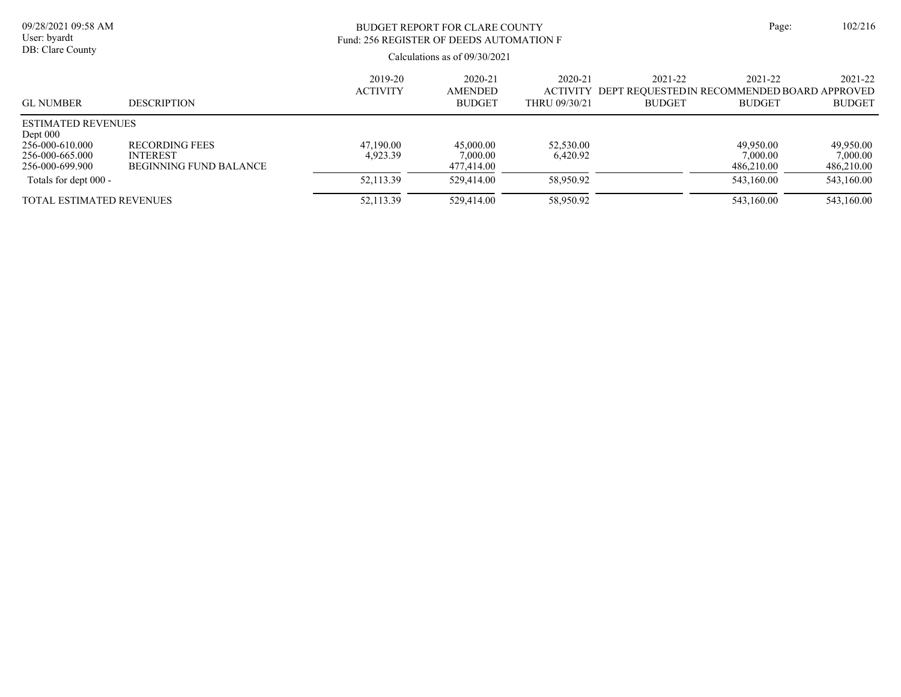| 09/28/2021 09:58 AM<br>User: byardt<br>DB: Clare County                                          |                                                                           | BUDGET REPORT FOR CLARE COUNTY<br>Fund: 256 REGISTER OF DEEDS AUTOMATION F<br>Calculations as of $09/30/2021$ |                                            |                                             |                                                                         | Page:                               |                                     |  |
|--------------------------------------------------------------------------------------------------|---------------------------------------------------------------------------|---------------------------------------------------------------------------------------------------------------|--------------------------------------------|---------------------------------------------|-------------------------------------------------------------------------|-------------------------------------|-------------------------------------|--|
| <b>GL NUMBER</b>                                                                                 | <b>DESCRIPTION</b>                                                        | 2019-20<br><b>ACTIVITY</b>                                                                                    | 2020-21<br><b>AMENDED</b><br><b>BUDGET</b> | 2020-21<br><b>ACTIVITY</b><br>THRU 09/30/21 | 2021-22<br>DEPT REOUESTEDIN RECOMMENDED BOARD APPROVED<br><b>BUDGET</b> | 2021-22<br><b>BUDGET</b>            | 2021-22<br><b>BUDGET</b>            |  |
| <b>ESTIMATED REVENUES</b><br>Dept $000$<br>256-000-610.000<br>256-000-665.000<br>256-000-699.900 | <b>RECORDING FEES</b><br><b>INTEREST</b><br><b>BEGINNING FUND BALANCE</b> | 47.190.00<br>4,923.39                                                                                         | 45,000.00<br>7,000.00<br>477,414.00        | 52,530.00<br>6,420.92                       |                                                                         | 49.950.00<br>7.000.00<br>486,210.00 | 49,950.00<br>7.000.00<br>486,210.00 |  |
| Totals for dept 000 -                                                                            |                                                                           | 52,113.39                                                                                                     | 529,414.00                                 | 58,950.92                                   |                                                                         | 543,160.00                          | 543,160.00                          |  |
| <b>TOTAL ESTIMATED REVENUES</b>                                                                  |                                                                           | 52,113.39                                                                                                     | 529,414.00                                 | 58,950.92                                   |                                                                         | 543.160.00                          | 543,160.00                          |  |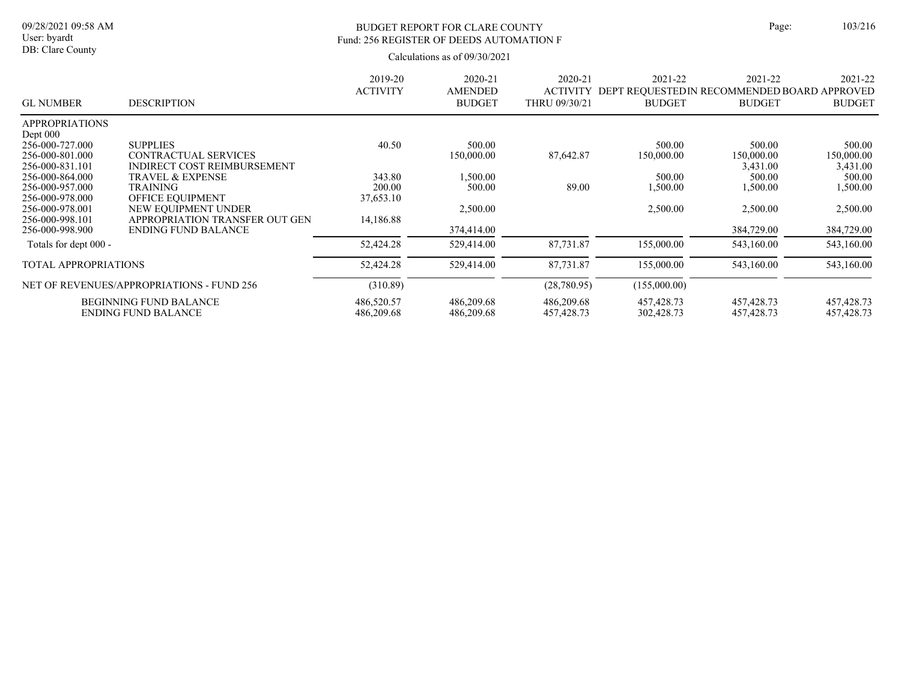## BUDGET REPORT FOR CLARE COUNTY Page: 103/216 Fund: 256 REGISTER OF DEEDS AUTOMATION F

|                       |                                           | 2019-20         | 2020-21        | 2020-21         | 2021-22                                     | 2021-22       | 2021-22       |
|-----------------------|-------------------------------------------|-----------------|----------------|-----------------|---------------------------------------------|---------------|---------------|
|                       |                                           | <b>ACTIVITY</b> | <b>AMENDED</b> | <b>ACTIVITY</b> | DEPT REQUESTEDIN RECOMMENDED BOARD APPROVED |               |               |
| <b>GL NUMBER</b>      | <b>DESCRIPTION</b>                        |                 | <b>BUDGET</b>  | THRU 09/30/21   | <b>BUDGET</b>                               | <b>BUDGET</b> | <b>BUDGET</b> |
| <b>APPROPRIATIONS</b> |                                           |                 |                |                 |                                             |               |               |
| Dept $000$            |                                           |                 |                |                 |                                             |               |               |
| 256-000-727.000       | <b>SUPPLIES</b>                           | 40.50           | 500.00         |                 | 500.00                                      | 500.00        | 500.00        |
| 256-000-801.000       | <b>CONTRACTUAL SERVICES</b>               |                 | 150,000.00     | 87,642.87       | 150,000.00                                  | 150,000.00    | 150,000.00    |
| 256-000-831.101       | INDIRECT COST REIMBURSEMENT               |                 |                |                 |                                             | 3,431.00      | 3,431.00      |
| 256-000-864.000       | <b>TRAVEL &amp; EXPENSE</b>               | 343.80          | 1,500.00       |                 | 500.00                                      | 500.00        | 500.00        |
| 256-000-957.000       | <b>TRAINING</b>                           | 200.00          | 500.00         | 89.00           | 1,500.00                                    | 1,500.00      | 1,500.00      |
| 256-000-978.000       | OFFICE EQUIPMENT                          | 37,653.10       |                |                 |                                             |               |               |
| 256-000-978.001       | NEW EQUIPMENT UNDER                       |                 | 2,500.00       |                 | 2,500.00                                    | 2,500.00      | 2,500.00      |
| 256-000-998.101       | APPROPRIATION TRANSFER OUT GEN            | 14,186.88       |                |                 |                                             |               |               |
| 256-000-998.900       | <b>ENDING FUND BALANCE</b>                |                 | 374,414.00     |                 |                                             | 384,729.00    | 384,729.00    |
| Totals for dept 000 - |                                           | 52,424.28       | 529,414.00     | 87,731.87       | 155,000.00                                  | 543,160.00    | 543,160.00    |
| TOTAL APPROPRIATIONS  |                                           | 52,424.28       | 529,414.00     | 87,731.87       | 155,000.00                                  | 543,160.00    | 543,160.00    |
|                       | NET OF REVENUES/APPROPRIATIONS - FUND 256 | (310.89)        |                | (28,780.95)     | (155,000.00)                                |               |               |
|                       | <b>BEGINNING FUND BALANCE</b>             | 486,520.57      | 486,209.68     | 486,209.68      | 457, 428. 73                                | 457, 428. 73  | 457,428.73    |
|                       | <b>ENDING FUND BALANCE</b>                | 486,209.68      | 486,209.68     | 457, 428. 73    | 302,428.73                                  | 457,428.73    | 457,428.73    |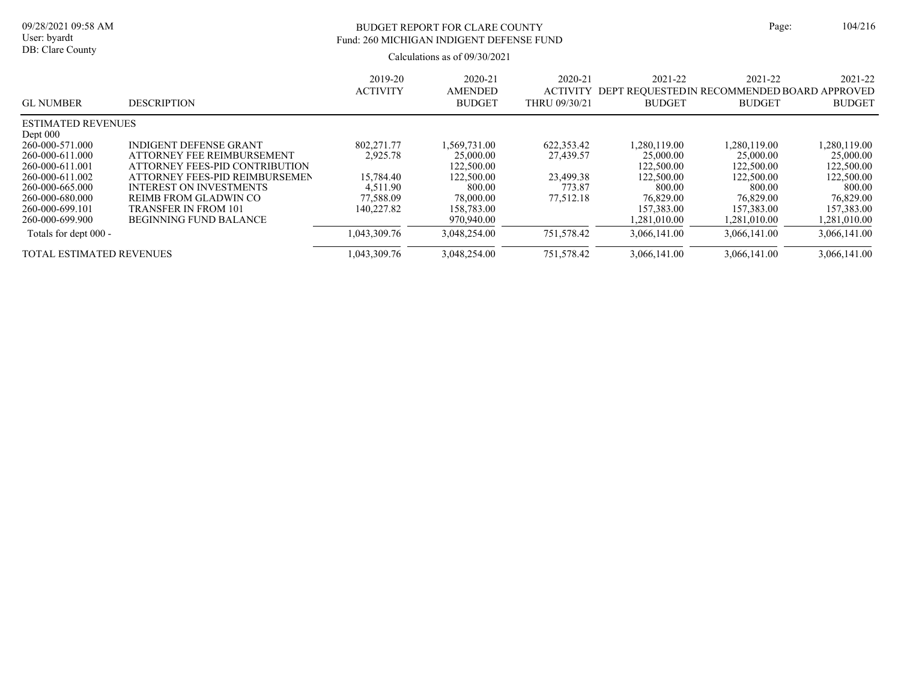# BUDGET REPORT FOR CLARE COUNTY Page: 104/216 Fund: 260 MICHIGAN INDIGENT DEFENSE FUND

| <b>GL NUMBER</b>                                      | <b>DESCRIPTION</b>                                                                                 | 2019-20<br><b>ACTIVITY</b> | $2020 - 21$<br><b>AMENDED</b><br><b>BUDGET</b> | 2020-21<br><b>ACTIVITY</b><br>THRU 09/30/21 | 2021-22<br>DEPT<br><b>BUDGET</b>        | 2021-22<br>' REOUESTEDIN RECOMMENDED BOARD APPROVED<br><b>BUDGET</b> | 2021-22<br><b>BUDGET</b>                |
|-------------------------------------------------------|----------------------------------------------------------------------------------------------------|----------------------------|------------------------------------------------|---------------------------------------------|-----------------------------------------|----------------------------------------------------------------------|-----------------------------------------|
| <b>ESTIMATED REVENUES</b>                             |                                                                                                    |                            |                                                |                                             |                                         |                                                                      |                                         |
| Dept $000$<br>260-000-571.000<br>260-000-611.000      | <b>INDIGENT DEFENSE GRANT</b><br>ATTORNEY FEE REIMBURSEMENT                                        | 802,271.77<br>2,925.78     | 1,569,731.00<br>25,000.00                      | 622,353.42<br>27,439.57                     | 1.280.119.00<br>25,000.00               | 1,280,119.00<br>25,000.00                                            | 1,280,119.00<br>25,000.00               |
| 260-000-611.001<br>260-000-611.002<br>260-000-665.000 | ATTORNEY FEES-PID CONTRIBUTION<br>ATTORNEY FEES-PID REIMBURSEMEN<br><b>INTEREST ON INVESTMENTS</b> | 15,784.40<br>4,511.90      | 122,500.00<br>122,500.00<br>800.00             | 23,499.38<br>773.87                         | 122,500.00<br>122,500.00<br>800.00      | 122,500.00<br>122,500.00<br>800.00                                   | 122,500.00<br>122,500.00<br>800.00      |
| 260-000-680.000<br>260-000-699.101<br>260-000-699.900 | REIMB FROM GLADWIN CO<br><b>TRANSFER IN FROM 101</b><br><b>BEGINNING FUND BALANCE</b>              | 77,588.09<br>140.227.82    | 78,000.00<br>158,783.00<br>970,940.00          | 77.512.18                                   | 76,829.00<br>157,383.00<br>1.281.010.00 | 76,829.00<br>157,383.00<br>1.281.010.00                              | 76,829.00<br>157,383.00<br>1,281,010.00 |
| Totals for dept 000 -                                 |                                                                                                    | 1,043,309.76               | 3.048.254.00                                   | 751,578.42                                  | 3.066.141.00                            | 3.066.141.00                                                         | 3,066,141.00                            |
| <b>TOTAL ESTIMATED REVENUES</b>                       |                                                                                                    | 1,043,309.76               | 3.048.254.00                                   | 751,578.42                                  | 3.066.141.00                            | 3.066.141.00                                                         | 3,066,141.00                            |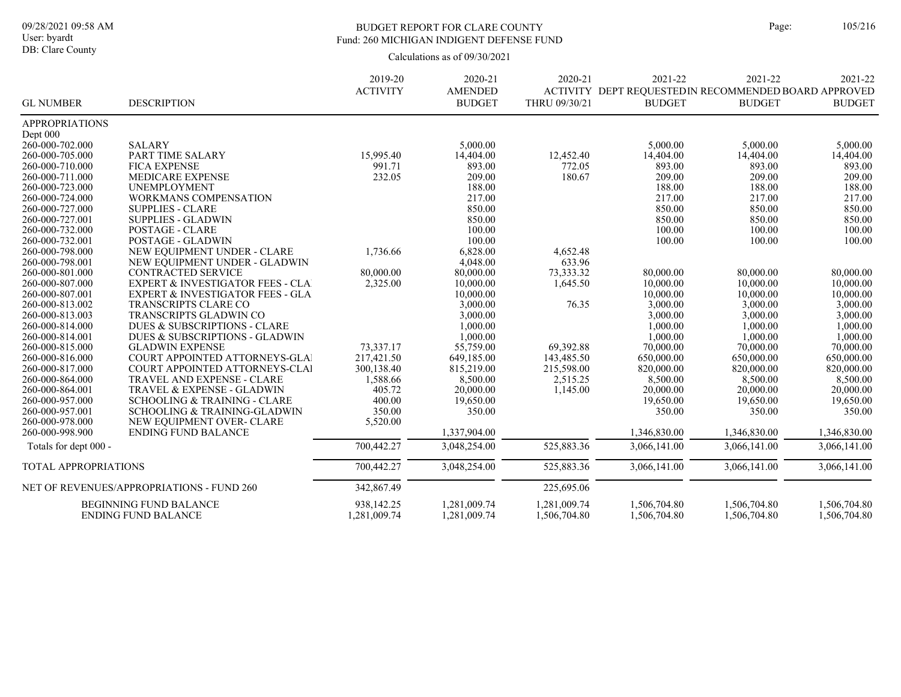DB: Clare County

## BUDGET REPORT FOR CLARE COUNTY Page: 105/216 Fund: 260 MICHIGAN INDIGENT DEFENSE FUND

|                             |                                                             | 2019-20                    | 2020-21                      | 2020-21                      | 2021-22                                               | 2021-22                      | 2021-22                      |
|-----------------------------|-------------------------------------------------------------|----------------------------|------------------------------|------------------------------|-------------------------------------------------------|------------------------------|------------------------------|
|                             |                                                             | <b>ACTIVITY</b>            | <b>AMENDED</b>               |                              | ACTIVITY DEPT REQUESTED IN RECOMMENDED BOARD APPROVED |                              |                              |
| <b>GL NUMBER</b>            | <b>DESCRIPTION</b>                                          |                            | <b>BUDGET</b>                | THRU 09/30/21                | <b>BUDGET</b>                                         | <b>BUDGET</b>                | <b>BUDGET</b>                |
| <b>APPROPRIATIONS</b>       |                                                             |                            |                              |                              |                                                       |                              |                              |
| Dept 000                    |                                                             |                            |                              |                              |                                                       |                              |                              |
| 260-000-702.000             | <b>SALARY</b>                                               |                            | 5,000.00                     |                              | 5,000.00                                              | 5,000.00                     | 5,000.00                     |
| 260-000-705.000             | PART TIME SALARY                                            | 15,995.40                  | 14,404.00                    | 12,452.40                    | 14,404.00                                             | 14,404.00                    | 14,404.00                    |
| 260-000-710.000             | <b>FICA EXPENSE</b>                                         | 991.71                     | 893.00                       | 772.05                       | 893.00                                                | 893.00                       | 893.00                       |
| 260-000-711.000             | <b>MEDICARE EXPENSE</b>                                     | 232.05                     | 209.00                       | 180.67                       | 209.00                                                | 209.00                       | 209.00                       |
| 260-000-723.000             | UNEMPLOYMENT                                                |                            | 188.00                       |                              | 188.00                                                | 188.00                       | 188.00                       |
| 260-000-724.000             | <b>WORKMANS COMPENSATION</b>                                |                            | 217.00                       |                              | 217.00                                                | 217.00                       | 217.00                       |
| 260-000-727.000             | <b>SUPPLIES - CLARE</b>                                     |                            | 850.00                       |                              | 850.00                                                | 850.00                       | 850.00                       |
| 260-000-727.001             | <b>SUPPLIES - GLADWIN</b>                                   |                            | 850.00                       |                              | 850.00                                                | 850.00                       | 850.00                       |
| 260-000-732.000             | POSTAGE - CLARE                                             |                            | 100.00                       |                              | 100.00                                                | 100.00                       | 100.00                       |
| 260-000-732.001             | POSTAGE - GLADWIN                                           |                            | 100.00                       |                              | 100.00                                                | 100.00                       | 100.00                       |
| 260-000-798.000             | NEW EQUIPMENT UNDER - CLARE                                 | 1,736.66                   | 6,828.00                     | 4,652.48                     |                                                       |                              |                              |
| 260-000-798.001             | NEW EOUIPMENT UNDER - GLADWIN                               |                            | 4,048.00                     | 633.96                       |                                                       |                              |                              |
| 260-000-801.000             | <b>CONTRACTED SERVICE</b>                                   | 80,000.00                  | 80,000.00                    | 73,333.32                    | 80,000.00                                             | 80,000.00                    | 80,000.00                    |
| 260-000-807.000             | <b>EXPERT &amp; INVESTIGATOR FEES - CLA</b>                 | 2,325.00                   | 10,000.00                    | 1,645.50                     | 10,000.00                                             | 10,000.00                    | 10,000.00                    |
| 260-000-807.001             | <b>EXPERT &amp; INVESTIGATOR FEES - GLA</b>                 |                            | 10,000.00                    |                              | 10,000.00                                             | 10,000.00                    | 10,000.00                    |
| 260-000-813.002             | <b>TRANSCRIPTS CLARE CO</b>                                 |                            | 3,000.00                     | 76.35                        | 3,000.00                                              | 3,000.00                     | 3,000.00                     |
| 260-000-813.003             | TRANSCRIPTS GLADWIN CO                                      |                            | 3,000.00                     |                              | 3,000.00                                              | 3,000.00                     | 3,000.00                     |
| 260-000-814.000             | <b>DUES &amp; SUBSCRIPTIONS - CLARE</b>                     |                            | 1,000.00                     |                              | 1,000.00                                              | 1,000.00                     | 1,000.00                     |
| 260-000-814.001             | DUES & SUBSCRIPTIONS - GLADWIN                              |                            | 1,000.00                     |                              | 1,000.00                                              | 1,000.00                     | 1,000.00                     |
| 260-000-815.000             | <b>GLADWIN EXPENSE</b>                                      | 73,337.17                  | 55,759.00                    | 69,392.88                    | 70,000.00                                             | 70,000.00                    | 70,000.00                    |
| 260-000-816.000             | COURT APPOINTED ATTORNEYS-GLAT                              | 217,421.50                 | 649,185.00                   | 143,485.50                   | 650,000.00                                            | 650,000.00                   | 650,000.00                   |
| 260-000-817.000             | COURT APPOINTED ATTORNEYS-CLAI                              | 300,138.40                 | 815.219.00                   | 215,598.00                   | 820,000.00                                            | 820,000.00                   | 820,000.00                   |
| 260-000-864.000             | <b>TRAVEL AND EXPENSE - CLARE</b>                           | 1,588.66                   | 8,500.00                     | 2,515.25                     | 8,500.00                                              | 8,500.00                     | 8,500.00                     |
| 260-000-864.001             | <b>TRAVEL &amp; EXPENSE - GLADWIN</b>                       | 405.72                     | 20,000.00                    | 1,145.00                     | 20,000.00                                             | 20,000.00                    | 20,000.00                    |
| 260-000-957.000             | <b>SCHOOLING &amp; TRAINING - CLARE</b>                     | 400.00                     | 19,650.00                    |                              | 19,650.00                                             | 19,650.00                    | 19,650.00                    |
| 260-000-957.001             | <b>SCHOOLING &amp; TRAINING-GLADWIN</b>                     | 350.00                     | 350.00                       |                              | 350.00                                                | 350.00                       | 350.00                       |
| 260-000-978.000             | NEW EQUIPMENT OVER- CLARE                                   | 5,520.00                   |                              |                              |                                                       |                              |                              |
| 260-000-998.900             | <b>ENDING FUND BALANCE</b>                                  |                            | 1,337,904.00                 |                              | 1,346,830.00                                          | 1,346,830.00                 | 1,346,830.00                 |
| Totals for dept 000 -       |                                                             | 700,442.27                 | 3,048,254.00                 | 525,883.36                   | 3,066,141.00                                          | 3,066,141.00                 | 3,066,141.00                 |
| <b>TOTAL APPROPRIATIONS</b> |                                                             | 700,442.27                 | 3,048,254.00                 | 525,883.36                   | 3,066,141.00                                          | 3,066,141.00                 | 3,066,141.00                 |
|                             | NET OF REVENUES/APPROPRIATIONS - FUND 260                   | 342,867.49                 |                              | 225,695.06                   |                                                       |                              |                              |
|                             | <b>BEGINNING FUND BALANCE</b><br><b>ENDING FUND BALANCE</b> | 938,142.25<br>1.281.009.74 | 1,281,009.74<br>1.281.009.74 | 1,281,009.74<br>1,506,704.80 | 1,506,704.80<br>1.506.704.80                          | 1,506,704.80<br>1,506,704.80 | 1,506,704.80<br>1,506,704.80 |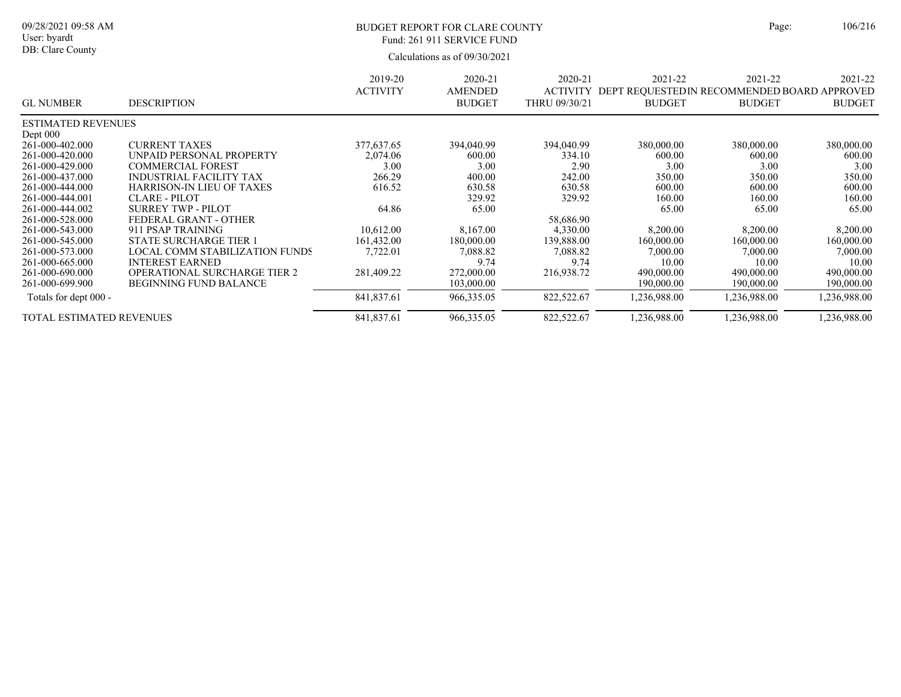### BUDGET REPORT FOR CLARE COUNTY Page: 106/216 Fund: 261 911 SERVICE FUND

|                           |                                     | 2019-20         | 2020-21        | 2020-21         | 2021-22                                     | 2021-22       | 2021-22       |
|---------------------------|-------------------------------------|-----------------|----------------|-----------------|---------------------------------------------|---------------|---------------|
|                           |                                     | <b>ACTIVITY</b> | <b>AMENDED</b> | <b>ACTIVITY</b> | DEPT REQUESTEDIN RECOMMENDED BOARD APPROVED |               |               |
| <b>GL NUMBER</b>          | <b>DESCRIPTION</b>                  |                 | <b>BUDGET</b>  | THRU 09/30/21   | <b>BUDGET</b>                               | <b>BUDGET</b> | <b>BUDGET</b> |
| <b>ESTIMATED REVENUES</b> |                                     |                 |                |                 |                                             |               |               |
| Dept $000$                |                                     |                 |                |                 |                                             |               |               |
| 261-000-402.000           | <b>CURRENT TAXES</b>                | 377,637.65      | 394,040.99     | 394,040.99      | 380,000.00                                  | 380,000.00    | 380,000.00    |
| 261-000-420.000           | UNPAID PERSONAL PROPERTY            | 2,074.06        | 600.00         | 334.10          | 600.00                                      | 600.00        | 600.00        |
| 261-000-429.000           | <b>COMMERCIAL FOREST</b>            | 3.00            | 3.00           | 2.90            | 3.00                                        | 3.00          | 3.00          |
| 261-000-437.000           | <b>INDUSTRIAL FACILITY TAX</b>      | 266.29          | 400.00         | 242.00          | 350.00                                      | 350.00        | 350.00        |
| 261-000-444.000           | HARRISON-IN LIEU OF TAXES           | 616.52          | 630.58         | 630.58          | 600.00                                      | 600.00        | 600.00        |
| 261-000-444.001           | <b>CLARE - PILOT</b>                |                 | 329.92         | 329.92          | 160.00                                      | 160.00        | 160.00        |
| 261-000-444.002           | SURREY TWP - PILOT                  | 64.86           | 65.00          |                 | 65.00                                       | 65.00         | 65.00         |
| 261-000-528.000           | FEDERAL GRANT - OTHER               |                 |                | 58,686.90       |                                             |               |               |
| 261-000-543.000           | 911 PSAP TRAINING                   | 10,612.00       | 8.167.00       | 4,330.00        | 8,200.00                                    | 8,200.00      | 8,200.00      |
| 261-000-545.000           | <b>STATE SURCHARGE TIER 1</b>       | 161,432.00      | 180,000.00     | 139,888.00      | 160,000.00                                  | 160,000.00    | 160,000.00    |
| 261-000-573.000           | LOCAL COMM STABILIZATION FUNDS      | 7,722.01        | 7,088.82       | 7,088.82        | 7,000.00                                    | 7,000.00      | 7,000.00      |
| 261-000-665.000           | <b>INTEREST EARNED</b>              |                 | 9.74           | 9.74            | 10.00                                       | 10.00         | 10.00         |
| 261-000-690.000           | <b>OPERATIONAL SURCHARGE TIER 2</b> | 281,409.22      | 272,000.00     | 216,938.72      | 490,000.00                                  | 490,000.00    | 490,000.00    |
| 261-000-699.900           | <b>BEGINNING FUND BALANCE</b>       |                 | 103,000.00     |                 | 190,000.00                                  | 190,000.00    | 190,000.00    |
| Totals for dept 000 -     |                                     | 841,837.61      | 966,335.05     | 822,522.67      | .236,988.00                                 | 1,236,988.00  | .236,988.00   |
| TOTAL ESTIMATED REVENUES  |                                     | 841,837.61      | 966,335.05     | 822,522.67      | .236,988.00                                 | 1,236,988.00  | .236,988.00   |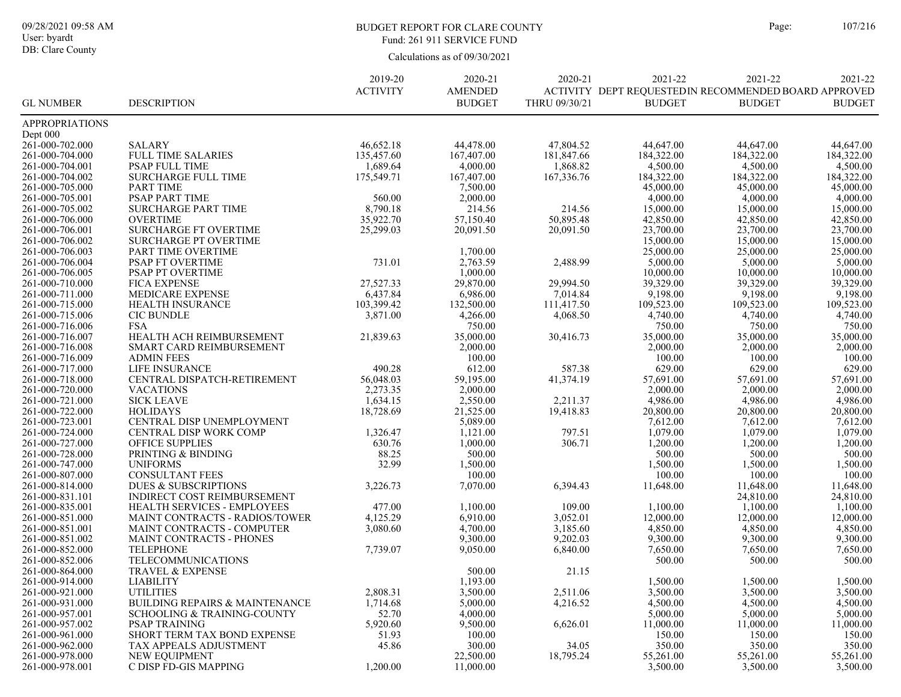#### BUDGET REPORT FOR CLARE COUNTY Page: 107/216 Fund: 261 911 SERVICE FUND

| <b>ACTIVITY</b><br><b>AMENDED</b><br>ACTIVITY DEPT REQUESTEDIN RECOMMENDED BOARD APPROVED<br><b>GL NUMBER</b><br><b>DESCRIPTION</b><br><b>BUDGET</b><br>THRU 09/30/21<br><b>BUDGET</b><br><b>BUDGET</b><br><b>BUDGET</b><br><b>APPROPRIATIONS</b><br>Dept $000$<br>261-000-702.000<br><b>SALARY</b><br>46,652.18<br>44,478.00<br>47,804.52<br>44,647.00<br>44,647.00<br>44,647.00<br>FULL TIME SALARIES<br>167,407.00<br>181,847.66<br>184,322.00<br>184,322.00<br>184,322.00<br>261-000-704.000<br>135,457.60<br>1,689.64<br>4,000.00<br>1,868.82<br>4,500.00<br>4,500.00<br>4,500.00<br>261-000-704.001<br>PSAP FULL TIME<br>261-000-704.002<br><b>SURCHARGE FULL TIME</b><br>175,549.71<br>167,407.00<br>167, 336. 76<br>184,322.00<br>184,322.00<br>184,322.00<br>261-000-705.000<br><b>PART TIME</b><br>7,500.00<br>45,000.00<br>45,000.00<br>45,000.00<br>PSAP PART TIME<br>2,000.00<br>4,000.00<br>4,000.00<br>4,000.00<br>261-000-705.001<br>560.00<br>8,790.18<br>214.56<br>214.56<br>15,000.00<br>15,000.00<br>261-000-705.002<br><b>SURCHARGE PART TIME</b><br>15,000.00<br><b>OVERTIME</b><br>57,150.40<br>50,895.48<br>42,850.00<br>42,850.00<br>42,850.00<br>261-000-706.000<br>35,922.70<br>23,700.00<br><b>SURCHARGE FT OVERTIME</b><br>25,299.03<br>20,091.50<br>20,091.50<br>23,700.00<br>23,700.00<br>261-000-706.001<br>15,000.00<br>15,000.00<br>15,000.00<br>261-000-706.002<br><b>SURCHARGE PT OVERTIME</b><br>25,000.00<br>25,000.00<br>261-000-706.003<br>PART TIME OVERTIME<br>1,700.00<br>25,000.00<br>731.01<br>2,763.59<br>2,488.99<br>5,000.00<br>5,000.00<br>5,000.00<br>261-000-706.004<br>PSAP FT OVERTIME<br>1,000.00<br>10,000.00<br>261-000-706.005<br>PSAP PT OVERTIME<br>10,000.00<br>10,000.00<br>39,329.00<br>29,870.00<br>39,329.00<br>39,329.00<br>261-000-710.000<br><b>FICA EXPENSE</b><br>27,527.33<br>29,994.50<br>MEDICARE EXPENSE<br>6,437.84<br>6,986.00<br>7,014.84<br>9,198.00<br>9,198.00<br>9,198.00<br>261-000-711.000<br>103,399.42<br>132,500.00<br>111,417.50<br>109,523.00<br>109,523.00<br>109,523.00<br>261-000-715.000<br>HEALTH INSURANCE<br><b>CIC BUNDLE</b><br>261-000-715.006<br>3,871.00<br>4,266.00<br>4,068.50<br>4,740.00<br>4,740.00<br>4,740.00<br>750.00<br>261-000-716.006<br><b>FSA</b><br>750.00<br>750.00<br>750.00<br>HEALTH ACH REIMBURSEMENT<br>35,000.00<br>35,000.00<br>35,000.00<br>261-000-716.007<br>21,839.63<br>35,000.00<br>30,416.73<br>2,000.00<br>2,000.00<br>261-000-716.008<br>2,000.00<br>2,000.00<br>SMART CARD REIMBURSEMENT<br>100.00<br>261-000-716.009<br><b>ADMIN FEES</b><br>100.00<br>100.00<br>100.00<br>261-000-717.000<br><b>LIFE INSURANCE</b><br>490.28<br>612.00<br>587.38<br>629.00<br>629.00<br>629.00<br>CENTRAL DISPATCH-RETIREMENT<br>59,195.00<br>57,691.00<br>57,691.00<br>261-000-718.000<br>56,048.03<br>41,374.19<br>57,691.00<br><b>VACATIONS</b><br>2,273.35<br>2,000.00<br>2,000.00<br>2,000.00<br>261-000-720.000<br>2,000.00<br><b>SICK LEAVE</b><br>1,634.15<br>2,550.00<br>4,986.00<br>4,986.00<br>261-000-721.000<br>2,211.37<br>4,986.00<br><b>HOLIDAYS</b><br>21,525.00<br>261-000-722.000<br>18,728.69<br>19,418.83<br>20,800.00<br>20,800.00<br>20,800.00<br>5,089.00<br>7,612.00<br>7,612.00<br>261-000-723.001<br>CENTRAL DISP UNEMPLOYMENT<br>7,612.00<br>1,121.00<br>1,079.00<br>1,079.00<br>1,079.00<br>261-000-724.000<br>CENTRAL DISP WORK COMP<br>1,326.47<br>797.51<br>630.76<br>261-000-727.000<br><b>OFFICE SUPPLIES</b><br>1,000.00<br>306.71<br>1,200.00<br>1,200.00<br>1,200.00<br>500.00<br>261-000-728.000<br>PRINTING & BINDING<br>88.25<br>500.00<br>500.00<br>500.00<br><b>UNIFORMS</b><br>32.99<br>261-000-747.000<br>1,500.00<br>1,500.00<br>1,500.00<br>1,500.00<br><b>CONSULTANT FEES</b><br>100.00<br>100.00<br>100.00<br>100.00<br>261-000-807.000<br>7,070.00<br>11,648.00<br>11,648.00<br>261-000-814.000<br><b>DUES &amp; SUBSCRIPTIONS</b><br>11,648.00<br>3,226.73<br>6,394.43<br>INDIRECT COST REIMBURSEMENT<br>24,810.00<br>24,810.00<br>261-000-831.101<br>261-000-835.001<br>HEALTH SERVICES - EMPLOYEES<br>477.00<br>1,100.00<br>109.00<br>1,100.00<br>1,100.00<br>1,100.00<br>4,125.29<br>6,910.00<br>261-000-851.000<br>MAINT CONTRACTS - RADIOS/TOWER<br>3,052.01<br>12,000.00<br>12,000.00<br>12,000.00<br>4,700.00<br>3,185.60<br>4,850.00<br>4,850.00<br>4,850.00<br>261-000-851.001<br>MAINT CONTRACTS - COMPUTER<br>3,080.60<br>261-000-851.002<br>MAINT CONTRACTS - PHONES<br>9,300.00<br>9,202.03<br>9,300.00<br>9,300.00<br>9,300.00<br>261-000-852.000<br><b>TELEPHONE</b><br>7,739.07<br>9,050.00<br>6,840.00<br>7,650.00<br>7,650.00<br>7,650.00<br>261-000-852.006<br>TELECOMMUNICATIONS<br>500.00<br>500.00<br>500.00<br>261-000-864.000<br>TRAVEL & EXPENSE<br>500.00<br>21.15<br>1,193.00<br>261-000-914.000<br><b>LIABILITY</b><br>1,500.00<br>1,500.00<br>1,500.00<br><b>UTILITIES</b><br>2,808.31<br>3,500.00<br>2,511.06<br>3,500.00<br>3,500.00<br>3,500.00<br>261-000-921.000<br>261-000-931.000<br>1,714.68<br>5,000.00<br>4,216.52<br>4,500.00<br>4,500.00<br>4,500.00<br><b>BUILDING REPAIRS &amp; MAINTENANCE</b><br>4,000.00<br>261-000-957.001<br>52.70<br>5,000.00<br>SCHOOLING & TRAINING-COUNTY<br>5,000.00<br>5,000.00<br>5,920.60<br>9,500.00<br>6,626.01<br>11,000.00<br>261-000-957.002<br><b>PSAP TRAINING</b><br>11,000.00<br>11,000.00<br>261-000-961.000<br>SHORT TERM TAX BOND EXPENSE<br>51.93<br>100.00<br>150.00<br>150.00<br>150.00<br>261-000-962.000<br>45.86<br>300.00<br>34.05<br>350.00<br>350.00<br>350.00<br>TAX APPEALS ADJUSTMENT<br>261-000-978.000<br><b>NEW EOUIPMENT</b><br>22,500.00<br>55,261.00<br>18,795.24<br>55,261.00<br>55,261.00<br>1,200.00<br>C DISP FD-GIS MAPPING<br>11,000.00<br>3,500.00<br>3,500.00<br>3,500.00<br>261-000-978.001 |  | 2019-20 | 2020-21 | 2020-21 | 2021-22 | 2021-22 | 2021-22 |
|------------------------------------------------------------------------------------------------------------------------------------------------------------------------------------------------------------------------------------------------------------------------------------------------------------------------------------------------------------------------------------------------------------------------------------------------------------------------------------------------------------------------------------------------------------------------------------------------------------------------------------------------------------------------------------------------------------------------------------------------------------------------------------------------------------------------------------------------------------------------------------------------------------------------------------------------------------------------------------------------------------------------------------------------------------------------------------------------------------------------------------------------------------------------------------------------------------------------------------------------------------------------------------------------------------------------------------------------------------------------------------------------------------------------------------------------------------------------------------------------------------------------------------------------------------------------------------------------------------------------------------------------------------------------------------------------------------------------------------------------------------------------------------------------------------------------------------------------------------------------------------------------------------------------------------------------------------------------------------------------------------------------------------------------------------------------------------------------------------------------------------------------------------------------------------------------------------------------------------------------------------------------------------------------------------------------------------------------------------------------------------------------------------------------------------------------------------------------------------------------------------------------------------------------------------------------------------------------------------------------------------------------------------------------------------------------------------------------------------------------------------------------------------------------------------------------------------------------------------------------------------------------------------------------------------------------------------------------------------------------------------------------------------------------------------------------------------------------------------------------------------------------------------------------------------------------------------------------------------------------------------------------------------------------------------------------------------------------------------------------------------------------------------------------------------------------------------------------------------------------------------------------------------------------------------------------------------------------------------------------------------------------------------------------------------------------------------------------------------------------------------------------------------------------------------------------------------------------------------------------------------------------------------------------------------------------------------------------------------------------------------------------------------------------------------------------------------------------------------------------------------------------------------------------------------------------------------------------------------------------------------------------------------------------------------------------------------------------------------------------------------------------------------------------------------------------------------------------------------------------------------------------------------------------------------------------------------------------------------------------------------------------------------------------------------------------------------------------------------------------------------------------------------------------------------------------------------------------------------------------------------------------------------------------------------------------------------------------------------------------------------------------------------------------------------------------------------------------------------------------------------------------------------------------------------------------------------------------------------------------------------------------------------------------------------------------------------------------------------------------------------------------------------------------------------------------------------------------------------------------------------------------------------------------------------------------------------------------------------------------------------------------------------------------------------------------------------------------------------------------------------------------------------|--|---------|---------|---------|---------|---------|---------|
|                                                                                                                                                                                                                                                                                                                                                                                                                                                                                                                                                                                                                                                                                                                                                                                                                                                                                                                                                                                                                                                                                                                                                                                                                                                                                                                                                                                                                                                                                                                                                                                                                                                                                                                                                                                                                                                                                                                                                                                                                                                                                                                                                                                                                                                                                                                                                                                                                                                                                                                                                                                                                                                                                                                                                                                                                                                                                                                                                                                                                                                                                                                                                                                                                                                                                                                                                                                                                                                                                                                                                                                                                                                                                                                                                                                                                                                                                                                                                                                                                                                                                                                                                                                                                                                                                                                                                                                                                                                                                                                                                                                                                                                                                                                                                                                                                                                                                                                                                                                                                                                                                                                                                                                                                                                                                                                                                                                                                                                                                                                                                                                                                                                                                                                                                                                    |  |         |         |         |         |         |         |
|                                                                                                                                                                                                                                                                                                                                                                                                                                                                                                                                                                                                                                                                                                                                                                                                                                                                                                                                                                                                                                                                                                                                                                                                                                                                                                                                                                                                                                                                                                                                                                                                                                                                                                                                                                                                                                                                                                                                                                                                                                                                                                                                                                                                                                                                                                                                                                                                                                                                                                                                                                                                                                                                                                                                                                                                                                                                                                                                                                                                                                                                                                                                                                                                                                                                                                                                                                                                                                                                                                                                                                                                                                                                                                                                                                                                                                                                                                                                                                                                                                                                                                                                                                                                                                                                                                                                                                                                                                                                                                                                                                                                                                                                                                                                                                                                                                                                                                                                                                                                                                                                                                                                                                                                                                                                                                                                                                                                                                                                                                                                                                                                                                                                                                                                                                                    |  |         |         |         |         |         |         |
|                                                                                                                                                                                                                                                                                                                                                                                                                                                                                                                                                                                                                                                                                                                                                                                                                                                                                                                                                                                                                                                                                                                                                                                                                                                                                                                                                                                                                                                                                                                                                                                                                                                                                                                                                                                                                                                                                                                                                                                                                                                                                                                                                                                                                                                                                                                                                                                                                                                                                                                                                                                                                                                                                                                                                                                                                                                                                                                                                                                                                                                                                                                                                                                                                                                                                                                                                                                                                                                                                                                                                                                                                                                                                                                                                                                                                                                                                                                                                                                                                                                                                                                                                                                                                                                                                                                                                                                                                                                                                                                                                                                                                                                                                                                                                                                                                                                                                                                                                                                                                                                                                                                                                                                                                                                                                                                                                                                                                                                                                                                                                                                                                                                                                                                                                                                    |  |         |         |         |         |         |         |
|                                                                                                                                                                                                                                                                                                                                                                                                                                                                                                                                                                                                                                                                                                                                                                                                                                                                                                                                                                                                                                                                                                                                                                                                                                                                                                                                                                                                                                                                                                                                                                                                                                                                                                                                                                                                                                                                                                                                                                                                                                                                                                                                                                                                                                                                                                                                                                                                                                                                                                                                                                                                                                                                                                                                                                                                                                                                                                                                                                                                                                                                                                                                                                                                                                                                                                                                                                                                                                                                                                                                                                                                                                                                                                                                                                                                                                                                                                                                                                                                                                                                                                                                                                                                                                                                                                                                                                                                                                                                                                                                                                                                                                                                                                                                                                                                                                                                                                                                                                                                                                                                                                                                                                                                                                                                                                                                                                                                                                                                                                                                                                                                                                                                                                                                                                                    |  |         |         |         |         |         |         |
|                                                                                                                                                                                                                                                                                                                                                                                                                                                                                                                                                                                                                                                                                                                                                                                                                                                                                                                                                                                                                                                                                                                                                                                                                                                                                                                                                                                                                                                                                                                                                                                                                                                                                                                                                                                                                                                                                                                                                                                                                                                                                                                                                                                                                                                                                                                                                                                                                                                                                                                                                                                                                                                                                                                                                                                                                                                                                                                                                                                                                                                                                                                                                                                                                                                                                                                                                                                                                                                                                                                                                                                                                                                                                                                                                                                                                                                                                                                                                                                                                                                                                                                                                                                                                                                                                                                                                                                                                                                                                                                                                                                                                                                                                                                                                                                                                                                                                                                                                                                                                                                                                                                                                                                                                                                                                                                                                                                                                                                                                                                                                                                                                                                                                                                                                                                    |  |         |         |         |         |         |         |
|                                                                                                                                                                                                                                                                                                                                                                                                                                                                                                                                                                                                                                                                                                                                                                                                                                                                                                                                                                                                                                                                                                                                                                                                                                                                                                                                                                                                                                                                                                                                                                                                                                                                                                                                                                                                                                                                                                                                                                                                                                                                                                                                                                                                                                                                                                                                                                                                                                                                                                                                                                                                                                                                                                                                                                                                                                                                                                                                                                                                                                                                                                                                                                                                                                                                                                                                                                                                                                                                                                                                                                                                                                                                                                                                                                                                                                                                                                                                                                                                                                                                                                                                                                                                                                                                                                                                                                                                                                                                                                                                                                                                                                                                                                                                                                                                                                                                                                                                                                                                                                                                                                                                                                                                                                                                                                                                                                                                                                                                                                                                                                                                                                                                                                                                                                                    |  |         |         |         |         |         |         |
|                                                                                                                                                                                                                                                                                                                                                                                                                                                                                                                                                                                                                                                                                                                                                                                                                                                                                                                                                                                                                                                                                                                                                                                                                                                                                                                                                                                                                                                                                                                                                                                                                                                                                                                                                                                                                                                                                                                                                                                                                                                                                                                                                                                                                                                                                                                                                                                                                                                                                                                                                                                                                                                                                                                                                                                                                                                                                                                                                                                                                                                                                                                                                                                                                                                                                                                                                                                                                                                                                                                                                                                                                                                                                                                                                                                                                                                                                                                                                                                                                                                                                                                                                                                                                                                                                                                                                                                                                                                                                                                                                                                                                                                                                                                                                                                                                                                                                                                                                                                                                                                                                                                                                                                                                                                                                                                                                                                                                                                                                                                                                                                                                                                                                                                                                                                    |  |         |         |         |         |         |         |
|                                                                                                                                                                                                                                                                                                                                                                                                                                                                                                                                                                                                                                                                                                                                                                                                                                                                                                                                                                                                                                                                                                                                                                                                                                                                                                                                                                                                                                                                                                                                                                                                                                                                                                                                                                                                                                                                                                                                                                                                                                                                                                                                                                                                                                                                                                                                                                                                                                                                                                                                                                                                                                                                                                                                                                                                                                                                                                                                                                                                                                                                                                                                                                                                                                                                                                                                                                                                                                                                                                                                                                                                                                                                                                                                                                                                                                                                                                                                                                                                                                                                                                                                                                                                                                                                                                                                                                                                                                                                                                                                                                                                                                                                                                                                                                                                                                                                                                                                                                                                                                                                                                                                                                                                                                                                                                                                                                                                                                                                                                                                                                                                                                                                                                                                                                                    |  |         |         |         |         |         |         |
|                                                                                                                                                                                                                                                                                                                                                                                                                                                                                                                                                                                                                                                                                                                                                                                                                                                                                                                                                                                                                                                                                                                                                                                                                                                                                                                                                                                                                                                                                                                                                                                                                                                                                                                                                                                                                                                                                                                                                                                                                                                                                                                                                                                                                                                                                                                                                                                                                                                                                                                                                                                                                                                                                                                                                                                                                                                                                                                                                                                                                                                                                                                                                                                                                                                                                                                                                                                                                                                                                                                                                                                                                                                                                                                                                                                                                                                                                                                                                                                                                                                                                                                                                                                                                                                                                                                                                                                                                                                                                                                                                                                                                                                                                                                                                                                                                                                                                                                                                                                                                                                                                                                                                                                                                                                                                                                                                                                                                                                                                                                                                                                                                                                                                                                                                                                    |  |         |         |         |         |         |         |
|                                                                                                                                                                                                                                                                                                                                                                                                                                                                                                                                                                                                                                                                                                                                                                                                                                                                                                                                                                                                                                                                                                                                                                                                                                                                                                                                                                                                                                                                                                                                                                                                                                                                                                                                                                                                                                                                                                                                                                                                                                                                                                                                                                                                                                                                                                                                                                                                                                                                                                                                                                                                                                                                                                                                                                                                                                                                                                                                                                                                                                                                                                                                                                                                                                                                                                                                                                                                                                                                                                                                                                                                                                                                                                                                                                                                                                                                                                                                                                                                                                                                                                                                                                                                                                                                                                                                                                                                                                                                                                                                                                                                                                                                                                                                                                                                                                                                                                                                                                                                                                                                                                                                                                                                                                                                                                                                                                                                                                                                                                                                                                                                                                                                                                                                                                                    |  |         |         |         |         |         |         |
|                                                                                                                                                                                                                                                                                                                                                                                                                                                                                                                                                                                                                                                                                                                                                                                                                                                                                                                                                                                                                                                                                                                                                                                                                                                                                                                                                                                                                                                                                                                                                                                                                                                                                                                                                                                                                                                                                                                                                                                                                                                                                                                                                                                                                                                                                                                                                                                                                                                                                                                                                                                                                                                                                                                                                                                                                                                                                                                                                                                                                                                                                                                                                                                                                                                                                                                                                                                                                                                                                                                                                                                                                                                                                                                                                                                                                                                                                                                                                                                                                                                                                                                                                                                                                                                                                                                                                                                                                                                                                                                                                                                                                                                                                                                                                                                                                                                                                                                                                                                                                                                                                                                                                                                                                                                                                                                                                                                                                                                                                                                                                                                                                                                                                                                                                                                    |  |         |         |         |         |         |         |
|                                                                                                                                                                                                                                                                                                                                                                                                                                                                                                                                                                                                                                                                                                                                                                                                                                                                                                                                                                                                                                                                                                                                                                                                                                                                                                                                                                                                                                                                                                                                                                                                                                                                                                                                                                                                                                                                                                                                                                                                                                                                                                                                                                                                                                                                                                                                                                                                                                                                                                                                                                                                                                                                                                                                                                                                                                                                                                                                                                                                                                                                                                                                                                                                                                                                                                                                                                                                                                                                                                                                                                                                                                                                                                                                                                                                                                                                                                                                                                                                                                                                                                                                                                                                                                                                                                                                                                                                                                                                                                                                                                                                                                                                                                                                                                                                                                                                                                                                                                                                                                                                                                                                                                                                                                                                                                                                                                                                                                                                                                                                                                                                                                                                                                                                                                                    |  |         |         |         |         |         |         |
|                                                                                                                                                                                                                                                                                                                                                                                                                                                                                                                                                                                                                                                                                                                                                                                                                                                                                                                                                                                                                                                                                                                                                                                                                                                                                                                                                                                                                                                                                                                                                                                                                                                                                                                                                                                                                                                                                                                                                                                                                                                                                                                                                                                                                                                                                                                                                                                                                                                                                                                                                                                                                                                                                                                                                                                                                                                                                                                                                                                                                                                                                                                                                                                                                                                                                                                                                                                                                                                                                                                                                                                                                                                                                                                                                                                                                                                                                                                                                                                                                                                                                                                                                                                                                                                                                                                                                                                                                                                                                                                                                                                                                                                                                                                                                                                                                                                                                                                                                                                                                                                                                                                                                                                                                                                                                                                                                                                                                                                                                                                                                                                                                                                                                                                                                                                    |  |         |         |         |         |         |         |
|                                                                                                                                                                                                                                                                                                                                                                                                                                                                                                                                                                                                                                                                                                                                                                                                                                                                                                                                                                                                                                                                                                                                                                                                                                                                                                                                                                                                                                                                                                                                                                                                                                                                                                                                                                                                                                                                                                                                                                                                                                                                                                                                                                                                                                                                                                                                                                                                                                                                                                                                                                                                                                                                                                                                                                                                                                                                                                                                                                                                                                                                                                                                                                                                                                                                                                                                                                                                                                                                                                                                                                                                                                                                                                                                                                                                                                                                                                                                                                                                                                                                                                                                                                                                                                                                                                                                                                                                                                                                                                                                                                                                                                                                                                                                                                                                                                                                                                                                                                                                                                                                                                                                                                                                                                                                                                                                                                                                                                                                                                                                                                                                                                                                                                                                                                                    |  |         |         |         |         |         |         |
|                                                                                                                                                                                                                                                                                                                                                                                                                                                                                                                                                                                                                                                                                                                                                                                                                                                                                                                                                                                                                                                                                                                                                                                                                                                                                                                                                                                                                                                                                                                                                                                                                                                                                                                                                                                                                                                                                                                                                                                                                                                                                                                                                                                                                                                                                                                                                                                                                                                                                                                                                                                                                                                                                                                                                                                                                                                                                                                                                                                                                                                                                                                                                                                                                                                                                                                                                                                                                                                                                                                                                                                                                                                                                                                                                                                                                                                                                                                                                                                                                                                                                                                                                                                                                                                                                                                                                                                                                                                                                                                                                                                                                                                                                                                                                                                                                                                                                                                                                                                                                                                                                                                                                                                                                                                                                                                                                                                                                                                                                                                                                                                                                                                                                                                                                                                    |  |         |         |         |         |         |         |
|                                                                                                                                                                                                                                                                                                                                                                                                                                                                                                                                                                                                                                                                                                                                                                                                                                                                                                                                                                                                                                                                                                                                                                                                                                                                                                                                                                                                                                                                                                                                                                                                                                                                                                                                                                                                                                                                                                                                                                                                                                                                                                                                                                                                                                                                                                                                                                                                                                                                                                                                                                                                                                                                                                                                                                                                                                                                                                                                                                                                                                                                                                                                                                                                                                                                                                                                                                                                                                                                                                                                                                                                                                                                                                                                                                                                                                                                                                                                                                                                                                                                                                                                                                                                                                                                                                                                                                                                                                                                                                                                                                                                                                                                                                                                                                                                                                                                                                                                                                                                                                                                                                                                                                                                                                                                                                                                                                                                                                                                                                                                                                                                                                                                                                                                                                                    |  |         |         |         |         |         |         |
|                                                                                                                                                                                                                                                                                                                                                                                                                                                                                                                                                                                                                                                                                                                                                                                                                                                                                                                                                                                                                                                                                                                                                                                                                                                                                                                                                                                                                                                                                                                                                                                                                                                                                                                                                                                                                                                                                                                                                                                                                                                                                                                                                                                                                                                                                                                                                                                                                                                                                                                                                                                                                                                                                                                                                                                                                                                                                                                                                                                                                                                                                                                                                                                                                                                                                                                                                                                                                                                                                                                                                                                                                                                                                                                                                                                                                                                                                                                                                                                                                                                                                                                                                                                                                                                                                                                                                                                                                                                                                                                                                                                                                                                                                                                                                                                                                                                                                                                                                                                                                                                                                                                                                                                                                                                                                                                                                                                                                                                                                                                                                                                                                                                                                                                                                                                    |  |         |         |         |         |         |         |
|                                                                                                                                                                                                                                                                                                                                                                                                                                                                                                                                                                                                                                                                                                                                                                                                                                                                                                                                                                                                                                                                                                                                                                                                                                                                                                                                                                                                                                                                                                                                                                                                                                                                                                                                                                                                                                                                                                                                                                                                                                                                                                                                                                                                                                                                                                                                                                                                                                                                                                                                                                                                                                                                                                                                                                                                                                                                                                                                                                                                                                                                                                                                                                                                                                                                                                                                                                                                                                                                                                                                                                                                                                                                                                                                                                                                                                                                                                                                                                                                                                                                                                                                                                                                                                                                                                                                                                                                                                                                                                                                                                                                                                                                                                                                                                                                                                                                                                                                                                                                                                                                                                                                                                                                                                                                                                                                                                                                                                                                                                                                                                                                                                                                                                                                                                                    |  |         |         |         |         |         |         |
|                                                                                                                                                                                                                                                                                                                                                                                                                                                                                                                                                                                                                                                                                                                                                                                                                                                                                                                                                                                                                                                                                                                                                                                                                                                                                                                                                                                                                                                                                                                                                                                                                                                                                                                                                                                                                                                                                                                                                                                                                                                                                                                                                                                                                                                                                                                                                                                                                                                                                                                                                                                                                                                                                                                                                                                                                                                                                                                                                                                                                                                                                                                                                                                                                                                                                                                                                                                                                                                                                                                                                                                                                                                                                                                                                                                                                                                                                                                                                                                                                                                                                                                                                                                                                                                                                                                                                                                                                                                                                                                                                                                                                                                                                                                                                                                                                                                                                                                                                                                                                                                                                                                                                                                                                                                                                                                                                                                                                                                                                                                                                                                                                                                                                                                                                                                    |  |         |         |         |         |         |         |
|                                                                                                                                                                                                                                                                                                                                                                                                                                                                                                                                                                                                                                                                                                                                                                                                                                                                                                                                                                                                                                                                                                                                                                                                                                                                                                                                                                                                                                                                                                                                                                                                                                                                                                                                                                                                                                                                                                                                                                                                                                                                                                                                                                                                                                                                                                                                                                                                                                                                                                                                                                                                                                                                                                                                                                                                                                                                                                                                                                                                                                                                                                                                                                                                                                                                                                                                                                                                                                                                                                                                                                                                                                                                                                                                                                                                                                                                                                                                                                                                                                                                                                                                                                                                                                                                                                                                                                                                                                                                                                                                                                                                                                                                                                                                                                                                                                                                                                                                                                                                                                                                                                                                                                                                                                                                                                                                                                                                                                                                                                                                                                                                                                                                                                                                                                                    |  |         |         |         |         |         |         |
|                                                                                                                                                                                                                                                                                                                                                                                                                                                                                                                                                                                                                                                                                                                                                                                                                                                                                                                                                                                                                                                                                                                                                                                                                                                                                                                                                                                                                                                                                                                                                                                                                                                                                                                                                                                                                                                                                                                                                                                                                                                                                                                                                                                                                                                                                                                                                                                                                                                                                                                                                                                                                                                                                                                                                                                                                                                                                                                                                                                                                                                                                                                                                                                                                                                                                                                                                                                                                                                                                                                                                                                                                                                                                                                                                                                                                                                                                                                                                                                                                                                                                                                                                                                                                                                                                                                                                                                                                                                                                                                                                                                                                                                                                                                                                                                                                                                                                                                                                                                                                                                                                                                                                                                                                                                                                                                                                                                                                                                                                                                                                                                                                                                                                                                                                                                    |  |         |         |         |         |         |         |
|                                                                                                                                                                                                                                                                                                                                                                                                                                                                                                                                                                                                                                                                                                                                                                                                                                                                                                                                                                                                                                                                                                                                                                                                                                                                                                                                                                                                                                                                                                                                                                                                                                                                                                                                                                                                                                                                                                                                                                                                                                                                                                                                                                                                                                                                                                                                                                                                                                                                                                                                                                                                                                                                                                                                                                                                                                                                                                                                                                                                                                                                                                                                                                                                                                                                                                                                                                                                                                                                                                                                                                                                                                                                                                                                                                                                                                                                                                                                                                                                                                                                                                                                                                                                                                                                                                                                                                                                                                                                                                                                                                                                                                                                                                                                                                                                                                                                                                                                                                                                                                                                                                                                                                                                                                                                                                                                                                                                                                                                                                                                                                                                                                                                                                                                                                                    |  |         |         |         |         |         |         |
|                                                                                                                                                                                                                                                                                                                                                                                                                                                                                                                                                                                                                                                                                                                                                                                                                                                                                                                                                                                                                                                                                                                                                                                                                                                                                                                                                                                                                                                                                                                                                                                                                                                                                                                                                                                                                                                                                                                                                                                                                                                                                                                                                                                                                                                                                                                                                                                                                                                                                                                                                                                                                                                                                                                                                                                                                                                                                                                                                                                                                                                                                                                                                                                                                                                                                                                                                                                                                                                                                                                                                                                                                                                                                                                                                                                                                                                                                                                                                                                                                                                                                                                                                                                                                                                                                                                                                                                                                                                                                                                                                                                                                                                                                                                                                                                                                                                                                                                                                                                                                                                                                                                                                                                                                                                                                                                                                                                                                                                                                                                                                                                                                                                                                                                                                                                    |  |         |         |         |         |         |         |
|                                                                                                                                                                                                                                                                                                                                                                                                                                                                                                                                                                                                                                                                                                                                                                                                                                                                                                                                                                                                                                                                                                                                                                                                                                                                                                                                                                                                                                                                                                                                                                                                                                                                                                                                                                                                                                                                                                                                                                                                                                                                                                                                                                                                                                                                                                                                                                                                                                                                                                                                                                                                                                                                                                                                                                                                                                                                                                                                                                                                                                                                                                                                                                                                                                                                                                                                                                                                                                                                                                                                                                                                                                                                                                                                                                                                                                                                                                                                                                                                                                                                                                                                                                                                                                                                                                                                                                                                                                                                                                                                                                                                                                                                                                                                                                                                                                                                                                                                                                                                                                                                                                                                                                                                                                                                                                                                                                                                                                                                                                                                                                                                                                                                                                                                                                                    |  |         |         |         |         |         |         |
|                                                                                                                                                                                                                                                                                                                                                                                                                                                                                                                                                                                                                                                                                                                                                                                                                                                                                                                                                                                                                                                                                                                                                                                                                                                                                                                                                                                                                                                                                                                                                                                                                                                                                                                                                                                                                                                                                                                                                                                                                                                                                                                                                                                                                                                                                                                                                                                                                                                                                                                                                                                                                                                                                                                                                                                                                                                                                                                                                                                                                                                                                                                                                                                                                                                                                                                                                                                                                                                                                                                                                                                                                                                                                                                                                                                                                                                                                                                                                                                                                                                                                                                                                                                                                                                                                                                                                                                                                                                                                                                                                                                                                                                                                                                                                                                                                                                                                                                                                                                                                                                                                                                                                                                                                                                                                                                                                                                                                                                                                                                                                                                                                                                                                                                                                                                    |  |         |         |         |         |         |         |
|                                                                                                                                                                                                                                                                                                                                                                                                                                                                                                                                                                                                                                                                                                                                                                                                                                                                                                                                                                                                                                                                                                                                                                                                                                                                                                                                                                                                                                                                                                                                                                                                                                                                                                                                                                                                                                                                                                                                                                                                                                                                                                                                                                                                                                                                                                                                                                                                                                                                                                                                                                                                                                                                                                                                                                                                                                                                                                                                                                                                                                                                                                                                                                                                                                                                                                                                                                                                                                                                                                                                                                                                                                                                                                                                                                                                                                                                                                                                                                                                                                                                                                                                                                                                                                                                                                                                                                                                                                                                                                                                                                                                                                                                                                                                                                                                                                                                                                                                                                                                                                                                                                                                                                                                                                                                                                                                                                                                                                                                                                                                                                                                                                                                                                                                                                                    |  |         |         |         |         |         |         |
|                                                                                                                                                                                                                                                                                                                                                                                                                                                                                                                                                                                                                                                                                                                                                                                                                                                                                                                                                                                                                                                                                                                                                                                                                                                                                                                                                                                                                                                                                                                                                                                                                                                                                                                                                                                                                                                                                                                                                                                                                                                                                                                                                                                                                                                                                                                                                                                                                                                                                                                                                                                                                                                                                                                                                                                                                                                                                                                                                                                                                                                                                                                                                                                                                                                                                                                                                                                                                                                                                                                                                                                                                                                                                                                                                                                                                                                                                                                                                                                                                                                                                                                                                                                                                                                                                                                                                                                                                                                                                                                                                                                                                                                                                                                                                                                                                                                                                                                                                                                                                                                                                                                                                                                                                                                                                                                                                                                                                                                                                                                                                                                                                                                                                                                                                                                    |  |         |         |         |         |         |         |
|                                                                                                                                                                                                                                                                                                                                                                                                                                                                                                                                                                                                                                                                                                                                                                                                                                                                                                                                                                                                                                                                                                                                                                                                                                                                                                                                                                                                                                                                                                                                                                                                                                                                                                                                                                                                                                                                                                                                                                                                                                                                                                                                                                                                                                                                                                                                                                                                                                                                                                                                                                                                                                                                                                                                                                                                                                                                                                                                                                                                                                                                                                                                                                                                                                                                                                                                                                                                                                                                                                                                                                                                                                                                                                                                                                                                                                                                                                                                                                                                                                                                                                                                                                                                                                                                                                                                                                                                                                                                                                                                                                                                                                                                                                                                                                                                                                                                                                                                                                                                                                                                                                                                                                                                                                                                                                                                                                                                                                                                                                                                                                                                                                                                                                                                                                                    |  |         |         |         |         |         |         |
|                                                                                                                                                                                                                                                                                                                                                                                                                                                                                                                                                                                                                                                                                                                                                                                                                                                                                                                                                                                                                                                                                                                                                                                                                                                                                                                                                                                                                                                                                                                                                                                                                                                                                                                                                                                                                                                                                                                                                                                                                                                                                                                                                                                                                                                                                                                                                                                                                                                                                                                                                                                                                                                                                                                                                                                                                                                                                                                                                                                                                                                                                                                                                                                                                                                                                                                                                                                                                                                                                                                                                                                                                                                                                                                                                                                                                                                                                                                                                                                                                                                                                                                                                                                                                                                                                                                                                                                                                                                                                                                                                                                                                                                                                                                                                                                                                                                                                                                                                                                                                                                                                                                                                                                                                                                                                                                                                                                                                                                                                                                                                                                                                                                                                                                                                                                    |  |         |         |         |         |         |         |
|                                                                                                                                                                                                                                                                                                                                                                                                                                                                                                                                                                                                                                                                                                                                                                                                                                                                                                                                                                                                                                                                                                                                                                                                                                                                                                                                                                                                                                                                                                                                                                                                                                                                                                                                                                                                                                                                                                                                                                                                                                                                                                                                                                                                                                                                                                                                                                                                                                                                                                                                                                                                                                                                                                                                                                                                                                                                                                                                                                                                                                                                                                                                                                                                                                                                                                                                                                                                                                                                                                                                                                                                                                                                                                                                                                                                                                                                                                                                                                                                                                                                                                                                                                                                                                                                                                                                                                                                                                                                                                                                                                                                                                                                                                                                                                                                                                                                                                                                                                                                                                                                                                                                                                                                                                                                                                                                                                                                                                                                                                                                                                                                                                                                                                                                                                                    |  |         |         |         |         |         |         |
|                                                                                                                                                                                                                                                                                                                                                                                                                                                                                                                                                                                                                                                                                                                                                                                                                                                                                                                                                                                                                                                                                                                                                                                                                                                                                                                                                                                                                                                                                                                                                                                                                                                                                                                                                                                                                                                                                                                                                                                                                                                                                                                                                                                                                                                                                                                                                                                                                                                                                                                                                                                                                                                                                                                                                                                                                                                                                                                                                                                                                                                                                                                                                                                                                                                                                                                                                                                                                                                                                                                                                                                                                                                                                                                                                                                                                                                                                                                                                                                                                                                                                                                                                                                                                                                                                                                                                                                                                                                                                                                                                                                                                                                                                                                                                                                                                                                                                                                                                                                                                                                                                                                                                                                                                                                                                                                                                                                                                                                                                                                                                                                                                                                                                                                                                                                    |  |         |         |         |         |         |         |
|                                                                                                                                                                                                                                                                                                                                                                                                                                                                                                                                                                                                                                                                                                                                                                                                                                                                                                                                                                                                                                                                                                                                                                                                                                                                                                                                                                                                                                                                                                                                                                                                                                                                                                                                                                                                                                                                                                                                                                                                                                                                                                                                                                                                                                                                                                                                                                                                                                                                                                                                                                                                                                                                                                                                                                                                                                                                                                                                                                                                                                                                                                                                                                                                                                                                                                                                                                                                                                                                                                                                                                                                                                                                                                                                                                                                                                                                                                                                                                                                                                                                                                                                                                                                                                                                                                                                                                                                                                                                                                                                                                                                                                                                                                                                                                                                                                                                                                                                                                                                                                                                                                                                                                                                                                                                                                                                                                                                                                                                                                                                                                                                                                                                                                                                                                                    |  |         |         |         |         |         |         |
|                                                                                                                                                                                                                                                                                                                                                                                                                                                                                                                                                                                                                                                                                                                                                                                                                                                                                                                                                                                                                                                                                                                                                                                                                                                                                                                                                                                                                                                                                                                                                                                                                                                                                                                                                                                                                                                                                                                                                                                                                                                                                                                                                                                                                                                                                                                                                                                                                                                                                                                                                                                                                                                                                                                                                                                                                                                                                                                                                                                                                                                                                                                                                                                                                                                                                                                                                                                                                                                                                                                                                                                                                                                                                                                                                                                                                                                                                                                                                                                                                                                                                                                                                                                                                                                                                                                                                                                                                                                                                                                                                                                                                                                                                                                                                                                                                                                                                                                                                                                                                                                                                                                                                                                                                                                                                                                                                                                                                                                                                                                                                                                                                                                                                                                                                                                    |  |         |         |         |         |         |         |
|                                                                                                                                                                                                                                                                                                                                                                                                                                                                                                                                                                                                                                                                                                                                                                                                                                                                                                                                                                                                                                                                                                                                                                                                                                                                                                                                                                                                                                                                                                                                                                                                                                                                                                                                                                                                                                                                                                                                                                                                                                                                                                                                                                                                                                                                                                                                                                                                                                                                                                                                                                                                                                                                                                                                                                                                                                                                                                                                                                                                                                                                                                                                                                                                                                                                                                                                                                                                                                                                                                                                                                                                                                                                                                                                                                                                                                                                                                                                                                                                                                                                                                                                                                                                                                                                                                                                                                                                                                                                                                                                                                                                                                                                                                                                                                                                                                                                                                                                                                                                                                                                                                                                                                                                                                                                                                                                                                                                                                                                                                                                                                                                                                                                                                                                                                                    |  |         |         |         |         |         |         |
|                                                                                                                                                                                                                                                                                                                                                                                                                                                                                                                                                                                                                                                                                                                                                                                                                                                                                                                                                                                                                                                                                                                                                                                                                                                                                                                                                                                                                                                                                                                                                                                                                                                                                                                                                                                                                                                                                                                                                                                                                                                                                                                                                                                                                                                                                                                                                                                                                                                                                                                                                                                                                                                                                                                                                                                                                                                                                                                                                                                                                                                                                                                                                                                                                                                                                                                                                                                                                                                                                                                                                                                                                                                                                                                                                                                                                                                                                                                                                                                                                                                                                                                                                                                                                                                                                                                                                                                                                                                                                                                                                                                                                                                                                                                                                                                                                                                                                                                                                                                                                                                                                                                                                                                                                                                                                                                                                                                                                                                                                                                                                                                                                                                                                                                                                                                    |  |         |         |         |         |         |         |
|                                                                                                                                                                                                                                                                                                                                                                                                                                                                                                                                                                                                                                                                                                                                                                                                                                                                                                                                                                                                                                                                                                                                                                                                                                                                                                                                                                                                                                                                                                                                                                                                                                                                                                                                                                                                                                                                                                                                                                                                                                                                                                                                                                                                                                                                                                                                                                                                                                                                                                                                                                                                                                                                                                                                                                                                                                                                                                                                                                                                                                                                                                                                                                                                                                                                                                                                                                                                                                                                                                                                                                                                                                                                                                                                                                                                                                                                                                                                                                                                                                                                                                                                                                                                                                                                                                                                                                                                                                                                                                                                                                                                                                                                                                                                                                                                                                                                                                                                                                                                                                                                                                                                                                                                                                                                                                                                                                                                                                                                                                                                                                                                                                                                                                                                                                                    |  |         |         |         |         |         |         |
|                                                                                                                                                                                                                                                                                                                                                                                                                                                                                                                                                                                                                                                                                                                                                                                                                                                                                                                                                                                                                                                                                                                                                                                                                                                                                                                                                                                                                                                                                                                                                                                                                                                                                                                                                                                                                                                                                                                                                                                                                                                                                                                                                                                                                                                                                                                                                                                                                                                                                                                                                                                                                                                                                                                                                                                                                                                                                                                                                                                                                                                                                                                                                                                                                                                                                                                                                                                                                                                                                                                                                                                                                                                                                                                                                                                                                                                                                                                                                                                                                                                                                                                                                                                                                                                                                                                                                                                                                                                                                                                                                                                                                                                                                                                                                                                                                                                                                                                                                                                                                                                                                                                                                                                                                                                                                                                                                                                                                                                                                                                                                                                                                                                                                                                                                                                    |  |         |         |         |         |         |         |
|                                                                                                                                                                                                                                                                                                                                                                                                                                                                                                                                                                                                                                                                                                                                                                                                                                                                                                                                                                                                                                                                                                                                                                                                                                                                                                                                                                                                                                                                                                                                                                                                                                                                                                                                                                                                                                                                                                                                                                                                                                                                                                                                                                                                                                                                                                                                                                                                                                                                                                                                                                                                                                                                                                                                                                                                                                                                                                                                                                                                                                                                                                                                                                                                                                                                                                                                                                                                                                                                                                                                                                                                                                                                                                                                                                                                                                                                                                                                                                                                                                                                                                                                                                                                                                                                                                                                                                                                                                                                                                                                                                                                                                                                                                                                                                                                                                                                                                                                                                                                                                                                                                                                                                                                                                                                                                                                                                                                                                                                                                                                                                                                                                                                                                                                                                                    |  |         |         |         |         |         |         |
|                                                                                                                                                                                                                                                                                                                                                                                                                                                                                                                                                                                                                                                                                                                                                                                                                                                                                                                                                                                                                                                                                                                                                                                                                                                                                                                                                                                                                                                                                                                                                                                                                                                                                                                                                                                                                                                                                                                                                                                                                                                                                                                                                                                                                                                                                                                                                                                                                                                                                                                                                                                                                                                                                                                                                                                                                                                                                                                                                                                                                                                                                                                                                                                                                                                                                                                                                                                                                                                                                                                                                                                                                                                                                                                                                                                                                                                                                                                                                                                                                                                                                                                                                                                                                                                                                                                                                                                                                                                                                                                                                                                                                                                                                                                                                                                                                                                                                                                                                                                                                                                                                                                                                                                                                                                                                                                                                                                                                                                                                                                                                                                                                                                                                                                                                                                    |  |         |         |         |         |         |         |
|                                                                                                                                                                                                                                                                                                                                                                                                                                                                                                                                                                                                                                                                                                                                                                                                                                                                                                                                                                                                                                                                                                                                                                                                                                                                                                                                                                                                                                                                                                                                                                                                                                                                                                                                                                                                                                                                                                                                                                                                                                                                                                                                                                                                                                                                                                                                                                                                                                                                                                                                                                                                                                                                                                                                                                                                                                                                                                                                                                                                                                                                                                                                                                                                                                                                                                                                                                                                                                                                                                                                                                                                                                                                                                                                                                                                                                                                                                                                                                                                                                                                                                                                                                                                                                                                                                                                                                                                                                                                                                                                                                                                                                                                                                                                                                                                                                                                                                                                                                                                                                                                                                                                                                                                                                                                                                                                                                                                                                                                                                                                                                                                                                                                                                                                                                                    |  |         |         |         |         |         |         |
|                                                                                                                                                                                                                                                                                                                                                                                                                                                                                                                                                                                                                                                                                                                                                                                                                                                                                                                                                                                                                                                                                                                                                                                                                                                                                                                                                                                                                                                                                                                                                                                                                                                                                                                                                                                                                                                                                                                                                                                                                                                                                                                                                                                                                                                                                                                                                                                                                                                                                                                                                                                                                                                                                                                                                                                                                                                                                                                                                                                                                                                                                                                                                                                                                                                                                                                                                                                                                                                                                                                                                                                                                                                                                                                                                                                                                                                                                                                                                                                                                                                                                                                                                                                                                                                                                                                                                                                                                                                                                                                                                                                                                                                                                                                                                                                                                                                                                                                                                                                                                                                                                                                                                                                                                                                                                                                                                                                                                                                                                                                                                                                                                                                                                                                                                                                    |  |         |         |         |         |         |         |
|                                                                                                                                                                                                                                                                                                                                                                                                                                                                                                                                                                                                                                                                                                                                                                                                                                                                                                                                                                                                                                                                                                                                                                                                                                                                                                                                                                                                                                                                                                                                                                                                                                                                                                                                                                                                                                                                                                                                                                                                                                                                                                                                                                                                                                                                                                                                                                                                                                                                                                                                                                                                                                                                                                                                                                                                                                                                                                                                                                                                                                                                                                                                                                                                                                                                                                                                                                                                                                                                                                                                                                                                                                                                                                                                                                                                                                                                                                                                                                                                                                                                                                                                                                                                                                                                                                                                                                                                                                                                                                                                                                                                                                                                                                                                                                                                                                                                                                                                                                                                                                                                                                                                                                                                                                                                                                                                                                                                                                                                                                                                                                                                                                                                                                                                                                                    |  |         |         |         |         |         |         |
|                                                                                                                                                                                                                                                                                                                                                                                                                                                                                                                                                                                                                                                                                                                                                                                                                                                                                                                                                                                                                                                                                                                                                                                                                                                                                                                                                                                                                                                                                                                                                                                                                                                                                                                                                                                                                                                                                                                                                                                                                                                                                                                                                                                                                                                                                                                                                                                                                                                                                                                                                                                                                                                                                                                                                                                                                                                                                                                                                                                                                                                                                                                                                                                                                                                                                                                                                                                                                                                                                                                                                                                                                                                                                                                                                                                                                                                                                                                                                                                                                                                                                                                                                                                                                                                                                                                                                                                                                                                                                                                                                                                                                                                                                                                                                                                                                                                                                                                                                                                                                                                                                                                                                                                                                                                                                                                                                                                                                                                                                                                                                                                                                                                                                                                                                                                    |  |         |         |         |         |         |         |
|                                                                                                                                                                                                                                                                                                                                                                                                                                                                                                                                                                                                                                                                                                                                                                                                                                                                                                                                                                                                                                                                                                                                                                                                                                                                                                                                                                                                                                                                                                                                                                                                                                                                                                                                                                                                                                                                                                                                                                                                                                                                                                                                                                                                                                                                                                                                                                                                                                                                                                                                                                                                                                                                                                                                                                                                                                                                                                                                                                                                                                                                                                                                                                                                                                                                                                                                                                                                                                                                                                                                                                                                                                                                                                                                                                                                                                                                                                                                                                                                                                                                                                                                                                                                                                                                                                                                                                                                                                                                                                                                                                                                                                                                                                                                                                                                                                                                                                                                                                                                                                                                                                                                                                                                                                                                                                                                                                                                                                                                                                                                                                                                                                                                                                                                                                                    |  |         |         |         |         |         |         |
|                                                                                                                                                                                                                                                                                                                                                                                                                                                                                                                                                                                                                                                                                                                                                                                                                                                                                                                                                                                                                                                                                                                                                                                                                                                                                                                                                                                                                                                                                                                                                                                                                                                                                                                                                                                                                                                                                                                                                                                                                                                                                                                                                                                                                                                                                                                                                                                                                                                                                                                                                                                                                                                                                                                                                                                                                                                                                                                                                                                                                                                                                                                                                                                                                                                                                                                                                                                                                                                                                                                                                                                                                                                                                                                                                                                                                                                                                                                                                                                                                                                                                                                                                                                                                                                                                                                                                                                                                                                                                                                                                                                                                                                                                                                                                                                                                                                                                                                                                                                                                                                                                                                                                                                                                                                                                                                                                                                                                                                                                                                                                                                                                                                                                                                                                                                    |  |         |         |         |         |         |         |
|                                                                                                                                                                                                                                                                                                                                                                                                                                                                                                                                                                                                                                                                                                                                                                                                                                                                                                                                                                                                                                                                                                                                                                                                                                                                                                                                                                                                                                                                                                                                                                                                                                                                                                                                                                                                                                                                                                                                                                                                                                                                                                                                                                                                                                                                                                                                                                                                                                                                                                                                                                                                                                                                                                                                                                                                                                                                                                                                                                                                                                                                                                                                                                                                                                                                                                                                                                                                                                                                                                                                                                                                                                                                                                                                                                                                                                                                                                                                                                                                                                                                                                                                                                                                                                                                                                                                                                                                                                                                                                                                                                                                                                                                                                                                                                                                                                                                                                                                                                                                                                                                                                                                                                                                                                                                                                                                                                                                                                                                                                                                                                                                                                                                                                                                                                                    |  |         |         |         |         |         |         |
|                                                                                                                                                                                                                                                                                                                                                                                                                                                                                                                                                                                                                                                                                                                                                                                                                                                                                                                                                                                                                                                                                                                                                                                                                                                                                                                                                                                                                                                                                                                                                                                                                                                                                                                                                                                                                                                                                                                                                                                                                                                                                                                                                                                                                                                                                                                                                                                                                                                                                                                                                                                                                                                                                                                                                                                                                                                                                                                                                                                                                                                                                                                                                                                                                                                                                                                                                                                                                                                                                                                                                                                                                                                                                                                                                                                                                                                                                                                                                                                                                                                                                                                                                                                                                                                                                                                                                                                                                                                                                                                                                                                                                                                                                                                                                                                                                                                                                                                                                                                                                                                                                                                                                                                                                                                                                                                                                                                                                                                                                                                                                                                                                                                                                                                                                                                    |  |         |         |         |         |         |         |
|                                                                                                                                                                                                                                                                                                                                                                                                                                                                                                                                                                                                                                                                                                                                                                                                                                                                                                                                                                                                                                                                                                                                                                                                                                                                                                                                                                                                                                                                                                                                                                                                                                                                                                                                                                                                                                                                                                                                                                                                                                                                                                                                                                                                                                                                                                                                                                                                                                                                                                                                                                                                                                                                                                                                                                                                                                                                                                                                                                                                                                                                                                                                                                                                                                                                                                                                                                                                                                                                                                                                                                                                                                                                                                                                                                                                                                                                                                                                                                                                                                                                                                                                                                                                                                                                                                                                                                                                                                                                                                                                                                                                                                                                                                                                                                                                                                                                                                                                                                                                                                                                                                                                                                                                                                                                                                                                                                                                                                                                                                                                                                                                                                                                                                                                                                                    |  |         |         |         |         |         |         |
|                                                                                                                                                                                                                                                                                                                                                                                                                                                                                                                                                                                                                                                                                                                                                                                                                                                                                                                                                                                                                                                                                                                                                                                                                                                                                                                                                                                                                                                                                                                                                                                                                                                                                                                                                                                                                                                                                                                                                                                                                                                                                                                                                                                                                                                                                                                                                                                                                                                                                                                                                                                                                                                                                                                                                                                                                                                                                                                                                                                                                                                                                                                                                                                                                                                                                                                                                                                                                                                                                                                                                                                                                                                                                                                                                                                                                                                                                                                                                                                                                                                                                                                                                                                                                                                                                                                                                                                                                                                                                                                                                                                                                                                                                                                                                                                                                                                                                                                                                                                                                                                                                                                                                                                                                                                                                                                                                                                                                                                                                                                                                                                                                                                                                                                                                                                    |  |         |         |         |         |         |         |
|                                                                                                                                                                                                                                                                                                                                                                                                                                                                                                                                                                                                                                                                                                                                                                                                                                                                                                                                                                                                                                                                                                                                                                                                                                                                                                                                                                                                                                                                                                                                                                                                                                                                                                                                                                                                                                                                                                                                                                                                                                                                                                                                                                                                                                                                                                                                                                                                                                                                                                                                                                                                                                                                                                                                                                                                                                                                                                                                                                                                                                                                                                                                                                                                                                                                                                                                                                                                                                                                                                                                                                                                                                                                                                                                                                                                                                                                                                                                                                                                                                                                                                                                                                                                                                                                                                                                                                                                                                                                                                                                                                                                                                                                                                                                                                                                                                                                                                                                                                                                                                                                                                                                                                                                                                                                                                                                                                                                                                                                                                                                                                                                                                                                                                                                                                                    |  |         |         |         |         |         |         |
|                                                                                                                                                                                                                                                                                                                                                                                                                                                                                                                                                                                                                                                                                                                                                                                                                                                                                                                                                                                                                                                                                                                                                                                                                                                                                                                                                                                                                                                                                                                                                                                                                                                                                                                                                                                                                                                                                                                                                                                                                                                                                                                                                                                                                                                                                                                                                                                                                                                                                                                                                                                                                                                                                                                                                                                                                                                                                                                                                                                                                                                                                                                                                                                                                                                                                                                                                                                                                                                                                                                                                                                                                                                                                                                                                                                                                                                                                                                                                                                                                                                                                                                                                                                                                                                                                                                                                                                                                                                                                                                                                                                                                                                                                                                                                                                                                                                                                                                                                                                                                                                                                                                                                                                                                                                                                                                                                                                                                                                                                                                                                                                                                                                                                                                                                                                    |  |         |         |         |         |         |         |
|                                                                                                                                                                                                                                                                                                                                                                                                                                                                                                                                                                                                                                                                                                                                                                                                                                                                                                                                                                                                                                                                                                                                                                                                                                                                                                                                                                                                                                                                                                                                                                                                                                                                                                                                                                                                                                                                                                                                                                                                                                                                                                                                                                                                                                                                                                                                                                                                                                                                                                                                                                                                                                                                                                                                                                                                                                                                                                                                                                                                                                                                                                                                                                                                                                                                                                                                                                                                                                                                                                                                                                                                                                                                                                                                                                                                                                                                                                                                                                                                                                                                                                                                                                                                                                                                                                                                                                                                                                                                                                                                                                                                                                                                                                                                                                                                                                                                                                                                                                                                                                                                                                                                                                                                                                                                                                                                                                                                                                                                                                                                                                                                                                                                                                                                                                                    |  |         |         |         |         |         |         |
|                                                                                                                                                                                                                                                                                                                                                                                                                                                                                                                                                                                                                                                                                                                                                                                                                                                                                                                                                                                                                                                                                                                                                                                                                                                                                                                                                                                                                                                                                                                                                                                                                                                                                                                                                                                                                                                                                                                                                                                                                                                                                                                                                                                                                                                                                                                                                                                                                                                                                                                                                                                                                                                                                                                                                                                                                                                                                                                                                                                                                                                                                                                                                                                                                                                                                                                                                                                                                                                                                                                                                                                                                                                                                                                                                                                                                                                                                                                                                                                                                                                                                                                                                                                                                                                                                                                                                                                                                                                                                                                                                                                                                                                                                                                                                                                                                                                                                                                                                                                                                                                                                                                                                                                                                                                                                                                                                                                                                                                                                                                                                                                                                                                                                                                                                                                    |  |         |         |         |         |         |         |
|                                                                                                                                                                                                                                                                                                                                                                                                                                                                                                                                                                                                                                                                                                                                                                                                                                                                                                                                                                                                                                                                                                                                                                                                                                                                                                                                                                                                                                                                                                                                                                                                                                                                                                                                                                                                                                                                                                                                                                                                                                                                                                                                                                                                                                                                                                                                                                                                                                                                                                                                                                                                                                                                                                                                                                                                                                                                                                                                                                                                                                                                                                                                                                                                                                                                                                                                                                                                                                                                                                                                                                                                                                                                                                                                                                                                                                                                                                                                                                                                                                                                                                                                                                                                                                                                                                                                                                                                                                                                                                                                                                                                                                                                                                                                                                                                                                                                                                                                                                                                                                                                                                                                                                                                                                                                                                                                                                                                                                                                                                                                                                                                                                                                                                                                                                                    |  |         |         |         |         |         |         |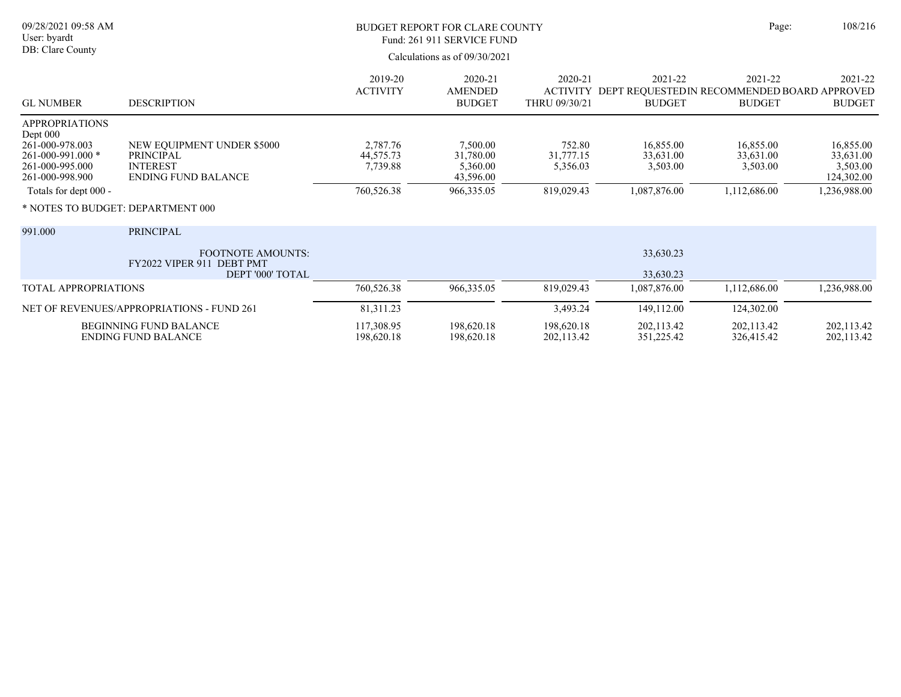| 09/28/2021 09:58 AM<br>User: byardt<br>DB: Clare County                                                                                                                |                                                                                                 | BUDGET REPORT FOR CLARE COUNTY<br>Fund: 261 911 SERVICE FUND<br>Calculations as of 09/30/2021 |                                                              |                                               |                                                                                   | 108/216<br>Page:                                   |                                                                  |
|------------------------------------------------------------------------------------------------------------------------------------------------------------------------|-------------------------------------------------------------------------------------------------|-----------------------------------------------------------------------------------------------|--------------------------------------------------------------|-----------------------------------------------|-----------------------------------------------------------------------------------|----------------------------------------------------|------------------------------------------------------------------|
| <b>GL NUMBER</b>                                                                                                                                                       | <b>DESCRIPTION</b>                                                                              | 2019-20<br><b>ACTIVITY</b>                                                                    | 2020-21<br><b>AMENDED</b><br><b>BUDGET</b>                   | 2020-21<br>THRU 09/30/21                      | 2021-22<br>ACTIVITY DEPT REQUESTED IN RECOMMENDED BOARD APPROVED<br><b>BUDGET</b> | 2021-22<br><b>BUDGET</b>                           | 2021-22<br><b>BUDGET</b>                                         |
| APPROPRIATIONS<br>Dept 000<br>261-000-978.003<br>261-000-991.000 *<br>261-000-995.000<br>261-000-998.900<br>Totals for dept 000 -<br>* NOTES TO BUDGET: DEPARTMENT 000 | NEW EQUIPMENT UNDER \$5000<br><b>PRINCIPAL</b><br><b>INTEREST</b><br><b>ENDING FUND BALANCE</b> | 2,787.76<br>44,575.73<br>7,739.88<br>760,526.38                                               | 7,500.00<br>31,780.00<br>5,360.00<br>43,596.00<br>966,335.05 | 752.80<br>31,777.15<br>5,356.03<br>819,029.43 | 16,855.00<br>33,631.00<br>3,503.00<br>1,087,876.00                                | 16,855.00<br>33,631.00<br>3,503.00<br>1,112,686.00 | 16,855.00<br>33,631.00<br>3,503.00<br>124,302.00<br>1,236,988.00 |
| 991.000                                                                                                                                                                | <b>PRINCIPAL</b><br><b>FOOTNOTE AMOUNTS:</b><br>FY2022 VIPER 911 DEBT PMT<br>DEPT '000' TOTAL   |                                                                                               |                                                              |                                               | 33,630.23<br>33,630.23                                                            |                                                    |                                                                  |
| TOTAL APPROPRIATIONS                                                                                                                                                   |                                                                                                 | 760,526.38                                                                                    | 966,335.05                                                   | 819,029.43                                    | 1,087,876.00                                                                      | 1,112,686.00                                       | 1,236,988.00                                                     |
| NET OF REVENUES/APPROPRIATIONS - FUND 261                                                                                                                              |                                                                                                 | 81,311.23                                                                                     |                                                              | 3,493.24                                      | 149,112.00                                                                        | 124,302.00                                         |                                                                  |
| <b>BEGINNING FUND BALANCE</b><br><b>ENDING FUND BALANCE</b>                                                                                                            |                                                                                                 | 117,308.95<br>198,620.18                                                                      | 198,620.18<br>198,620.18                                     | 198,620.18<br>202,113.42                      | 202,113.42<br>351,225.42                                                          | 202,113.42<br>326,415.42                           | 202,113.42<br>202,113.42                                         |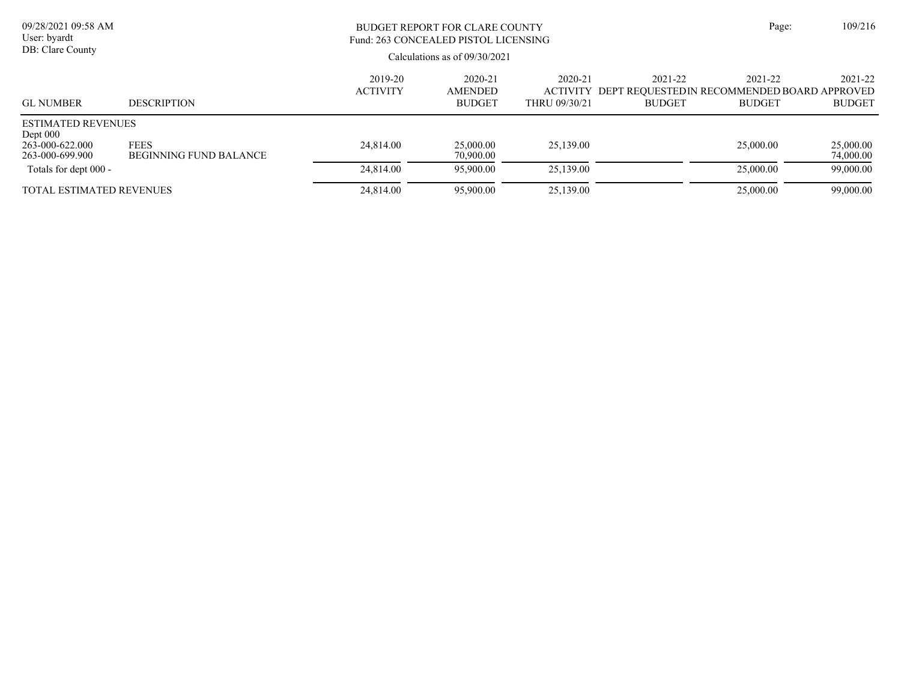| 09/28/2021 09:58 AM<br>User: byardt<br>DB: Clare County                       |                                              | BUDGET REPORT FOR CLARE COUNTY<br>Fund: 263 CONCEALED PISTOL LICENSING<br>Calculations as of $09/30/2021$ |                                     |                          |                                                                                  | Page:                    | 109/216                  |
|-------------------------------------------------------------------------------|----------------------------------------------|-----------------------------------------------------------------------------------------------------------|-------------------------------------|--------------------------|----------------------------------------------------------------------------------|--------------------------|--------------------------|
| <b>GL NUMBER</b>                                                              | <b>DESCRIPTION</b>                           | 2019-20<br><b>ACTIVITY</b>                                                                                | 2020-21<br>AMENDED<br><b>BUDGET</b> | 2020-21<br>THRU 09/30/21 | 2021-22<br>ACTIVITY DEPT REOUESTEDIN RECOMMENDED BOARD APPROVED<br><b>BUDGET</b> | 2021-22<br><b>BUDGET</b> | 2021-22<br><b>BUDGET</b> |
| <b>ESTIMATED REVENUES</b><br>Dept $000$<br>263-000-622.000<br>263-000-699.900 | <b>FEES</b><br><b>BEGINNING FUND BALANCE</b> | 24,814.00                                                                                                 | 25,000.00<br>70,900.00              | 25,139.00                |                                                                                  | 25,000.00                | 25,000.00<br>74,000.00   |
| Totals for dept 000 -                                                         |                                              | 24,814.00                                                                                                 | 95,900.00                           | 25,139.00                |                                                                                  | 25,000.00                | 99,000.00                |
| <b>TOTAL ESTIMATED REVENUES</b>                                               |                                              | 24,814.00                                                                                                 | 95,900.00                           | 25,139.00                |                                                                                  | 25,000.00                | 99,000.00                |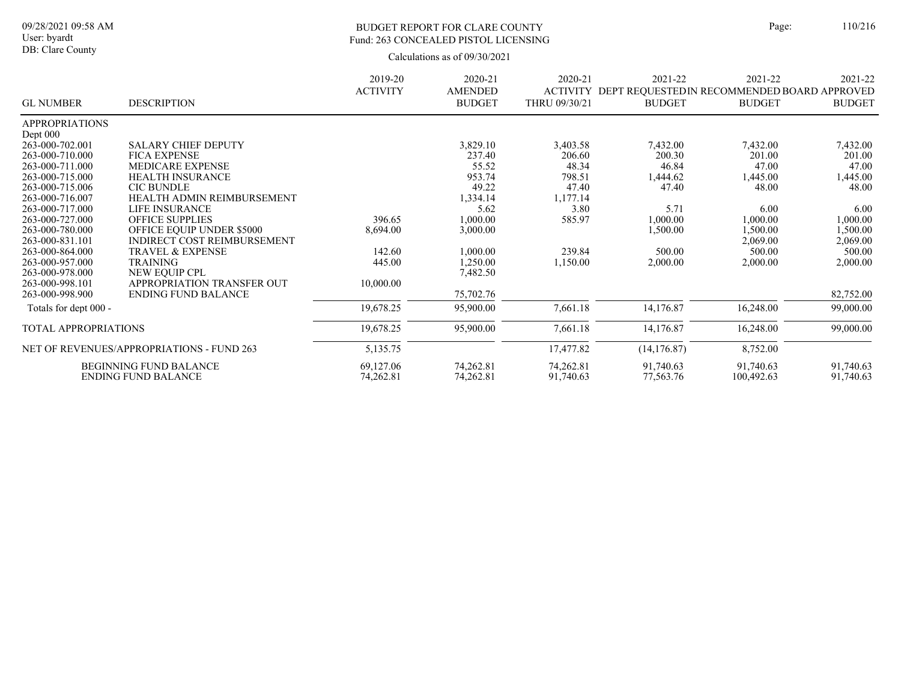# BUDGET REPORT FOR CLARE COUNTY Page: 110/216 Fund: 263 CONCEALED PISTOL LICENSING

|                       |                                           | 2019-20         | 2020-21                         | 2020-21                          | 2021-22       | 2021-22                                                       | 2021-22       |
|-----------------------|-------------------------------------------|-----------------|---------------------------------|----------------------------------|---------------|---------------------------------------------------------------|---------------|
| <b>GL NUMBER</b>      | <b>DESCRIPTION</b>                        | <b>ACTIVITY</b> | <b>AMENDED</b><br><b>BUDGET</b> | <b>ACTIVITY</b><br>THRU 09/30/21 | <b>BUDGET</b> | DEPT REQUESTED IN RECOMMENDED BOARD APPROVED<br><b>BUDGET</b> | <b>BUDGET</b> |
| <b>APPROPRIATIONS</b> |                                           |                 |                                 |                                  |               |                                                               |               |
| Dept $000$            |                                           |                 |                                 |                                  |               |                                                               |               |
| 263-000-702.001       | <b>SALARY CHIEF DEPUTY</b>                |                 | 3,829.10                        | 3,403.58                         | 7,432.00      | 7,432.00                                                      | 7,432.00      |
| 263-000-710.000       | <b>FICA EXPENSE</b>                       |                 | 237.40                          | 206.60                           | 200.30        | 201.00                                                        | 201.00        |
| 263-000-711.000       | <b>MEDICARE EXPENSE</b>                   |                 | 55.52                           | 48.34                            | 46.84         | 47.00                                                         | 47.00         |
| 263-000-715.000       | <b>HEALTH INSURANCE</b>                   |                 | 953.74                          | 798.51                           | 1,444.62      | 1,445.00                                                      | 1,445.00      |
| 263-000-715.006       | <b>CIC BUNDLE</b>                         |                 | 49.22                           | 47.40                            | 47.40         | 48.00                                                         | 48.00         |
| 263-000-716.007       | HEALTH ADMIN REIMBURSEMENT                |                 | 1,334.14                        | 1,177.14                         |               |                                                               |               |
| 263-000-717.000       | LIFE INSURANCE                            |                 | 5.62                            | 3.80                             | 5.71          | 6.00                                                          | 6.00          |
| 263-000-727.000       | <b>OFFICE SUPPLIES</b>                    | 396.65          | 1,000.00                        | 585.97                           | 1,000.00      | 1,000.00                                                      | 1,000.00      |
| 263-000-780.000       | <b>OFFICE EQUIP UNDER \$5000</b>          | 8,694.00        | 3,000.00                        |                                  | 1,500.00      | 1,500.00                                                      | 1,500.00      |
| 263-000-831.101       | INDIRECT COST REIMBURSEMENT               |                 |                                 |                                  |               | 2,069.00                                                      | 2,069.00      |
| 263-000-864.000       | <b>TRAVEL &amp; EXPENSE</b>               | 142.60          | 1,000.00                        | 239.84                           | 500.00        | 500.00                                                        | 500.00        |
| 263-000-957.000       | <b>TRAINING</b>                           | 445.00          | 1,250.00                        | 1,150.00                         | 2,000.00      | 2,000.00                                                      | 2,000.00      |
| 263-000-978.000       | NEW EQUIP CPL                             |                 | 7,482.50                        |                                  |               |                                                               |               |
| 263-000-998.101       | APPROPRIATION TRANSFER OUT                | 10,000.00       |                                 |                                  |               |                                                               |               |
| 263-000-998.900       | <b>ENDING FUND BALANCE</b>                |                 | 75,702.76                       |                                  |               |                                                               | 82,752.00     |
| Totals for dept 000 - |                                           | 19,678.25       | 95,900.00                       | 7,661.18                         | 14,176.87     | 16,248.00                                                     | 99,000.00     |
| TOTAL APPROPRIATIONS  |                                           | 19,678.25       | 95,900.00                       | 7,661.18                         | 14,176.87     | 16,248.00                                                     | 99,000.00     |
|                       | NET OF REVENUES/APPROPRIATIONS - FUND 263 | 5,135.75        |                                 | 17,477.82                        | (14, 176.87)  | 8,752.00                                                      |               |
|                       |                                           |                 |                                 |                                  |               |                                                               |               |
|                       | <b>BEGINNING FUND BALANCE</b>             | 69,127.06       | 74,262.81                       | 74,262.81                        | 91,740.63     | 91,740.63                                                     | 91,740.63     |
|                       | <b>ENDING FUND BALANCE</b>                | 74,262.81       | 74,262.81                       | 91,740.63                        | 77,563.76     | 100,492.63                                                    | 91,740.63     |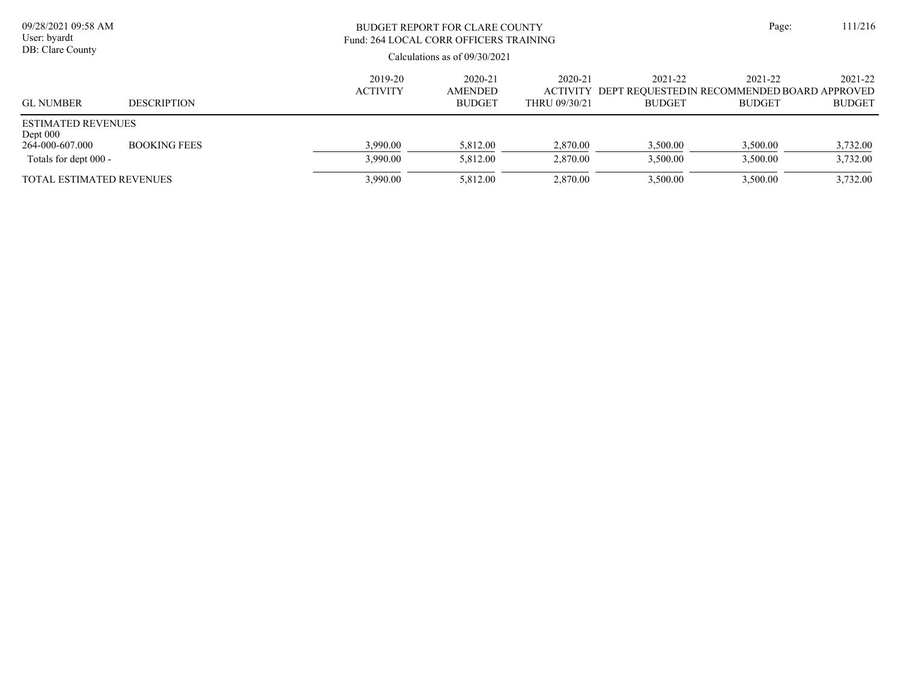| 09/28/2021 09:58 AM<br>User: byardt<br>DB: Clare County                             |                     |                            | BUDGET REPORT FOR CLARE COUNTY<br>Fund: 264 LOCAL CORR OFFICERS TRAINING<br>Calculations as of $09/30/2021$ | Page:                    | 111/216                  |                                                                                  |                          |
|-------------------------------------------------------------------------------------|---------------------|----------------------------|-------------------------------------------------------------------------------------------------------------|--------------------------|--------------------------|----------------------------------------------------------------------------------|--------------------------|
| <b>GL NUMBER</b>                                                                    | <b>DESCRIPTION</b>  | 2019-20<br><b>ACTIVITY</b> | 2020-21<br>AMENDED<br><b>BUDGET</b>                                                                         | 2020-21<br>THRU 09/30/21 | 2021-22<br><b>BUDGET</b> | 2021-22<br>ACTIVITY DEPT REOUESTEDIN RECOMMENDED BOARD APPROVED<br><b>BUDGET</b> | 2021-22<br><b>BUDGET</b> |
| <b>ESTIMATED REVENUES</b><br>Dept $000$<br>264-000-607.000<br>Totals for dept 000 - | <b>BOOKING FEES</b> | 3,990.00<br>3,990.00       | 5,812.00<br>5,812.00                                                                                        | 2,870.00<br>2,870.00     | 3,500.00<br>3,500.00     | 3,500.00<br>3,500.00                                                             | 3,732.00<br>3,732.00     |
| <b>TOTAL ESTIMATED REVENUES</b>                                                     |                     | 3,990.00                   | 5,812.00                                                                                                    | 2,870.00                 | 3,500.00                 | 3,500.00                                                                         | 3,732.00                 |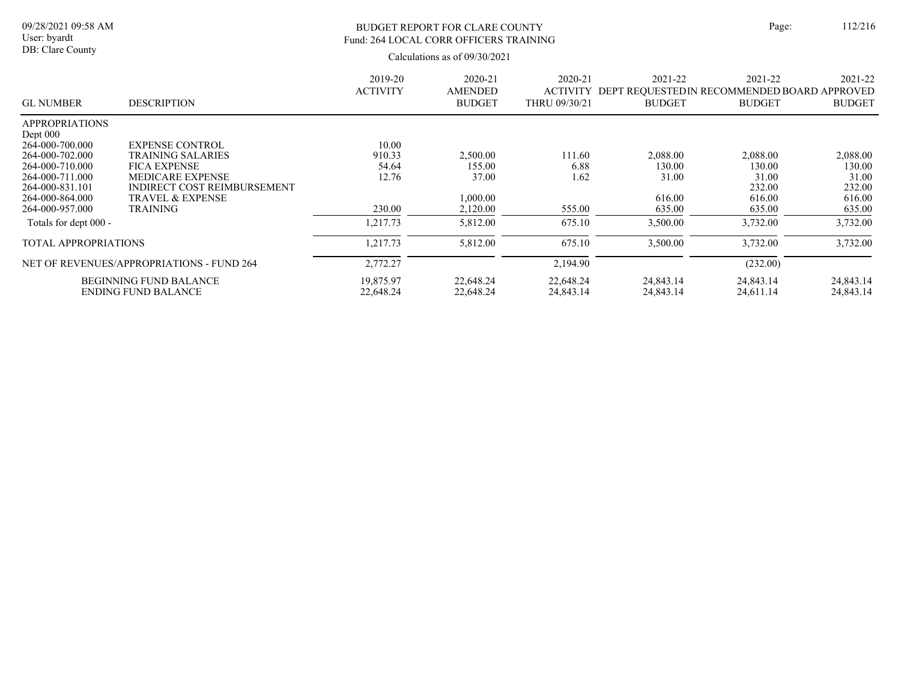# BUDGET REPORT FOR CLARE COUNTY Page: 112/216 Fund: 264 LOCAL CORR OFFICERS TRAINING

| <b>GL NUMBER</b>            | <b>DESCRIPTION</b>                        | 2019-20<br><b>ACTIVITY</b> | 2020-21<br><b>AMENDED</b><br><b>BUDGET</b> | 2020-21<br><b>ACTIVITY</b><br>THRU 09/30/21 | 2021-22<br>DEPT REQUESTED IN RECOMMENDED BOARD APPROVED<br><b>BUDGET</b> | 2021-22<br><b>BUDGET</b> | 2021-22<br><b>BUDGET</b> |
|-----------------------------|-------------------------------------------|----------------------------|--------------------------------------------|---------------------------------------------|--------------------------------------------------------------------------|--------------------------|--------------------------|
| <b>APPROPRIATIONS</b>       |                                           |                            |                                            |                                             |                                                                          |                          |                          |
| Dept $000$                  |                                           |                            |                                            |                                             |                                                                          |                          |                          |
| 264-000-700.000             | <b>EXPENSE CONTROL</b>                    | 10.00                      |                                            |                                             |                                                                          |                          |                          |
| 264-000-702.000             | <b>TRAINING SALARIES</b>                  | 910.33                     | 2,500.00                                   | 111.60                                      | 2,088.00                                                                 | 2,088.00                 | 2,088.00                 |
| 264-000-710.000             | <b>FICA EXPENSE</b>                       | 54.64                      | 155.00                                     | 6.88                                        | 130.00                                                                   | 130.00                   | 130.00                   |
| 264-000-711.000             | <b>MEDICARE EXPENSE</b>                   | 12.76                      | 37.00                                      | 1.62                                        | 31.00                                                                    | 31.00                    | 31.00                    |
| 264-000-831.101             | <b>INDIRECT COST REIMBURSEMENT</b>        |                            |                                            |                                             |                                                                          | 232.00                   | 232.00                   |
| 264-000-864.000             | <b>TRAVEL &amp; EXPENSE</b>               |                            | 00.000.1                                   |                                             | 616.00                                                                   | 616.00                   | 616.00                   |
| 264-000-957.000             | <b>TRAINING</b>                           | 230.00                     | 2,120.00                                   | 555.00                                      | 635.00                                                                   | 635.00                   | 635.00                   |
| Totals for dept 000 -       |                                           | 1,217.73                   | 5,812.00                                   | 675.10                                      | 3,500.00                                                                 | 3,732.00                 | 3,732.00                 |
| <b>TOTAL APPROPRIATIONS</b> |                                           | 1,217.73                   | 5,812.00                                   | 675.10                                      | 3,500.00                                                                 | 3,732.00                 | 3,732.00                 |
|                             | NET OF REVENUES/APPROPRIATIONS - FUND 264 | 2,772.27                   |                                            | 2,194.90                                    |                                                                          | (232.00)                 |                          |
|                             | <b>BEGINNING FUND BALANCE</b>             | 19,875.97                  | 22,648.24                                  | 22,648.24                                   | 24,843.14                                                                | 24,843.14                | 24,843.14                |
|                             | <b>ENDING FUND BALANCE</b>                | 22,648.24                  | 22,648.24                                  | 24,843.14                                   | 24,843.14                                                                | 24,611.14                | 24,843.14                |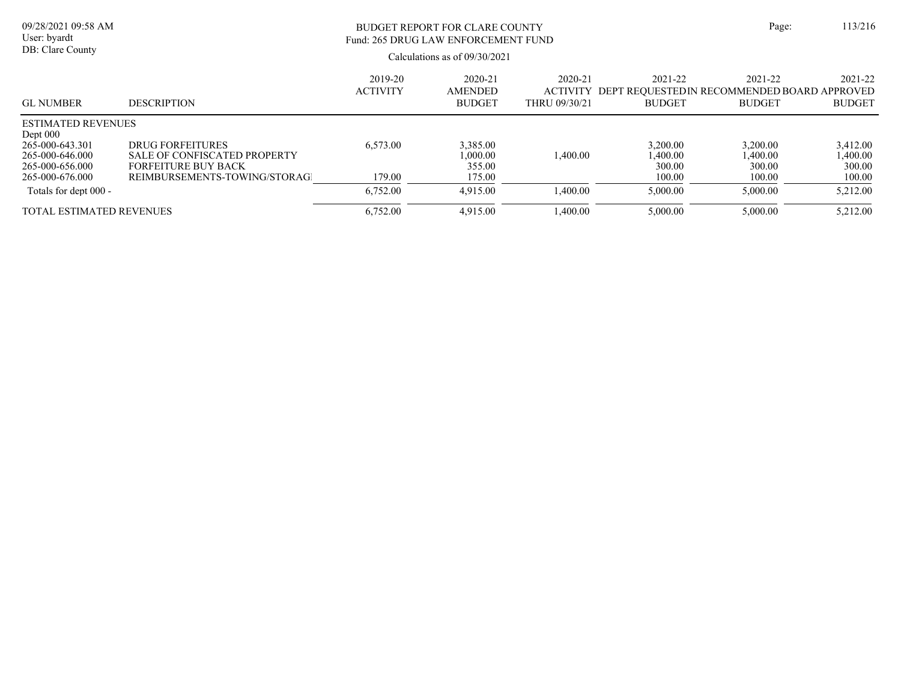| 09/28/2021 09:58 AM<br>User: byardt<br>DB: Clare County                                                             |                                                                                                                | BUDGET REPORT FOR CLARE COUNTY<br>Fund: 265 DRUG LAW ENFORCEMENT FUND<br>Calculations as of $09/30/2021$ |                                            |                          |                                                                                   |                                         |                                          |  |  |  |
|---------------------------------------------------------------------------------------------------------------------|----------------------------------------------------------------------------------------------------------------|----------------------------------------------------------------------------------------------------------|--------------------------------------------|--------------------------|-----------------------------------------------------------------------------------|-----------------------------------------|------------------------------------------|--|--|--|
| <b>GL NUMBER</b>                                                                                                    | <b>DESCRIPTION</b>                                                                                             | 2019-20<br><b>ACTIVITY</b>                                                                               | 2020-21<br><b>AMENDED</b><br><b>BUDGET</b> | 2020-21<br>THRU 09/30/21 | 2021-22<br>ACTIVITY DEPT REOUESTED IN RECOMMENDED BOARD APPROVED<br><b>BUDGET</b> | 2021-22<br><b>BUDGET</b>                | 2021-22<br><b>BUDGET</b>                 |  |  |  |
| <b>ESTIMATED REVENUES</b><br>Dept $000$<br>265-000-643.301<br>265-000-646.000<br>265-000-656.000<br>265-000-676.000 | DRUG FORFEITURES<br>SALE OF CONFISCATED PROPERTY<br><b>FORFEITURE BUY BACK</b><br>REIMBURSEMENTS-TOWING/STORAG | 6,573.00<br>179.00                                                                                       | 3,385.00<br>1,000.00<br>355.00<br>175.00   | 1,400.00                 | 3,200.00<br>1,400.00<br>300.00<br>100.00                                          | 3,200.00<br>,400.00<br>300.00<br>100.00 | 3,412.00<br>0.400.00<br>300.00<br>100.00 |  |  |  |
| Totals for dept 000 -                                                                                               |                                                                                                                | 6,752.00                                                                                                 | 4,915.00                                   | 1,400.00                 | 5,000.00                                                                          | 5,000.00                                | 5,212.00                                 |  |  |  |
| <b>TOTAL ESTIMATED REVENUES</b>                                                                                     |                                                                                                                | 6,752.00                                                                                                 | 4,915.00                                   | 1,400.00                 | 5,000.00                                                                          | 5,000.00                                | 5,212.00                                 |  |  |  |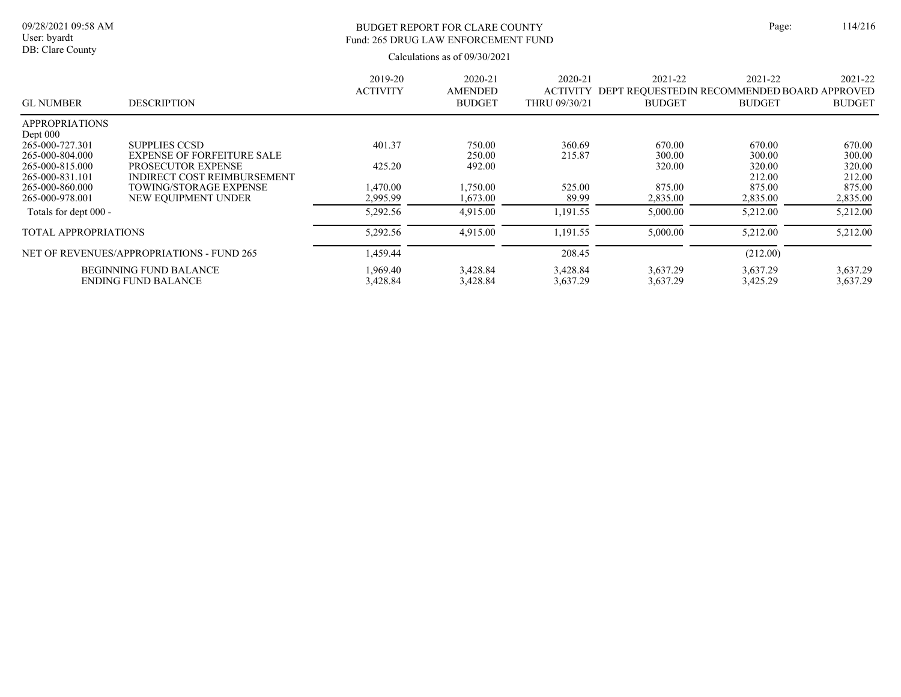# BUDGET REPORT FOR CLARE COUNTY Page: 114/216 Fund: 265 DRUG LAW ENFORCEMENT FUND

|                               |                                           | 2019-20<br><b>ACTIVITY</b> | 2020-21<br><b>AMENDED</b> | 2020-21<br><b>ACTIVITY</b> | 2021-22<br>DEPT REOUESTEDIN RECOMMENDED BOARD APPROVED | 2021-22       | 2021-22       |
|-------------------------------|-------------------------------------------|----------------------------|---------------------------|----------------------------|--------------------------------------------------------|---------------|---------------|
| <b>GL NUMBER</b>              | <b>DESCRIPTION</b>                        |                            | <b>BUDGET</b>             | THRU 09/30/21              | <b>BUDGET</b>                                          | <b>BUDGET</b> | <b>BUDGET</b> |
| <b>APPROPRIATIONS</b>         |                                           |                            |                           |                            |                                                        |               |               |
| Dept $000$<br>265-000-727.301 | <b>SUPPLIES CCSD</b>                      | 401.37                     | 750.00                    | 360.69                     | 670.00                                                 | 670.00        | 670.00        |
| 265-000-804.000               | <b>EXPENSE OF FORFEITURE SALE</b>         |                            | 250.00                    | 215.87                     | 300.00                                                 | 300.00        | 300.00        |
| 265-000-815.000               | PROSECUTOR EXPENSE                        | 425.20                     | 492.00                    |                            | 320.00                                                 | 320.00        | 320.00        |
| 265-000-831.101               | INDIRECT COST REIMBURSEMENT               |                            |                           |                            |                                                        | 212.00        | 212.00        |
| 265-000-860.000               | <b>TOWING/STORAGE EXPENSE</b>             | 1.470.00                   | .750.00                   | 525.00                     | 875.00                                                 | 875.00        | 875.00        |
| 265-000-978.001               | NEW EOUIPMENT UNDER                       | 2,995.99                   | 1.673.00                  | 89.99                      | 2,835.00                                               | 2,835.00      | 2,835.00      |
| Totals for dept 000 -         |                                           | 5,292.56                   | 4,915.00                  | 1,191.55                   | 5,000.00                                               | 5,212.00      | 5,212.00      |
| <b>TOTAL APPROPRIATIONS</b>   |                                           | 5,292.56                   | 4,915.00                  | 1,191.55                   | 5,000.00                                               | 5,212.00      | 5,212.00      |
|                               | NET OF REVENUES/APPROPRIATIONS - FUND 265 | 1,459.44                   |                           | 208.45                     |                                                        | (212.00)      |               |
|                               | <b>BEGINNING FUND BALANCE</b>             | 1.969.40                   | 3,428.84                  | 3,428.84                   | 3.637.29                                               | 3.637.29      | 3.637.29      |
|                               | <b>ENDING FUND BALANCE</b>                | 3,428.84                   | 3,428.84                  | 3,637.29                   | 3,637.29                                               | 3,425.29      | 3,637.29      |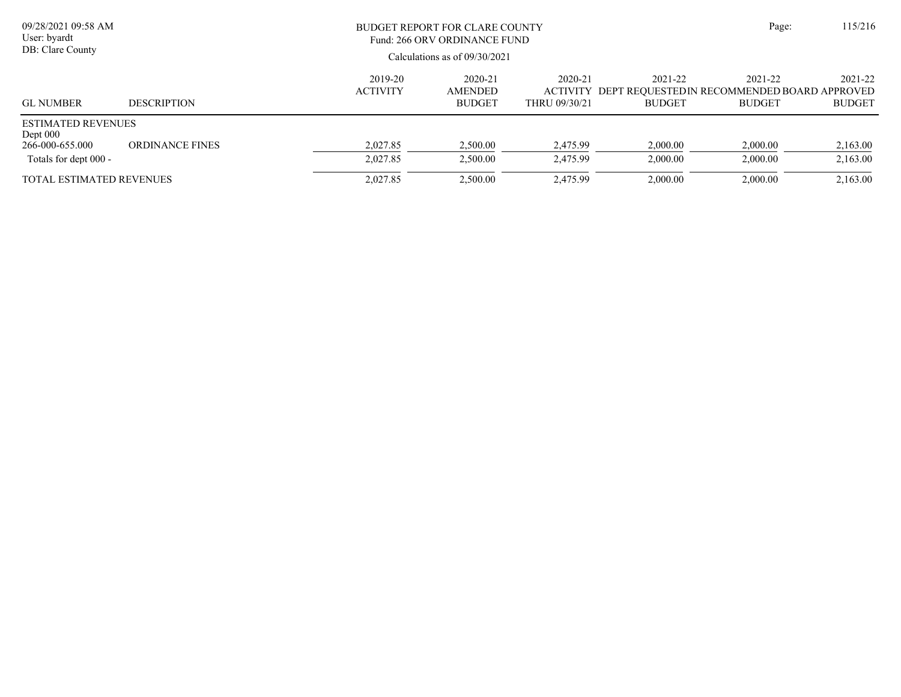| 09/28/2021 09:58 AM<br>User: byardt<br>DB: Clare County                           |                        |                            | BUDGET REPORT FOR CLARE COUNTY<br>Fund: 266 ORV ORDINANCE FUND<br>Calculations as of $09/30/2021$ |                                             |                          |                                                                         |                          |  |  |
|-----------------------------------------------------------------------------------|------------------------|----------------------------|---------------------------------------------------------------------------------------------------|---------------------------------------------|--------------------------|-------------------------------------------------------------------------|--------------------------|--|--|
| <b>GL NUMBER</b>                                                                  | <b>DESCRIPTION</b>     | 2019-20<br><b>ACTIVITY</b> | 2020-21<br><b>AMENDED</b><br><b>BUDGET</b>                                                        | 2020-21<br><b>ACTIVITY</b><br>THRU 09/30/21 | 2021-22<br><b>BUDGET</b> | 2021-22<br>DEPT REOUESTEDIN RECOMMENDED BOARD APPROVED<br><b>BUDGET</b> | 2021-22<br><b>BUDGET</b> |  |  |
| <b>ESTIMATED REVENUES</b><br>Dept 000<br>266-000-655.000<br>Totals for dept 000 - | <b>ORDINANCE FINES</b> | 2,027.85<br>2,027.85       | 2,500.00<br>2,500.00                                                                              | 2,475.99<br>2,475.99                        | 2,000.00<br>2,000.00     | 2,000.00<br>2,000.00                                                    | 2,163.00<br>2,163.00     |  |  |
| <b>TOTAL ESTIMATED REVENUES</b>                                                   |                        | 2,027.85                   | 2,500.00                                                                                          | 2,475.99                                    | 2,000.00                 | 2,000.00                                                                | 2,163.00                 |  |  |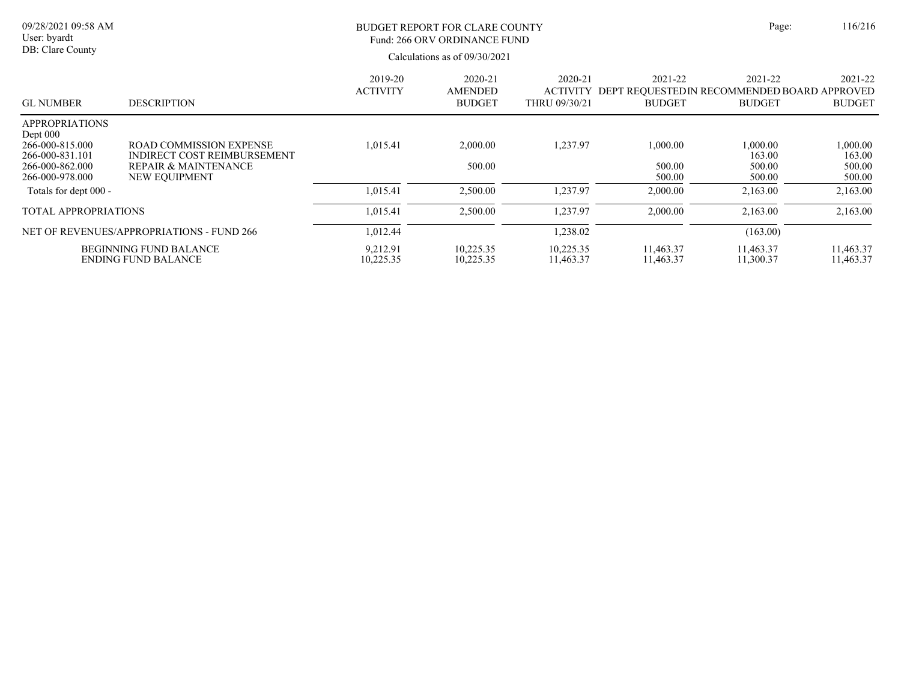|                                                                                       |                            | 116/216                                    |                               |                          |                              |                                                                |
|---------------------------------------------------------------------------------------|----------------------------|--------------------------------------------|-------------------------------|--------------------------|------------------------------|----------------------------------------------------------------|
| <b>DESCRIPTION</b>                                                                    | 2019-20<br><b>ACTIVITY</b> | 2020-21<br><b>AMENDED</b><br><b>BUDGET</b> | 2020-21<br>THRU 09/30/21      | 2021-22<br><b>BUDGET</b> | 2021-22<br><b>BUDGET</b>     | 2021-22<br><b>BUDGET</b>                                       |
| <b>ROAD COMMISSION EXPENSE</b><br>INDIRECT COST REIMBURSEMENT<br>REPAIR & MAINTENANCE | 1.015.41                   | 2,000.00<br>500.00                         | 1,237.97                      | 1,000.00<br>500.00       | 1,000.00<br>163.00<br>500.00 | 0.000.00<br>163.00<br>500.00<br>500.00                         |
|                                                                                       | <b>NEW EOUIPMENT</b>       |                                            | Calculations as of 09/30/2021 |                          | 500.00                       | ACTIVITY DEPT REOUESTEDIN RECOMMENDED BOARD APPROVED<br>500.00 |

NET OF REVENUES/APPROPRIATIONS - FUND 266 1,012.44 1,238.02 1,238.02 (163.00)

Totals for dept 000 - 1,015.41 1,015.41 1,015.41 2,500.00 1,237.97 2,000.00 2,163.00 2,163.00 TOTAL APPROPRIATIONS 1,015.41 2,500.00 1,237.97 2,000.00 2,163.00 2,163.00

ENDING FUND BALANCE 10,225.35 10,225.35 11,463.37 11,463.37 11,463.37 11,300.37 11,463.37 BEGINNING FUND BALANCE 9,212.91 10,225.35 10,225.35 11,463.37 11,463.37 11,463.37 11,463.37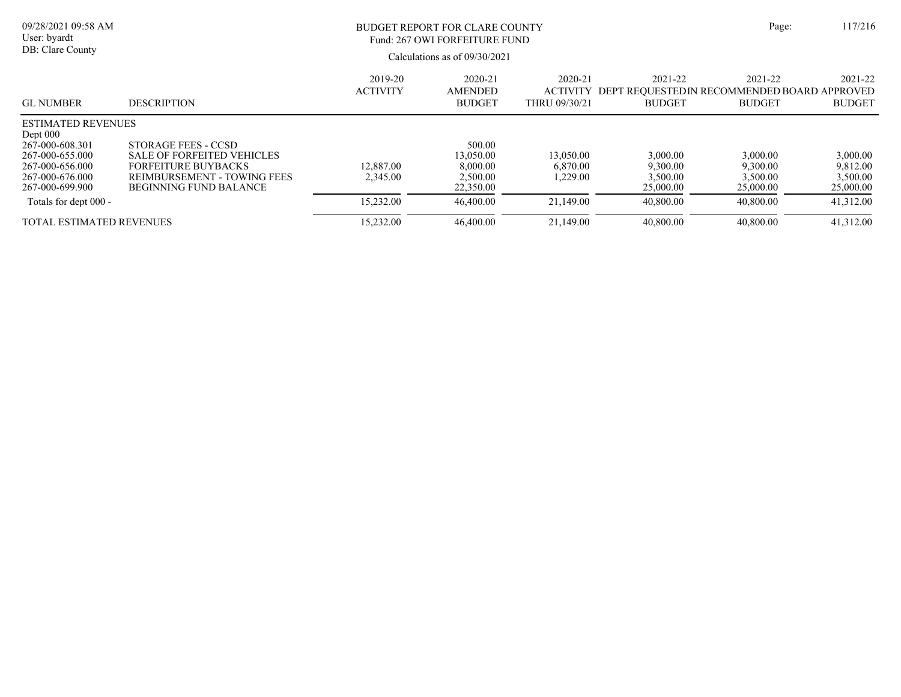| 09/28/2021 09:58 AM<br>User: byardt<br>DB: Clare County                                                                                                         |                                                                                                                                                        | BUDGET REPORT FOR CLARE COUNTY<br>Fund: 267 OWI FORFEITURE FUND | Page:                                                                  | 117/216                                       |                                                                          |                                                            |                                                            |
|-----------------------------------------------------------------------------------------------------------------------------------------------------------------|--------------------------------------------------------------------------------------------------------------------------------------------------------|-----------------------------------------------------------------|------------------------------------------------------------------------|-----------------------------------------------|--------------------------------------------------------------------------|------------------------------------------------------------|------------------------------------------------------------|
| <b>GL NUMBER</b>                                                                                                                                                | <b>DESCRIPTION</b>                                                                                                                                     | 2019-20<br><b>ACTIVITY</b>                                      | Calculations as of $09/30/2021$<br>2020-21<br>AMENDED<br><b>BUDGET</b> | 2020-21<br><b>ACTIVITY</b><br>THRU 09/30/21   | 2021-22<br>DEPT REQUESTED IN RECOMMENDED BOARD APPROVED<br><b>BUDGET</b> | 2021-22<br><b>BUDGET</b>                                   | 2021-22<br><b>BUDGET</b>                                   |
| <b>ESTIMATED REVENUES</b><br>Dept $000$<br>267-000-608.301<br>267-000-655.000<br>267-000-656.000<br>267-000-676.000<br>267-000-699.900<br>Totals for dept 000 - | STORAGE FEES - CCSD<br><b>SALE OF FORFEITED VEHICLES</b><br><b>FORFEITURE BUYBACKS</b><br>REIMBURSEMENT - TOWING FEES<br><b>BEGINNING FUND BALANCE</b> | 12,887.00<br>2,345.00<br>15,232.00                              | 500.00<br>13,050.00<br>8,000.00<br>2,500.00<br>22,350.00<br>46,400.00  | 13,050.00<br>6,870.00<br>.229.00<br>21,149.00 | 3,000.00<br>9,300.00<br>3,500.00<br>25,000.00<br>40,800.00               | 3,000.00<br>9,300.00<br>3,500.00<br>25,000.00<br>40,800.00 | 3,000.00<br>9,812.00<br>3,500.00<br>25,000.00<br>41,312.00 |
| <b>TOTAL ESTIMATED REVENUES</b>                                                                                                                                 |                                                                                                                                                        | 15,232.00                                                       | 46,400.00                                                              | 21,149.00                                     | 40,800.00                                                                | 40,800.00                                                  | 41,312.00                                                  |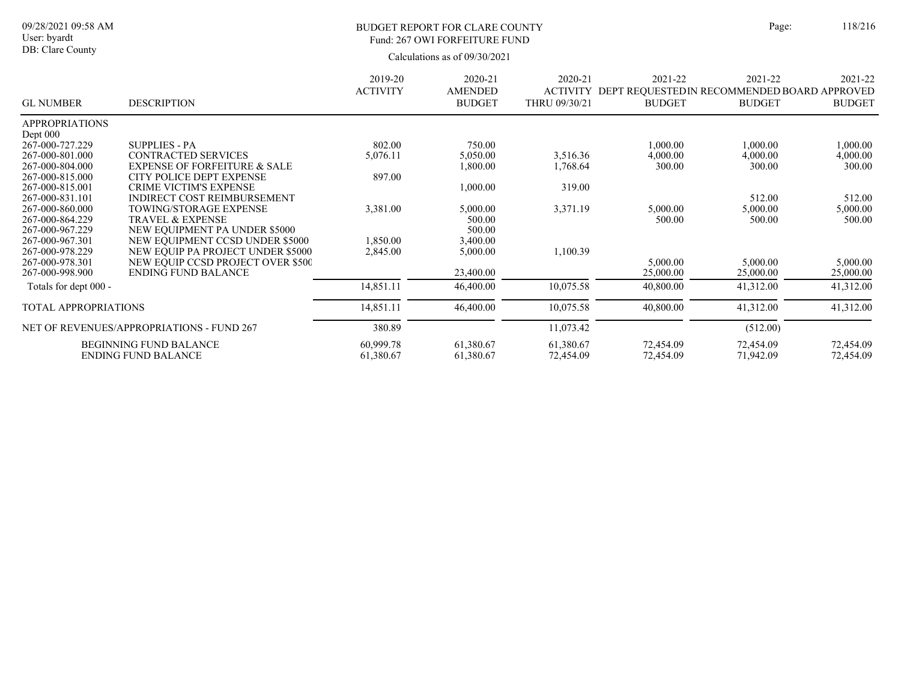### BUDGET REPORT FOR CLARE COUNTY Page: 118/216 Fund: 267 OWI FORFEITURE FUND

|                             |                                           | 2019-20         | 2020-21                         | 2020-21                          | 2021-22                                                       | 2021-22       | 2021-22       |
|-----------------------------|-------------------------------------------|-----------------|---------------------------------|----------------------------------|---------------------------------------------------------------|---------------|---------------|
| <b>GL NUMBER</b>            | <b>DESCRIPTION</b>                        | <b>ACTIVITY</b> | <b>AMENDED</b><br><b>BUDGET</b> | <b>ACTIVITY</b><br>THRU 09/30/21 | DEPT REQUESTED IN RECOMMENDED BOARD APPROVED<br><b>BUDGET</b> | <b>BUDGET</b> | <b>BUDGET</b> |
| <b>APPROPRIATIONS</b>       |                                           |                 |                                 |                                  |                                                               |               |               |
| Dept $000$                  |                                           |                 |                                 |                                  |                                                               |               |               |
| 267-000-727.229             | <b>SUPPLIES - PA</b>                      | 802.00          | 750.00                          |                                  | 1,000.00                                                      | 1,000.00      | 1,000.00      |
| 267-000-801.000             | <b>CONTRACTED SERVICES</b>                | 5,076.11        | 5,050.00                        | 3,516.36                         | 4,000.00                                                      | 4,000.00      | 4,000.00      |
| 267-000-804.000             | <b>EXPENSE OF FORFEITURE &amp; SALE</b>   |                 | 1,800.00                        | 1,768.64                         | 300.00                                                        | 300.00        | 300.00        |
| 267-000-815.000             | <b>CITY POLICE DEPT EXPENSE</b>           | 897.00          |                                 |                                  |                                                               |               |               |
| 267-000-815.001             | <b>CRIME VICTIM'S EXPENSE</b>             |                 | 1,000.00                        | 319.00                           |                                                               |               |               |
| 267-000-831.101             | INDIRECT COST REIMBURSEMENT               |                 |                                 |                                  |                                                               | 512.00        | 512.00        |
| 267-000-860.000             | <b>TOWING/STORAGE EXPENSE</b>             | 3,381.00        | 5,000.00                        | 3,371.19                         | 5,000.00                                                      | 5,000.00      | 5,000.00      |
| 267-000-864.229             | <b>TRAVEL &amp; EXPENSE</b>               |                 | 500.00                          |                                  | 500.00                                                        | 500.00        | 500.00        |
| 267-000-967.229             | NEW EQUIPMENT PA UNDER \$5000             |                 | 500.00                          |                                  |                                                               |               |               |
| 267-000-967.301             | NEW EQUIPMENT CCSD UNDER \$5000           | 1,850.00        | 3,400.00                        |                                  |                                                               |               |               |
| 267-000-978.229             | NEW EQUIP PA PROJECT UNDER \$5000         | 2,845.00        | 5,000.00                        | 1,100.39                         |                                                               |               |               |
| 267-000-978.301             | NEW EQUIP CCSD PROJECT OVER \$500         |                 |                                 |                                  | 5,000.00                                                      | 5,000.00      | 5,000.00      |
| 267-000-998.900             | <b>ENDING FUND BALANCE</b>                |                 | 23,400.00                       |                                  | 25,000.00                                                     | 25,000.00     | 25,000.00     |
| Totals for dept 000 -       |                                           | 14,851.11       | 46,400.00                       | 10,075.58                        | 40,800.00                                                     | 41,312.00     | 41,312.00     |
| <b>TOTAL APPROPRIATIONS</b> |                                           | 14,851.11       | 46,400.00                       | 10,075.58                        | 40,800.00                                                     | 41,312.00     | 41,312.00     |
|                             | NET OF REVENUES/APPROPRIATIONS - FUND 267 | 380.89          |                                 | 11,073.42                        |                                                               | (512.00)      |               |
|                             | <b>BEGINNING FUND BALANCE</b>             | 60,999.78       | 61,380.67                       | 61,380.67                        | 72,454.09                                                     | 72,454.09     | 72,454.09     |
|                             | <b>ENDING FUND BALANCE</b>                | 61,380.67       | 61,380.67                       | 72,454.09                        | 72,454.09                                                     | 71,942.09     | 72,454.09     |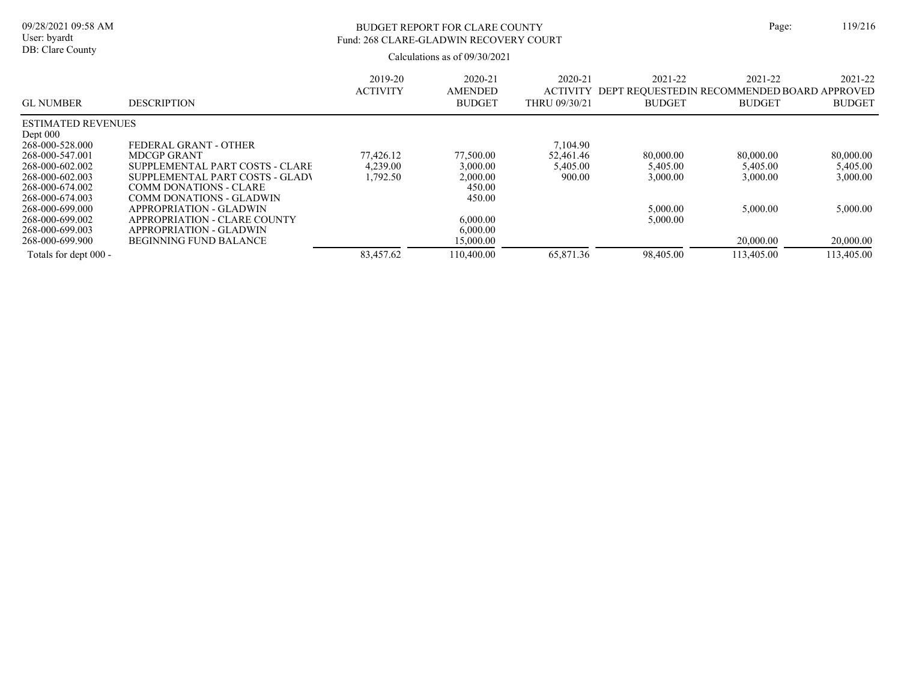# BUDGET REPORT FOR CLARE COUNTY Page: 119/216 Fund: 268 CLARE-GLADWIN RECOVERY COURT

| <b>GL NUMBER</b>          | <b>DESCRIPTION</b>              | 2019-20<br><b>ACTIVITY</b> | 2020-21<br><b>AMENDED</b><br><b>BUDGET</b> | 2020-21<br><b>ACTIVITY</b><br>THRU 09/30/21 | 2021-22<br>DEPT REOUESTEDIN RECOMMENDED BOARD APPROVED<br><b>BUDGET</b> | 2021-22<br><b>BUDGET</b> | 2021-22<br><b>BUDGET</b> |
|---------------------------|---------------------------------|----------------------------|--------------------------------------------|---------------------------------------------|-------------------------------------------------------------------------|--------------------------|--------------------------|
| <b>ESTIMATED REVENUES</b> |                                 |                            |                                            |                                             |                                                                         |                          |                          |
| Dept $000$                |                                 |                            |                                            |                                             |                                                                         |                          |                          |
| 268-000-528.000           | FEDERAL GRANT - OTHER           |                            |                                            | 7,104.90                                    |                                                                         |                          |                          |
| 268-000-547.001           | <b>MDCGP GRANT</b>              | 77,426.12                  | 77,500.00                                  | 52.461.46                                   | 80,000.00                                                               | 80,000.00                | 80,000.00                |
| 268-000-602.002           | SUPPLEMENTAL PART COSTS - CLARE | 4.239.00                   | 3,000.00                                   | 5,405.00                                    | 5,405.00                                                                | 5,405.00                 | 5,405.00                 |
| 268-000-602.003           | SUPPLEMENTAL PART COSTS - GLADV | 1,792.50                   | 2,000.00                                   | 900.00                                      | 3,000.00                                                                | 3,000.00                 | 3,000.00                 |
| 268-000-674.002           | <b>COMM DONATIONS - CLARE</b>   |                            | 450.00                                     |                                             |                                                                         |                          |                          |
| 268-000-674.003           | COMM DONATIONS - GLADWIN        |                            | 450.00                                     |                                             |                                                                         |                          |                          |
| 268-000-699.000           | <b>APPROPRIATION - GLADWIN</b>  |                            |                                            |                                             | 5,000.00                                                                | 5,000.00                 | 5,000.00                 |
| 268-000-699.002           | APPROPRIATION - CLARE COUNTY    |                            | 6,000.00                                   |                                             | 5,000.00                                                                |                          |                          |
| 268-000-699.003           | <b>APPROPRIATION - GLADWIN</b>  |                            | 6,000.00                                   |                                             |                                                                         |                          |                          |
| 268-000-699.900           | <b>BEGINNING FUND BALANCE</b>   |                            | 15,000.00                                  |                                             |                                                                         | 20,000.00                | 20,000.00                |
| Totals for dept 000 -     |                                 | 83,457.62                  | 110.400.00                                 | 65,871.36                                   | 98,405.00                                                               | 113,405.00               | 113,405.00               |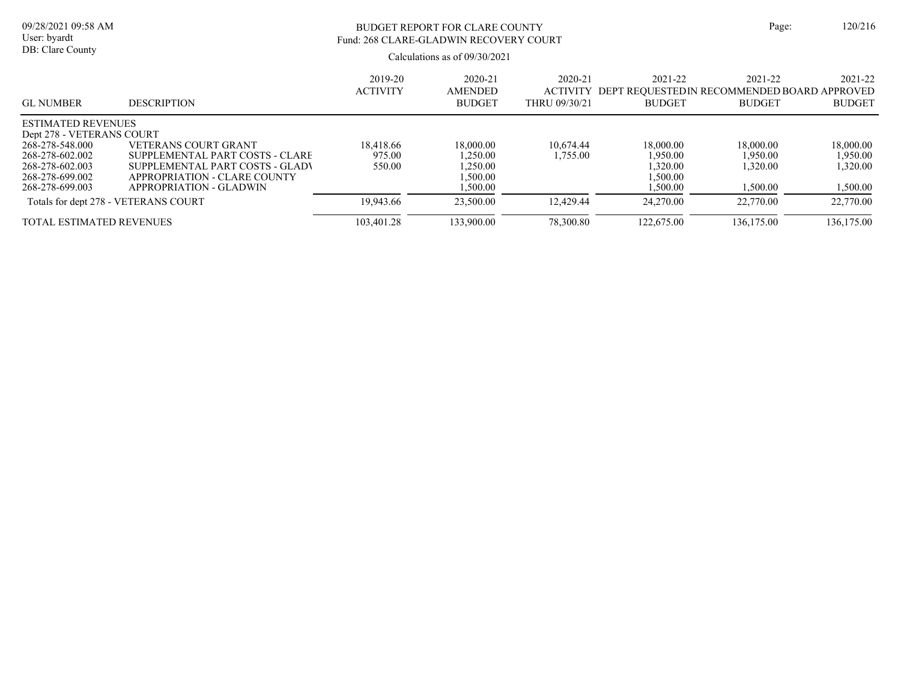# BUDGET REPORT FOR CLARE COUNTY Page: 120/216 Fund: 268 CLARE-GLADWIN RECOVERY COURT

| <b>GL NUMBER</b>                | <b>DESCRIPTION</b>                   | 2019-20<br><b>ACTIVITY</b> | 2020-21<br><b>AMENDED</b><br><b>BUDGET</b> | 2020-21<br><b>ACTIVITY</b><br>THRU 09/30/21 | 2021-22<br>DEPT REOUESTEDIN RECOMMENDED BOARD APPROVED<br><b>BUDGET</b> | 2021-22<br><b>BUDGET</b> | 2021-22<br><b>BUDGET</b> |
|---------------------------------|--------------------------------------|----------------------------|--------------------------------------------|---------------------------------------------|-------------------------------------------------------------------------|--------------------------|--------------------------|
| <b>ESTIMATED REVENUES</b>       |                                      |                            |                                            |                                             |                                                                         |                          |                          |
| Dept 278 - VETERANS COURT       |                                      |                            |                                            |                                             |                                                                         |                          |                          |
| 268-278-548.000                 | VETERANS COURT GRANT                 | 18.418.66                  | 18,000.00                                  | 10.674.44                                   | 18,000.00                                                               | 18,000.00                | 18,000.00                |
| 268-278-602.002                 | SUPPLEMENTAL PART COSTS - CLARE      | 975.00                     | .250.00                                    | .755.00                                     | 1.950.00                                                                | 1.950.00                 | 1.950.00                 |
| 268-278-602.003                 | SUPPLEMENTAL PART COSTS - GLADV      | 550.00                     | ,250.00                                    |                                             | 1,320.00                                                                | 1.320.00                 | 1,320.00                 |
| 268-278-699.002                 | APPROPRIATION - CLARE COUNTY         |                            | ,500.00                                    |                                             | 1.500.00                                                                |                          |                          |
| 268-278-699.003                 | APPROPRIATION - GLADWIN              |                            | .500.00                                    |                                             | 1,500.00                                                                | 1,500.00                 | 1,500.00                 |
|                                 | Totals for dept 278 - VETERANS COURT | 19,943.66                  | 23,500.00                                  | 12.429.44                                   | 24,270.00                                                               | 22,770.00                | 22,770.00                |
| <b>TOTAL ESTIMATED REVENUES</b> |                                      | 103,401.28                 | 133.900.00                                 | 78,300.80                                   | 122,675.00                                                              | 136,175.00               | 136,175.00               |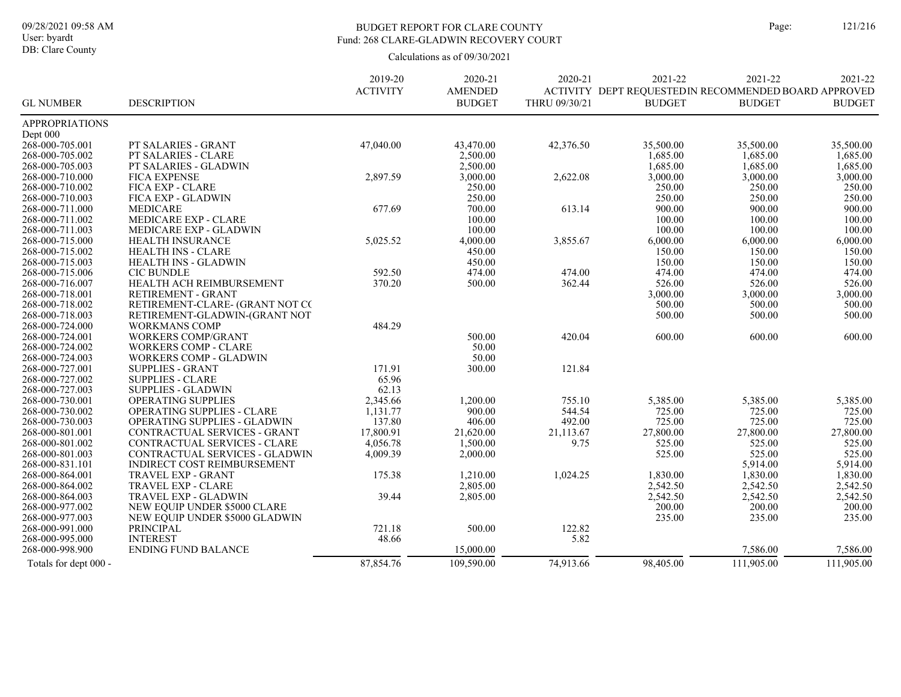DB: Clare County

### BUDGET REPORT FOR CLARE COUNTY Page: 121/216 Fund: 268 CLARE-GLADWIN RECOVERY COURT

|                                    |                                     | 2019-20         | 2020-21        | 2020-21       | 2021-22                                              | 2021-22            | 2021-22            |
|------------------------------------|-------------------------------------|-----------------|----------------|---------------|------------------------------------------------------|--------------------|--------------------|
|                                    |                                     | <b>ACTIVITY</b> | <b>AMENDED</b> |               | ACTIVITY DEPT REQUESTEDIN RECOMMENDED BOARD APPROVED |                    |                    |
| <b>GL NUMBER</b>                   | <b>DESCRIPTION</b>                  |                 | <b>BUDGET</b>  | THRU 09/30/21 | <b>BUDGET</b>                                        | <b>BUDGET</b>      | <b>BUDGET</b>      |
| <b>APPROPRIATIONS</b>              |                                     |                 |                |               |                                                      |                    |                    |
| Dept 000                           |                                     |                 |                |               |                                                      |                    |                    |
| 268-000-705.001                    | PT SALARIES - GRANT                 | 47,040.00       | 43,470.00      | 42,376.50     | 35,500.00                                            | 35,500.00          | 35,500.00          |
| 268-000-705.002                    | PT SALARIES - CLARE                 |                 | 2,500.00       |               | 1,685.00                                             | 1,685.00           | 1,685.00           |
| 268-000-705.003                    | PT SALARIES - GLADWIN               |                 | 2,500.00       |               | 1,685.00                                             | 1.685.00           | 1,685.00           |
| 268-000-710.000                    | <b>FICA EXPENSE</b>                 | 2,897.59        | 3,000.00       | 2,622.08      | 3,000.00                                             | 3,000.00           | 3,000.00           |
| 268-000-710.002                    | FICA EXP - CLARE                    |                 | 250.00         |               | 250.00                                               | 250.00             | 250.00             |
| 268-000-710.003                    | FICA EXP - GLADWIN                  |                 | 250.00         |               | 250.00                                               | 250.00             | 250.00             |
| 268-000-711.000                    | <b>MEDICARE</b>                     | 677.69          | 700.00         | 613.14        | 900.00                                               | 900.00             | 900.00             |
| 268-000-711.002                    | MEDICARE EXP - CLARE                |                 | 100.00         |               | 100.00                                               | 100.00             | 100.00             |
| 268-000-711.003                    | MEDICARE EXP - GLADWIN              |                 | 100.00         |               | 100.00                                               | 100.00             | 100.00             |
| 268-000-715.000                    | <b>HEALTH INSURANCE</b>             | 5,025.52        | 4,000.00       | 3,855.67      | 6,000.00                                             | 6,000.00           | 6,000.00           |
| 268-000-715.002                    | <b>HEALTH INS - CLARE</b>           |                 | 450.00         |               | 150.00                                               | 150.00             | 150.00             |
| 268-000-715.003                    | <b>HEALTH INS - GLADWIN</b>         |                 | 450.00         |               | 150.00                                               | 150.00             | 150.00             |
| 268-000-715.006                    | <b>CIC BUNDLE</b>                   | 592.50          | 474.00         | 474.00        | 474.00                                               | 474.00             | 474.00             |
| 268-000-716.007                    | HEALTH ACH REIMBURSEMENT            | 370.20          | 500.00         | 362.44        | 526.00                                               | 526.00             | 526.00             |
| 268-000-718.001                    | RETIREMENT - GRANT                  |                 |                |               | 3,000.00                                             | 3,000.00           | 3,000.00           |
| 268-000-718.002                    | RETIREMENT-CLARE- (GRANT NOT CC     |                 |                |               | 500.00                                               | 500.00             | 500.00             |
| 268-000-718.003                    | RETIREMENT-GLADWIN-(GRANT NOT       |                 |                |               | 500.00                                               | 500.00             | 500.00             |
| 268-000-724.000                    | <b>WORKMANS COMP</b>                | 484.29          |                |               |                                                      |                    |                    |
| 268-000-724.001                    | <b>WORKERS COMP/GRANT</b>           |                 | 500.00         | 420.04        | 600.00                                               | 600.00             | 600.00             |
| 268-000-724.002                    | <b>WORKERS COMP - CLARE</b>         |                 | 50.00          |               |                                                      |                    |                    |
| 268-000-724.003                    | <b>WORKERS COMP - GLADWIN</b>       |                 | 50.00          |               |                                                      |                    |                    |
| 268-000-727.001                    | <b>SUPPLIES - GRANT</b>             | 171.91          | 300.00         | 121.84        |                                                      |                    |                    |
| 268-000-727.002                    | <b>SUPPLIES - CLARE</b>             | 65.96           |                |               |                                                      |                    |                    |
| 268-000-727.003                    | <b>SUPPLIES - GLADWIN</b>           | 62.13           |                |               |                                                      |                    |                    |
| 268-000-730.001                    | OPERATING SUPPLIES                  | 2,345.66        | 1,200.00       | 755.10        | 5,385.00                                             | 5,385.00           | 5,385.00           |
| 268-000-730.002                    | OPERATING SUPPLIES - CLARE          | 1,131.77        | 900.00         | 544.54        | 725.00                                               | 725.00             | 725.00             |
| 268-000-730.003                    | <b>OPERATING SUPPLIES - GLADWIN</b> | 137.80          | 406.00         | 492.00        | 725.00                                               | 725.00             | 725.00             |
| 268-000-801.001                    | CONTRACTUAL SERVICES - GRANT        | 17,800.91       | 21,620.00      | 21,113.67     | 27,800.00                                            | 27,800.00          | 27,800.00          |
| 268-000-801.002                    | CONTRACTUAL SERVICES - CLARE        | 4,056.78        | 1,500.00       | 9.75          | 525.00                                               | 525.00             | 525.00             |
| 268-000-801.003                    | CONTRACTUAL SERVICES - GLADWIN      |                 |                |               |                                                      |                    | 525.00             |
|                                    |                                     | 4,009.39        | 2,000.00       |               | 525.00                                               | 525.00             |                    |
| 268-000-831.101<br>268-000-864.001 | <b>INDIRECT COST REIMBURSEMENT</b>  |                 |                |               | 1.830.00                                             | 5,914.00           | 5,914.00           |
|                                    | TRAVEL EXP - GRANT                  | 175.38          | 1,210.00       | 1,024.25      |                                                      | 1,830.00           | 1,830.00           |
| 268-000-864.002                    | TRAVEL EXP - CLARE                  |                 | 2,805.00       |               | 2,542.50                                             | 2,542.50           | 2,542.50           |
| 268-000-864.003<br>268-000-977.002 | <b>TRAVEL EXP - GLADWIN</b>         | 39.44           | 2,805.00       |               | 2,542.50<br>200.00                                   | 2,542.50<br>200.00 | 2,542.50<br>200.00 |
|                                    | NEW EQUIP UNDER \$5000 CLARE        |                 |                |               |                                                      |                    |                    |
| 268-000-977.003                    | NEW EQUIP UNDER \$5000 GLADWIN      |                 |                |               | 235.00                                               | 235.00             | 235.00             |
| 268-000-991.000                    | <b>PRINCIPAL</b>                    | 721.18          | 500.00         | 122.82        |                                                      |                    |                    |
| 268-000-995.000                    | <b>INTEREST</b>                     | 48.66           |                | 5.82          |                                                      |                    |                    |
| 268-000-998.900                    | <b>ENDING FUND BALANCE</b>          |                 | 15,000.00      |               |                                                      | 7,586.00           | 7,586.00           |
| Totals for dept 000 -              |                                     | 87,854.76       | 109,590.00     | 74,913.66     | 98,405.00                                            | 111,905.00         | 111,905.00         |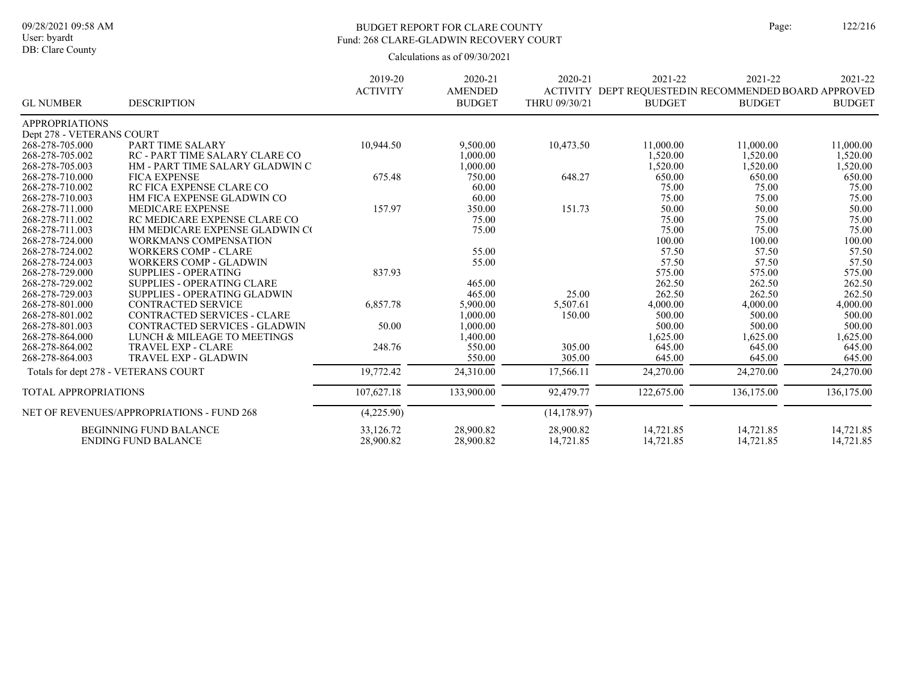# DB: Clare County

### BUDGET REPORT FOR CLARE COUNTY Page: 122/216 Fund: 268 CLARE-GLADWIN RECOVERY COURT

|                           |                                           | 2019-20         | 2020-21        | 2020-21       | 2021-22                                               | 2021-22       | 2021-22       |
|---------------------------|-------------------------------------------|-----------------|----------------|---------------|-------------------------------------------------------|---------------|---------------|
|                           |                                           | <b>ACTIVITY</b> | <b>AMENDED</b> |               | ACTIVITY DEPT REQUESTED IN RECOMMENDED BOARD APPROVED |               |               |
| <b>GL NUMBER</b>          | <b>DESCRIPTION</b>                        |                 | <b>BUDGET</b>  | THRU 09/30/21 | <b>BUDGET</b>                                         | <b>BUDGET</b> | <b>BUDGET</b> |
| <b>APPROPRIATIONS</b>     |                                           |                 |                |               |                                                       |               |               |
| Dept 278 - VETERANS COURT |                                           |                 |                |               |                                                       |               |               |
| 268-278-705.000           | PART TIME SALARY                          | 10,944.50       | 9,500.00       | 10,473.50     | 11,000.00                                             | 11,000.00     | 11,000.00     |
| 268-278-705.002           | <b>RC - PART TIME SALARY CLARE CO</b>     |                 | 1,000.00       |               | 1,520.00                                              | 1,520.00      | 1,520.00      |
| 268-278-705.003           | HM - PART TIME SALARY GLADWIN C           |                 | 1,000.00       |               | 1,520.00                                              | 1,520.00      | 1,520.00      |
| 268-278-710.000           | <b>FICA EXPENSE</b>                       | 675.48          | 750.00         | 648.27        | 650.00                                                | 650.00        | 650.00        |
| 268-278-710.002           | RC FICA EXPENSE CLARE CO                  |                 | 60.00          |               | 75.00                                                 | 75.00         | 75.00         |
| 268-278-710.003           | HM FICA EXPENSE GLADWIN CO                |                 | 60.00          |               | 75.00                                                 | 75.00         | 75.00         |
| 268-278-711.000           | <b>MEDICARE EXPENSE</b>                   | 157.97          | 350.00         | 151.73        | 50.00                                                 | 50.00         | 50.00         |
| 268-278-711.002           | RC MEDICARE EXPENSE CLARE CO              |                 | 75.00          |               | 75.00                                                 | 75.00         | 75.00         |
| 268-278-711.003           | HM MEDICARE EXPENSE GLADWIN CO            |                 | 75.00          |               | 75.00                                                 | 75.00         | 75.00         |
| 268-278-724.000           | <b>WORKMANS COMPENSATION</b>              |                 |                |               | 100.00                                                | 100.00        | 100.00        |
| 268-278-724.002           | <b>WORKERS COMP - CLARE</b>               |                 | 55.00          |               | 57.50                                                 | 57.50         | 57.50         |
| 268-278-724.003           | WORKERS COMP - GLADWIN                    |                 | 55.00          |               | 57.50                                                 | 57.50         | 57.50         |
| 268-278-729.000           | <b>SUPPLIES - OPERATING</b>               | 837.93          |                |               | 575.00                                                | 575.00        | 575.00        |
| 268-278-729.002           | SUPPLIES - OPERATING CLARE                |                 | 465.00         |               | 262.50                                                | 262.50        | 262.50        |
| 268-278-729.003           | <b>SUPPLIES - OPERATING GLADWIN</b>       |                 | 465.00         | 25.00         | 262.50                                                | 262.50        | 262.50        |
| 268-278-801.000           | <b>CONTRACTED SERVICE</b>                 | 6,857.78        | 5,900.00       | 5,507.61      | 4,000.00                                              | 4,000.00      | 4,000.00      |
| 268-278-801.002           | <b>CONTRACTED SERVICES - CLARE</b>        |                 | 1,000.00       | 150.00        | 500.00                                                | 500.00        | 500.00        |
| 268-278-801.003           | CONTRACTED SERVICES - GLADWIN             | 50.00           | 1,000.00       |               | 500.00                                                | 500.00        | 500.00        |
| 268-278-864.000           | <b>LUNCH &amp; MILEAGE TO MEETINGS</b>    |                 | 1,400.00       |               | 1,625.00                                              | 1,625.00      | 1,625.00      |
| 268-278-864.002           | <b>TRAVEL EXP - CLARE</b>                 | 248.76          | 550.00         | 305.00        | 645.00                                                | 645.00        | 645.00        |
| 268-278-864.003           | <b>TRAVEL EXP - GLADWIN</b>               |                 | 550.00         | 305.00        | 645.00                                                | 645.00        | 645.00        |
|                           | Totals for dept 278 - VETERANS COURT      | 19,772.42       | 24,310.00      | 17,566.11     | 24,270.00                                             | 24,270.00     | 24,270.00     |
| TOTAL APPROPRIATIONS      |                                           | 107,627.18      | 133,900.00     | 92,479.77     | 122,675.00                                            | 136,175.00    | 136,175.00    |
|                           | NET OF REVENUES/APPROPRIATIONS - FUND 268 | (4,225.90)      |                | (14, 178.97)  |                                                       |               |               |
|                           | <b>BEGINNING FUND BALANCE</b>             | 33,126.72       | 28,900.82      | 28,900.82     | 14,721.85                                             | 14,721.85     | 14,721.85     |
|                           | <b>ENDING FUND BALANCE</b>                | 28,900.82       | 28,900.82      | 14,721.85     | 14,721.85                                             | 14.721.85     | 14,721.85     |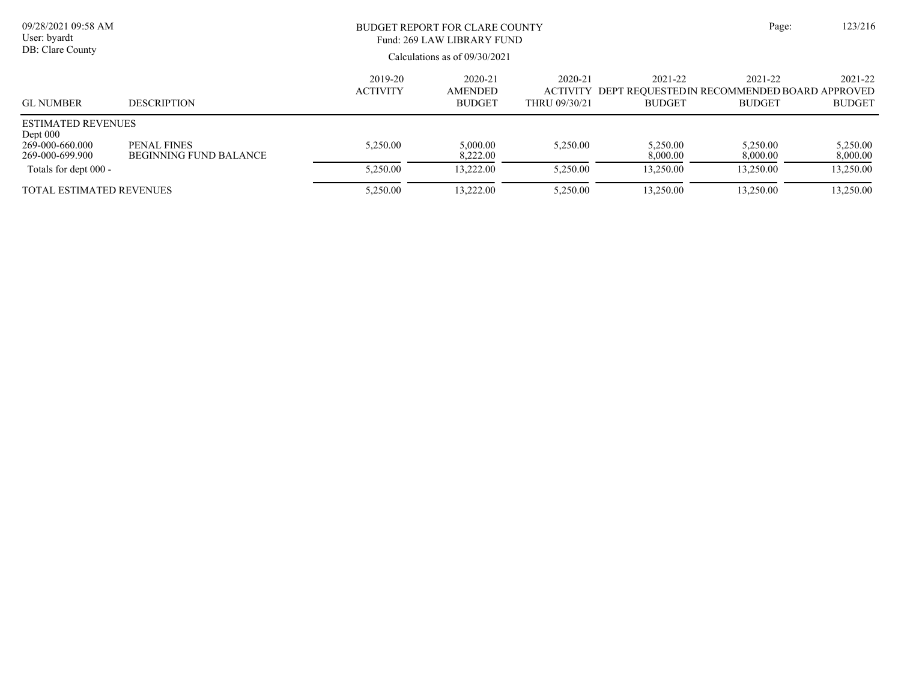| 09/28/2021 09:58 AM<br>User: byardt<br>DB: Clare County                       |                                              | BUDGET REPORT FOR CLARE COUNTY<br>Fund: 269 LAW LIBRARY FUND | Page:                                      | 123/216                                     |                                                                          |                          |                          |
|-------------------------------------------------------------------------------|----------------------------------------------|--------------------------------------------------------------|--------------------------------------------|---------------------------------------------|--------------------------------------------------------------------------|--------------------------|--------------------------|
|                                                                               |                                              | Calculations as of $09/30/2021$                              |                                            |                                             |                                                                          |                          |                          |
| <b>GL NUMBER</b>                                                              | <b>DESCRIPTION</b>                           | 2019-20<br><b>ACTIVITY</b>                                   | 2020-21<br><b>AMENDED</b><br><b>BUDGET</b> | 2020-21<br><b>ACTIVITY</b><br>THRU 09/30/21 | 2021-22<br>DEPT REOUESTED IN RECOMMENDED BOARD APPROVED<br><b>BUDGET</b> | 2021-22<br><b>BUDGET</b> | 2021-22<br><b>BUDGET</b> |
| <b>ESTIMATED REVENUES</b><br>Dept $000$<br>269-000-660.000<br>269-000-699.900 | PENAL FINES<br><b>BEGINNING FUND BALANCE</b> | 5,250.00                                                     | 5,000.00<br>8.222.00                       | 5,250.00                                    | 5.250.00<br>8,000.00                                                     | 5,250.00<br>8,000.00     | 5,250.00<br>8,000.00     |
| Totals for dept 000 -                                                         |                                              | 5,250.00                                                     | 13,222.00                                  | 5,250.00                                    | 13,250.00                                                                | 13.250.00                | 13,250.00                |
| <b>TOTAL ESTIMATED REVENUES</b>                                               |                                              | 5,250.00                                                     | 13,222.00                                  | 5,250.00                                    | 13,250.00                                                                | 13,250.00                | 13,250.00                |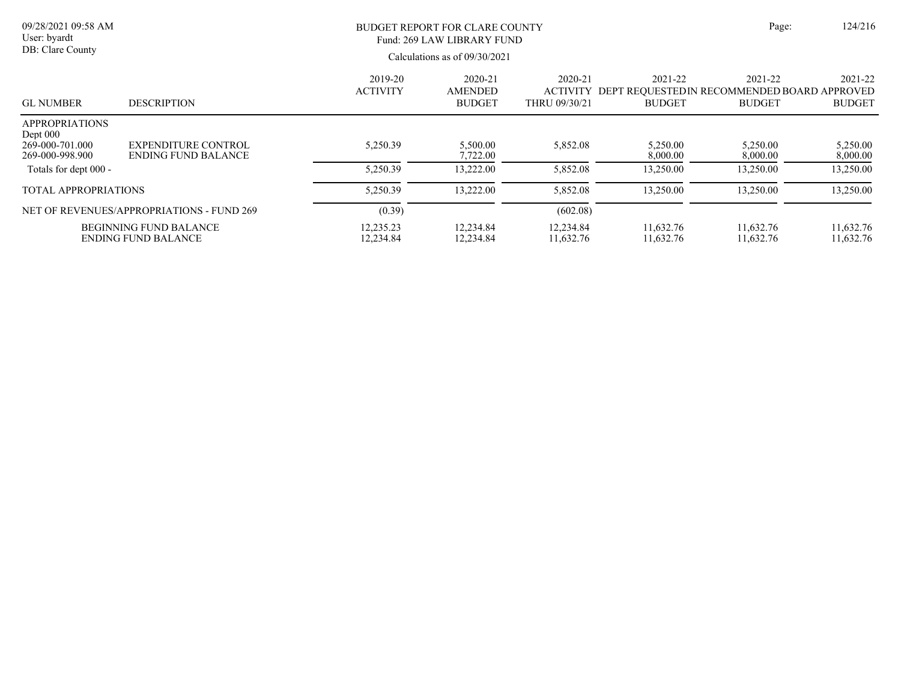| 09/28/2021 09:58 AM<br>User: byardt<br>DB: Clare County                   |                                                      | BUDGET REPORT FOR CLARE COUNTY<br>Fund: 269 LAW LIBRARY FUND<br>Calculations as of $09/30/2021$ | Page:                                      | 124/216                                     |                                                                          |                          |                          |
|---------------------------------------------------------------------------|------------------------------------------------------|-------------------------------------------------------------------------------------------------|--------------------------------------------|---------------------------------------------|--------------------------------------------------------------------------|--------------------------|--------------------------|
| <b>GL NUMBER</b>                                                          | <b>DESCRIPTION</b>                                   | 2019-20<br><b>ACTIVITY</b>                                                                      | 2020-21<br><b>AMENDED</b><br><b>BUDGET</b> | 2020-21<br><b>ACTIVITY</b><br>THRU 09/30/21 | 2021-22<br>DEPT REOUESTED IN RECOMMENDED BOARD APPROVED<br><b>BUDGET</b> | 2021-22<br><b>BUDGET</b> | 2021-22<br><b>BUDGET</b> |
| <b>APPROPRIATIONS</b><br>Dept $000$<br>269-000-701.000<br>269-000-998.900 | EXPENDITURE CONTROL<br><b>ENDING FUND BALANCE</b>    | 5,250.39                                                                                        | 5,500.00<br>7,722.00                       | 5,852.08                                    | 5,250.00<br>8,000.00                                                     | 5,250.00<br>8,000.00     | 5,250.00<br>8,000.00     |
| Totals for dept 000 -                                                     |                                                      | 5,250.39                                                                                        | 13,222.00                                  | 5,852.08                                    | 13,250.00                                                                | 13,250.00                | 13,250.00                |
| <b>TOTAL APPROPRIATIONS</b>                                               |                                                      | 5,250.39                                                                                        | 13,222.00                                  | 5,852.08                                    | 13,250.00                                                                | 13,250.00                | 13,250.00                |
|                                                                           | NET OF REVENUES/APPROPRIATIONS - FUND 269            | (0.39)                                                                                          |                                            | (602.08)                                    |                                                                          |                          |                          |
|                                                                           | <b>BEGINNING FUND BALANCE</b><br>ENDING FUND BALANCE | 12,235.23<br>12,234.84                                                                          | 12,234.84<br>12,234.84                     | 12,234.84<br>11,632.76                      | 11,632.76<br>11,632.76                                                   | 11,632.76<br>11,632.76   | 11,632.76<br>11,632.76   |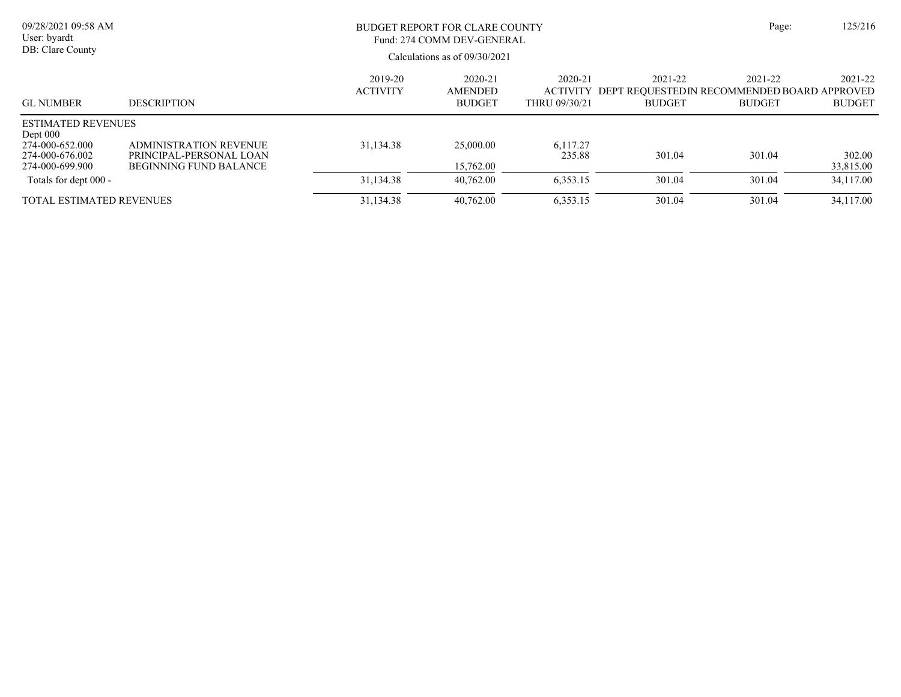| 09/28/2021 09:58 AM<br>User: byardt<br>DB: Clare County                                          |                                                                                           |                            | <b>BUDGET REPORT FOR CLARE COUNTY</b><br>Fund: 274 COMM DEV-GENERAL<br>Calculations as of 09/30/2021 |                          |                          |                                                                                  | 125/216                  |
|--------------------------------------------------------------------------------------------------|-------------------------------------------------------------------------------------------|----------------------------|------------------------------------------------------------------------------------------------------|--------------------------|--------------------------|----------------------------------------------------------------------------------|--------------------------|
| <b>GL NUMBER</b>                                                                                 | <b>DESCRIPTION</b>                                                                        | 2019-20<br><b>ACTIVITY</b> | 2020-21<br><b>AMENDED</b><br><b>BUDGET</b>                                                           | 2020-21<br>THRU 09/30/21 | 2021-22<br><b>BUDGET</b> | 2021-22<br>ACTIVITY DEPT REOUESTEDIN RECOMMENDED BOARD APPROVED<br><b>BUDGET</b> | 2021-22<br><b>BUDGET</b> |
| <b>ESTIMATED REVENUES</b><br>Dept $000$<br>274-000-652.000<br>274-000-676.002<br>274-000-699.900 | <b>ADMINISTRATION REVENUE</b><br>PRINCIPAL-PERSONAL LOAN<br><b>BEGINNING FUND BALANCE</b> | 31,134.38                  | 25,000.00<br>15,762.00                                                                               | 6,117.27<br>235.88       | 301.04                   | 301.04                                                                           | 302.00<br>33,815.00      |
| Totals for dept 000 -                                                                            |                                                                                           | 31,134.38                  | 40.762.00                                                                                            | 6,353.15                 | 301.04                   | 301.04                                                                           | 34,117.00                |
| <b>TOTAL ESTIMATED REVENUES</b>                                                                  |                                                                                           | 31,134.38                  | 40.762.00                                                                                            | 6,353.15                 | 301.04                   | 301.04                                                                           | 34,117.00                |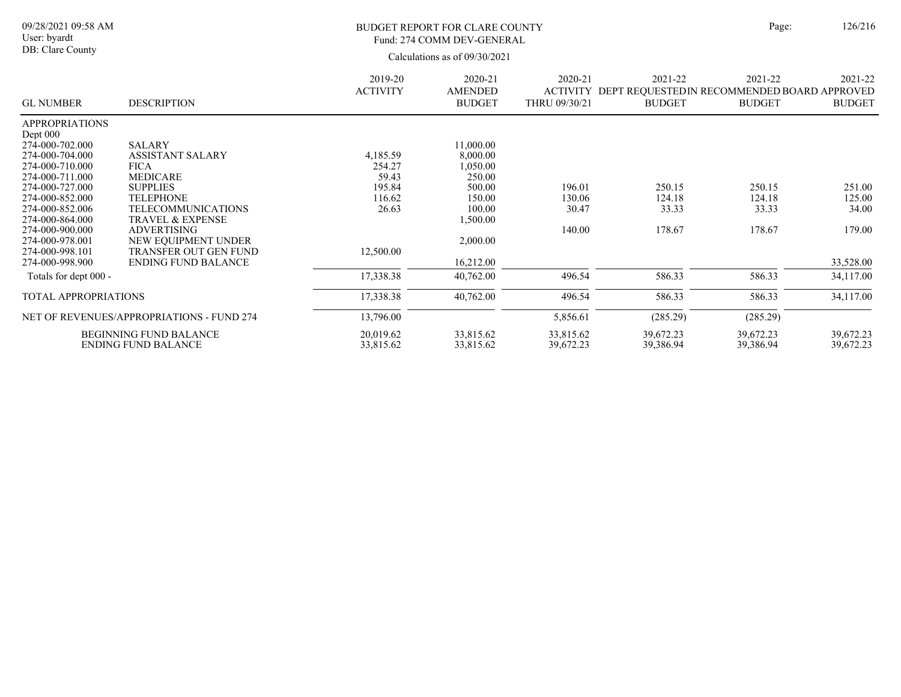### BUDGET REPORT FOR CLARE COUNTY Page: 126/216 Fund: 274 COMM DEV-GENERAL

|                             |                                           | 2019-20         | 2020-21        | 2020-21       | 2021-22                                              | 2021-22       | 2021-22       |
|-----------------------------|-------------------------------------------|-----------------|----------------|---------------|------------------------------------------------------|---------------|---------------|
|                             |                                           | <b>ACTIVITY</b> | <b>AMENDED</b> |               | ACTIVITY DEPT REQUESTEDIN RECOMMENDED BOARD APPROVED |               |               |
| <b>GL NUMBER</b>            | <b>DESCRIPTION</b>                        |                 | <b>BUDGET</b>  | THRU 09/30/21 | <b>BUDGET</b>                                        | <b>BUDGET</b> | <b>BUDGET</b> |
| <b>APPROPRIATIONS</b>       |                                           |                 |                |               |                                                      |               |               |
| Dept $000$                  |                                           |                 |                |               |                                                      |               |               |
| 274-000-702.000             | <b>SALARY</b>                             |                 | 11,000.00      |               |                                                      |               |               |
| 274-000-704.000             | <b>ASSISTANT SALARY</b>                   | 4,185.59        | 8,000.00       |               |                                                      |               |               |
| 274-000-710.000             | <b>FICA</b>                               | 254.27          | 050.00         |               |                                                      |               |               |
| 274-000-711.000             | <b>MEDICARE</b>                           | 59.43           | 250.00         |               |                                                      |               |               |
| 274-000-727.000             | <b>SUPPLIES</b>                           | 195.84          | 500.00         | 196.01        | 250.15                                               | 250.15        | 251.00        |
| 274-000-852.000             | <b>TELEPHONE</b>                          | 116.62          | 150.00         | 130.06        | 124.18                                               | 124.18        | 125.00        |
| 274-000-852.006             | <b>TELECOMMUNICATIONS</b>                 | 26.63           | 100.00         | 30.47         | 33.33                                                | 33.33         | 34.00         |
| 274-000-864.000             | <b>TRAVEL &amp; EXPENSE</b>               |                 | 1,500.00       |               |                                                      |               |               |
| 274-000-900.000             | <b>ADVERTISING</b>                        |                 |                | 140.00        | 178.67                                               | 178.67        | 179.00        |
| 274-000-978.001             | NEW EQUIPMENT UNDER                       |                 | 2,000.00       |               |                                                      |               |               |
| 274-000-998.101             | TRANSFER OUT GEN FUND                     | 12,500.00       |                |               |                                                      |               |               |
| 274-000-998.900             | <b>ENDING FUND BALANCE</b>                |                 | 16,212.00      |               |                                                      |               | 33,528.00     |
| Totals for dept 000 -       |                                           | 17,338.38       | 40,762.00      | 496.54        | 586.33                                               | 586.33        | 34,117.00     |
| <b>TOTAL APPROPRIATIONS</b> |                                           | 17,338.38       | 40,762.00      | 496.54        | 586.33                                               | 586.33        | 34,117.00     |
|                             | NET OF REVENUES/APPROPRIATIONS - FUND 274 | 13,796.00       |                | 5,856.61      | (285.29)                                             | (285.29)      |               |
|                             | <b>BEGINNING FUND BALANCE</b>             | 20,019.62       | 33,815.62      | 33,815.62     | 39,672.23                                            | 39,672.23     | 39,672.23     |
|                             | <b>ENDING FUND BALANCE</b>                | 33,815.62       | 33,815.62      | 39,672.23     | 39,386.94                                            | 39,386.94     | 39,672.23     |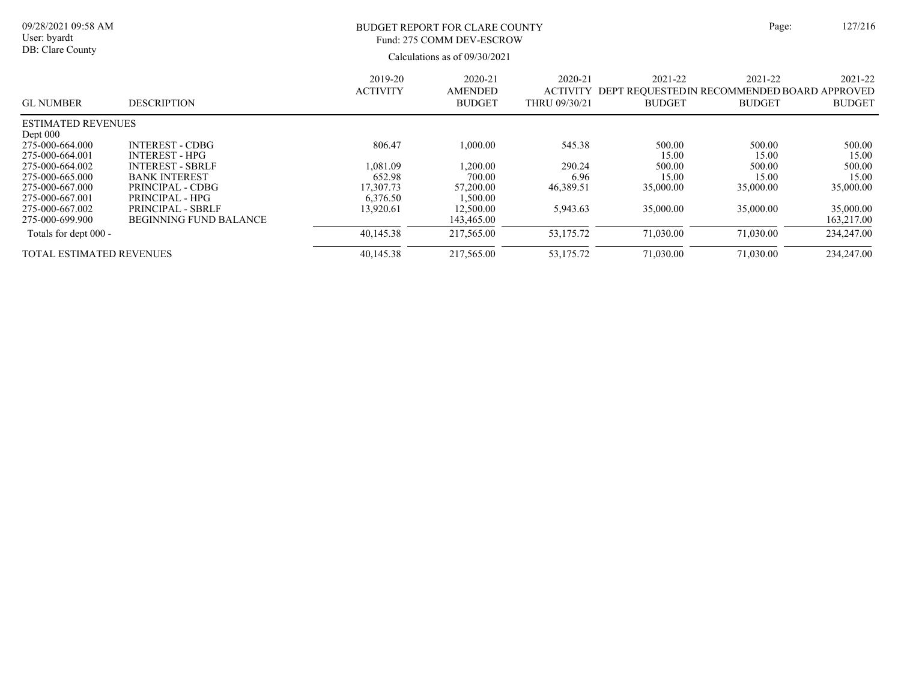| Page: |
|-------|
|       |

09/28/2021 09:58 AM User: byardt DB: Clare County

## BUDGET REPORT FOR CLARE COUNTY Page: 127/216 Fund: 275 COMM DEV-ESCROW

| <b>GL NUMBER</b>                                      | <b>DESCRIPTION</b>                                          | 2019-20<br><b>ACTIVITY</b>      | 2020-21<br><b>AMENDED</b><br><b>BUDGET</b> | 2020-21<br><b>ACTIVITY</b><br>THRU 09/30/21 | 2021-22<br><b>BUDGET</b> | 2021-22<br>DEPT REOUESTEDIN RECOMMENDED BOARD APPROVED<br><b>BUDGET</b> | 2021-22<br><b>BUDGET</b> |
|-------------------------------------------------------|-------------------------------------------------------------|---------------------------------|--------------------------------------------|---------------------------------------------|--------------------------|-------------------------------------------------------------------------|--------------------------|
| <b>ESTIMATED REVENUES</b>                             |                                                             |                                 |                                            |                                             |                          |                                                                         |                          |
| Dept $000$<br>275-000-664.000<br>275-000-664.001      | <b>INTEREST - CDBG</b><br><b>INTEREST - HPG</b>             | 806.47                          | 1.000.00                                   | 545.38                                      | 500.00<br>15.00          | 500.00<br>15.00                                                         | 500.00<br>15.00          |
| 275-000-664.002                                       | <b>INTEREST - SBRLF</b>                                     | 1.081.09                        | .200.00                                    | 290.24                                      | 500.00                   | 500.00                                                                  | 500.00                   |
| 275-000-665.000<br>275-000-667.000<br>275-000-667.001 | <b>BANK INTEREST</b><br>PRINCIPAL - CDBG<br>PRINCIPAL - HPG | 652.98<br>17,307.73<br>6,376.50 | 700.00<br>57,200.00<br>1,500.00            | 6.96<br>46,389.51                           | 15.00<br>35,000.00       | 15.00<br>35,000.00                                                      | 15.00<br>35,000.00       |
| 275-000-667.002<br>275-000-699.900                    | PRINCIPAL - SBRLF<br><b>BEGINNING FUND BALANCE</b>          | 13.920.61                       | 12,500.00<br>143,465.00                    | 5,943.63                                    | 35,000.00                | 35,000.00                                                               | 35,000.00<br>163,217.00  |
| Totals for dept 000 -                                 |                                                             | 40.145.38                       | 217,565.00                                 | 53,175.72                                   | 71,030.00                | 71,030.00                                                               | 234,247.00               |
| <b>TOTAL ESTIMATED REVENUES</b>                       |                                                             | 40.145.38                       | 217,565.00                                 | 53.175.72                                   | 71,030.00                | 71,030.00                                                               | 234,247.00               |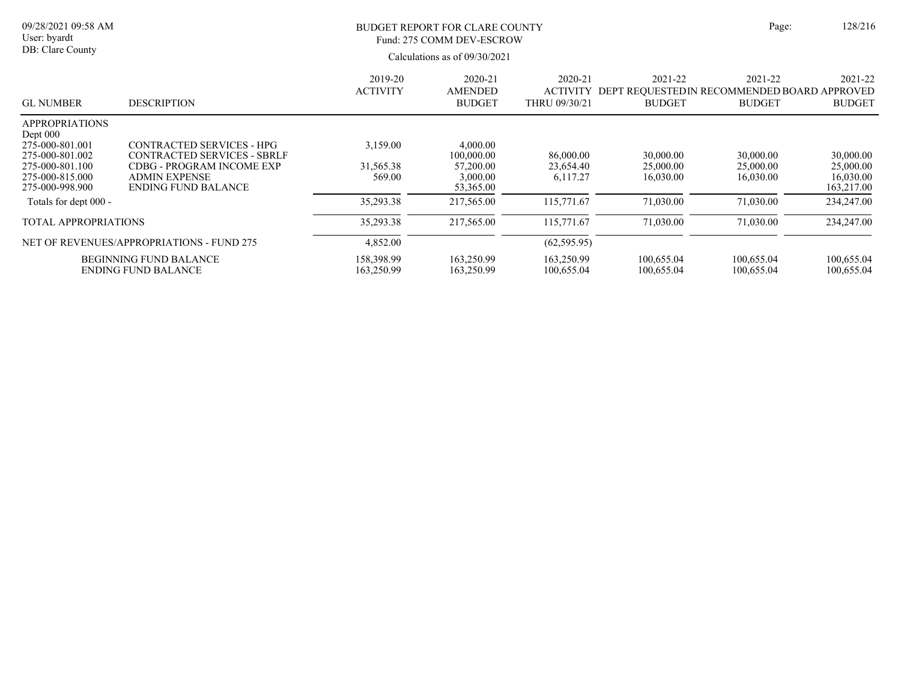| 09/28/2021 09:58 AM<br>User: byardt<br>DB: Clare County                                                                          |                                                                                                                                                           | <b>BUDGET REPORT FOR CLARE COUNTY</b><br>Fund: 275 COMM DEV-ESCROW<br>Calculations as of 09/30/2021 |                                                              |                                             |                                     |                                                                          |                                                   |  |  |
|----------------------------------------------------------------------------------------------------------------------------------|-----------------------------------------------------------------------------------------------------------------------------------------------------------|-----------------------------------------------------------------------------------------------------|--------------------------------------------------------------|---------------------------------------------|-------------------------------------|--------------------------------------------------------------------------|---------------------------------------------------|--|--|
| <b>GL NUMBER</b>                                                                                                                 | <b>DESCRIPTION</b>                                                                                                                                        | 2019-20<br><b>ACTIVITY</b>                                                                          | 2020-21<br><b>AMENDED</b><br><b>BUDGET</b>                   | 2020-21<br><b>ACTIVITY</b><br>THRU 09/30/21 | 2021-22<br><b>BUDGET</b>            | 2021-22<br>DEPT REQUESTED IN RECOMMENDED BOARD APPROVED<br><b>BUDGET</b> | 2021-22<br><b>BUDGET</b>                          |  |  |
| <b>APPROPRIATIONS</b><br>Dept 000<br>275-000-801.001<br>275-000-801.002<br>275-000-801.100<br>275-000-815.000<br>275-000-998.900 | <b>CONTRACTED SERVICES - HPG</b><br>CONTRACTED SERVICES - SBRLF<br><b>CDBG - PROGRAM INCOME EXP</b><br><b>ADMIN EXPENSE</b><br><b>ENDING FUND BALANCE</b> | 3,159.00<br>31,565.38<br>569.00                                                                     | 4,000.00<br>100,000.00<br>57,200.00<br>3,000.00<br>53,365.00 | 86,000.00<br>23,654.40<br>6.117.27          | 30,000.00<br>25,000.00<br>16.030.00 | 30,000.00<br>25,000.00<br>16,030.00                                      | 30,000.00<br>25,000.00<br>16,030.00<br>163,217.00 |  |  |
| Totals for dept 000 -                                                                                                            |                                                                                                                                                           | 35,293.38                                                                                           | 217,565.00                                                   | 115,771.67                                  | 71,030.00                           | 71,030.00                                                                | 234,247.00                                        |  |  |
| <b>TOTAL APPROPRIATIONS</b>                                                                                                      |                                                                                                                                                           | 35,293.38                                                                                           | 217,565.00                                                   | 115,771.67                                  | 71,030.00                           | 71,030.00                                                                | 234,247.00                                        |  |  |
|                                                                                                                                  | NET OF REVENUES/APPROPRIATIONS - FUND 275                                                                                                                 | 4,852.00                                                                                            |                                                              | (62, 595.95)                                |                                     |                                                                          |                                                   |  |  |
|                                                                                                                                  | <b>BEGINNING FUND BALANCE</b><br><b>ENDING FUND BALANCE</b>                                                                                               | 158,398.99<br>163,250.99                                                                            | 163,250.99<br>163,250.99                                     | 163,250.99<br>100,655.04                    | 100,655.04<br>100,655.04            | 100,655.04<br>100,655.04                                                 | 100,655.04<br>100,655.04                          |  |  |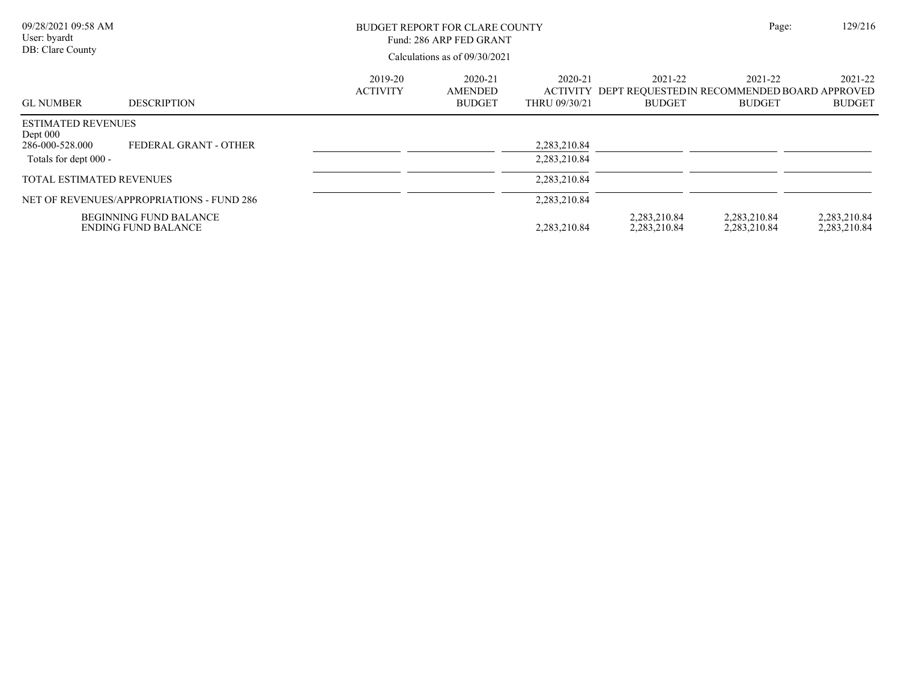| 09/28/2021 09:58 AM<br>User: byardt<br>DB: Clare County                             |                                                             |                            | BUDGET REPORT FOR CLARE COUNTY<br>Fund: 286 ARP FED GRANT<br>Calculations as of 09/30/2021 |                              |                                                                                  |                              | 129/216<br>Page:             |
|-------------------------------------------------------------------------------------|-------------------------------------------------------------|----------------------------|--------------------------------------------------------------------------------------------|------------------------------|----------------------------------------------------------------------------------|------------------------------|------------------------------|
| <b>GL NUMBER</b>                                                                    | <b>DESCRIPTION</b>                                          | 2019-20<br><b>ACTIVITY</b> | 2020-21<br>AMENDED<br><b>BUDGET</b>                                                        | 2020-21<br>THRU 09/30/21     | 2021-22<br>ACTIVITY DEPT REQUESTEDIN RECOMMENDED BOARD APPROVED<br><b>BUDGET</b> | 2021-22<br><b>BUDGET</b>     | 2021-22<br><b>BUDGET</b>     |
| <b>ESTIMATED REVENUES</b><br>Dept $000$<br>286-000-528.000<br>Totals for dept 000 - | FEDERAL GRANT - OTHER                                       |                            |                                                                                            | 2,283,210.84<br>2,283,210.84 |                                                                                  |                              |                              |
| TOTAL ESTIMATED REVENUES                                                            |                                                             |                            |                                                                                            | 2,283,210.84                 |                                                                                  |                              |                              |
|                                                                                     | NET OF REVENUES/APPROPRIATIONS - FUND 286                   |                            |                                                                                            | 2,283,210.84                 |                                                                                  |                              |                              |
|                                                                                     | <b>BEGINNING FUND BALANCE</b><br><b>ENDING FUND BALANCE</b> |                            |                                                                                            | 2,283,210.84                 | 2,283,210.84<br>2,283,210.84                                                     | 2,283,210.84<br>2,283,210.84 | 2,283,210.84<br>2,283,210.84 |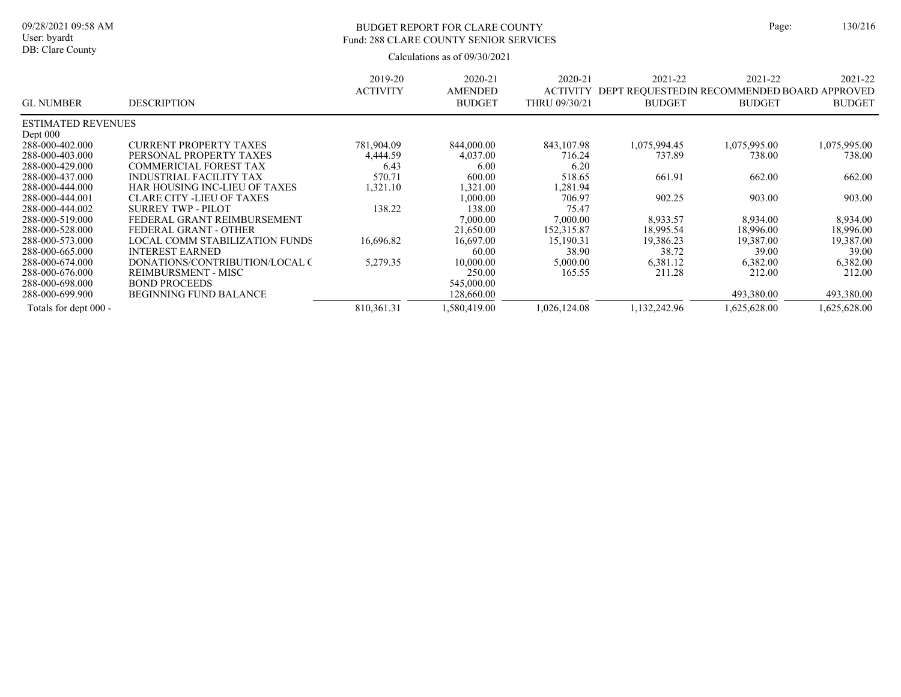## BUDGET REPORT FOR CLARE COUNTY Page: 130/216 Fund: 288 CLARE COUNTY SENIOR SERVICES

|                           |                                      | 2019-20<br><b>ACTIVITY</b> | 2020-21<br><b>AMENDED</b> | 2020-21<br><b>ACTIVITY</b> | 2021-22<br>DEPT REQUESTED IN RECOMMENDED BOARD APPROVED | 2021-22       | 2021-22       |
|---------------------------|--------------------------------------|----------------------------|---------------------------|----------------------------|---------------------------------------------------------|---------------|---------------|
| <b>GL NUMBER</b>          | <b>DESCRIPTION</b>                   |                            | <b>BUDGET</b>             | THRU 09/30/21              | <b>BUDGET</b>                                           | <b>BUDGET</b> | <b>BUDGET</b> |
| <b>ESTIMATED REVENUES</b> |                                      |                            |                           |                            |                                                         |               |               |
| Dept $000$                |                                      |                            |                           |                            |                                                         |               |               |
| 288-000-402.000           | <b>CURRENT PROPERTY TAXES</b>        | 781,904.09                 | 844,000.00                | 843,107.98                 | 1,075,994.45                                            | 1,075,995.00  | 1,075,995.00  |
| 288-000-403.000           | PERSONAL PROPERTY TAXES              | 4,444.59                   | 4,037.00                  | 716.24                     | 737.89                                                  | 738.00        | 738.00        |
| 288-000-429.000           | <b>COMMERICIAL FOREST TAX</b>        | 6.43                       | 6.00                      | 6.20                       |                                                         |               |               |
| 288-000-437.000           | <b>INDUSTRIAL FACILITY TAX</b>       | 570.71                     | 600.00                    | 518.65                     | 661.91                                                  | 662.00        | 662.00        |
| 288-000-444.000           | <b>HAR HOUSING INC-LIEU OF TAXES</b> | 1,321.10                   | 1,321.00                  | .281.94                    |                                                         |               |               |
| 288-000-444.001           | <b>CLARE CITY -LIEU OF TAXES</b>     |                            | 1,000.00                  | 706.97                     | 902.25                                                  | 903.00        | 903.00        |
| 288-000-444.002           | SURREY TWP - PILOT                   | 138.22                     | 138.00                    | 75.47                      |                                                         |               |               |
| 288-000-519.000           | FEDERAL GRANT REIMBURSEMENT          |                            | 7,000.00                  | 7,000.00                   | 8,933.57                                                | 8.934.00      | 8.934.00      |
| 288-000-528.000           | FEDERAL GRANT - OTHER                |                            | 21,650.00                 | 152,315.87                 | 18,995.54                                               | 18,996.00     | 18,996.00     |
| 288-000-573.000           | LOCAL COMM STABILIZATION FUNDS       | 16.696.82                  | 16,697.00                 | 15,190.31                  | 19,386.23                                               | 19.387.00     | 19,387.00     |
| 288-000-665.000           | <b>INTEREST EARNED</b>               |                            | 60.00                     | 38.90                      | 38.72                                                   | 39.00         | 39.00         |
| 288-000-674.000           | DONATIONS/CONTRIBUTION/LOCAL C       | 5,279.35                   | 10,000.00                 | 5,000.00                   | 6,381.12                                                | 6,382.00      | 6,382.00      |
| 288-000-676.000           | REIMBURSMENT - MISC                  |                            | 250.00                    | 165.55                     | 211.28                                                  | 212.00        | 212.00        |
| 288-000-698.000           | <b>BOND PROCEEDS</b>                 |                            | 545,000.00                |                            |                                                         |               |               |
| 288-000-699.900           | <b>BEGINNING FUND BALANCE</b>        |                            | 128,660.00                |                            |                                                         | 493,380.00    | 493,380.00    |
| Totals for dept 000 -     |                                      | 810,361.31                 | 1,580,419.00              | 1,026,124.08               | 1,132,242.96                                            | 1,625,628.00  | 1,625,628.00  |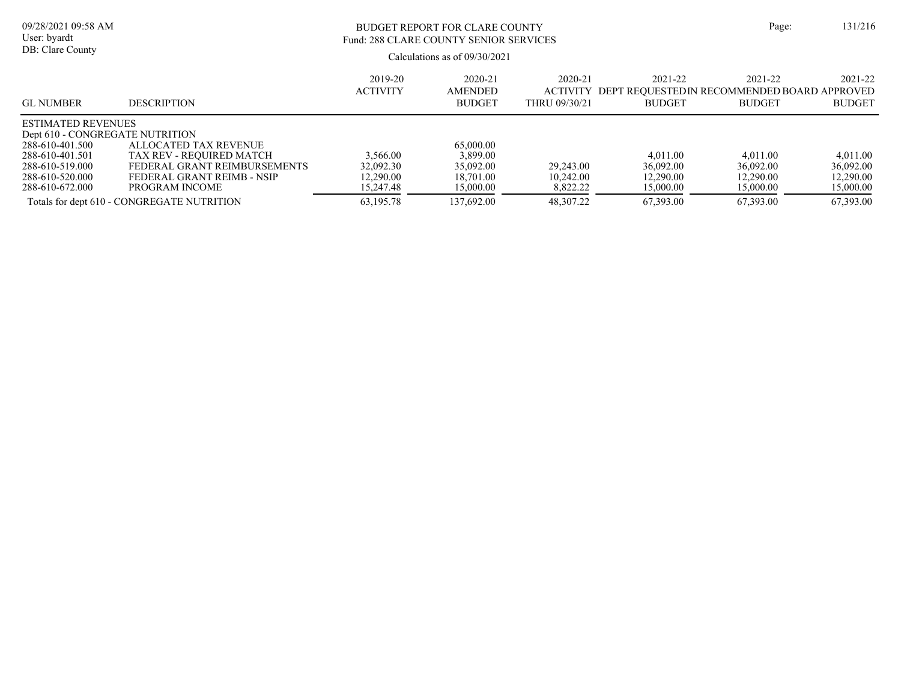# BUDGET REPORT FOR CLARE COUNTY Page: 131/216 Fund: 288 CLARE COUNTY SENIOR SERVICES

|                                 |                                            | 2019-20         | 2020-21        | 2020-21       | 2021-22                                      | 2021-22       | 2021-22       |
|---------------------------------|--------------------------------------------|-----------------|----------------|---------------|----------------------------------------------|---------------|---------------|
|                                 |                                            | <b>ACTIVITY</b> | <b>AMENDED</b> | ACTIVITY      | DEPT REOUESTED IN RECOMMENDED BOARD APPROVED |               |               |
| <b>GL NUMBER</b>                | <b>DESCRIPTION</b>                         |                 | <b>BUDGET</b>  | THRU 09/30/21 | <b>BUDGET</b>                                | <b>BUDGET</b> | <b>BUDGET</b> |
| <b>ESTIMATED REVENUES</b>       |                                            |                 |                |               |                                              |               |               |
| Dept 610 - CONGREGATE NUTRITION |                                            |                 |                |               |                                              |               |               |
| 288-610-401.500                 | ALLOCATED TAX REVENUE                      |                 | 65,000.00      |               |                                              |               |               |
| 288-610-401.501                 | TAX REV - REOUIRED MATCH                   | 3,566.00        | 3,899.00       |               | 4.011.00                                     | 4.011.00      | 4.011.00      |
| 288-610-519.000                 | FEDERAL GRANT REIMBURSEMENTS               | 32,092.30       | 35,092.00      | 29,243.00     | 36,092.00                                    | 36,092.00     | 36,092.00     |
| 288-610-520.000                 | FEDERAL GRANT REIMB - NSIP                 | 12.290.00       | 18,701.00      | 10.242.00     | 12,290.00                                    | 12,290.00     | 12,290.00     |
| 288-610-672.000                 | PROGRAM INCOME                             | 15,247.48       | 15,000.00      | 8,822.22      | 15,000.00                                    | 15,000.00     | 15,000.00     |
|                                 | Totals for dept 610 - CONGREGATE NUTRITION | 63,195.78       | 137,692.00     | 48,307.22     | 67,393.00                                    | 67,393.00     | 67,393.00     |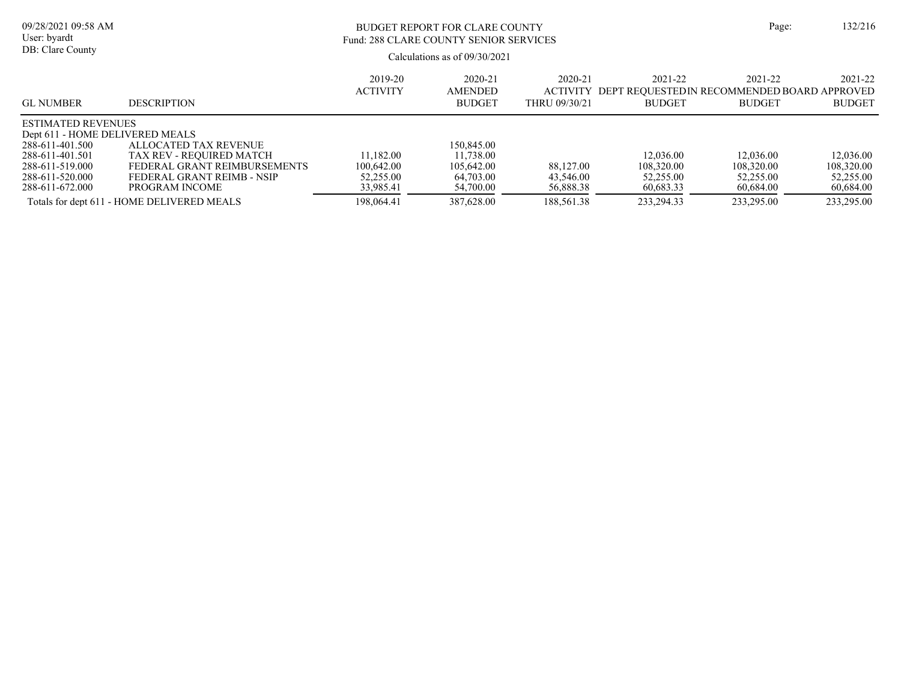| 09/28/2021 09:58 AM<br>User: byardt<br>DB: Clare County                                                                                                     |                                                                                                                                   | BUDGET REPORT FOR CLARE COUNTY<br>Fund: 288 CLARE COUNTY SENIOR SERVICES<br>Calculations as of 09/30/2021 |                                                                 |                                             |                                                                         | Page:                                             | 132/216                                           |
|-------------------------------------------------------------------------------------------------------------------------------------------------------------|-----------------------------------------------------------------------------------------------------------------------------------|-----------------------------------------------------------------------------------------------------------|-----------------------------------------------------------------|---------------------------------------------|-------------------------------------------------------------------------|---------------------------------------------------|---------------------------------------------------|
| <b>GL NUMBER</b>                                                                                                                                            | <b>DESCRIPTION</b>                                                                                                                | 2019-20<br><b>ACTIVITY</b>                                                                                | 2020-21<br><b>AMENDED</b><br><b>BUDGET</b>                      | 2020-21<br><b>ACTIVITY</b><br>THRU 09/30/21 | 2021-22<br>DEPT REOUESTEDIN RECOMMENDED BOARD APPROVED<br><b>BUDGET</b> | 2021-22<br><b>BUDGET</b>                          | 2021-22<br><b>BUDGET</b>                          |
| <b>ESTIMATED REVENUES</b><br>Dept 611 - HOME DELIVERED MEALS<br>288-611-401.500<br>288-611-401.501<br>288-611-519.000<br>288-611-520.000<br>288-611-672.000 | ALLOCATED TAX REVENUE<br>TAX REV - REOUIRED MATCH<br>FEDERAL GRANT REIMBURSEMENTS<br>FEDERAL GRANT REIMB - NSIP<br>PROGRAM INCOME | 11.182.00<br>100,642.00<br>52,255.00<br>33,985.41                                                         | 150,845.00<br>11,738.00<br>105,642.00<br>64,703.00<br>54,700.00 | 88,127.00<br>43.546.00<br>56,888.38         | 12,036.00<br>108,320.00<br>52,255.00<br>60,683.33                       | 12,036.00<br>108,320.00<br>52,255.00<br>60.684.00 | 12,036.00<br>108,320.00<br>52,255.00<br>60.684.00 |

Totals for dept 611 - HOME DELIVERED MEALS 198,064.41 387,628.00 188,561.38 233,294.33 233,295.00 233,295.00 233,295.00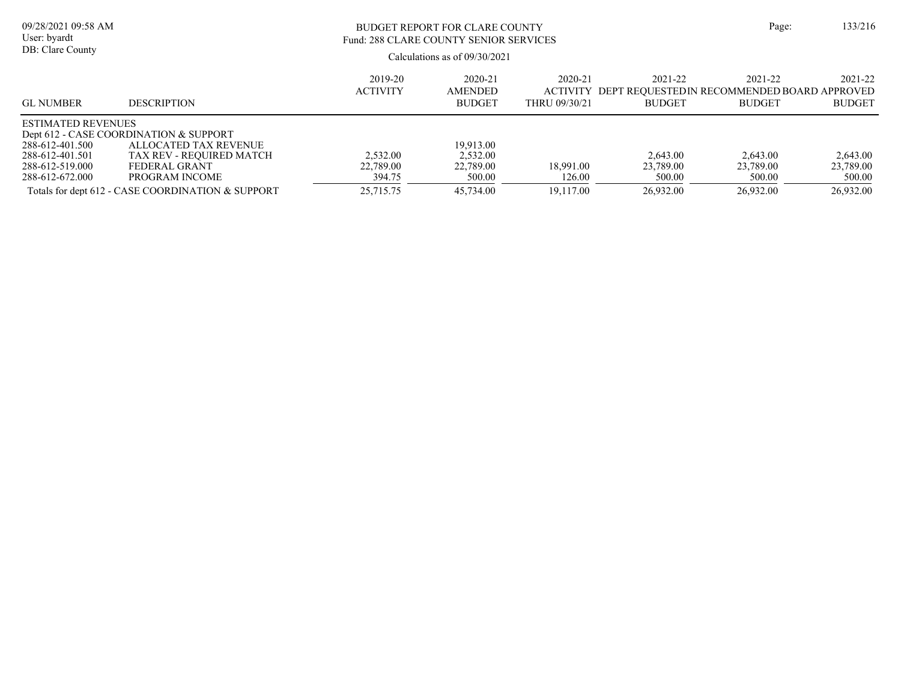| 09/28/2021 09:58 AM<br>User: byardt<br>DB: Clare County                                               |                                                                                                                                                                                     |                                              | BUDGET REPORT FOR CLARE COUNTY<br>Fund: 288 CLARE COUNTY SENIOR SERVICES<br>Calculations as of 09/30/2021 |                                  |                                                                                  |                                              |                                              |
|-------------------------------------------------------------------------------------------------------|-------------------------------------------------------------------------------------------------------------------------------------------------------------------------------------|----------------------------------------------|-----------------------------------------------------------------------------------------------------------|----------------------------------|----------------------------------------------------------------------------------|----------------------------------------------|----------------------------------------------|
| <b>GL NUMBER</b>                                                                                      | <b>DESCRIPTION</b>                                                                                                                                                                  | 2019-20<br><b>ACTIVITY</b>                   | 2020-21<br><b>AMENDED</b><br><b>BUDGET</b>                                                                | 2020-21<br>THRU 09/30/21         | 2021-22<br>ACTIVITY DEPT REOUESTEDIN RECOMMENDED BOARD APPROVED<br><b>BUDGET</b> | 2021-22<br><b>BUDGET</b>                     | 2021-22<br><b>BUDGET</b>                     |
| <b>ESTIMATED REVENUES</b><br>288-612-401.500<br>288-612-401.501<br>288-612-519.000<br>288-612-672.000 | Dept 612 - CASE COORDINATION & SUPPORT<br>ALLOCATED TAX REVENUE<br>TAX REV - REOUIRED MATCH<br>FEDERAL GRANT<br>PROGRAM INCOME<br>Totals for dept 612 - CASE COORDINATION & SUPPORT | 2.532.00<br>22,789.00<br>394.75<br>25,715.75 | 19.913.00<br>2,532.00<br>22,789.00<br>500.00<br>45,734.00                                                 | 18,991.00<br>126.00<br>19.117.00 | 2.643.00<br>23,789.00<br>500.00<br>26,932.00                                     | 2,643.00<br>23,789.00<br>500.00<br>26,932.00 | 2,643.00<br>23,789.00<br>500.00<br>26,932.00 |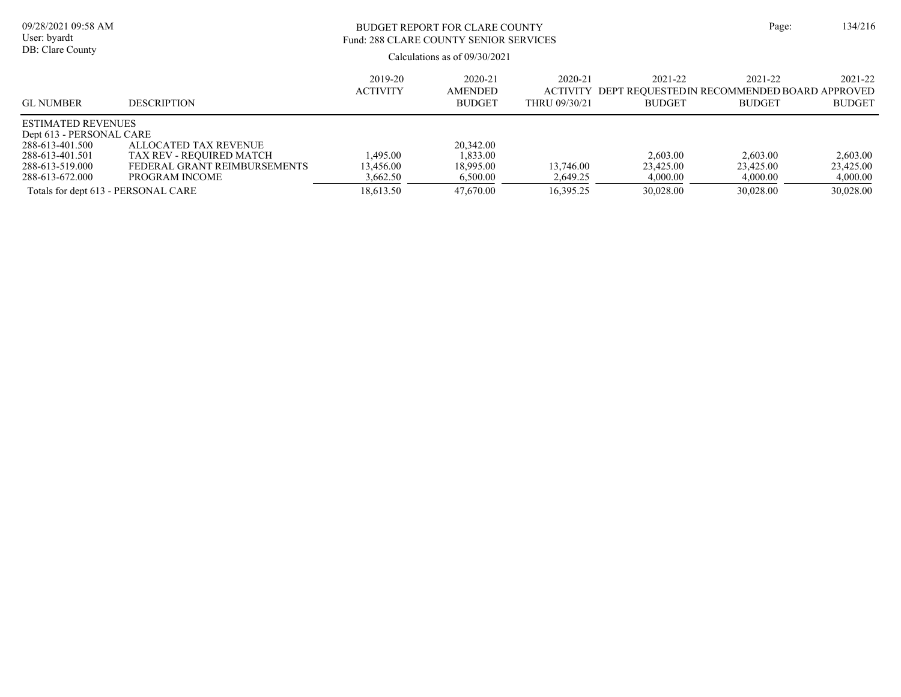| 09/28/2021 09:58 AM<br>User: byardt<br>DB: Clare County                                                                                                                  |                                                                                                     | BUDGET REPORT FOR CLARE COUNTY<br>Fund: 288 CLARE COUNTY SENIOR SERVICES<br>Calculations as of $09/30/2021$ |                                                             |                                      |                                                                         |                                                | 134/216<br>Page:                               |
|--------------------------------------------------------------------------------------------------------------------------------------------------------------------------|-----------------------------------------------------------------------------------------------------|-------------------------------------------------------------------------------------------------------------|-------------------------------------------------------------|--------------------------------------|-------------------------------------------------------------------------|------------------------------------------------|------------------------------------------------|
| <b>GL NUMBER</b>                                                                                                                                                         | <b>DESCRIPTION</b>                                                                                  | 2019-20<br><b>ACTIVITY</b>                                                                                  | 2020-21<br><b>AMENDED</b><br><b>BUDGET</b>                  | 2020-21<br>ACTIVITY<br>THRU 09/30/21 | 2021-22<br>DEPT REQUESTEDIN RECOMMENDED BOARD APPROVED<br><b>BUDGET</b> | 2021-22<br><b>BUDGET</b>                       | 2021-22<br><b>BUDGET</b>                       |
| <b>ESTIMATED REVENUES</b><br>Dept 613 - PERSONAL CARE<br>288-613-401.500<br>288-613-401.501<br>288-613-519.000<br>288-613-672.000<br>Totals for dept 613 - PERSONAL CARE | ALLOCATED TAX REVENUE<br>TAX REV - REQUIRED MATCH<br>FEDERAL GRANT REIMBURSEMENTS<br>PROGRAM INCOME | 1.495.00<br>13.456.00<br>3,662.50<br>18.613.50                                                              | 20,342.00<br>1.833.00<br>18,995.00<br>6,500.00<br>47,670.00 | 13,746.00<br>2,649.25<br>16,395.25   | 2,603.00<br>23,425.00<br>4,000.00<br>30.028.00                          | 2,603.00<br>23,425.00<br>4,000.00<br>30.028.00 | 2.603.00<br>23,425.00<br>4,000.00<br>30,028.00 |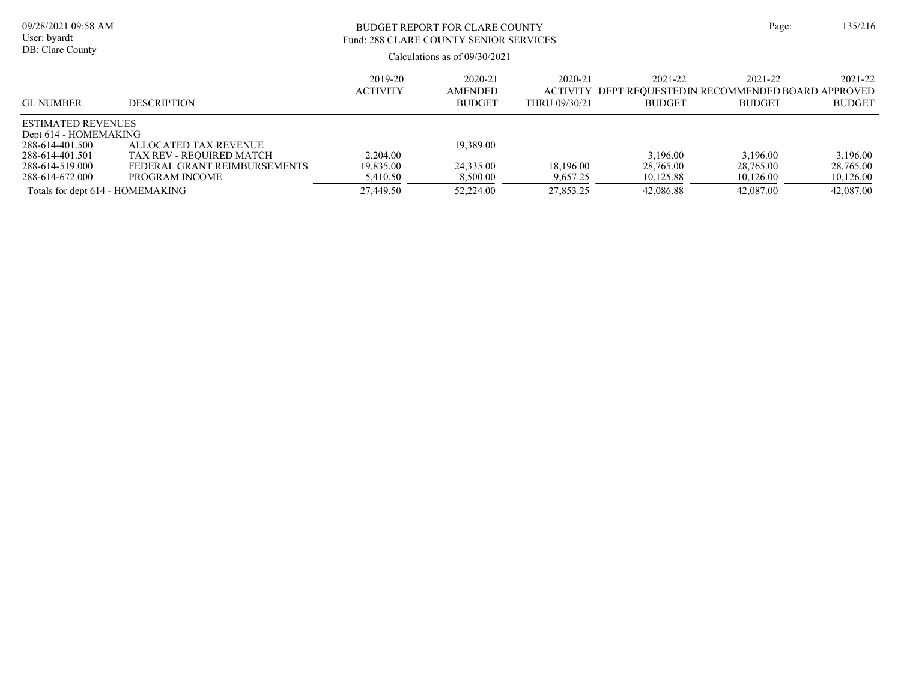| 09/28/2021 09:58 AM<br>User: byardt<br>DB: Clare County |                              | BUDGET REPORT FOR CLARE COUNTY<br>Fund: 288 CLARE COUNTY SENIOR SERVICES<br>Calculations as of $09/30/2021$ | Page:                           | 135/216                          |               |                                                              |               |
|---------------------------------------------------------|------------------------------|-------------------------------------------------------------------------------------------------------------|---------------------------------|----------------------------------|---------------|--------------------------------------------------------------|---------------|
|                                                         |                              | 2019-20                                                                                                     | 2020-21                         | 2020-21                          | 2021-22       | 2021-22                                                      | 2021-22       |
| <b>GL NUMBER</b>                                        | <b>DESCRIPTION</b>           | <b>ACTIVITY</b>                                                                                             | <b>AMENDED</b><br><b>BUDGET</b> | <b>ACTIVITY</b><br>THRU 09/30/21 | <b>BUDGET</b> | DEPT REOUESTEDIN RECOMMENDED BOARD APPROVED<br><b>BUDGET</b> | <b>BUDGET</b> |
| <b>ESTIMATED REVENUES</b>                               |                              |                                                                                                             |                                 |                                  |               |                                                              |               |
| Dept 614 - HOMEMAKING<br>288-614-401.500                | ALLOCATED TAX REVENUE        |                                                                                                             | 19,389.00                       |                                  |               |                                                              |               |
| 288-614-401.501                                         | TAX REV - REQUIRED MATCH     | 2,204.00                                                                                                    |                                 |                                  | 3.196.00      | 3.196.00                                                     | 3.196.00      |
| 288-614-519.000                                         | FEDERAL GRANT REIMBURSEMENTS | 19,835.00                                                                                                   | 24,335.00                       | 18,196.00                        | 28,765.00     | 28,765.00                                                    | 28,765.00     |
| 288-614-672.000                                         | PROGRAM INCOME               | 5,410.50                                                                                                    | 8,500.00                        | 9,657.25                         | 10,125.88     | 10,126.00                                                    | 10,126.00     |
| Totals for dept 614 - HOMEMAKING                        |                              | 27,449.50                                                                                                   | 52,224.00                       | 27,853.25                        | 42,086.88     | 42,087.00                                                    | 42,087.00     |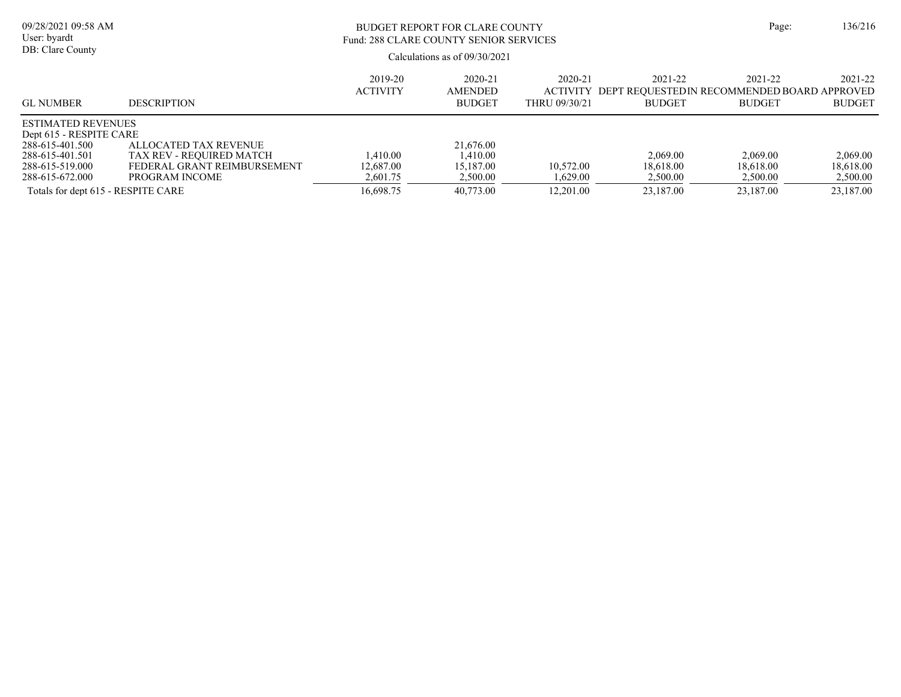| 09/28/2021 09:58 AM<br>User: byardt<br>DB: Clare County                                                                                                                |                                                                                                    | BUDGET REPORT FOR CLARE COUNTY<br>Fund: 288 CLARE COUNTY SENIOR SERVICES<br>Calculations as of $09/30/2021$ | Page:                                                       | 136/216                                     |                                                                         |                                                |                                                |
|------------------------------------------------------------------------------------------------------------------------------------------------------------------------|----------------------------------------------------------------------------------------------------|-------------------------------------------------------------------------------------------------------------|-------------------------------------------------------------|---------------------------------------------|-------------------------------------------------------------------------|------------------------------------------------|------------------------------------------------|
| <b>GL NUMBER</b>                                                                                                                                                       | <b>DESCRIPTION</b>                                                                                 | 2019-20<br><b>ACTIVITY</b>                                                                                  | 2020-21<br><b>AMENDED</b><br><b>BUDGET</b>                  | 2020-21<br><b>ACTIVITY</b><br>THRU 09/30/21 | 2021-22<br>DEPT REOUESTEDIN RECOMMENDED BOARD APPROVED<br><b>BUDGET</b> | 2021-22<br><b>BUDGET</b>                       | 2021-22<br><b>BUDGET</b>                       |
| <b>ESTIMATED REVENUES</b><br>Dept 615 - RESPITE CARE<br>288-615-401.500<br>288-615-401.501<br>288-615-519.000<br>288-615-672.000<br>Totals for dept 615 - RESPITE CARE | ALLOCATED TAX REVENUE<br>TAX REV - REQUIRED MATCH<br>FEDERAL GRANT REIMBURSEMENT<br>PROGRAM INCOME | 1,410.00<br>12,687.00<br>2,601.75<br>16,698.75                                                              | 21,676.00<br>1,410.00<br>15,187.00<br>2,500.00<br>40,773.00 | 10,572.00<br>1,629.00<br>12,201.00          | 2,069.00<br>18.618.00<br>2,500.00<br>23,187.00                          | 2,069.00<br>18.618.00<br>2,500.00<br>23,187.00 | 2,069.00<br>18,618.00<br>2,500.00<br>23,187.00 |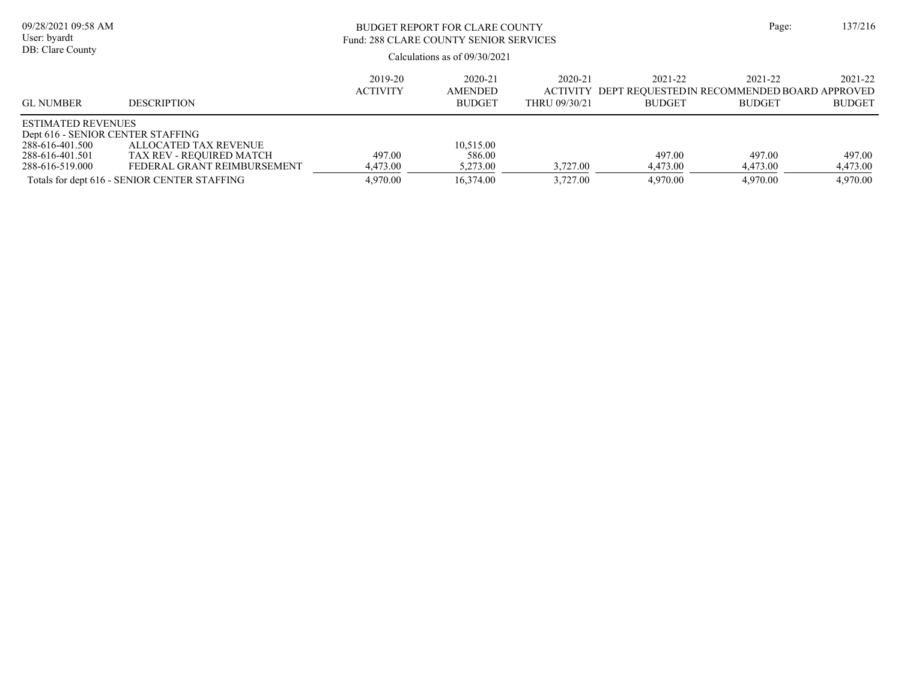| 09/28/2021 09:58 AM<br>User: byardt<br>DB: Clare County                                                                 |                                                                                                                                  | BUDGET REPORT FOR CLARE COUNTY<br>Fund: 288 CLARE COUNTY SENIOR SERVICES<br>Calculations as of $09/30/2021$ | Page:                                        | 137/216                  |                                                                                  |                                |                                |
|-------------------------------------------------------------------------------------------------------------------------|----------------------------------------------------------------------------------------------------------------------------------|-------------------------------------------------------------------------------------------------------------|----------------------------------------------|--------------------------|----------------------------------------------------------------------------------|--------------------------------|--------------------------------|
| <b>GL NUMBER</b>                                                                                                        | <b>DESCRIPTION</b>                                                                                                               | 2019-20<br><b>ACTIVITY</b>                                                                                  | 2020-21<br>AMENDED<br><b>BUDGET</b>          | 2020-21<br>THRU 09/30/21 | 2021-22<br>ACTIVITY DEPT REOUESTEDIN RECOMMENDED BOARD APPROVED<br><b>BUDGET</b> | 2021-22<br><b>BUDGET</b>       | 2021-22<br><b>BUDGET</b>       |
| <b>ESTIMATED REVENUES</b><br>Dept 616 - SENIOR CENTER STAFFING<br>288-616-401.500<br>288-616-401.501<br>288-616-519.000 | ALLOCATED TAX REVENUE<br>TAX REV - REQUIRED MATCH<br>FEDERAL GRANT REIMBURSEMENT<br>Totals for dept 616 - SENIOR CENTER STAFFING | 497.00<br>4,473.00<br>4,970.00                                                                              | 10.515.00<br>586.00<br>5,273.00<br>16,374.00 | 3,727.00<br>3,727.00     | 497.00<br>4,473.00<br>4,970.00                                                   | 497.00<br>4,473.00<br>4,970.00 | 497.00<br>4,473.00<br>4,970.00 |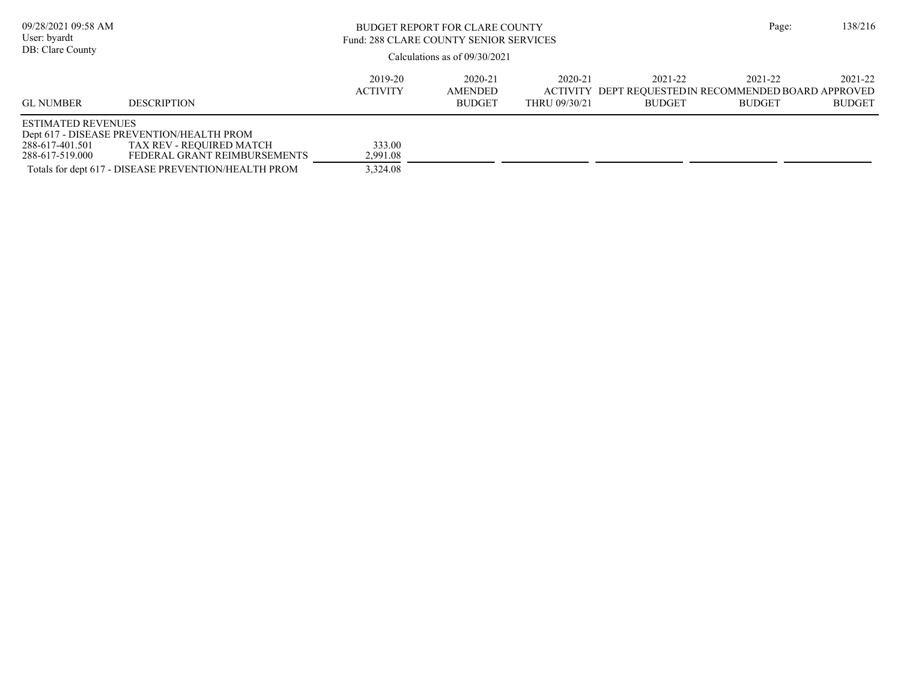| 09/28/2021 09:58 AM<br>User: byardt<br>DB: Clare County         |                                                                                                                                                               | Page:                          | 138/216                             |                          |                                                                                   |                          |                          |
|-----------------------------------------------------------------|---------------------------------------------------------------------------------------------------------------------------------------------------------------|--------------------------------|-------------------------------------|--------------------------|-----------------------------------------------------------------------------------|--------------------------|--------------------------|
| <b>GL NUMBER</b>                                                | <b>DESCRIPTION</b>                                                                                                                                            | 2019-20<br><b>ACTIVITY</b>     | 2020-21<br>AMENDED<br><b>BUDGET</b> | 2020-21<br>THRU 09/30/21 | 2021-22<br>ACTIVITY DEPT REQUESTED IN RECOMMENDED BOARD APPROVED<br><b>BUDGET</b> | 2021-22<br><b>BUDGET</b> | 2021-22<br><b>BUDGET</b> |
| <b>ESTIMATED REVENUES</b><br>288-617-401.501<br>288-617-519.000 | Dept 617 - DISEASE PREVENTION/HEALTH PROM<br>TAX REV - REQUIRED MATCH<br>FEDERAL GRANT REIMBURSEMENTS<br>Totals for dept 617 - DISEASE PREVENTION/HEALTH PROM | 333.00<br>2,991.08<br>3,324.08 |                                     |                          |                                                                                   |                          |                          |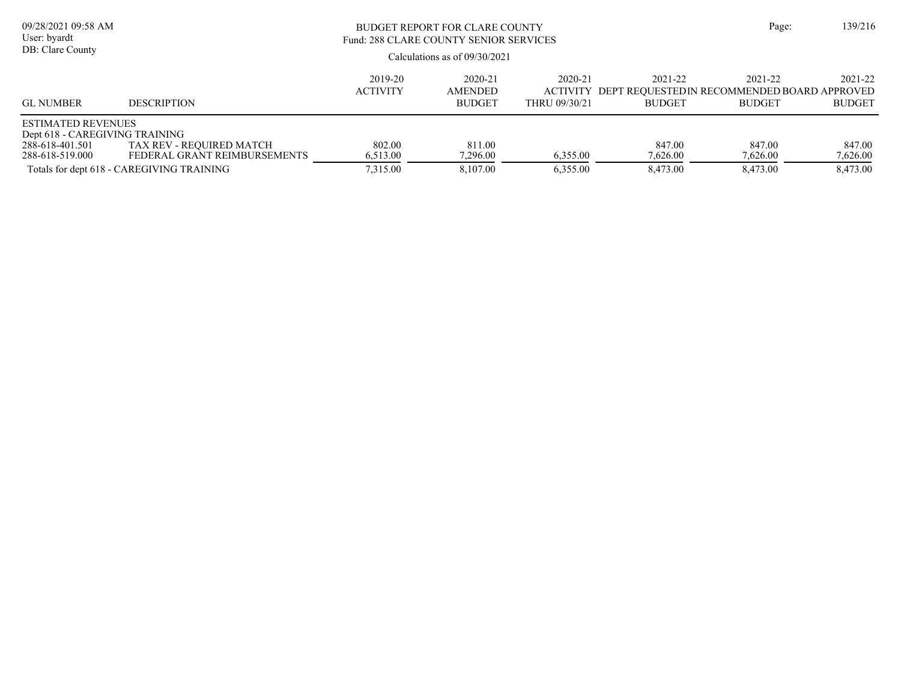| 09/28/2021 09:58 AM<br>User: byardt<br>DB: Clare County                                           |                                                          | Page:                                                                   | 139/216                  |          |                    |                    |                    |
|---------------------------------------------------------------------------------------------------|----------------------------------------------------------|-------------------------------------------------------------------------|--------------------------|----------|--------------------|--------------------|--------------------|
| <b>GL NUMBER</b>                                                                                  | <b>DESCRIPTION</b>                                       | 2021-22<br>DEPT REOUESTEDIN RECOMMENDED BOARD APPROVED<br><b>BUDGET</b> | 2021-22<br><b>BUDGET</b> |          |                    |                    |                    |
| <b>ESTIMATED REVENUES</b><br>Dept 618 - CAREGIVING TRAINING<br>288-618-401.501<br>288-618-519.000 | TAX REV - REQUIRED MATCH<br>FEDERAL GRANT REIMBURSEMENTS | 802.00<br>6,513.00                                                      | 811.00<br>7.296.00       | 6.355.00 | 847.00<br>7,626.00 | 847.00<br>7,626.00 | 847.00<br>7,626.00 |
|                                                                                                   | Totals for dept 618 - CAREGIVING TRAINING                | 7,315.00                                                                | 8.107.00                 | 6.355.00 | 8,473.00           | 8.473.00           | 8,473.00           |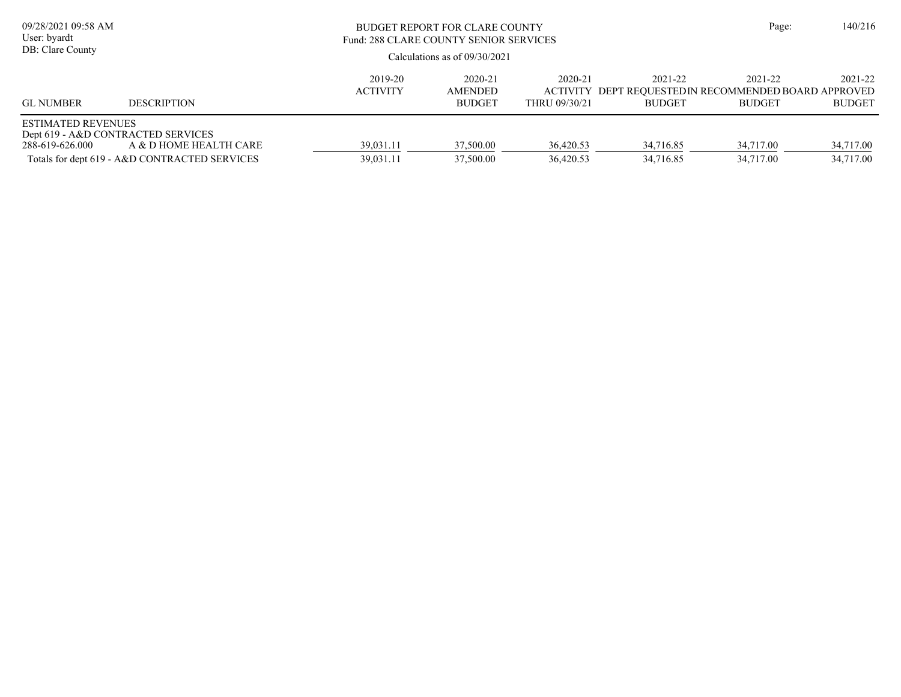| 09/28/2021 09:58 AM<br>User: byardt<br>DB: Clare County                            |                                                                         |                            | BUDGET REPORT FOR CLARE COUNTY<br>Fund: 288 CLARE COUNTY SENIOR SERVICES<br>Calculations as of 09/30/2021 |                                             |                                                                         |                          |                          |  |
|------------------------------------------------------------------------------------|-------------------------------------------------------------------------|----------------------------|-----------------------------------------------------------------------------------------------------------|---------------------------------------------|-------------------------------------------------------------------------|--------------------------|--------------------------|--|
| <b>GL NUMBER</b>                                                                   | <b>DESCRIPTION</b>                                                      | 2019-20<br><b>ACTIVITY</b> | 2020-21<br><b>AMENDED</b><br><b>BUDGET</b>                                                                | 2020-21<br><b>ACTIVITY</b><br>THRU 09/30/21 | 2021-22<br>DEPT REOUESTEDIN RECOMMENDED BOARD APPROVED<br><b>BUDGET</b> | 2021-22<br><b>BUDGET</b> | 2021-22<br><b>BUDGET</b> |  |
| <b>ESTIMATED REVENUES</b><br>Dept 619 - A&D CONTRACTED SERVICES<br>288-619-626.000 | A & D HOME HEALTH CARE<br>Totals for dept 619 - A&D CONTRACTED SERVICES | 39,031.11<br>39,031.11     | 37,500.00<br>37,500.00                                                                                    | 36,420.53<br>36,420.53                      | 34,716.85<br>34,716.85                                                  | 34,717.00<br>34,717.00   | 34,717.00<br>34,717.00   |  |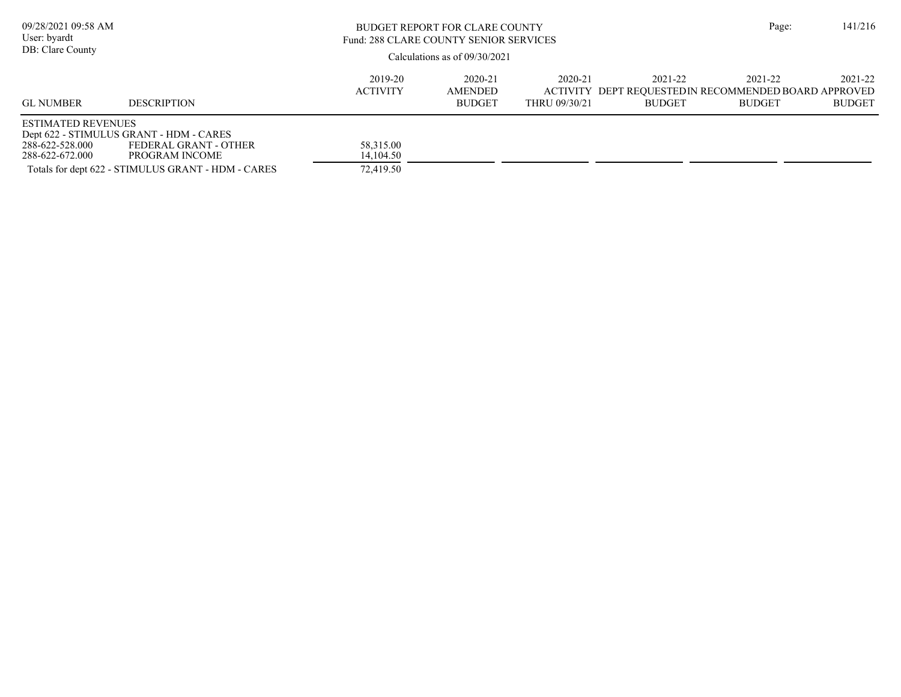| 09/28/2021 09:58 AM<br>User: byardt<br>DB: Clare County         |                                                                                                                                          | BUDGET REPORT FOR CLARE COUNTY<br>Fund: 288 CLARE COUNTY SENIOR SERVICES<br>Calculations as of $09/30/2021$ |                                     |                          |                                                                                  |                          |                          |  |  |
|-----------------------------------------------------------------|------------------------------------------------------------------------------------------------------------------------------------------|-------------------------------------------------------------------------------------------------------------|-------------------------------------|--------------------------|----------------------------------------------------------------------------------|--------------------------|--------------------------|--|--|
| <b>GL NUMBER</b>                                                | <b>DESCRIPTION</b>                                                                                                                       | 2019-20<br><b>ACTIVITY</b>                                                                                  | 2020-21<br>AMENDED<br><b>BUDGET</b> | 2020-21<br>THRU 09/30/21 | 2021-22<br>ACTIVITY DEPT REQUESTEDIN RECOMMENDED BOARD APPROVED<br><b>BUDGET</b> | 2021-22<br><b>BUDGET</b> | 2021-22<br><b>BUDGET</b> |  |  |
| <b>ESTIMATED REVENUES</b><br>288-622-528.000<br>288-622-672.000 | Dept 622 - STIMULUS GRANT - HDM - CARES<br>FEDERAL GRANT - OTHER<br>PROGRAM INCOME<br>Totals for dept 622 - STIMULUS GRANT - HDM - CARES | 58,315.00<br>14,104.50<br>72,419.50                                                                         |                                     |                          |                                                                                  |                          |                          |  |  |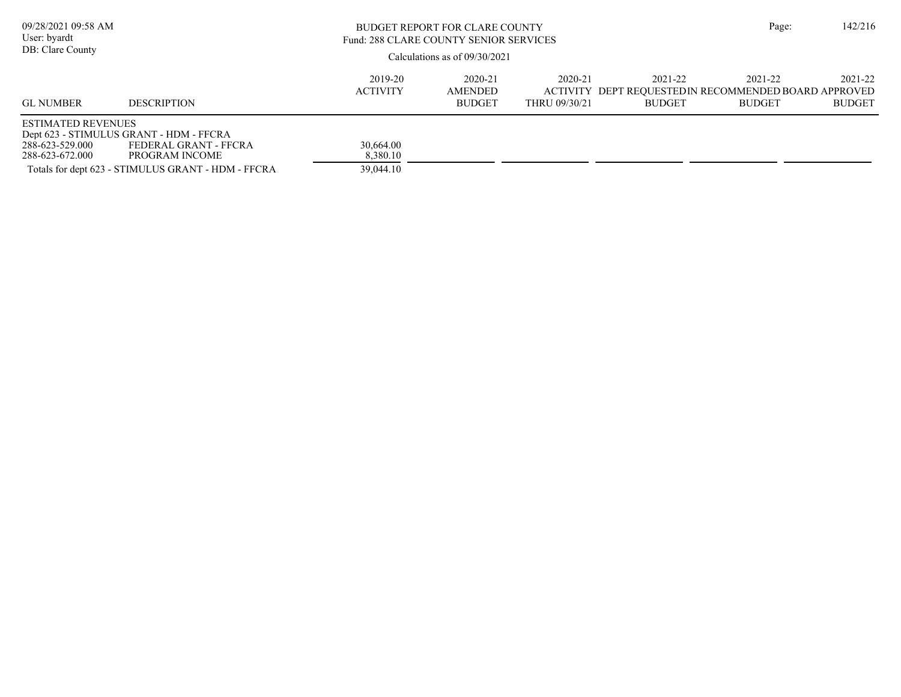| 09/28/2021 09:58 AM<br>User: byardt<br>DB: Clare County         |                                                                                                                                          | BUDGET REPORT FOR CLARE COUNTY<br>Fund: 288 CLARE COUNTY SENIOR SERVICES<br>Calculations as of 09/30/2021 | Page:                               | 142/216                  |                                                                                  |                          |                          |
|-----------------------------------------------------------------|------------------------------------------------------------------------------------------------------------------------------------------|-----------------------------------------------------------------------------------------------------------|-------------------------------------|--------------------------|----------------------------------------------------------------------------------|--------------------------|--------------------------|
| <b>GL NUMBER</b>                                                | <b>DESCRIPTION</b>                                                                                                                       | 2019-20<br><b>ACTIVITY</b>                                                                                | 2020-21<br>AMENDED<br><b>BUDGET</b> | 2020-21<br>THRU 09/30/21 | 2021-22<br>ACTIVITY DEPT REOUESTEDIN RECOMMENDED BOARD APPROVED<br><b>BUDGET</b> | 2021-22<br><b>BUDGET</b> | 2021-22<br><b>BUDGET</b> |
| <b>ESTIMATED REVENUES</b><br>288-623-529.000<br>288-623-672.000 | Dept 623 - STIMULUS GRANT - HDM - FFCRA<br>FEDERAL GRANT - FFCRA<br>PROGRAM INCOME<br>Totals for dept 623 - STIMULUS GRANT - HDM - FFCRA | 30,664.00<br>8,380.10<br>39,044.10                                                                        |                                     |                          |                                                                                  |                          |                          |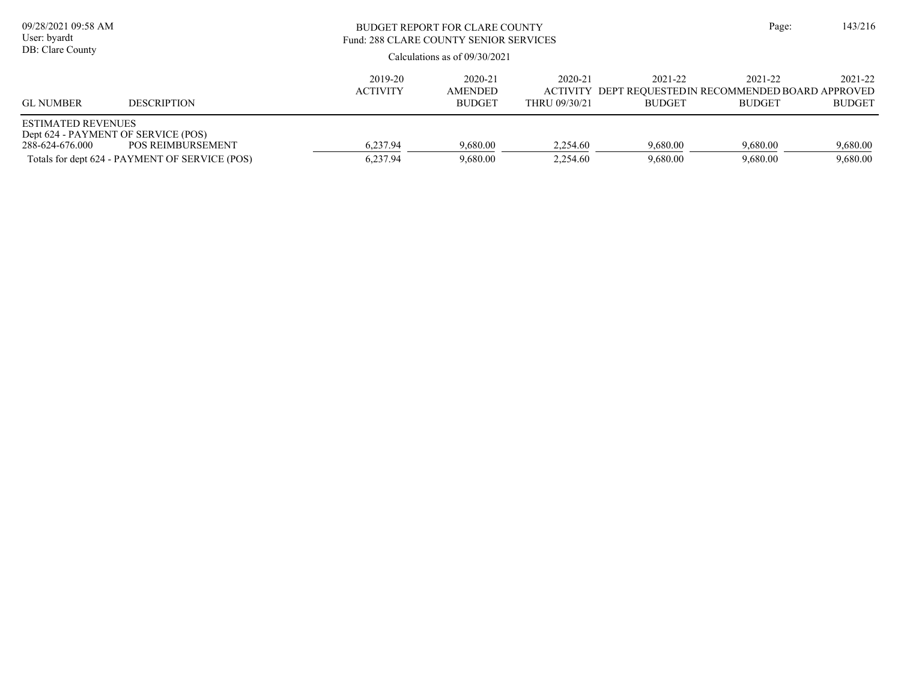| 09/28/2021 09:58 AM<br>User: byardt<br>DB: Clare County                             |                                                                            |                            | BUDGET REPORT FOR CLARE COUNTY<br>Fund: 288 CLARE COUNTY SENIOR SERVICES<br>Calculations as of $09/30/2021$ |                                             |                                                                         |                          |                          |  |
|-------------------------------------------------------------------------------------|----------------------------------------------------------------------------|----------------------------|-------------------------------------------------------------------------------------------------------------|---------------------------------------------|-------------------------------------------------------------------------|--------------------------|--------------------------|--|
| <b>GL NUMBER</b>                                                                    | <b>DESCRIPTION</b>                                                         | 2019-20<br><b>ACTIVITY</b> | 2020-21<br><b>AMENDED</b><br><b>BUDGET</b>                                                                  | 2020-21<br><b>ACTIVITY</b><br>THRU 09/30/21 | 2021-22<br>DEPT REOUESTEDIN RECOMMENDED BOARD APPROVED<br><b>BUDGET</b> | 2021-22<br><b>BUDGET</b> | 2021-22<br><b>BUDGET</b> |  |
| <b>ESTIMATED REVENUES</b><br>Dept 624 - PAYMENT OF SERVICE (POS)<br>288-624-676.000 | <b>POS REIMBURSEMENT</b><br>Totals for dept 624 - PAYMENT OF SERVICE (POS) | 6,237.94<br>6,237.94       | 9,680.00<br>9,680.00                                                                                        | 2,254.60<br>2.254.60                        | 9,680.00<br>9,680.00                                                    | 9,680.00<br>9.680.00     | 9,680.00<br>9,680.00     |  |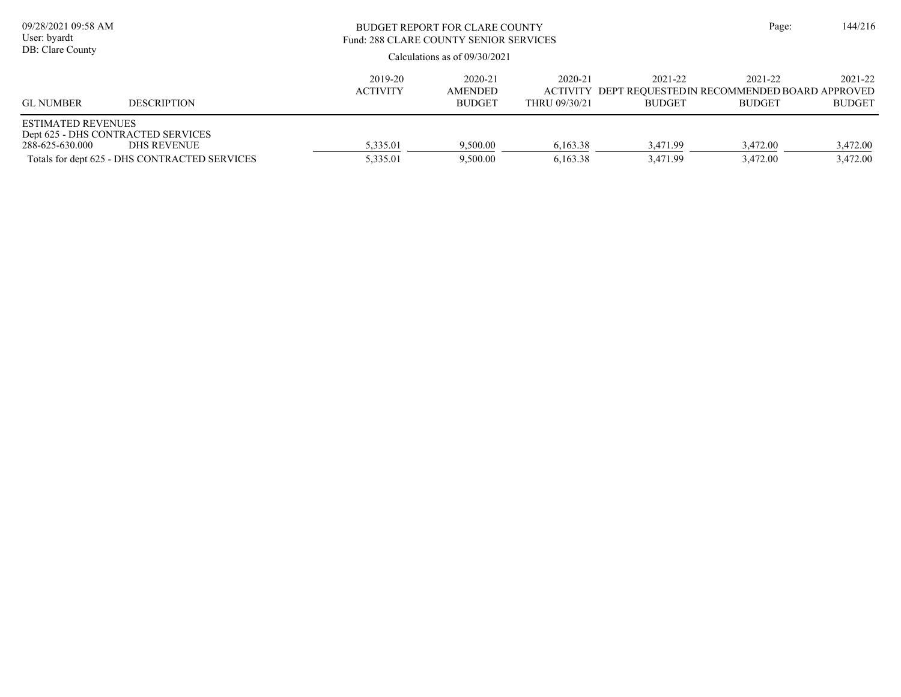| 09/28/2021 09:58 AM<br>User: byardt<br>DB: Clare County |                                                                                                    | BUDGET REPORT FOR CLARE COUNTY<br>Fund: 288 CLARE COUNTY SENIOR SERVICES<br>Calculations as of $09/30/2021$ |                                            |                          |                                                                                  |                          | 144/216                  |
|---------------------------------------------------------|----------------------------------------------------------------------------------------------------|-------------------------------------------------------------------------------------------------------------|--------------------------------------------|--------------------------|----------------------------------------------------------------------------------|--------------------------|--------------------------|
| <b>GL NUMBER</b>                                        | <b>DESCRIPTION</b>                                                                                 | 2019-20<br><b>ACTIVITY</b>                                                                                  | 2020-21<br><b>AMENDED</b><br><b>BUDGET</b> | 2020-21<br>THRU 09/30/21 | 2021-22<br>ACTIVITY DEPT REOUESTEDIN RECOMMENDED BOARD APPROVED<br><b>BUDGET</b> | 2021-22<br><b>BUDGET</b> | 2021-22<br><b>BUDGET</b> |
| <b>ESTIMATED REVENUES</b><br>288-625-630.000            | Dept 625 - DHS CONTRACTED SERVICES<br>DHS REVENUE<br>Totals for dept 625 - DHS CONTRACTED SERVICES | 5,335.01<br>5.335.01                                                                                        | 9,500.00<br>9,500.00                       | 6,163.38<br>6.163.38     | 3.471.99<br>3.471.99                                                             | 3,472.00<br>3.472.00     | 3,472.00<br>3,472.00     |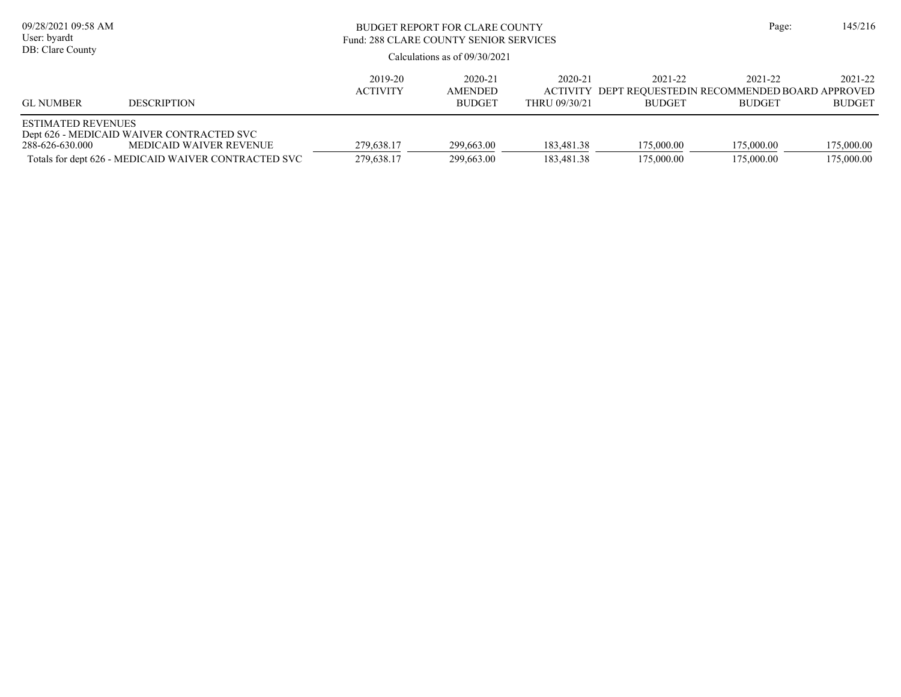| 09/28/2021 09:58 AM<br>User: byardt<br>DB: Clare County |                                                                                                                              | BUDGET REPORT FOR CLARE COUNTY<br>Fund: 288 CLARE COUNTY SENIOR SERVICES<br>Calculations as of $09/30/2021$ | Page:                                      | 145/216                  |                                                                                  |                          |                          |
|---------------------------------------------------------|------------------------------------------------------------------------------------------------------------------------------|-------------------------------------------------------------------------------------------------------------|--------------------------------------------|--------------------------|----------------------------------------------------------------------------------|--------------------------|--------------------------|
| <b>GL NUMBER</b>                                        | <b>DESCRIPTION</b>                                                                                                           | 2019-20<br><b>ACTIVITY</b>                                                                                  | 2020-21<br><b>AMENDED</b><br><b>BUDGET</b> | 2020-21<br>THRU 09/30/21 | 2021-22<br>ACTIVITY DEPT REOUESTEDIN RECOMMENDED BOARD APPROVED<br><b>BUDGET</b> | 2021-22<br><b>BUDGET</b> | 2021-22<br><b>BUDGET</b> |
| <b>ESTIMATED REVENUES</b><br>288-626-630.000            | Dept 626 - MEDICAID WAIVER CONTRACTED SVC<br>MEDICAID WAIVER REVENUE<br>Totals for dept 626 - MEDICAID WAIVER CONTRACTED SVC | 279,638.17<br>279,638.17                                                                                    | 299,663.00<br>299,663.00                   | 183,481.38<br>183,481.38 | 175,000.00<br>175,000.00                                                         | 175,000.00<br>175,000.00 | 175,000.00<br>175,000.00 |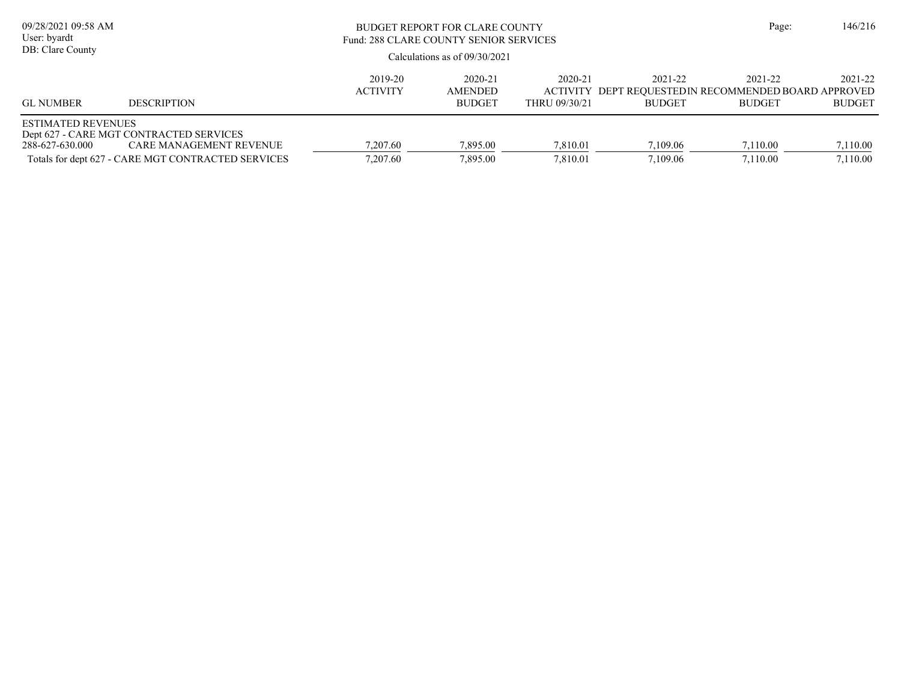| 09/28/2021 09:58 AM<br>User: byardt<br>DB: Clare County |                                                                                                                          | <b>BUDGET REPORT FOR CLARE COUNTY</b><br>Fund: 288 CLARE COUNTY SENIOR SERVICES<br>Calculations as of $09/30/2021$ |                                     |                                             |                                                                          |                          | 146/216<br>Page:         |
|---------------------------------------------------------|--------------------------------------------------------------------------------------------------------------------------|--------------------------------------------------------------------------------------------------------------------|-------------------------------------|---------------------------------------------|--------------------------------------------------------------------------|--------------------------|--------------------------|
| <b>GL NUMBER</b>                                        | <b>DESCRIPTION</b>                                                                                                       | 2019-20<br><b>ACTIVITY</b>                                                                                         | 2020-21<br>AMENDED<br><b>BUDGET</b> | 2020-21<br><b>ACTIVITY</b><br>THRU 09/30/21 | 2021-22<br>DEPT REQUESTED IN RECOMMENDED BOARD APPROVED<br><b>BUDGET</b> | 2021-22<br><b>BUDGET</b> | 2021-22<br><b>BUDGET</b> |
| <b>ESTIMATED REVENUES</b><br>288-627-630.000            | Dept 627 - CARE MGT CONTRACTED SERVICES<br>CARE MANAGEMENT REVENUE<br>Totals for dept 627 - CARE MGT CONTRACTED SERVICES | 7.207.60<br>7.207.60                                                                                               | 7.895.00<br>7.895.00                | 7.810.01<br>7.810.01                        | 7.109.06<br>7,109.06                                                     | 7.110.00<br>7.110.00     | 7,110.00<br>7,110.00     |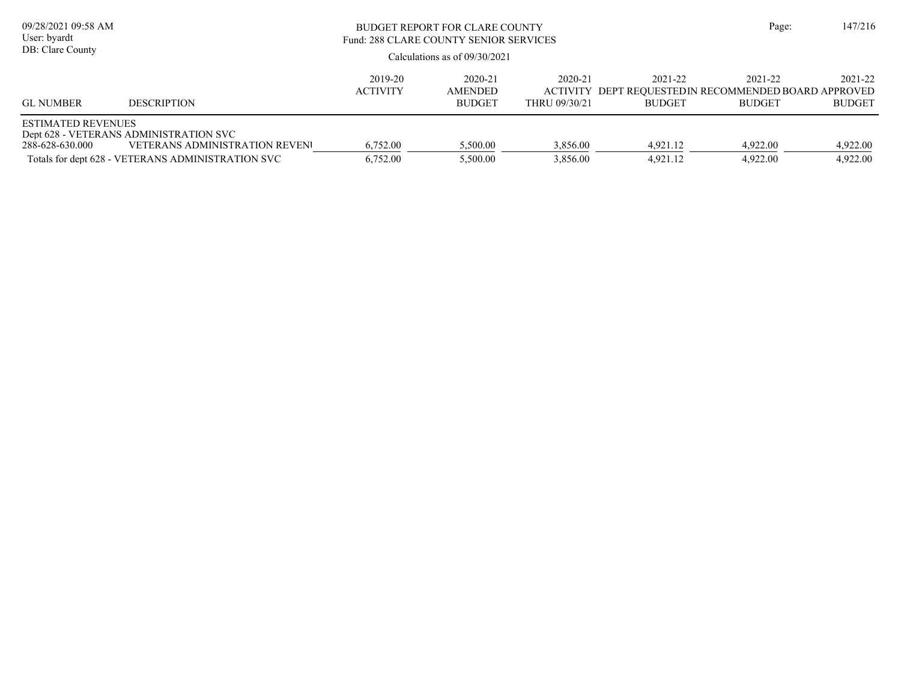| 09/28/2021 09:58 AM<br>User: byardt<br>DB: Clare County |                                                                                                                                      | <b>BUDGET REPORT FOR CLARE COUNTY</b><br>Fund: 288 CLARE COUNTY SENIOR SERVICES<br>Calculations as of $09/30/2021$ | Page:                               | 147/216                                     |                                                                         |                          |                          |
|---------------------------------------------------------|--------------------------------------------------------------------------------------------------------------------------------------|--------------------------------------------------------------------------------------------------------------------|-------------------------------------|---------------------------------------------|-------------------------------------------------------------------------|--------------------------|--------------------------|
| <b>GL NUMBER</b>                                        | <b>DESCRIPTION</b>                                                                                                                   | 2019-20<br><b>ACTIVITY</b>                                                                                         | 2020-21<br>AMENDED<br><b>BUDGET</b> | 2020-21<br><b>ACTIVITY</b><br>THRU 09/30/21 | 2021-22<br>DEPT REOUESTEDIN RECOMMENDED BOARD APPROVED<br><b>BUDGET</b> | 2021-22<br><b>BUDGET</b> | 2021-22<br><b>BUDGET</b> |
| <b>ESTIMATED REVENUES</b><br>288-628-630.000            | Dept 628 - VETERANS ADMINISTRATION SVC<br><b>VETERANS ADMINISTRATION REVENU</b><br>Totals for dept 628 - VETERANS ADMINISTRATION SVC | 6,752.00<br>6,752.00                                                                                               | 5,500.00<br>5,500.00                | 3,856.00<br>3,856.00                        | 4.921.12<br>4.921.12                                                    | 4.922.00<br>4.922.00     | 4,922.00<br>4,922.00     |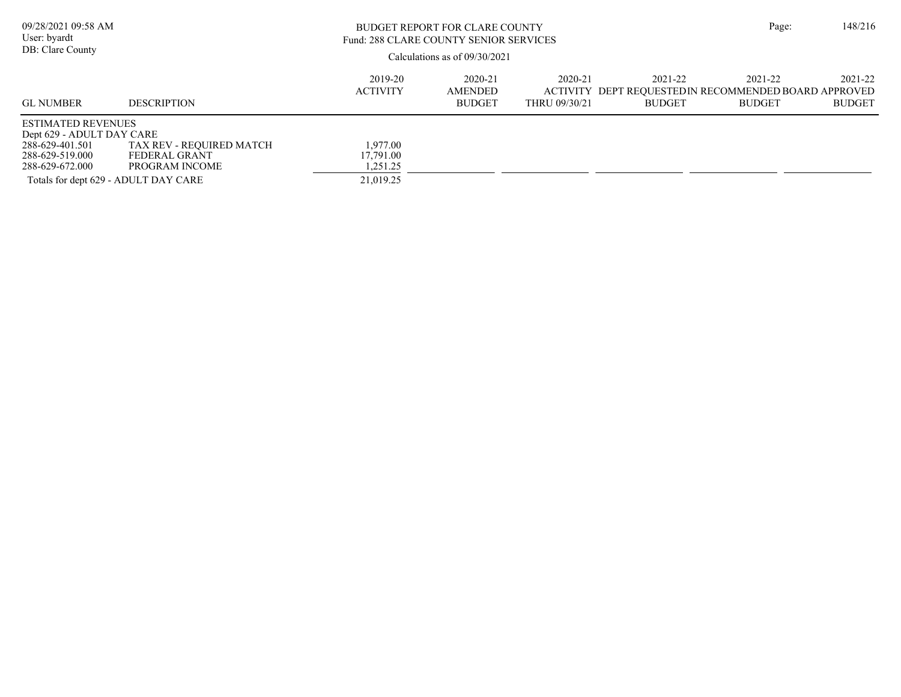| 09/28/2021 09:58 AM<br>User: byardt<br>DB: Clare County                                                                                                 |                                                             | <b>BUDGET REPORT FOR CLARE COUNTY</b><br>Fund: 288 CLARE COUNTY SENIOR SERVICES<br>Calculations as of $09/30/2021$ | Page:                               | 148/216                  |                                                                                  |                          |                          |
|---------------------------------------------------------------------------------------------------------------------------------------------------------|-------------------------------------------------------------|--------------------------------------------------------------------------------------------------------------------|-------------------------------------|--------------------------|----------------------------------------------------------------------------------|--------------------------|--------------------------|
| <b>GL NUMBER</b>                                                                                                                                        | <b>DESCRIPTION</b>                                          | 2019-20<br><b>ACTIVITY</b>                                                                                         | 2020-21<br>AMENDED<br><b>BUDGET</b> | 2020-21<br>THRU 09/30/21 | 2021-22<br>ACTIVITY DEPT REOUESTEDIN RECOMMENDED BOARD APPROVED<br><b>BUDGET</b> | 2021-22<br><b>BUDGET</b> | 2021-22<br><b>BUDGET</b> |
| <b>ESTIMATED REVENUES</b><br>Dept 629 - ADULT DAY CARE<br>288-629-401.501<br>288-629-519.000<br>288-629-672.000<br>Totals for dept 629 - ADULT DAY CARE | TAX REV - REQUIRED MATCH<br>FEDERAL GRANT<br>PROGRAM INCOME | 1,977.00<br>17.791.00<br>1.251.25<br>21,019.25                                                                     |                                     |                          |                                                                                  |                          |                          |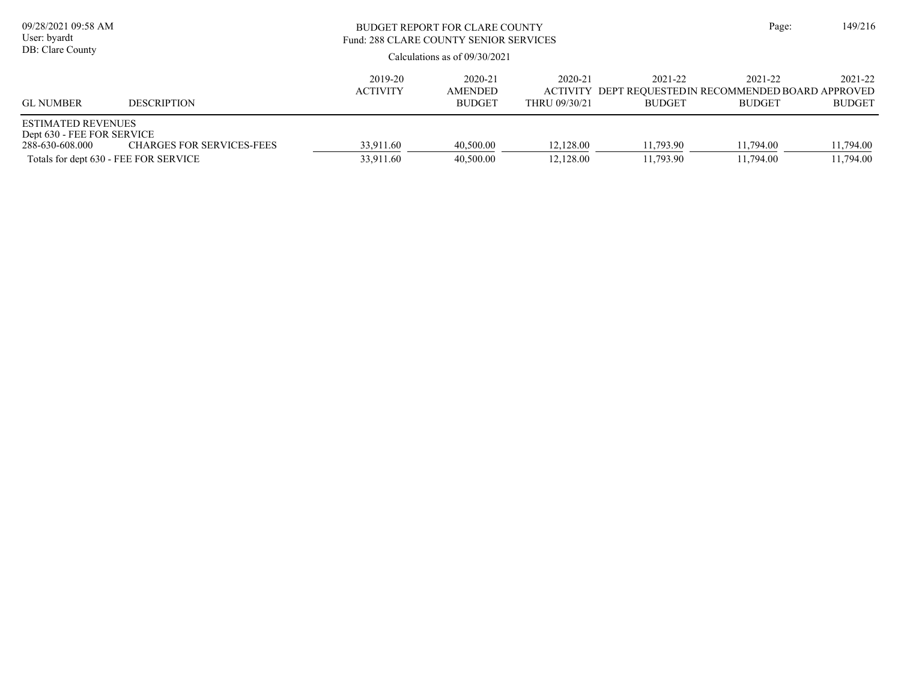| 09/28/2021 09:58 AM<br>User: byardt<br>DB: Clare County                                                             |                                  | <b>BUDGET REPORT FOR CLARE COUNTY</b><br>Fund: 288 CLARE COUNTY SENIOR SERVICES<br>Calculations as of $09/30/2021$ | Page:                               | 149/216                  |                                                                                  |                          |                          |
|---------------------------------------------------------------------------------------------------------------------|----------------------------------|--------------------------------------------------------------------------------------------------------------------|-------------------------------------|--------------------------|----------------------------------------------------------------------------------|--------------------------|--------------------------|
| <b>GL NUMBER</b>                                                                                                    | <b>DESCRIPTION</b>               | 2019-20<br><b>ACTIVITY</b>                                                                                         | 2020-21<br>AMENDED<br><b>BUDGET</b> | 2020-21<br>THRU 09/30/21 | 2021-22<br>ACTIVITY DEPT REOUESTEDIN RECOMMENDED BOARD APPROVED<br><b>BUDGET</b> | 2021-22<br><b>BUDGET</b> | 2021-22<br><b>BUDGET</b> |
| <b>ESTIMATED REVENUES</b><br>Dept 630 - FEE FOR SERVICE<br>288-630-608.000<br>Totals for dept 630 - FEE FOR SERVICE | <b>CHARGES FOR SERVICES-FEES</b> | 33,911.60<br>33,911.60                                                                                             | 40,500.00<br>40,500.00              | 12,128.00<br>12,128.00   | 11,793.90<br>11,793.90                                                           | 11,794.00<br>11,794.00   | 11,794.00<br>11,794.00   |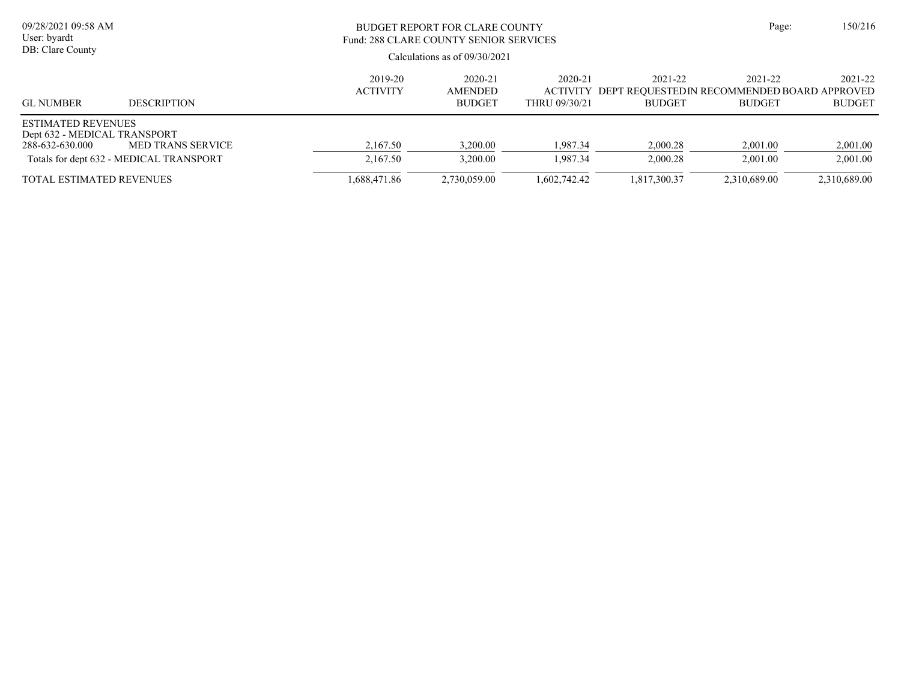| 09/28/2021 09:58 AM<br>User: byardt<br>DB: Clare County                      |                                                              |                            | BUDGET REPORT FOR CLARE COUNTY<br>Fund: 288 CLARE COUNTY SENIOR SERVICES<br>Calculations as of $09/30/2021$ |                                             |                          |                                                                         |                          |  |  |
|------------------------------------------------------------------------------|--------------------------------------------------------------|----------------------------|-------------------------------------------------------------------------------------------------------------|---------------------------------------------|--------------------------|-------------------------------------------------------------------------|--------------------------|--|--|
| <b>GL NUMBER</b>                                                             | <b>DESCRIPTION</b>                                           | 2019-20<br><b>ACTIVITY</b> | 2020-21<br>AMENDED<br><b>BUDGET</b>                                                                         | 2020-21<br><b>ACTIVITY</b><br>THRU 09/30/21 | 2021-22<br><b>BUDGET</b> | 2021-22<br>DEPT REOUESTEDIN RECOMMENDED BOARD APPROVED<br><b>BUDGET</b> | 2021-22<br><b>BUDGET</b> |  |  |
| <b>ESTIMATED REVENUES</b><br>Dept 632 - MEDICAL TRANSPORT<br>288-632-630.000 | MED TRANS SERVICE<br>Totals for dept 632 - MEDICAL TRANSPORT | 2,167.50<br>2,167.50       | 3,200.00<br>3,200.00                                                                                        | 1.987.34<br>1.987.34                        | 2,000.28<br>2,000.28     | 2,001.00<br>2,001.00                                                    | 2,001.00<br>2,001.00     |  |  |
| <b>TOTAL ESTIMATED REVENUES</b>                                              |                                                              | .688,471.86                | 2,730,059.00                                                                                                | 1,602,742.42                                | 1,817,300.37             | 2,310,689.00                                                            | 2,310,689.00             |  |  |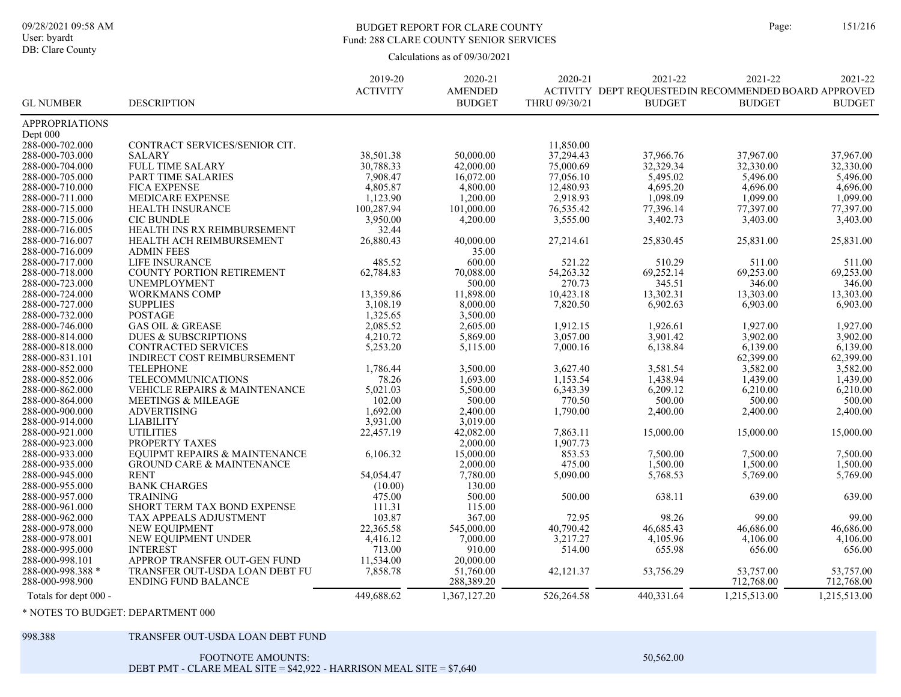#### BUDGET REPORT FOR CLARE COUNTY Page: 151/216 Fund: 288 CLARE COUNTY SENIOR SERVICES

Calculations as of 09/30/2021

|                       |                                      | 2019-20         | 2020-21        | 2020-21       | 2021-22                                              | 2021-22       | 2021-22       |
|-----------------------|--------------------------------------|-----------------|----------------|---------------|------------------------------------------------------|---------------|---------------|
|                       |                                      | <b>ACTIVITY</b> | <b>AMENDED</b> |               | ACTIVITY DEPT REQUESTEDIN RECOMMENDED BOARD APPROVED |               |               |
| <b>GL NUMBER</b>      | <b>DESCRIPTION</b>                   |                 | <b>BUDGET</b>  | THRU 09/30/21 | <b>BUDGET</b>                                        | <b>BUDGET</b> | <b>BUDGET</b> |
| <b>APPROPRIATIONS</b> |                                      |                 |                |               |                                                      |               |               |
| Dept 000              |                                      |                 |                |               |                                                      |               |               |
| 288-000-702.000       | CONTRACT SERVICES/SENIOR CIT.        |                 |                | 11,850.00     |                                                      |               |               |
| 288-000-703.000       | <b>SALARY</b>                        | 38,501.38       | 50,000.00      | 37,294.43     | 37,966.76                                            | 37,967.00     | 37,967.00     |
| 288-000-704.000       | FULL TIME SALARY                     | 30,788.33       | 42,000.00      | 75,000.69     | 32,329.34                                            | 32,330.00     | 32,330.00     |
| 288-000-705.000       | PART TIME SALARIES                   | 7,908.47        | 16,072.00      | 77,056.10     | 5,495.02                                             | 5,496.00      | 5,496.00      |
| 288-000-710.000       | <b>FICA EXPENSE</b>                  | 4,805.87        | 4,800.00       | 12,480.93     | 4,695.20                                             | 4,696.00      | 4,696.00      |
| 288-000-711.000       | MEDICARE EXPENSE                     | 1,123.90        | 1,200.00       | 2,918.93      | 1,098.09                                             | 1,099.00      | 1,099.00      |
| 288-000-715.000       | HEALTH INSURANCE                     | 100,287.94      | 101,000.00     | 76,535.42     | 77,396.14                                            | 77,397.00     | 77,397.00     |
| 288-000-715.006       | <b>CIC BUNDLE</b>                    | 3.950.00        | 4,200.00       | 3.555.00      | 3,402.73                                             | 3,403.00      | 3.403.00      |
| 288-000-716.005       | HEALTH INS RX REIMBURSEMENT          | 32.44           |                |               |                                                      |               |               |
| 288-000-716.007       | HEALTH ACH REIMBURSEMENT             | 26,880.43       | 40,000.00      | 27,214.61     | 25,830.45                                            | 25,831.00     | 25,831.00     |
| 288-000-716.009       | <b>ADMIN FEES</b>                    |                 | 35.00          |               |                                                      |               |               |
| 288-000-717.000       | LIFE INSURANCE                       | 485.52          | 600.00         | 521.22        | 510.29                                               | 511.00        | 511.00        |
| 288-000-718.000       | COUNTY PORTION RETIREMENT            | 62,784.83       | 70.088.00      | 54,263.32     | 69,252.14                                            | 69,253.00     | 69,253.00     |
| 288-000-723.000       | <b>UNEMPLOYMENT</b>                  |                 | 500.00         | 270.73        | 345.51                                               | 346.00        | 346.00        |
| 288-000-724.000       | <b>WORKMANS COMP</b>                 | 13,359.86       | 11,898.00      | 10,423.18     | 13,302.31                                            | 13,303.00     | 13,303.00     |
| 288-000-727.000       | <b>SUPPLIES</b>                      | 3,108.19        | 8,000.00       | 7,820.50      | 6,902.63                                             | 6,903.00      | 6,903.00      |
| 288-000-732.000       | <b>POSTAGE</b>                       | 1,325.65        | 3,500.00       |               |                                                      |               |               |
| 288-000-746.000       | <b>GAS OIL &amp; GREASE</b>          | 2.085.52        | 2,605.00       | 1.912.15      | 1.926.61                                             | 1.927.00      | 1.927.00      |
| 288-000-814.000       | <b>DUES &amp; SUBSCRIPTIONS</b>      | 4,210.72        | 5,869.00       | 3,057.00      | 3,901.42                                             | 3,902.00      | 3,902.00      |
| 288-000-818.000       | <b>CONTRACTED SERVICES</b>           | 5,253.20        | 5,115.00       | 7,000.16      | 6,138.84                                             | 6,139.00      | 6,139.00      |
| 288-000-831.101       | INDIRECT COST REIMBURSEMENT          |                 |                |               |                                                      | 62,399.00     | 62,399.00     |
| 288-000-852.000       | <b>TELEPHONE</b>                     | 1,786.44        | 3,500.00       | 3,627.40      | 3,581.54                                             | 3,582.00      | 3,582.00      |
| 288-000-852.006       | TELECOMMUNICATIONS                   | 78.26           | 1,693.00       | 1,153.54      | 1,438.94                                             | 1,439.00      | 1,439.00      |
| 288-000-862.000       | VEHICLE REPAIRS & MAINTENANCE        | 5,021.03        | 5,500.00       | 6,343.39      | 6,209.12                                             | 6,210.00      | 6,210.00      |
| 288-000-864.000       | <b>MEETINGS &amp; MILEAGE</b>        | 102.00          | 500.00         | 770.50        | 500.00                                               | 500.00        | 500.00        |
| 288-000-900.000       | <b>ADVERTISING</b>                   | 1,692.00        | 2,400.00       | 1,790.00      | 2,400.00                                             | 2,400.00      | 2,400.00      |
| 288-000-914.000       | <b>LIABILITY</b>                     | 3,931.00        | 3,019.00       |               |                                                      |               |               |
| 288-000-921.000       | <b>UTILITIES</b>                     | 22,457.19       | 42,082.00      | 7,863.11      | 15,000.00                                            | 15,000.00     | 15,000.00     |
| 288-000-923.000       | PROPERTY TAXES                       |                 | 2,000.00       | 1,907.73      |                                                      |               |               |
| 288-000-933.000       | EQUIPMT REPAIRS & MAINTENANCE        | 6,106.32        | 15,000.00      | 853.53        | 7,500.00                                             | 7,500.00      | 7,500.00      |
| 288-000-935.000       | <b>GROUND CARE &amp; MAINTENANCE</b> |                 | 2,000.00       | 475.00        | 1,500.00                                             | 1,500.00      | 1,500.00      |
| 288-000-945.000       | <b>RENT</b>                          | 54,054.47       | 7,780.00       | 5,090.00      | 5,768.53                                             | 5,769.00      | 5,769.00      |
| 288-000-955.000       | <b>BANK CHARGES</b>                  | (10.00)         | 130.00         |               |                                                      |               |               |
| 288-000-957.000       | <b>TRAINING</b>                      | 475.00          | 500.00         | 500.00        | 638.11                                               | 639.00        | 639.00        |
| 288-000-961.000       | SHORT TERM TAX BOND EXPENSE          | 111.31          | 115.00         |               |                                                      |               |               |
| 288-000-962.000       | <b>TAX APPEALS ADJUSTMENT</b>        | 103.87          | 367.00         | 72.95         | 98.26                                                | 99.00         | 99.00         |
| 288-000-978.000       | NEW EQUIPMENT                        | 22,365.58       | 545,000.00     | 40,790.42     | 46,685.43                                            | 46,686.00     | 46,686.00     |
| 288-000-978.001       | NEW EQUIPMENT UNDER                  | 4,416.12        | 7,000.00       | 3,217.27      | 4,105.96                                             | 4,106.00      | 4,106.00      |
| 288-000-995.000       | <b>INTEREST</b>                      | 713.00          | 910.00         | 514.00        | 655.98                                               | 656.00        | 656.00        |
| 288-000-998.101       | APPROP TRANSFER OUT-GEN FUND         | 11,534.00       | 20,000.00      |               |                                                      |               |               |
| 288-000-998.388 *     | TRANSFER OUT-USDA LOAN DEBT FU       | 7,858.78        | 51,760.00      | 42,121.37     | 53,756.29                                            | 53,757.00     | 53,757.00     |
| 288-000-998.900       | <b>ENDING FUND BALANCE</b>           |                 | 288,389.20     |               |                                                      | 712,768.00    | 712,768.00    |
| Totals for dept 000 - |                                      | 449,688.62      | 1,367,127.20   | 526,264.58    | 440,331.64                                           | 1,215,513.00  | 1,215,513.00  |

\* NOTES TO BUDGET: DEPARTMENT 000

#### 998.388 TRANSFER OUT-USDA LOAN DEBT FUND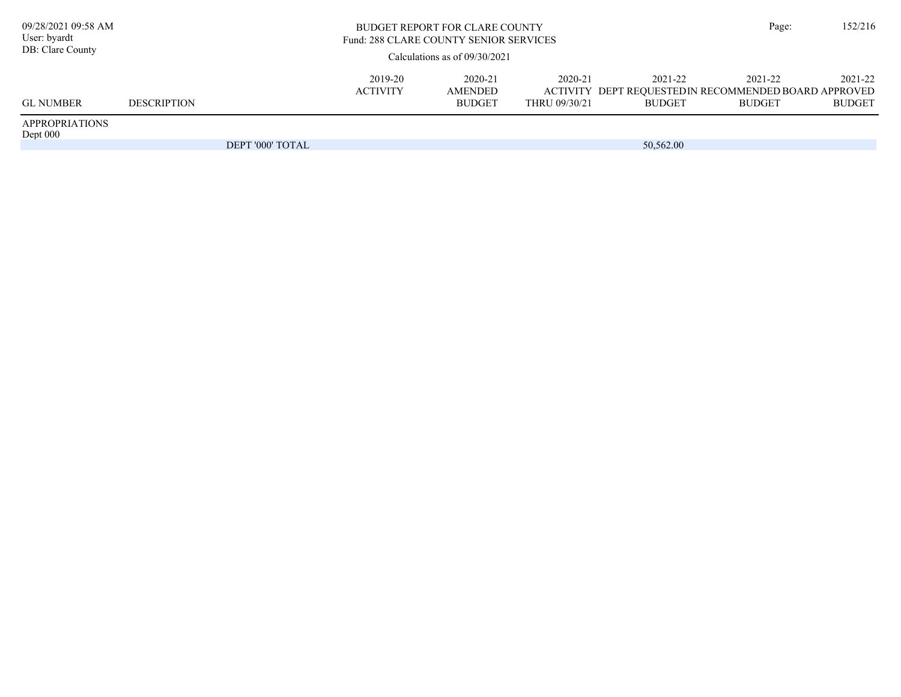| 09/28/2021 09:58 AM<br>User: byardt<br>DB: Clare County |                    | <b>BUDGET REPORT FOR CLARE COUNTY</b><br>Fund: 288 CLARE COUNTY SENIOR SERVICES<br>Calculations as of $09/30/2021$ |                            |                                     |                          |                          |                                                                                  |                          |
|---------------------------------------------------------|--------------------|--------------------------------------------------------------------------------------------------------------------|----------------------------|-------------------------------------|--------------------------|--------------------------|----------------------------------------------------------------------------------|--------------------------|
|                                                         |                    |                                                                                                                    |                            |                                     |                          |                          |                                                                                  |                          |
| <b>GL NUMBER</b>                                        | <b>DESCRIPTION</b> |                                                                                                                    | 2019-20<br><b>ACTIVITY</b> | 2020-21<br>AMENDED<br><b>BUDGET</b> | 2020-21<br>THRU 09/30/21 | 2021-22<br><b>BUDGET</b> | 2021-22<br>ACTIVITY DEPT REQUESTEDIN RECOMMENDED BOARD APPROVED<br><b>BUDGET</b> | 2021-22<br><b>BUDGET</b> |
| <b>APPROPRIATIONS</b><br>Dept 000                       |                    |                                                                                                                    |                            |                                     |                          |                          |                                                                                  |                          |
|                                                         |                    | DEPT '000' TOTAL                                                                                                   |                            |                                     |                          | 50,562.00                |                                                                                  |                          |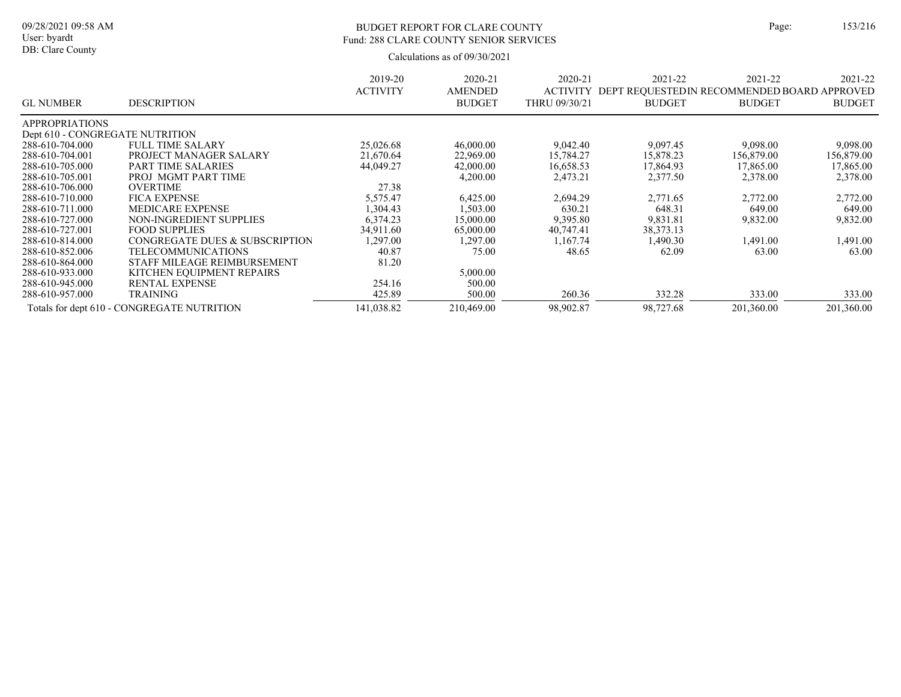### BUDGET REPORT FOR CLARE COUNTY Page: 153/216 Fund: 288 CLARE COUNTY SENIOR SERVICES

|                                 |                                            | 2019-20         | 2020-21        | 2020-21         | 2021-22                                     | 2021-22       | 2021-22       |
|---------------------------------|--------------------------------------------|-----------------|----------------|-----------------|---------------------------------------------|---------------|---------------|
|                                 |                                            | <b>ACTIVITY</b> | <b>AMENDED</b> | <b>ACTIVITY</b> | DEPT REQUESTEDIN RECOMMENDED BOARD APPROVED |               |               |
| <b>GL NUMBER</b>                | <b>DESCRIPTION</b>                         |                 | <b>BUDGET</b>  | THRU 09/30/21   | <b>BUDGET</b>                               | <b>BUDGET</b> | <b>BUDGET</b> |
| <b>APPROPRIATIONS</b>           |                                            |                 |                |                 |                                             |               |               |
| Dept 610 - CONGREGATE NUTRITION |                                            |                 |                |                 |                                             |               |               |
| 288-610-704.000                 | <b>FULL TIME SALARY</b>                    | 25,026.68       | 46,000.00      | 9,042.40        | 9,097.45                                    | 9,098.00      | 9.098.00      |
| 288-610-704.001                 | PROJECT MANAGER SALARY                     | 21,670.64       | 22,969.00      | 15,784.27       | 15,878.23                                   | 156,879.00    | 156,879.00    |
| 288-610-705.000                 | PART TIME SALARIES                         | 44,049.27       | 42,000.00      | 16,658.53       | 17,864.93                                   | 17,865.00     | 17,865.00     |
| 288-610-705.001                 | PROJ MGMT PART TIME                        |                 | 4,200.00       | 2,473.21        | 2,377.50                                    | 2,378.00      | 2,378.00      |
| 288-610-706.000                 | <b>OVERTIME</b>                            | 27.38           |                |                 |                                             |               |               |
| 288-610-710.000                 | <b>FICA EXPENSE</b>                        | 5,575.47        | 6,425.00       | 2,694.29        | 2.771.65                                    | 2,772.00      | 2,772.00      |
| 288-610-711.000                 | <b>MEDICARE EXPENSE</b>                    | 1,304.43        | .503.00        | 630.21          | 648.31                                      | 649.00        | 649.00        |
| 288-610-727.000                 | NON-INGREDIENT SUPPLIES                    | 6,374.23        | 15,000.00      | 9,395.80        | 9,831.81                                    | 9,832.00      | 9,832.00      |
| 288-610-727.001                 | <b>FOOD SUPPLIES</b>                       | 34,911.60       | 65,000.00      | 40,747.41       | 38, 373. 13                                 |               |               |
| 288-610-814.000                 | CONGREGATE DUES & SUBSCRIPTION             | ,297.00         | 1,297.00       | 1.167.74        | 1.490.30                                    | 1,491.00      | 1,491.00      |
| 288-610-852.006                 | <b>TELECOMMUNICATIONS</b>                  | 40.87           | 75.00          | 48.65           | 62.09                                       | 63.00         | 63.00         |
| 288-610-864.000                 | STAFF MILEAGE REIMBURSEMENT                | 81.20           |                |                 |                                             |               |               |
| 288-610-933.000                 | KITCHEN EQUIPMENT REPAIRS                  |                 | 5,000.00       |                 |                                             |               |               |
| 288-610-945.000                 | <b>RENTAL EXPENSE</b>                      | 254.16          | 500.00         |                 |                                             |               |               |
| 288-610-957.000                 | <b>TRAINING</b>                            | 425.89          | 500.00         | 260.36          | 332.28                                      | 333.00        | 333.00        |
|                                 | Totals for dept 610 - CONGREGATE NUTRITION | 141,038.82      | 210,469.00     | 98,902.87       | 98,727.68                                   | 201,360.00    | 201,360.00    |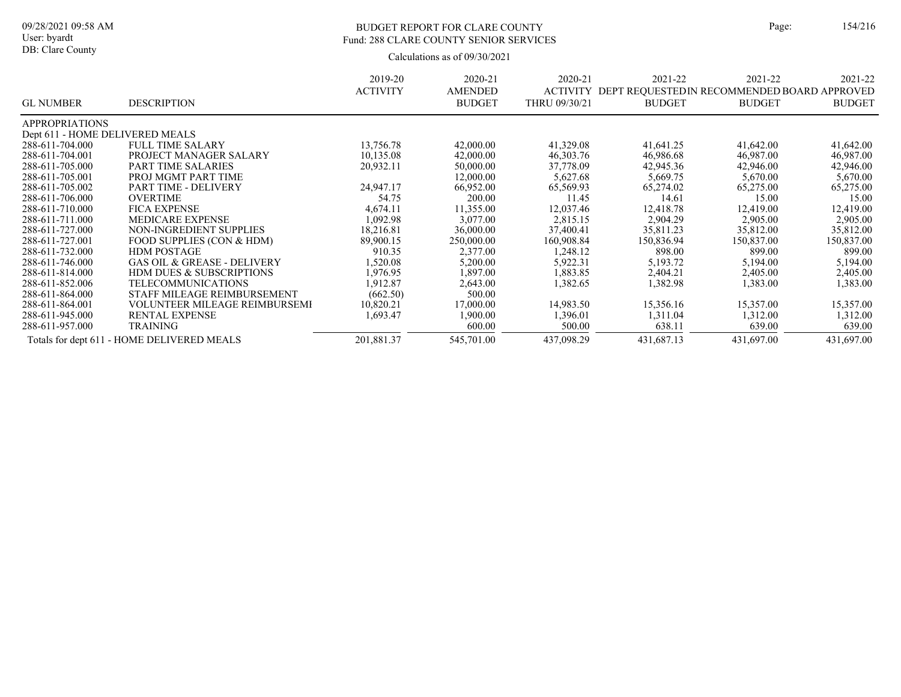### BUDGET REPORT FOR CLARE COUNTY Page: 154/216 Fund: 288 CLARE COUNTY SENIOR SERVICES

|                                 |                                            | 2019-20         | 2020-21        | 2020-21       | 2021-22                                               | 2021-22       | 2021-22       |
|---------------------------------|--------------------------------------------|-----------------|----------------|---------------|-------------------------------------------------------|---------------|---------------|
|                                 |                                            | <b>ACTIVITY</b> | <b>AMENDED</b> |               | ACTIVITY DEPT REQUESTED IN RECOMMENDED BOARD APPROVED |               |               |
| <b>GL NUMBER</b>                | <b>DESCRIPTION</b>                         |                 | <b>BUDGET</b>  | THRU 09/30/21 | <b>BUDGET</b>                                         | <b>BUDGET</b> | <b>BUDGET</b> |
| <b>APPROPRIATIONS</b>           |                                            |                 |                |               |                                                       |               |               |
| Dept 611 - HOME DELIVERED MEALS |                                            |                 |                |               |                                                       |               |               |
| 288-611-704.000                 | <b>FULL TIME SALARY</b>                    | 13,756.78       | 42,000.00      | 41,329.08     | 41,641.25                                             | 41,642.00     | 41,642.00     |
| 288-611-704.001                 | PROJECT MANAGER SALARY                     | 10,135.08       | 42,000.00      | 46,303.76     | 46,986.68                                             | 46,987.00     | 46,987.00     |
| 288-611-705.000                 | <b>PART TIME SALARIES</b>                  | 20,932.11       | 50,000.00      | 37,778.09     | 42,945.36                                             | 42,946.00     | 42,946.00     |
| 288-611-705.001                 | PROJ MGMT PART TIME                        |                 | 12,000.00      | 5,627.68      | 5,669.75                                              | 5,670.00      | 5,670.00      |
| 288-611-705.002                 | PART TIME - DELIVERY                       | 24,947.17       | 66,952.00      | 65,569.93     | 65,274.02                                             | 65,275.00     | 65,275.00     |
| 288-611-706.000                 | <b>OVERTIME</b>                            | 54.75           | 200.00         | 11.45         | 14.61                                                 | 15.00         | 15.00         |
| 288-611-710.000                 | <b>FICA EXPENSE</b>                        | 4,674.11        | 11,355.00      | 12,037.46     | 12,418.78                                             | 12,419.00     | 12,419.00     |
| 288-611-711.000                 | <b>MEDICARE EXPENSE</b>                    | 1.092.98        | 3,077.00       | 2,815.15      | 2.904.29                                              | 2,905.00      | 2.905.00      |
| 288-611-727.000                 | NON-INGREDIENT SUPPLIES                    | 18,216.81       | 36,000.00      | 37,400.41     | 35,811.23                                             | 35,812.00     | 35,812.00     |
| 288-611-727.001                 | FOOD SUPPLIES (CON & HDM)                  | 89,900.15       | 250,000.00     | 160,908.84    | 150,836.94                                            | 150,837.00    | 150,837.00    |
| 288-611-732.000                 | <b>HDM POSTAGE</b>                         | 910.35          | 2,377.00       | 1,248.12      | 898.00                                                | 899.00        | 899.00        |
| 288-611-746.000                 | <b>GAS OIL &amp; GREASE - DELIVERY</b>     | 1,520.08        | 5,200.00       | 5,922.31      | 5,193.72                                              | 5,194.00      | 5,194.00      |
| 288-611-814.000                 | <b>HDM DUES &amp; SUBSCRIPTIONS</b>        | 1,976.95        | 1,897.00       | 1,883.85      | 2,404.21                                              | 2,405.00      | 2,405.00      |
| 288-611-852.006                 | <b>TELECOMMUNICATIONS</b>                  | 1,912.87        | 2,643.00       | 1,382.65      | 1,382.98                                              | 1,383.00      | 1,383.00      |
| 288-611-864.000                 | STAFF MILEAGE REIMBURSEMENT                | (662.50)        | 500.00         |               |                                                       |               |               |
| 288-611-864.001                 | <b>VOLUNTEER MILEAGE REIMBURSEMI</b>       | 10,820.21       | 17,000.00      | 14,983.50     | 15,356.16                                             | 15,357.00     | 15,357.00     |
| 288-611-945.000                 | <b>RENTAL EXPENSE</b>                      | 1,693.47        | 1,900.00       | 1,396.01      | 1,311.04                                              | 1,312.00      | 1,312.00      |
| 288-611-957.000                 | <b>TRAINING</b>                            |                 | 600.00         | 500.00        | 638.11                                                | 639.00        | 639.00        |
|                                 | Totals for dept 611 - HOME DELIVERED MEALS | 201,881.37      | 545,701.00     | 437,098.29    | 431,687.13                                            | 431,697.00    | 431,697.00    |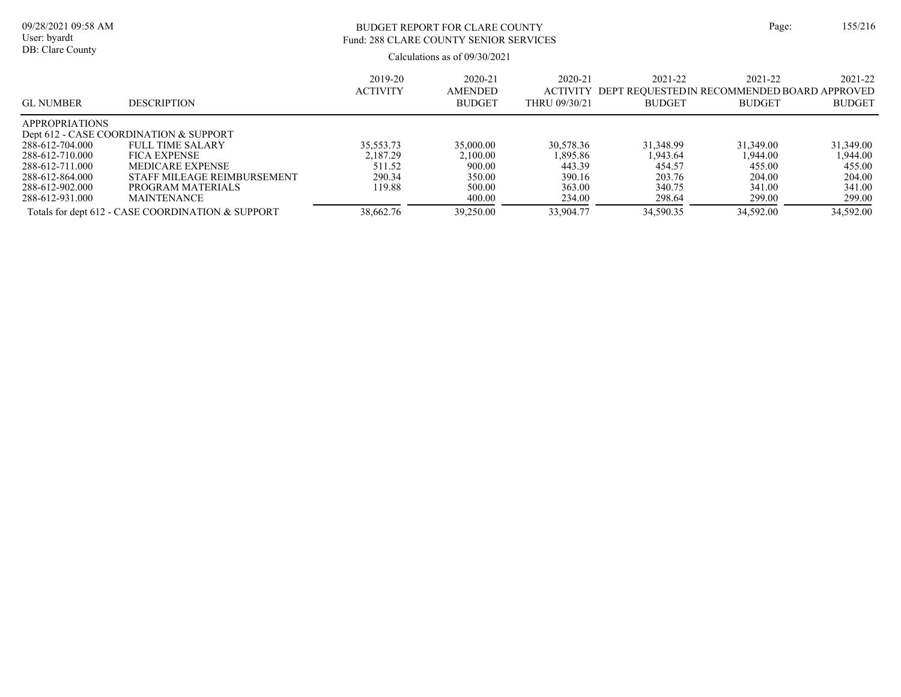| age: | 155/216 |
|------|---------|
|      |         |

Calculations as of 09/30/2021 09/28/2021 09:58 AM User: byardt DB: Clare County BUDGET REPORT FOR CLARE COUNTY Page: 155/216 Fund: 288 CLARE COUNTY SENIOR SERVICES

| <b>GL NUMBER</b>      | <b>DESCRIPTION</b>                                | 2019-20<br><b>ACTIVITY</b> | 2020-21<br><b>AMENDED</b><br><b>BUDGET</b> | 2020-21<br><b>ACTIVITY</b><br>THRU 09/30/21 | 2021-22<br>DEPT REOUESTEDIN RECOMMENDED BOARD APPROVED<br><b>BUDGET</b> | 2021-22<br><b>BUDGET</b> | 2021-22<br><b>BUDGET</b> |
|-----------------------|---------------------------------------------------|----------------------------|--------------------------------------------|---------------------------------------------|-------------------------------------------------------------------------|--------------------------|--------------------------|
| <b>APPROPRIATIONS</b> |                                                   |                            |                                            |                                             |                                                                         |                          |                          |
|                       | Dept 612 - CASE COORDINATION & SUPPORT            |                            |                                            |                                             |                                                                         |                          |                          |
| 288-612-704.000       | FULL TIME SALARY                                  | 35,553.73                  | 35,000.00                                  | 30,578.36                                   | 31.348.99                                                               | 31,349.00                | 31,349.00                |
| 288-612-710.000       | <b>FICA EXPENSE</b>                               | 2.187.29                   | 2.100.00                                   | 1.895.86                                    | 1.943.64                                                                | 1.944.00                 | 1.944.00                 |
| 288-612-711.000       | MEDICARE EXPENSE                                  | 511.52                     | 900.00                                     | 443.39                                      | 454.57                                                                  | 455.00                   | 455.00                   |
| 288-612-864.000       | STAFF MILEAGE REIMBURSEMENT                       | 290.34                     | 350.00                                     | 390.16                                      | 203.76                                                                  | 204.00                   | 204.00                   |
| 288-612-902.000       | PROGRAM MATERIALS                                 | 119.88                     | 500.00                                     | 363.00                                      | 340.75                                                                  | 341.00                   | 341.00                   |
| 288-612-931.000       | <b>MAINTENANCE</b>                                |                            | 400.00                                     | 234.00                                      | 298.64                                                                  | 299.00                   | 299.00                   |
|                       | Totals for dept 612 - CASE COORDINATION & SUPPORT | 38,662.76                  | 39,250.00                                  | 33,904.77                                   | 34,590.35                                                               | 34,592.00                | 34,592.00                |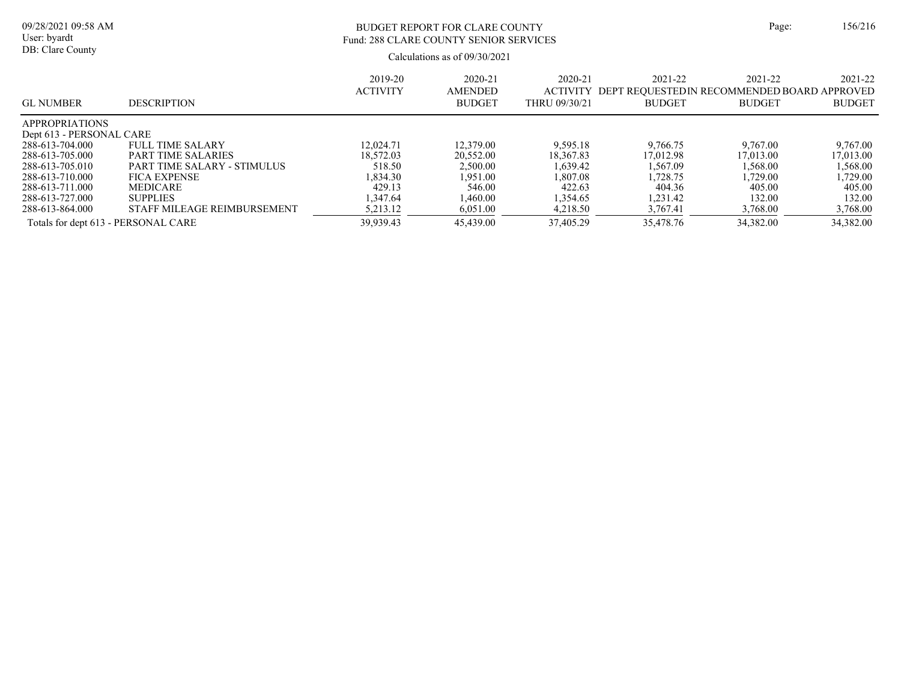# BUDGET REPORT FOR CLARE COUNTY Page: 156/216 Fund: 288 CLARE COUNTY SENIOR SERVICES

| <b>GL NUMBER</b>                    | <b>DESCRIPTION</b>          | 2019-20<br><b>ACTIVITY</b> | 2020-21<br><b>AMENDED</b><br><b>BUDGET</b> | 2020-21<br><b>ACTIVITY</b><br>THRU 09/30/21 | 2021-22<br>DEPT REOUESTEDIN RECOMMENDED BOARD APPROVED<br><b>BUDGET</b> | 2021-22<br><b>BUDGET</b> | 2021-22<br><b>BUDGET</b> |
|-------------------------------------|-----------------------------|----------------------------|--------------------------------------------|---------------------------------------------|-------------------------------------------------------------------------|--------------------------|--------------------------|
| <b>APPROPRIATIONS</b>               |                             |                            |                                            |                                             |                                                                         |                          |                          |
| Dept 613 - PERSONAL CARE            |                             |                            |                                            |                                             |                                                                         |                          |                          |
| 288-613-704.000                     | <b>FULL TIME SALARY</b>     | 12,024.71                  | 12,379.00                                  | 9,595.18                                    | 9.766.75                                                                | 9,767.00                 | 9,767.00                 |
| 288-613-705.000                     | PART TIME SALARIES          | 18,572.03                  | 20,552.00                                  | 18,367.83                                   | 17.012.98                                                               | 17.013.00                | 17.013.00                |
| 288-613-705.010                     | PART TIME SALARY - STIMULUS | 518.50                     | 2,500.00                                   | 1.639.42                                    | 1.567.09                                                                | 1.568.00                 | 1,568.00                 |
| 288-613-710.000                     | <b>FICA EXPENSE</b>         | 1,834.30                   | 1.951.00                                   | 1.807.08                                    | 1.728.75                                                                | 1.729.00                 | 1,729.00                 |
| 288-613-711.000                     | <b>MEDICARE</b>             | 429.13                     | 546.00                                     | 422.63                                      | 404.36                                                                  | 405.00                   | 405.00                   |
| 288-613-727.000                     | <b>SUPPLIES</b>             | 1.347.64                   | .460.00                                    | 1.354.65                                    | 1.231.42                                                                | 132.00                   | 132.00                   |
| 288-613-864.000                     | STAFF MILEAGE REIMBURSEMENT | 5,213.12                   | 6,051.00                                   | 4,218.50                                    | 3,767.41                                                                | 3,768.00                 | 3,768.00                 |
| Totals for dept 613 - PERSONAL CARE |                             | 39.939.43                  | 45,439.00                                  | 37,405.29                                   | 35,478.76                                                               | 34,382.00                | 34,382.00                |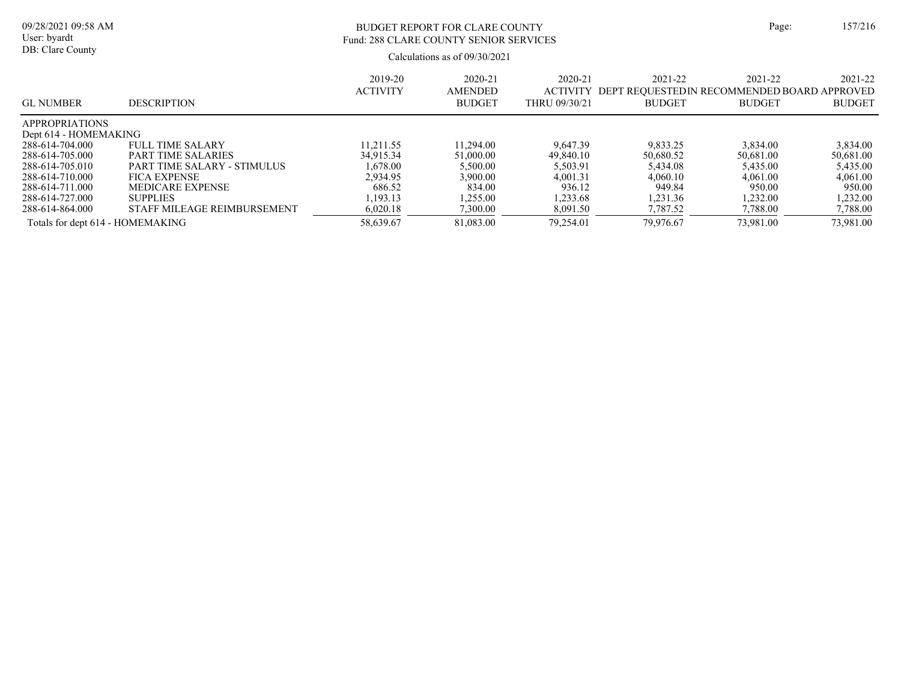# BUDGET REPORT FOR CLARE COUNTY Page: 157/216 Fund: 288 CLARE COUNTY SENIOR SERVICES

| <b>GL NUMBER</b>                 | <b>DESCRIPTION</b>          | 2019-20<br><b>ACTIVITY</b> | 2020-21<br><b>AMENDED</b><br><b>BUDGET</b> | $2020 - 21$<br><b>ACTIVITY</b><br>THRU 09/30/21 | 2021-22<br>DEPT REQUESTED IN RECOMMENDED BOARD APPROVED<br><b>BUDGET</b> | 2021-22<br><b>BUDGET</b> | 2021-22<br><b>BUDGET</b> |
|----------------------------------|-----------------------------|----------------------------|--------------------------------------------|-------------------------------------------------|--------------------------------------------------------------------------|--------------------------|--------------------------|
| <b>APPROPRIATIONS</b>            |                             |                            |                                            |                                                 |                                                                          |                          |                          |
| Dept 614 - HOMEMAKING            |                             |                            |                                            |                                                 |                                                                          |                          |                          |
| 288-614-704.000                  | <b>FULL TIME SALARY</b>     | 11.211.55                  | 11.294.00                                  | 9.647.39                                        | 9.833.25                                                                 | 3,834.00                 | 3,834.00                 |
| 288-614-705.000                  | PART TIME SALARIES          | 34,915.34                  | 51,000.00                                  | 49.840.10                                       | 50.680.52                                                                | 50.681.00                | 50,681.00                |
| 288-614-705.010                  | PART TIME SALARY - STIMULUS | 1.678.00                   | 5,500.00                                   | 5.503.91                                        | 5.434.08                                                                 | 5.435.00                 | 5.435.00                 |
| 288-614-710.000                  | <b>FICA EXPENSE</b>         | 2,934.95                   | 3.900.00                                   | 4.001.31                                        | 4,060.10                                                                 | 4,061.00                 | 4,061.00                 |
| 288-614-711.000                  | MEDICARE EXPENSE            | 686.52                     | 834.00                                     | 936.12                                          | 949.84                                                                   | 950.00                   | 950.00                   |
| 288-614-727.000                  | <b>SUPPLIES</b>             | 1.193.13                   | .255.00                                    | 1.233.68                                        | 1.231.36                                                                 | 1.232.00                 | 1.232.00                 |
| 288-614-864.000                  | STAFF MILEAGE REIMBURSEMENT | 6,020.18                   | ,300.00                                    | 8,091.50                                        | 7,787.52                                                                 | 7,788.00                 | 7,788.00                 |
| Totals for dept 614 - HOMEMAKING |                             | 58,639.67                  | 81,083.00                                  | 79.254.01                                       | 79,976.67                                                                | 73,981.00                | 73,981.00                |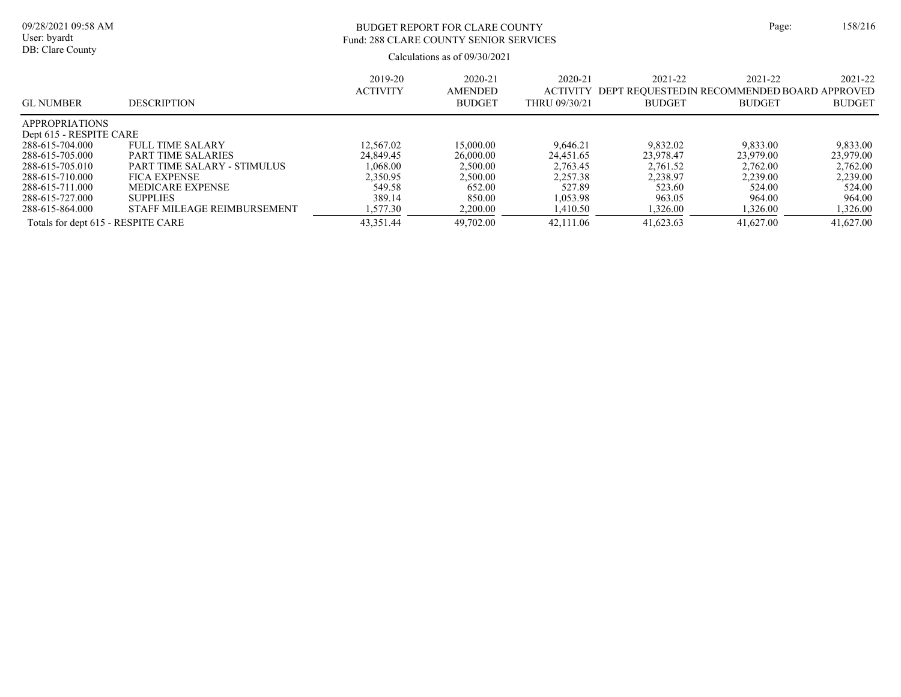# BUDGET REPORT FOR CLARE COUNTY Page: 158/216 Fund: 288 CLARE COUNTY SENIOR SERVICES

| <b>GL NUMBER</b>                   | <b>DESCRIPTION</b>          | 2019-20<br><b>ACTIVITY</b> | 2020-21<br><b>AMENDED</b><br><b>BUDGET</b> | $2020 - 21$<br><b>ACTIVITY</b><br>THRU 09/30/21 | 2021-22<br>DEPT REQUESTED IN RECOMMENDED BOARD APPROVED<br><b>BUDGET</b> | 2021-22<br><b>BUDGET</b> | 2021-22<br><b>BUDGET</b> |
|------------------------------------|-----------------------------|----------------------------|--------------------------------------------|-------------------------------------------------|--------------------------------------------------------------------------|--------------------------|--------------------------|
| <b>APPROPRIATIONS</b>              |                             |                            |                                            |                                                 |                                                                          |                          |                          |
| Dept 615 - RESPITE CARE            |                             |                            |                                            |                                                 |                                                                          |                          |                          |
| 288-615-704.000                    | <b>FULL TIME SALARY</b>     | 12.567.02                  | 15,000.00                                  | 9.646.21                                        | 9,832.02                                                                 | 9,833.00                 | 9,833.00                 |
| 288-615-705.000                    | PART TIME SALARIES          | 24,849.45                  | 26,000.00                                  | 24.451.65                                       | 23.978.47                                                                | 23,979.00                | 23.979.00                |
| 288-615-705.010                    | PART TIME SALARY - STIMULUS | 1.068.00                   | 2.500.00                                   | 2,763.45                                        | 2.761.52                                                                 | 2.762.00                 | 2,762.00                 |
| 288-615-710.000                    | <b>FICA EXPENSE</b>         | 2,350.95                   | 2,500.00                                   | 2.257.38                                        | 2,238.97                                                                 | 2,239.00                 | 2,239.00                 |
| 288-615-711.000                    | MEDICARE EXPENSE            | 549.58                     | 652.00                                     | 527.89                                          | 523.60                                                                   | 524.00                   | 524.00                   |
| 288-615-727.000                    | <b>SUPPLIES</b>             | 389.14                     | 850.00                                     | 1.053.98                                        | 963.05                                                                   | 964.00                   | 964.00                   |
| 288-615-864.000                    | STAFF MILEAGE REIMBURSEMENT | 1,577.30                   | 2,200.00                                   | 1,410.50                                        | 1,326.00                                                                 | 1,326.00                 | 1,326.00                 |
| Totals for dept 615 - RESPITE CARE |                             | 43,351.44                  | 49,702.00                                  | 42,111.06                                       | 41.623.63                                                                | 41,627.00                | 41,627.00                |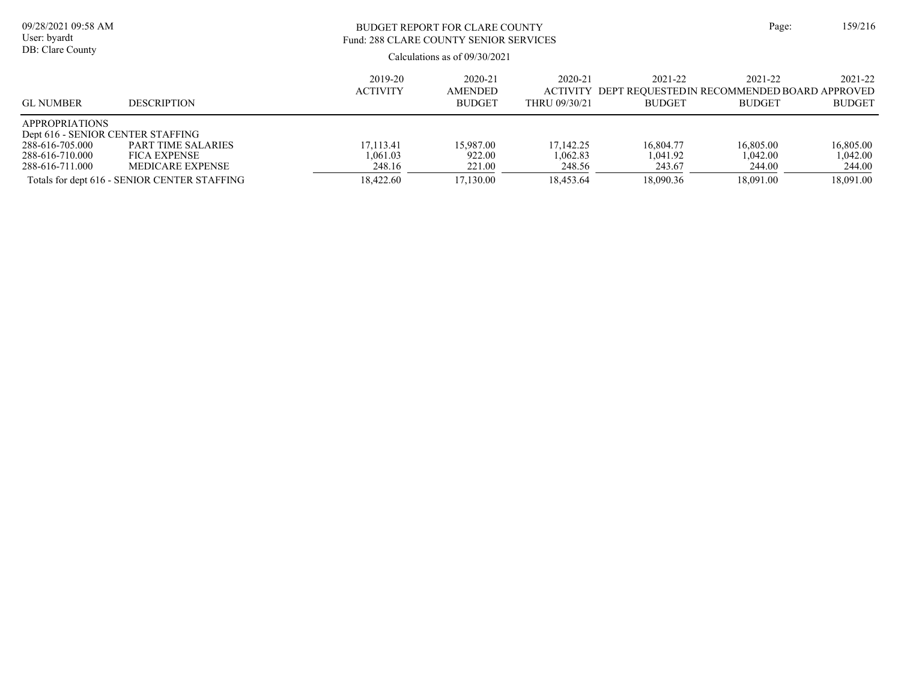| 09/28/2021 09:58 AM<br>User: byardt<br>DB: Clare County                                                             |                                                                                                                      |                                              | BUDGET REPORT FOR CLARE COUNTY<br>Fund: 288 CLARE COUNTY SENIOR SERVICES<br>Calculations as of $09/30/2021$ | Page:                                        | 159/216                                                                 |                                              |                                              |
|---------------------------------------------------------------------------------------------------------------------|----------------------------------------------------------------------------------------------------------------------|----------------------------------------------|-------------------------------------------------------------------------------------------------------------|----------------------------------------------|-------------------------------------------------------------------------|----------------------------------------------|----------------------------------------------|
| <b>GL NUMBER</b>                                                                                                    | <b>DESCRIPTION</b>                                                                                                   | 2019-20<br><b>ACTIVITY</b>                   | 2020-21<br>AMENDED<br><b>BUDGET</b>                                                                         | 2020-21<br><b>ACTIVITY</b><br>THRU 09/30/21  | 2021-22<br>DEPT REQUESTEDIN RECOMMENDED BOARD APPROVED<br><b>BUDGET</b> | 2021-22<br><b>BUDGET</b>                     | 2021-22<br><b>BUDGET</b>                     |
| <b>APPROPRIATIONS</b><br>Dept 616 - SENIOR CENTER STAFFING<br>288-616-705.000<br>288-616-710.000<br>288-616-711.000 | PART TIME SALARIES<br><b>FICA EXPENSE</b><br><b>MEDICARE EXPENSE</b><br>Totals for dept 616 - SENIOR CENTER STAFFING | 17.113.41<br>1.061.03<br>248.16<br>18,422.60 | 15.987.00<br>922.00<br>221.00<br>17,130.00                                                                  | 17.142.25<br>1.062.83<br>248.56<br>18,453.64 | 16,804.77<br>1.041.92<br>243.67<br>18,090.36                            | 16,805.00<br>1.042.00<br>244.00<br>18,091.00 | 16,805.00<br>1,042.00<br>244.00<br>18,091.00 |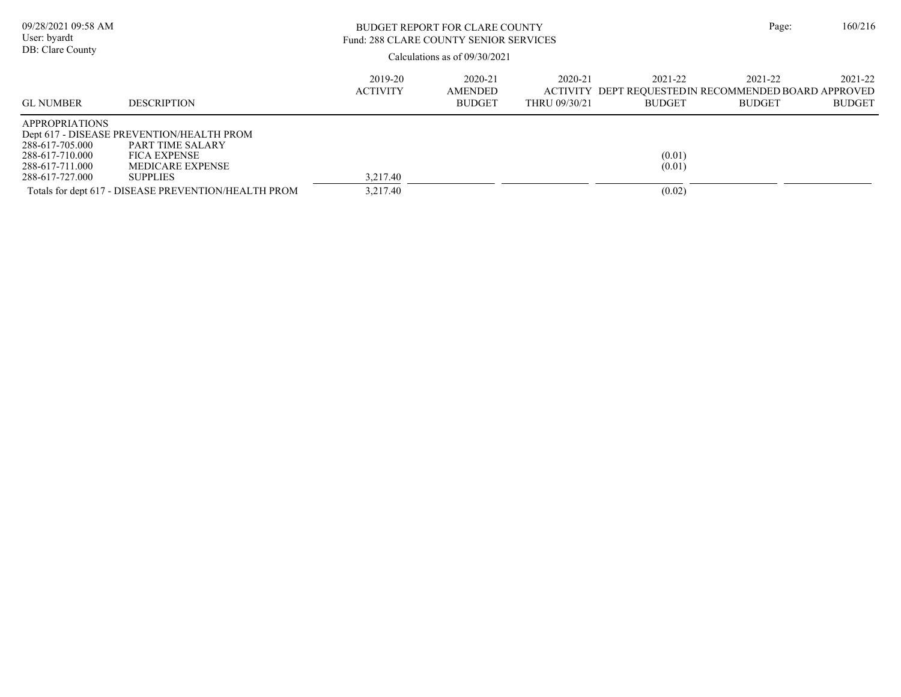| 09/28/2021 09:58 AM<br>User: byardt<br>DB: Clare County                                           |                                                                                                                                                                                            |                            | <b>BUDGET REPORT FOR CLARE COUNTY</b><br>Fund: 288 CLARE COUNTY SENIOR SERVICES<br>Calculations as of 09/30/2021 |                                             |                                                                         |                          |                          |
|---------------------------------------------------------------------------------------------------|--------------------------------------------------------------------------------------------------------------------------------------------------------------------------------------------|----------------------------|------------------------------------------------------------------------------------------------------------------|---------------------------------------------|-------------------------------------------------------------------------|--------------------------|--------------------------|
| <b>GL NUMBER</b>                                                                                  | <b>DESCRIPTION</b>                                                                                                                                                                         | 2019-20<br><b>ACTIVITY</b> | 2020-21<br><b>AMENDED</b><br><b>BUDGET</b>                                                                       | 2020-21<br><b>ACTIVITY</b><br>THRU 09/30/21 | 2021-22<br>DEPT REOUESTEDIN RECOMMENDED BOARD APPROVED<br><b>BUDGET</b> | 2021-22<br><b>BUDGET</b> | 2021-22<br><b>BUDGET</b> |
| <b>APPROPRIATIONS</b><br>288-617-705.000<br>288-617-710.000<br>288-617-711.000<br>288-617-727.000 | Dept 617 - DISEASE PREVENTION/HEALTH PROM<br>PART TIME SALARY<br><b>FICA EXPENSE</b><br><b>MEDICARE EXPENSE</b><br><b>SUPPLIES</b><br>Totals for dept 617 - DISEASE PREVENTION/HEALTH PROM | 3.217.40<br>3,217.40       |                                                                                                                  |                                             | (0.01)<br>(0.01)<br>(0.02)                                              |                          |                          |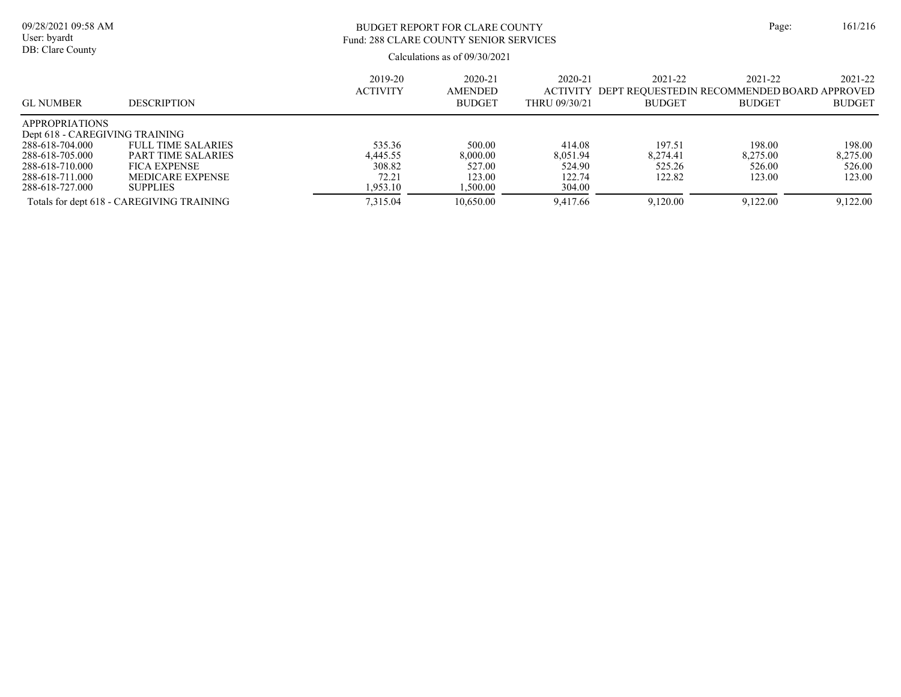| 09/28/2021 09:58 AM<br>User: byardt                                        |                                                                                                | <b>BUDGET REPORT FOR CLARE COUNTY</b><br>Fund: 288 CLARE COUNTY SENIOR SERVICES |                                            |                                             |                              |                                                                         |                              |  |
|----------------------------------------------------------------------------|------------------------------------------------------------------------------------------------|---------------------------------------------------------------------------------|--------------------------------------------|---------------------------------------------|------------------------------|-------------------------------------------------------------------------|------------------------------|--|
| DB: Clare County                                                           |                                                                                                | Calculations as of 09/30/2021                                                   |                                            |                                             |                              |                                                                         |                              |  |
| <b>GL NUMBER</b>                                                           | <b>DESCRIPTION</b>                                                                             | 2019-20<br><b>ACTIVITY</b>                                                      | 2020-21<br><b>AMENDED</b><br><b>BUDGET</b> | 2020-21<br><b>ACTIVITY</b><br>THRU 09/30/21 | 2021-22<br><b>BUDGET</b>     | 2021-22<br>DEPT REOUESTEDIN RECOMMENDED BOARD APPROVED<br><b>BUDGET</b> | 2021-22<br><b>BUDGET</b>     |  |
| <b>APPROPRIATIONS</b><br>Dept 618 - CAREGIVING TRAINING<br>288-618-704.000 | <b>FULL TIME SALARIES</b>                                                                      | 535.36                                                                          | 500.00                                     | 414.08                                      | 197.51                       | 198.00                                                                  | 198.00                       |  |
| 288-618-705.000<br>288-618-710.000<br>288-618-711.000<br>288-618-727.000   | <b>PART TIME SALARIES</b><br><b>FICA EXPENSE</b><br><b>MEDICARE EXPENSE</b><br><b>SUPPLIES</b> | 4.445.55<br>308.82<br>72.21<br>1,953.10                                         | 8,000.00<br>527.00<br>123.00<br>.500.00    | 8.051.94<br>524.90<br>122.74<br>304.00      | 8.274.41<br>525.26<br>122.82 | 8.275.00<br>526.00<br>123.00                                            | 8,275.00<br>526.00<br>123.00 |  |
|                                                                            | Totals for dept 618 - CAREGIVING TRAINING                                                      | 7.315.04                                                                        | 10,650.00                                  | 9.417.66                                    | 9,120.00                     | 9,122.00                                                                | 9,122.00                     |  |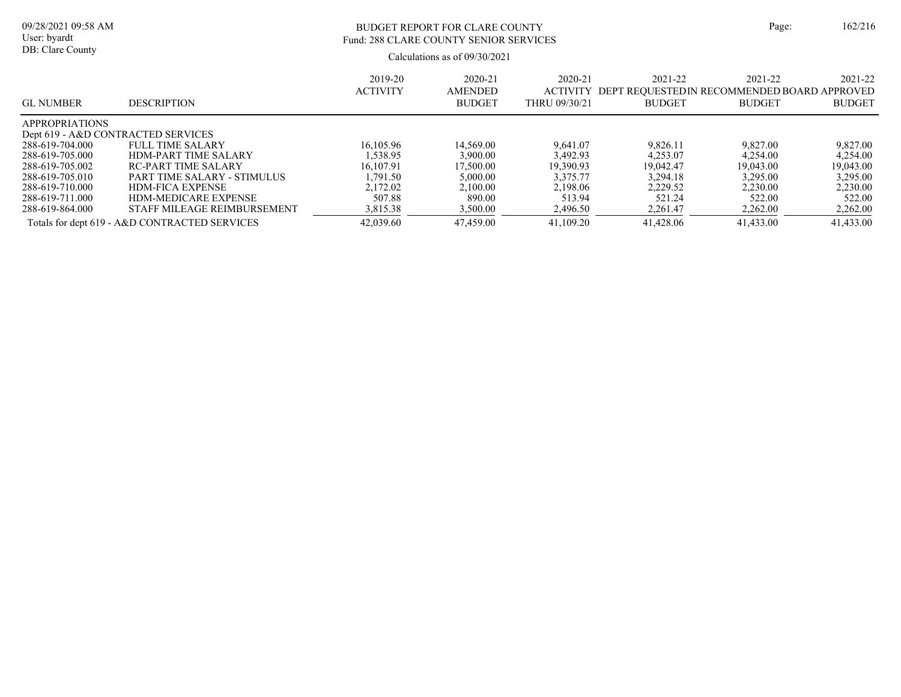# BUDGET REPORT FOR CLARE COUNTY Page: 162/216 Fund: 288 CLARE COUNTY SENIOR SERVICES

| <b>GL NUMBER</b>      | <b>DESCRIPTION</b>                            | 2019-20<br><b>ACTIVITY</b> | 2020-21<br><b>AMENDED</b><br><b>BUDGET</b> | 2020-21<br><b>ACTIVITY</b><br>THRU 09/30/21 | 2021-22<br>DEPT REOUESTEDIN RECOMMENDED BOARD APPROVED<br><b>BUDGET</b> | 2021-22<br><b>BUDGET</b> | 2021-22<br><b>BUDGET</b> |
|-----------------------|-----------------------------------------------|----------------------------|--------------------------------------------|---------------------------------------------|-------------------------------------------------------------------------|--------------------------|--------------------------|
| <b>APPROPRIATIONS</b> |                                               |                            |                                            |                                             |                                                                         |                          |                          |
|                       | Dept 619 - A&D CONTRACTED SERVICES            |                            |                                            |                                             |                                                                         |                          |                          |
| 288-619-704.000       | <b>FULL TIME SALARY</b>                       | 16,105.96                  | 14,569.00                                  | 9.641.07                                    | 9.826.11                                                                | 9,827.00                 | 9,827.00                 |
| 288-619-705.000       | <b>HDM-PART TIME SALARY</b>                   | .538.95                    | 3.900.00                                   | 3.492.93                                    | 4.253.07                                                                | 4.254.00                 | 4.254.00                 |
| 288-619-705.002       | RC-PART TIME SALARY                           | 16.107.91                  | 17,500.00                                  | 19.390.93                                   | 19.042.47                                                               | 19,043.00                | 19,043.00                |
| 288-619-705.010       | PART TIME SALARY - STIMULUS                   | .791.50                    | 5,000.00                                   | 3.375.77                                    | 3.294.18                                                                | 3.295.00                 | 3.295.00                 |
| 288-619-710.000       | <b>HDM-FICA EXPENSE</b>                       | 2.172.02                   | 2.100.00                                   | 2,198.06                                    | 2,229.52                                                                | 2,230.00                 | 2,230.00                 |
| 288-619-711.000       | <b>HDM-MEDICARE EXPENSE</b>                   | 507.88                     | 890.00                                     | 513.94                                      | 521.24                                                                  | 522.00                   | 522.00                   |
| 288-619-864.000       | STAFF MILEAGE REIMBURSEMENT                   | 3,815.38                   | 3,500.00                                   | 2,496.50                                    | 2,261.47                                                                | 2,262.00                 | 2,262.00                 |
|                       | Totals for dept 619 - A&D CONTRACTED SERVICES | 42,039.60                  | 47,459.00                                  | 41,109.20                                   | 41,428.06                                                               | 41,433.00                | 41,433.00                |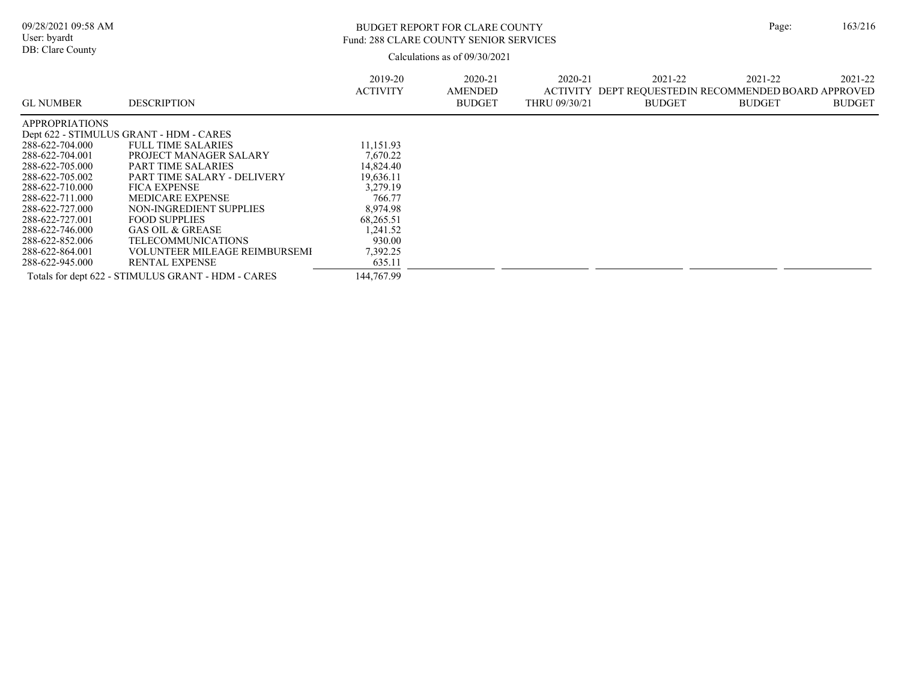### BUDGET REPORT FOR CLARE COUNTY Page: 163/216 Fund: 288 CLARE COUNTY SENIOR SERVICES

| <b>GL NUMBER</b>      | <b>DESCRIPTION</b>                                 | 2019-20<br><b>ACTIVITY</b> | $2020 - 21$<br>AMENDED<br><b>BUDGET</b> | $2020 - 21$<br>THRU 09/30/21 | 2021-22<br>ACTIVITY DEPT REOUESTEDIN RECOMMENDED BOARD APPROVED<br>BUDGET | 2021-22<br><b>BUDGET</b> | 2021-22<br><b>BUDGET</b> |
|-----------------------|----------------------------------------------------|----------------------------|-----------------------------------------|------------------------------|---------------------------------------------------------------------------|--------------------------|--------------------------|
| <b>APPROPRIATIONS</b> |                                                    |                            |                                         |                              |                                                                           |                          |                          |
|                       | Dept 622 - STIMULUS GRANT - HDM - CARES            |                            |                                         |                              |                                                                           |                          |                          |
| 288-622-704.000       | <b>FULL TIME SALARIES</b>                          | 11,151.93                  |                                         |                              |                                                                           |                          |                          |
| 288-622-704.001       | PROJECT MANAGER SALARY                             | 7,670.22                   |                                         |                              |                                                                           |                          |                          |
| 288-622-705.000       | <b>PART TIME SALARIES</b>                          | 14,824.40                  |                                         |                              |                                                                           |                          |                          |
| 288-622-705.002       | PART TIME SALARY - DELIVERY                        | 19,636.11                  |                                         |                              |                                                                           |                          |                          |
| 288-622-710.000       | <b>FICA EXPENSE</b>                                | 3.279.19                   |                                         |                              |                                                                           |                          |                          |
| 288-622-711.000       | <b>MEDICARE EXPENSE</b>                            | 766.77                     |                                         |                              |                                                                           |                          |                          |
| 288-622-727.000       | NON-INGREDIENT SUPPLIES                            | 8,974.98                   |                                         |                              |                                                                           |                          |                          |
| 288-622-727.001       | <b>FOOD SUPPLIES</b>                               | 68,265.51                  |                                         |                              |                                                                           |                          |                          |
| 288-622-746.000       | <b>GAS OIL &amp; GREASE</b>                        | 1,241.52                   |                                         |                              |                                                                           |                          |                          |
| 288-622-852.006       | TELECOMMUNICATIONS                                 | 930.00                     |                                         |                              |                                                                           |                          |                          |
| 288-622-864.001       | VOLUNTEER MILEAGE REIMBURSEMI                      | 7,392.25                   |                                         |                              |                                                                           |                          |                          |
| 288-622-945.000       | <b>RENTAL EXPENSE</b>                              | 635.11                     |                                         |                              |                                                                           |                          |                          |
|                       | Totals for dept 622 - STIMULUS GRANT - HDM - CARES | 144,767.99                 |                                         |                              |                                                                           |                          |                          |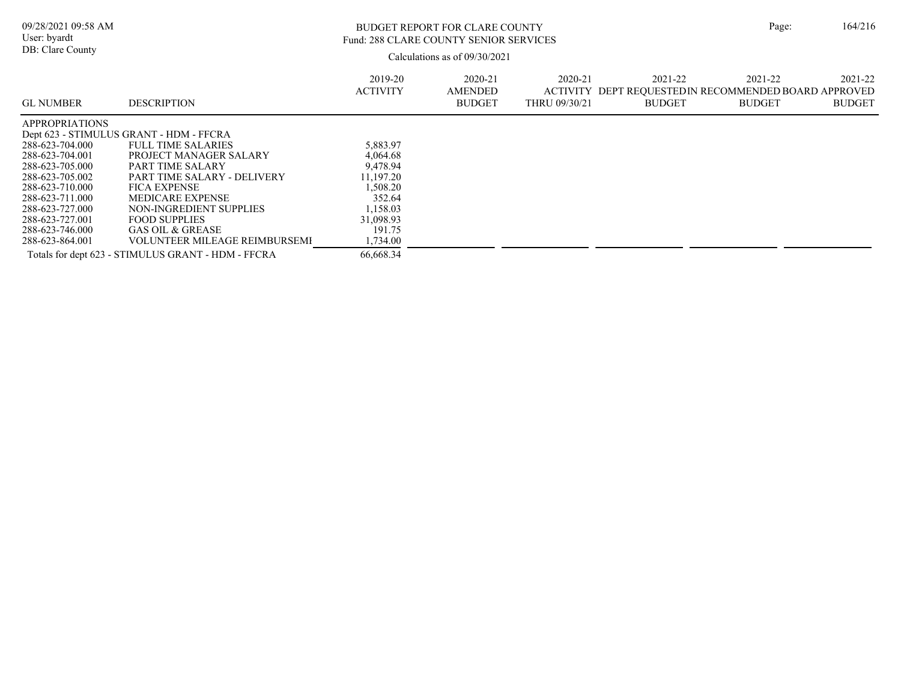### BUDGET REPORT FOR CLARE COUNTY Page: 164/216 Fund: 288 CLARE COUNTY SENIOR SERVICES

| <b>GL NUMBER</b>      | <b>DESCRIPTION</b>                                 | 2019-20<br><b>ACTIVITY</b> | 2020-21<br><b>AMENDED</b><br><b>BUDGET</b> | 2020-21<br>ACTIVITY<br>THRU 09/30/21 | 2021-22<br>DEPT REOUESTEDIN RECOMMENDED BOARD APPROVED<br><b>BUDGET</b> | 2021-22<br><b>BUDGET</b> | 2021-22<br><b>BUDGET</b> |
|-----------------------|----------------------------------------------------|----------------------------|--------------------------------------------|--------------------------------------|-------------------------------------------------------------------------|--------------------------|--------------------------|
| <b>APPROPRIATIONS</b> |                                                    |                            |                                            |                                      |                                                                         |                          |                          |
|                       | Dept 623 - STIMULUS GRANT - HDM - FFCRA            |                            |                                            |                                      |                                                                         |                          |                          |
| 288-623-704.000       | FULL TIME SALARIES                                 | 5,883.97                   |                                            |                                      |                                                                         |                          |                          |
| 288-623-704.001       | PROJECT MANAGER SALARY                             | 4,064.68                   |                                            |                                      |                                                                         |                          |                          |
| 288-623-705.000       | PART TIME SALARY                                   | 9,478.94                   |                                            |                                      |                                                                         |                          |                          |
| 288-623-705.002       | PART TIME SALARY - DELIVERY                        | 11.197.20                  |                                            |                                      |                                                                         |                          |                          |
| 288-623-710.000       | <b>FICA EXPENSE</b>                                | 1,508.20                   |                                            |                                      |                                                                         |                          |                          |
| 288-623-711.000       | <b>MEDICARE EXPENSE</b>                            | 352.64                     |                                            |                                      |                                                                         |                          |                          |
| 288-623-727.000       | NON-INGREDIENT SUPPLIES                            | 1,158.03                   |                                            |                                      |                                                                         |                          |                          |
| 288-623-727.001       | <b>FOOD SUPPLIES</b>                               | 31,098.93                  |                                            |                                      |                                                                         |                          |                          |
| 288-623-746.000       | GAS OIL & GREASE                                   | 191.75                     |                                            |                                      |                                                                         |                          |                          |
| 288-623-864.001       | <b>VOLUNTEER MILEAGE REIMBURSEMI</b>               | 1,734.00                   |                                            |                                      |                                                                         |                          |                          |
|                       | Totals for dept 623 - STIMULUS GRANT - HDM - FFCRA | 66.668.34                  |                                            |                                      |                                                                         |                          |                          |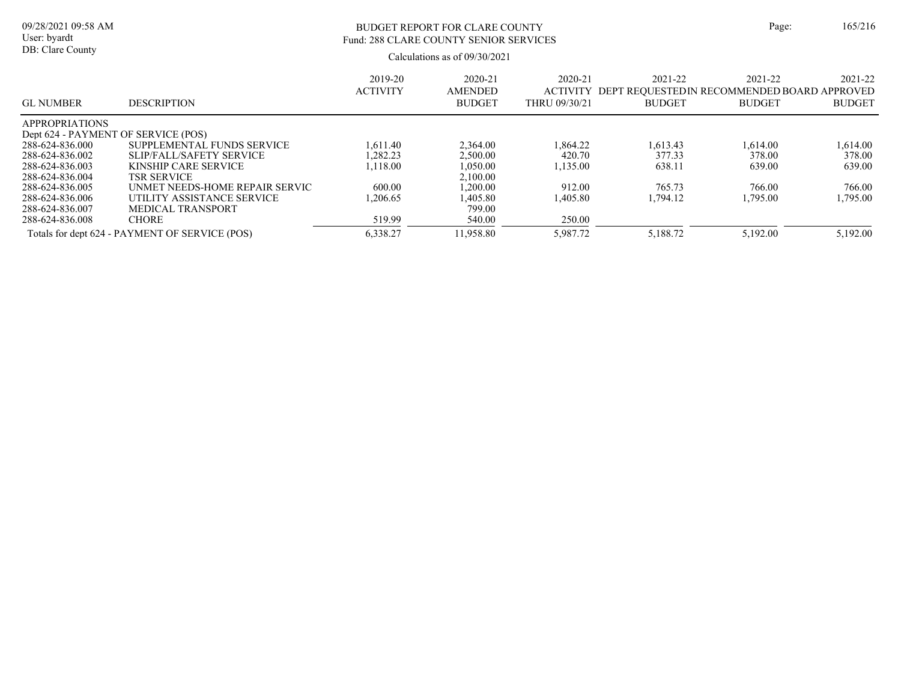# BUDGET REPORT FOR CLARE COUNTY Page: 165/216 Fund: 288 CLARE COUNTY SENIOR SERVICES

| <b>GL NUMBER</b>                    | <b>DESCRIPTION</b>                             | 2019-20<br><b>ACTIVITY</b> | $2020 - 21$<br><b>AMENDED</b><br><b>BUDGET</b> | 2020-21<br><b>ACTIVITY</b><br>THRU 09/30/21 | 2021-22<br>DEPT REOUESTEDIN RECOMMENDED BOARD APPROVED<br><b>BUDGET</b> | 2021-22<br><b>BUDGET</b> | 2021-22<br><b>BUDGET</b> |
|-------------------------------------|------------------------------------------------|----------------------------|------------------------------------------------|---------------------------------------------|-------------------------------------------------------------------------|--------------------------|--------------------------|
| <b>APPROPRIATIONS</b>               |                                                |                            |                                                |                                             |                                                                         |                          |                          |
| Dept 624 - PAYMENT OF SERVICE (POS) |                                                |                            |                                                |                                             |                                                                         |                          |                          |
| 288-624-836.000                     | SUPPLEMENTAL FUNDS SERVICE                     | 1.611.40                   | 2,364.00                                       | .864.22                                     | 1.613.43                                                                | 1.614.00                 | 1.614.00                 |
| 288-624-836.002                     | SLIP/FALL/SAFETY SERVICE                       | .282.23                    | 2,500.00                                       | 420.70                                      | 377.33                                                                  | 378.00                   | 378.00                   |
| 288-624-836.003                     | KINSHIP CARE SERVICE                           | .118.00                    | 1.050.00                                       | ,135.00                                     | 638.11                                                                  | 639.00                   | 639.00                   |
| 288-624-836.004                     | <b>TSR SERVICE</b>                             |                            | 2.100.00                                       |                                             |                                                                         |                          |                          |
| 288-624-836.005                     | UNMET NEEDS-HOME REPAIR SERVIC                 | 600.00                     | .200.00                                        | 912.00                                      | 765.73                                                                  | 766.00                   | 766.00                   |
| 288-624-836.006                     | UTILITY ASSISTANCE SERVICE                     | .206.65                    | .405.80                                        | .405.80                                     | 1.794.12                                                                | 1.795.00                 | 1,795.00                 |
| 288-624-836.007                     | MEDICAL TRANSPORT                              |                            | 799.00                                         |                                             |                                                                         |                          |                          |
| 288-624-836.008                     | <b>CHORE</b>                                   | 519.99                     | 540.00                                         | 250.00                                      |                                                                         |                          |                          |
|                                     | Totals for dept 624 - PAYMENT OF SERVICE (POS) | 6,338.27                   | 1,958.80                                       | 5,987.72                                    | 5,188.72                                                                | 5,192.00                 | 5,192.00                 |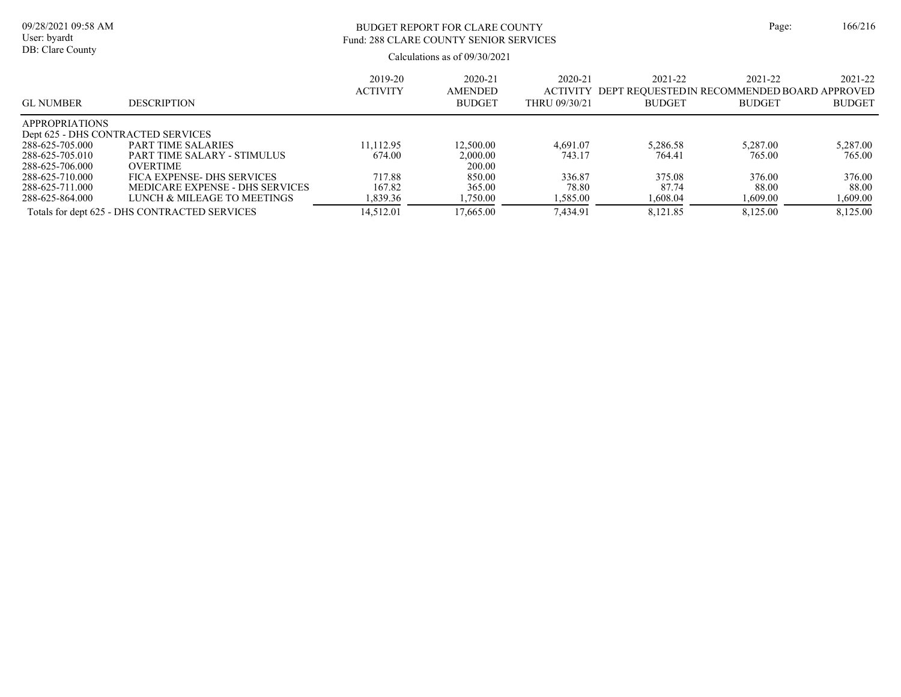| ige: | 166/216 |
|------|---------|
|      |         |

### BUDGET REPORT FOR CLARE COUNTY Page: 166/216 Fund: 288 CLARE COUNTY SENIOR SERVICES

| <b>GL NUMBER</b>      | <b>DESCRIPTION</b>                            | 2019-20<br><b>ACTIVITY</b> | 2020-21<br><b>AMENDED</b><br><b>BUDGET</b> | 2020-21<br><b>ACTIVITY</b><br>THRU 09/30/21 | 2021-22<br>DEPT REOUESTEDIN RECOMMENDED BOARD APPROVED<br><b>BUDGET</b> | 2021-22<br><b>BUDGET</b> | 2021-22<br><b>BUDGET</b> |
|-----------------------|-----------------------------------------------|----------------------------|--------------------------------------------|---------------------------------------------|-------------------------------------------------------------------------|--------------------------|--------------------------|
| <b>APPROPRIATIONS</b> |                                               |                            |                                            |                                             |                                                                         |                          |                          |
|                       | Dept 625 - DHS CONTRACTED SERVICES            |                            |                                            |                                             |                                                                         |                          |                          |
| 288-625-705.000       | PART TIME SALARIES                            | 11.112.95                  | 12,500.00                                  | 4.691.07                                    | 5,286.58                                                                | 5.287.00                 | 5,287.00                 |
| 288-625-705.010       | PART TIME SALARY - STIMULUS                   | 674.00                     | 2,000.00                                   | 743.17                                      | 764.41                                                                  | 765.00                   | 765.00                   |
| 288-625-706.000       | <b>OVERTIME</b>                               |                            | 200.00                                     |                                             |                                                                         |                          |                          |
| 288-625-710.000       | FICA EXPENSE- DHS SERVICES                    | 717.88                     | 850.00                                     | 336.87                                      | 375.08                                                                  | 376.00                   | 376.00                   |
| 288-625-711.000       | MEDICARE EXPENSE - DHS SERVICES               | 167.82                     | 365.00                                     | 78.80                                       | 87.74                                                                   | 88.00                    | 88.00                    |
| 288-625-864.000       | LUNCH & MILEAGE TO MEETINGS                   | 1,839.36                   | 1,750.00                                   | 1,585.00                                    | 1,608.04                                                                | 1,609.00                 | 1,609.00                 |
|                       | Totals for dept 625 - DHS CONTRACTED SERVICES | 14.512.01                  | 17.665.00                                  | 7.434.91                                    | 8.121.85                                                                | 8,125.00                 | 8.125.00                 |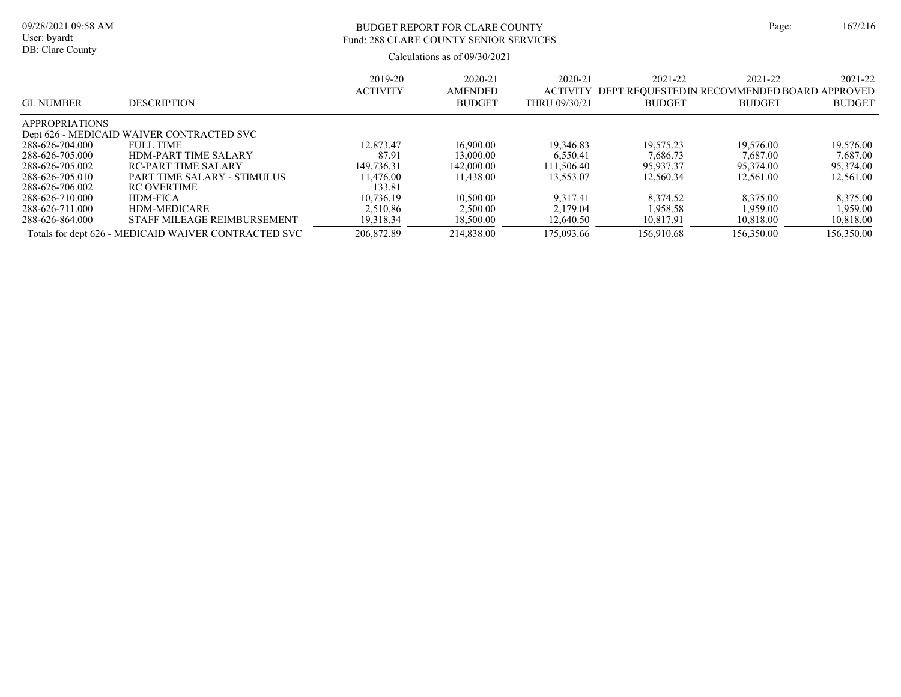# BUDGET REPORT FOR CLARE COUNTY Page: 167/216 Fund: 288 CLARE COUNTY SENIOR SERVICES

| <b>GL NUMBER</b>      | <b>DESCRIPTION</b>                                   | 2019-20<br><b>ACTIVITY</b> | $2020 - 21$<br><b>AMENDED</b><br><b>BUDGET</b> | $2020 - 21$<br><b>ACTIVITY</b><br>THRU 09/30/21 | 2021-22<br>DEPT REQUESTEDIN RECOMMENDED BOARD APPROVED<br><b>BUDGET</b> | 2021-22<br><b>BUDGET</b> | 2021-22<br><b>BUDGET</b> |
|-----------------------|------------------------------------------------------|----------------------------|------------------------------------------------|-------------------------------------------------|-------------------------------------------------------------------------|--------------------------|--------------------------|
| <b>APPROPRIATIONS</b> |                                                      |                            |                                                |                                                 |                                                                         |                          |                          |
|                       | Dept 626 - MEDICAID WAIVER CONTRACTED SVC            |                            |                                                |                                                 |                                                                         |                          |                          |
| 288-626-704.000       | <b>FULL TIME</b>                                     | 12,873.47                  | 16,900.00                                      | 19.346.83                                       | 19.575.23                                                               | 19,576.00                | 19,576.00                |
| 288-626-705.000       | <b>HDM-PART TIME SALARY</b>                          | 87.91                      | 13,000.00                                      | 6.550.41                                        | 7.686.73                                                                | 7,687.00                 | 7,687.00                 |
| 288-626-705.002       | RC-PART TIME SALARY                                  | 149,736.31                 | 142,000.00                                     | 111.506.40                                      | 95.937.37                                                               | 95,374.00                | 95,374.00                |
| 288-626-705.010       | PART TIME SALARY - STIMULUS                          | 11.476.00                  | 11.438.00                                      | 13,553.07                                       | 12,560.34                                                               | 12,561.00                | 12,561.00                |
| 288-626-706.002       | <b>RC OVERTIME</b>                                   | 133.81                     |                                                |                                                 |                                                                         |                          |                          |
| 288-626-710.000       | <b>HDM-FICA</b>                                      | 10.736.19                  | 10,500.00                                      | 9.317.41                                        | 8.374.52                                                                | 8,375.00                 | 8.375.00                 |
| 288-626-711.000       | HDM-MEDICARE                                         | 2.510.86                   | 2.500.00                                       | 2,179.04                                        | 1.958.58                                                                | 1,959.00                 | 1.959.00                 |
| 288-626-864.000       | STAFF MILEAGE REIMBURSEMENT                          | 19.318.34                  | 18,500.00                                      | 12,640.50                                       | 10.817.91                                                               | 10.818.00                | 10,818.00                |
|                       | Totals for dept 626 - MEDICAID WAIVER CONTRACTED SVC | 206,872.89                 | 214,838.00                                     | 175,093.66                                      | 156,910.68                                                              | 156,350.00               | 156,350.00               |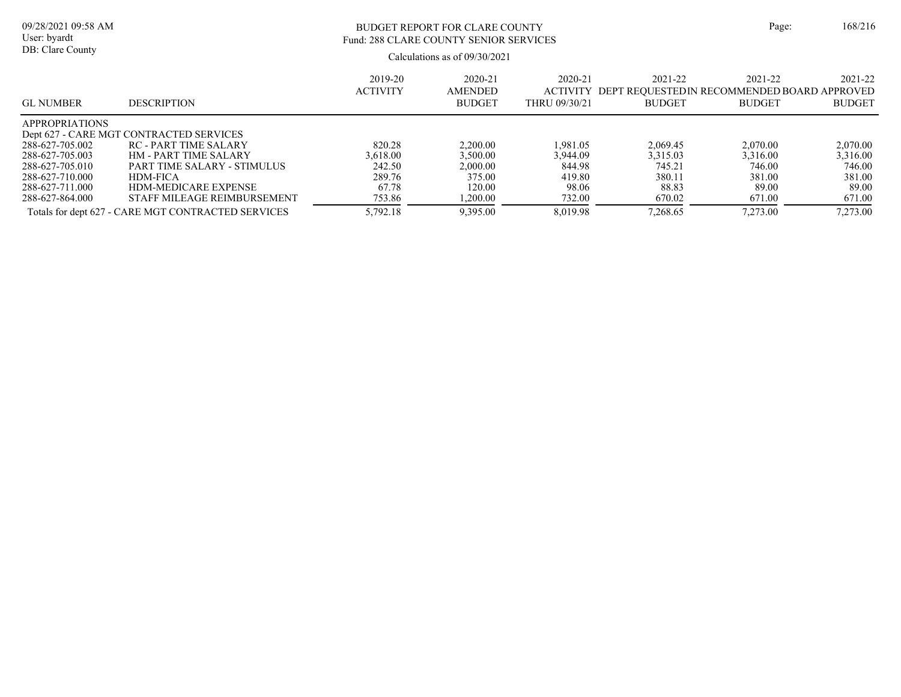| ige: | 168/216 |
|------|---------|
|      |         |

#### 09/28/2021 09:58 AM User: byardt DB: Clare County

# BUDGET REPORT FOR CLARE COUNTY Page: 168/216 Fund: 288 CLARE COUNTY SENIOR SERVICES

| <b>GL NUMBER</b>      | <b>DESCRIPTION</b>                                 | 2019-20<br><b>ACTIVITY</b> | 2020-21<br><b>AMENDED</b><br><b>BUDGET</b> | 2020-21<br>ACTIVITY<br>THRU 09/30/21 | 2021-22<br>DEPT REOUESTEDIN RECOMMENDED BOARD APPROVED<br><b>BUDGET</b> | 2021-22<br><b>BUDGET</b> | 2021-22<br><b>BUDGET</b> |
|-----------------------|----------------------------------------------------|----------------------------|--------------------------------------------|--------------------------------------|-------------------------------------------------------------------------|--------------------------|--------------------------|
| <b>APPROPRIATIONS</b> |                                                    |                            |                                            |                                      |                                                                         |                          |                          |
|                       | Dept 627 - CARE MGT CONTRACTED SERVICES            |                            |                                            |                                      |                                                                         |                          |                          |
| 288-627-705.002       | RC - PART TIME SALARY                              | 820.28                     | 2.200.00                                   | 1.981.05                             | 2.069.45                                                                | 2,070.00                 | 2,070.00                 |
| 288-627-705.003       | <b>HM - PART TIME SALARY</b>                       | 3.618.00                   | 3.500.00                                   | 3.944.09                             | 3,315.03                                                                | 3.316.00                 | 3,316.00                 |
| 288-627-705.010       | PART TIME SALARY - STIMULUS                        | 242.50                     | 2.000.00                                   | 844.98                               | 745.21                                                                  | 746.00                   | 746.00                   |
| 288-627-710.000       | HDM-FICA                                           | 289.76                     | 375.00                                     | 419.80                               | 380.11                                                                  | 381.00                   | 381.00                   |
| 288-627-711.000       | <b>HDM-MEDICARE EXPENSE</b>                        | 67.78                      | 120.00                                     | 98.06                                | 88.83                                                                   | 89.00                    | 89.00                    |
| 288-627-864.000       | STAFF MILEAGE REIMBURSEMENT                        | 753.86                     | .200.00                                    | 732.00                               | 670.02                                                                  | 671.00                   | 671.00                   |
|                       | Totals for dept 627 - CARE MGT CONTRACTED SERVICES | 5,792.18                   | 9,395.00                                   | 8.019.98                             | 7.268.65                                                                | 7,273.00                 | 7,273.00                 |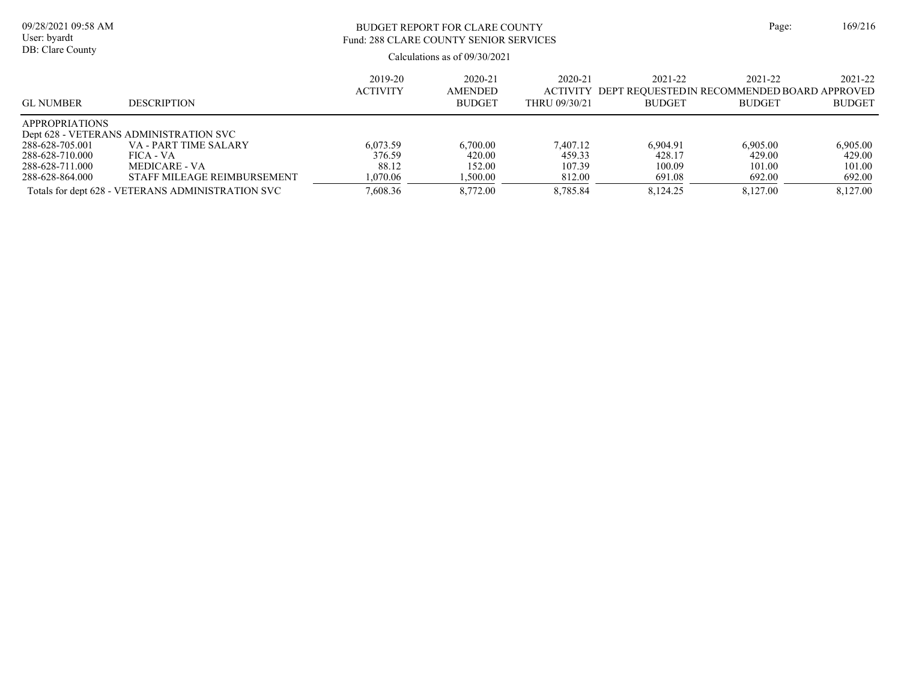| 09/28/2021 09:58 AM<br>User: byardt |                                                   | Page:           | 169/216                         |                 |                                             |               |               |
|-------------------------------------|---------------------------------------------------|-----------------|---------------------------------|-----------------|---------------------------------------------|---------------|---------------|
| DB: Clare County                    |                                                   |                 | Calculations as of $09/30/2021$ |                 |                                             |               |               |
|                                     |                                                   | 2019-20         | 2020-21                         | 2020-21         | 2021-22                                     | 2021-22       | 2021-22       |
|                                     |                                                   | <b>ACTIVITY</b> | <b>AMENDED</b>                  | <b>ACTIVITY</b> | DEPT REOUESTEDIN RECOMMENDED BOARD APPROVED |               |               |
| <b>GL NUMBER</b>                    | <b>DESCRIPTION</b>                                |                 | <b>BUDGET</b>                   | THRU 09/30/21   | <b>BUDGET</b>                               | <b>BUDGET</b> | <b>BUDGET</b> |
| <b>APPROPRIATIONS</b>               |                                                   |                 |                                 |                 |                                             |               |               |
|                                     | Dept 628 - VETERANS ADMINISTRATION SVC            |                 |                                 |                 |                                             |               |               |
| 288-628-705.001                     | VA - PART TIME SALARY                             | 6.073.59        | 6,700.00                        | 7.407.12        | 6.904.91                                    | 6.905.00      | 6,905.00      |
| 288-628-710.000                     | FICA - VA                                         | 376.59          | 420.00                          | 459.33          | 428.17                                      | 429.00        | 429.00        |
| 288-628-711.000                     | MEDICARE - VA                                     | 88.12           | 152.00                          | 107.39          | 100.09                                      | 101.00        | 101.00        |
| 288-628-864.000                     | STAFF MILEAGE REIMBURSEMENT                       | 1.070.06        | 1.500.00                        | 812.00          | 691.08                                      | 692.00        | 692.00        |
|                                     | Totals for dept 628 - VETERANS ADMINISTRATION SVC | 7.608.36        | 8,772.00                        | 8.785.84        | 8.124.25                                    | 8.127.00      | 8,127.00      |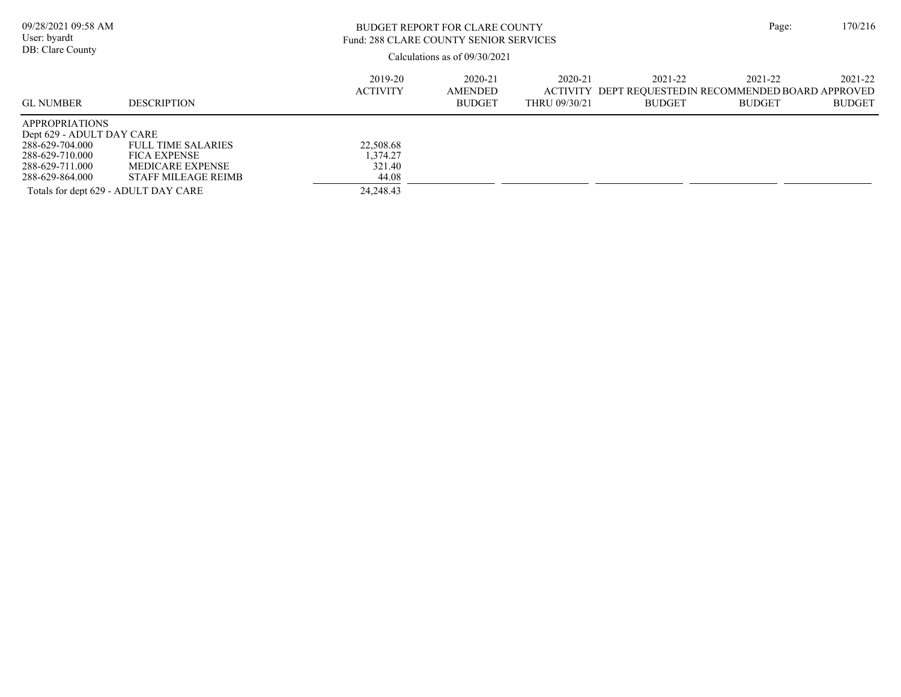| 09/28/2021 09:58 AM<br>User: byardt<br>DB: Clare County                                                                                                                |                                                                                             |                                                         | <b>BUDGET REPORT FOR CLARE COUNTY</b><br>Fund: 288 CLARE COUNTY SENIOR SERVICES<br>Calculations as of $09/30/2021$ |                          |                                                                                   |                          | 170/216                  |
|------------------------------------------------------------------------------------------------------------------------------------------------------------------------|---------------------------------------------------------------------------------------------|---------------------------------------------------------|--------------------------------------------------------------------------------------------------------------------|--------------------------|-----------------------------------------------------------------------------------|--------------------------|--------------------------|
| <b>GL NUMBER</b>                                                                                                                                                       | <b>DESCRIPTION</b>                                                                          | 2019-20<br><b>ACTIVITY</b>                              | 2020-21<br><b>AMENDED</b><br><b>BUDGET</b>                                                                         | 2020-21<br>THRU 09/30/21 | 2021-22<br>ACTIVITY DEPT REOUESTED IN RECOMMENDED BOARD APPROVED<br><b>BUDGET</b> | 2021-22<br><b>BUDGET</b> | 2021-22<br><b>BUDGET</b> |
| <b>APPROPRIATIONS</b><br>Dept 629 - ADULT DAY CARE<br>288-629-704.000<br>288-629-710.000<br>288-629-711.000<br>288-629-864.000<br>Totals for dept 629 - ADULT DAY CARE | <b>FULL TIME SALARIES</b><br><b>FICA EXPENSE</b><br>MEDICARE EXPENSE<br>STAFF MILEAGE REIMB | 22,508.68<br>1.374.27<br>321.40<br>44.08<br>24, 248. 43 |                                                                                                                    |                          |                                                                                   |                          |                          |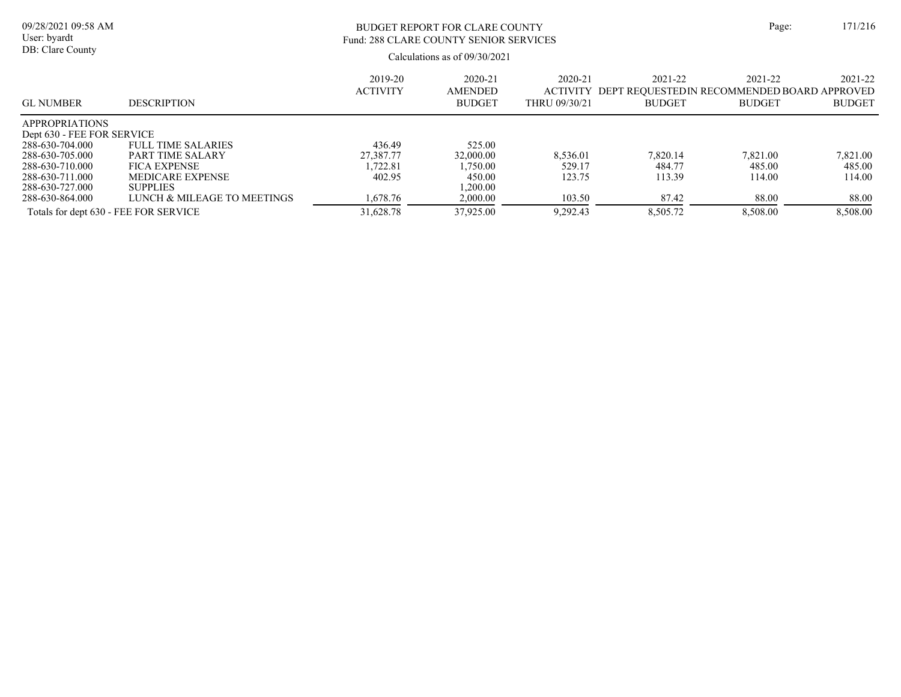| 09/28/2021 09:58 AM<br>User: byardt                 |                             |                            | <b>BUDGET REPORT FOR CLARE COUNTY</b><br>Fund: 288 CLARE COUNTY SENIOR SERVICES |                                             |                                                                          |                          |                          |  |
|-----------------------------------------------------|-----------------------------|----------------------------|---------------------------------------------------------------------------------|---------------------------------------------|--------------------------------------------------------------------------|--------------------------|--------------------------|--|
| DB: Clare County                                    |                             |                            | Calculations as of $09/30/2021$                                                 |                                             |                                                                          |                          |                          |  |
| <b>GL NUMBER</b>                                    | <b>DESCRIPTION</b>          | 2019-20<br><b>ACTIVITY</b> | 2020-21<br><b>AMENDED</b><br><b>BUDGET</b>                                      | 2020-21<br><b>ACTIVITY</b><br>THRU 09/30/21 | 2021-22<br>DEPT REQUESTED IN RECOMMENDED BOARD APPROVED<br><b>BUDGET</b> | 2021-22<br><b>BUDGET</b> | 2021-22<br><b>BUDGET</b> |  |
| <b>APPROPRIATIONS</b><br>Dept 630 - FEE FOR SERVICE |                             |                            |                                                                                 |                                             |                                                                          |                          |                          |  |
| 288-630-704.000                                     | <b>FULL TIME SALARIES</b>   | 436.49                     | 525.00                                                                          |                                             |                                                                          |                          |                          |  |
| 288-630-705.000                                     | PART TIME SALARY            | 27,387.77                  | 32,000.00                                                                       | 8.536.01                                    | 7.820.14                                                                 | 7,821.00                 | 7,821.00                 |  |
| 288-630-710.000                                     | <b>FICA EXPENSE</b>         | 1,722.81                   | 1.750.00                                                                        | 529.17                                      | 484.77                                                                   | 485.00                   | 485.00                   |  |
| 288-630-711.000                                     | <b>MEDICARE EXPENSE</b>     | 402.95                     | 450.00                                                                          | 123.75                                      | 113.39                                                                   | 114.00                   | 114.00                   |  |
| 288-630-727.000                                     | <b>SUPPLIES</b>             |                            | 1.200.00                                                                        |                                             |                                                                          |                          |                          |  |
| 288-630-864.000                                     | LUNCH & MILEAGE TO MEETINGS | 1,678.76                   | 2,000.00                                                                        | 103.50                                      | 87.42                                                                    | 88.00                    | 88.00                    |  |
| Totals for dept 630 - FEE FOR SERVICE               |                             | 31,628.78                  | 37,925.00                                                                       | 9.292.43                                    | 8.505.72                                                                 | 8,508.00                 | 8,508.00                 |  |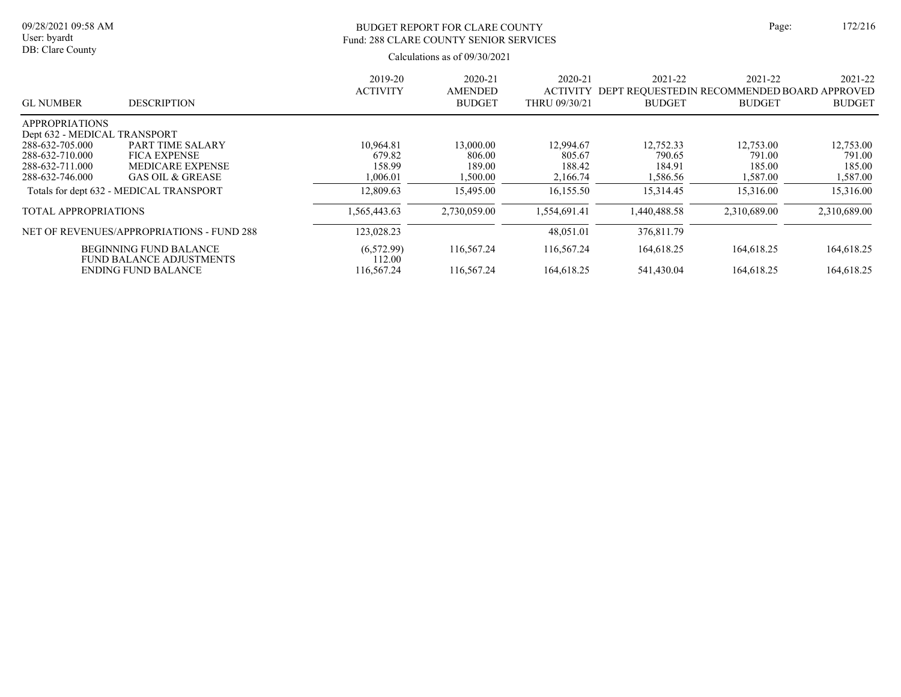## BUDGET REPORT FOR CLARE COUNTY Page: 172/216 Fund: 288 CLARE COUNTY SENIOR SERVICES

|                                                                                                          |                                                                                                                                          | 2019-20<br><b>ACTIVITY</b>                             | $2020 - 21$<br>AMENDED                                 | 2020-21<br><b>ACTIVITY</b>                             | 2021-22<br>DEPT REQUESTED IN RECOMMENDED BOARD APPROVED | 2021-22                                                | 2021-22                                                |
|----------------------------------------------------------------------------------------------------------|------------------------------------------------------------------------------------------------------------------------------------------|--------------------------------------------------------|--------------------------------------------------------|--------------------------------------------------------|---------------------------------------------------------|--------------------------------------------------------|--------------------------------------------------------|
| <b>GL NUMBER</b>                                                                                         | <b>DESCRIPTION</b>                                                                                                                       |                                                        | <b>BUDGET</b>                                          | THRU 09/30/21                                          | <b>BUDGET</b>                                           | <b>BUDGET</b>                                          | <b>BUDGET</b>                                          |
| <b>APPROPRIATIONS</b>                                                                                    |                                                                                                                                          |                                                        |                                                        |                                                        |                                                         |                                                        |                                                        |
| Dept 632 - MEDICAL TRANSPORT<br>288-632-705.000<br>288-632-710.000<br>288-632-711.000<br>288-632-746.000 | <b>PART TIME SALARY</b><br><b>FICA EXPENSE</b><br><b>MEDICARE EXPENSE</b><br>GAS OIL & GREASE<br>Totals for dept 632 - MEDICAL TRANSPORT | 10,964.81<br>679.82<br>158.99<br>1,006.01<br>12,809.63 | 13,000.00<br>806.00<br>189.00<br>1,500.00<br>15,495.00 | 12,994.67<br>805.67<br>188.42<br>2,166.74<br>16,155.50 | 12,752.33<br>790.65<br>184.91<br>1,586.56<br>15,314.45  | 12,753.00<br>791.00<br>185.00<br>1,587.00<br>15,316.00 | 12,753.00<br>791.00<br>185.00<br>1,587.00<br>15,316.00 |
| <b>TOTAL APPROPRIATIONS</b>                                                                              |                                                                                                                                          | 1.565,443.63                                           | 2.730.059.00                                           | 1.554.691.41                                           | 1,440,488.58                                            | 2,310,689.00                                           | 2,310,689.00                                           |
|                                                                                                          | NET OF REVENUES/APPROPRIATIONS - FUND 288                                                                                                | 123,028.23                                             |                                                        | 48,051.01                                              | 376,811.79                                              |                                                        |                                                        |
|                                                                                                          | <b>BEGINNING FUND BALANCE</b><br><b>FUND BALANCE ADJUSTMENTS</b>                                                                         | (6,572.99)<br>112.00                                   | 116,567.24                                             | 116,567.24                                             | 164,618.25                                              | 164,618.25                                             | 164,618.25                                             |
|                                                                                                          | <b>ENDING FUND BALANCE</b>                                                                                                               | 116,567.24                                             | 116.567.24                                             | 164,618.25                                             | 541,430.04                                              | 164,618.25                                             | 164,618.25                                             |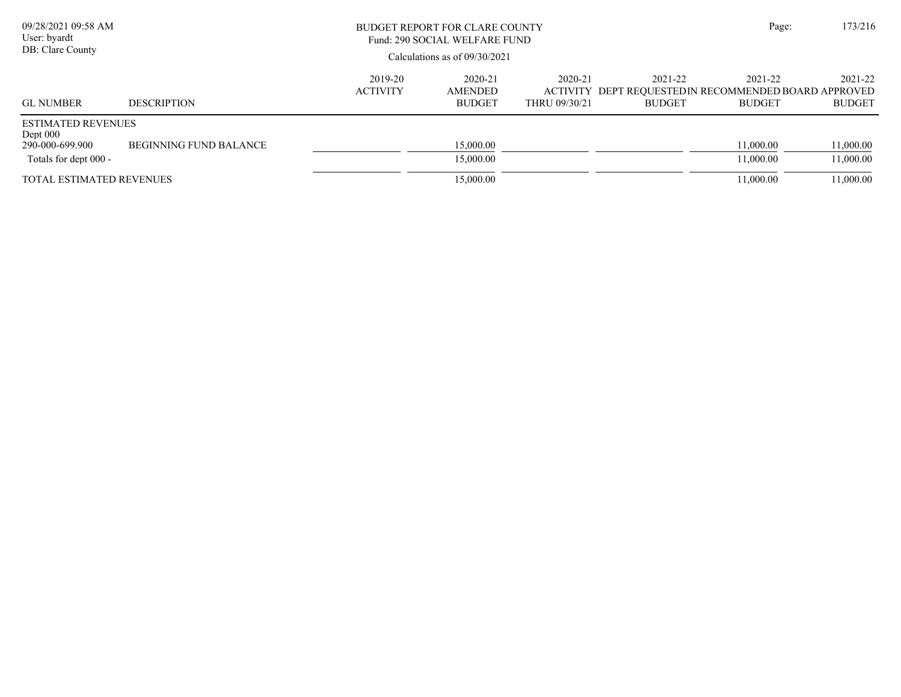| 09/28/2021 09:58 AM<br>User: byardt<br>DB: Clare County                             |                               | BUDGET REPORT FOR CLARE COUNTY<br>Fund: 290 SOCIAL WELFARE FUND<br>Calculations as of 09/30/2021 | Page:                               | 173/216                  |                          |                                                                                   |                          |
|-------------------------------------------------------------------------------------|-------------------------------|--------------------------------------------------------------------------------------------------|-------------------------------------|--------------------------|--------------------------|-----------------------------------------------------------------------------------|--------------------------|
| <b>GL NUMBER</b>                                                                    | <b>DESCRIPTION</b>            | 2019-20<br><b>ACTIVITY</b>                                                                       | 2020-21<br>AMENDED<br><b>BUDGET</b> | 2020-21<br>THRU 09/30/21 | 2021-22<br><b>BUDGET</b> | 2021-22<br>ACTIVITY DEPT REQUESTED IN RECOMMENDED BOARD APPROVED<br><b>BUDGET</b> | 2021-22<br><b>BUDGET</b> |
| <b>ESTIMATED REVENUES</b><br>Dept $000$<br>290-000-699.900<br>Totals for dept 000 - | <b>BEGINNING FUND BALANCE</b> |                                                                                                  | 15,000.00<br>15,000.00              |                          |                          | 11,000.00<br>11.000.00                                                            | 11,000.00<br>11,000.00   |
| <b>TOTAL ESTIMATED REVENUES</b>                                                     |                               |                                                                                                  | 15,000.00                           |                          |                          | 11.000.00                                                                         | 11,000.00                |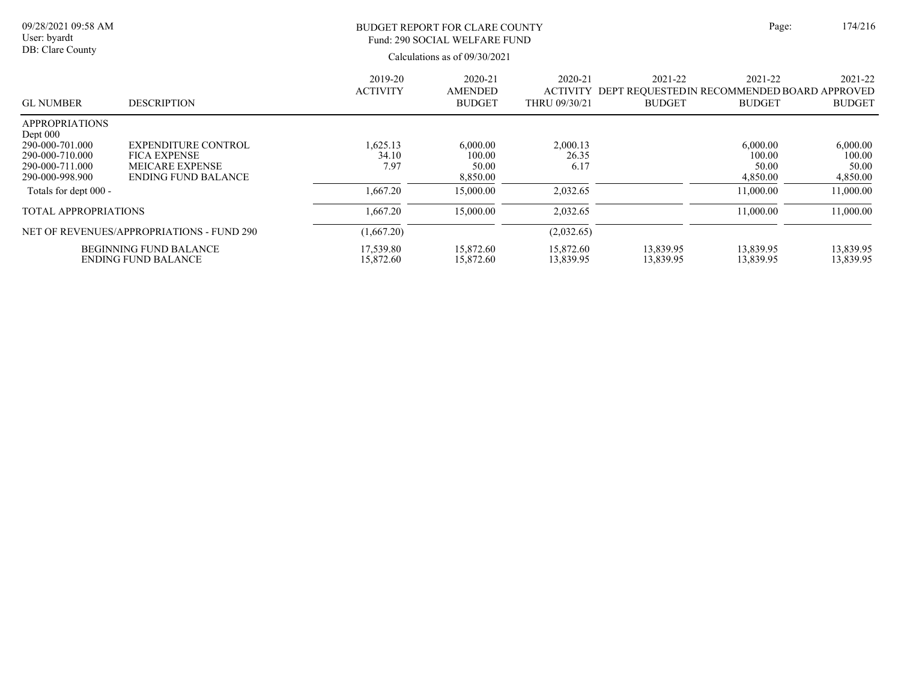| 09/28/2021 09:58 AM<br>User: byardt<br>DB: Clare County                                                         |                                                                                                           | BUDGET REPORT FOR CLARE COUNTY<br>Fund: 290 SOCIAL WELFARE FUND<br>Calculations as of 09/30/2021 |                                            |                                             |                          |                                                                          | 174/216                                 |
|-----------------------------------------------------------------------------------------------------------------|-----------------------------------------------------------------------------------------------------------|--------------------------------------------------------------------------------------------------|--------------------------------------------|---------------------------------------------|--------------------------|--------------------------------------------------------------------------|-----------------------------------------|
| <b>GL NUMBER</b>                                                                                                | <b>DESCRIPTION</b>                                                                                        | 2019-20<br><b>ACTIVITY</b>                                                                       | 2020-21<br><b>AMENDED</b><br><b>BUDGET</b> | 2020-21<br><b>ACTIVITY</b><br>THRU 09/30/21 | 2021-22<br><b>BUDGET</b> | 2021-22<br>DEPT REQUESTED IN RECOMMENDED BOARD APPROVED<br><b>BUDGET</b> | 2021-22<br><b>BUDGET</b>                |
| <b>APPROPRIATIONS</b><br>Dept $000$<br>290-000-701.000<br>290-000-710.000<br>290-000-711.000<br>290-000-998.900 | <b>EXPENDITURE CONTROL</b><br><b>FICA EXPENSE</b><br><b>MEICARE EXPENSE</b><br><b>ENDING FUND BALANCE</b> | 1,625.13<br>34.10<br>7.97                                                                        | 6,000.00<br>100.00<br>50.00<br>8,850.00    | 2,000.13<br>26.35<br>6.17                   |                          | 6,000.00<br>100.00<br>50.00<br>4,850.00                                  | 6,000.00<br>100.00<br>50.00<br>4,850.00 |
| Totals for dept 000 -                                                                                           |                                                                                                           | 1,667.20                                                                                         | 15,000.00                                  | 2,032.65                                    |                          | 11,000.00                                                                | 11,000.00                               |
| <b>TOTAL APPROPRIATIONS</b>                                                                                     |                                                                                                           | 1,667.20                                                                                         | 15,000.00                                  | 2,032.65                                    |                          | 11,000.00                                                                | 11,000.00                               |
|                                                                                                                 | NET OF REVENUES/APPROPRIATIONS - FUND 290                                                                 | (1,667.20)                                                                                       |                                            | (2,032.65)                                  |                          |                                                                          |                                         |
|                                                                                                                 | <b>BEGINNING FUND BALANCE</b><br><b>ENDING FUND BALANCE</b>                                               | 17,539.80<br>15,872.60                                                                           | 15,872.60<br>15,872.60                     | 15,872.60<br>13,839.95                      | 13,839.95<br>13,839.95   | 13,839.95<br>13,839.95                                                   | 13,839.95<br>13,839.95                  |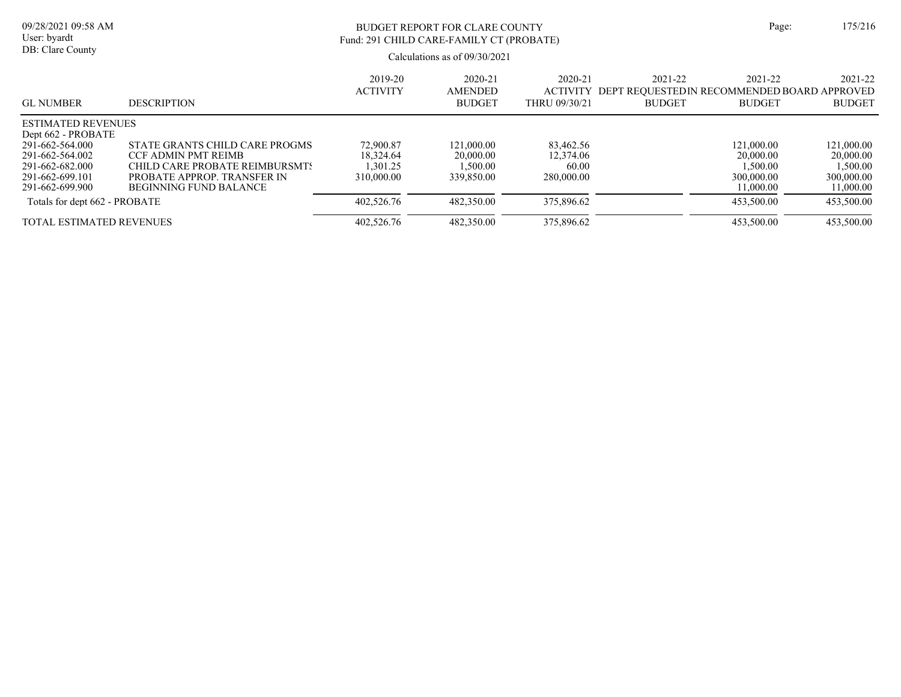# BUDGET REPORT FOR CLARE COUNTY Page: 175/216 Fund: 291 CHILD CARE-FAMILY CT (PROBATE)

| <b>GL NUMBER</b>                                                                            | <b>DESCRIPTION</b>                                                                                                                               | 2019-20<br><b>ACTIVITY</b>                      | 2020-21<br><b>AMENDED</b><br><b>BUDGET</b>        | 2020-21<br><b>ACTIVITY</b><br>THRU 09/30/21   | 2021-22<br>2021-22<br>DEPT REQUESTEDIN RECOMMENDED BOARD APPROVED<br><b>BUDGET</b><br><b>BUDGET</b> | 2021-22<br><b>BUDGET</b>                                       |
|---------------------------------------------------------------------------------------------|--------------------------------------------------------------------------------------------------------------------------------------------------|-------------------------------------------------|---------------------------------------------------|-----------------------------------------------|-----------------------------------------------------------------------------------------------------|----------------------------------------------------------------|
| <b>ESTIMATED REVENUES</b><br>Dept 662 - PROBATE                                             |                                                                                                                                                  |                                                 |                                                   |                                               |                                                                                                     |                                                                |
| 291-662-564.000<br>291-662-564.002<br>291-662-682.000<br>291-662-699.101<br>291-662-699.900 | STATE GRANTS CHILD CARE PROGMS<br>CCF ADMIN PMT REIMB<br>CHILD CARE PROBATE REIMBURSMTS<br>PROBATE APPROP. TRANSFER IN<br>BEGINNING FUND BALANCE | 72,900.87<br>18.324.64<br>.301.25<br>310,000,00 | 121.000.00<br>20,000.00<br>1.500.00<br>339,850.00 | 83.462.56<br>12,374.06<br>60.00<br>280,000.00 | 121,000.00<br>20,000.00<br>1,500.00<br>300,000.00<br>11,000.00                                      | 121,000.00<br>20,000.00<br>1,500.00<br>300,000.00<br>11,000.00 |
| Totals for dept 662 - PROBATE                                                               |                                                                                                                                                  | 402,526.76                                      | 482,350.00                                        | 375,896.62                                    | 453,500.00                                                                                          | 453,500.00                                                     |
| <b>TOTAL ESTIMATED REVENUES</b>                                                             |                                                                                                                                                  | 402,526.76                                      | 482,350.00                                        | 375,896.62                                    | 453,500.00                                                                                          | 453,500.00                                                     |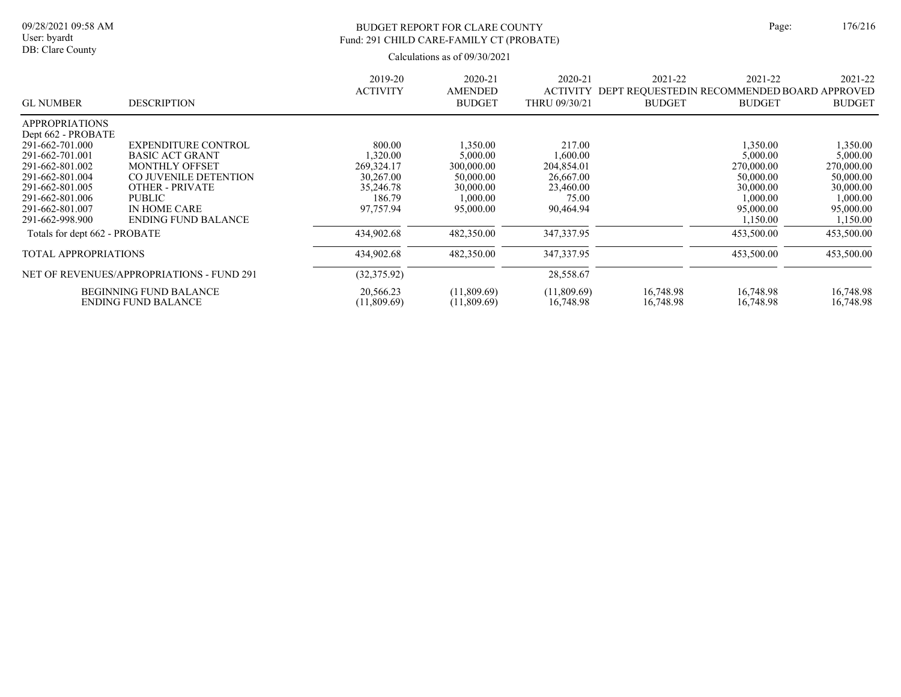# BUDGET REPORT FOR CLARE COUNTY Page: 176/216 Fund: 291 CHILD CARE-FAMILY CT (PROBATE)

|                                             |                                           | 2019-20<br><b>ACTIVITY</b> | 2020-21<br><b>AMENDED</b> | 2020-21<br><b>ACTIVITY</b> | 2021-22<br>DEPT REQUESTED IN RECOMMENDED BOARD APPROVED | 2021-22       | 2021-22       |
|---------------------------------------------|-------------------------------------------|----------------------------|---------------------------|----------------------------|---------------------------------------------------------|---------------|---------------|
| <b>GL NUMBER</b>                            | <b>DESCRIPTION</b>                        |                            | <b>BUDGET</b>             | THRU 09/30/21              | <b>BUDGET</b>                                           | <b>BUDGET</b> | <b>BUDGET</b> |
| <b>APPROPRIATIONS</b><br>Dept 662 - PROBATE |                                           |                            |                           |                            |                                                         |               |               |
| 291-662-701.000                             | <b>EXPENDITURE CONTROL</b>                | 800.00                     | 1,350.00                  | 217.00                     |                                                         | 1,350.00      | 1,350.00      |
| 291-662-701.001                             | <b>BASIC ACT GRANT</b>                    | .320.00                    | 5,000.00                  | 1.600.00                   |                                                         | 5,000.00      | 5,000.00      |
| 291-662-801.002                             | <b>MONTHLY OFFSET</b>                     | 269,324.17                 | 300,000.00                | 204,854.01                 |                                                         | 270,000.00    | 270,000.00    |
| 291-662-801.004                             | CO JUVENILE DETENTION                     | 30,267.00                  | 50,000.00                 | 26,667.00                  |                                                         | 50,000.00     | 50,000.00     |
| 291-662-801.005                             | <b>OTHER - PRIVATE</b>                    | 35,246.78                  | 30,000.00                 | 23,460.00                  |                                                         | 30,000.00     | 30,000.00     |
| 291-662-801.006                             | PUBLIC                                    | 186.79                     | 1.000.00                  | 75.00                      |                                                         | 1,000.00      | 1,000.00      |
| 291-662-801.007                             | IN HOME CARE                              | 97,757.94                  | 95,000.00                 | 90,464.94                  |                                                         | 95,000.00     | 95,000.00     |
| 291-662-998.900                             | <b>ENDING FUND BALANCE</b>                |                            |                           |                            |                                                         | 1,150.00      | 1,150.00      |
| Totals for dept 662 - PROBATE               |                                           | 434,902.68                 | 482,350.00                | 347, 337. 95               |                                                         | 453,500.00    | 453,500.00    |
| TOTAL APPROPRIATIONS                        |                                           | 434,902.68                 | 482,350.00                | 347, 337. 95               |                                                         | 453,500.00    | 453,500.00    |
|                                             | NET OF REVENUES/APPROPRIATIONS - FUND 291 | (32, 375.92)               |                           | 28,558.67                  |                                                         |               |               |
|                                             | <b>BEGINNING FUND BALANCE</b>             | 20,566.23                  | (11,809.69)               | (11,809.69)                | 16,748.98                                               | 16,748.98     | 16,748.98     |
|                                             | <b>ENDING FUND BALANCE</b>                | (11,809.69)                | (11,809.69)               | 16,748.98                  | 16,748.98                                               | 16,748.98     | 16,748.98     |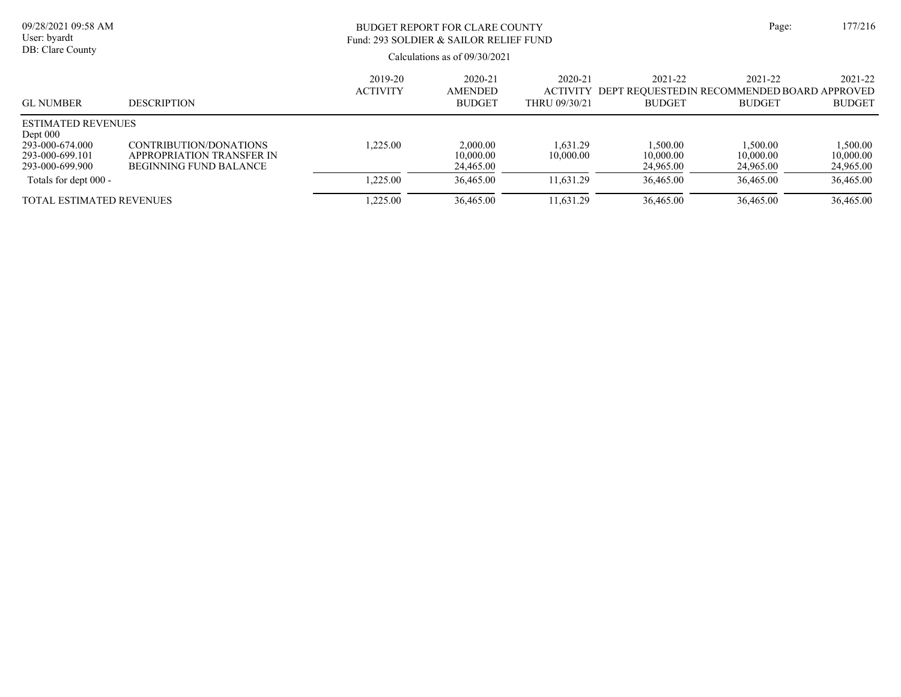| 09/28/2021 09:58 AM<br>User: byardt<br>DB: Clare County                                          |                                                                                      | Page:                      | 177/216                                    |                                                 |                                                                             |                                    |                                    |
|--------------------------------------------------------------------------------------------------|--------------------------------------------------------------------------------------|----------------------------|--------------------------------------------|-------------------------------------------------|-----------------------------------------------------------------------------|------------------------------------|------------------------------------|
| <b>GL NUMBER</b>                                                                                 | <b>DESCRIPTION</b>                                                                   | 2019-20<br><b>ACTIVITY</b> | 2020-21<br><b>AMENDED</b><br><b>BUDGET</b> | $2020 - 21$<br><b>ACTIVITY</b><br>THRU 09/30/21 | $2021 - 22$<br>DEPT REOUESTEDIN RECOMMENDED BOARD APPROVED<br><b>BUDGET</b> | 2021-22<br><b>BUDGET</b>           | 2021-22<br><b>BUDGET</b>           |
| <b>ESTIMATED REVENUES</b><br>Dept $000$<br>293-000-674.000<br>293-000-699.101<br>293-000-699.900 | CONTRIBUTION/DONATIONS<br>APPROPRIATION TRANSFER IN<br><b>BEGINNING FUND BALANCE</b> | 1.225.00                   | 2,000.00<br>10,000.00<br>24,465.00         | 1.631.29<br>10,000.00                           | 1.500.00<br>10,000.00<br>24,965.00                                          | 1.500.00<br>10,000.00<br>24,965.00 | 1,500.00<br>10,000.00<br>24,965.00 |
| Totals for dept 000 -                                                                            |                                                                                      | 1.225.00                   | 36,465.00                                  | 11.631.29                                       | 36,465.00                                                                   | 36,465.00                          | 36,465.00                          |
| <b>TOTAL ESTIMATED REVENUES</b>                                                                  |                                                                                      | 1.225.00                   | 36,465.00                                  | 11.631.29                                       | 36,465.00                                                                   | 36,465.00                          | 36,465.00                          |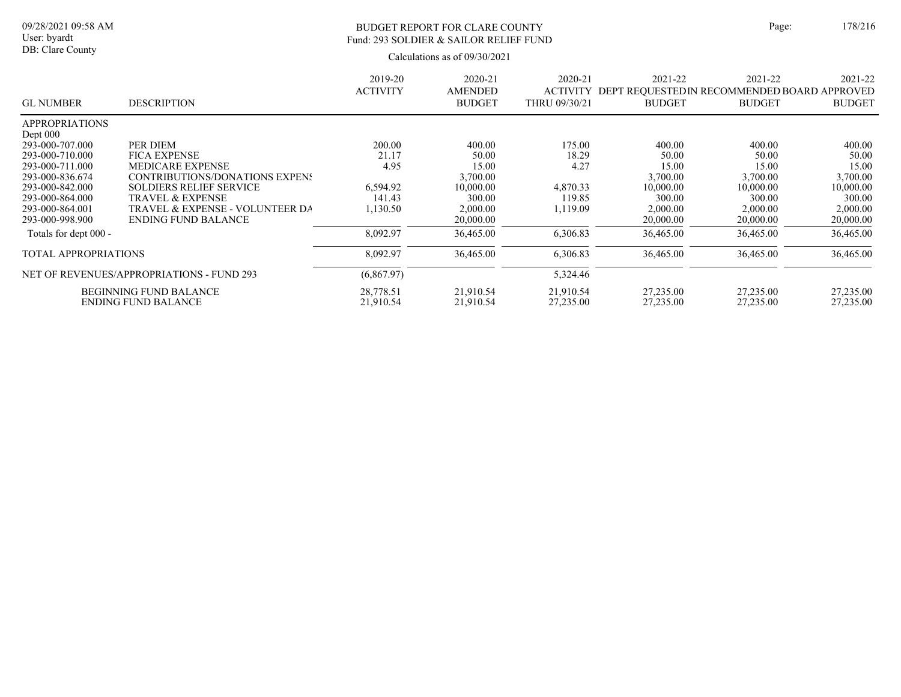#### BUDGET REPORT FOR CLARE COUNTY Page: 178/216 Fund: 293 SOLDIER & SAILOR RELIEF FUND

| <b>GL NUMBER</b>                          | <b>DESCRIPTION</b>              | 2019-20<br><b>ACTIVITY</b> | 2020-21<br><b>AMENDED</b><br><b>BUDGET</b> | 2020-21<br><b>ACTIVITY</b><br>THRU 09/30/21 | 2021-22<br>DEPT REQUESTEDIN RECOMMENDED BOARD APPROVED<br><b>BUDGET</b> | 2021-22<br><b>BUDGET</b> | 2021-22<br><b>BUDGET</b> |
|-------------------------------------------|---------------------------------|----------------------------|--------------------------------------------|---------------------------------------------|-------------------------------------------------------------------------|--------------------------|--------------------------|
| <b>APPROPRIATIONS</b>                     |                                 |                            |                                            |                                             |                                                                         |                          |                          |
| Dept $000$                                |                                 |                            |                                            |                                             |                                                                         |                          |                          |
| 293-000-707.000                           | PER DIEM                        | 200.00                     | 400.00                                     | 175.00                                      | 400.00                                                                  | 400.00                   | 400.00                   |
| 293-000-710.000                           | <b>FICA EXPENSE</b>             | 21.17                      | 50.00                                      | 18.29                                       | 50.00                                                                   | 50.00                    | 50.00                    |
| 293-000-711.000                           | <b>MEDICARE EXPENSE</b>         | 4.95                       | 15.00                                      | 4.27                                        | 15.00                                                                   | 15.00                    | 15.00                    |
| 293-000-836.674                           | CONTRIBUTIONS/DONATIONS EXPENS  |                            | 3,700.00                                   |                                             | 3,700.00                                                                | 3,700.00                 | 3,700.00                 |
| 293-000-842.000                           | <b>SOLDIERS RELIEF SERVICE</b>  | 6.594.92                   | 10,000.00                                  | 4,870.33                                    | 10,000.00                                                               | 10,000.00                | 10,000.00                |
| 293-000-864.000                           | <b>TRAVEL &amp; EXPENSE</b>     | 141.43                     | 300.00                                     | 119.85                                      | 300.00                                                                  | 300.00                   | 300.00                   |
| 293-000-864.001                           | TRAVEL & EXPENSE - VOLUNTEER DA | ,130.50                    | 2,000.00                                   | ,119.09                                     | 2,000.00                                                                | 2,000.00                 | 2,000.00                 |
| 293-000-998.900                           | <b>ENDING FUND BALANCE</b>      |                            | 20,000.00                                  |                                             | 20,000.00                                                               | 20,000.00                | 20,000.00                |
| Totals for dept 000 -                     |                                 | 8,092.97                   | 36,465.00                                  | 6,306.83                                    | 36,465.00                                                               | 36,465.00                | 36,465.00                |
| <b>TOTAL APPROPRIATIONS</b>               |                                 | 8,092.97                   | 36,465.00                                  | 6,306.83                                    | 36,465.00                                                               | 36,465.00                | 36,465.00                |
| NET OF REVENUES/APPROPRIATIONS - FUND 293 |                                 | (6,867.97)                 |                                            | 5,324.46                                    |                                                                         |                          |                          |
| <b>BEGINNING FUND BALANCE</b>             |                                 | 28,778.51                  | 21,910.54                                  | 21,910.54                                   | 27,235.00                                                               | 27,235.00                | 27,235.00                |
| <b>ENDING FUND BALANCE</b>                |                                 | 21,910.54                  | 21,910.54                                  | 27,235.00                                   | 27,235.00                                                               | 27,235.00                | 27,235.00                |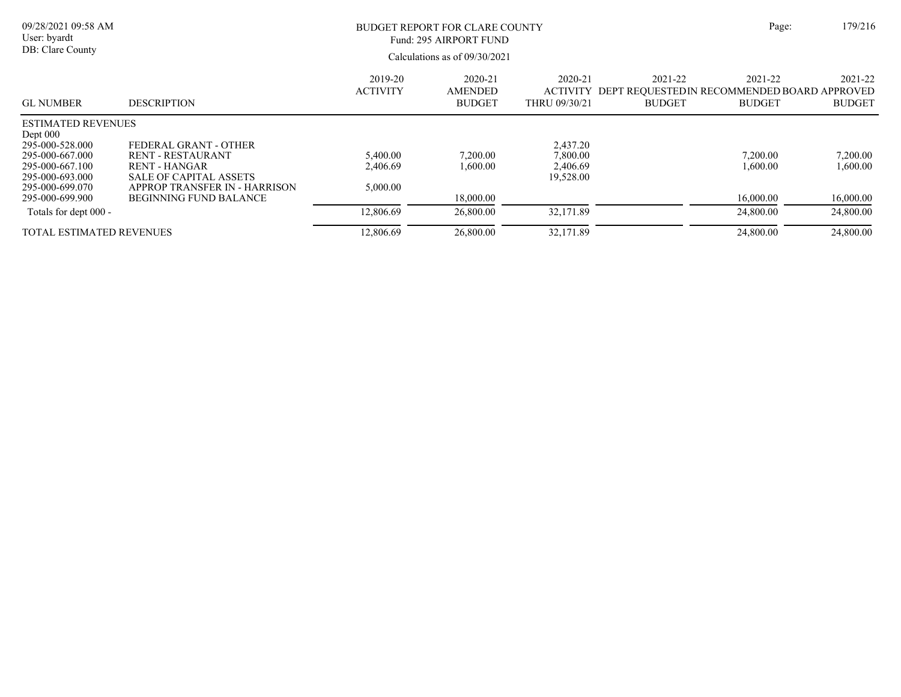| 09/28/2021 09:58 AM<br>User: byardt<br>DB: Clare County                                     |                                                                                                     | <b>BUDGET REPORT FOR CLARE COUNTY</b><br>Fund: 295 AIRPORT FUND<br>Calculations as of $09/30/2021$ |                                     |                                               |                                                                                  | Page:                    | 179/216                  |
|---------------------------------------------------------------------------------------------|-----------------------------------------------------------------------------------------------------|----------------------------------------------------------------------------------------------------|-------------------------------------|-----------------------------------------------|----------------------------------------------------------------------------------|--------------------------|--------------------------|
| <b>GL NUMBER</b>                                                                            | <b>DESCRIPTION</b>                                                                                  | 2019-20<br><b>ACTIVITY</b>                                                                         | 2020-21<br>AMENDED<br><b>BUDGET</b> | 2020-21<br>THRU 09/30/21                      | 2021-22<br>ACTIVITY DEPT REOUESTEDIN RECOMMENDED BOARD APPROVED<br><b>BUDGET</b> | 2021-22<br><b>BUDGET</b> | 2021-22<br><b>BUDGET</b> |
| <b>ESTIMATED REVENUES</b><br>Dept $000$                                                     |                                                                                                     |                                                                                                    |                                     |                                               |                                                                                  |                          |                          |
| 295-000-528.000<br>295-000-667.000<br>295-000-667.100<br>295-000-693.000<br>295-000-699.070 | FEDERAL GRANT - OTHER<br><b>RENT - RESTAURANT</b><br>RENT - HANGAR<br><b>SALE OF CAPITAL ASSETS</b> | 5,400.00<br>2,406.69<br>5,000.00                                                                   | 7,200.00<br>1,600.00                | 2,437.20<br>7,800.00<br>2,406.69<br>19,528.00 |                                                                                  | 7,200.00<br>1.600.00     | 7,200.00<br>1,600.00     |
| 295-000-699.900                                                                             | APPROP TRANSFER IN - HARRISON<br><b>BEGINNING FUND BALANCE</b>                                      |                                                                                                    | 18,000.00                           |                                               |                                                                                  | 16,000.00                | 16,000.00                |
| Totals for dept 000 -                                                                       |                                                                                                     | 12,806.69                                                                                          | 26,800.00                           | 32,171.89                                     |                                                                                  | 24,800.00                | 24,800.00                |
| TOTAL ESTIMATED REVENUES                                                                    |                                                                                                     | 12,806.69                                                                                          | 26,800.00                           | 32,171.89                                     |                                                                                  | 24,800.00                | 24,800.00                |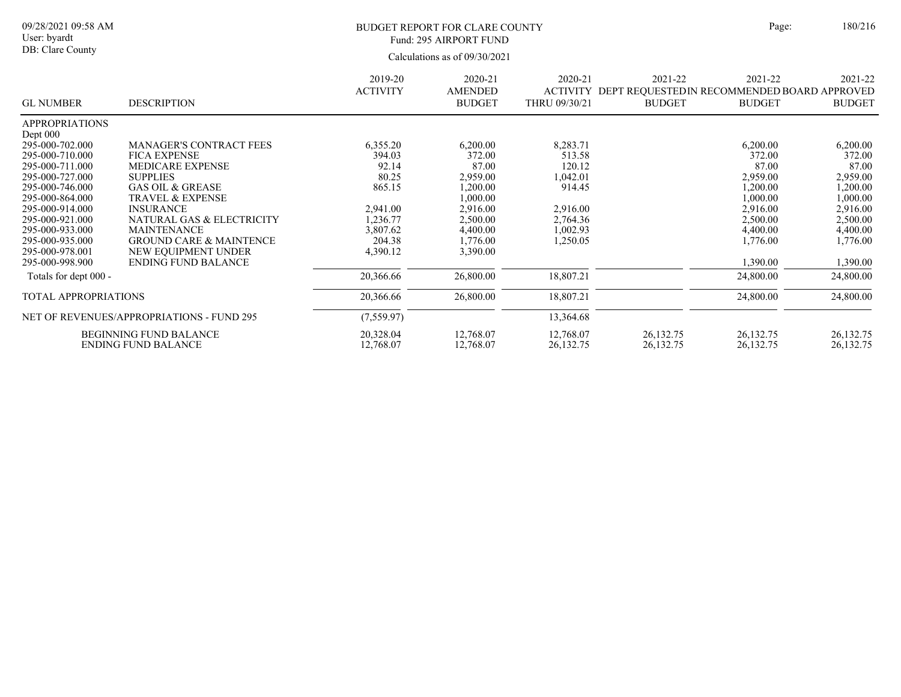### BUDGET REPORT FOR CLARE COUNTY Page: 180/216 Fund: 295 AIRPORT FUND

|                                           |                                    | 2019-20         | 2020-21        | 2020-21       | 2021-22                                                                | 2021-22       | 2021-22       |
|-------------------------------------------|------------------------------------|-----------------|----------------|---------------|------------------------------------------------------------------------|---------------|---------------|
| <b>GL NUMBER</b>                          | <b>DESCRIPTION</b>                 | <b>ACTIVITY</b> | <b>AMENDED</b> |               | ACTIVITY DEPT REQUESTED IN RECOMMENDED BOARD APPROVED<br><b>BUDGET</b> | <b>BUDGET</b> | <b>BUDGET</b> |
|                                           |                                    |                 | <b>BUDGET</b>  | THRU 09/30/21 |                                                                        |               |               |
| <b>APPROPRIATIONS</b>                     |                                    |                 |                |               |                                                                        |               |               |
| Dept $000$                                |                                    |                 |                |               |                                                                        |               |               |
| 295-000-702.000                           | <b>MANAGER'S CONTRACT FEES</b>     | 6,355.20        | 6,200.00       | 8,283.71      |                                                                        | 6,200.00      | 6,200.00      |
| 295-000-710.000                           | <b>FICA EXPENSE</b>                | 394.03          | 372.00         | 513.58        |                                                                        | 372.00        | 372.00        |
| 295-000-711.000                           | <b>MEDICARE EXPENSE</b>            | 92.14           | 87.00          | 120.12        |                                                                        | 87.00         | 87.00         |
| 295-000-727.000                           | <b>SUPPLIES</b>                    | 80.25           | 2,959.00       | 1,042.01      |                                                                        | 2,959.00      | 2,959.00      |
| 295-000-746.000                           | <b>GAS OIL &amp; GREASE</b>        | 865.15          | 1,200.00       | 914.45        |                                                                        | 1,200.00      | 1,200.00      |
| 295-000-864.000                           | <b>TRAVEL &amp; EXPENSE</b>        |                 | 1,000.00       |               |                                                                        | 1,000.00      | 1,000.00      |
| 295-000-914.000                           | <b>INSURANCE</b>                   | 2.941.00        | 2.916.00       | 2,916.00      |                                                                        | 2,916.00      | 2,916.00      |
| 295-000-921.000                           | NATURAL GAS & ELECTRICITY          | 1,236.77        | 2,500.00       | 2,764.36      |                                                                        | 2,500.00      | 2,500.00      |
| 295-000-933.000                           | <b>MAINTENANCE</b>                 | 3,807.62        | 4,400.00       | 1,002.93      |                                                                        | 4,400.00      | 4,400.00      |
| 295-000-935.000                           | <b>GROUND CARE &amp; MAINTENCE</b> | 204.38          | 1,776.00       | 1,250.05      |                                                                        | 1,776.00      | 1,776.00      |
| 295-000-978.001                           | NEW EQUIPMENT UNDER                | 4,390.12        | 3,390.00       |               |                                                                        |               |               |
| 295-000-998.900                           | <b>ENDING FUND BALANCE</b>         |                 |                |               |                                                                        | 1,390.00      | 1,390.00      |
| Totals for dept 000 -                     |                                    | 20,366.66       | 26,800.00      | 18,807.21     |                                                                        | 24,800.00     | 24,800.00     |
| <b>TOTAL APPROPRIATIONS</b>               |                                    | 20,366.66       | 26,800.00      | 18,807.21     |                                                                        | 24,800.00     | 24,800.00     |
| NET OF REVENUES/APPROPRIATIONS - FUND 295 |                                    | (7,559.97)      |                | 13,364.68     |                                                                        |               |               |
| <b>BEGINNING FUND BALANCE</b>             |                                    | 20,328.04       | 12,768.07      | 12,768.07     | 26, 132. 75                                                            | 26, 132. 75   | 26, 132. 75   |
| <b>ENDING FUND BALANCE</b>                |                                    | 12,768.07       | 12,768.07      | 26, 132. 75   | 26, 132. 75                                                            | 26, 132. 75   | 26, 132. 75   |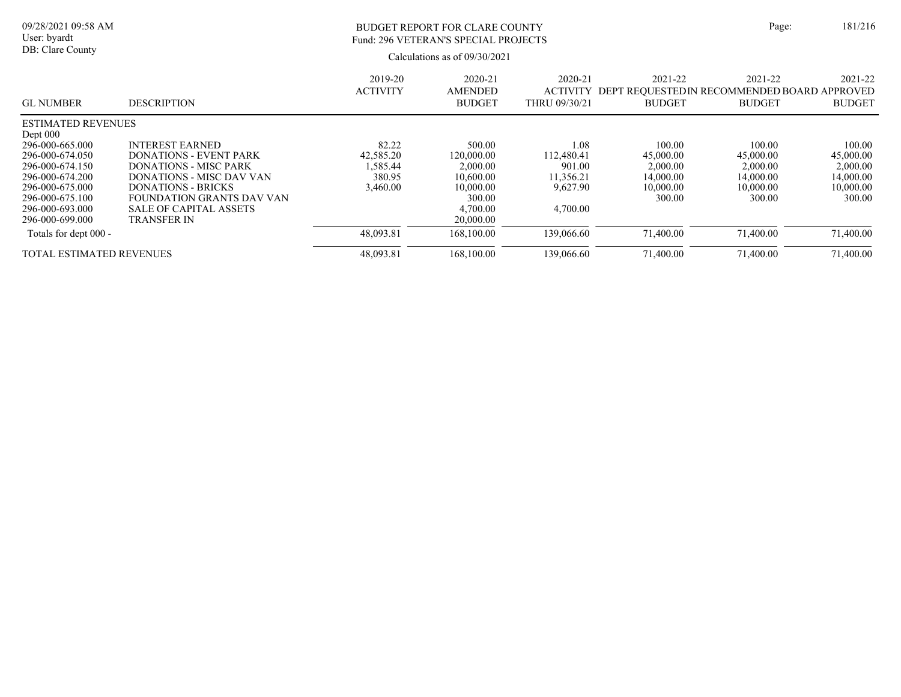| 09/28/2021 09:58 AM<br>User: byardt<br>DB: Clare County |                               | BUDGET REPORT FOR CLARE COUNTY<br>Fund: 296 VETERAN'S SPECIAL PROJECTS<br>Calculations as of $09/30/2021$ |                                     |                                             |                          |                                                                          | 181/216                  |
|---------------------------------------------------------|-------------------------------|-----------------------------------------------------------------------------------------------------------|-------------------------------------|---------------------------------------------|--------------------------|--------------------------------------------------------------------------|--------------------------|
| <b>GL NUMBER</b>                                        | <b>DESCRIPTION</b>            | 2019-20<br><b>ACTIVITY</b>                                                                                | 2020-21<br>AMENDED<br><b>BUDGET</b> | 2020-21<br><b>ACTIVITY</b><br>THRU 09/30/21 | 2021-22<br><b>BUDGET</b> | 2021-22<br>DEPT REOUESTED IN RECOMMENDED BOARD APPROVED<br><b>BUDGET</b> | 2021-22<br><b>BUDGET</b> |
| <b>ESTIMATED REVENUES</b><br>Dept $000$                 |                               |                                                                                                           |                                     |                                             |                          |                                                                          |                          |
| 296-000-665.000                                         | <b>INTEREST EARNED</b>        | 82.22                                                                                                     | 500.00                              | 1.08                                        | 100.00                   | 100.00                                                                   | 100.00                   |
| 296-000-674.050                                         | DONATIONS - EVENT PARK        | 42,585.20                                                                                                 | 120,000.00                          | 112.480.41                                  | 45,000.00                | 45,000.00                                                                | 45,000.00                |
| 296-000-674.150                                         | <b>DONATIONS - MISC PARK</b>  | .585.44                                                                                                   | 2,000.00                            | 901.00                                      | 2,000.00                 | 2,000.00                                                                 | 2,000.00                 |
| 296-000-674.200                                         | DONATIONS - MISC DAV VAN      | 380.95                                                                                                    | 10,600.00                           | 11,356.21                                   | 14,000.00                | 14,000.00                                                                | 14,000.00                |
| 296-000-675.000                                         | <b>DONATIONS - BRICKS</b>     | 3,460.00                                                                                                  | 10,000.00                           | 9,627.90                                    | 10,000.00                | 10,000.00                                                                | 10,000.00                |
| 296-000-675.100                                         | FOUNDATION GRANTS DAV VAN     |                                                                                                           | 300.00                              |                                             | 300.00                   | 300.00                                                                   | 300.00                   |
| 296-000-693.000                                         | <b>SALE OF CAPITAL ASSETS</b> |                                                                                                           | 4,700.00                            | 4,700.00                                    |                          |                                                                          |                          |
| 296-000-699.000                                         | <b>TRANSFER IN</b>            |                                                                                                           | 20,000.00                           |                                             |                          |                                                                          |                          |
| T + 1 C 1 + 000                                         |                               | 10.002.01                                                                                                 | 170, 100, 00                        | 130.0 $\ell$ $\ell$ $\alpha$                | 71,400,00                | 71,400,00                                                                | 71.400.00                |

| Totals for dept 000               | 48,093.81 | 100.00<br>l hX. | 139,066.60 | .400.00 | .400.00 | .400.00 |
|-----------------------------------|-----------|-----------------|------------|---------|---------|---------|
| L ESTIMATED REVENUES<br>гот<br>AL |           | .100.00<br>I6X. | 39,066.60  | .400.00 | .400.00 | ,400.00 |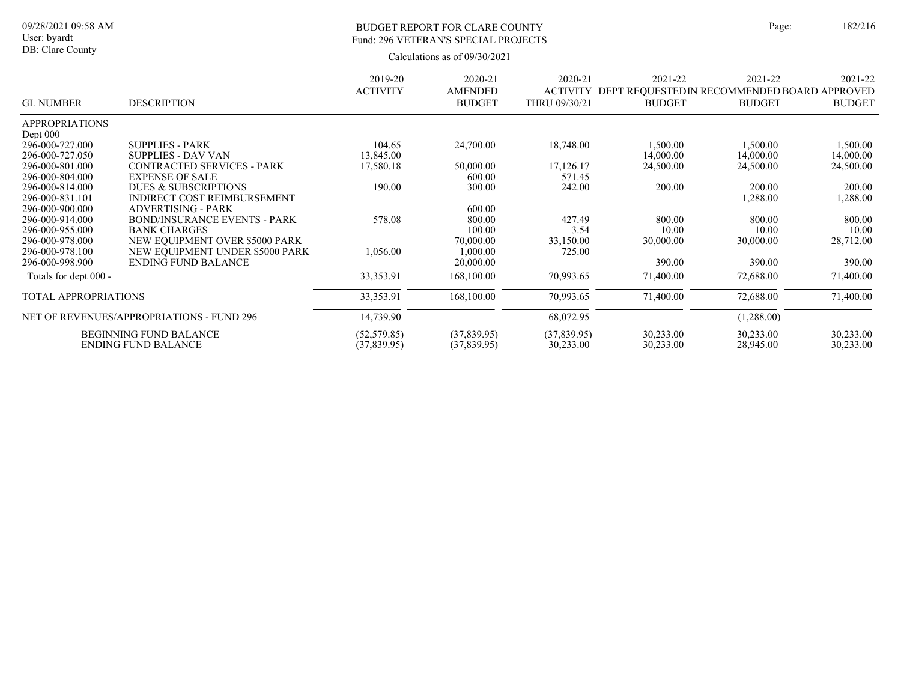# BUDGET REPORT FOR CLARE COUNTY Page: 182/216 Fund: 296 VETERAN'S SPECIAL PROJECTS

|                             |                                           | 2019-20         | 2020-21        | 2020-21       | 2021-22                                               | 2021-22       | 2021-22       |
|-----------------------------|-------------------------------------------|-----------------|----------------|---------------|-------------------------------------------------------|---------------|---------------|
|                             |                                           | <b>ACTIVITY</b> | <b>AMENDED</b> |               | ACTIVITY DEPT REQUESTED IN RECOMMENDED BOARD APPROVED |               |               |
| <b>GL NUMBER</b>            | <b>DESCRIPTION</b>                        |                 | <b>BUDGET</b>  | THRU 09/30/21 | <b>BUDGET</b>                                         | <b>BUDGET</b> | <b>BUDGET</b> |
| <b>APPROPRIATIONS</b>       |                                           |                 |                |               |                                                       |               |               |
| Dept $000$                  |                                           |                 |                |               |                                                       |               |               |
| 296-000-727.000             | <b>SUPPLIES - PARK</b>                    | 104.65          | 24,700.00      | 18,748.00     | 1,500.00                                              | 1,500.00      | 1,500.00      |
| 296-000-727.050             | <b>SUPPLIES - DAV VAN</b>                 | 13,845.00       |                |               | 14,000.00                                             | 14,000.00     | 14,000.00     |
| 296-000-801.000             | <b>CONTRACTED SERVICES - PARK</b>         | 17,580.18       | 50,000.00      | 17,126.17     | 24,500.00                                             | 24,500.00     | 24,500.00     |
| 296-000-804.000             | <b>EXPENSE OF SALE</b>                    |                 | 600.00         | 571.45        |                                                       |               |               |
| 296-000-814.000             | DUES & SUBSCRIPTIONS                      | 190.00          | 300.00         | 242.00        | 200.00                                                | 200.00        | 200.00        |
| 296-000-831.101             | <b>INDIRECT COST REIMBURSEMENT</b>        |                 |                |               |                                                       | 1,288.00      | 1,288.00      |
| 296-000-900.000             | <b>ADVERTISING - PARK</b>                 |                 | 600.00         |               |                                                       |               |               |
| 296-000-914.000             | <b>BOND/INSURANCE EVENTS - PARK</b>       | 578.08          | 800.00         | 427.49        | 800.00                                                | 800.00        | 800.00        |
| 296-000-955.000             | <b>BANK CHARGES</b>                       |                 | 100.00         | 3.54          | 10.00                                                 | 10.00         | 10.00         |
| 296-000-978.000             | NEW EQUIPMENT OVER \$5000 PARK            |                 | 70,000.00      | 33,150.00     | 30,000.00                                             | 30,000.00     | 28,712.00     |
| 296-000-978.100             | NEW EOUIPMENT UNDER \$5000 PARK           | 1,056.00        | 000.00         | 725.00        |                                                       |               |               |
| 296-000-998.900             | <b>ENDING FUND BALANCE</b>                |                 | 20,000.00      |               | 390.00                                                | 390.00        | 390.00        |
| Totals for dept 000 -       |                                           | 33,353.91       | 168,100.00     | 70,993.65     | 71,400.00                                             | 72,688.00     | 71,400.00     |
| <b>TOTAL APPROPRIATIONS</b> |                                           | 33, 353. 91     | 168,100.00     | 70,993.65     | 71,400.00                                             | 72,688.00     | 71,400.00     |
|                             | NET OF REVENUES/APPROPRIATIONS - FUND 296 | 14,739.90       |                | 68,072.95     |                                                       | (1,288.00)    |               |
|                             | <b>BEGINNING FUND BALANCE</b>             | (52, 579.85)    | (37,839.95)    | (37,839.95)   | 30,233.00                                             | 30,233.00     | 30,233.00     |
|                             | <b>ENDING FUND BALANCE</b>                | (37,839.95)     | (37,839.95)    | 30,233.00     | 30,233.00                                             | 28,945.00     | 30,233.00     |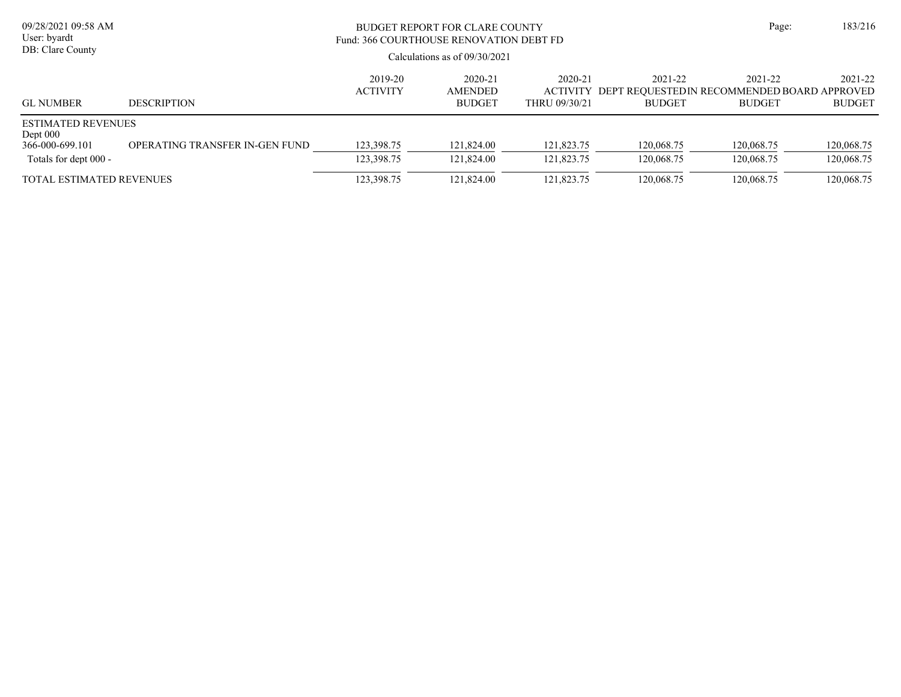| 09/28/2021 09:58 AM<br>User: byardt<br>DB: Clare County                             |                                | BUDGET REPORT FOR CLARE COUNTY<br>Fund: 366 COURTHOUSE RENOVATION DEBT FD<br>Calculations as of $09/30/2021$ |                                     |                          |                          |                                                                                  |                          |  |  |
|-------------------------------------------------------------------------------------|--------------------------------|--------------------------------------------------------------------------------------------------------------|-------------------------------------|--------------------------|--------------------------|----------------------------------------------------------------------------------|--------------------------|--|--|
| <b>GL NUMBER</b>                                                                    | <b>DESCRIPTION</b>             | 2019-20<br><b>ACTIVITY</b>                                                                                   | 2020-21<br>AMENDED<br><b>BUDGET</b> | 2020-21<br>THRU 09/30/21 | 2021-22<br><b>BUDGET</b> | 2021-22<br>ACTIVITY DEPT REOUESTEDIN RECOMMENDED BOARD APPROVED<br><b>BUDGET</b> | 2021-22<br><b>BUDGET</b> |  |  |
| <b>ESTIMATED REVENUES</b><br>Dept $000$<br>366-000-699.101<br>Totals for dept 000 - | OPERATING TRANSFER IN-GEN FUND | 123,398.75<br>123,398.75                                                                                     | 121,824.00<br>121,824.00            | 121,823.75<br>121,823.75 | 120,068.75<br>120.068.75 | 120,068.75<br>120,068.75                                                         | 120,068.75<br>120,068.75 |  |  |
| <b>TOTAL ESTIMATED REVENUES</b>                                                     |                                | 123,398.75                                                                                                   | 121,824.00                          | 121,823.75               | 120,068.75               | 120,068.75                                                                       | 120,068.75               |  |  |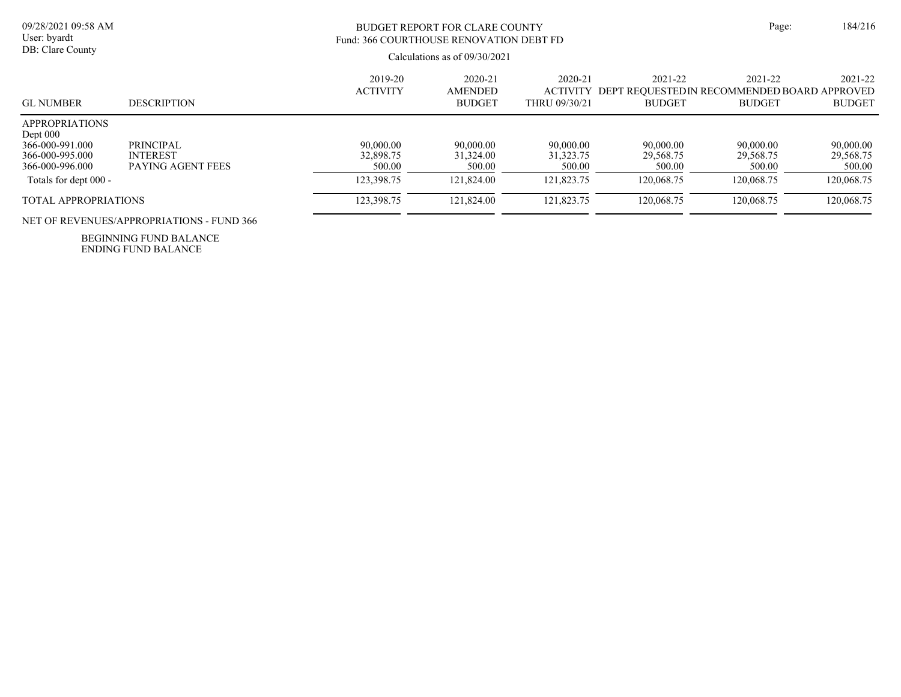# BUDGET REPORT FOR CLARE COUNTY Page: 184/216 Fund: 366 COURTHOUSE RENOVATION DEBT FD

Calculations as of 09/30/2021

| <b>GL NUMBER</b>                                                                                                      | <b>DESCRIPTION</b>                                | 2019-20<br><b>ACTIVITY</b>                     | 2020-21<br><b>AMENDED</b><br><b>BUDGET</b>     | 2020-21<br><b>ACTIVITY</b><br>THRU 09/30/21      | 2021-22<br>DEPT REOUESTEDIN RECOMMENDED BOARD APPROVED<br><b>BUDGET</b> | 2021-22<br><b>BUDGET</b>                       | 2021-22<br><b>BUDGET</b>                       |
|-----------------------------------------------------------------------------------------------------------------------|---------------------------------------------------|------------------------------------------------|------------------------------------------------|--------------------------------------------------|-------------------------------------------------------------------------|------------------------------------------------|------------------------------------------------|
| <b>APPROPRIATIONS</b><br>Dept $000$<br>366-000-991.000<br>366-000-995.000<br>366-000-996.000<br>Totals for dept 000 - | PRINCIPAL<br><b>INTEREST</b><br>PAYING AGENT FEES | 90,000.00<br>32,898.75<br>500.00<br>123,398.75 | 90,000.00<br>31,324.00<br>500.00<br>121,824.00 | 90,000.00<br>31, 323. 75<br>500.00<br>121,823.75 | 90,000.00<br>29,568.75<br>500.00<br>120.068.75                          | 90,000.00<br>29,568.75<br>500.00<br>120,068.75 | 90,000.00<br>29,568.75<br>500.00<br>120,068.75 |
| <b>TOTAL APPROPRIATIONS</b>                                                                                           |                                                   | 123,398.75                                     | 121,824.00                                     | 121,823.75                                       | 120,068.75                                                              | 120,068.75                                     | 120,068.75                                     |

NET OF REVENUES/APPROPRIATIONS - FUND 366

ENDING FUND BALANCE BEGINNING FUND BALANCE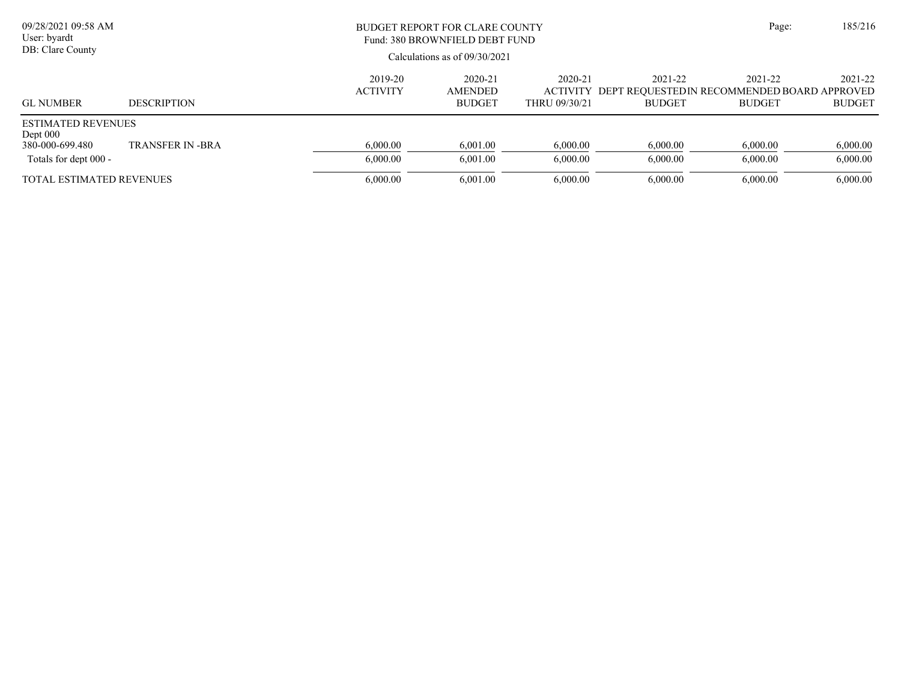| 09/28/2021 09:58 AM<br>User: byardt<br>DB: Clare County                           |                        |                            | BUDGET REPORT FOR CLARE COUNTY<br>Fund: 380 BROWNFIELD DEBT FUND<br>Calculations as of $09/30/2021$ |                          |                          |                                                                                  |                          |  |
|-----------------------------------------------------------------------------------|------------------------|----------------------------|-----------------------------------------------------------------------------------------------------|--------------------------|--------------------------|----------------------------------------------------------------------------------|--------------------------|--|
| <b>GL NUMBER</b>                                                                  | <b>DESCRIPTION</b>     | 2019-20<br><b>ACTIVITY</b> | 2020-21<br><b>AMENDED</b><br><b>BUDGET</b>                                                          | 2020-21<br>THRU 09/30/21 | 2021-22<br><b>BUDGET</b> | 2021-22<br>ACTIVITY DEPT REOUESTEDIN RECOMMENDED BOARD APPROVED<br><b>BUDGET</b> | 2021-22<br><b>BUDGET</b> |  |
| <b>ESTIMATED REVENUES</b><br>Dept 000<br>380-000-699.480<br>Totals for dept 000 - | <b>TRANSFER IN-BRA</b> | 6,000.00<br>6,000.00       | 6.001.00<br>6,001.00                                                                                | 6,000.00<br>6,000.00     | 6,000.00<br>6,000.00     | 6,000.00<br>6,000.00                                                             | 6,000.00<br>6,000.00     |  |
| <b>TOTAL ESTIMATED REVENUES</b>                                                   |                        | 6,000.00                   | 6,001.00                                                                                            | 6,000.00                 | 6,000.00                 | 6,000.00                                                                         | 6,000.00                 |  |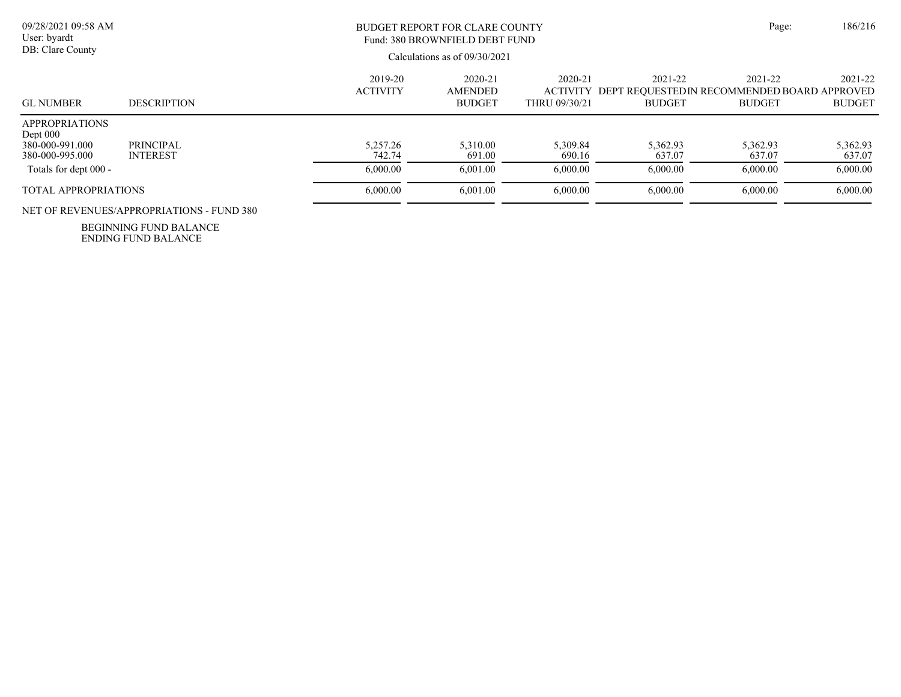| 09/28/2021 09:58 AM<br>User: byardt<br>DB: Clare County                                            |                                           | <b>BUDGET REPORT FOR CLARE COUNTY</b><br>Fund: 380 BROWNFIELD DEBT FUND<br>Calculations as of 09/30/2021 | Page:                                          | 186/216                                         |                                |                                                                         |                                |
|----------------------------------------------------------------------------------------------------|-------------------------------------------|----------------------------------------------------------------------------------------------------------|------------------------------------------------|-------------------------------------------------|--------------------------------|-------------------------------------------------------------------------|--------------------------------|
| <b>GL NUMBER</b>                                                                                   | <b>DESCRIPTION</b>                        | 2019-20<br><b>ACTIVITY</b>                                                                               | $2020 - 21$<br><b>AMENDED</b><br><b>BUDGET</b> | $2020 - 21$<br><b>ACTIVITY</b><br>THRU 09/30/21 | 2021-22<br><b>BUDGET</b>       | 2021-22<br>DEPT REOUESTEDIN RECOMMENDED BOARD APPROVED<br><b>BUDGET</b> | 2021-22<br><b>BUDGET</b>       |
| <b>APPROPRIATIONS</b><br>Dept $000$<br>380-000-991.000<br>380-000-995.000<br>Totals for dept 000 - | <b>PRINCIPAL</b><br><b>INTEREST</b>       | 5.257.26<br>742.74<br>6,000.00                                                                           | 5.310.00<br>691.00<br>6.001.00                 | 5.309.84<br>690.16<br>6,000.00                  | 5.362.93<br>637.07<br>6.000.00 | 5.362.93<br>637.07<br>6.000.00                                          | 5,362.93<br>637.07<br>6,000.00 |
| <b>TOTAL APPROPRIATIONS</b>                                                                        | NET OF REVENUES/APPROPRIATIONS - FUND 380 | 6,000.00                                                                                                 | 6.001.00                                       | 6,000.00                                        | 6,000.00                       | 6.000.00                                                                | 6,000.00                       |

ENDING FUND BALANCE BEGINNING FUND BALANCE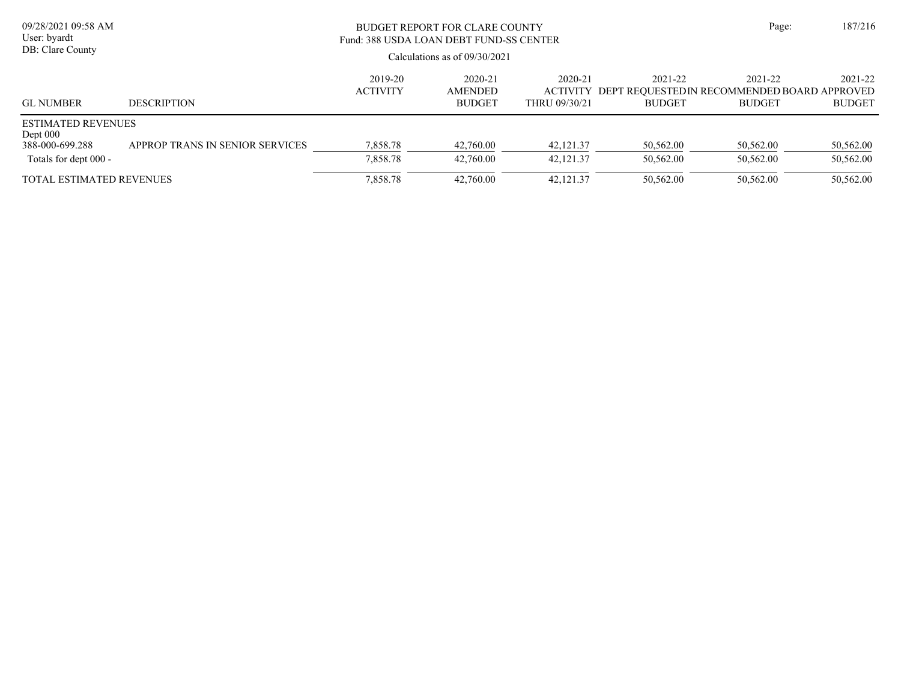| 09/28/2021 09:58 AM<br>User: byardt<br>DB: Clare County                             |                                 | <b>BUDGET REPORT FOR CLARE COUNTY</b><br>Fund: 388 USDA LOAN DEBT FUND-SS CENTER<br>Calculations as of $09/30/2021$ |                                            |                          |                                                                                  |                          |                          |  |  |
|-------------------------------------------------------------------------------------|---------------------------------|---------------------------------------------------------------------------------------------------------------------|--------------------------------------------|--------------------------|----------------------------------------------------------------------------------|--------------------------|--------------------------|--|--|
| <b>GL NUMBER</b>                                                                    | <b>DESCRIPTION</b>              | 2019-20<br><b>ACTIVITY</b>                                                                                          | 2020-21<br><b>AMENDED</b><br><b>BUDGET</b> | 2020-21<br>THRU 09/30/21 | 2021-22<br>ACTIVITY DEPT REOUESTEDIN RECOMMENDED BOARD APPROVED<br><b>BUDGET</b> | 2021-22<br><b>BUDGET</b> | 2021-22<br><b>BUDGET</b> |  |  |
| <b>ESTIMATED REVENUES</b><br>Dept $000$<br>388-000-699.288<br>Totals for dept 000 - | APPROP TRANS IN SENIOR SERVICES | 7,858.78<br>7,858.78                                                                                                | 42,760.00<br>42,760.00                     | 42,121.37<br>42.121.37   | 50,562.00<br>50,562.00                                                           | 50,562.00<br>50.562.00   | 50,562.00<br>50,562.00   |  |  |
| <b>TOTAL ESTIMATED REVENUES</b>                                                     |                                 | 7,858.78                                                                                                            | 42,760.00                                  | 42, 121. 37              | 50,562.00                                                                        | 50,562.00                | 50,562.00                |  |  |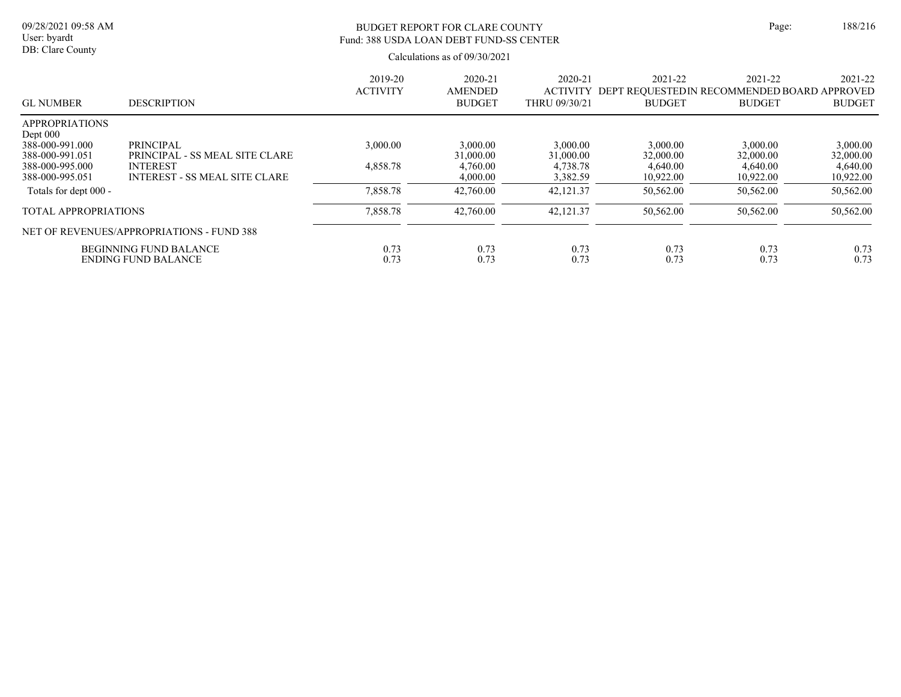# BUDGET REPORT FOR CLARE COUNTY Page: 188/216 Fund: 388 USDA LOAN DEBT FUND-SS CENTER

| <b>GL NUMBER</b>                                                          | <b>DESCRIPTION</b>                                          | 2019-20<br><b>ACTIVITY</b> | 2020-21<br><b>AMENDED</b><br><b>BUDGET</b> | $2020 - 21$<br><b>ACTIVITY</b><br>THRU 09/30/21 | 2021-22<br>DEPT REOUESTEDIN RECOMMENDED BOARD APPROVED<br><b>BUDGET</b> | 2021-22<br><b>BUDGET</b> | 2021-22<br><b>BUDGET</b> |
|---------------------------------------------------------------------------|-------------------------------------------------------------|----------------------------|--------------------------------------------|-------------------------------------------------|-------------------------------------------------------------------------|--------------------------|--------------------------|
| <b>APPROPRIATIONS</b><br>Dept $000$<br>388-000-991.000<br>388-000-991.051 | PRINCIPAL<br>PRINCIPAL - SS MEAL SITE CLARE                 | 3,000.00                   | 3,000.00<br>31,000.00                      | 3,000.00<br>31,000.00                           | 3,000.00<br>32,000.00                                                   | 3,000.00<br>32,000.00    | 3,000.00<br>32,000.00    |
| 388-000-995.000<br>388-000-995.051                                        | <b>INTEREST</b><br><b>INTEREST - SS MEAL SITE CLARE</b>     | 4,858.78                   | 4,760.00<br>4,000.00                       | 4,738.78<br>3,382.59                            | 4,640.00<br>10,922.00                                                   | 4,640.00<br>10,922.00    | 4,640.00<br>10,922.00    |
| Totals for dept 000 -                                                     |                                                             | 7,858.78                   | 42,760.00                                  | 42,121.37                                       | 50,562.00                                                               | 50,562.00                | 50,562.00                |
| <b>TOTAL APPROPRIATIONS</b>                                               |                                                             | 7,858.78                   | 42,760.00                                  | 42,121.37                                       | 50,562.00                                                               | 50,562.00                | 50,562.00                |
|                                                                           | NET OF REVENUES/APPROPRIATIONS - FUND 388                   |                            |                                            |                                                 |                                                                         |                          |                          |
|                                                                           | <b>BEGINNING FUND BALANCE</b><br><b>ENDING FUND BALANCE</b> | 0.73<br>0.73               | 0.73<br>0.73                               | 0.73<br>0.73                                    | 0.73<br>0.73                                                            | 0.73<br>0.73             | 0.73<br>0.73             |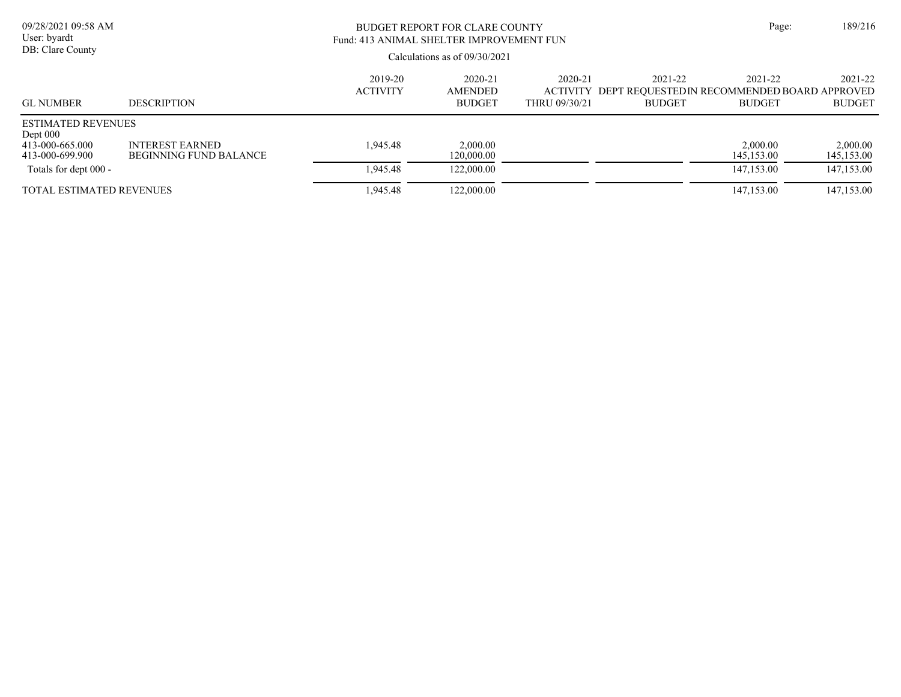| 09/28/2021 09:58 AM<br>User: byardt<br>DB: Clare County                       |                                                         | BUDGET REPORT FOR CLARE COUNTY<br>Fund: 413 ANIMAL SHELTER IMPROVEMENT FUN<br>Calculations as of $09/30/2021$ |                                     |                          |                                                                                  |                          | 189/216                  |
|-------------------------------------------------------------------------------|---------------------------------------------------------|---------------------------------------------------------------------------------------------------------------|-------------------------------------|--------------------------|----------------------------------------------------------------------------------|--------------------------|--------------------------|
| <b>GL NUMBER</b>                                                              | <b>DESCRIPTION</b>                                      | 2019-20<br><b>ACTIVITY</b>                                                                                    | 2020-21<br>AMENDED<br><b>BUDGET</b> | 2020-21<br>THRU 09/30/21 | 2021-22<br>ACTIVITY DEPT REOUESTEDIN RECOMMENDED BOARD APPROVED<br><b>BUDGET</b> | 2021-22<br><b>BUDGET</b> | 2021-22<br><b>BUDGET</b> |
| <b>ESTIMATED REVENUES</b><br>Dept $000$<br>413-000-665.000<br>413-000-699.900 | <b>INTEREST EARNED</b><br><b>BEGINNING FUND BALANCE</b> | 1,945.48                                                                                                      | 2,000.00<br>120,000.00              |                          |                                                                                  | 2,000.00<br>145,153.00   | 2,000.00<br>145,153.00   |
| Totals for dept 000 -                                                         |                                                         | 1,945.48                                                                                                      | 122,000.00                          |                          |                                                                                  | 147,153.00               | 147,153.00               |
| <b>TOTAL ESTIMATED REVENUES</b>                                               |                                                         | 1,945.48                                                                                                      | 122,000.00                          |                          |                                                                                  | 147,153.00               | 147,153.00               |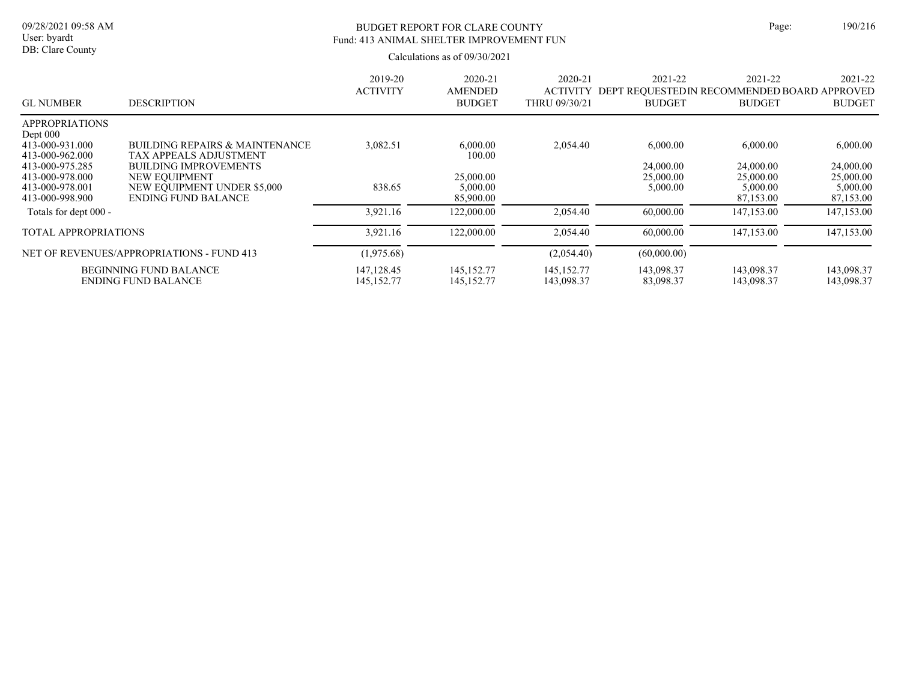DB: Clare County

# BUDGET REPORT FOR CLARE COUNTY Page: 190/216 Fund: 413 ANIMAL SHELTER IMPROVEMENT FUN

| <b>GL NUMBER</b>                    | <b>DESCRIPTION</b>                                     | 2019-20<br><b>ACTIVITY</b> | 2020-21<br><b>AMENDED</b><br><b>BUDGET</b> | 2020-21<br><b>ACTIVITY</b><br>THRU 09/30/21 | 2021-22<br>DEPT REQUESTED IN RECOMMENDED BOARD APPROVED<br><b>BUDGET</b> | 2021-22<br><b>BUDGET</b> | 2021-22<br><b>BUDGET</b> |
|-------------------------------------|--------------------------------------------------------|----------------------------|--------------------------------------------|---------------------------------------------|--------------------------------------------------------------------------|--------------------------|--------------------------|
| <b>APPROPRIATIONS</b><br>Dept $000$ |                                                        |                            |                                            |                                             |                                                                          |                          |                          |
| 413-000-931.000                     | <b>BUILDING REPAIRS &amp; MAINTENANCE</b>              | 3,082.51                   | 6,000.00                                   | 2,054.40                                    | 6,000.00                                                                 | 6,000.00                 | 6,000.00                 |
| 413-000-962.000<br>413-000-975.285  | TAX APPEALS ADJUSTMENT<br><b>BUILDING IMPROVEMENTS</b> |                            | 100.00                                     |                                             | 24,000.00                                                                | 24,000.00                | 24,000.00                |
| 413-000-978.000                     | NEW EQUIPMENT                                          |                            | 25,000.00                                  |                                             | 25,000.00                                                                | 25,000.00                | 25,000.00                |
| 413-000-978.001                     | NEW EQUIPMENT UNDER \$5,000                            | 838.65                     | 5,000.00                                   |                                             | 5,000.00                                                                 | 5,000.00                 | 5,000.00                 |
| 413-000-998.900                     | <b>ENDING FUND BALANCE</b>                             |                            | 85,900.00                                  |                                             |                                                                          | 87,153.00                | 87,153.00                |
| Totals for dept 000 -               |                                                        | 3,921.16                   | 122,000.00                                 | 2,054.40                                    | 60,000.00                                                                | 147,153.00               | 147,153.00               |
| <b>TOTAL APPROPRIATIONS</b>         |                                                        | 3.921.16                   | 122,000.00                                 | 2.054.40                                    | 60,000.00                                                                | 147,153.00               | 147,153.00               |
|                                     | NET OF REVENUES/APPROPRIATIONS - FUND 413              | (1,975.68)                 |                                            | (2,054.40)                                  | (60,000.00)                                                              |                          |                          |
|                                     | <b>BEGINNING FUND BALANCE</b>                          | 147, 128. 45               | 145, 152. 77                               | 145, 152, 77                                | 143,098.37                                                               | 143,098.37               | 143,098.37               |
|                                     | ENDING FUND BALANCE                                    | 145, 152. 77               | 145, 152. 77                               | 143,098.37                                  | 83,098.37                                                                | 143,098.37               | 143,098.37               |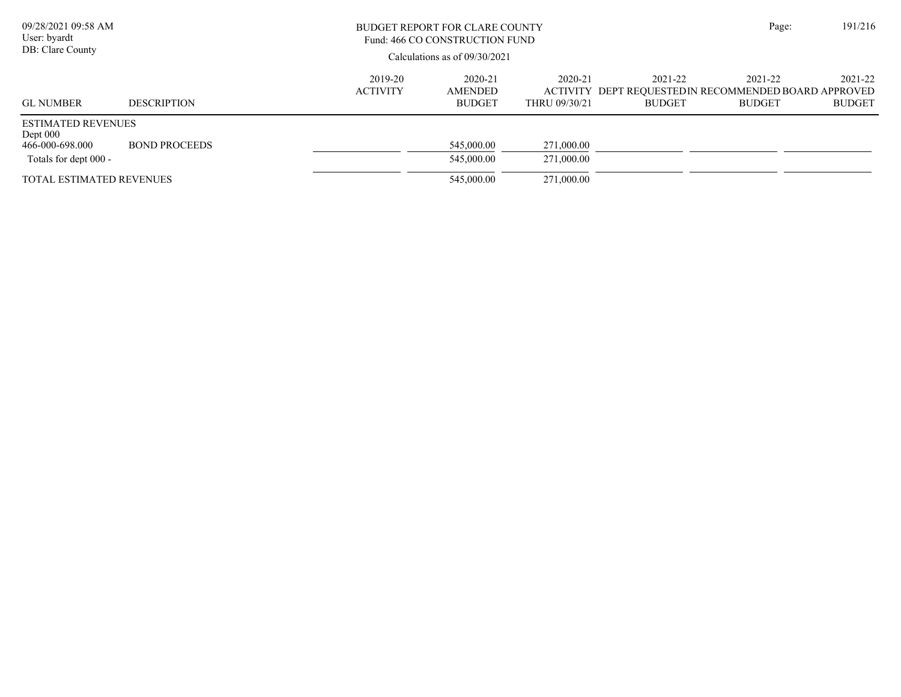| 09/28/2021 09:58 AM<br>User: byardt<br>DB: Clare County                             |                      |                            | BUDGET REPORT FOR CLARE COUNTY<br>Fund: 466 CO CONSTRUCTION FUND<br>Calculations as of $09/30/2021$ |                          |                          |                                                                                  |                          |  |  |
|-------------------------------------------------------------------------------------|----------------------|----------------------------|-----------------------------------------------------------------------------------------------------|--------------------------|--------------------------|----------------------------------------------------------------------------------|--------------------------|--|--|
| <b>GL NUMBER</b>                                                                    | <b>DESCRIPTION</b>   | 2019-20<br><b>ACTIVITY</b> | 2020-21<br><b>AMENDED</b><br><b>BUDGET</b>                                                          | 2020-21<br>THRU 09/30/21 | 2021-22<br><b>BUDGET</b> | 2021-22<br>ACTIVITY DEPT REQUESTEDIN RECOMMENDED BOARD APPROVED<br><b>BUDGET</b> | 2021-22<br><b>BUDGET</b> |  |  |
| <b>ESTIMATED REVENUES</b><br>Dept $000$<br>466-000-698.000<br>Totals for dept 000 - | <b>BOND PROCEEDS</b> |                            | 545,000.00<br>545,000.00                                                                            | 271,000.00<br>271,000.00 |                          |                                                                                  |                          |  |  |
| <b>TOTAL ESTIMATED REVENUES</b>                                                     |                      |                            | 545,000.00                                                                                          | 271,000.00               |                          |                                                                                  |                          |  |  |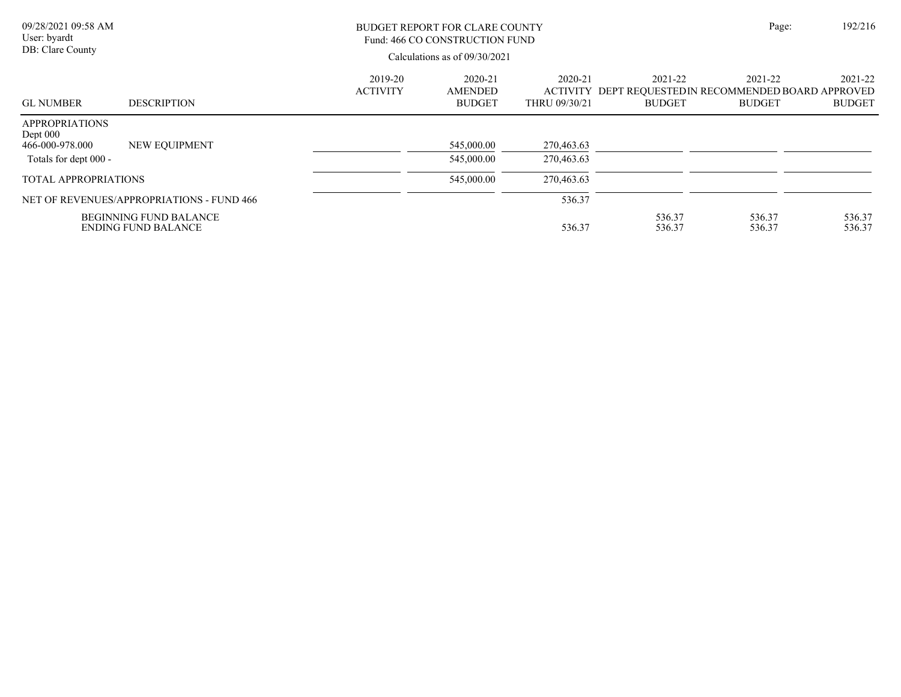| 09/28/2021 09:58 AM<br>User: byardt<br>DB: Clare County                         |                                                             | <b>BUDGET REPORT FOR CLARE COUNTY</b><br>Fund: 466 CO CONSTRUCTION FUND<br>Calculations as of 09/30/2021 |                                            |                          |                          |                                                                                   | 192/216<br>Page:         |
|---------------------------------------------------------------------------------|-------------------------------------------------------------|----------------------------------------------------------------------------------------------------------|--------------------------------------------|--------------------------|--------------------------|-----------------------------------------------------------------------------------|--------------------------|
| <b>GL NUMBER</b>                                                                | <b>DESCRIPTION</b>                                          | 2019-20<br><b>ACTIVITY</b>                                                                               | 2020-21<br><b>AMENDED</b><br><b>BUDGET</b> | 2020-21<br>THRU 09/30/21 | 2021-22<br><b>BUDGET</b> | 2021-22<br>ACTIVITY DEPT REQUESTED IN RECOMMENDED BOARD APPROVED<br><b>BUDGET</b> | 2021-22<br><b>BUDGET</b> |
| <b>APPROPRIATIONS</b><br>Dept $000$<br>466-000-978.000<br>Totals for dept 000 - | NEW EQUIPMENT                                               |                                                                                                          | 545,000.00<br>545,000.00                   | 270,463.63<br>270,463.63 |                          |                                                                                   |                          |
| <b>TOTAL APPROPRIATIONS</b>                                                     |                                                             |                                                                                                          | 545,000.00                                 | 270,463.63               |                          |                                                                                   |                          |
|                                                                                 | NET OF REVENUES/APPROPRIATIONS - FUND 466                   |                                                                                                          |                                            | 536.37                   |                          |                                                                                   |                          |
|                                                                                 | <b>BEGINNING FUND BALANCE</b><br><b>ENDING FUND BALANCE</b> |                                                                                                          |                                            | 536.37                   | 536.37<br>536.37         | 536.37<br>536.37                                                                  | 536.37<br>536.37         |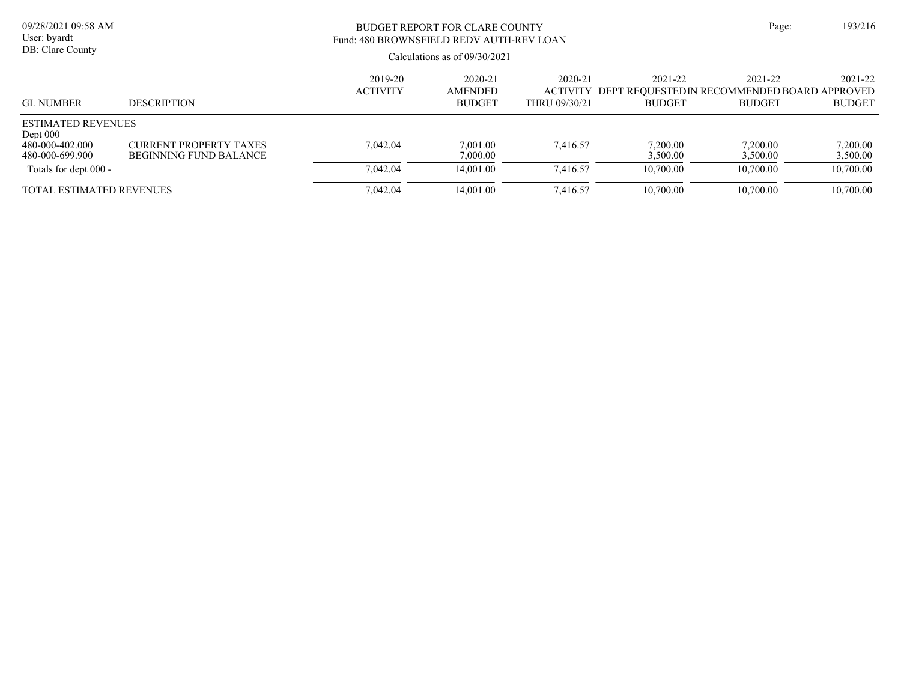| 09/28/2021 09:58 AM<br>User: byardt<br>DB: Clare County                       |                                                         | BUDGET REPORT FOR CLARE COUNTY<br>Fund: 480 BROWNSFIELD REDV AUTH-REV LOAN |                                            |                          |                          |                                                                                  |                          |  |  |
|-------------------------------------------------------------------------------|---------------------------------------------------------|----------------------------------------------------------------------------|--------------------------------------------|--------------------------|--------------------------|----------------------------------------------------------------------------------|--------------------------|--|--|
|                                                                               |                                                         |                                                                            |                                            |                          |                          |                                                                                  |                          |  |  |
| <b>GL NUMBER</b>                                                              | <b>DESCRIPTION</b>                                      | 2019-20<br><b>ACTIVITY</b>                                                 | 2020-21<br><b>AMENDED</b><br><b>BUDGET</b> | 2020-21<br>THRU 09/30/21 | 2021-22<br><b>BUDGET</b> | 2021-22<br>ACTIVITY DEPT REOUESTEDIN RECOMMENDED BOARD APPROVED<br><b>BUDGET</b> | 2021-22<br><b>BUDGET</b> |  |  |
| <b>ESTIMATED REVENUES</b><br>Dept $000$<br>480-000-402.000<br>480-000-699.900 | <b>CURRENT PROPERTY TAXES</b><br>BEGINNING FUND BALANCE | 7,042.04                                                                   | 7,001.00<br>7.000.00                       | 7.416.57                 | 7,200.00<br>3,500.00     | 7,200.00<br>3,500.00                                                             | 7,200.00<br>3,500.00     |  |  |
| Totals for dept 000 -                                                         |                                                         | 7.042.04                                                                   | 14,001.00                                  | 7.416.57                 | 10,700.00                | 10,700.00                                                                        | 10,700.00                |  |  |
| TOTAL ESTIMATED REVENUES                                                      |                                                         | 7,042.04                                                                   | 14,001.00                                  | 7,416.57                 | 10,700.00                | 10,700.00                                                                        | 10,700.00                |  |  |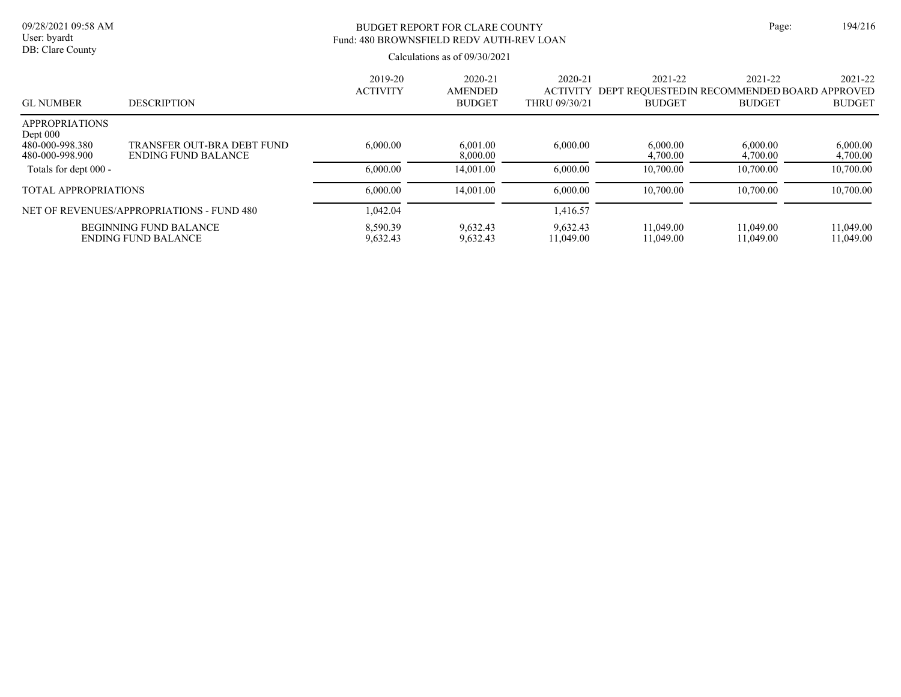# BUDGET REPORT FOR CLARE COUNTY Page: 194/216 Fund: 480 BROWNSFIELD REDV AUTH-REV LOAN

| <b>GL NUMBER</b>                                                          | <b>DESCRIPTION</b>                                   | 2019-20<br><b>ACTIVITY</b> | 2020-21<br><b>AMENDED</b><br><b>BUDGET</b> | 2020-21<br><b>ACTIVITY</b><br>THRU 09/30/21 | 2021-22<br>DEPT REOUESTEDIN RECOMMENDED BOARD APPROVED<br><b>BUDGET</b> | 2021-22<br><b>BUDGET</b> | 2021-22<br><b>BUDGET</b> |
|---------------------------------------------------------------------------|------------------------------------------------------|----------------------------|--------------------------------------------|---------------------------------------------|-------------------------------------------------------------------------|--------------------------|--------------------------|
| <b>APPROPRIATIONS</b><br>Dept $000$<br>480-000-998.380<br>480-000-998.900 | TRANSFER OUT-BRA DEBT FUND<br>ENDING FUND BALANCE    | 6,000.00                   | 6.001.00<br>8,000.00                       | 6,000.00                                    | 6,000.00<br>4,700.00                                                    | 6,000.00<br>4,700.00     | 6,000.00<br>4,700.00     |
| Totals for dept 000 -                                                     |                                                      | 6,000.00                   | 14,001.00                                  | 6,000.00                                    | 10,700.00                                                               | 10,700.00                | 10,700.00                |
| <b>TOTAL APPROPRIATIONS</b>                                               |                                                      | 6,000.00                   | 14,001.00                                  | 6,000.00                                    | 10,700.00                                                               | 10,700.00                | 10,700.00                |
|                                                                           | NET OF REVENUES/APPROPRIATIONS - FUND 480            | 1.042.04                   |                                            | 1,416.57                                    |                                                                         |                          |                          |
|                                                                           | <b>BEGINNING FUND BALANCE</b><br>ENDING FUND BALANCE | 8.590.39<br>9.632.43       | 9.632.43<br>9.632.43                       | 9.632.43<br>11.049.00                       | 11.049.00<br>11.049.00                                                  | 11.049.00<br>11.049.00   | 11.049.00<br>11.049.00   |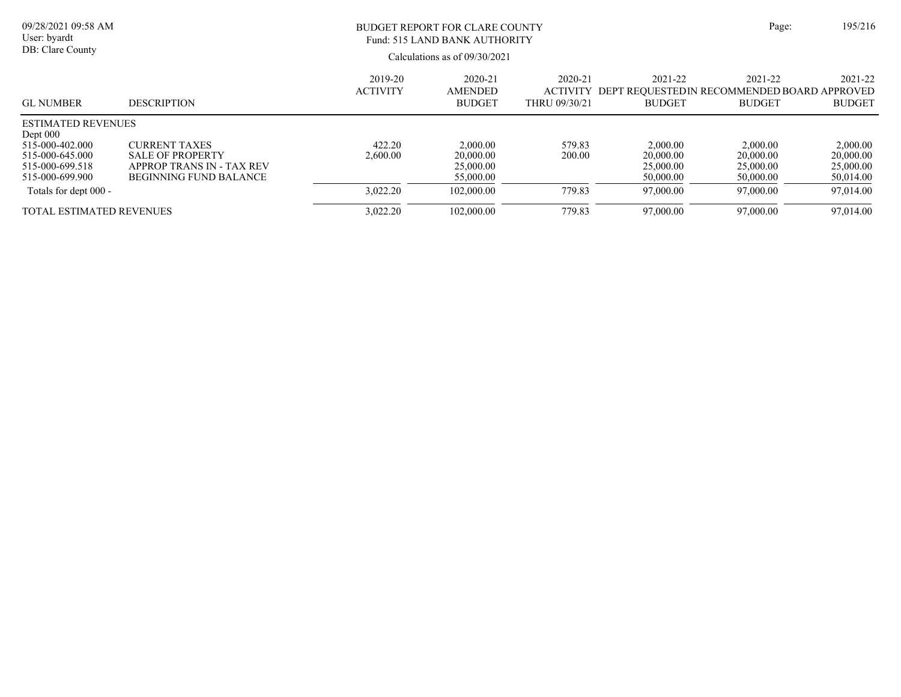| 09/28/2021 09:58 AM<br>User: byardt                                                                                 |                                                                                                               | BUDGET REPORT FOR CLARE COUNTY<br>Fund: 515 LAND BANK AUTHORITY<br>Calculations as of $09/30/2021$ |                                                 |                                                 |                                                                             |                                                 |                                                 |  |
|---------------------------------------------------------------------------------------------------------------------|---------------------------------------------------------------------------------------------------------------|----------------------------------------------------------------------------------------------------|-------------------------------------------------|-------------------------------------------------|-----------------------------------------------------------------------------|-------------------------------------------------|-------------------------------------------------|--|
| DB: Clare County                                                                                                    |                                                                                                               |                                                                                                    |                                                 |                                                 |                                                                             |                                                 |                                                 |  |
| <b>GL NUMBER</b>                                                                                                    | <b>DESCRIPTION</b>                                                                                            | 2019-20<br><b>ACTIVITY</b>                                                                         | 2020-21<br><b>AMENDED</b><br><b>BUDGET</b>      | $2020 - 21$<br><b>ACTIVITY</b><br>THRU 09/30/21 | $2021 - 22$<br>DEPT REOUESTEDIN RECOMMENDED BOARD APPROVED<br><b>BUDGET</b> | 2021-22<br><b>BUDGET</b>                        | 2021-22<br><b>BUDGET</b>                        |  |
| <b>ESTIMATED REVENUES</b><br>Dept $000$<br>515-000-402.000<br>515-000-645.000<br>515-000-699.518<br>515-000-699.900 | <b>CURRENT TAXES</b><br><b>SALE OF PROPERTY</b><br>APPROP TRANS IN - TAX REV<br><b>BEGINNING FUND BALANCE</b> | 422.20<br>2.600.00                                                                                 | 2,000.00<br>20,000.00<br>25,000.00<br>55,000.00 | 579.83<br>200.00                                | 2,000.00<br>20,000.00<br>25,000.00<br>50,000.00                             | 2,000.00<br>20,000.00<br>25,000.00<br>50,000.00 | 2,000.00<br>20,000.00<br>25,000.00<br>50,014.00 |  |
| Totals for dept 000 -<br><b>TOTAL ESTIMATED REVENUES</b>                                                            |                                                                                                               | 3,022.20<br>3.022.20                                                                               | 102,000.00<br>102,000.00                        | 779.83<br>779.83                                | 97,000.00<br>97,000.00                                                      | 97,000.00<br>97,000.00                          | 97,014.00<br>97,014.00                          |  |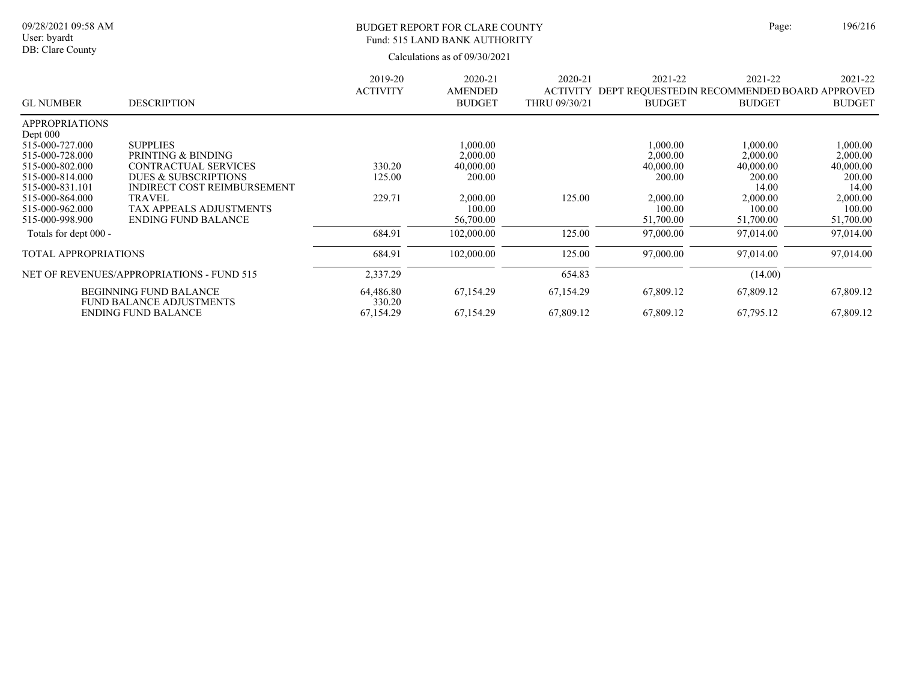#### BUDGET REPORT FOR CLARE COUNTY Page: 196/216 Fund: 515 LAND BANK AUTHORITY

|                             |                                                                  | 2019-20             | 2020-21        | 2020-21         | 2021-22                                     | 2021-22       | 2021-22       |
|-----------------------------|------------------------------------------------------------------|---------------------|----------------|-----------------|---------------------------------------------|---------------|---------------|
|                             |                                                                  | <b>ACTIVITY</b>     | <b>AMENDED</b> | <b>ACTIVITY</b> | DEPT REQUESTEDIN RECOMMENDED BOARD APPROVED |               |               |
| <b>GL NUMBER</b>            | <b>DESCRIPTION</b>                                               |                     | <b>BUDGET</b>  | THRU 09/30/21   | <b>BUDGET</b>                               | <b>BUDGET</b> | <b>BUDGET</b> |
| <b>APPROPRIATIONS</b>       |                                                                  |                     |                |                 |                                             |               |               |
| Dept $000$                  |                                                                  |                     |                |                 |                                             |               |               |
| 515-000-727.000             | <b>SUPPLIES</b>                                                  |                     | 00.000.1       |                 | 1,000.00                                    | 1,000.00      | 1,000.00      |
| 515-000-728.000             | PRINTING & BINDING                                               |                     | 2,000.00       |                 | 2,000.00                                    | 2,000.00      | 2,000.00      |
| 515-000-802.000             | CONTRACTUAL SERVICES                                             | 330.20              | 40,000.00      |                 | 40,000.00                                   | 40,000.00     | 40,000.00     |
| 515-000-814.000             | DUES & SUBSCRIPTIONS                                             | 125.00              | 200.00         |                 | 200.00                                      | 200.00        | 200.00        |
| 515-000-831.101             | INDIRECT COST REIMBURSEMENT                                      |                     |                |                 |                                             | 14.00         | 14.00         |
| 515-000-864.000             | <b>TRAVEL</b>                                                    | 229.71              | 2,000.00       | 125.00          | 2,000.00                                    | 2,000.00      | 2,000.00      |
| 515-000-962.000             | <b>TAX APPEALS ADJUSTMENTS</b>                                   |                     | 100.00         |                 | 100.00                                      | 100.00        | 100.00        |
| 515-000-998.900             | <b>ENDING FUND BALANCE</b>                                       |                     | 56,700.00      |                 | 51,700.00                                   | 51,700.00     | 51,700.00     |
| Totals for dept 000 -       |                                                                  | 684.91              | 102,000.00     | 125.00          | 97,000.00                                   | 97,014.00     | 97,014.00     |
| <b>TOTAL APPROPRIATIONS</b> |                                                                  | 684.91              | 102,000.00     | 125.00          | 97,000.00                                   | 97,014.00     | 97,014.00     |
|                             | NET OF REVENUES/APPROPRIATIONS - FUND 515                        | 2,337.29            |                | 654.83          |                                             | (14.00)       |               |
|                             | <b>BEGINNING FUND BALANCE</b><br><b>FUND BALANCE ADJUSTMENTS</b> | 64,486.80<br>330.20 | 67,154.29      | 67,154.29       | 67,809.12                                   | 67,809.12     | 67,809.12     |
|                             | <b>ENDING FUND BALANCE</b>                                       | 67,154.29           | 67,154.29      | 67,809.12       | 67,809.12                                   | 67,795.12     | 67,809.12     |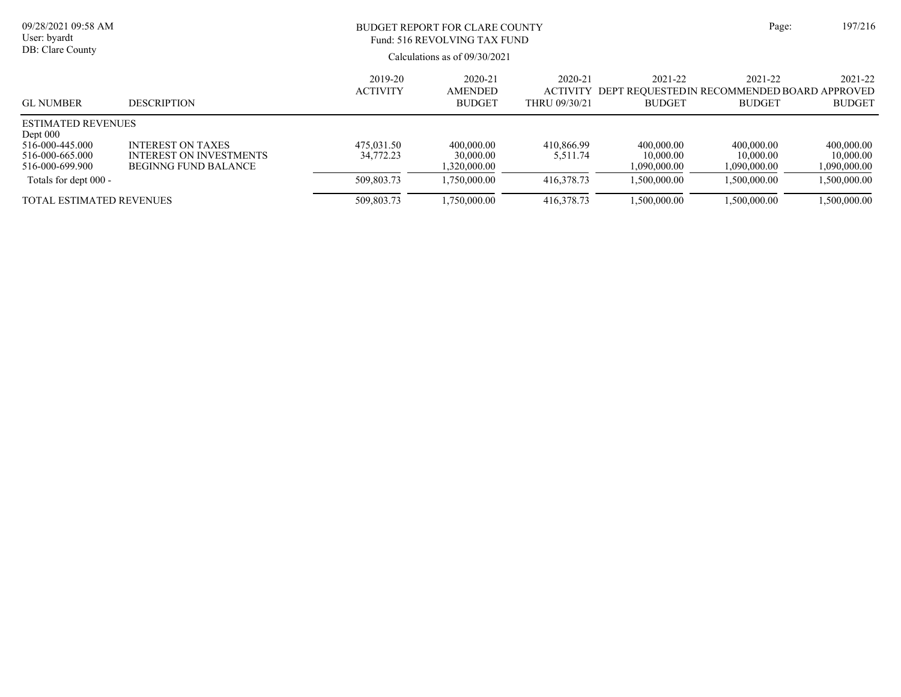| 09/28/2021 09:58 AM<br>User: byardt<br>DB: Clare County                                          |                                                                                           | BUDGET REPORT FOR CLARE COUNTY<br>Fund: 516 REVOLVING TAX FUND<br>Calculations as of $09/30/2021$ |                                            |                                                 |                                                                         |                                         | Page:<br>197/216                        |
|--------------------------------------------------------------------------------------------------|-------------------------------------------------------------------------------------------|---------------------------------------------------------------------------------------------------|--------------------------------------------|-------------------------------------------------|-------------------------------------------------------------------------|-----------------------------------------|-----------------------------------------|
| <b>GL NUMBER</b>                                                                                 | <b>DESCRIPTION</b>                                                                        | 2019-20<br><b>ACTIVITY</b>                                                                        | 2020-21<br><b>AMENDED</b><br><b>BUDGET</b> | $2020 - 21$<br><b>ACTIVITY</b><br>THRU 09/30/21 | 2021-22<br>DEPT REOUESTEDIN RECOMMENDED BOARD APPROVED<br><b>BUDGET</b> | 2021-22<br><b>BUDGET</b>                | 2021-22<br><b>BUDGET</b>                |
| <b>ESTIMATED REVENUES</b><br>Dept $000$<br>516-000-445.000<br>516-000-665.000<br>516-000-699.900 | <b>INTEREST ON TAXES</b><br><b>INTEREST ON INVESTMENTS</b><br><b>BEGINNG FUND BALANCE</b> | 475,031.50<br>34,772.23                                                                           | 400,000.00<br>30,000.00<br>1,320,000.00    | 410,866.99<br>5,511.74                          | 400,000.00<br>10,000.00<br>1,090,000.00                                 | 400,000.00<br>10,000.00<br>1,090,000.00 | 400,000.00<br>10,000.00<br>1,090,000.00 |
| Totals for dept 000 -                                                                            |                                                                                           | 509,803.73                                                                                        | 1.750,000.00                               | 416,378.73                                      | 1,500,000.00                                                            | 1.500.000.00                            | 1.500.000.00                            |
| <b>TOTAL ESTIMATED REVENUES</b>                                                                  |                                                                                           | 509,803.73                                                                                        | 1,750,000.00                               | 416,378.73                                      | 1,500,000.00                                                            | 1,500,000.00                            | 1,500,000.00                            |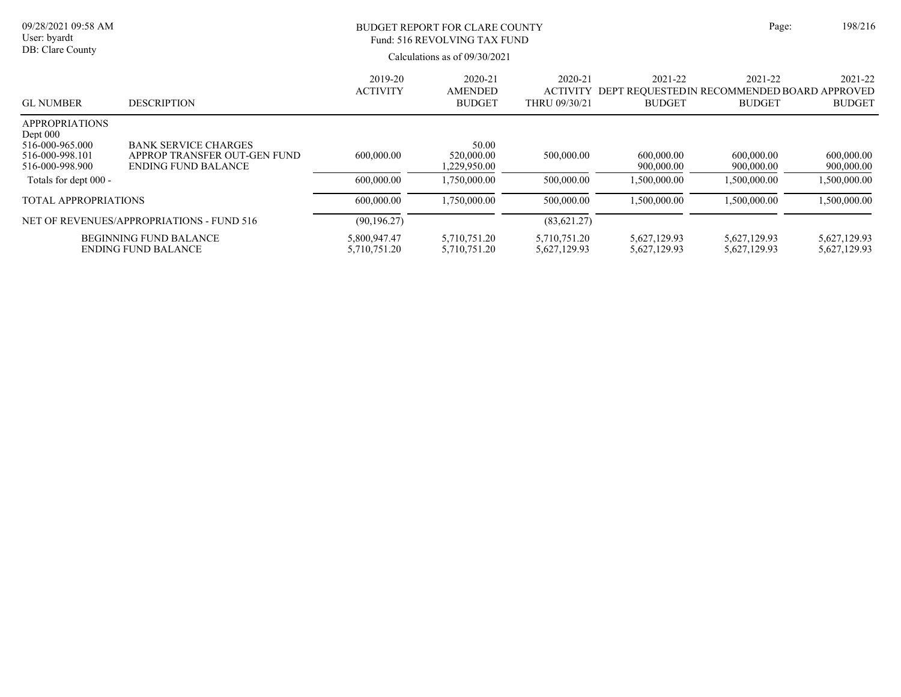| 09/28/2021 09:58 AM<br>User: byardt<br>DB: Clare County                                    |                                                                                           |                              | <b>BUDGET REPORT FOR CLARE COUNTY</b><br>Fund: 516 REVOLVING TAX FUND<br>Calculations as of $09/30/2021$ |                                             |                                                                         |                              |                              |
|--------------------------------------------------------------------------------------------|-------------------------------------------------------------------------------------------|------------------------------|----------------------------------------------------------------------------------------------------------|---------------------------------------------|-------------------------------------------------------------------------|------------------------------|------------------------------|
| <b>GL NUMBER</b>                                                                           | <b>DESCRIPTION</b>                                                                        | 2019-20<br><b>ACTIVITY</b>   | 2020-21<br><b>AMENDED</b><br><b>BUDGET</b>                                                               | 2020-21<br><b>ACTIVITY</b><br>THRU 09/30/21 | 2021-22<br>DEPT REOUESTEDIN RECOMMENDED BOARD APPROVED<br><b>BUDGET</b> | 2021-22<br><b>BUDGET</b>     | 2021-22<br><b>BUDGET</b>     |
| <b>APPROPRIATIONS</b><br>Dept 000<br>516-000-965.000<br>516-000-998.101<br>516-000-998.900 | <b>BANK SERVICE CHARGES</b><br>APPROP TRANSFER OUT-GEN FUND<br><b>ENDING FUND BALANCE</b> | 600,000.00                   | 50.00<br>520,000.00<br>1,229,950.00                                                                      | 500,000.00                                  | 600,000.00<br>900,000.00                                                | 600,000.00<br>900,000.00     | 600,000.00<br>900,000.00     |
| Totals for dept 000 -                                                                      |                                                                                           | 600,000.00                   | 1,750,000.00                                                                                             | 500,000.00                                  | 1,500,000.00                                                            | 1,500,000.00                 | ,500,000.00                  |
| TOTAL APPROPRIATIONS                                                                       |                                                                                           | 600,000.00                   | 1,750,000.00                                                                                             | 500,000.00                                  | 1,500,000.00                                                            | 1,500,000.00                 | 1,500,000.00                 |
|                                                                                            | NET OF REVENUES/APPROPRIATIONS - FUND 516                                                 | (90, 196.27)                 |                                                                                                          | (83,621.27)                                 |                                                                         |                              |                              |
|                                                                                            | <b>BEGINNING FUND BALANCE</b><br><b>ENDING FUND BALANCE</b>                               | 5,800,947.47<br>5,710,751.20 | 5,710,751.20<br>5,710,751.20                                                                             | 5,710,751.20<br>5,627,129.93                | 5,627,129.93<br>5,627,129.93                                            | 5,627,129.93<br>5,627,129.93 | 5,627,129.93<br>5,627,129.93 |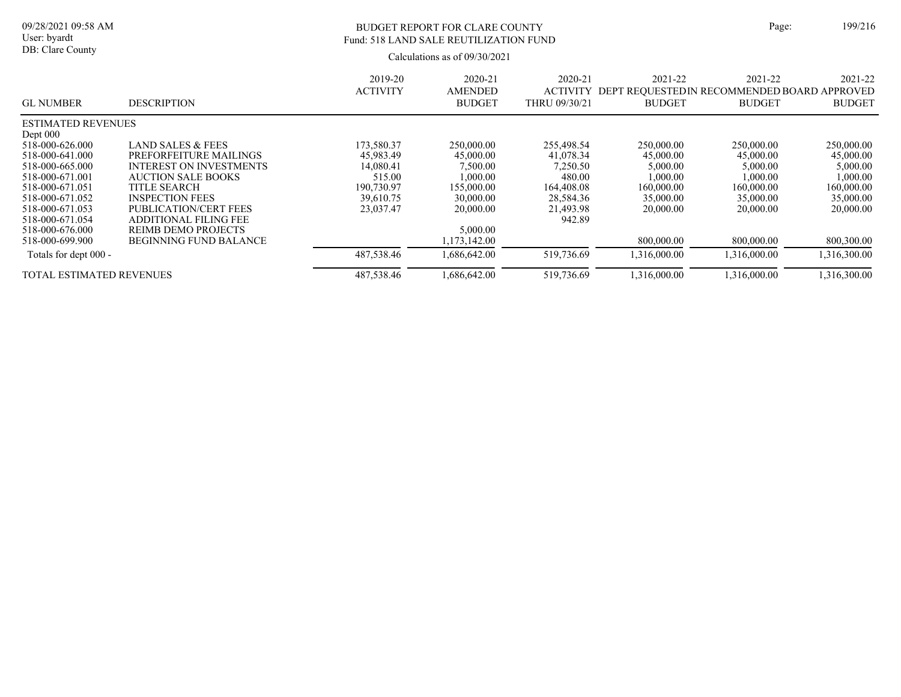# BUDGET REPORT FOR CLARE COUNTY Page: 199/216 Fund: 518 LAND SALE REUTILIZATION FUND

| <b>GL NUMBER</b>                | <b>DESCRIPTION</b>             | 2019-20<br><b>ACTIVITY</b> | 2020-21<br><b>AMENDED</b><br><b>BUDGET</b> | $2020 - 21$<br><b>ACTIVITY</b><br>THRU 09/30/21 | 2021-22<br><b>BUDGET</b> | 2021-22<br>DEPT REOUESTEDIN RECOMMENDED BOARD APPROVED<br><b>BUDGET</b> | 2021-22<br><b>BUDGET</b> |
|---------------------------------|--------------------------------|----------------------------|--------------------------------------------|-------------------------------------------------|--------------------------|-------------------------------------------------------------------------|--------------------------|
| <b>ESTIMATED REVENUES</b>       |                                |                            |                                            |                                                 |                          |                                                                         |                          |
| Dept $000$                      |                                |                            |                                            |                                                 |                          |                                                                         |                          |
| 518-000-626.000                 | LAND SALES & FEES              | 173,580.37                 | 250,000.00                                 | 255,498.54                                      | 250,000.00               | 250,000.00                                                              | 250,000.00               |
| 518-000-641.000                 | PREFORFEITURE MAILINGS         | 45,983.49                  | 45,000.00                                  | 41,078.34                                       | 45,000.00                | 45,000.00                                                               | 45,000.00                |
| 518-000-665.000                 | <b>INTEREST ON INVESTMENTS</b> | 14,080.41                  | 7,500.00                                   | 7,250.50                                        | 5,000.00                 | 5,000.00                                                                | 5,000.00                 |
| 518-000-671.001                 | <b>AUCTION SALE BOOKS</b>      | 515.00                     | 1.000.00                                   | 480.00                                          | 1,000.00                 | 1,000.00                                                                | 1,000.00                 |
| 518-000-671.051                 | TITLE SEARCH                   | 190,730.97                 | 155,000.00                                 | 164,408.08                                      | 160,000.00               | 160,000.00                                                              | 160,000.00               |
| 518-000-671.052                 | <b>INSPECTION FEES</b>         | 39.610.75                  | 30,000.00                                  | 28,584.36                                       | 35,000.00                | 35,000.00                                                               | 35,000.00                |
| 518-000-671.053                 | PUBLICATION/CERT FEES          | 23,037.47                  | 20,000.00                                  | 21,493.98                                       | 20,000.00                | 20,000.00                                                               | 20,000.00                |
| 518-000-671.054                 | <b>ADDITIONAL FILING FEE</b>   |                            |                                            | 942.89                                          |                          |                                                                         |                          |
| 518-000-676.000                 | REIMB DEMO PROJECTS            |                            | 5,000.00                                   |                                                 |                          |                                                                         |                          |
| 518-000-699.900                 | <b>BEGINNING FUND BALANCE</b>  |                            | 1,173,142.00                               |                                                 | 800,000.00               | 800,000.00                                                              | 800,300.00               |
| Totals for dept 000 -           |                                | 487,538.46                 | 1,686,642.00                               | 519,736.69                                      | 1.316.000.00             | 1.316.000.00                                                            | 1,316,300.00             |
| <b>TOTAL ESTIMATED REVENUES</b> |                                | 487,538.46                 | 1,686,642.00                               | 519,736.69                                      | 1,316,000.00             | 1,316,000.00                                                            | 1,316,300.00             |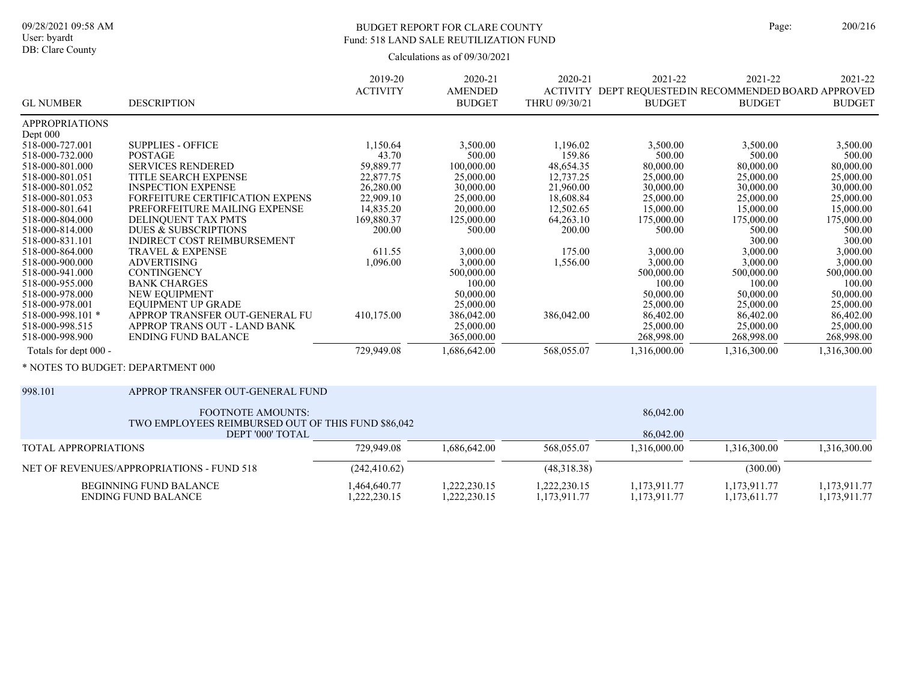## BUDGET REPORT FOR CLARE COUNTY Page: 200/216 Fund: 518 LAND SALE REUTILIZATION FUND

|                                   |                                    | 2019-20         | 2020-21        | 2020-21         | 2021-22                                      | 2021-22       | 2021-22       |
|-----------------------------------|------------------------------------|-----------------|----------------|-----------------|----------------------------------------------|---------------|---------------|
|                                   |                                    | <b>ACTIVITY</b> | <b>AMENDED</b> | <b>ACTIVITY</b> | DEPT REQUESTED IN RECOMMENDED BOARD APPROVED |               |               |
| <b>GL NUMBER</b>                  | <b>DESCRIPTION</b>                 |                 | <b>BUDGET</b>  | THRU 09/30/21   | <b>BUDGET</b>                                | <b>BUDGET</b> | <b>BUDGET</b> |
| <b>APPROPRIATIONS</b>             |                                    |                 |                |                 |                                              |               |               |
| Dept 000                          |                                    |                 |                |                 |                                              |               |               |
| 518-000-727.001                   | <b>SUPPLIES - OFFICE</b>           | 1,150.64        | 3,500.00       | 1,196.02        | 3,500.00                                     | 3,500.00      | 3,500.00      |
| 518-000-732.000                   | <b>POSTAGE</b>                     | 43.70           | 500.00         | 159.86          | 500.00                                       | 500.00        | 500.00        |
| 518-000-801.000                   | <b>SERVICES RENDERED</b>           | 59,889.77       | 100,000.00     | 48,654.35       | 80,000.00                                    | 80,000.00     | 80,000.00     |
| 518-000-801.051                   | TITLE SEARCH EXPENSE               | 22,877.75       | 25,000.00      | 12,737.25       | 25,000.00                                    | 25,000.00     | 25,000.00     |
| 518-000-801.052                   | <b>INSPECTION EXPENSE</b>          | 26,280.00       | 30,000.00      | 21,960.00       | 30,000.00                                    | 30,000.00     | 30,000.00     |
| 518-000-801.053                   | FORFEITURE CERTIFICATION EXPENS    | 22,909.10       | 25,000.00      | 18,608.84       | 25,000.00                                    | 25,000.00     | 25,000.00     |
| 518-000-801.641                   | PREFORFEITURE MAILING EXPENSE      | 14,835.20       | 20,000.00      | 12,502.65       | 15,000.00                                    | 15,000.00     | 15,000.00     |
| 518-000-804.000                   | DELINOUENT TAX PMTS                | 169,880.37      | 125,000.00     | 64,263.10       | 175,000.00                                   | 175,000.00    | 175,000.00    |
| 518-000-814.000                   | DUES & SUBSCRIPTIONS               | 200.00          | 500.00         | 200.00          | 500.00                                       | 500.00        | 500.00        |
| 518-000-831.101                   | <b>INDIRECT COST REIMBURSEMENT</b> |                 |                |                 |                                              | 300.00        | 300.00        |
| 518-000-864.000                   | <b>TRAVEL &amp; EXPENSE</b>        | 611.55          | 3,000.00       | 175.00          | 3,000.00                                     | 3,000.00      | 3,000.00      |
| 518-000-900.000                   | <b>ADVERTISING</b>                 | 1,096.00        | 3,000.00       | 1,556.00        | 3,000.00                                     | 3,000.00      | 3,000.00      |
| 518-000-941.000                   | <b>CONTINGENCY</b>                 |                 | 500,000.00     |                 | 500,000.00                                   | 500,000.00    | 500,000.00    |
| 518-000-955.000                   | <b>BANK CHARGES</b>                |                 | 100.00         |                 | 100.00                                       | 100.00        | 100.00        |
| 518-000-978.000                   | NEW EQUIPMENT                      |                 | 50,000.00      |                 | 50,000.00                                    | 50,000.00     | 50,000.00     |
| 518-000-978.001                   | EQUIPMENT UP GRADE                 |                 | 25,000.00      |                 | 25,000.00                                    | 25,000.00     | 25,000.00     |
| 518-000-998.101 *                 | APPROP TRANSFER OUT-GENERAL FU     | 410,175.00      | 386,042.00     | 386,042.00      | 86,402.00                                    | 86,402.00     | 86,402.00     |
| 518-000-998.515                   | APPROP TRANS OUT - LAND BANK       |                 | 25,000.00      |                 | 25,000.00                                    | 25,000.00     | 25,000.00     |
| 518-000-998.900                   | <b>ENDING FUND BALANCE</b>         |                 | 365,000.00     |                 | 268,998.00                                   | 268,998.00    | 268,998.00    |
| Totals for dept 000 -             |                                    | 729,949.08      | 1,686,642.00   | 568,055.07      | 1,316,000.00                                 | 1,316,300.00  | 1,316,300.00  |
| * NOTES TO BUDGET: DEPARTMENT 000 |                                    |                 |                |                 |                                              |               |               |

| 998.101<br>APPROP TRANSFER OUT-GENERAL FUND                                    |                             |                            |                              |                              |                              |                              |
|--------------------------------------------------------------------------------|-----------------------------|----------------------------|------------------------------|------------------------------|------------------------------|------------------------------|
| <b>FOOTNOTE AMOUNTS:</b><br>TWO EMPLOYEES REIMBURSED OUT OF THIS FUND \$86,042 |                             |                            | 86,042.00                    |                              |                              |                              |
| DEPT '000' TOTAL                                                               |                             |                            | 86,042.00                    |                              |                              |                              |
| TOTAL APPROPRIATIONS                                                           | 729,949.08                  | 1.686.642.00               | 568,055.07                   | 1.316.000.00                 | 1.316.300.00                 | 1,316,300.00                 |
| NET OF REVENUES/APPROPRIATIONS - FUND 518                                      | (242, 410.62)               |                            | (48,318,38)                  |                              | (300.00)                     |                              |
| BEGINNING FUND BALANCE<br>ENDING FUND BALANCE                                  | 1.464.640.77<br>,222,230.15 | 1,222,230.15<br>222,230.15 | 1.222.230.15<br>1,173,911.77 | 1.173.911.77<br>1,173,911.77 | 1.173.911.77<br>1,173,611.77 | 1.173.911.77<br>1,173,911.77 |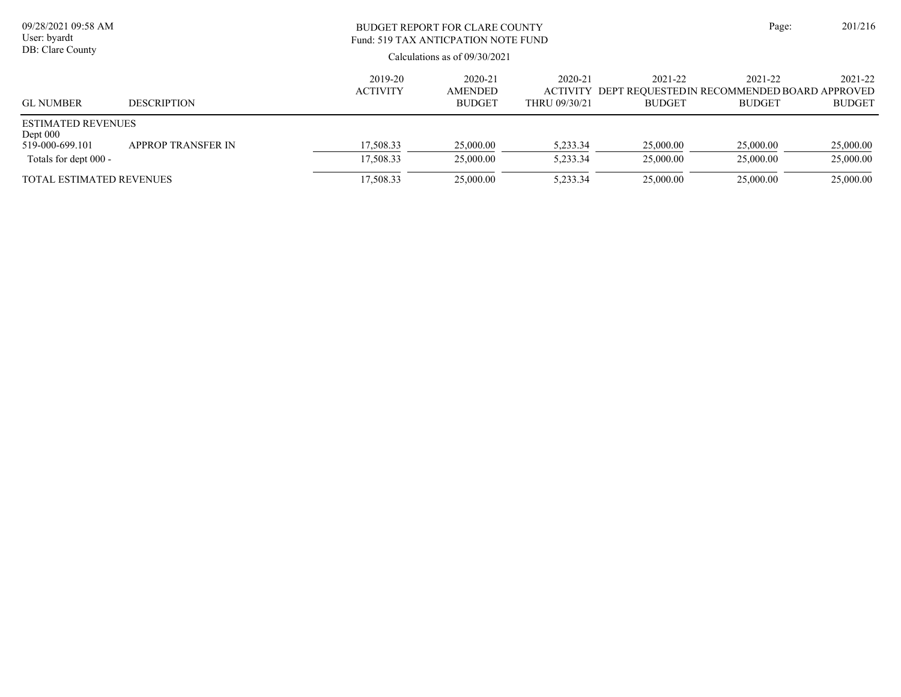| 09/28/2021 09:58 AM<br>User: byardt<br>DB: Clare County                             |                    |                            | BUDGET REPORT FOR CLARE COUNTY<br>Fund: 519 TAX ANTICPATION NOTE FUND<br>Calculations as of $09/30/2021$ |                          |                          |                                                                                  |                          |  |  |
|-------------------------------------------------------------------------------------|--------------------|----------------------------|----------------------------------------------------------------------------------------------------------|--------------------------|--------------------------|----------------------------------------------------------------------------------|--------------------------|--|--|
| <b>GL NUMBER</b>                                                                    | <b>DESCRIPTION</b> | 2019-20<br><b>ACTIVITY</b> | 2020-21<br>AMENDED<br><b>BUDGET</b>                                                                      | 2020-21<br>THRU 09/30/21 | 2021-22<br><b>BUDGET</b> | 2021-22<br>ACTIVITY DEPT REOUESTEDIN RECOMMENDED BOARD APPROVED<br><b>BUDGET</b> | 2021-22<br><b>BUDGET</b> |  |  |
| <b>ESTIMATED REVENUES</b><br>Dept $000$<br>519-000-699.101<br>Totals for dept 000 - | APPROP TRANSFER IN | 17,508.33<br>17,508.33     | 25,000.00<br>25,000.00                                                                                   | 5,233.34<br>5,233.34     | 25,000.00<br>25,000.00   | 25,000.00<br>25,000.00                                                           | 25,000.00<br>25,000.00   |  |  |
| <b>TOTAL ESTIMATED REVENUES</b>                                                     |                    | 17,508.33                  | 25,000.00                                                                                                | 5,233.34                 | 25,000.00                | 25,000.00                                                                        | 25,000.00                |  |  |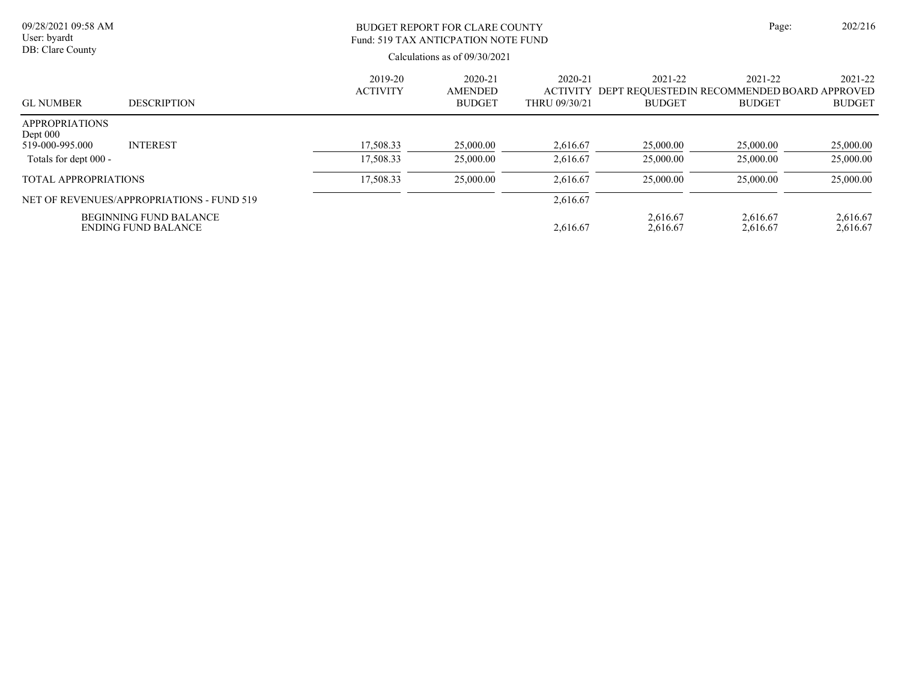| 09/28/2021 09:58 AM<br>User: byardt                    |                                                      | Page:                      | 202/216                             |                          |                      |                                                                                   |                          |
|--------------------------------------------------------|------------------------------------------------------|----------------------------|-------------------------------------|--------------------------|----------------------|-----------------------------------------------------------------------------------|--------------------------|
| DB: Clare County                                       |                                                      |                            |                                     |                          |                      |                                                                                   |                          |
| <b>GL NUMBER</b>                                       | <b>DESCRIPTION</b>                                   | 2019-20<br><b>ACTIVITY</b> | 2020-21<br>AMENDED<br><b>BUDGET</b> | 2020-21<br>THRU 09/30/21 | 2021-22<br>BUDGET    | 2021-22<br>ACTIVITY DEPT REQUESTED IN RECOMMENDED BOARD APPROVED<br><b>BUDGET</b> | 2021-22<br><b>BUDGET</b> |
| <b>APPROPRIATIONS</b><br>Dept $000$<br>519-000-995.000 | <b>INTEREST</b>                                      | 17,508.33                  | 25,000.00                           | 2,616.67                 | 25,000.00            | 25,000.00                                                                         | 25,000.00                |
| Totals for dept 000 -                                  |                                                      | 17,508.33                  | 25,000.00                           | 2,616.67                 | 25,000.00            | 25,000.00                                                                         | 25,000.00                |
| <b>TOTAL APPROPRIATIONS</b>                            |                                                      | 17.508.33                  | 25,000.00                           | 2.616.67                 | 25,000.00            | 25,000.00                                                                         | 25,000.00                |
|                                                        | NET OF REVENUES/APPROPRIATIONS - FUND 519            |                            |                                     | 2,616.67                 |                      |                                                                                   |                          |
|                                                        | <b>BEGINNING FUND BALANCE</b><br>ENDING FUND BALANCE |                            |                                     | 2,616.67                 | 2,616.67<br>2,616.67 | 2,616.67<br>2,616.67                                                              | 2,616.67<br>2,616.67     |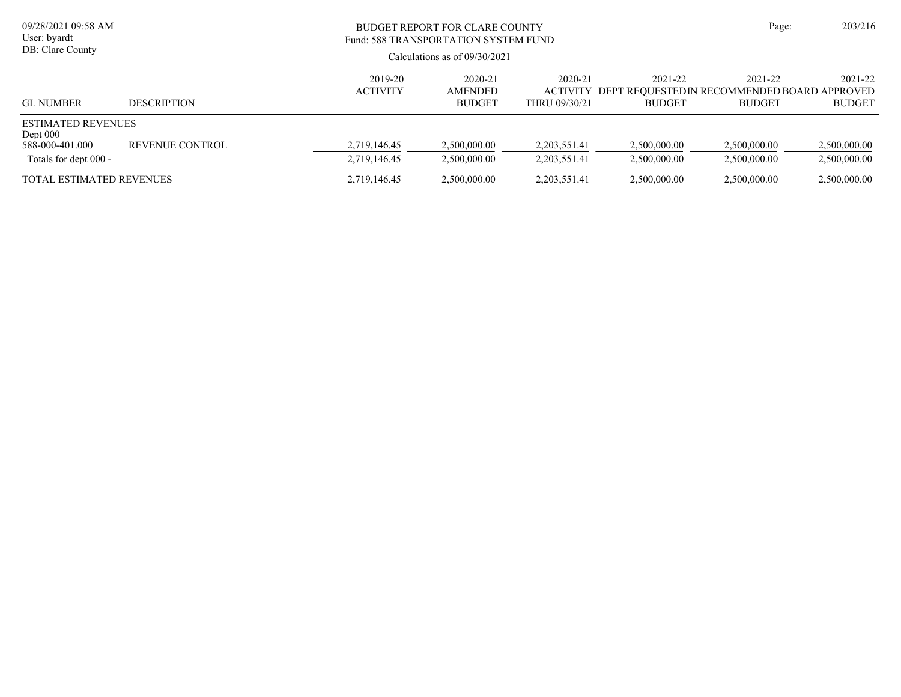| 09/28/2021 09:58 AM<br>User: byardt<br>DB: Clare County                             |                    | BUDGET REPORT FOR CLARE COUNTY<br>Fund: 588 TRANSPORTATION SYSTEM FUND<br>Calculations as of $09/30/2021$ | Page:                                      | 203/216                      |                              |                                                                                  |                              |
|-------------------------------------------------------------------------------------|--------------------|-----------------------------------------------------------------------------------------------------------|--------------------------------------------|------------------------------|------------------------------|----------------------------------------------------------------------------------|------------------------------|
| <b>GL NUMBER</b>                                                                    | <b>DESCRIPTION</b> | 2019-20<br><b>ACTIVITY</b>                                                                                | 2020-21<br><b>AMENDED</b><br><b>BUDGET</b> | 2020-21<br>THRU 09/30/21     | 2021-22<br><b>BUDGET</b>     | 2021-22<br>ACTIVITY DEPT REOUESTEDIN RECOMMENDED BOARD APPROVED<br><b>BUDGET</b> | 2021-22<br><b>BUDGET</b>     |
| <b>ESTIMATED REVENUES</b><br>Dept $000$<br>588-000-401.000<br>Totals for dept 000 - | REVENUE CONTROL    | 2,719,146.45<br>2,719,146.45                                                                              | 2.500,000.00<br>2,500,000.00               | 2,203,551.41<br>2,203,551.41 | 2,500,000.00<br>2,500,000.00 | 2,500,000.00<br>2.500,000.00                                                     | 2,500,000.00<br>2,500,000.00 |
| <b>TOTAL ESTIMATED REVENUES</b>                                                     |                    | 2,719,146.45                                                                                              | 2,500,000.00                               | 2,203,551.41                 | 2,500,000.00                 | 2,500,000.00                                                                     | 2,500,000.00                 |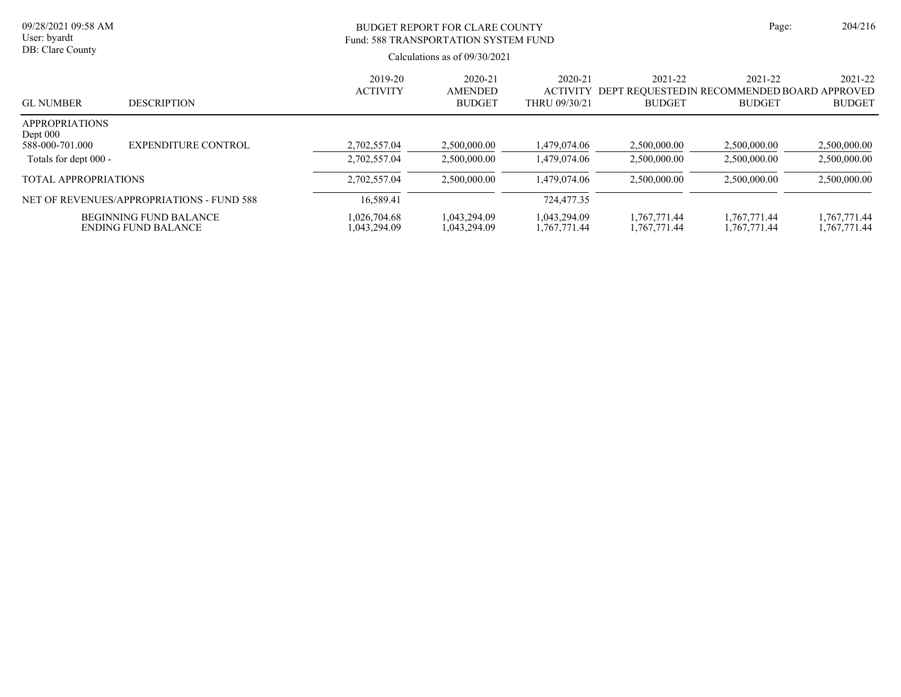| 09/28/2021 09:58 AM<br>User: byardt<br>DB: Clare County |                                                             |                              | <b>BUDGET REPORT FOR CLARE COUNTY</b><br>Fund: 588 TRANSPORTATION SYSTEM FUND<br>Calculations as of $09/30/2021$ |                              |                              | Page:                                                                             |                              |  |
|---------------------------------------------------------|-------------------------------------------------------------|------------------------------|------------------------------------------------------------------------------------------------------------------|------------------------------|------------------------------|-----------------------------------------------------------------------------------|------------------------------|--|
| <b>GL NUMBER</b>                                        | <b>DESCRIPTION</b>                                          | 2019-20<br><b>ACTIVITY</b>   | 2020-21<br>AMENDED<br><b>BUDGET</b>                                                                              | 2020-21<br>THRU 09/30/21     | 2021-22<br><b>BUDGET</b>     | 2021-22<br>ACTIVITY DEPT REQUESTED IN RECOMMENDED BOARD APPROVED<br><b>BUDGET</b> | 2021-22<br><b>BUDGET</b>     |  |
| <b>APPROPRIATIONS</b><br>Dept $000$<br>588-000-701.000  | EXPENDITURE CONTROL                                         | 2,702,557.04                 | 2.500,000.00                                                                                                     | 1.479.074.06                 | 2,500,000.00                 | 2,500,000.00                                                                      | 2,500,000.00                 |  |
| Totals for dept 000 -                                   |                                                             | 2.702.557.04                 | 2.500,000.00                                                                                                     | 1.479.074.06                 | 2.500,000.00                 | 2.500,000.00                                                                      | 2,500,000.00                 |  |
| <b>TOTAL APPROPRIATIONS</b>                             |                                                             | 2,702,557.04                 | 2,500,000.00                                                                                                     | 1,479,074.06                 | 2,500,000.00                 | 2,500,000.00                                                                      | 2,500,000.00                 |  |
|                                                         | NET OF REVENUES/APPROPRIATIONS - FUND 588                   | 16,589.41                    |                                                                                                                  | 724,477.35                   |                              |                                                                                   |                              |  |
|                                                         | <b>BEGINNING FUND BALANCE</b><br><b>ENDING FUND BALANCE</b> | 1,026,704.68<br>1,043,294.09 | 1,043,294.09<br>1,043,294.09                                                                                     | 1,043,294.09<br>1,767,771.44 | 1,767,771.44<br>1,767,771.44 | 1,767,771.44<br>1,767,771.44                                                      | 1,767,771.44<br>1,767,771.44 |  |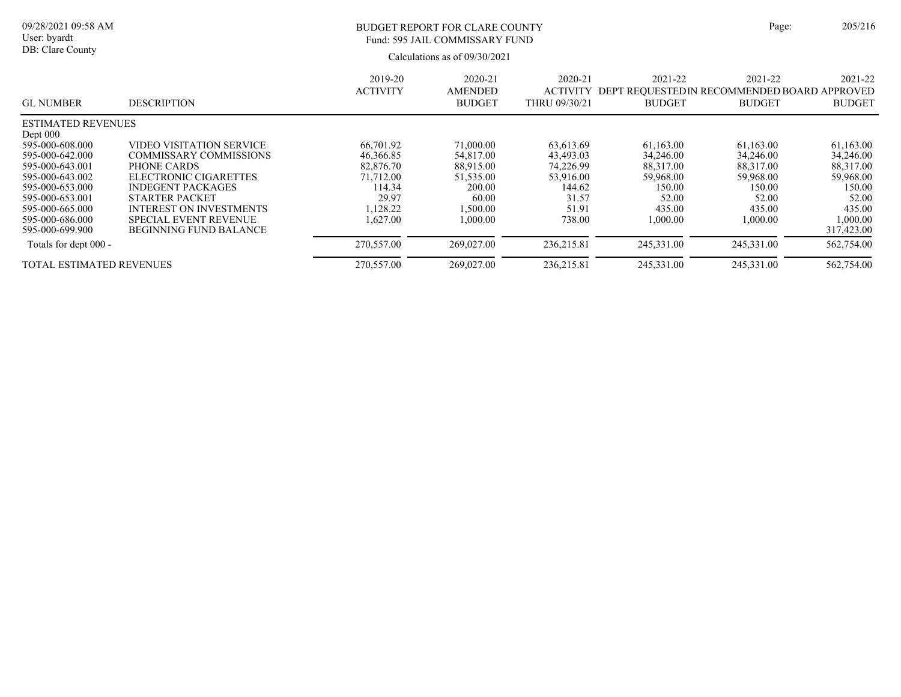| ige: | 205/216 |
|------|---------|
|      |         |

### BUDGET REPORT FOR CLARE COUNTY Page: 205/216 Fund: 595 JAIL COMMISSARY FUND

|                                 |                                | 2019-20         | 2020-21        | 2020-21         | 2021-22                                     | 2021-22       | 2021-22       |
|---------------------------------|--------------------------------|-----------------|----------------|-----------------|---------------------------------------------|---------------|---------------|
|                                 |                                | <b>ACTIVITY</b> | <b>AMENDED</b> | <b>ACTIVITY</b> | DEPT REOUESTEDIN RECOMMENDED BOARD APPROVED |               |               |
| <b>GL NUMBER</b>                | <b>DESCRIPTION</b>             |                 | <b>BUDGET</b>  | THRU 09/30/21   | <b>BUDGET</b>                               | <b>BUDGET</b> | <b>BUDGET</b> |
| <b>ESTIMATED REVENUES</b>       |                                |                 |                |                 |                                             |               |               |
| Dept $000$                      |                                |                 |                |                 |                                             |               |               |
| 595-000-608.000                 | VIDEO VISITATION SERVICE       | 66,701.92       | 71,000.00      | 63.613.69       | 61.163.00                                   | 61,163.00     | 61,163.00     |
| 595-000-642.000                 | COMMISSARY COMMISSIONS         | 46,366.85       | 54,817.00      | 43,493.03       | 34,246.00                                   | 34,246.00     | 34,246.00     |
| 595-000-643.001                 | PHONE CARDS                    | 82,876.70       | 88,915.00      | 74.226.99       | 88,317.00                                   | 88,317.00     | 88,317.00     |
| 595-000-643.002                 | ELECTRONIC CIGARETTES          | 71,712.00       | 51,535.00      | 53,916.00       | 59.968.00                                   | 59,968.00     | 59,968.00     |
| 595-000-653.000                 | <b>INDEGENT PACKAGES</b>       | 114.34          | 200.00         | 144.62          | 150.00                                      | 150.00        | 150.00        |
| 595-000-653.001                 | <b>STARTER PACKET</b>          | 29.97           | 60.00          | 31.57           | 52.00                                       | 52.00         | 52.00         |
| 595-000-665.000                 | <b>INTEREST ON INVESTMENTS</b> | .128.22         | 1.500.00       | 51.91           | 435.00                                      | 435.00        | 435.00        |
| 595-000-686.000                 | <b>SPECIAL EVENT REVENUE</b>   | 1.627.00        | 1,000.00       | 738.00          | 1.000.00                                    | 1,000.00      | 1,000.00      |
| 595-000-699.900                 | <b>BEGINNING FUND BALANCE</b>  |                 |                |                 |                                             |               | 317,423.00    |
| Totals for dept 000 -           |                                | 270,557.00      | 269,027.00     | 236,215.81      | 245,331.00                                  | 245,331.00    | 562,754.00    |
| <b>TOTAL ESTIMATED REVENUES</b> |                                | 270,557.00      | 269,027.00     | 236,215.81      | 245,331.00                                  | 245,331.00    | 562,754.00    |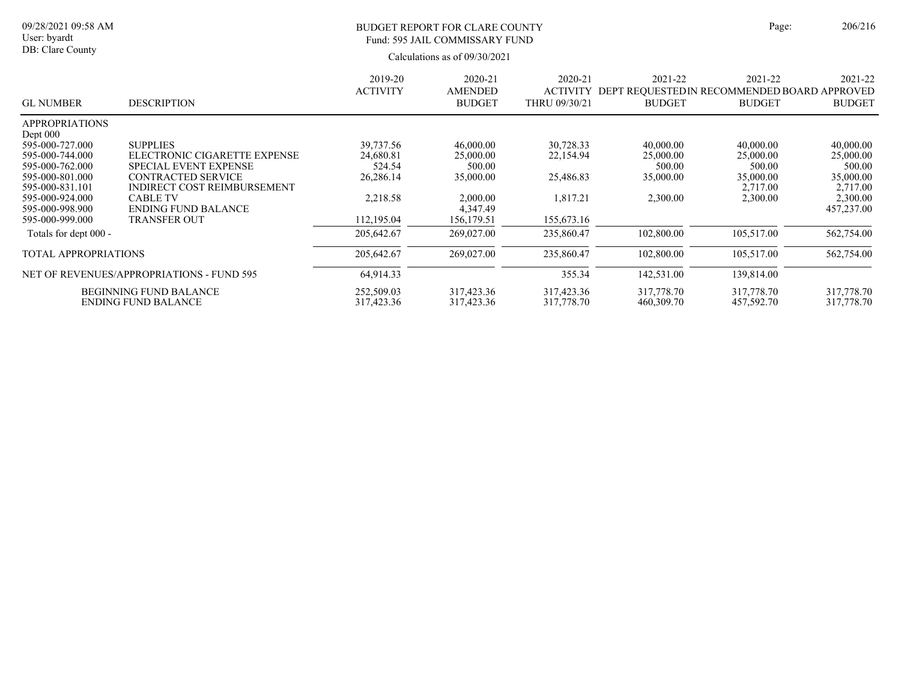#### BUDGET REPORT FOR CLARE COUNTY Page: 206/216 Fund: 595 JAIL COMMISSARY FUND

|                       |                                           | 2019-20         | 2020-21        | 2020-21         | 2021-22                                      | 2021-22       | 2021-22       |
|-----------------------|-------------------------------------------|-----------------|----------------|-----------------|----------------------------------------------|---------------|---------------|
|                       |                                           | <b>ACTIVITY</b> | <b>AMENDED</b> | <b>ACTIVITY</b> | DEPT REQUESTED IN RECOMMENDED BOARD APPROVED |               |               |
| <b>GL NUMBER</b>      | <b>DESCRIPTION</b>                        |                 | <b>BUDGET</b>  | THRU 09/30/21   | <b>BUDGET</b>                                | <b>BUDGET</b> | <b>BUDGET</b> |
| <b>APPROPRIATIONS</b> |                                           |                 |                |                 |                                              |               |               |
| Dept $000$            |                                           |                 |                |                 |                                              |               |               |
| 595-000-727.000       | <b>SUPPLIES</b>                           | 39,737.56       | 46,000.00      | 30,728.33       | 40,000.00                                    | 40,000.00     | 40,000.00     |
| 595-000-744.000       | ELECTRONIC CIGARETTE EXPENSE              | 24,680.81       | 25,000.00      | 22,154.94       | 25,000.00                                    | 25,000.00     | 25,000.00     |
| 595-000-762.000       | <b>SPECIAL EVENT EXPENSE</b>              | 524.54          | 500.00         |                 | 500.00                                       | 500.00        | 500.00        |
| 595-000-801.000       | <b>CONTRACTED SERVICE</b>                 | 26,286.14       | 35,000.00      | 25,486.83       | 35,000.00                                    | 35,000.00     | 35,000.00     |
| 595-000-831.101       | INDIRECT COST REIMBURSEMENT               |                 |                |                 |                                              | 2,717.00      | 2,717.00      |
| 595-000-924.000       | <b>CABLE TV</b>                           | 2,218.58        | 2,000.00       | 1,817.21        | 2,300.00                                     | 2,300.00      | 2,300.00      |
| 595-000-998.900       | <b>ENDING FUND BALANCE</b>                |                 | 4,347.49       |                 |                                              |               | 457,237.00    |
| 595-000-999.000       | <b>TRANSFER OUT</b>                       | 112,195.04      | 156,179.51     | 155,673.16      |                                              |               |               |
| Totals for dept 000 - |                                           | 205,642.67      | 269,027.00     | 235,860.47      | 102,800.00                                   | 105,517.00    | 562,754.00    |
| TOTAL APPROPRIATIONS  |                                           | 205,642.67      | 269,027.00     | 235,860.47      | 102,800.00                                   | 105,517.00    | 562,754.00    |
|                       | NET OF REVENUES/APPROPRIATIONS - FUND 595 | 64,914.33       |                | 355.34          | 142,531.00                                   | 139,814.00    |               |
|                       | <b>BEGINNING FUND BALANCE</b>             | 252,509.03      | 317,423.36     | 317,423.36      | 317,778.70                                   | 317,778.70    | 317,778.70    |
|                       | <b>ENDING FUND BALANCE</b>                | 317,423.36      | 317,423.36     | 317,778.70      | 460,309.70                                   | 457,592.70    | 317,778.70    |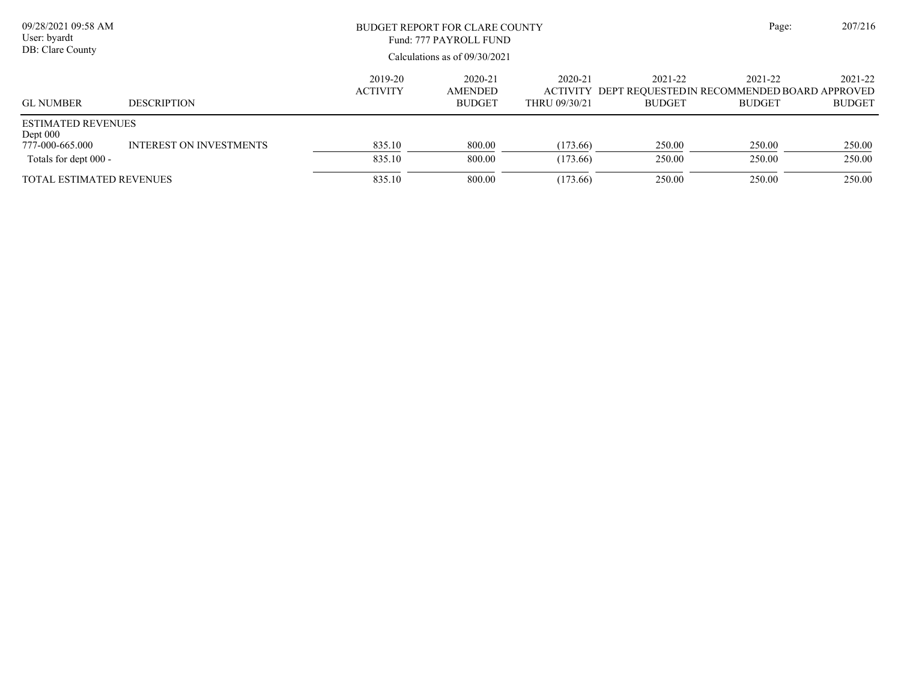| 09/28/2021 09:58 AM<br>User: byardt<br>DB: Clare County                             |                                | BUDGET REPORT FOR CLARE COUNTY<br>Fund: 777 PAYROLL FUND<br>Calculations as of $09/30/2021$ | Page:                               | 207/216                  |                          |                                                                                  |                          |
|-------------------------------------------------------------------------------------|--------------------------------|---------------------------------------------------------------------------------------------|-------------------------------------|--------------------------|--------------------------|----------------------------------------------------------------------------------|--------------------------|
| <b>GL NUMBER</b>                                                                    | <b>DESCRIPTION</b>             | 2019-20<br><b>ACTIVITY</b>                                                                  | 2020-21<br>AMENDED<br><b>BUDGET</b> | 2020-21<br>THRU 09/30/21 | 2021-22<br><b>BUDGET</b> | 2021-22<br>ACTIVITY DEPT REOUESTEDIN RECOMMENDED BOARD APPROVED<br><b>BUDGET</b> | 2021-22<br><b>BUDGET</b> |
| <b>ESTIMATED REVENUES</b><br>Dept $000$<br>777-000-665.000<br>Totals for dept 000 - | <b>INTEREST ON INVESTMENTS</b> | 835.10<br>835.10                                                                            | 800.00<br>800.00                    | (173.66)<br>(173.66)     | 250.00<br>250.00         | 250.00<br>250.00                                                                 | 250.00<br>250.00         |
| <b>TOTAL ESTIMATED REVENUES</b>                                                     |                                | 835.10                                                                                      | 800.00                              | (173.66)                 | 250.00                   | 250.00                                                                           | 250.00                   |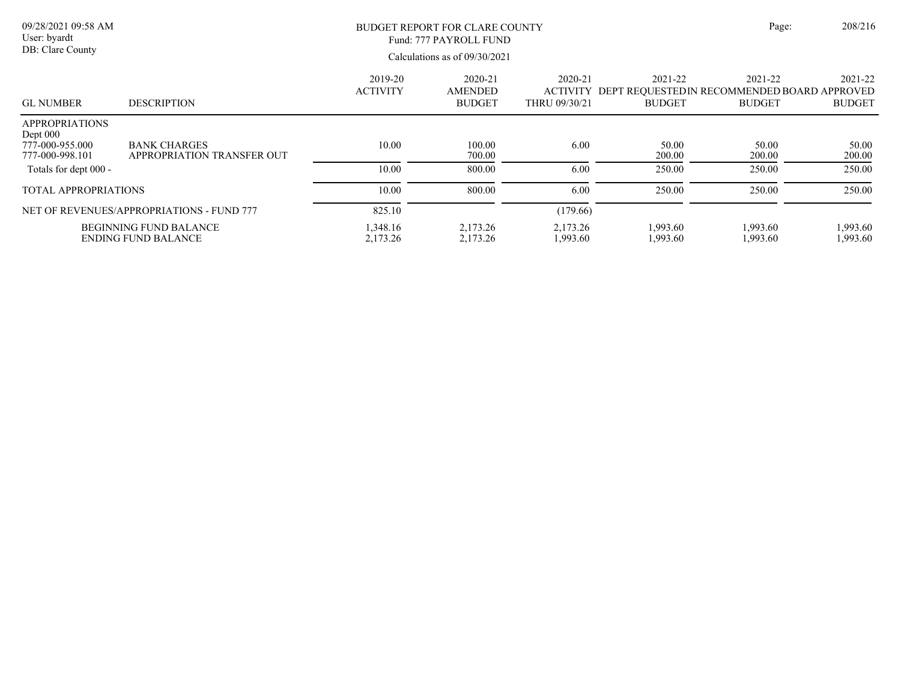| 09/28/2021 09:58 AM<br>User: byardt<br>DB: Clare County                   |                                                             | BUDGET REPORT FOR CLARE COUNTY<br>Fund: 777 PAYROLL FUND<br>Calculations as of $09/30/2021$ |                                            |                                             |                          | Page:                                                                    | 208/216                  |
|---------------------------------------------------------------------------|-------------------------------------------------------------|---------------------------------------------------------------------------------------------|--------------------------------------------|---------------------------------------------|--------------------------|--------------------------------------------------------------------------|--------------------------|
| <b>GL NUMBER</b>                                                          | <b>DESCRIPTION</b>                                          | 2019-20<br><b>ACTIVITY</b>                                                                  | 2020-21<br><b>AMENDED</b><br><b>BUDGET</b> | 2020-21<br><b>ACTIVITY</b><br>THRU 09/30/21 | 2021-22<br><b>BUDGET</b> | 2021-22<br>DEPT REQUESTED IN RECOMMENDED BOARD APPROVED<br><b>BUDGET</b> | 2021-22<br><b>BUDGET</b> |
| <b>APPROPRIATIONS</b><br>Dept $000$<br>777-000-955.000<br>777-000-998.101 | <b>BANK CHARGES</b><br>APPROPRIATION TRANSFER OUT           | 10.00                                                                                       | 100.00<br>700.00                           | 6.00                                        | 50.00<br>200.00          | 50.00<br>200.00                                                          | 50.00<br>200.00          |
| Totals for dept 000 -                                                     |                                                             | 10.00                                                                                       | 800.00                                     | 6.00                                        | 250.00                   | 250.00                                                                   | 250.00                   |
| <b>TOTAL APPROPRIATIONS</b>                                               |                                                             | 10.00                                                                                       | 800.00                                     | 6.00                                        | 250.00                   | 250.00                                                                   | 250.00                   |
|                                                                           | NET OF REVENUES/APPROPRIATIONS - FUND 777                   | 825.10                                                                                      |                                            | (179.66)                                    |                          |                                                                          |                          |
|                                                                           | <b>BEGINNING FUND BALANCE</b><br><b>ENDING FUND BALANCE</b> | 1,348.16<br>2,173.26                                                                        | 2,173.26<br>2,173.26                       | 2,173.26<br>1,993.60                        | 1,993.60<br>1,993.60     | 1,993.60<br>1,993.60                                                     | 1,993.60<br>1,993.60     |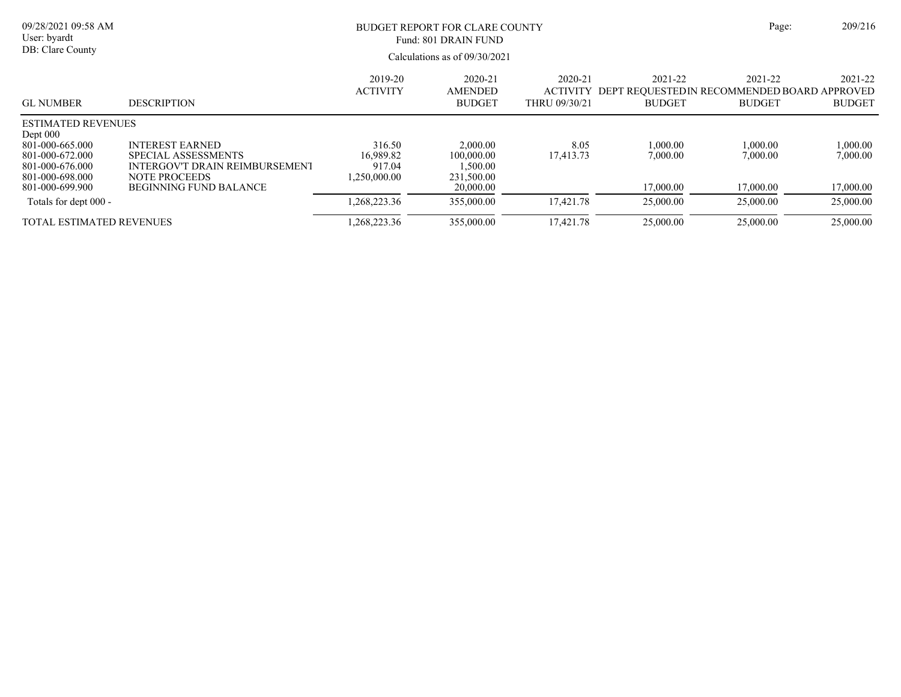| 09/28/2021 09:58 AM<br>User: byardt                                      |                                                                                                         | <b>BUDGET REPORT FOR CLARE COUNTY</b><br>Fund: 801 DRAIN FUND |                                                  |                                             |                                                                          | Page:                    | 209/216                  |  |
|--------------------------------------------------------------------------|---------------------------------------------------------------------------------------------------------|---------------------------------------------------------------|--------------------------------------------------|---------------------------------------------|--------------------------------------------------------------------------|--------------------------|--------------------------|--|
| DB: Clare County                                                         |                                                                                                         | Calculations as of $09/30/2021$                               |                                                  |                                             |                                                                          |                          |                          |  |
| <b>GL NUMBER</b>                                                         | <b>DESCRIPTION</b>                                                                                      | 2019-20<br><b>ACTIVITY</b>                                    | 2020-21<br>AMENDED<br><b>BUDGET</b>              | 2020-21<br><b>ACTIVITY</b><br>THRU 09/30/21 | 2021-22<br>DEPT REOUESTED IN RECOMMENDED BOARD APPROVED<br><b>BUDGET</b> | 2021-22<br><b>BUDGET</b> | 2021-22<br><b>BUDGET</b> |  |
| <b>ESTIMATED REVENUES</b><br>Dept $000$                                  |                                                                                                         |                                                               |                                                  |                                             |                                                                          |                          |                          |  |
| 801-000-665.000<br>801-000-672.000<br>801-000-676.000<br>801-000-698.000 | <b>INTEREST EARNED</b><br>SPECIAL ASSESSMENTS<br>INTERGOV'T DRAIN REIMBURSEMENT<br><b>NOTE PROCEEDS</b> | 316.50<br>16.989.82<br>917.04<br>.250,000.00                  | 2,000.00<br>100,000.00<br>1,500.00<br>231,500.00 | 8.05<br>17,413.73                           | 1.000.00<br>7,000.00                                                     | 1,000.00<br>7,000.00     | 1,000.00<br>7,000.00     |  |
| 801-000-699.900                                                          | <b>BEGINNING FUND BALANCE</b>                                                                           |                                                               | 20,000.00                                        |                                             | 17,000.00                                                                | 17,000.00                | 17,000.00                |  |
| Totals for dept 000 -                                                    |                                                                                                         | ,268,223.36                                                   | 355,000.00                                       | 17.421.78                                   | 25,000.00                                                                | 25,000.00                | 25,000.00                |  |
| TOTAL ESTIMATED REVENUES                                                 |                                                                                                         | ,268,223.36                                                   | 355,000.00                                       | 17.421.78                                   | 25,000.00                                                                | 25,000.00                | 25,000.00                |  |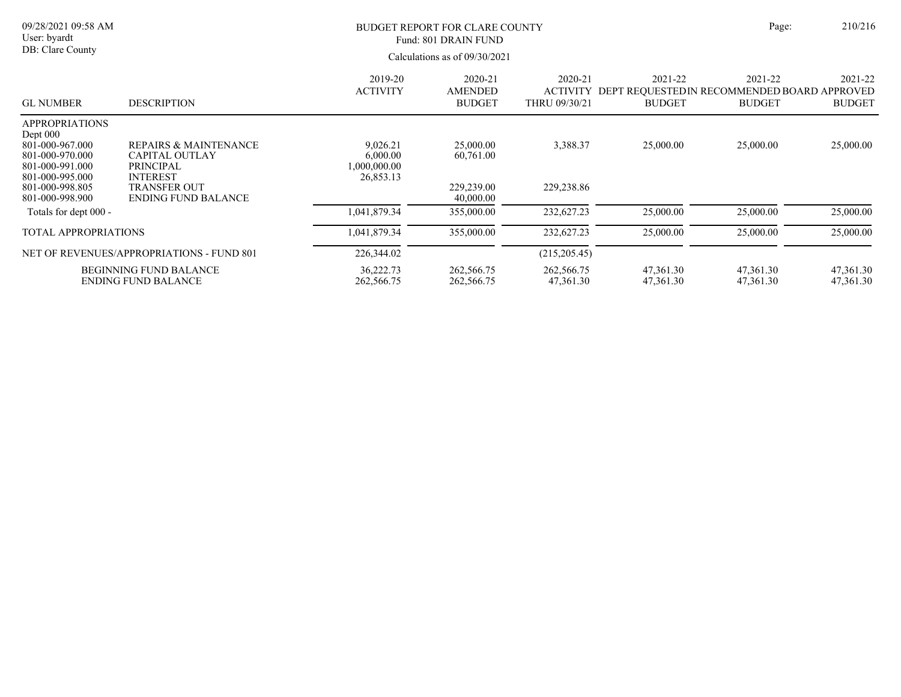| 09/28/2021 09:58 AM<br>User: byardt<br>DB: Clare County                                                       |                                                                                           | <b>BUDGET REPORT FOR CLARE COUNTY</b><br>Fund: 801 DRAIN FUND<br>Calculations as of $09/30/2021$ |                                            |                                             |                          | Page:                                                                    | 210/216                  |
|---------------------------------------------------------------------------------------------------------------|-------------------------------------------------------------------------------------------|--------------------------------------------------------------------------------------------------|--------------------------------------------|---------------------------------------------|--------------------------|--------------------------------------------------------------------------|--------------------------|
| <b>GL NUMBER</b>                                                                                              | <b>DESCRIPTION</b>                                                                        | 2019-20<br><b>ACTIVITY</b>                                                                       | 2020-21<br><b>AMENDED</b><br><b>BUDGET</b> | 2020-21<br><b>ACTIVITY</b><br>THRU 09/30/21 | 2021-22<br><b>BUDGET</b> | 2021-22<br>DEPT REQUESTED IN RECOMMENDED BOARD APPROVED<br><b>BUDGET</b> | 2021-22<br><b>BUDGET</b> |
| <b>APPROPRIATIONS</b><br>Dept 000<br>801-000-967.000<br>801-000-970.000<br>801-000-991.000<br>801-000-995.000 | <b>REPAIRS &amp; MAINTENANCE</b><br>CAPITAL OUTLAY<br><b>PRINCIPAL</b><br><b>INTEREST</b> | 9,026.21<br>6,000.00<br>000,000.00<br>26,853.13                                                  | 25,000.00<br>60,761.00                     | 3,388.37                                    | 25,000.00                | 25,000.00                                                                | 25,000.00                |
| 801-000-998.805<br>801-000-998.900                                                                            | <b>TRANSFER OUT</b><br><b>ENDING FUND BALANCE</b>                                         |                                                                                                  | 229,239.00<br>40,000.00                    | 229,238.86                                  |                          |                                                                          |                          |
| Totals for dept 000 -                                                                                         |                                                                                           | 1,041,879.34                                                                                     | 355,000.00                                 | 232,627.23                                  | 25,000.00                | 25,000.00                                                                | 25,000.00                |
| TOTAL APPROPRIATIONS                                                                                          |                                                                                           | 1,041,879.34                                                                                     | 355,000.00                                 | 232,627.23                                  | 25,000.00                | 25,000.00                                                                | 25,000.00                |
|                                                                                                               | NET OF REVENUES/APPROPRIATIONS - FUND 801                                                 | 226,344.02                                                                                       |                                            | (215,205.45)                                |                          |                                                                          |                          |
|                                                                                                               | <b>BEGINNING FUND BALANCE</b><br><b>ENDING FUND BALANCE</b>                               | 36,222.73<br>262,566.75                                                                          | 262,566.75<br>262,566.75                   | 262,566.75<br>47,361.30                     | 47,361.30<br>47,361.30   | 47.361.30<br>47,361.30                                                   | 47,361.30<br>47,361.30   |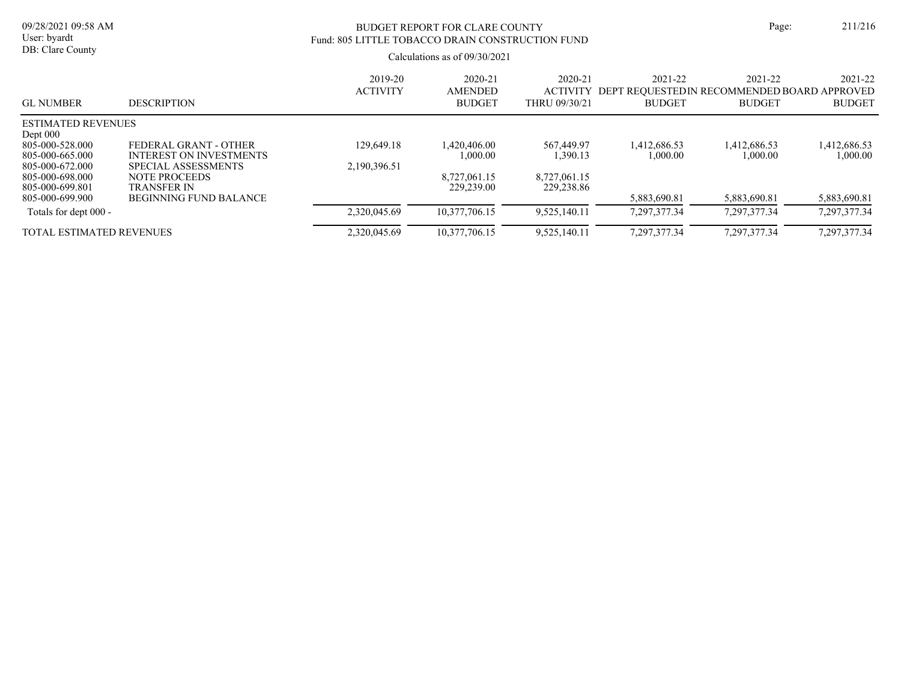| 09/28/2021 09:58 AM<br>User: byardt                                                                          |                                                                                                        | BUDGET REPORT FOR CLARE COUNTY<br>Fund: 805 LITTLE TOBACCO DRAIN CONSTRUCTION FUND | Page:                                      | 211/216                                     |                              |                                                                         |                              |
|--------------------------------------------------------------------------------------------------------------|--------------------------------------------------------------------------------------------------------|------------------------------------------------------------------------------------|--------------------------------------------|---------------------------------------------|------------------------------|-------------------------------------------------------------------------|------------------------------|
| DB: Clare County                                                                                             |                                                                                                        |                                                                                    | Calculations as of $09/30/2021$            |                                             |                              |                                                                         |                              |
| <b>GL NUMBER</b>                                                                                             | <b>DESCRIPTION</b>                                                                                     | 2019-20<br><b>ACTIVITY</b>                                                         | 2020-21<br><b>AMENDED</b><br><b>BUDGET</b> | 2020-21<br><b>ACTIVITY</b><br>THRU 09/30/21 | 2021-22<br><b>BUDGET</b>     | 2021-22<br>DEPT REQUESTEDIN RECOMMENDED BOARD APPROVED<br><b>BUDGET</b> | 2021-22<br><b>BUDGET</b>     |
| ESTIMATED REVENUES<br>Dept $000$<br>805-000-528.000<br>805-000-665.000<br>805-000-672.000<br>805-000-698.000 | FEDERAL GRANT - OTHER<br><b>INTEREST ON INVESTMENTS</b><br>SPECIAL ASSESSMENTS<br><b>NOTE PROCEEDS</b> | 129,649.18<br>2,190,396.51                                                         | 1.420.406.00<br>1,000.00<br>8,727,061.15   | 567,449.97<br>1,390.13<br>8,727,061.15      | 1,412,686.53<br>1,000.00     | 1,412,686.53<br>1,000.00                                                | 1,412,686.53<br>00.000.1     |
| 805-000-699.801<br>805-000-699.900                                                                           | TRANSFER IN<br><b>BEGINNING FUND BALANCE</b>                                                           |                                                                                    | 229,239.00                                 | 229,238.86                                  | 5.883.690.81                 | 5.883.690.81                                                            | 5,883,690.81                 |
| Totals for dept 000 -<br>TOTAL ESTIMATED REVENUES                                                            |                                                                                                        | 2,320,045.69<br>2,320,045.69                                                       | 10,377,706.15<br>10,377,706.15             | 9,525,140.11<br>9,525,140.11                | 7.297.377.34<br>7,297,377.34 | 7.297.377.34<br>7,297,377.34                                            | 7,297,377.34<br>7,297,377.34 |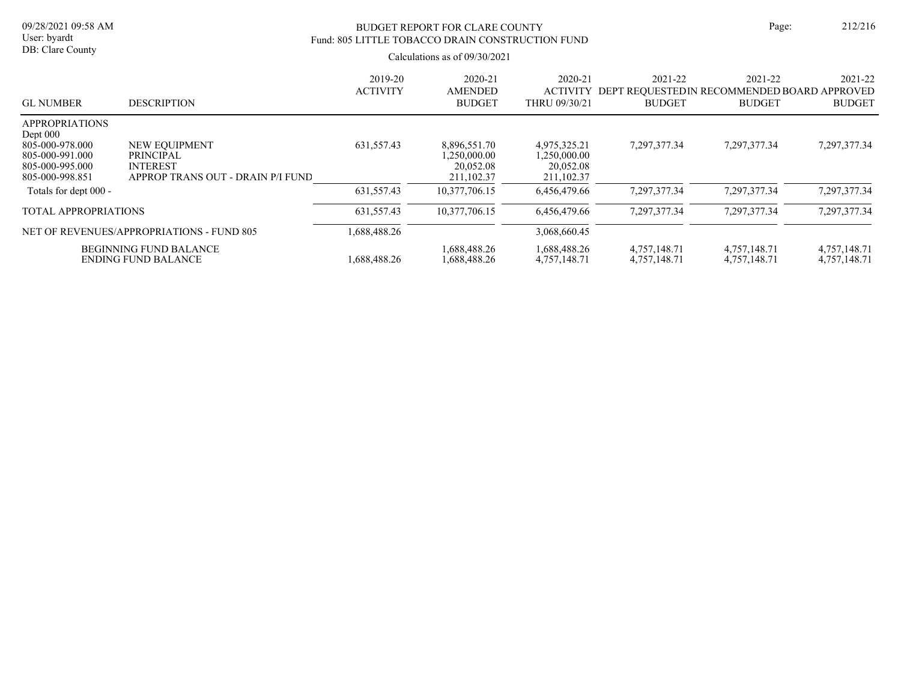# BUDGET REPORT FOR CLARE COUNTY Page: 212/216 Fund: 805 LITTLE TOBACCO DRAIN CONSTRUCTION FUND

| <b>GL NUMBER</b>                                                                                                | <b>DESCRIPTION</b>                                                                        | 2019-20<br><b>ACTIVITY</b> | 2020-21<br><b>AMENDED</b><br><b>BUDGET</b>              | 2020-21<br><b>ACTIVITY</b><br>THRU 09/30/21             | 2021-22<br>DEPT REOUESTEDIN RECOMMENDED BOARD APPROVED<br><b>BUDGET</b> | 2021-22<br><b>BUDGET</b>     | 2021-22<br><b>BUDGET</b>     |
|-----------------------------------------------------------------------------------------------------------------|-------------------------------------------------------------------------------------------|----------------------------|---------------------------------------------------------|---------------------------------------------------------|-------------------------------------------------------------------------|------------------------------|------------------------------|
| <b>APPROPRIATIONS</b><br>Dept $000$<br>805-000-978.000<br>805-000-991.000<br>805-000-995.000<br>805-000-998.851 | NEW EQUIPMENT<br><b>PRINCIPAL</b><br><b>INTEREST</b><br>APPROP TRANS OUT - DRAIN P/I FUND | 631,557.43                 | 8,896,551.70<br>1,250,000.00<br>20,052.08<br>211,102.37 | 4,975,325.21<br>1,250,000.00<br>20,052.08<br>211,102.37 | 7,297,377.34                                                            | 7,297,377.34                 | 7,297,377.34                 |
| Totals for dept 000 -                                                                                           |                                                                                           | 631,557.43                 | 10,377,706.15                                           | 6.456.479.66                                            | 7,297,377.34                                                            | 7,297,377.34                 | 7,297,377.34                 |
| <b>TOTAL APPROPRIATIONS</b>                                                                                     |                                                                                           | 631,557.43                 | 10.377.706.15                                           | 6.456.479.66                                            | 7.297.377.34                                                            | 7,297,377.34                 | 7,297,377.34                 |
|                                                                                                                 | NET OF REVENUES/APPROPRIATIONS - FUND 805                                                 | .688,488.26                |                                                         | 3.068.660.45                                            |                                                                         |                              |                              |
|                                                                                                                 | <b>BEGINNING FUND BALANCE</b><br><b>ENDING FUND BALANCE</b>                               | .688.488.26                | 1,688,488.26<br>1,688,488.26                            | 1,688,488.26<br>4,757,148.71                            | 4,757,148.71<br>4,757,148.71                                            | 4,757,148.71<br>4,757,148.71 | 4,757,148.71<br>4,757,148.71 |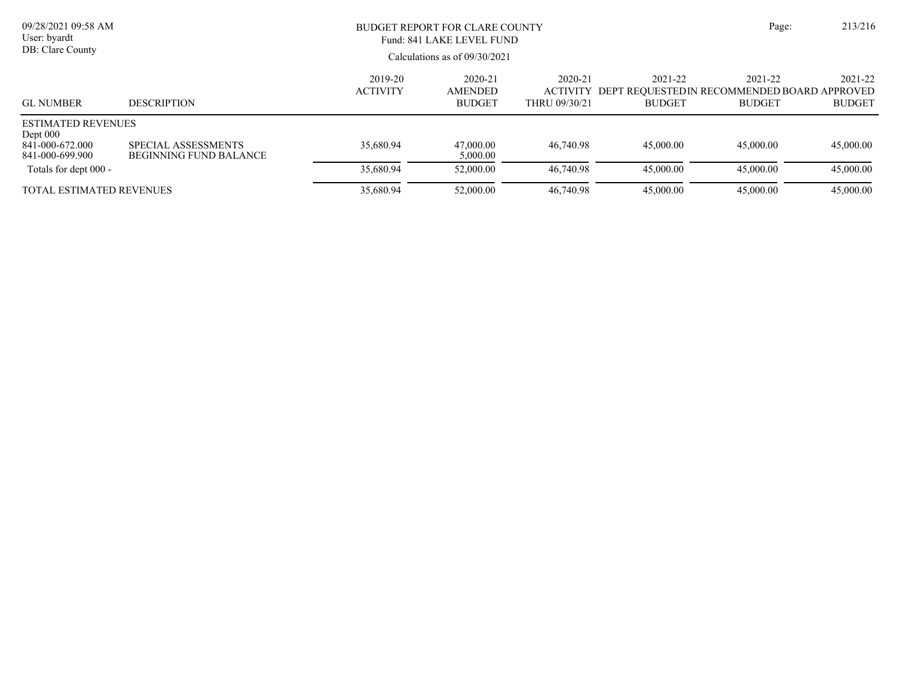| 09/28/2021 09:58 AM<br>User: byardt<br>DB: Clare County                       |                                               | BUDGET REPORT FOR CLARE COUNTY<br>Fund: 841 LAKE LEVEL FUND<br>Calculations as of $09/30/2021$ | Page:                           | 213/216       |               |                                                                        |               |
|-------------------------------------------------------------------------------|-----------------------------------------------|------------------------------------------------------------------------------------------------|---------------------------------|---------------|---------------|------------------------------------------------------------------------|---------------|
|                                                                               |                                               | 2021-22                                                                                        | 2021-22                         |               |               |                                                                        |               |
| <b>GL NUMBER</b>                                                              | <b>DESCRIPTION</b>                            | <b>ACTIVITY</b>                                                                                | <b>AMENDED</b><br><b>BUDGET</b> | THRU 09/30/21 | <b>BUDGET</b> | ACTIVITY DEPT REQUESTED IN RECOMMENDED BOARD APPROVED<br><b>BUDGET</b> | <b>BUDGET</b> |
| <b>ESTIMATED REVENUES</b><br>Dept $000$<br>841-000-672.000<br>841-000-699.900 | SPECIAL ASSESSMENTS<br>BEGINNING FUND BALANCE | 35,680.94                                                                                      | 47,000.00<br>5,000.00           | 46,740.98     | 45,000.00     | 45,000.00                                                              | 45,000.00     |
| Totals for dept 000 -                                                         |                                               | 35,680.94                                                                                      | 52,000.00                       | 46,740.98     | 45,000.00     | 45,000.00                                                              | 45,000.00     |
| <b>TOTAL ESTIMATED REVENUES</b>                                               |                                               | 35,680.94                                                                                      | 52,000.00                       | 46,740.98     | 45,000.00     | 45,000.00                                                              | 45,000.00     |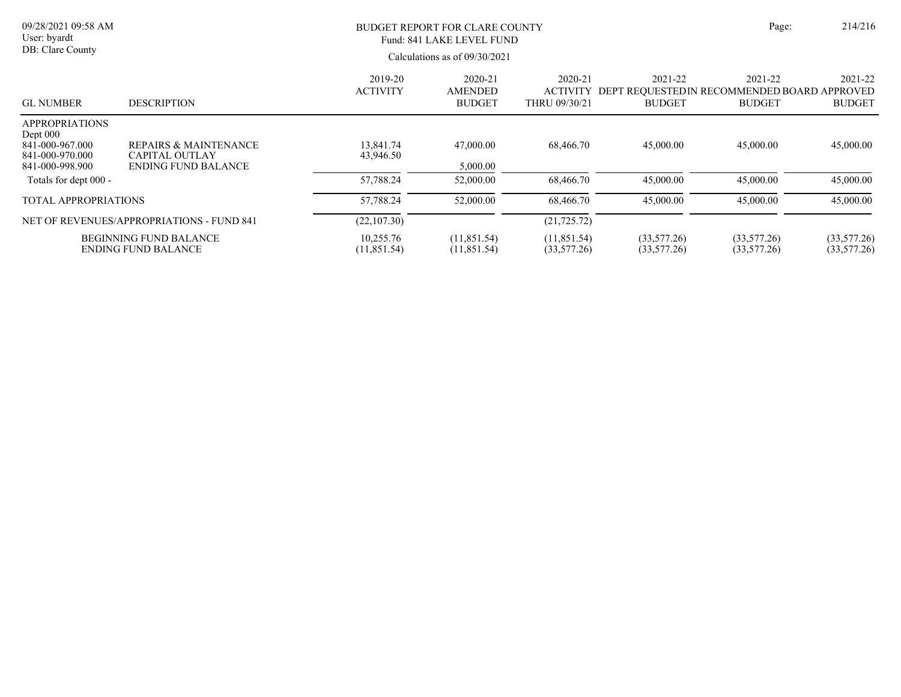| 09/28/2021 09:58 AM<br>User: byardt<br>DB: Clare County                                    |                                                                              |                            | <b>BUDGET REPORT FOR CLARE COUNTY</b><br>Fund: 841 LAKE LEVEL FUND<br>Calculations as of $09/30/2021$ |                             |                                                                                  | Page:                      | 214/216                    |
|--------------------------------------------------------------------------------------------|------------------------------------------------------------------------------|----------------------------|-------------------------------------------------------------------------------------------------------|-----------------------------|----------------------------------------------------------------------------------|----------------------------|----------------------------|
| <b>GL NUMBER</b>                                                                           | <b>DESCRIPTION</b>                                                           | 2019-20<br><b>ACTIVITY</b> | 2020-21<br>AMENDED<br><b>BUDGET</b>                                                                   | 2020-21<br>THRU 09/30/21    | 2021-22<br>ACTIVITY DEPT REOUESTEDIN RECOMMENDED BOARD APPROVED<br><b>BUDGET</b> | 2021-22<br><b>BUDGET</b>   | 2021-22<br><b>BUDGET</b>   |
| <b>APPROPRIATIONS</b><br>Dept 000<br>841-000-967.000<br>841-000-970.000<br>841-000-998.900 | REPAIRS & MAINTENANCE<br><b>CAPITAL OUTLAY</b><br><b>ENDING FUND BALANCE</b> | 13.841.74<br>43,946.50     | 47,000.00<br>5,000.00                                                                                 | 68,466.70                   | 45,000.00                                                                        | 45,000.00                  | 45,000.00                  |
| Totals for dept 000 -                                                                      |                                                                              | 57,788.24                  | 52,000.00                                                                                             | 68,466.70                   | 45,000.00                                                                        | 45,000.00                  | 45,000.00                  |
| TOTAL APPROPRIATIONS                                                                       |                                                                              | 57,788.24                  | 52,000.00                                                                                             | 68,466.70                   | 45,000.00                                                                        | 45,000.00                  | 45,000.00                  |
| NET OF REVENUES/APPROPRIATIONS - FUND 841                                                  |                                                                              | (22,107.30)                |                                                                                                       | (21, 725.72)                |                                                                                  |                            |                            |
| <b>BEGINNING FUND BALANCE</b><br><b>ENDING FUND BALANCE</b>                                |                                                                              | 10,255.76<br>(11, 851.54)  | (11, 851.54)<br>(11,851.54)                                                                           | (11, 851.54)<br>(33,577.26) | (33,577.26)<br>(33,577.26)                                                       | (33,577.26)<br>(33,577.26) | (33,577.26)<br>(33,577.26) |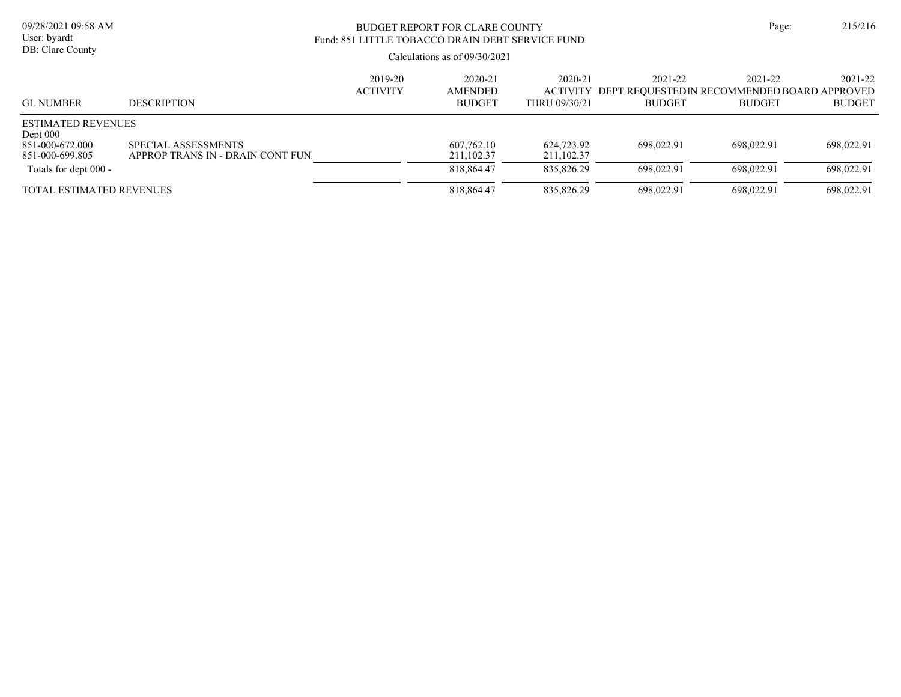# BUDGET REPORT FOR CLARE COUNTY Page: 215/216 Fund: 851 LITTLE TOBACCO DRAIN DEBT SERVICE FUND

| <b>GL NUMBER</b>                                                              | <b>DESCRIPTION</b>                                      | 2019-20<br><b>ACTIVITY</b> | 2020-21<br><b>AMENDED</b><br><b>BUDGET</b> | 2020-21<br>THRU 09/30/21 | 2021-22<br>ACTIVITY DEPT REQUESTED IN RECOMMENDED BOARD APPROVED<br><b>BUDGET</b> | 2021-22<br><b>BUDGET</b> | 2021-22<br><b>BUDGET</b> |
|-------------------------------------------------------------------------------|---------------------------------------------------------|----------------------------|--------------------------------------------|--------------------------|-----------------------------------------------------------------------------------|--------------------------|--------------------------|
| <b>ESTIMATED REVENUES</b><br>Dept $000$<br>851-000-672.000<br>851-000-699.805 | SPECIAL ASSESSMENTS<br>APPROP TRANS IN - DRAIN CONT FUN |                            | 607, 762. 10<br>211,102.37                 | 624,723.92<br>211,102.37 | 698,022.91                                                                        | 698,022.91               | 698,022.91               |
| Totals for dept 000 -                                                         |                                                         |                            | 818,864.47                                 | 835,826.29               | 698,022.91                                                                        | 698,022.91               | 698,022.91               |
| <b>TOTAL ESTIMATED REVENUES</b>                                               |                                                         |                            | 818,864.47                                 | 835,826.29               | 698,022.91                                                                        | 698,022.91               | 698,022.91               |